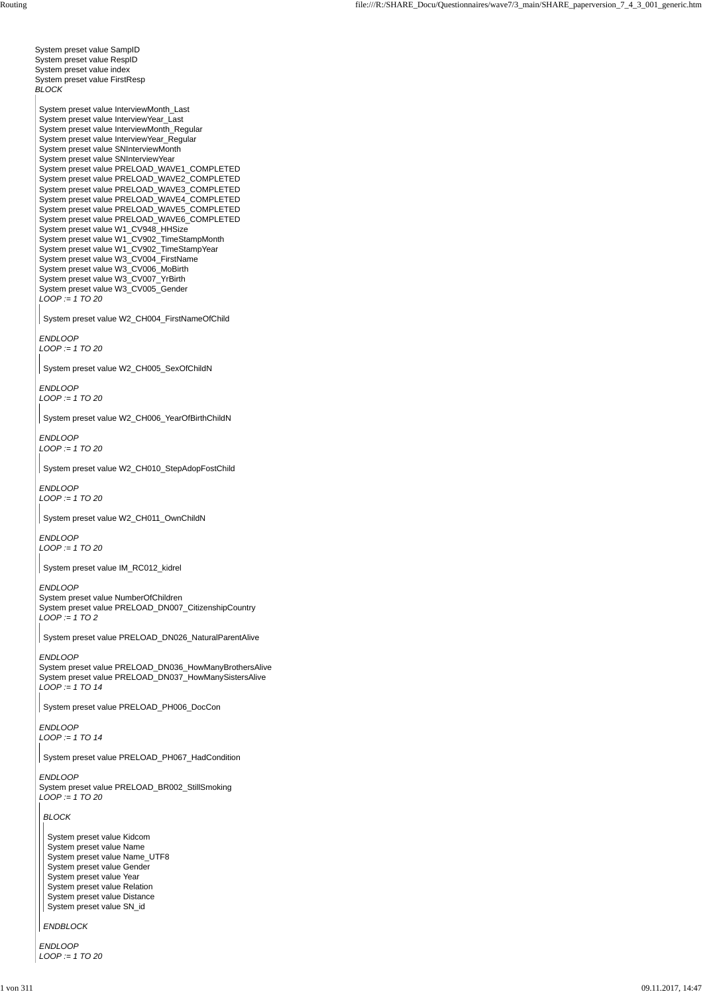System preset value SampID System preset value RespID System preset value index System preset value FirstResp *BLOCK* System preset value InterviewMonth\_Last System preset value InterviewYear\_Last System preset value InterviewMonth\_Regular System preset value InterviewYear\_Regular System preset value SNInterviewMonth System preset value SNInterviewYear System preset value PRELOAD\_WAVE1\_COMPLETED System preset value PRELOAD\_WAVE2\_COMPLETED

System preset value PRELOAD\_WAVE3\_COMPLETED System preset value PRELOAD\_WAVE4\_COMPLETED System preset value PRELOAD\_WAVE5\_COMPLETED System preset value PRELOAD\_WAVE6\_COMPLETED System preset value W1\_CV948\_HHSize System preset value W1\_CV902\_TimeStampMonth System preset value W1\_CV902\_TimeStampYear System preset value W3\_CV004\_FirstName System preset value W3\_CV006\_MoBirth System preset value W3\_CV007\_YrBirth System preset value W3\_CV005\_Gender *LOOP := 1 TO 20*

*ENDLOOP LOOP := 1 TO 20*

*ENDLOOP LOOP := 1 TO 20*

*ENDLOOP LOOP := 1 TO 20*

System preset value W2\_CH010\_StepAdopFostChild

*ENDLOOP LOOP := 1 TO 20*

*ENDLOOP LOOP := 1 TO 20*

*ENDLOOP* System preset value NumberOfChildren System preset value PRELOAD\_DN007\_CitizenshipCountry *LOOP := 1 TO 2*

*ENDLOOP* System preset value PRELOAD\_DN036\_HowManyBrothersAlive System preset value PRELOAD\_DN037\_HowManySistersAlive *LOOP := 1 TO 14*

*ENDLOOP LOOP := 1 TO 14*

#### *ENDLOOP*

System preset value PRELOAD\_BR002\_StillSmoking *LOOP := 1 TO 20*

*ENDLOOP LOOP := 1 TO 20*

System preset value W2\_CH004\_FirstNameOfChild

System preset value W2\_CH005\_SexOfChildN

System preset value W2\_CH006\_YearOfBirthChildN

System preset value W2\_CH011\_OwnChildN

System preset value IM\_RC012\_kidrel

System preset value PRELOAD\_DN026\_NaturalParentAlive

System preset value PRELOAD\_PH006\_DocCon

System preset value PRELOAD\_PH067\_HadCondition

# *BLOCK*

#### *ENDBLOCK*

System preset value Kidcom System preset value Name System preset value Name\_UTF8 System preset value Gender System preset value Year System preset value Relation System preset value Distance System preset value SN\_id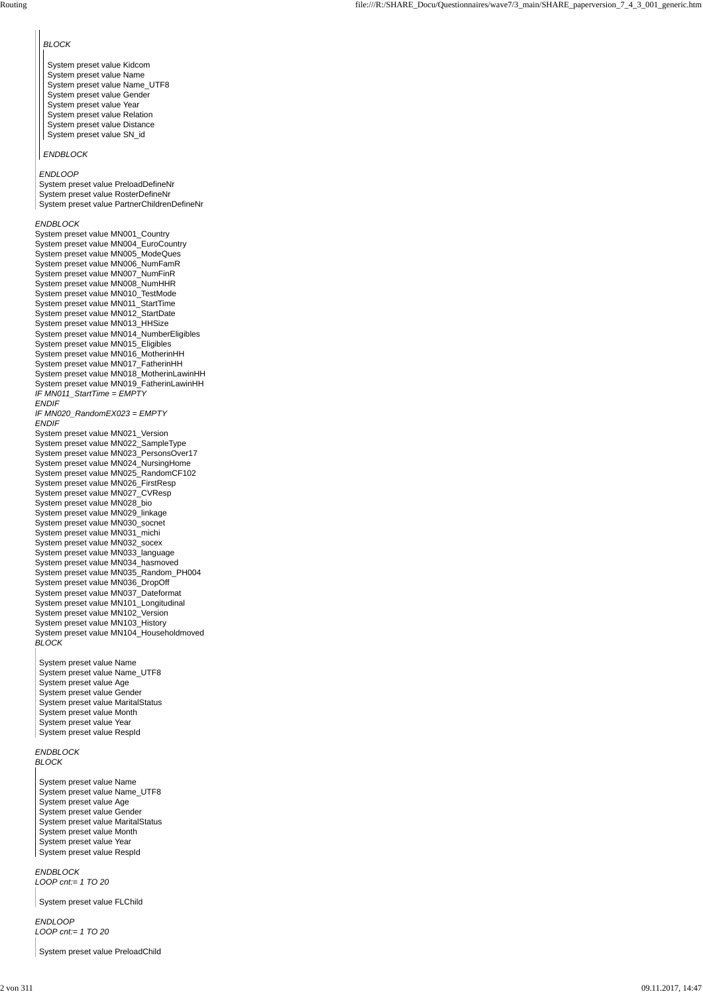#### *ENDBLOCK*

System preset value MN001\_Country System preset value MN004\_EuroCountry System preset value MN005\_ModeQues System preset value MN006\_NumFamR System preset value MN007\_NumFinR System preset value MN008\_NumHHR System preset value MN010\_TestMode System preset value MN011\_StartTime System preset value MN012\_StartDate System preset value MN013\_HHSize System preset value MN014\_NumberEligibles System preset value MN015\_Eligibles System preset value MN016\_MotherinHH System preset value MN017\_FatherinHH System preset value MN018\_MotherinLawinHH System preset value MN019\_FatherinLawinHH *IF MN011\_StartTime = EMPTY ENDIF IF MN020\_RandomEX023 = EMPTY ENDIF* System preset value MN021\_Version System preset value MN022\_SampleType System preset value MN023\_PersonsOver17 System preset value MN024\_NursingHome System preset value MN025\_RandomCF102 System preset value MN026\_FirstResp System preset value MN027\_CVResp System preset value MN028\_bio System preset value MN029\_linkage System preset value MN030\_socnet System preset value MN031\_michi System preset value MN032\_socex System preset value MN033\_language System preset value MN034\_hasmoved System preset value MN035\_Random\_PH004 System preset value MN036\_DropOff System preset value MN037\_Dateformat System preset value MN101\_Longitudinal System preset value MN102\_Version System preset value MN103\_History System preset value MN104\_Householdmoved *BLOCK*

#### *ENDBLOCK BLOCK*

*ENDBLOCK LOOP cnt:= 1 TO 20*

*ENDLOOP LOOP cnt:= 1 TO 20*

*ENDLOOP*

System preset value PreloadDefineNr System preset value RosterDefineNr System preset value PartnerChildrenDefineNr

#### *BLOCK*

## *ENDBLOCK*

System preset value Kidcom System preset value Name System preset value Name\_UTF8 System preset value Gender System preset value Year System preset value Relation System preset value Distance System preset value SN\_id

System preset value Name System preset value Name\_UTF8 System preset value Age System preset value Gender System preset value MaritalStatus System preset value Month System preset value Year System preset value RespId

System preset value Name System preset value Name\_UTF8 System preset value Age System preset value Gender System preset value MaritalStatus System preset value Month System preset value Year System preset value RespId

System preset value FLChild

System preset value PreloadChild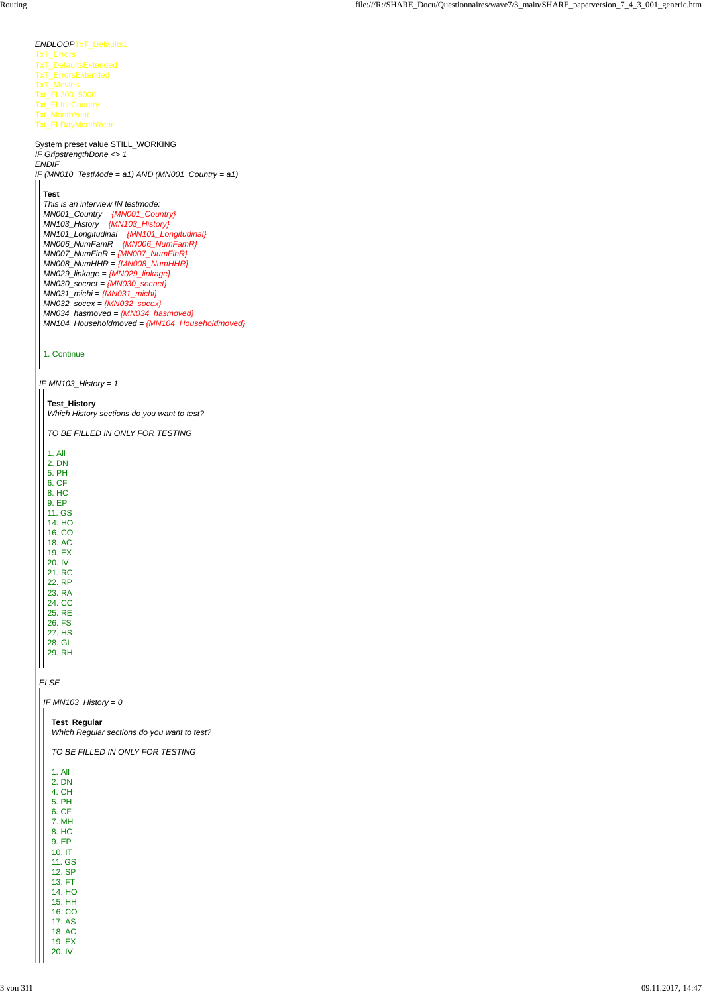## *ELSE*

# *ENDLOOP*TxT\_Defaults1 TxT\_Errors TxT\_DefaultsExtended TxT\_ErrorsExtended TxT\_Movies Txt\_FL200\_5000 Txt\_FLInitCountry Txt\_MonthYear Txt\_FLDayMonthYear System preset value STILL\_WORKING *IF GripstrengthDone <> 1 ENDIF IF (MN010\_TestMode = a1) AND (MN001\_Country = a1) IF MN103\_History = 1* **Test** *This is an interview IN testmode: MN001\_Country = {MN001\_Country} MN103\_History = {MN103\_History} MN101\_Longitudinal = {MN101\_Longitudinal} MN006\_NumFamR = {MN006\_NumFamR} MN007\_NumFinR = {MN007\_NumFinR} MN008\_NumHHR = {MN008\_NumHHR} MN029\_linkage = {MN029\_linkage} MN030\_socnet = {MN030\_socnet} MN031\_michi = {MN031\_michi} MN032\_socex = {MN032\_socex} MN034\_hasmoved = {MN034\_hasmoved} MN104\_Householdmoved = {MN104\_Householdmoved}* 1. Continue **Test\_History** *Which History sections do you want to test? TO BE FILLED IN ONLY FOR TESTING* 1. All 2. DN 5. PH 6. CF 8. HC 9. EP 11. GS 14. HO 16. CO 18. AC 19. EX 20. IV 21. RC 22. RP 23. RA 24. CC 25. RE 26. FS 27. HS 28. GL 29. RH

*IF MN103\_History = 0*

**Test\_Regular** *Which Regular sections do you want to test?*

| TO BE FILLED IN ONLY FOR TESTING |
|----------------------------------|
| 1. All                           |
| 2. DN                            |
| 4. CH                            |
| 5. PH                            |
| 6. CF                            |
| 7. MH                            |
| 8. HC                            |
| 9. EP                            |
| 10. IT                           |
| 11. GS                           |
| 12. SP                           |
| 13. FT                           |
| 14. HO                           |
| <b>15. HH</b>                    |
| 16. CO                           |
| 17. AS                           |
| 18. AC                           |
| 19. EX                           |
| 20. IV                           |
|                                  |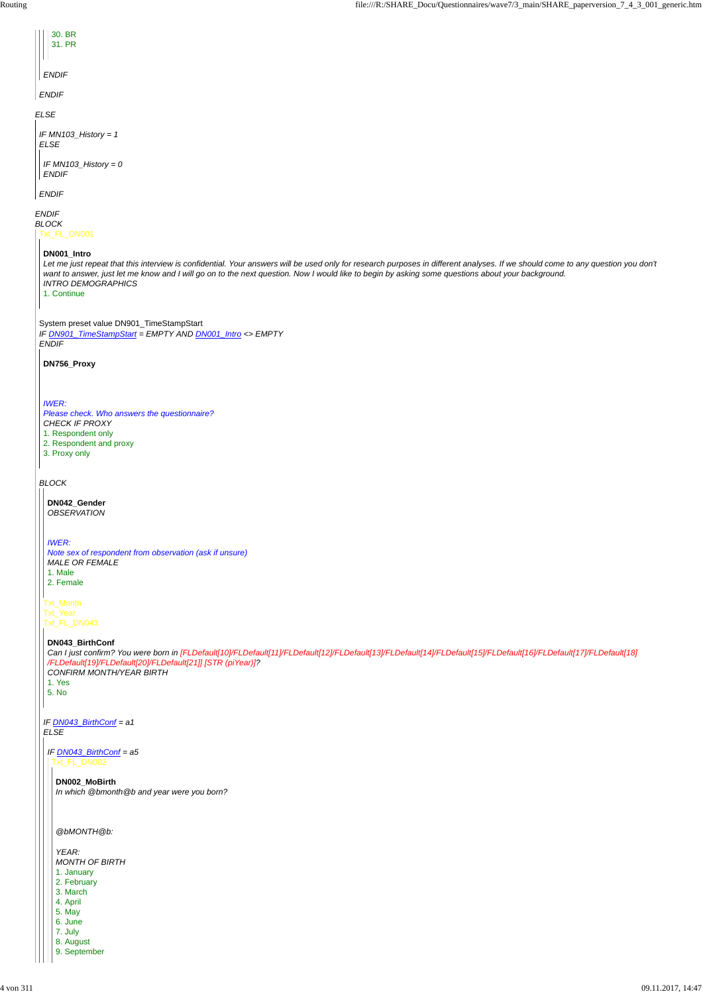*ELSE*

*ENDIF*

*BLOCK*

*ENDIF*

*ENDIF*

| 30. BR |  |
|--------|--|
| 31. PR |  |
|        |  |

```
IF MN103_History = 1
ELSE
```
*ENDIF*

*IF MN103\_History = 0 ENDIF*

Txt\_FL\_DN001

System preset value DN901\_TimeStampStart *IF DN901\_TimeStampStart = EMPTY AND DN001\_Intro <> EMPTY ENDIF*

*BLOCK*

**DN001\_Intro**

*Let me just repeat that this interview is confidential. Your answers will be used only for research purposes in different analyses. If we should come to any question you don't want to answer, just let me know and I will go on to the next question. Now I would like to begin by asking some questions about your background. INTRO DEMOGRAPHICS* 1. Continue

**DN756\_Proxy**

*IWER:*

*Please check. Who answers the questionnaire? CHECK IF PROXY* 1. Respondent only 2. Respondent and proxy 3. Proxy only

Txt\_Month Txt\_Year

Txt\_FL\_DN043

*IF DN043\_BirthConf = a1 ELSE*

**DN042\_Gender** *OBSERVATION*

*IWER: Note sex of respondent from observation (ask if unsure) MALE OR FEMALE* 1. Male 2. Female

**DN043\_BirthConf**

*Can I just confirm? You were born in [FLDefault[10]/FLDefault[11]/FLDefault[12]/FLDefault[13]/FLDefault[14]/FLDefault[15]/FLDefault[16]/FLDefault[17]/FLDefault[18] /FLDefault[19]/FLDefault[20]/FLDefault[21]] [STR (piYear)]? CONFIRM MONTH/YEAR BIRTH* 1. Yes 5. No

## *IF DN043\_BirthConf = a5* Txt\_FL\_DN002

**DN002\_MoBirth** *In which @bmonth@b and year were you born?*

*@bMONTH@b:*

*YEAR: MONTH OF BIRTH* 1. January 2. February 3. March 4. April 5. May 6. June 7. July 8. August

9. September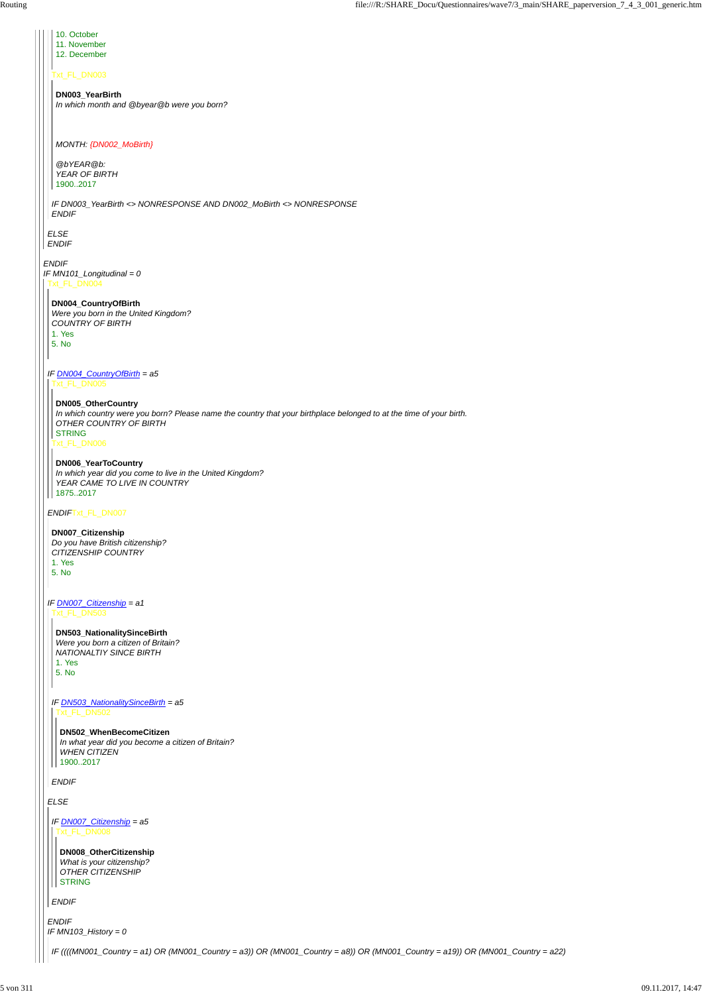*ELSE ENDIF*

Txt\_FL\_DN003

*IF DN003\_YearBirth <> NONRESPONSE AND DN002\_MoBirth <> NONRESPONSE ENDIF*

10. October 11. November

*ENDIF IF MN101\_Longitudinal = 0* Txt\_FL\_DN004

12. December

**DN003\_YearBirth** *In which month and @byear@b were you born?*

## *MONTH: {DN002\_MoBirth}*

*@bYEAR@b: YEAR OF BIRTH* 1900..2017

*IF DN004\_CountryOfBirth = a5*

*ENDIF*Txt\_FL\_DN007

*IF DN007\_Citizenship = a1*

*ELSE*

*ENDIF IF MN103\_History = 0*

## **DN004\_CountryOfBirth**

*Were you born in the United Kingdom? COUNTRY OF BIRTH* 1. Yes 5. No

Txt\_FL\_DN005

Txt\_FL\_DN006

## **DN005\_OtherCountry**

*WHEN CITIZEN* 1900..2017

**DN008\_OtherCitizenship** *What is your citizenship? OTHER CITIZENSHIP* **STRING** 

*In which country were you born? Please name the country that your birthplace belonged to at the time of your birth. OTHER COUNTRY OF BIRTH* STRING

## **DN006\_YearToCountry**

*In which year did you come to live in the United Kingdom? YEAR CAME TO LIVE IN COUNTRY* 1875..2017

## **DN007\_Citizenship**

*Do you have British citizenship? CITIZENSHIP COUNTRY* 1. Yes 5. No

Txt\_FL\_DN503

*ENDIF*

*IF DN503\_NationalitySinceBirth = a5* Txt\_FL\_DN502

**DN503\_NationalitySinceBirth** *Were you born a citizen of Britain? NATIONALTIY SINCE BIRTH* 1. Yes

5. No

**DN502\_WhenBecomeCitizen**

*In what year did you become a citizen of Britain?*

*IF DN007\_Citizenship = a5* Txt\_FL\_DN008

*ENDIF*

*IF ((((MN001\_Country = a1) OR (MN001\_Country = a3)) OR (MN001\_Country = a8)) OR (MN001\_Country = a19)) OR (MN001\_Country = a22)*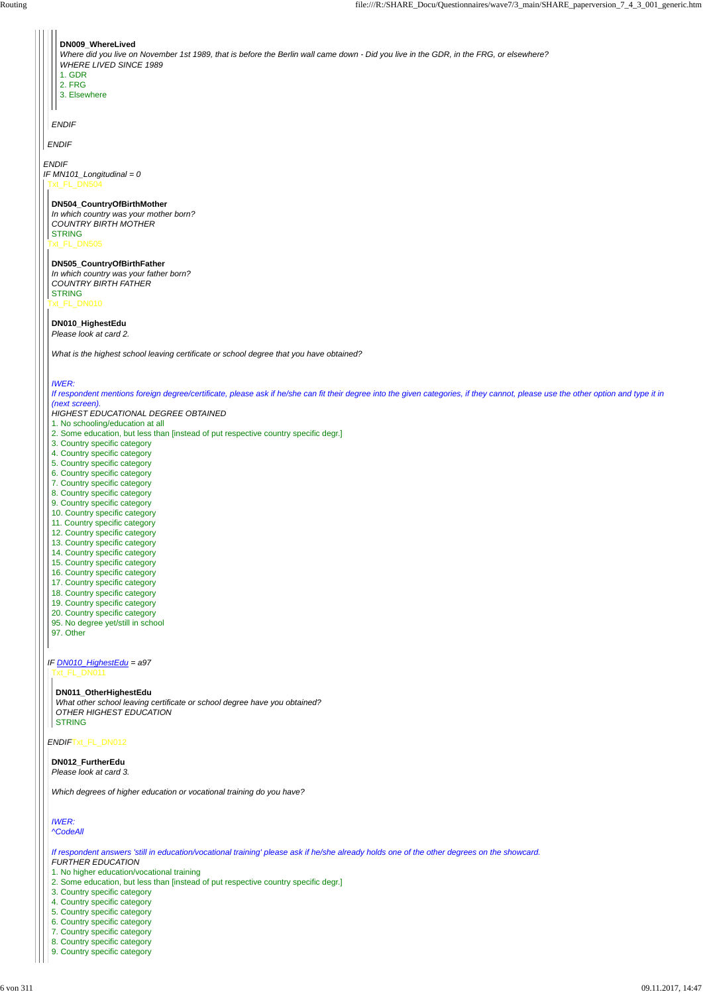*IF DN010\_HighestEdu = a97*

*ENDIF*Txt\_FL\_DN012

# *ENDIF IF MN101\_Longitudinal = 0 ENDIF ENDIF* **DN009\_WhereLived** *Where did you live on November 1st 1989, that is before the Berlin wall came down - Did you live in the GDR, in the FRG, or elsewhere? WHERE LIVED SINCE 1989* 1. GDR 2. FRG 3. Elsewhere Txt\_FL\_DN504 Txt\_FL\_DN505 Txt\_FL\_DN010 **DN504\_CountryOfBirthMother** *In which country was your mother born? COUNTRY BIRTH MOTHER* **STRING DN505\_CountryOfBirthFather** *In which country was your father born? COUNTRY BIRTH FATHER* **STRING DN010\_HighestEdu** *Please look at card 2. What is the highest school leaving certificate or school degree that you have obtained? IWER: If respondent mentions foreign degree/certificate, please ask if he/she can fit their degree into the given categories, if they cannot, please use the other option and type it in (next screen). HIGHEST EDUCATIONAL DEGREE OBTAINED* 1. No schooling/education at all 2. Some education, but less than [instead of put respective country specific degr.] 3. Country specific category 4. Country specific category 5. Country specific category 6. Country specific category 7. Country specific category 8. Country specific category 9. Country specific category 10. Country specific category 11. Country specific category 12. Country specific category 13. Country specific category 14. Country specific category 15. Country specific category 16. Country specific category 17. Country specific category 18. Country specific category 19. Country specific category 20. Country specific category 95. No degree yet/still in school 97. Other

# Txt\_FL\_DN011

**DN011\_OtherHighestEdu** *What other school leaving certificate or school degree have you obtained? OTHER HIGHEST EDUCATION* STRING

**DN012\_FurtherEdu**

*Please look at card 3.*

*Which degrees of higher education or vocational training do you have?*

*IWER: ^CodeAll*

*If respondent answers 'still in education/vocational training' please ask if he/she already holds one of the other degrees on the showcard. FURTHER EDUCATION*

1. No higher education/vocational training

2. Some education, but less than [instead of put respective country specific degr.]

3. Country specific category

4. Country specific category

5. Country specific category

6. Country specific category

7. Country specific category

8. Country specific category

9. Country specific category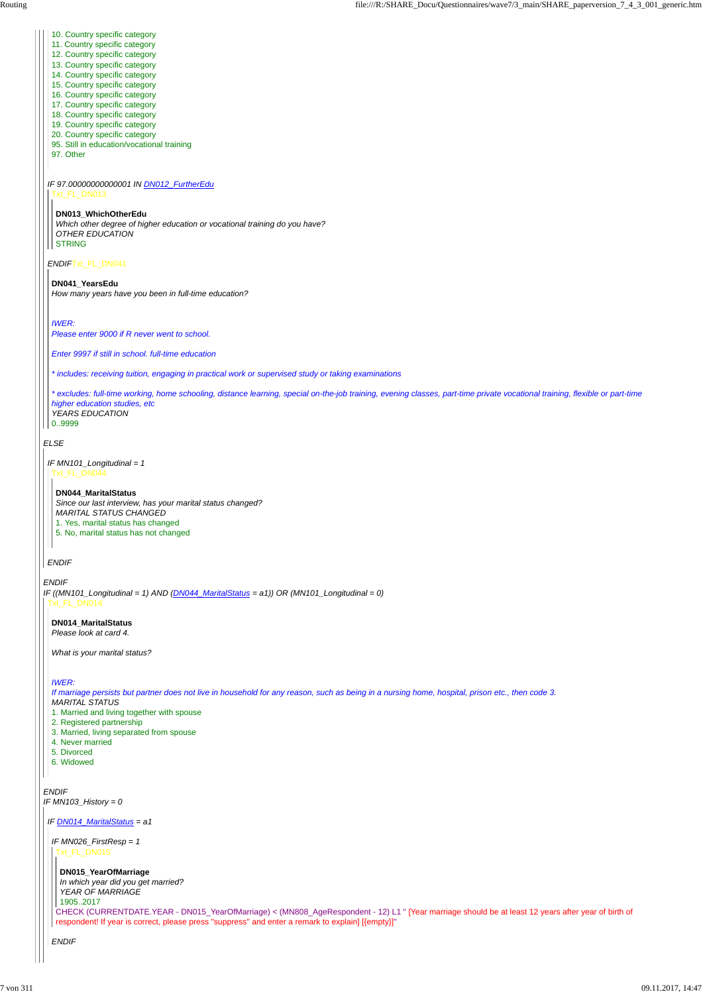#### *ELSE*

## *ENDIF*

- 10. Country specific category
- 11. Country specific category
- 12. Country specific category
- 13. Country specific category
- 14. Country specific category
- 15. Country specific category
- 16. Country specific category
- 17. Country specific category
- 18. Country specific category
- 19. Country specific category
- 20. Country specific category
- 95. Still in education/vocational training
- 97. Other
- *IF 97.00000000000001 IN DN012\_FurtherEdu*

#### *ENDIF*Txt\_FL\_DN041

#### Txt\_FL\_DN013

#### **DN013\_WhichOtherEdu**

*Which other degree of higher education or vocational training do you have? OTHER EDUCATION* STRING

#### **DN041\_YearsEdu**

*IF ((MN101\_Longitudinal = 1) AND (DN044\_MaritalStatus = a1)) OR (MN101\_Longitudinal = 0)* Txt\_FL\_DN014

*How many years have you been in full-time education?*

#### *IWER: Please enter 9000 if R never went to school.*

*Enter 9997 if still in school. full-time education*

*\* includes: receiving tuition, engaging in practical work or supervised study or taking examinations*

*\* excludes: full-time working, home schooling, distance learning, special on-the-job training, evening classes, part-time private vocational training, flexible or part-time higher education studies, etc YEARS EDUCATION* 0..9999

```
IF MN101_Longitudinal = 1
 Txt_FL_DN044
```
*ENDIF*

#### **DN044\_MaritalStatus**

*Since our last interview, has your marital status changed? MARITAL STATUS CHANGED* 1. Yes, marital status has changed 5. No, marital status has not changed

## **DN014\_MaritalStatus**

*Please look at card 4.*

*What is your marital status?*

## *IWER:*

*If marriage persists but partner does not live in household for any reason, such as being in a nursing home, hospital, prison etc., then code 3. MARITAL STATUS*

1. Married and living together with spouse

- 2. Registered partnership
- 3. Married, living separated from spouse
- 

```
4. Never married
  5. Divorced
  6. Widowed
\mathbf{I}ENDIF
IF MN103_History = 0
 IF DN014_MaritalStatus = a1
  IF MN026_FirstResp = 1
   Txt_FL_DN015
    DN015_YearOfMarriage
    In which year did you get married?
    YEAR OF MARRIAGE
    1905..2017
   CHECK (CURRENTDATE.YEAR - DN015_YearOfMarriage) < (MN808_AgeRespondent - 12) L1 " [Year marriage should be at least 12 years after year of birth of
   respondent! If year is correct, please press "suppress" and enter a remark to explain] [{empty}]"
  ENDIF
```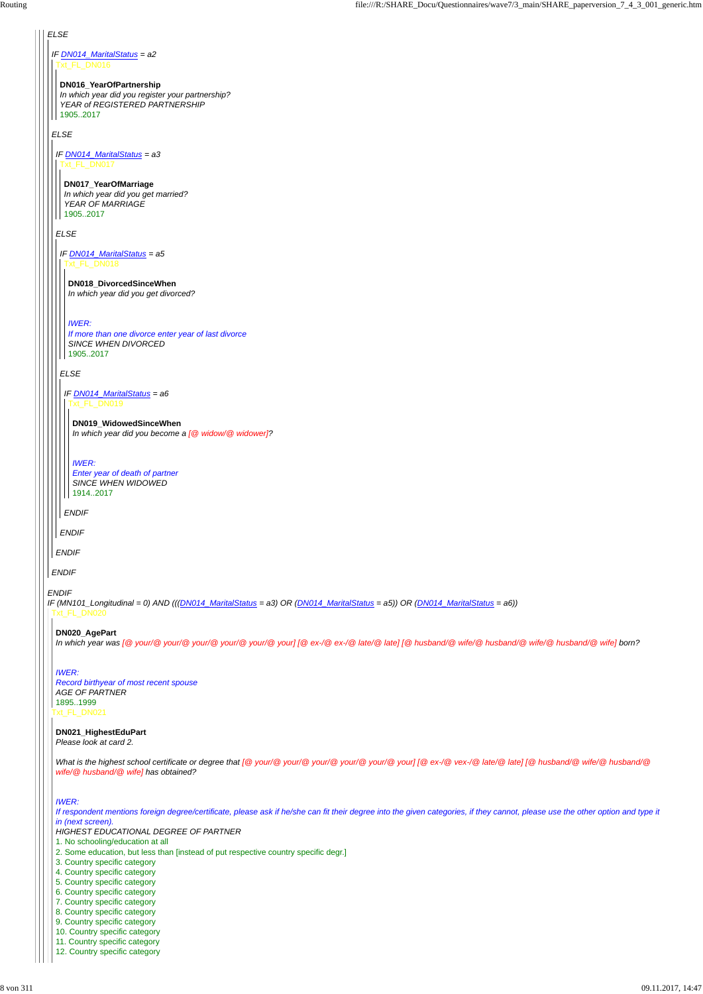## *ELSE*

#### *ENDIF*

*IF DN014\_MaritalStatus = a2* Txt\_FL\_DN016

*ELSE*

*ENDIF*

#### **DN016\_YearOfPartnership**

*In which year did you register your partnership? YEAR of REGISTERED PARTNERSHIP* 1905..2017

*IF DN014\_MaritalStatus = a3* Txt\_FL\_DN017

*ELSE*

*ENDIF*

#### **DN017\_YearOfMarriage**

*Enter year of death of partner SINCE WHEN WIDOWED* | | 1914..2017

*In which year did you get married? YEAR OF MARRIAGE* 1905..2017

*IF (MN101\_Longitudinal = 0) AND (((DN014\_MaritalStatus = a3) OR (DN014\_MaritalStatus = a5)) OR (DN014\_MaritalStatus = a6))* Txt\_FL\_DN020

*IF DN014\_MaritalStatus = a5* Txt\_FL\_DN018

*ELSE*

*ENDIF*

#### **DN018\_DivorcedSinceWhen**

*In which year did you get divorced?*

#### *IWER:*

*If more than one divorce enter year of last divorce SINCE WHEN DIVORCED* 1905..2017

*IF DN014\_MaritalStatus = a6* Txt\_FL\_DN019

*ENDIF*

#### **DN019\_WidowedSinceWhen**

*In which year did you become a [@ widow/@ widower]?*

*IWER:*

#### **DN020\_AgePart**

*In which year was [@ your/@ your/@ your/@ your/@ your/@ your] [@ ex-/@ ex-/@ late/@ late] [@ husband/@ wife/@ husband/@ wife/@ husband/@ wife] born?*

Txt\_FL\_DN021 *Record birthyear of most recent spouse AGE OF PARTNER* 1895..1999

## *IWER:*

**DN021\_HighestEduPart** *Please look at card 2.*

*What is the highest school certificate or degree that [@ your/@ your/@ your/@ your/@ your/@ your] [@ ex-/@ vex-/@ late/@ late] [@ husband/@ wife/@ husband/@ wife/@ husband/@ wife] has obtained?*

#### *IWER:*

*If respondent mentions foreign degree/certificate, please ask if he/she can fit their degree into the given categories, if they cannot, please use the other option and type it*

*in (next screen).*

*HIGHEST EDUCATIONAL DEGREE OF PARTNER*

- 1. No schooling/education at all
- 2. Some education, but less than [instead of put respective country specific degr.]
- 3. Country specific category
- 4. Country specific category
- 5. Country specific category
- 6. Country specific category
- 7. Country specific category
- 8. Country specific category
- 9. Country specific category
- 10. Country specific category
- 11. Country specific category
- 12. Country specific category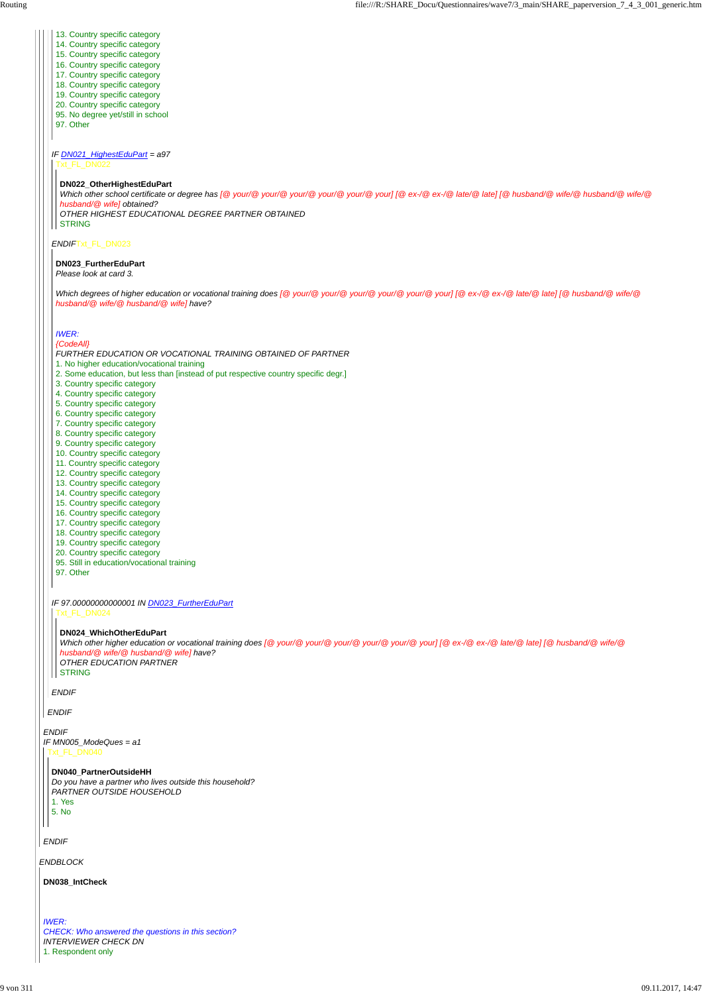*ENDBLOCK*

*ENDIF IF MN005\_ModeQues = a1*

#### t\_FL\_DN040

*ENDIF*

*ENDIF*

*ENDIF*Txt\_FL\_DN023

*ENDIF*

*IF DN021\_HighestEduPart = a97* Txt\_FL\_DN022

- 13. Country specific category
- 14. Country specific category
- 15. Country specific category
- 16. Country specific category
- 17. Country specific category
- 18. Country specific category
- 19. Country specific category
- 20. Country specific category
- 95. No degree yet/still in school
- 97. Other

#### **DN022\_OtherHighestEduPart**

*Which other school certificate or degree has [@ your/@ your/@ your/@ your/@ your/@ your] [@ ex-/@ ex-/@ late/@ late] [@ husband/@ wife/@ husband/@ wife/@ husband/@ wife] obtained? OTHER HIGHEST EDUCATIONAL DEGREE PARTNER OBTAINED* STRING

## **DN023\_FurtherEduPart**

*Please look at card 3.*

*Which degrees of higher education or vocational training does [@ your/@ your/@ your/@ your/@ your/@ your] [@ ex-/@ ex-/@ late/@ late] [@ husband/@ wife/@ husband/@ wife/@ husband/@ wife] have?*

*Which other higher education or vocational training does [@ your/@ your/@ your/@ your/@ your/@ your] [@ ex-/@ ex-/@ late/@ late] [@ husband/@ wife/@ husband/@ wife/@ husband/@ wife] have? OTHER EDUCATION PARTNER* **STRING** 

*IF 97.00000000000001 IN DN023\_FurtherEduPart* Txt\_FL\_DN024

#### *IWER:*

#### *{CodeAll}*

*FURTHER EDUCATION OR VOCATIONAL TRAINING OBTAINED OF PARTNER*

- 1. No higher education/vocational training
- 2. Some education, but less than [instead of put respective country specific degr.]
- 3. Country specific category
- 4. Country specific category
- 5. Country specific category
- 6. Country specific category
- 7. Country specific category
- 8. Country specific category
- 9. Country specific category
- 10. Country specific category
- 11. Country specific category
- 12. Country specific category
- 13. Country specific category
- 14. Country specific category
- 15. Country specific category
- 16. Country specific category
- 17. Country specific category
- 18. Country specific category
- 19. Country specific category
- 20. Country specific category
- 95. Still in education/vocational training
- 97. Other

#### **DN024\_WhichOtherEduPart**

#### **DN040\_PartnerOutsideHH**

*Do you have a partner who lives outside this household? PARTNER OUTSIDE HOUSEHOLD* 1. Yes

5. No

**DN038\_IntCheck**

*IWER: CHECK: Who answered the questions in this section? INTERVIEWER CHECK DN* 1. Respondent only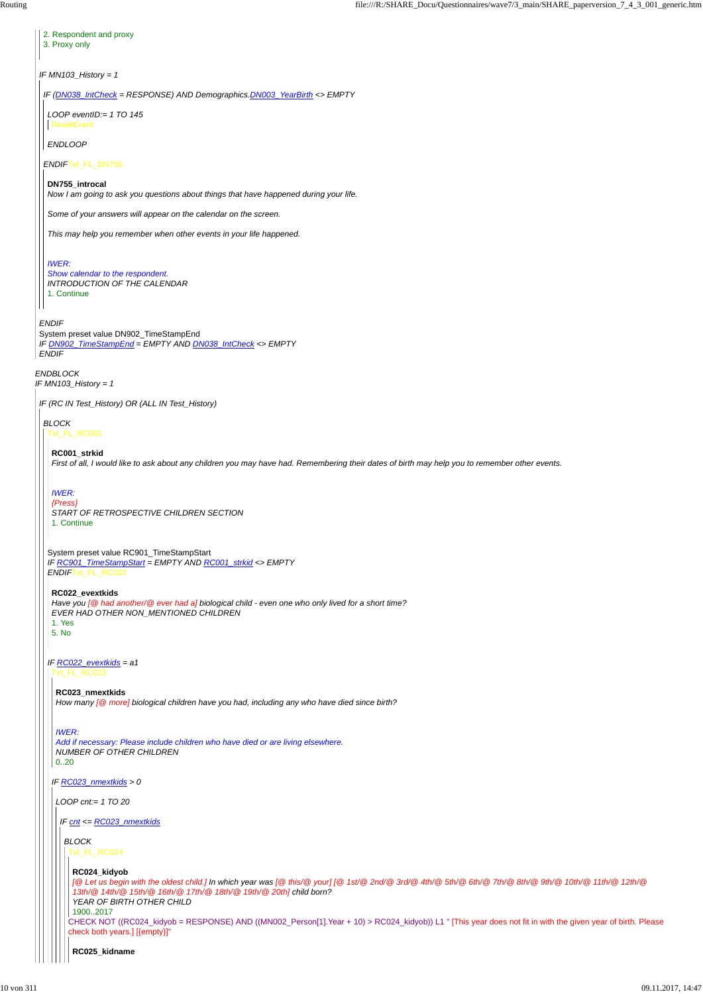*ENDBLOCK IF MN103\_History = 1 IF MN103\_History = 1 ENDIF* System preset value DN902\_TimeStampEnd *IF DN902\_TimeStampEnd = EMPTY AND DN038\_IntCheck <> EMPTY ENDIF* 2. Respondent and proxy 3. Proxy only *IF (DN038\_IntCheck = RESPONSE) AND Demographics.DN003\_YearBirth <> EMPTY ENDIF*Txt\_FL\_DN755 *LOOP eventID:= 1 TO 145 ENDLOOP* **ResetEvent DN755\_introcal** *Now I am going to ask you questions about things that have happened during your life. Some of your answers will appear on the calendar on the screen. This may help you remember when other events in your life happened. IWER: Show calendar to the respondent. INTRODUCTION OF THE CALENDAR* 1. Continue *IF (RC IN Test\_History) OR (ALL IN Test\_History) BLOCK* Txt\_FL\_RC001 System preset value RC901\_TimeStampStart *IF RC901\_TimeStampStart = EMPTY AND RC001\_strkid <> EMPTY ENDIF*Txt\_FL\_RC022 *IF RC022\_evextkids = a1* **RC001\_strkid** *First of all, I would like to ask about any children you may have had. Remembering their dates of birth may help you to remember other events. IWER: {Press} START OF RETROSPECTIVE CHILDREN SECTION* 1. Continue **RC022\_evextkids** *Have you [@ had another/@ ever had a] biological child - even one who only lived for a short time? EVER HAD OTHER NON\_MENTIONED CHILDREN* 1. Yes 5. No Txt\_FL\_RC023 **RC023\_nmextkids** *How many [@ more] biological children have you had, including any who have died since birth?*

*IWER:*

*Add if necessary: Please include children who have died or are living elsewhere.*

| NUMBER OF OTHER CHILDREN<br>020                                                                                                                                                                                                                                                        |
|----------------------------------------------------------------------------------------------------------------------------------------------------------------------------------------------------------------------------------------------------------------------------------------|
| IF $RC023$ _nmextkids > 0                                                                                                                                                                                                                                                              |
| $LOOP$ cnt:= 1 TO 20                                                                                                                                                                                                                                                                   |
| $IF$ cnt <= $RC023$ _nmextkids                                                                                                                                                                                                                                                         |
| <b>BLOCK</b><br>Txt FL RC024                                                                                                                                                                                                                                                           |
| RC024_kidyob<br>[@ Let us begin with the oldest child.] In which year was [@ this/@ your] [@ 1st/@ 2nd/@ 3rd/@ 4th/@ 6th/@ 6th/@ 7th/@ 8th/@ 9th/@ 10th/@ 11th/@ 12th/@<br>13th/@ 14th/@ 15th/@ 16th/@ 17th/@ 18th/@ 19th/@ 20th] child born?<br>YEAR OF BIRTH OTHER CHILD<br>19002017 |
| CHECK NOT ((RC024_kidyob = RESPONSE) AND ((MN002_Person[1].Year + 10) > RC024_kidyob)) L1 " [This year does not fit in with the given year of birth. Please<br>check both years.] [{empty}]"                                                                                           |
| RC025_kidname                                                                                                                                                                                                                                                                          |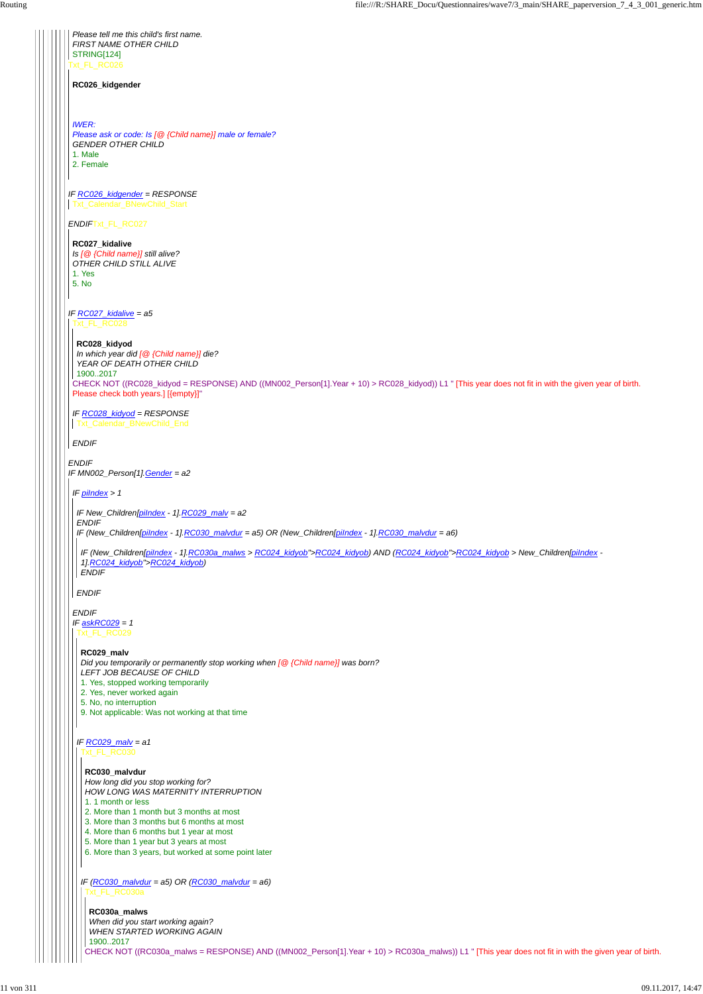Txt\_FL\_RC026 *IF RC026\_kidgender = RESPONSE ENDIF*Txt\_FL\_RC027 *IF RC027\_kidalive = a5 ENDIF IF MN002\_Person[1].Gender = a2 Please tell me this child's first name. FIRST NAME OTHER CHILD* STRING[124] **RC026\_kidgender** *IWER: Please ask or code: Is [@ {Child name}] male or female? GENDER OTHER CHILD* 1. Male 2. Female Txt\_Calendar\_BNewChild\_Start **RC027\_kidalive** *Is [@ {Child name}] still alive? OTHER CHILD STILL ALIVE* 1. Yes 5. No Txt\_FL\_RC028 CHECK NOT ((RC028\_kidyod = RESPONSE) AND ((MN002\_Person[1].Year + 10) > RC028\_kidyod)) L1 " [This year does not fit in with the given year of birth. Please check both years.] [{empty}]" *IF RC028\_kidyod = RESPONSE ENDIF* **RC028\_kidyod** *In which year did [@ {Child name}] die? YEAR OF DEATH OTHER CHILD* 1900..2017 **Txt\_Calendar\_BNewChild\_End** *IF piIndex > 1 ENDIF IF askRC029 = 1 IF New\_Children[piIndex - 1].RC029\_malv = a2 ENDIF IF (New\_Children[piIndex - 1].RC030\_malvdur = a5) OR (New\_Children[piIndex - 1].RC030\_malvdur = a6) ENDIF IF (New\_Children[piIndex - 1].RC030a\_malws > RC024\_kidyob">RC024\_kidyob) AND (RC024\_kidyob">RC024\_kidyob > New\_Children[piIndex - 1].RC024\_kidyob">RC024\_kidyob) ENDIF* Txt\_FL\_RC029 *IF RC029\_malv = a1* **RC029\_malv** *Did you temporarily or permanently stop working when [@ {Child name}] was born? LEFT JOB BECAUSE OF CHILD* 1. Yes, stopped working temporarily 2. Yes, never worked again 5. No, no interruption 9. Not applicable: Was not working at that time

#### **RC030\_malvdur**

*IF (RC030\_malvdur = a5) OR (RC030\_malvdur = a6)* Txt\_FL\_RC030a

*How long did you stop working for? HOW LONG WAS MATERNITY INTERRUPTION* 1. 1 month or less 2. More than 1 month but 3 months at most 3. More than 3 months but 6 months at most 4. More than 6 months but 1 year at most 5. More than 1 year but 3 years at most 6. More than 3 years, but worked at some point later

CHECK NOT ((RC030a\_malws = RESPONSE) AND ((MN002\_Person[1].Year + 10) > RC030a\_malws)) L1 " [This year does not fit in with the given year of birth.

## **RC030a\_malws** *When did you start working again? WHEN STARTED WORKING AGAIN*

1900..2017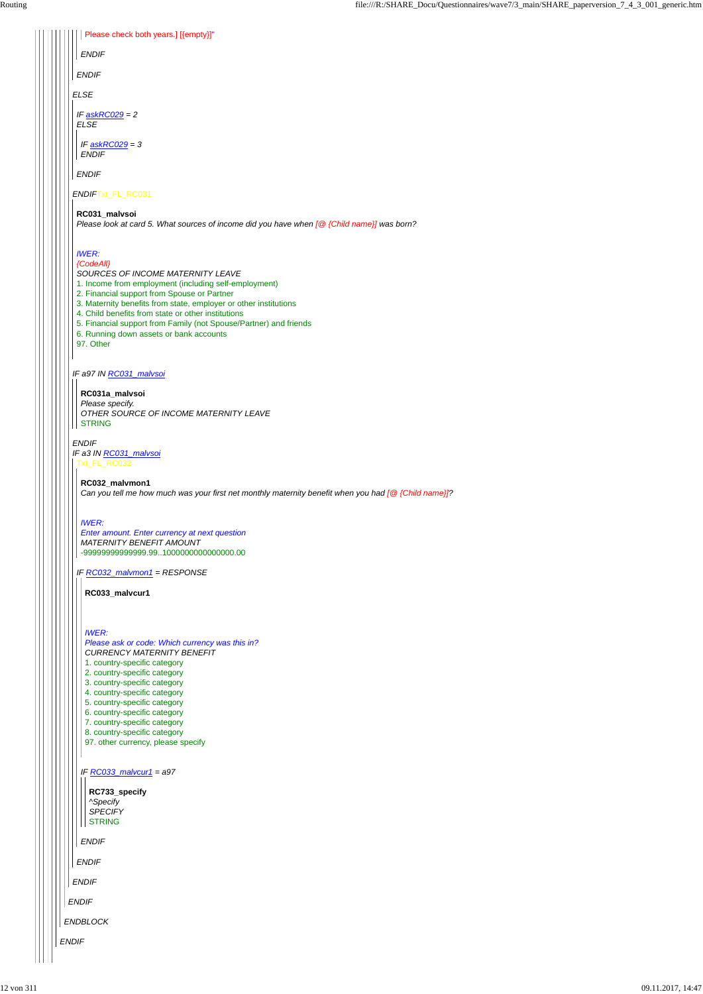| IF $RC033$ malvcur1 = a97<br>RC733_specify<br>^Specify<br><b>SPECIFY</b><br><b>STRING</b><br><b>ENDIF</b><br><b>ENDIF</b><br><b>ENDIF</b><br><b>ENDIF</b> |  |
|-----------------------------------------------------------------------------------------------------------------------------------------------------------|--|
|                                                                                                                                                           |  |
| ENDBLOCK                                                                                                                                                  |  |
| <b>ENDIF</b>                                                                                                                                              |  |
|                                                                                                                                                           |  |

| Please check both years.] [{empty}]"                                                                                                                                                                                                                                                                                                                                                                                          |  |
|-------------------------------------------------------------------------------------------------------------------------------------------------------------------------------------------------------------------------------------------------------------------------------------------------------------------------------------------------------------------------------------------------------------------------------|--|
| <b>ENDIF</b>                                                                                                                                                                                                                                                                                                                                                                                                                  |  |
|                                                                                                                                                                                                                                                                                                                                                                                                                               |  |
| <b>ENDIF</b>                                                                                                                                                                                                                                                                                                                                                                                                                  |  |
| ELSE                                                                                                                                                                                                                                                                                                                                                                                                                          |  |
| IF $a$ skRC029 = 2<br><b>ELSE</b>                                                                                                                                                                                                                                                                                                                                                                                             |  |
| IF $a$ skRC029 = 3<br><b>ENDIF</b>                                                                                                                                                                                                                                                                                                                                                                                            |  |
| <b>ENDIF</b>                                                                                                                                                                                                                                                                                                                                                                                                                  |  |
| ENDIFTxt_FL_RC031                                                                                                                                                                                                                                                                                                                                                                                                             |  |
| RC031_malvsoi<br>Please look at card 5. What sources of income did you have when [@ {Child name}] was born?                                                                                                                                                                                                                                                                                                                   |  |
| <b>IWER:</b><br>{CodeAll}<br>SOURCES OF INCOME MATERNITY LEAVE<br>1. Income from employment (including self-employment)<br>2. Financial support from Spouse or Partner<br>3. Maternity benefits from state, employer or other institutions<br>4. Child benefits from state or other institutions<br>5. Financial support from Family (not Spouse/Partner) and friends<br>6. Running down assets or bank accounts<br>97. Other |  |
| IF a97 IN RC031 malvsoi                                                                                                                                                                                                                                                                                                                                                                                                       |  |
| RC031a_malvsoi<br>Please specify.<br>OTHER SOURCE OF INCOME MATERNITY LEAVE<br><b>STRING</b>                                                                                                                                                                                                                                                                                                                                  |  |
| <b>ENDIF</b><br>IF a3 IN RC031_malvsoi<br>Txt_FL_RC032                                                                                                                                                                                                                                                                                                                                                                        |  |
| RC032_malvmon1<br>Can you tell me how much was your first net monthly maternity benefit when you had $[@$ {Child name}]?                                                                                                                                                                                                                                                                                                      |  |
| <b>IWER:</b><br>Enter amount. Enter currency at next question<br><b>MATERNITY BENEFIT AMOUNT</b><br>-99999999999999.99100000000000000.00                                                                                                                                                                                                                                                                                      |  |
| IF RC032_malvmon1 = RESPONSE<br>RC033_malvcur1                                                                                                                                                                                                                                                                                                                                                                                |  |
| <b>IWER:</b><br>Please ask or code: Which currency was this in?                                                                                                                                                                                                                                                                                                                                                               |  |

- *CURRENCY MATERNITY BENEFIT*
- 1. country-specific category
- 2. country-specific category
- 3. country-specific category
- 4. country-specific category
- 5. country-specific category
- 6. country-specific category
- 7. country-specific category
- 8. country-specific category
- 97. other currency, please specify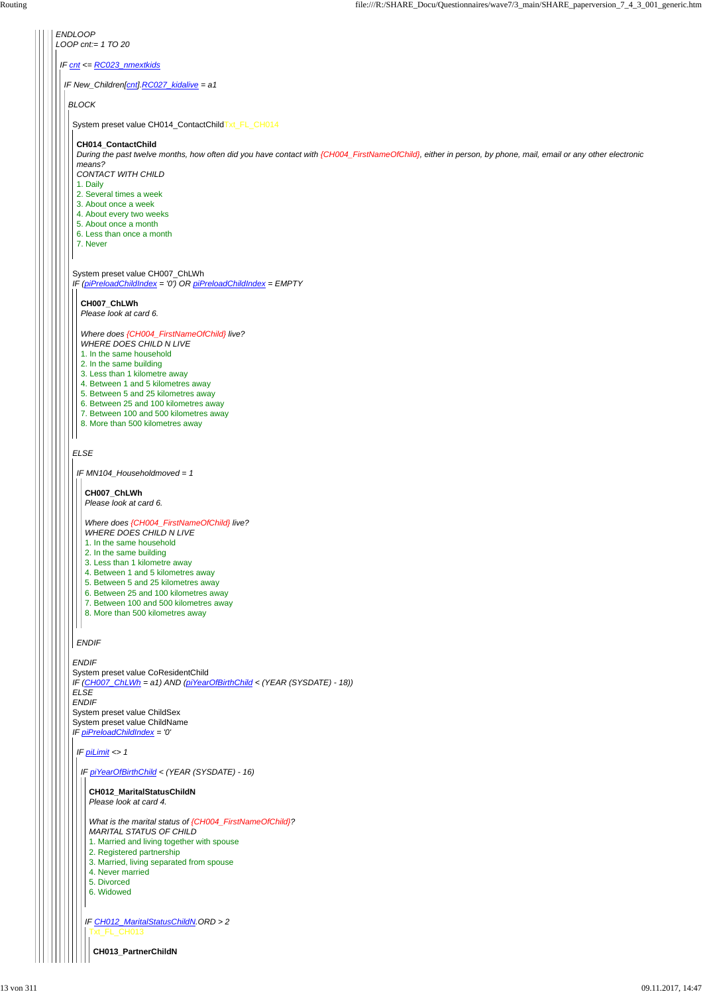*ENDLOOP LOOP cnt:= 1 TO 20 IF cnt <= RC023\_nmextkids IF New\_Children[cnt].RC027\_kidalive = a1 BLOCK* System preset value CH014\_ContactChildTxt\_FL\_CH014 **CH014\_ContactChild** *During the past twelve months, how often did you have contact with {CH004\_FirstNameOfChild}, either in person, by phone, mail, email or any other electronic means? CONTACT WITH CHILD* 1. Daily 2. Several times a week 3. About once a week 4. About every two weeks 5. About once a month 6. Less than once a month 7. Never System preset value CH007\_ChLWh *IF (piPreloadChildIndex = '0') OR piPreloadChildIndex = EMPTY* **CH007\_ChLWh** *Please look at card 6. Where does {CH004\_FirstNameOfChild} live? WHERE DOES CHILD N LIVE* 1. In the same household 2. In the same building 3. Less than 1 kilometre away 4. Between 1 and 5 kilometres away 5. Between 5 and 25 kilometres away 6. Between 25 and 100 kilometres away 7. Between 100 and 500 kilometres away 8. More than 500 kilometres away *ELSE IF MN104\_Householdmoved = 1* **CH007\_ChLWh** *Please look at card 6. Where does {CH004\_FirstNameOfChild} live? WHERE DOES CHILD N LIVE* 1. In the same household 2. In the same building 3. Less than 1 kilometre away 4. Between 1 and 5 kilometres away 5. Between 5 and 25 kilometres away 6. Between 25 and 100 kilometres away 7. Between 100 and 500 kilometres away 8. More than 500 kilometres away  $\mathbf{1}$ *ENDIF ENDIF* System preset value CoResidentChild *IF (CH007\_ChLWh = a1) AND (piYearOfBirthChild < (YEAR (SYSDATE) - 18)) ELSE ENDIF* System preset value ChildSex System preset value ChildName

*IF piPreloadChildIndex = '0'*

*IF piLimit <> 1*

# *IF piYearOfBirthChild < (YEAR (SYSDATE) - 16)*

## **CH012\_MaritalStatusChildN**

*Please look at card 4.*

|  | What is the marital status of {CH004_FirstNameOfChild}?<br><b>MARITAL STATUS OF CHILD</b> |
|--|-------------------------------------------------------------------------------------------|
|  | 1. Married and living together with spouse                                                |
|  | 2. Registered partnership                                                                 |
|  | 3. Married, living separated from spouse                                                  |
|  | 4. Never married                                                                          |
|  | 5. Divorced                                                                               |
|  | 6. Widowed                                                                                |
|  |                                                                                           |
|  | IF CH012 MaritalStatusChildN.ORD > 2<br>Txt FL CH013                                      |
|  | <b>CH013 PartnerChildN</b>                                                                |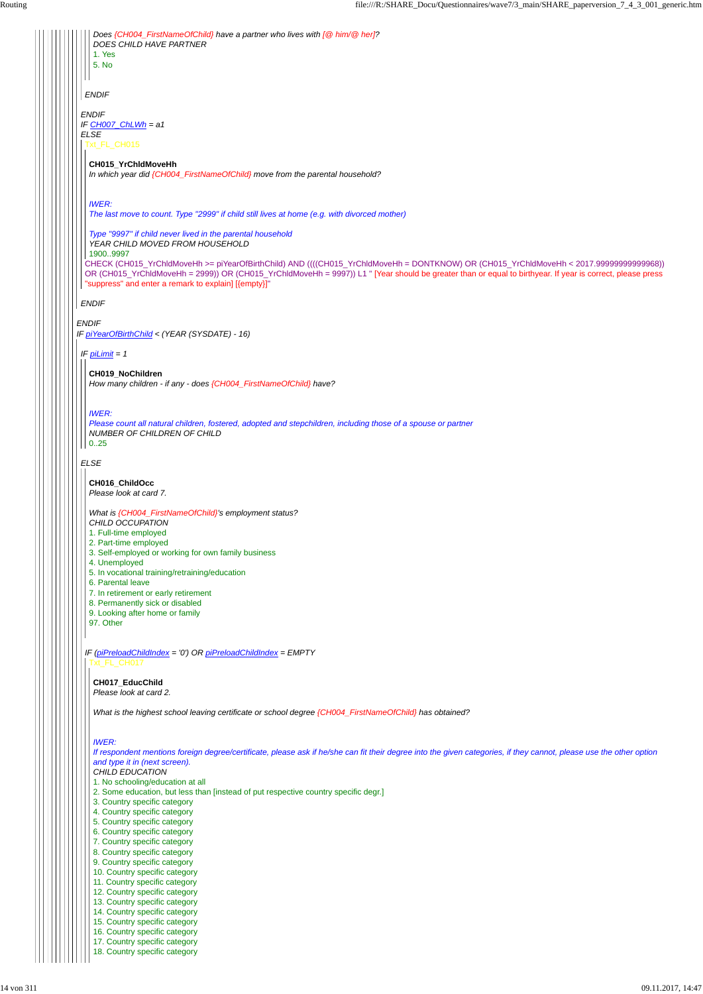*ENDIF IF piYearOfBirthChild < (YEAR (SYSDATE) - 16) ENDIF IF CH007\_ChLWh = a1 ELSE ENDIF ENDIF Does {CH004\_FirstNameOfChild} have a partner who lives with [@ him/@ her]? DOES CHILD HAVE PARTNER* 1. Yes 5. No Txt\_FL\_CH015 CHECK (CH015\_YrChldMoveHh >= piYearOfBirthChild) AND ((((CH015\_YrChldMoveHh = DONTKNOW) OR (CH015\_YrChldMoveHh < 2017.99999999999968)) OR (CH015\_YrChldMoveHh = 2999)) OR (CH015\_YrChldMoveHh = 9997)) L1 " [Year should be greater than or equal to birthyear. If year is correct, please press "suppress" and enter a remark to explain] [{empty}]" **CH015\_YrChldMoveHh** *In which year did {CH004\_FirstNameOfChild} move from the parental household? IWER: The last move to count. Type "2999" if child still lives at home (e.g. with divorced mother) Type "9997" if child never lived in the parental household YEAR CHILD MOVED FROM HOUSEHOLD* 1900..9997 *IF piLimit = 1 ELSE* **CH019\_NoChildren** *How many children - if any - does {CH004\_FirstNameOfChild} have? IWER: Please count all natural children, fostered, adopted and stepchildren, including those of a spouse or partner NUMBER OF CHILDREN OF CHILD* 0..25 *IF (piPreloadChildIndex = '0') OR piPreloadChildIndex = EMPTY* **CH016\_ChildOcc** *Please look at card 7. What is {CH004\_FirstNameOfChild}'s employment status? CHILD OCCUPATION* 1. Full-time employed 2. Part-time employed 3. Self-employed or working for own family business 4. Unemployed 5. In vocational training/retraining/education 6. Parental leave 7. In retirement or early retirement 8. Permanently sick or disabled 9. Looking after home or family 97. Other Txt\_FL\_CH017 **CH017\_EducChild** *Please look at card 2. What is the highest school leaving certificate or school degree {CH004\_FirstNameOfChild} has obtained?*

*IWER:*

*If respondent mentions foreign degree/certificate, please ask if he/she can fit their degree into the given categories, if they cannot, please use the other option and type it in (next screen).*

*CHILD EDUCATION*

1. No schooling/education at all

2. Some education, but less than [instead of put respective country specific degr.]

3. Country specific category

4. Country specific category

5. Country specific category

6. Country specific category

7. Country specific category

8. Country specific category

9. Country specific category

10. Country specific category 11. Country specific category

12. Country specific category

13. Country specific category

14. Country specific category

15. Country specific category

16. Country specific category 17. Country specific category

18. Country specific category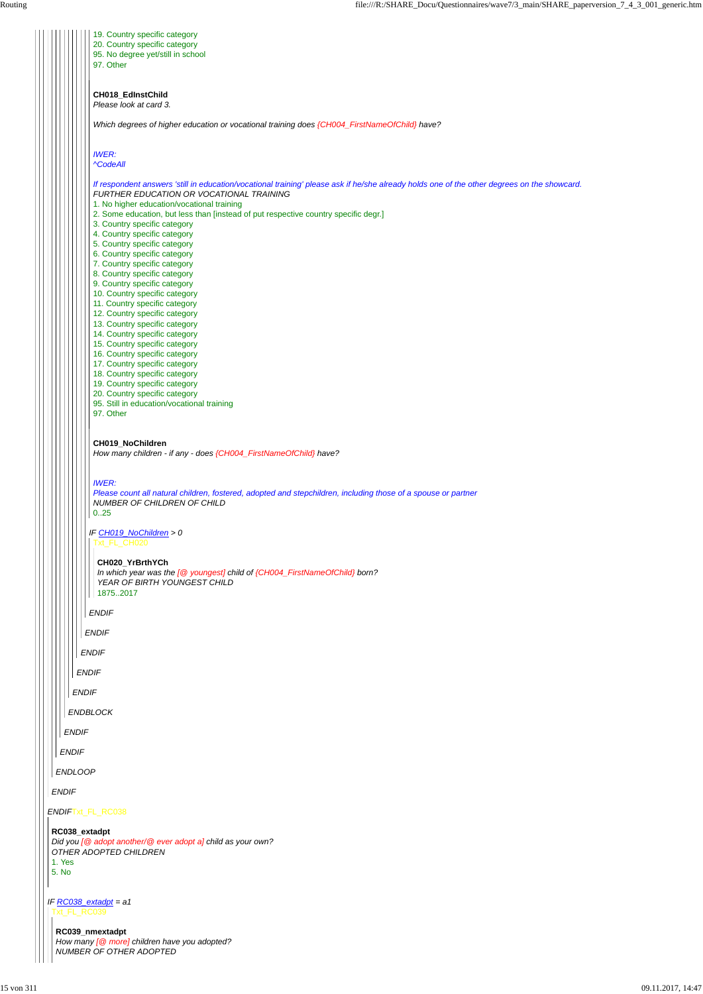| <b>ENDIF</b>                                                                                                                   |
|--------------------------------------------------------------------------------------------------------------------------------|
| <b>ENDLOOP</b>                                                                                                                 |
| <b>ENDIF</b>                                                                                                                   |
| <b>ENDIFTxt_FL_RC038</b>                                                                                                       |
| RC038_extadpt<br>Did you $[@$ adopt another/ $@$ ever adopt a] child as your own?<br>OTHER ADOPTED CHILDREN<br>1. Yes<br>5. No |
| IF $RC038$ extadpt = a1<br>xt FL RC039                                                                                         |
| RC039_nmextadpt<br>How many $\sqrt{Q}$ more] children have you adopted?<br>NUMBER OF OTHER ADOPTED                             |

*ENDIF ENDBLOCK ENDIF ENDIF ENDIF ENDIF IF CH019\_NoChildren > 0 ENDIF* 19. Country specific category 20. Country specific category 95. No degree yet/still in school 97. Other **CH018\_EdInstChild** *Please look at card 3. Which degrees of higher education or vocational training does {CH004\_FirstNameOfChild} have? IWER: ^CodeAll If respondent answers 'still in education/vocational training' please ask if he/she already holds one of the other degrees on the showcard. FURTHER EDUCATION OR VOCATIONAL TRAINING* 1. No higher education/vocational training 2. Some education, but less than [instead of put respective country specific degr.] 3. Country specific category 4. Country specific category 5. Country specific category 6. Country specific category 7. Country specific category 8. Country specific category 9. Country specific category 10. Country specific category 11. Country specific category 12. Country specific category 13. Country specific category 14. Country specific category 15. Country specific category 16. Country specific category 17. Country specific category 18. Country specific category 19. Country specific category 20. Country specific category 95. Still in education/vocational training 97. Other **CH019\_NoChildren** *How many children - if any - does {CH004\_FirstNameOfChild} have? IWER: Please count all natural children, fostered, adopted and stepchildren, including those of a spouse or partner NUMBER OF CHILDREN OF CHILD* 0..25 Txt\_FL\_CH020 **CH020\_YrBrthYCh** *In which year was the [@ youngest] child of {CH004\_FirstNameOfChild} born? YEAR OF BIRTH YOUNGEST CHILD* 1875..2017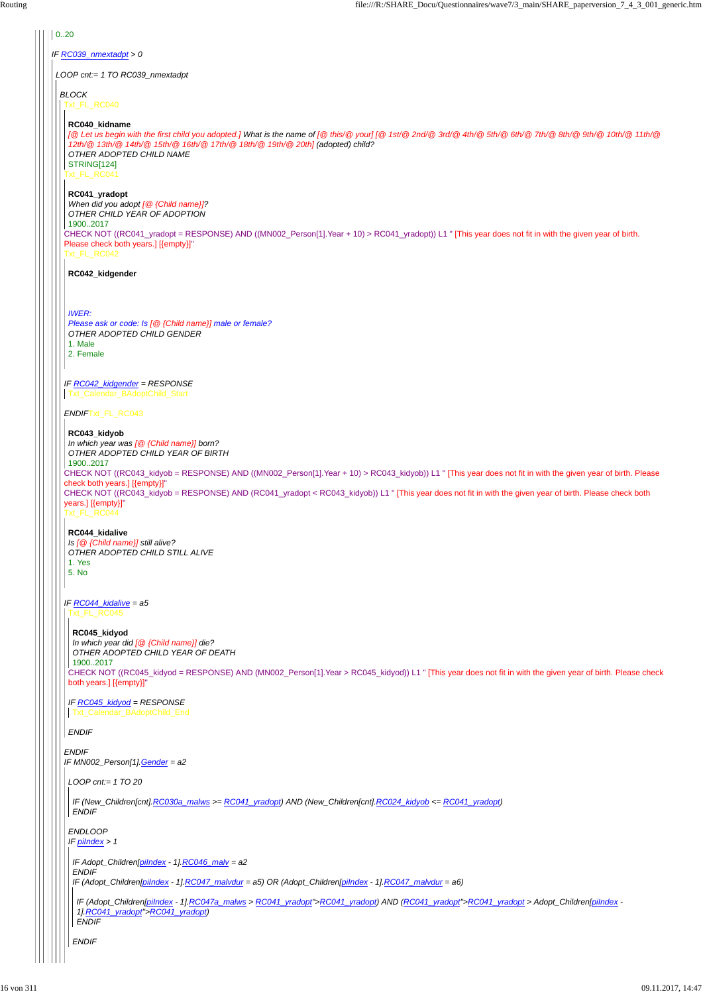# *IF RC039\_nmextadpt > 0*  $| 0.20$ *LOOP cnt:= 1 TO RC039\_nmextadpt BLOCK* Txt\_FL\_RC040 Txt\_FL\_RC041 CHECK NOT ((RC041\_yradopt = RESPONSE) AND ((MN002\_Person[1].Year + 10) > RC041\_yradopt)) L1 " [This year does not fit in with the given year of birth. Please check both years.] [{empty}]" Txt\_FL\_RC042 *IF RC042\_kidgender = RESPONSE ENDIF*Txt\_FL\_RC043 CHECK NOT ((RC043\_kidyob = RESPONSE) AND ((MN002\_Person[1].Year + 10) > RC043\_kidyob)) L1 " [This year does not fit in with the given year of birth. Please check both years.] [{empty}]" CHECK NOT ((RC043\_kidyob = RESPONSE) AND (RC041\_yradopt < RC043\_kidyob)) L1 " [This year does not fit in with the given year of birth. Please check both years.] [{empty}]" Txt\_FL\_RC044 *IF RC044\_kidalive = a5* **RC040\_kidname** *[@ Let us begin with the first child you adopted.] What is the name of [@ this/@ your] [@ 1st/@ 2nd/@ 3rd/@ 4th/@ 5th/@ 6th/@ 7th/@ 8th/@ 9th/@ 10th/@ 11th/@ 12th/@ 13th/@ 14th/@ 15th/@ 16th/@ 17th/@ 18th/@ 19th/@ 20th] (adopted) child? OTHER ADOPTED CHILD NAME* STRING[124] **RC041\_yradopt** *When did you adopt [@ {Child name}]? OTHER CHILD YEAR OF ADOPTION* 1900..2017 **RC042\_kidgender** *IWER: Please ask or code: Is [@ {Child name}] male or female? OTHER ADOPTED CHILD GENDER* 1. Male 2. Female Txt\_Calendar\_BAdoptChild\_Start **RC043\_kidyob** *In which year was [@ {Child name}] born? OTHER ADOPTED CHILD YEAR OF BIRTH* 1900..2017 **RC044\_kidalive** *Is [@ {Child name}] still alive? OTHER ADOPTED CHILD STILL ALIVE* 1. Yes 5. No Txt\_FL\_RC045 CHECK NOT ((RC045\_kidyod = RESPONSE) AND (MN002\_Person[1].Year > RC045\_kidyod)) L1 " [This year does not fit in with the given year of birth. Please check both years.] [{empty}]" *IF RC045\_kidyod = RESPONSE* **RC045\_kidyod** *In which year did [@ {Child name}] die? OTHER ADOPTED CHILD YEAR OF DEATH* 1900..2017

```
ENDIF
IF MN002_Person[1].Gender = a2
LOOP cnt:= 1 TO 20
ENDLOOP
IF piIndex > 1
  IF (New_Children[cnt].RC030a_malws >= RC041_yradopt) AND (New_Children[cnt].RC024_kidyob <= RC041_yradopt)
 ENDIF
  IF Adopt_Children[piIndex - 1].RC046_malv = a2
 ENDIF
  IF (Adopt_Children[piIndex - 1].RC047_malvdur = a5) OR (Adopt_Children[piIndex - 1].RC047_malvdur = a6)
  ENDIF
  IF (Adopt_Children[piIndex - 1].RC047a_malws > RC041_yradopt">RC041_yradopt) AND (RC041_yradopt">RC041_yradopt > Adopt_Children[piIndex -
   1].RC041_yradopt">RC041_yradopt)
  ENDIF
```
*ENDIF*

Txt\_Calendar\_BAdoptChild\_End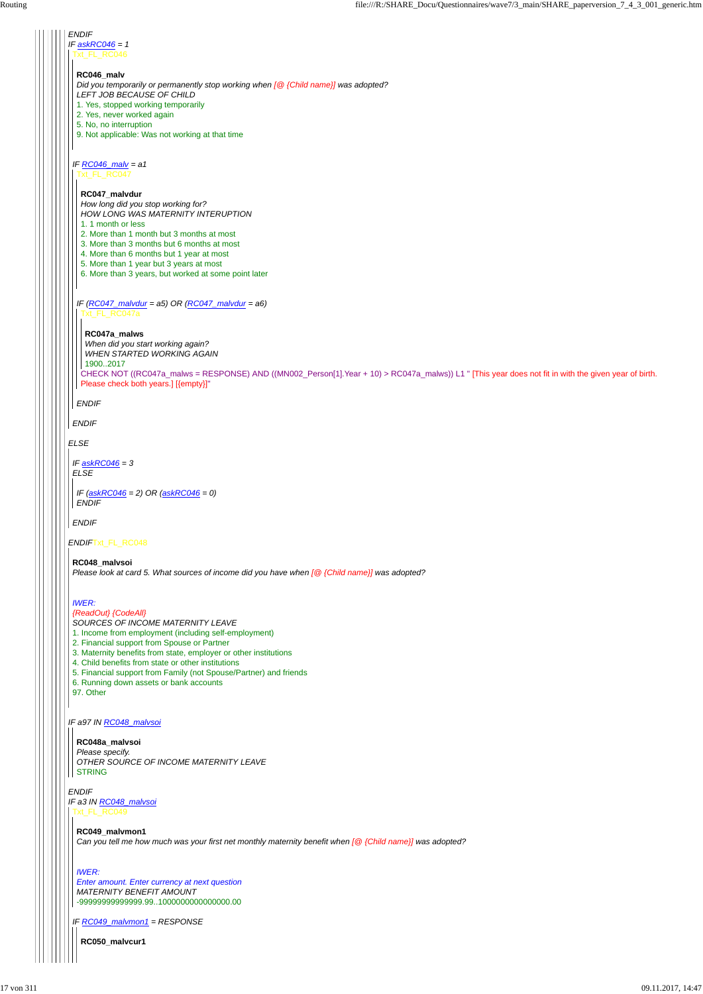*IF a97 IN RC048\_malvsoi*

*ENDIF IF askRC046 = 1 ELSE ENDIF*Txt\_FL\_RC048 xt\_FL\_RC046 *IF RC046\_malv = a1 ENDIF* **RC046\_malv** *Did you temporarily or permanently stop working when [@ {Child name}] was adopted? LEFT JOB BECAUSE OF CHILD* 1. Yes, stopped working temporarily 2. Yes, never worked again 5. No, no interruption 9. Not applicable: Was not working at that time Txt\_FL\_RC047 *IF (RC047\_malvdur = a5) OR (RC047\_malvdur = a6) ENDIF* **RC047\_malvdur** *How long did you stop working for? HOW LONG WAS MATERNITY INTERUPTION* 1. 1 month or less 2. More than 1 month but 3 months at most 3. More than 3 months but 6 months at most 4. More than 6 months but 1 year at most 5. More than 1 year but 3 years at most 6. More than 3 years, but worked at some point later Txt\_FL\_RC047a CHECK NOT ((RC047a\_malws = RESPONSE) AND ((MN002\_Person[1].Year + 10) > RC047a\_malws)) L1 " [This year does not fit in with the given year of birth. Please check both years.] [{empty}]" **RC047a\_malws** *When did you start working again? WHEN STARTED WORKING AGAIN* 1900..2017 *IF askRC046 = 3 ELSE ENDIF IF (askRC046 = 2) OR (askRC046 = 0) ENDIF* **RC048\_malvsoi** *Please look at card 5. What sources of income did you have when [@ {Child name}] was adopted? IWER: {ReadOut} {CodeAll} SOURCES OF INCOME MATERNITY LEAVE* 1. Income from employment (including self-employment) 2. Financial support from Spouse or Partner 3. Maternity benefits from state, employer or other institutions 4. Child benefits from state or other institutions 5. Financial support from Family (not Spouse/Partner) and friends 6. Running down assets or bank accounts

*ENDIF IF a3 IN RC048\_malvsoi* Txt\_FL\_RC049

97. Other

**RC048a\_malvsoi**

#### *Please specify. OTHER SOURCE OF INCOME MATERNITY LEAVE* STRING

*IF RC049\_malvmon1 = RESPONSE*

**RC049\_malvmon1**

*Can you tell me how much was your first net monthly maternity benefit when [@ {Child name}] was adopted?*

*IWER: Enter amount. Enter currency at next question MATERNITY BENEFIT AMOUNT* -99999999999999.99..1000000000000000.00

**RC050\_malvcur1**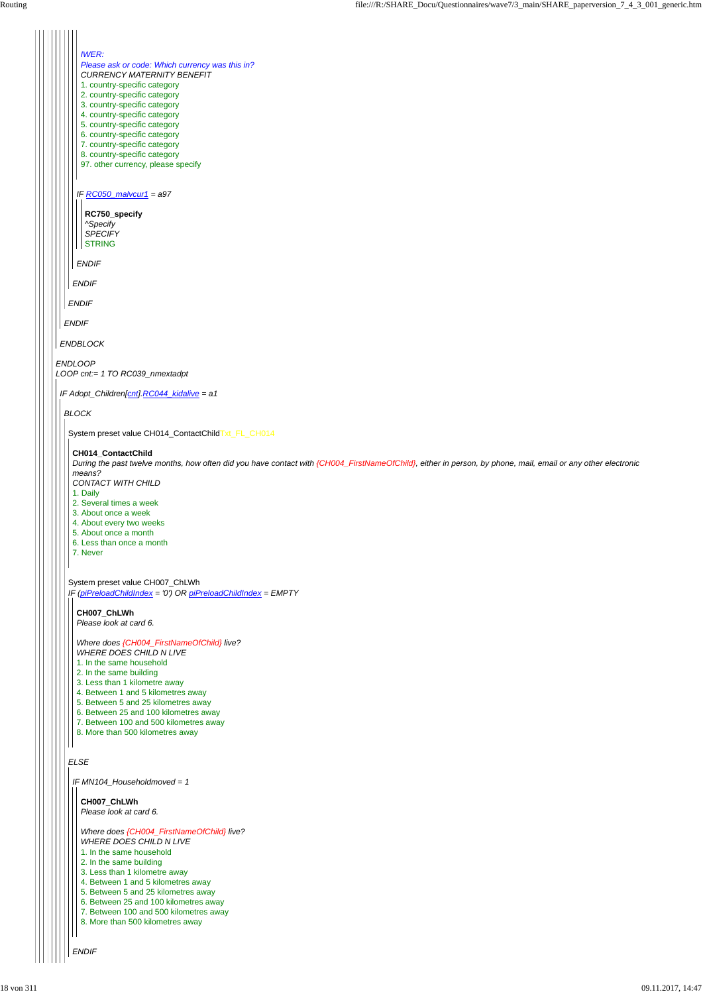#### *ELSE*

*ENDLOOP LOOP cnt:= 1 TO RC039\_nmextadpt ENDBLOCK ENDIF ENDIF ENDIF IF RC050\_malvcur1 = a97 ENDIF IWER: Please ask or code: Which currency was this in? CURRENCY MATERNITY BENEFIT* 1. country-specific category 2. country-specific category 3. country-specific category 4. country-specific category 5. country-specific category 6. country-specific category 7. country-specific category 8. country-specific category 97. other currency, please specify **RC750\_specify** *^Specify SPECIFY* **STRING** *IF Adopt\_Children[cnt].RC044\_kidalive = a1 BLOCK* System preset value CH014\_ContactChildTxt\_FL\_CH014 System preset value CH007\_ChLWh *IF (piPreloadChildIndex = '0') OR piPreloadChildIndex = EMPTY* **CH014\_ContactChild** *During the past twelve months, how often did you have contact with {CH004\_FirstNameOfChild}, either in person, by phone, mail, email or any other electronic means? CONTACT WITH CHILD* 1. Daily 2. Several times a week 3. About once a week 4. About every two weeks 5. About once a month 6. Less than once a month 7. Never **CH007\_ChLWh** *Please look at card 6. Where does {CH004\_FirstNameOfChild} live? WHERE DOES CHILD N LIVE* 1. In the same household 2. In the same building 3. Less than 1 kilometre away 4. Between 1 and 5 kilometres away 5. Between 5 and 25 kilometres away 6. Between 25 and 100 kilometres away 7. Between 100 and 500 kilometres away 8. More than 500 kilometres away

*ENDIF*

*IF MN104\_Householdmoved = 1* **CH007\_ChLWh** *Please look at card 6. Where does {CH004\_FirstNameOfChild} live? WHERE DOES CHILD N LIVE* 1. In the same household 2. In the same building 3. Less than 1 kilometre away 4. Between 1 and 5 kilometres away 5. Between 5 and 25 kilometres away 6. Between 25 and 100 kilometres away 7. Between 100 and 500 kilometres away 8. More than 500 kilometres away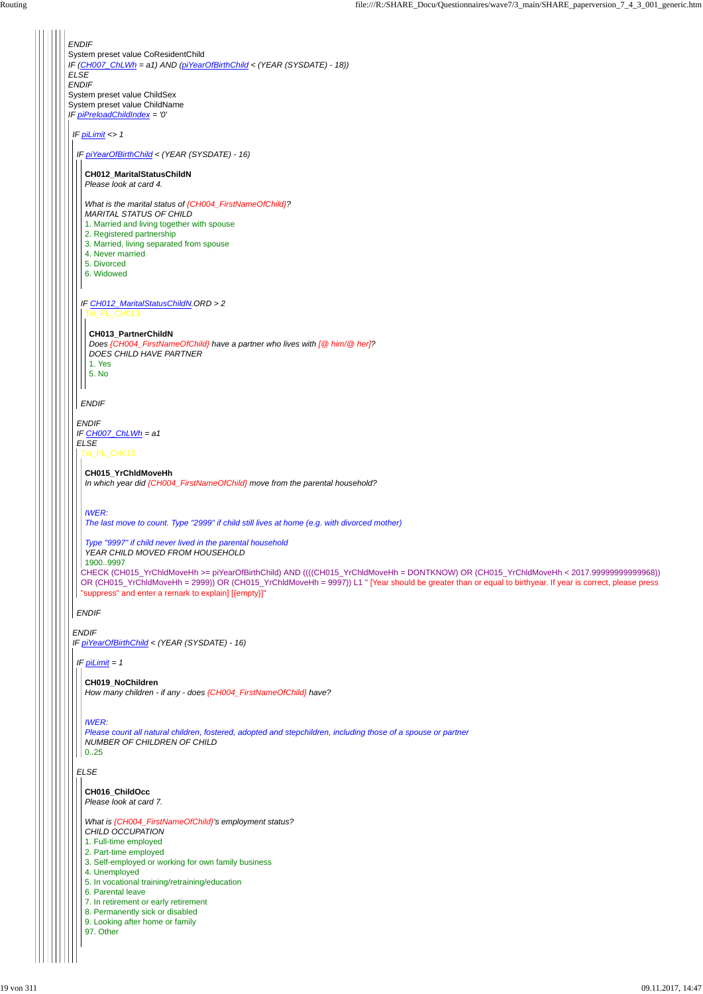*ENDIF* System preset value CoResidentChild *IF (CH007\_ChLWh = a1) AND (piYearOfBirthChild < (YEAR (SYSDATE) - 18)) ELSE ENDIF* System preset value ChildSex System preset value ChildName *IF piPreloadChildIndex = '0' IF piLimit <> 1 ENDIF IF piYearOfBirthChild < (YEAR (SYSDATE) - 16) IF piYearOfBirthChild < (YEAR (SYSDATE) - 16) ENDIF IF CH007\_ChLWh = a1 ELSE ENDIF IF CH012\_MaritalStatusChildN.ORD > 2 ENDIF* **CH012\_MaritalStatusChildN** *Please look at card 4. What is the marital status of {CH004\_FirstNameOfChild}? MARITAL STATUS OF CHILD* 1. Married and living together with spouse 2. Registered partnership 3. Married, living separated from spouse 4. Never married 5. Divorced 6. Widowed Txt\_FL\_CH013 **CH013\_PartnerChildN** *Does {CH004\_FirstNameOfChild} have a partner who lives with [@ him/@ her]? DOES CHILD HAVE PARTNER* 1. Yes 5. No Txt\_FL\_CH015 CHECK (CH015\_YrChldMoveHh >= piYearOfBirthChild) AND ((((CH015\_YrChldMoveHh = DONTKNOW) OR (CH015\_YrChldMoveHh < 2017.99999999999968)) OR (CH015\_YrChldMoveHh = 2999)) OR (CH015\_YrChldMoveHh = 9997)) L1 " [Year should be greater than or equal to birthyear. If year is correct, please press "suppress" and enter a remark to explain] [{empty}]" **CH015\_YrChldMoveHh** *In which year did {CH004\_FirstNameOfChild} move from the parental household? IWER: The last move to count. Type "2999" if child still lives at home (e.g. with divorced mother) Type "9997" if child never lived in the parental household YEAR CHILD MOVED FROM HOUSEHOLD* 1900..9997 *IF piLimit = 1* **CH019\_NoChildren** *How many children - if any - does {CH004\_FirstNameOfChild} have?*

#### *ELSE*

*IWER:*

*Please count all natural children, fostered, adopted and stepchildren, including those of a spouse or partner NUMBER OF CHILDREN OF CHILD*

#### $|| 0..25$

## **CH016\_ChildOcc**

*Please look at card 7.*

*What is {CH004\_FirstNameOfChild}'s employment status? CHILD OCCUPATION*

1. Full-time employed

- 2. Part-time employed
- 3. Self-employed or working for own family business
- 4. Unemployed
- 5. In vocational training/retraining/education
- 6. Parental leave
- 7. In retirement or early retirement
- 8. Permanently sick or disabled
- 9. Looking after home or family
- 97. Other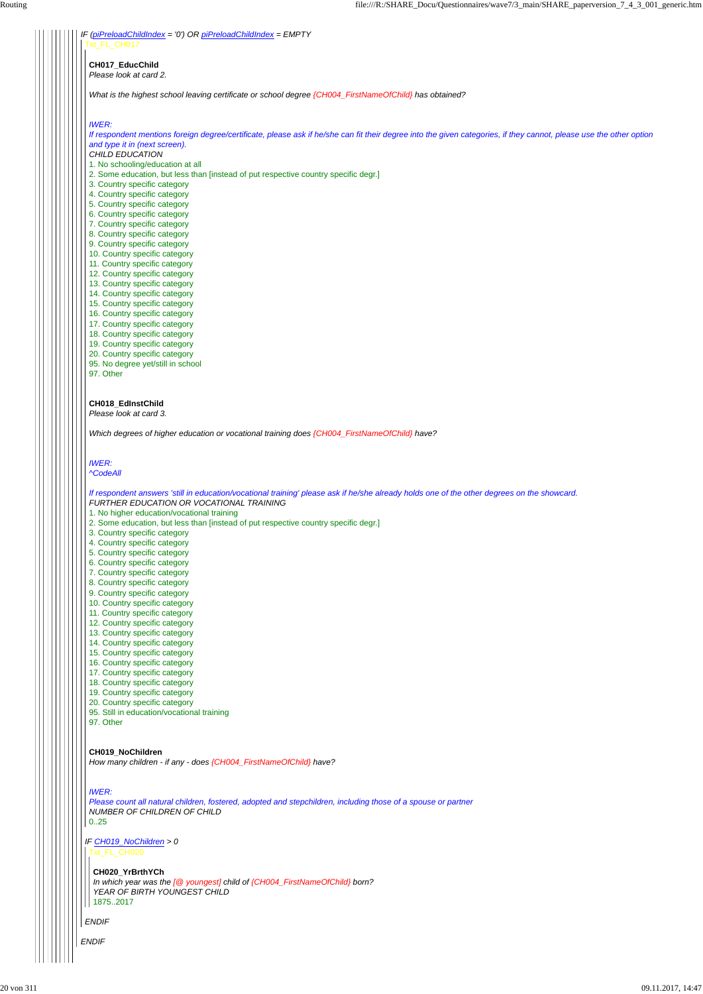*ENDIF*

*IF CH019\_NoChildren > 0*

*ENDIF*

| Routing | file:///R:/SHARE_Docu/Questionnaires/wave7/3_main/SHARE_paperversion_7_4_3_001_generic.htm                                                                                              |
|---------|-----------------------------------------------------------------------------------------------------------------------------------------------------------------------------------------|
|         | IF (piPreloadChildIndex = '0') OR piPreloadChildIndex = EMPTY                                                                                                                           |
|         | FL CH017                                                                                                                                                                                |
|         | CH017_EducChild                                                                                                                                                                         |
|         | Please look at card 2.                                                                                                                                                                  |
|         | What is the highest school leaving certificate or school degree {CH004_FirstNameOfChild} has obtained?                                                                                  |
|         | <b>IWER:</b>                                                                                                                                                                            |
|         | If respondent mentions foreign degree/certificate, please ask if he/she can fit their degree into the given categories, if they cannot, please use the other option                     |
|         | and type it in (next screen).                                                                                                                                                           |
|         | CHILD EDUCATION                                                                                                                                                                         |
|         | 1. No schooling/education at all                                                                                                                                                        |
|         | 2. Some education, but less than [instead of put respective country specific degr.]                                                                                                     |
|         | 3. Country specific category                                                                                                                                                            |
|         | 4. Country specific category<br>5. Country specific category                                                                                                                            |
|         | 6. Country specific category                                                                                                                                                            |
|         | 7. Country specific category                                                                                                                                                            |
|         | 8. Country specific category                                                                                                                                                            |
|         | 9. Country specific category                                                                                                                                                            |
|         | 10. Country specific category                                                                                                                                                           |
|         | 11. Country specific category                                                                                                                                                           |
|         | 12. Country specific category                                                                                                                                                           |
|         | 13. Country specific category                                                                                                                                                           |
|         | 14. Country specific category<br>15. Country specific category                                                                                                                          |
|         | 16. Country specific category                                                                                                                                                           |
|         | 17. Country specific category                                                                                                                                                           |
|         | 18. Country specific category                                                                                                                                                           |
|         | 19. Country specific category                                                                                                                                                           |
|         | 20. Country specific category                                                                                                                                                           |
|         | 95. No degree yet/still in school                                                                                                                                                       |
|         | 97. Other                                                                                                                                                                               |
|         | CH018 EdInstChild                                                                                                                                                                       |
|         | Please look at card 3.                                                                                                                                                                  |
|         | Which degrees of higher education or vocational training does {CH004_FirstNameOfChild} have?                                                                                            |
|         | <b>IWER:</b>                                                                                                                                                                            |
|         | <b>^CodeAll</b>                                                                                                                                                                         |
|         | If respondent answers 'still in education/vocational training' please ask if he/she already holds one of the other degrees on the showcard.<br>FURTHER EDUCATION OR VOCATIONAL TRAINING |
|         | 1. No higher education/vocational training                                                                                                                                              |
|         | $\frac{1}{2}$ of nut represents approximately                                                                                                                                           |

- 2. Some education, but less than [instead of put respective country specific degr.]
- 3. Country specific category
- 4. Country specific category
- 5. Country specific category
- 6. Country specific category
- 7. Country specific category
- 8. Country specific category
- 9. Country specific category
- 10. Country specific category
- 11. Country specific category
- 12. Country specific category
- 13. Country specific category
- 14. Country specific category
- 15. Country specific category
- 16. Country specific category
- 17. Country specific category
- 18. Country specific category
- 19. Country specific category
- 20. Country specific category
- 95. Still in education/vocational training

97. Other

```
CH019_NoChildren
```
*How many children - if any - does {CH004\_FirstNameOfChild} have?*

*IWER:*

*Please count all natural children, fostered, adopted and stepchildren, including those of a spouse or partner NUMBER OF CHILDREN OF CHILD*

0..25

Txt\_FL\_CH020

**CH020\_YrBrthYCh** *In which year was the [@ youngest] child of {CH004\_FirstNameOfChild} born?*

*YEAR OF BIRTH YOUNGEST CHILD*

1875..2017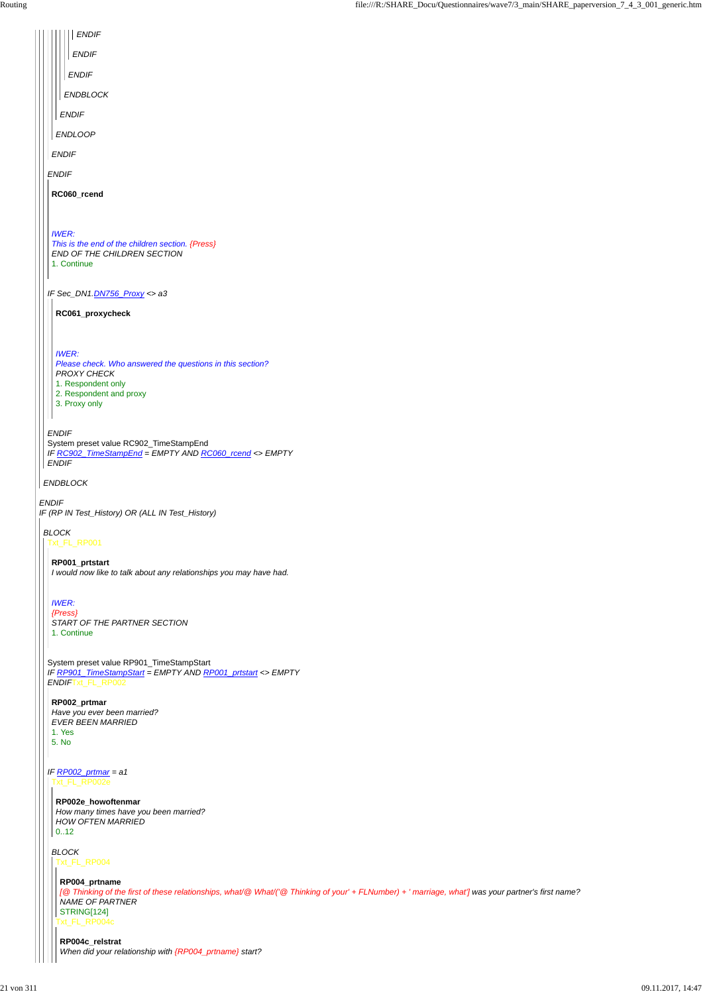*ENDIF*

*IF (RP IN Test\_History) OR (ALL IN Test\_History)*

*ENDBLOCK*

*ENDIF*

*IF Sec\_DN1.DN756\_Proxy <> a3*

*ENDIF*

System preset value RC902\_TimeStampEnd *IF RC902\_TimeStampEnd = EMPTY AND RC060\_rcend <> EMPTY ENDIF*

*ENDIF ENDLOOP ENDIF ENDBLOCK ENDIF ENDIF ENDIF*

**RC060\_rcend**

*IWER: This is the end of the children section. {Press} END OF THE CHILDREN SECTION* 1. Continue

**RC061\_proxycheck**

*IWER:*

*Please check. Who answered the questions in this section? PROXY CHECK*

1. Respondent only

- 2. Respondent and proxy
- 3. Proxy only

### *BLOCK*

Txt\_FL\_RP001

System preset value RP901\_TimeStampStart *IF RP901\_TimeStampStart = EMPTY AND RP001\_prtstart <> EMPTY ENDIF*Txt\_FL\_RP002

**RP001\_prtstart**

*I would now like to talk about any relationships you may have had.*

*IWER:*

## *IF RP002\_prtmar = a1* Txt\_FL\_RP002e

*{Press} START OF THE PARTNER SECTION* 1. Continue

**RP002\_prtmar** *Have you ever been married? EVER BEEN MARRIED* 1. Yes 5. No

#### **RP002e\_howoftenmar**

## *BLOCK* Txt\_FL\_RP004

*How many times have you been married? HOW OFTEN MARRIED* 0..12

#### **RP004\_prtname**

Txt\_FL\_RP004c *[@ Thinking of the first of these relationships, what/@ What/('@ Thinking of your' + FLNumber) + ' marriage, what'] was your partner's first name? NAME OF PARTNER* STRING[124]

## **RP004c\_relstrat** *When did your relationship with {RP004\_prtname} start?*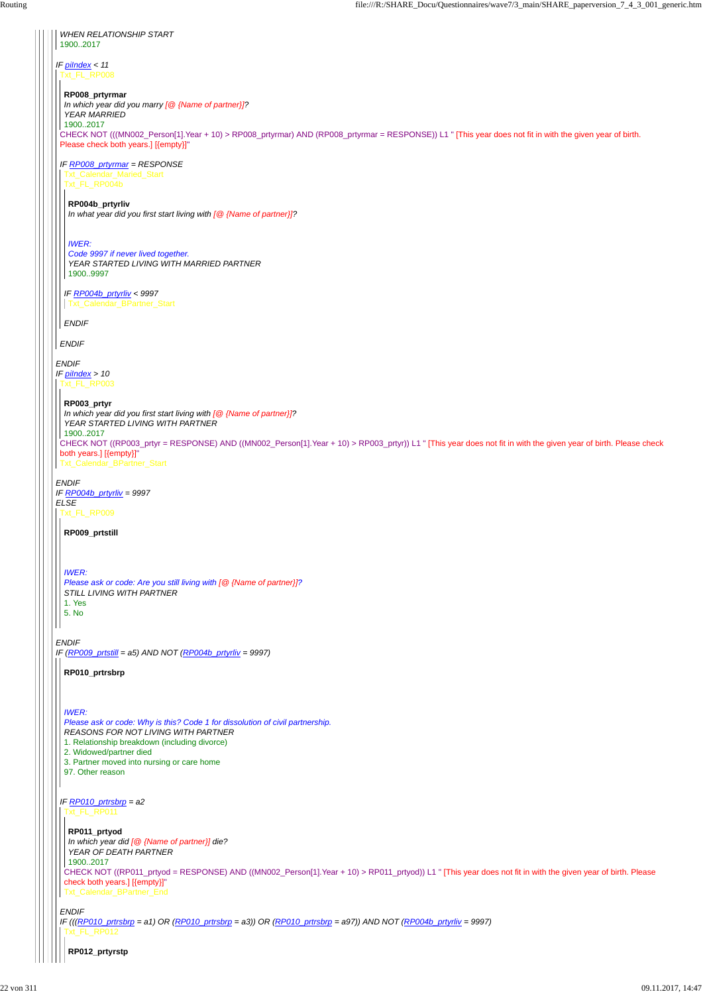*IF piIndex < 11 ENDIF IF piIndex > 10 ENDIF IF RP004b\_prtyrliv = 9997 ELSE ENDIF IF (RP009\_prtstill = a5) AND NOT (RP004b\_prtyrliv = 9997) WHEN RELATIONSHIP START* 1900..2017 Txt\_FL\_RP008 CHECK NOT (((MN002\_Person[1].Year + 10) > RP008\_prtyrmar) AND (RP008\_prtyrmar = RESPONSE)) L1 " [This year does not fit in with the given year of birth. Please check both years.] [{empty}]" *IF RP008\_prtyrmar = RESPONSE ENDIF* **RP008\_prtyrmar** *In which year did you marry [@ {Name of partner}]? YEAR MARRIED* 1900..2017 Txt\_Calendar\_Maried\_Start Txt\_FL\_RP004b *IF RP004b\_prtyrliv < 9997 ENDIF* **RP004b\_prtyrliv** *In what year did you first start living with [@ {Name of partner}]? IWER: Code 9997 if never lived together. YEAR STARTED LIVING WITH MARRIED PARTNER* 1900..9997 Txt\_Calendar\_BPartner\_Start Txt\_FL\_RP003 CHECK NOT ((RP003\_prtyr = RESPONSE) AND ((MN002\_Person[1].Year + 10) > RP003\_prtyr)) L1 " [This year does not fit in with the given year of birth. Please check both years.] [{empty}]" Txt\_Calendar\_BPartner\_Start **RP003\_prtyr** *In which year did you first start living with [@ {Name of partner}]? YEAR STARTED LIVING WITH PARTNER* 1900..2017 Txt\_FL\_RP009 **RP009\_prtstill** *IWER: Please ask or code: Are you still living with [@ {Name of partner}]? STILL LIVING WITH PARTNER* 1. Yes 5. No **RP010\_prtrsbrp** *IWER: Please ask or code: Why is this? Code 1 for dissolution of civil partnership. REASONS FOR NOT LIVING WITH PARTNER* 1. Relationship breakdown (including divorce)

```
IF RP010_prtrsbrp = a2
ENDIF
IF (((RP010_prtrsbrp = a1) OR (RP010_prtrsbrp = a3)) OR (RP010_prtrsbrp = a97)) AND NOT (RP004b_prtyrliv = 9997)
 2. Widowed/partner died
 3. Partner moved into nursing or care home
 97. Other reason
 Txt_FL_RP011
 CHECK NOT ((RP011_prtyod = RESPONSE) AND ((MN002_Person[1].Year + 10) > RP011_prtyod)) L1 " [This year does not fit in with the given year of birth. Please
 check both years.] [{empty}]"
 Txt_Calendar_BPartner_End
 RP011_prtyod
 In which year did [@ {Name of partner}] die?
 YEAR OF DEATH PARTNER
 1900..2017
 Txt_FL_RP012
  RP012_prtyrstp
```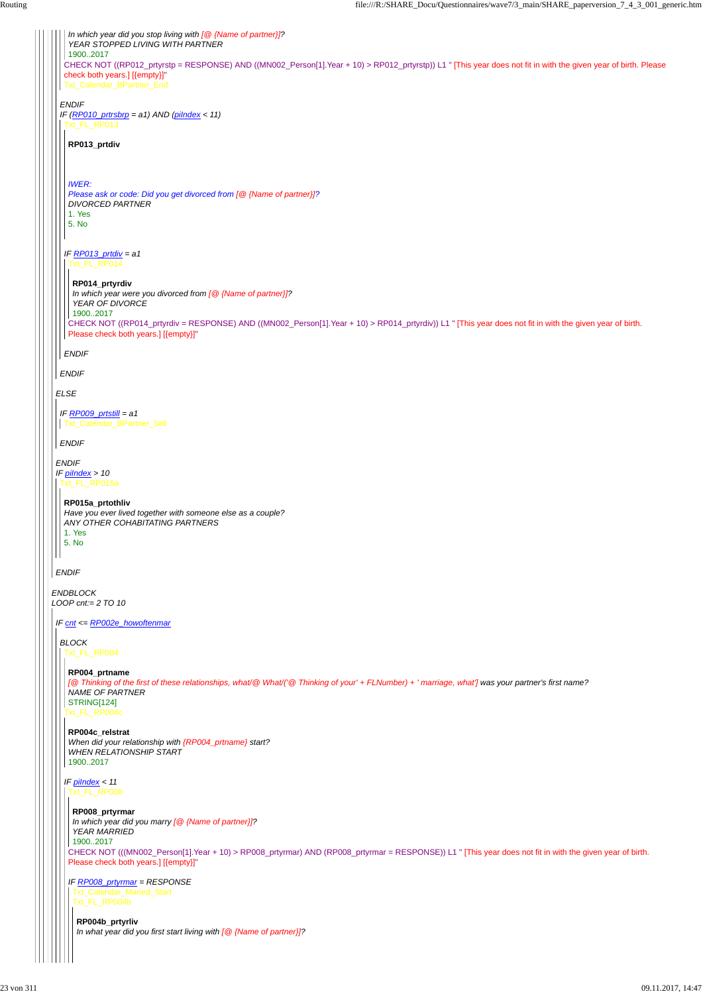*ENDBLOCK LOOP cnt:= 2 TO 10 ELSE ENDIF IF piIndex > 10 ENDIF ENDIF IF (RP010\_prtrsbrp = a1) AND (piIndex < 11) ENDIF* CHECK NOT ((RP012\_prtyrstp = RESPONSE) AND ((MN002\_Person[1].Year + 10) > RP012\_prtyrstp)) L1 " [This year does not fit in with the given year of birth. Please check both years.] [{empty}]" Txt\_Calendar\_BPartner\_End *In which year did you stop living with [@ {Name of partner}]? YEAR STOPPED LIVING WITH PARTNER* 1900..2017 Txt\_FL\_RP013 *IF RP013\_prtdiv = a1 ENDIF* **RP013\_prtdiv** *IWER: Please ask or code: Did you get divorced from [@ {Name of partner}]? DIVORCED PARTNER* 1. Yes 5. No Txt\_FL\_RP014 CHECK NOT ((RP014\_prtyrdiv = RESPONSE) AND ((MN002\_Person[1].Year + 10) > RP014\_prtyrdiv)) L1 " [This year does not fit in with the given year of birth. Please check both years.] [{empty}]" **RP014\_prtyrdiv** *In which year were you divorced from [@ {Name of partner}]? YEAR OF DIVORCE* 1900..2017 *IF RP009\_prtstill = a1 ENDIF* Txt\_Calendar\_BPartner\_Still Txt\_FL\_RP015a **RP015a\_prtothliv** *Have you ever lived together with someone else as a couple? ANY OTHER COHABITATING PARTNERS* 1. Yes 5. No *IF cnt <= RP002e\_howoftenmar BLOCK* Txt\_FL\_RP004 Txt\_FL\_RP004c **RP004\_prtname** *[@ Thinking of the first of these relationships, what/@ What/('@ Thinking of your' + FLNumber) + ' marriage, what'] was your partner's first name? NAME OF PARTNER* STRING[124] **RP004c\_relstrat**

*When did your relationship with {RP004\_prtname} start?*

|  | <b>WHEN RELATIONSHIP START</b><br>19002017                                                                                                               |
|--|----------------------------------------------------------------------------------------------------------------------------------------------------------|
|  |                                                                                                                                                          |
|  | IF pilndex $<$ 11                                                                                                                                        |
|  | FL RP008                                                                                                                                                 |
|  | RP008_prtyrmar                                                                                                                                           |
|  | In which year did you marry [@ {Name of partner}]?                                                                                                       |
|  | <b>YEAR MARRIED</b>                                                                                                                                      |
|  | 19002017                                                                                                                                                 |
|  | CHECK NOT (((MN002_Person[1].Year + 10) > RP008_prtyrmar) AND (RP008_prtyrmar = RESPONSE)) L1 " [This year does not fit in with the given year of birth. |
|  | Please check both years.] [{empty}]"                                                                                                                     |
|  | IF RP008_prtyrmar = RESPONSE                                                                                                                             |
|  | Txt_Calendar_Maried_Start                                                                                                                                |
|  | Txt_FL_RP004b                                                                                                                                            |
|  |                                                                                                                                                          |
|  | RP004b_prtyrliv                                                                                                                                          |
|  | In what year did you first start living with $\lceil \mathcal{Q} \rceil$ (Name of partner)]?                                                             |
|  |                                                                                                                                                          |
|  |                                                                                                                                                          |
|  |                                                                                                                                                          |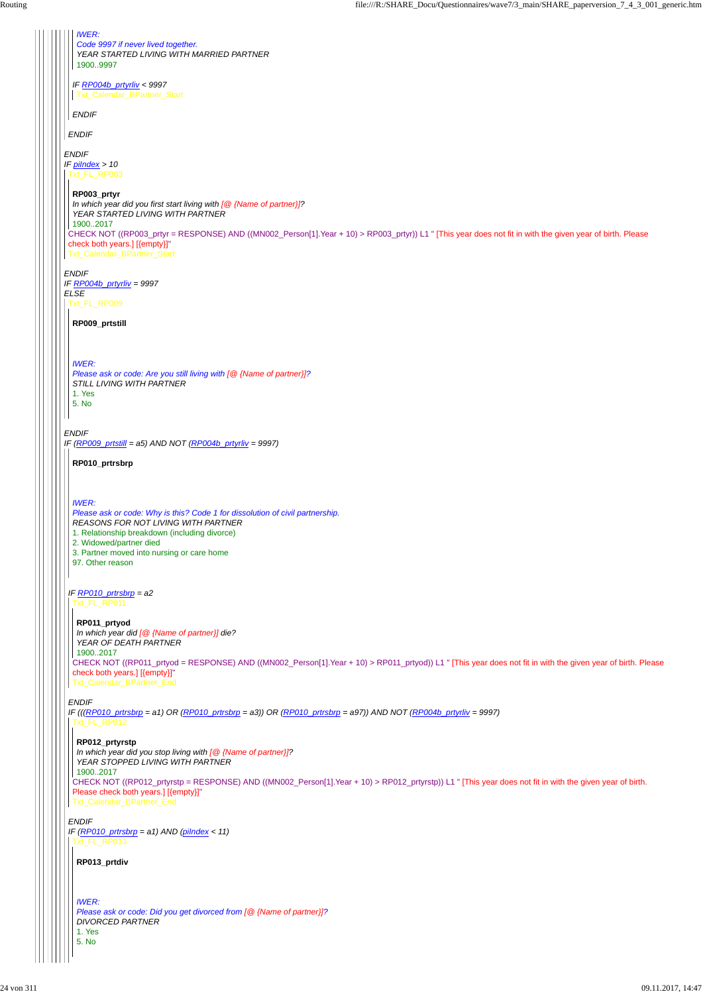*ENDIF IF piIndex > 10 ENDIF IF RP004b\_prtyrliv = 9997 ELSE ENDIF IF (RP009\_prtstill = a5) AND NOT (RP004b\_prtyrliv = 9997) ENDIF IF RP004b\_prtyrliv < 9997 ENDIF IWER: Code 9997 if never lived together. YEAR STARTED LIVING WITH MARRIED PARTNER* 1900..9997 Txt\_Calendar\_BPartner\_Start Txt\_FL\_RP003 CHECK NOT ((RP003\_prtyr = RESPONSE) AND ((MN002\_Person[1].Year + 10) > RP003\_prtyr)) L1 " [This year does not fit in with the given year of birth. Please check both years.] [{empty}]" Txt\_Calendar\_BPartner\_Start **RP003\_prtyr** *In which year did you first start living with [@ {Name of partner}]? YEAR STARTED LIVING WITH PARTNER* 1900..2017 Txt\_FL\_RP009 **RP009\_prtstill** *IWER: Please ask or code: Are you still living with [@ {Name of partner}]? STILL LIVING WITH PARTNER* 1. Yes 5. No *IF RP010\_prtrsbrp = a2 ENDIF IF (((RP010\_prtrsbrp = a1) OR (RP010\_prtrsbrp = a3)) OR (RP010\_prtrsbrp = a97)) AND NOT (RP004b\_prtyrliv = 9997)* **RP010\_prtrsbrp** *IWER: Please ask or code: Why is this? Code 1 for dissolution of civil partnership. REASONS FOR NOT LIVING WITH PARTNER* 1. Relationship breakdown (including divorce) 2. Widowed/partner died 3. Partner moved into nursing or care home 97. Other reason Txt\_FL\_RP011 CHECK NOT ((RP011\_prtyod = RESPONSE) AND ((MN002\_Person[1].Year + 10) > RP011\_prtyod)) L1 " [This year does not fit in with the given year of birth. Please check both years.] [{empty}]" Txt\_Calendar\_BPartner\_End **RP011\_prtyod** *In which year did [@ {Name of partner}] die? YEAR OF DEATH PARTNER* 1900..2017 Txt\_FL\_RP012

*ENDIF IF (RP010\_prtrsbrp = a1) AND (piIndex < 11)* Txt\_FL\_RP013

CHECK NOT ((RP012\_prtyrstp = RESPONSE) AND ((MN002\_Person[1].Year + 10) > RP012\_prtyrstp)) L1 " [This year does not fit in with the given year of birth. Please check both years.] [{empty}]" Txt\_Calendar\_BPartner\_End

**RP012\_prtyrstp**

```
In which year did you stop living with [@ {Name of partner}]?
YEAR STOPPED LIVING WITH PARTNER
```
1900..2017

**RP013\_prtdiv**

*IWER: Please ask or code: Did you get divorced from [@ {Name of partner}]? DIVORCED PARTNER* 1. Yes

5. No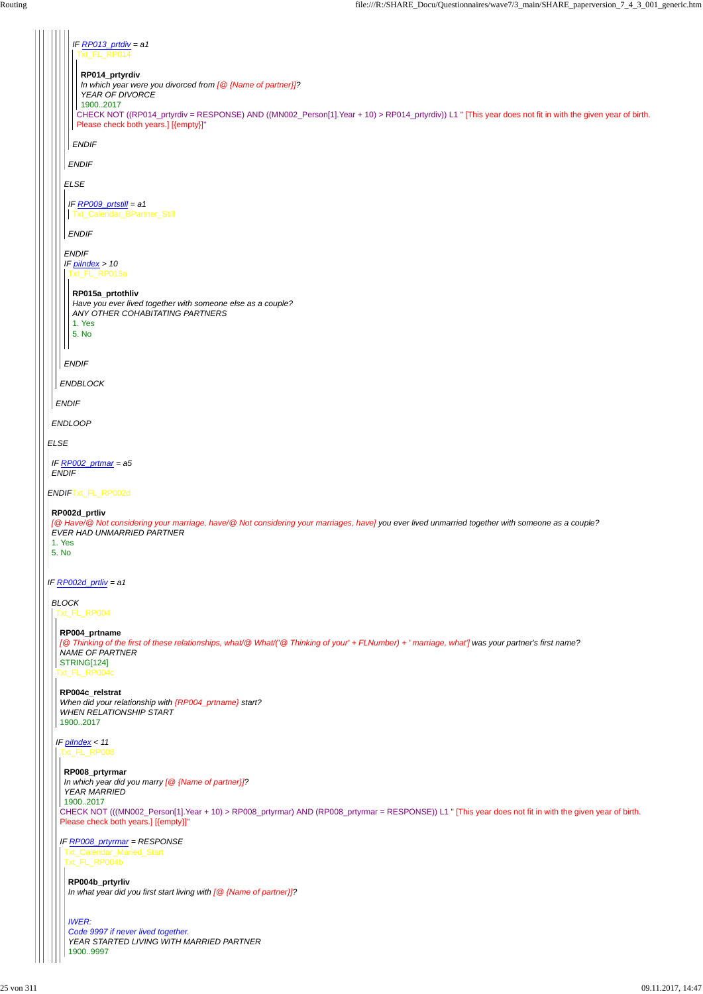| IF RP013_prtdiv = $a1$                                                                                                                                                                           |  |
|--------------------------------------------------------------------------------------------------------------------------------------------------------------------------------------------------|--|
| Txt FL RP014                                                                                                                                                                                     |  |
| RP014_prtyrdiv<br>In which year were you divorced from $[@$ {Name of partner}]?                                                                                                                  |  |
| YEAR OF DIVORCE<br>19002017                                                                                                                                                                      |  |
| CHECK NOT ((RP014_prtyrdiv = RESPONSE) AND ((MN002_Person[1].Year + 10) > RP014_prtyrdiv)) L1 " [This year does not fit in with the given year of birth.<br>Please check both years.] [{empty}]" |  |
| <b>ENDIF</b>                                                                                                                                                                                     |  |
| <b>ENDIF</b>                                                                                                                                                                                     |  |
| <b>ELSE</b>                                                                                                                                                                                      |  |
| IF $RPO09$ _prtstill = a1                                                                                                                                                                        |  |
| Txt_Calendar_BPartner_Still                                                                                                                                                                      |  |
| <b>ENDIF</b>                                                                                                                                                                                     |  |
| <b>ENDIF</b><br>IF $pilndex > 10$                                                                                                                                                                |  |
| Txt_FL_RP015a                                                                                                                                                                                    |  |
| RP015a_prtothliv<br>Have you ever lived together with someone else as a couple?                                                                                                                  |  |
| ANY OTHER COHABITATING PARTNERS<br>1. Yes                                                                                                                                                        |  |
| 5. No                                                                                                                                                                                            |  |
| <b>ENDIF</b>                                                                                                                                                                                     |  |
| <b>ENDBLOCK</b>                                                                                                                                                                                  |  |
| <b>ENDIF</b>                                                                                                                                                                                     |  |
| <b>ENDLOOP</b>                                                                                                                                                                                   |  |
| <b>ELSE</b>                                                                                                                                                                                      |  |
| IF RP002 prtmar = a5                                                                                                                                                                             |  |
| <b>ENDIF</b>                                                                                                                                                                                     |  |
| ENDIFTxt_FL_RP002d                                                                                                                                                                               |  |
| RP002d_prtliv<br>[@ Have/@ Not considering your marriage, have/@ Not considering your marriages, have] you ever lived unmarried together with someone as a couple?                               |  |
| EVER HAD UNMARRIED PARTNER<br>1. Yes                                                                                                                                                             |  |
| 5. No                                                                                                                                                                                            |  |
| IF RP002d_prtliv = $a1$                                                                                                                                                                          |  |
| <b>BLOCK</b>                                                                                                                                                                                     |  |
| Txt_FL_RP004                                                                                                                                                                                     |  |
| RP004_prtname<br>[@ Thinking of the first of these relationships, what/@ What/('@ Thinking of your' + FLNumber) + ' marriage, what'] was your partner's first name?                              |  |
| <b>NAME OF PARTNER</b><br>STRING[124]                                                                                                                                                            |  |
| Txt_FL_RP004c                                                                                                                                                                                    |  |
| RP004c_relstrat<br>When did your relationship with {RP004_prtname} start?                                                                                                                        |  |
| <b>WHEN RELATIONSHIP START</b><br>19002017                                                                                                                                                       |  |
| IF pilndex $< 11$                                                                                                                                                                                |  |

```
Txt_FL_RP008
```

```
CHECK NOT (((MN002_Person[1].Year + 10) > RP008_prtyrmar) AND (RP008_prtyrmar = RESPONSE)) L1 " [This year does not fit in with the given year of birth.
Please check both years.] [{empty}]"
 RP008_prtyrmar
 In which year did you marry [@ {Name of partner}]?
 YEAR MARRIED
1900..2017
```

```
IF RP008_prtyrmar = RESPONSE
 Txt_Calendar_Maried_Start
 Txt_FL_RP004b
```

```
RP004b_prtyrliv
In what year did you first start living with [@ {Name of partner}]?
```

```
IWER:
Code 9997 if never lived together.
YEAR STARTED LIVING WITH MARRIED PARTNER
1900..9997
```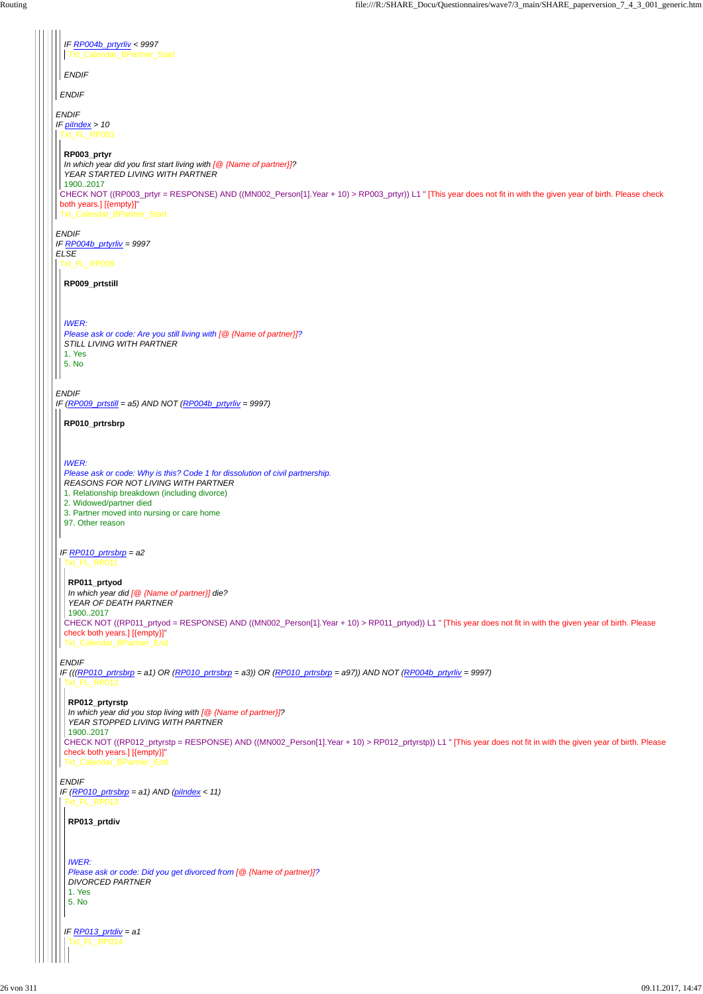*ENDIF IF piIndex > 10 ENDIF IF RP004b\_prtyrliv = 9997 ELSE ENDIF IF (RP009\_prtstill = a5) AND NOT (RP004b\_prtyrliv = 9997) ENDIF IF RP004b\_prtyrliv < 9997 ENDIF* Txt\_Calendar\_BPartner\_Start Txt\_FL\_RP003 CHECK NOT ((RP003\_prtyr = RESPONSE) AND ((MN002\_Person[1].Year + 10) > RP003\_prtyr)) L1 " [This year does not fit in with the given year of birth. Please check both years.] [{empty}]" Txt\_Calendar\_BPartner\_Start **RP003\_prtyr** *In which year did you first start living with [@ {Name of partner}]? YEAR STARTED LIVING WITH PARTNER* 1900..2017 Txt\_FL\_RP009 **RP009\_prtstill** *IWER: Please ask or code: Are you still living with [@ {Name of partner}]? STILL LIVING WITH PARTNER* 1. Yes 5. No *IF RP010\_prtrsbrp = a2 ENDIF IF (((RP010\_prtrsbrp = a1) OR (RP010\_prtrsbrp = a3)) OR (RP010\_prtrsbrp = a97)) AND NOT (RP004b\_prtyrliv = 9997)* **RP010\_prtrsbrp** *IWER: Please ask or code: Why is this? Code 1 for dissolution of civil partnership. REASONS FOR NOT LIVING WITH PARTNER* 1. Relationship breakdown (including divorce) 2. Widowed/partner died 3. Partner moved into nursing or care home 97. Other reason Txt\_FL\_RP011 CHECK NOT ((RP011\_prtyod = RESPONSE) AND ((MN002\_Person[1].Year + 10) > RP011\_prtyod)) L1 " [This year does not fit in with the given year of birth. Please check both years.] [{empty}]" Txt\_Calendar\_BPartner\_End **RP011\_prtyod** *In which year did [@ {Name of partner}] die? YEAR OF DEATH PARTNER* 1900..2017 Txt\_FL\_RP012 **RP012\_prtyrstp** *In which year did you stop living with [@ {Name of partner}]? YEAR STOPPED LIVING WITH PARTNER* 1900..2017

*ENDIF IF (RP010\_prtrsbrp = a1) AND (piIndex < 11)* Txt\_FL\_RP013

CHECK NOT ((RP012\_prtyrstp = RESPONSE) AND ((MN002\_Person[1].Year + 10) > RP012\_prtyrstp)) L1 " [This year does not fit in with the given year of birth. Please

check both years.] [{empty}]" Txt\_Calendar\_BPartner\_End

**RP013\_prtdiv**

*IWER:*

*IF RP013\_prtdiv = a1* Txt\_FL\_RP014

*Please ask or code: Did you get divorced from [@ {Name of partner}]? DIVORCED PARTNER*

1. Yes

5. No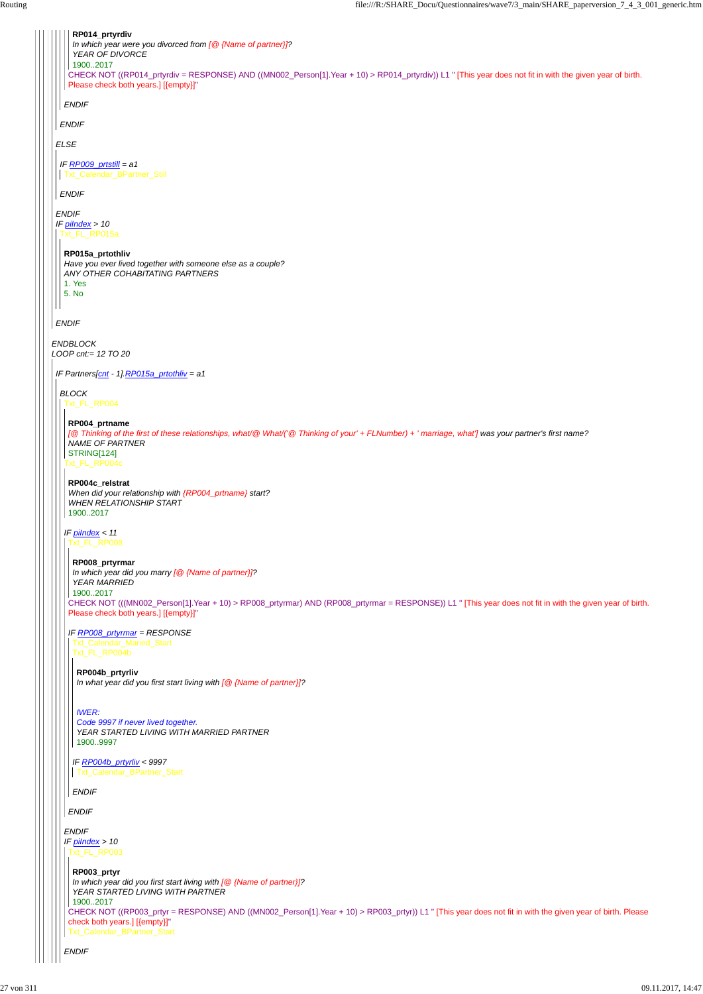*ENDBLOCK LOOP cnt:= 12 TO 20 ELSE ENDIF IF piIndex > 10 ENDIF ENDIF ENDIF* CHECK NOT ((RP014\_prtyrdiv = RESPONSE) AND ((MN002\_Person[1].Year + 10) > RP014\_prtyrdiv)) L1 " [This year does not fit in with the given year of birth. Please check both years.] [{empty}]" **RP014\_prtyrdiv** *In which year were you divorced from [@ {Name of partner}]? YEAR OF DIVORCE* 1900..2017 *IF RP009\_prtstill = a1 ENDIF* Txt\_Calendar\_BPartner\_Still Txt\_FL\_RP015a **RP015a\_prtothliv** *Have you ever lived together with someone else as a couple? ANY OTHER COHABITATING PARTNERS* 1. Yes 5. No *IF Partners[cnt - 1].RP015a\_prtothliv = a1 BLOCK* Txt\_FL\_RP004 Txt\_FL\_RP004c *IF piIndex < 11* **RP004\_prtname** *[@ Thinking of the first of these relationships, what/@ What/('@ Thinking of your' + FLNumber) + ' marriage, what'] was your partner's first name? NAME OF PARTNER* STRING[124] **RP004c\_relstrat** *When did your relationship with {RP004\_prtname} start? WHEN RELATIONSHIP START* 1900..2017 Txt\_FL\_RP008 CHECK NOT (((MN002\_Person[1].Year + 10) > RP008\_prtyrmar) AND (RP008\_prtyrmar = RESPONSE)) L1 " [This year does not fit in with the given year of birth. Please check both years.] [{empty}]" *IF RP008\_prtyrmar = RESPONSE* **RP008\_prtyrmar** *In which year did you marry [@ {Name of partner}]? YEAR MARRIED* 1900..2017 Txt\_Calendar\_Maried\_Start Txt\_FL\_RP004b **RP004b\_prtyrliv** *In what year did you first start living with [@ {Name of partner}]? IWER:*

```
ENDIF
IF piIndex > 10
ENDIF
ENDIF
  IF RP004b_prtyrliv < 9997
  ENDIF
   Txt_Calendar_BPartner_Start
 Txt_FL_RP003
 CHECK NOT ((RP003_prtyr = RESPONSE) AND ((MN002_Person[1].Year + 10) > RP003_prtyr)) L1 " [This year does not fit in with the given year of birth. Please
 check both years.] [{empty}]"
 Txt_Calendar_BPartner_Start
 RP003_prtyr
  In which year did you first start living with [@ {Name of partner}]?
  YEAR STARTED LIVING WITH PARTNER
  1900..2017
```
*Code 9997 if never lived together. YEAR STARTED LIVING WITH MARRIED PARTNER* 1900..9997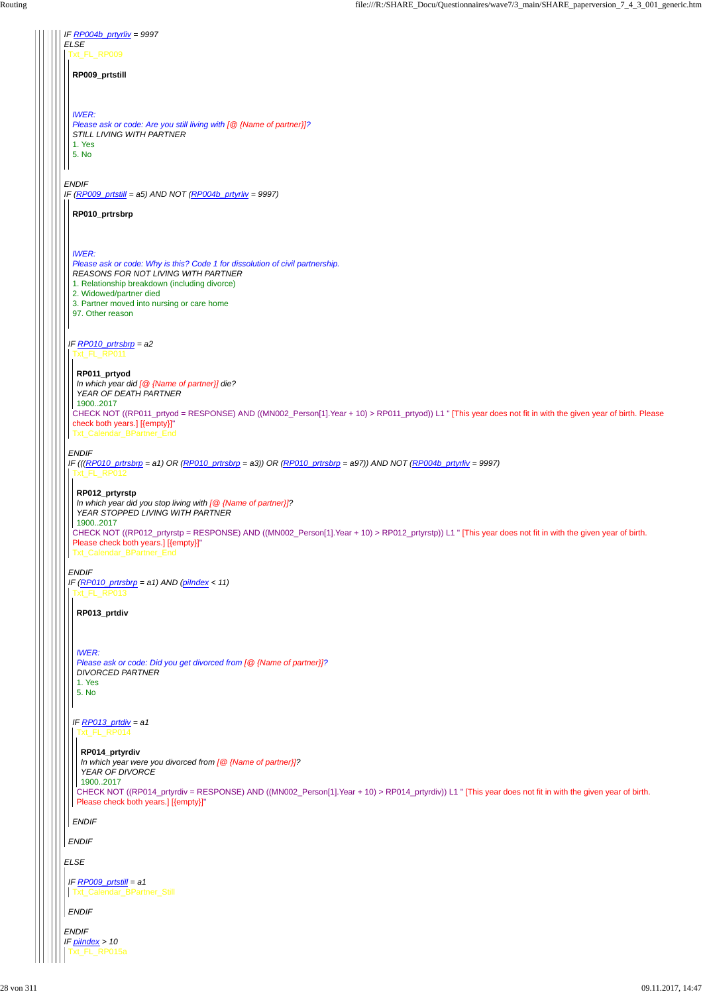| IF $R$ <i>P004b_prtyrliv = 9997</i>                                                                                                                                                                                                                                                       |
|-------------------------------------------------------------------------------------------------------------------------------------------------------------------------------------------------------------------------------------------------------------------------------------------|
| <b>ELSE</b><br>Txt_FL_RP009                                                                                                                                                                                                                                                               |
| RP009_prtstill                                                                                                                                                                                                                                                                            |
| <b>IWER:</b><br>Please ask or code: Are you still living with [@ {Name of partner}]?<br>STILL LIVING WITH PARTNER<br>1. Yes<br>5. No                                                                                                                                                      |
| <b>ENDIF</b>                                                                                                                                                                                                                                                                              |
| IF $(RP009_{pr}$ tstill = a5) AND NOT $(RP004b_{pr}$ tyrliv = 9997)                                                                                                                                                                                                                       |
| RP010_prtrsbrp                                                                                                                                                                                                                                                                            |
|                                                                                                                                                                                                                                                                                           |
| <b>IWER:</b><br>Please ask or code: Why is this? Code 1 for dissolution of civil partnership.<br><b>REASONS FOR NOT LIVING WITH PARTNER</b><br>1. Relationship breakdown (including divorce)<br>2. Widowed/partner died<br>3. Partner moved into nursing or care home<br>97. Other reason |
| IF $RPO10\_ptrsbrp = a2$<br>Txt_FL_RP011                                                                                                                                                                                                                                                  |
| RP011_prtyod<br>In which year did [@ {Name of partner}] die?<br>YEAR OF DEATH PARTNER<br>19002017                                                                                                                                                                                         |
| CHECK NOT ((RP011_prtyod = RESPONSE) AND ((MN002_Person[1].Year + 10) > RP011_prtyod)) L1 " [This year does not fit in with the given year of birth. Please<br>check both years.] [{empty}]"<br>Txt_Calendar_BPartner_End                                                                 |
| <b>ENDIF</b><br>IF (((RP010_prtrsbrp = a1) OR (RP010_prtrsbrp = a3)) OR (RP010_prtrsbrp = a97)) AND NOT (RP004b_prtyrliv = 9997)<br>Txt_FL_RP012                                                                                                                                          |
| RP012_prtyrstp<br>In which year did you stop living with $[@$ {Name of partner}]?<br>YEAR STOPPED LIVING WITH PARTNER                                                                                                                                                                     |
| 19002017<br>CHECK NOT ((RP012_prtyrstp = RESPONSE) AND ((MN002_Person[1].Year + 10) > RP012_prtyrstp)) L1 " [This year does not fit in with the given year of birth.<br>Please check both years.] [{empty}]"<br>Txt_Calendar_BPartner_End                                                 |
| <b>ENDIF</b>                                                                                                                                                                                                                                                                              |
| IF $(RP010 prtrsbrp = a1)$ AND (pilndex < 11)<br>Txt_FL_RP013                                                                                                                                                                                                                             |
| RP013_prtdiv                                                                                                                                                                                                                                                                              |
| <b>IWER:</b><br>Please ask or code: Did you get divorced from [@ {Name of partner}]?<br><b>DIVORCED PARTNER</b><br>1. Yes<br>5. No                                                                                                                                                        |
| IF RP013_prtdiv = $a1$<br>FL RP014                                                                                                                                                                                                                                                        |

| RP014_prtyrdiv<br>In which year were you divorced from $[@$ {Name of partner}]?<br>YEAR OF DIVORCE<br>19002017<br>CHECK NOT ((RP014_prtyrdiv = RESPONSE) AND ((MN002_Person[1].Year + 10) > RP014_prtyrdiv)) L1 " [This year does not fit in with the given year of birth.<br>Please check both years.] [{empty}]" |
|--------------------------------------------------------------------------------------------------------------------------------------------------------------------------------------------------------------------------------------------------------------------------------------------------------------------|
| <b>ENDIF</b>                                                                                                                                                                                                                                                                                                       |
| <b>ENDIF</b>                                                                                                                                                                                                                                                                                                       |
| <b>ELSE</b>                                                                                                                                                                                                                                                                                                        |
| IF RP009_prtstill = $a1$<br>Txt_Calendar_BPartner_Still                                                                                                                                                                                                                                                            |
| <b>ENDIF</b>                                                                                                                                                                                                                                                                                                       |
| <b>ENDIF</b><br>IF pilndex $> 10$<br>FL RP015a                                                                                                                                                                                                                                                                     |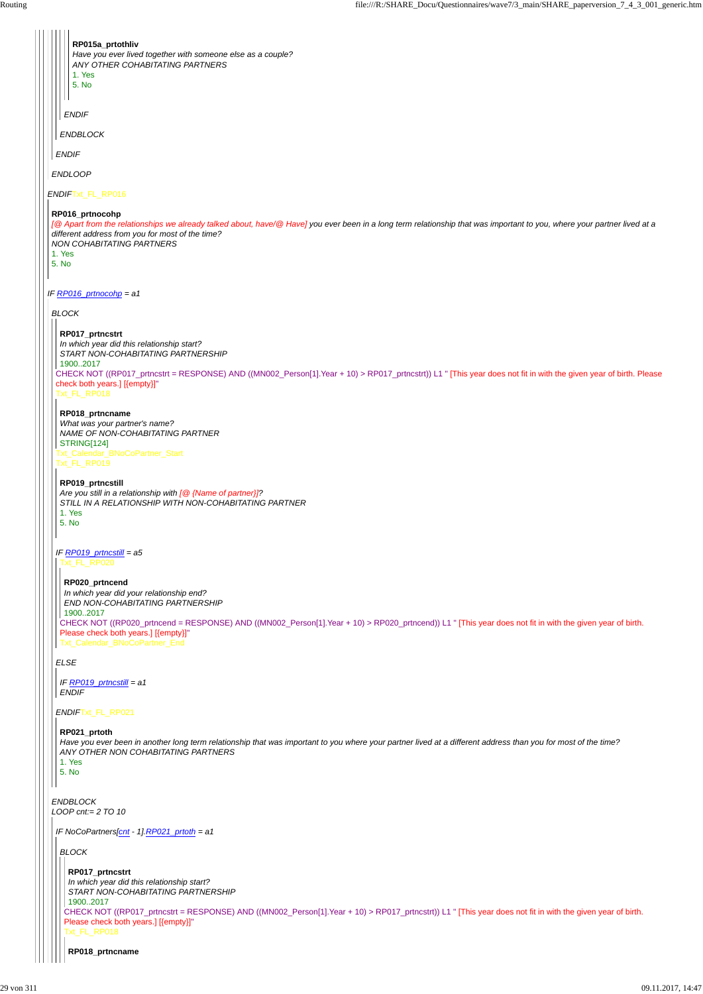| RP015a_prtothliv<br>Have you ever lived together with someone else as a couple?<br>ANY OTHER COHABITATING PARTNERS<br>1. Yes<br>5. No<br><b>ENDIF</b><br><b>ENDBLOCK</b><br><b>ENDIF</b>                                                                                                                                                                                                                                                                                                        |
|-------------------------------------------------------------------------------------------------------------------------------------------------------------------------------------------------------------------------------------------------------------------------------------------------------------------------------------------------------------------------------------------------------------------------------------------------------------------------------------------------|
| <b>ENDLOOP</b>                                                                                                                                                                                                                                                                                                                                                                                                                                                                                  |
| ENDIFTxt_FL_RP016                                                                                                                                                                                                                                                                                                                                                                                                                                                                               |
| RP016_prtnocohp<br>[@ Apart from the relationships we already talked about, have/@ Have] you ever been in a long term relationship that was important to you, where your partner lived at a<br>different address from you for most of the time?<br><b>NON COHABITATING PARTNERS</b><br>1. Yes<br>5. No                                                                                                                                                                                          |
| IF RP016_prtnocohp = a1                                                                                                                                                                                                                                                                                                                                                                                                                                                                         |
| <b>BLOCK</b>                                                                                                                                                                                                                                                                                                                                                                                                                                                                                    |
| RP017_prtncstrt<br>In which year did this relationship start?<br>START NON-COHABITATING PARTNERSHIP<br>19002017<br>CHECK NOT ((RP017_prtncstrt = RESPONSE) AND ((MN002_Person[1].Year + 10) > RP017_prtncstrt)) L1 " [This year does not fit in with the given year of birth. Please<br>check both years.] [{empty}]"<br>Txt_FL_RP018<br>RP018_prtncname<br>What was your partner's name?<br>NAME OF NON-COHABITATING PARTNER<br>STRING[124]<br>Txt_Calendar_BNoCoPartner_Start<br>Txt_FL_RP019 |
| RP019_prtncstill<br>Are you still in a relationship with $[@$ {Name of partner}]?<br>STILL IN A RELATIONSHIP WITH NON-COHABITATING PARTNER<br>1. Yes<br>5. No                                                                                                                                                                                                                                                                                                                                   |
| IF $RP019$ prtncstill = $a5$<br>Txt_FL_RP020<br>RP020_prtncend<br>In which year did your relationship end?                                                                                                                                                                                                                                                                                                                                                                                      |
| END NON-COHABITATING PARTNERSHIP<br>19002017<br>CHECK NOT ((RP020_prtncend = RESPONSE) AND ((MN002_Person[1].Year + 10) > RP020_prtncend)) L1 " [This year does not fit in with the given year of birth.<br>Please check both years.] [{empty}]"<br>Txt_Calendar_BNoCoPartner_End                                                                                                                                                                                                               |
| <b>ELSE</b>                                                                                                                                                                                                                                                                                                                                                                                                                                                                                     |
| IF $RP019$ prtncstill = a1<br><b>ENDIF</b>                                                                                                                                                                                                                                                                                                                                                                                                                                                      |
| ENDIFTxt_FL_RP021                                                                                                                                                                                                                                                                                                                                                                                                                                                                               |

```
ENDBLOCK
LOOP cnt:= 2 TO 10
  ANY OTHER NON COHABITATING PARTNERS
 1. Yes
 5. No
 IF NoCoPartners[cnt - 1].RP021_prtoth = a1
 BLOCK
   CHECK NOT ((RP017_prtncstrt = RESPONSE) AND ((MN002_Person[1].Year + 10) > RP017_prtncstrt)) L1 " [This year does not fit in with the given year of birth.
   Please check both years.] [{empty}]"
   Txt_FL_RP018
   RP017_prtncstrt
   In which year did this relationship start?
   START NON-COHABITATING PARTNERSHIP
   1900..2017
    RP018_prtncname
```
## **RP021\_prtoth**

*Have you ever been in another long term relationship that was important to you where your partner lived at a different address than you for most of the time?*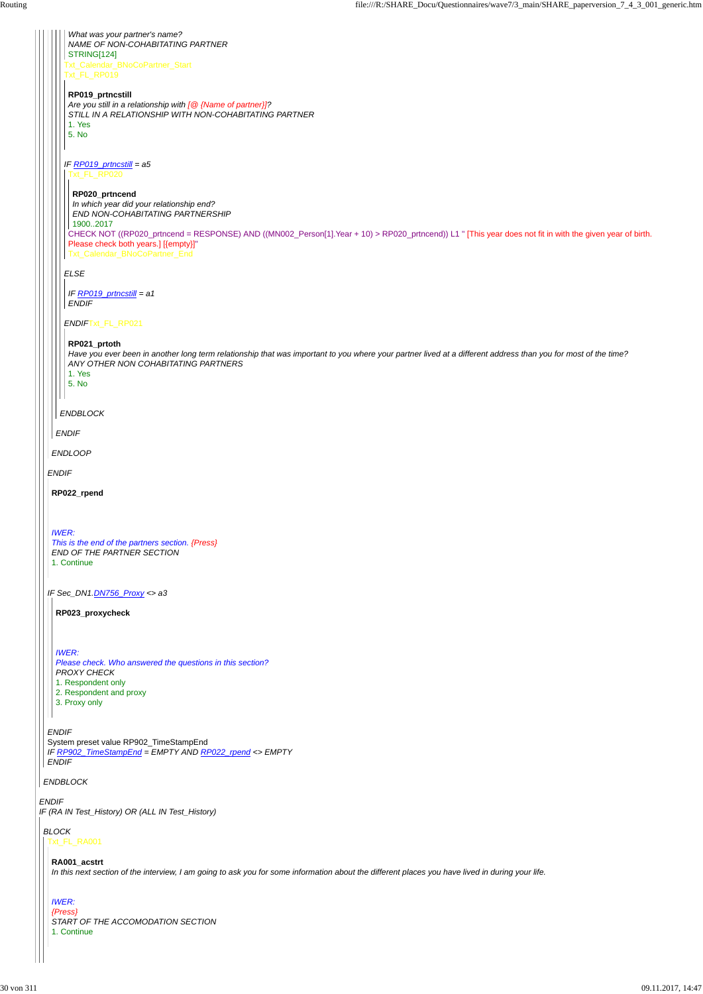*ENDIF* System preset value RP902\_TimeStampEnd

*ENDIF IF Sec\_DN1.DN756\_Proxy <> a3 ENDLOOP ENDIF ENDBLOCK* Txt\_Calendar\_BNoCoPartner\_Start Txt\_FL\_RP019 *IF RP019\_prtncstill = a5 ELSE ENDIF*Txt\_FL\_RP021 *What was your partner's name? NAME OF NON-COHABITATING PARTNER* STRING[124] **RP019\_prtncstill** *Are you still in a relationship with [@ {Name of partner}]? STILL IN A RELATIONSHIP WITH NON-COHABITATING PARTNER* 1. Yes 5. No Txt\_FL\_RP020 CHECK NOT ((RP020\_prtncend = RESPONSE) AND ((MN002\_Person[1].Year + 10) > RP020\_prtncend)) L1 " [This year does not fit in with the given year of birth. Please check both years.] [{empty}]" Txt\_Calendar\_BNoCoPartner\_End **RP020\_prtncend** *In which year did your relationship end? END NON-COHABITATING PARTNERSHIP* 1900..2017 *IF RP019\_prtncstill = a1 ENDIF* **RP021\_prtoth** *Have you ever been in another long term relationship that was important to you where your partner lived at a different address than you for most of the time? ANY OTHER NON COHABITATING PARTNERS* 1. Yes 5. No **RP022\_rpend** *IWER: This is the end of the partners section. {Press} END OF THE PARTNER SECTION* 1. Continue **RP023\_proxycheck** *IWER: Please check. Who answered the questions in this section? PROXY CHECK* 1. Respondent only 2. Respondent and proxy 3. Proxy only

|  | IF RP902_TimeStampEnd = EMPTY AND RP022_rpend <> EMPTY<br><b>ENDIF</b>                                                                                           |
|--|------------------------------------------------------------------------------------------------------------------------------------------------------------------|
|  | <b>ENDBLOCK</b>                                                                                                                                                  |
|  | <b>ENDIF</b><br>IF (RA IN Test_History) OR (ALL IN Test_History)                                                                                                 |
|  | <b>BLOCK</b><br>Txt_FL_RA001                                                                                                                                     |
|  | RA001_acstrt<br>In this next section of the interview, I am going to ask you for some information about the different places you have lived in during your life. |
|  | <b>IWER:</b><br>$\{Press\}$<br>START OF THE ACCOMODATION SECTION<br>1. Continue                                                                                  |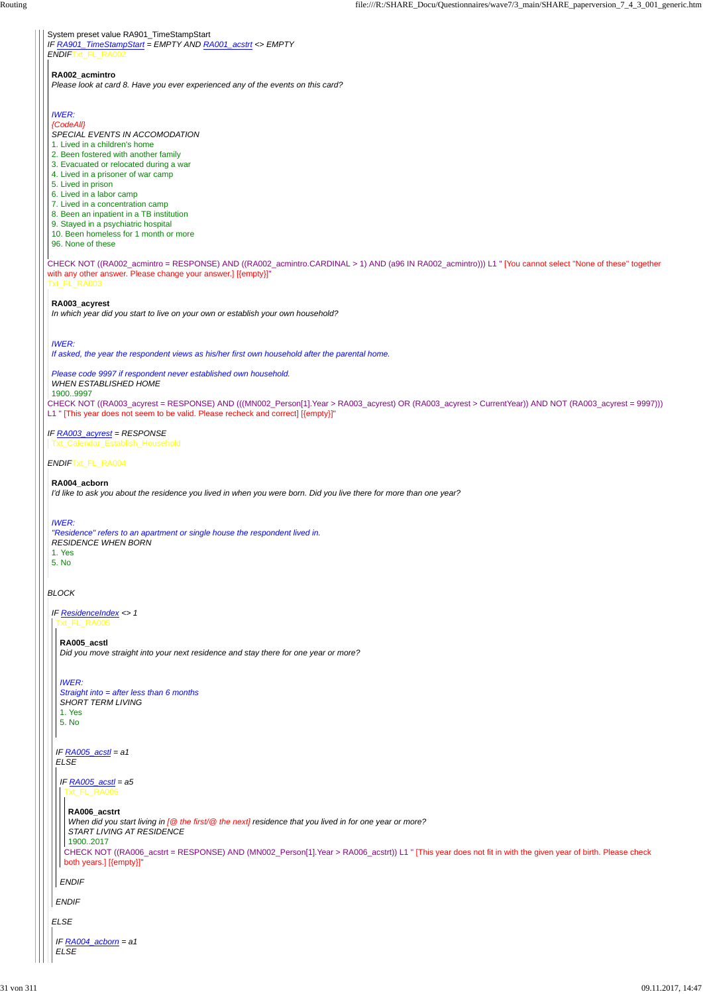System preset value RA901\_TimeStampStart *IF RA901\_TimeStampStart = EMPTY AND RA001\_acstrt <> EMPTY ENDIF*Txt\_FL\_RA002

CHECK NOT ((RA003\_acyrest = RESPONSE) AND (((MN002\_Person[1].Year > RA003\_acyrest) OR (RA003\_acyrest > CurrentYear)) AND NOT (RA003\_acyrest = 9997))) L1 " [This year does not seem to be valid. Please recheck and correct] [{empty}]"

CHECK NOT ((RA002\_acmintro = RESPONSE) AND ((RA002\_acmintro.CARDINAL > 1) AND (a96 IN RA002\_acmintro))) L1 " [You cannot select ''None of these'' together with any other answer. Please change your answer.] [{empty}]" Txt\_FL\_RA003

*ENDIF*Txt\_FL\_RA004

## *BLOCK*

### **RA002\_acmintro**

*Please look at card 8. Have you ever experienced any of the events on this card?*

## *IWER:*

*{CodeAll}*

*SPECIAL EVENTS IN ACCOMODATION*

- 1. Lived in a children's home
- 2. Been fostered with another family
- 3. Evacuated or relocated during a war
- 4. Lived in a prisoner of war camp
- 5. Lived in prison
- 6. Lived in a labor camp
- 7. Lived in a concentration camp
- 8. Been an inpatient in a TB institution
- 9. Stayed in a psychiatric hospital
- 10. Been homeless for 1 month or more
- 96. None of these

#### *IF RA003\_acyrest = RESPONSE* Txt\_Calendar\_Establish\_Household

#### **RA003\_acyrest**

*In which year did you start to live on your own or establish your own household?*

## *IWER:*

*If asked, the year the respondent views as his/her first own household after the parental home.*

*Please code 9997 if respondent never established own household. WHEN ESTABLISHED HOME* 1900..9997

#### **RA004\_acborn**

*I'd like to ask you about the residence you lived in when you were born. Did you live there for more than one year?*

#### *IWER:*

*"Residence" refers to an apartment or single house the respondent lived in. RESIDENCE WHEN BORN* 1. Yes 5. No

*IF ResidenceIndex <> 1* Txt\_FL\_RA005

**RA005\_acstl** *Did you move straight into your next residence and stay there for one year or more?*

## *IWER: Straight into = after less than 6 months SHORT TERM LIVING* 1. Yes 5. No

 $F \cap A \cap 2F = aI$ 

| IF RA005_acstl = $a1$<br><b>ELSE</b>                                                                                                                                                                                                                                                                                                                           |  |  |  |
|----------------------------------------------------------------------------------------------------------------------------------------------------------------------------------------------------------------------------------------------------------------------------------------------------------------------------------------------------------------|--|--|--|
| IF $RA005$ acstl = a5<br>Txt_FL_RA006                                                                                                                                                                                                                                                                                                                          |  |  |  |
| RA006_acstrt<br>When did you start living in $[@$ the first/ $@$ the next] residence that you lived in for one year or more?<br>START LIVING AT RESIDENCE<br>19002017<br>CHECK NOT ((RA006_acstrt = RESPONSE) AND (MN002_Person[1].Year > RA006_acstrt)) L1 " [This year does not fit in with the given year of birth. Please check<br>both years.] [{empty}]" |  |  |  |
| <b>ENDIF</b>                                                                                                                                                                                                                                                                                                                                                   |  |  |  |
| <b>ENDIF</b>                                                                                                                                                                                                                                                                                                                                                   |  |  |  |
| <b>ELSE</b>                                                                                                                                                                                                                                                                                                                                                    |  |  |  |
| IF RA004_acborn = $a1$<br>ELSE                                                                                                                                                                                                                                                                                                                                 |  |  |  |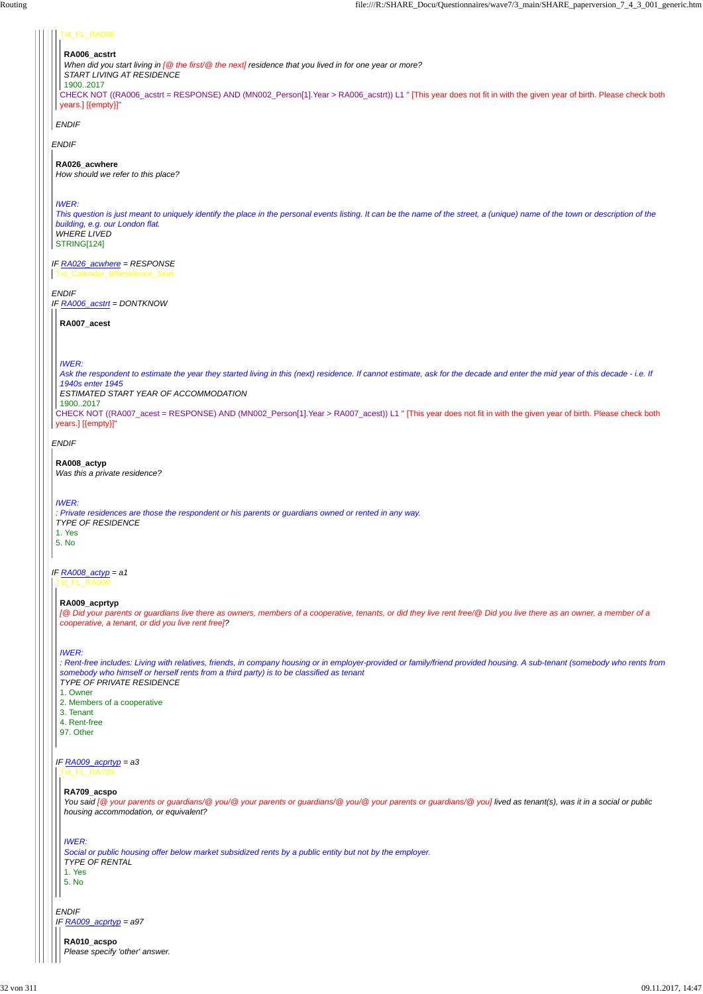*ENDIF*

## *IF RA026\_acwhere = RESPONSE*

*ENDIF IF RA006\_acstrt = DONTKNOW*

*ENDIF*

## *IF RA008\_actyp = a1*

*ENDIF*

#### Txt\_FL\_RA006

CHECK NOT ((RA006\_acstrt = RESPONSE) AND (MN002\_Person[1].Year > RA006\_acstrt)) L1 " [This year does not fit in with the given year of birth. Please check both years.] [{empty}]"

# **RA006\_acstrt**

*When did you start living in [@ the first/@ the next] residence that you lived in for one year or more?*

*START LIVING AT RESIDENCE*

1900..2017

#### **RA026\_acwhere**

*How should we refer to this place?*

## *IWER:*

*This question is just meant to uniquely identify the place in the personal events listing. It can be the name of the street, a (unique) name of the town or description of the building, e.g. our London flat. WHERE LIVED*

STRING[124]

Txt\_Calendar\_BResidence\_Start

CHECK NOT ((RA007\_acest = RESPONSE) AND (MN002\_Person[1].Year > RA007\_acest)) L1 " [This year does not fit in with the given year of birth. Please check both years.] [{empty}]"

#### **RA007\_acest**

*IWER:*

*Ask the respondent to estimate the year they started living in this (next) residence. If cannot estimate, ask for the decade and enter the mid year of this decade - i.e. If 1940s enter 1945*

*ESTIMATED START YEAR OF ACCOMMODATION*

## 1900..2017

## **RA008\_actyp**

*Was this a private residence?*

*IWER:*

*: Private residences are those the respondent or his parents or guardians owned or rented in any way. TYPE OF RESIDENCE* 1. Yes

5. No

Txt\_FL\_RA009

*ENDIF*

*IF RA009\_acprtyp = a97*

## **RA009\_acprtyp**

*[@ Did your parents or guardians live there as owners, members of a cooperative, tenants, or did they live rent free/@ Did you live there as an owner, a member of a cooperative, a tenant, or did you live rent free]?*

## *IWER:*

## *IF RA009\_acprtyp = a3* Txt\_FL\_RA709

*: Rent-free includes: Living with relatives, friends, in company housing or in employer-provided or family/friend provided housing. A sub-tenant (somebody who rents from somebody who himself or herself rents from a third party) is to be classified as tenant TYPE OF PRIVATE RESIDENCE*

- 1. Owner
- 2. Members of a cooperative
- 3. Tenant
- 4. Rent-free
- 97. Other

#### **RA709\_acspo**

*You said [@ your parents or guardians/@ you/@ your parents or guardians/@ you/@ your parents or guardians/@ you] lived as tenant(s), was it in a social or public housing accommodation, or equivalent?*

#### *IWER:*

*Social or public housing offer below market subsidized rents by a public entity but not by the employer.*

*TYPE OF RENTAL*

1. Yes

5. No

**RA010\_acspo**

*Please specify 'other' answer.*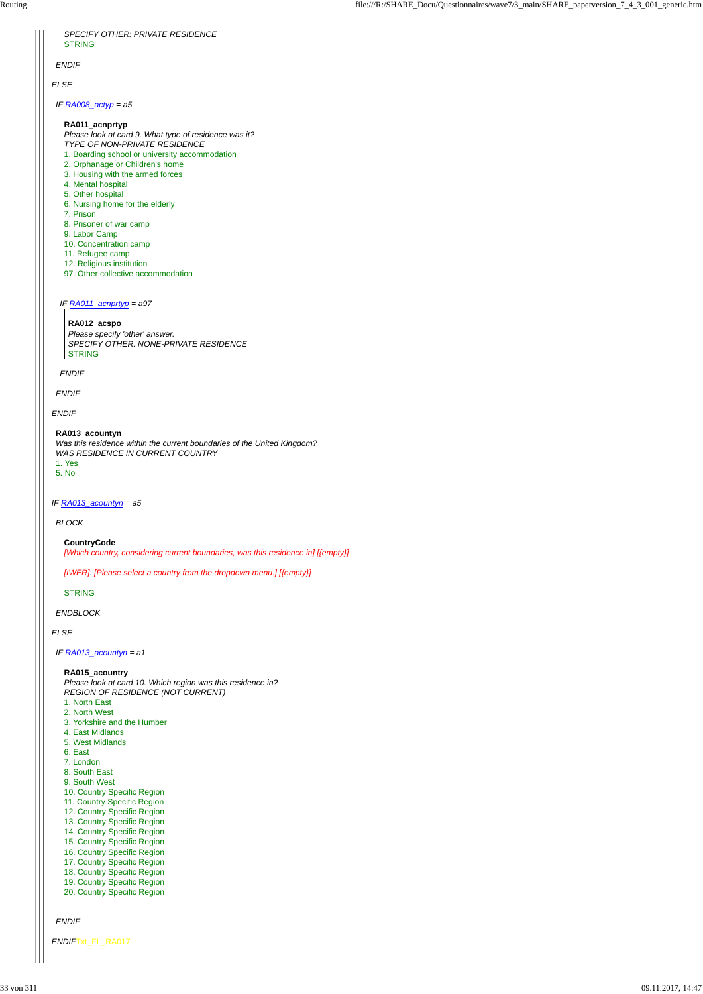*ENDIF*Txt\_FL\_RA017

| <b>SPECIFY OTHER: PRIVATE RESIDENCE</b><br><b>STRING</b>                                                                                                                                                                                                                                                                                                                                                                                                                                  |
|-------------------------------------------------------------------------------------------------------------------------------------------------------------------------------------------------------------------------------------------------------------------------------------------------------------------------------------------------------------------------------------------------------------------------------------------------------------------------------------------|
|                                                                                                                                                                                                                                                                                                                                                                                                                                                                                           |
| ENDIF                                                                                                                                                                                                                                                                                                                                                                                                                                                                                     |
| <b>ELSE</b>                                                                                                                                                                                                                                                                                                                                                                                                                                                                               |
| IF <b>RA008_actyp</b> = a5                                                                                                                                                                                                                                                                                                                                                                                                                                                                |
| RA011_acnprtyp<br>Please look at card 9. What type of residence was it?<br>TYPE OF NON-PRIVATE RESIDENCE<br>1. Boarding school or university accommodation<br>2. Orphanage or Children's home<br>3. Housing with the armed forces<br>4. Mental hospital<br>5. Other hospital<br>6. Nursing home for the elderly<br>7. Prison<br>8. Prisoner of war camp<br>9. Labor Camp<br>10. Concentration camp<br>11. Refugee camp<br>12. Religious institution<br>97. Other collective accommodation |
| IF RA011_acnprtyp = a97<br>RA012_acspo<br>Please specify 'other' answer.<br>SPECIFY OTHER: NONE-PRIVATE RESIDENCE<br><b>STRING</b><br><b>ENDIF</b>                                                                                                                                                                                                                                                                                                                                        |
| ENDIF                                                                                                                                                                                                                                                                                                                                                                                                                                                                                     |
| <b>ENDIF</b>                                                                                                                                                                                                                                                                                                                                                                                                                                                                              |
| RA013_acountyn<br>Was this residence within the current boundaries of the United Kingdom?<br><b>WAS RESIDENCE IN CURRENT COUNTRY</b><br>1. Yes<br>5. No                                                                                                                                                                                                                                                                                                                                   |
| IF $RA013$ acountyn = a5                                                                                                                                                                                                                                                                                                                                                                                                                                                                  |
| <b>BLOCK</b><br><b>CountryCode</b>                                                                                                                                                                                                                                                                                                                                                                                                                                                        |
| [Which country, considering current boundaries, was this residence in] [{empty}]                                                                                                                                                                                                                                                                                                                                                                                                          |
| [IWER]: [Please select a country from the dropdown menu.] [{empty}]                                                                                                                                                                                                                                                                                                                                                                                                                       |
| <b>STRING</b>                                                                                                                                                                                                                                                                                                                                                                                                                                                                             |
| <b>ENDBLOCK</b>                                                                                                                                                                                                                                                                                                                                                                                                                                                                           |
| <b>ELSE</b>                                                                                                                                                                                                                                                                                                                                                                                                                                                                               |
| IF $RA013$ acountyn = a1                                                                                                                                                                                                                                                                                                                                                                                                                                                                  |
| RA015_acountry<br>Please look at card 10. Which region was this residence in?<br><b>REGION OF RESIDENCE (NOT CURRENT)</b><br>1. North East                                                                                                                                                                                                                                                                                                                                                |

*ENDIF*

- 2. North West
- 3. Yorkshire and the Humber
- 4. East Midlands
- 5. West Midlands

|  | 6. East                     |
|--|-----------------------------|
|  | 7. London                   |
|  | 8. South East               |
|  | 9. South West               |
|  | 10. Country Specific Region |
|  | 11. Country Specific Region |
|  | 12. Country Specific Region |
|  | 13. Country Specific Region |
|  | 14. Country Specific Region |
|  | 15. Country Specific Region |
|  | 16. Country Specific Region |
|  | 17. Country Specific Region |
|  | 18. Country Specific Region |
|  | 19. Country Specific Region |
|  | 20. Country Specific Region |
|  |                             |
|  |                             |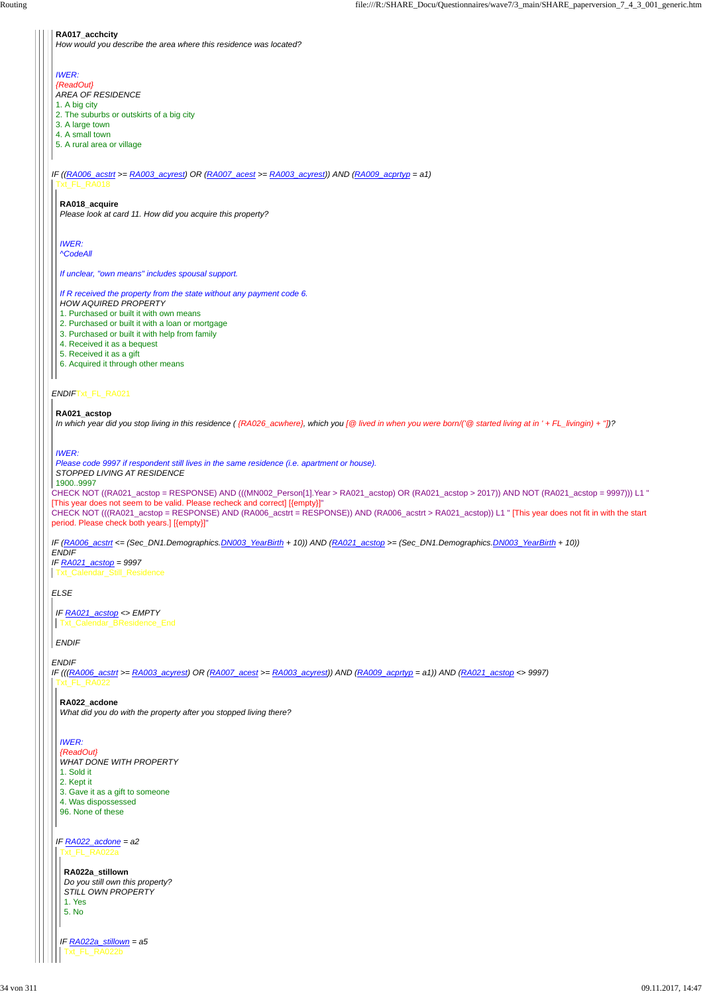## *ENDIF*Txt\_FL\_RA021

CHECK NOT ((RA021\_acstop = RESPONSE) AND (((MN002\_Person[1].Year > RA021\_acstop) OR (RA021\_acstop > 2017)) AND NOT (RA021\_acstop = 9997))) L1 " [This year does not seem to be valid. Please recheck and correct] [{empty}]"

CHECK NOT (((RA021\_acstop = RESPONSE) AND (RA006\_acstrt = RESPONSE)) AND (RA006\_acstrt > RA021\_acstop)) L1 " [This year does not fit in with the start period. Please check both years.] [{empty}]"

*IF ((RA006\_acstrt >= RA003\_acyrest) OR (RA007\_acest >= RA003\_acyrest)) AND (RA009\_acprtyp = a1)* Txt\_FL\_RA018

*IF (RA006\_acstrt <= (Sec\_DN1.Demographics.DN003\_YearBirth + 10)) AND (RA021\_acstop >= (Sec\_DN1.Demographics.DN003\_YearBirth + 10)) ENDIF*

## *ELSE*

*ENDIF*

#### **RA017\_acchcity**

*How would you describe the area where this residence was located?*

## *IWER:*

*{ReadOut}*

- *AREA OF RESIDENCE*
- 1. A big city
- 2. The suburbs or outskirts of a big city
- 3. A large town
- 4. A small town
- 5. A rural area or village

## **RA018\_acquire**

*Please look at card 11. How did you acquire this property?*

*IWER:*

*^CodeAll*

*If unclear, "own means" includes spousal support.*

#### *If R received the property from the state without any payment code 6. HOW AQUIRED PROPERTY*

*IF RA021\_acstop = 9997* Txt\_Calendar\_Still\_Residence

*IF (((RA006\_acstrt >= RA003\_acyrest) OR (RA007\_acest >= RA003\_acyrest)) AND (RA009\_acprtyp = a1)) AND (RA021\_acstop <> 9997)* Txt\_FL\_RA022

1. Purchased or built it with own means

- 2. Purchased or built it with a loan or mortgage
- 3. Purchased or built it with help from family
- 4. Received it as a bequest
- 5. Received it as a gift
- 6. Acquired it through other means

## **RA021\_acstop**

*In which year did you stop living in this residence ( {RA026\_acwhere}, which you [@ lived in when you were born/('@ started living at in ' + FL\_livingin) + ''])?*

## *IWER:*

*Please code 9997 if respondent still lives in the same residence (i.e. apartment or house).*

## *STOPPED LIVING AT RESIDENCE*

## 1900..9997

## *ENDIF*

*IF RA021\_acstop <> EMPTY* Txt\_Calendar\_BResidence\_End

## **RA022\_acdone**

*What did you do with the property after you stopped living there?*

*IWER:*

*{ReadOut}*

*IF RA022\_acdone = a2* Txt\_FL\_RA022a

*WHAT DONE WITH PROPERTY*

1. Sold it

2. Kept it

3. Gave it as a gift to someone

4. Was dispossessed

96. None of these

*IF RA022a\_stillown = a5* **RA022a\_stillown** *Do you still own this property? STILL OWN PROPERTY* 1. Yes 5. No

Txt\_FL\_RA022b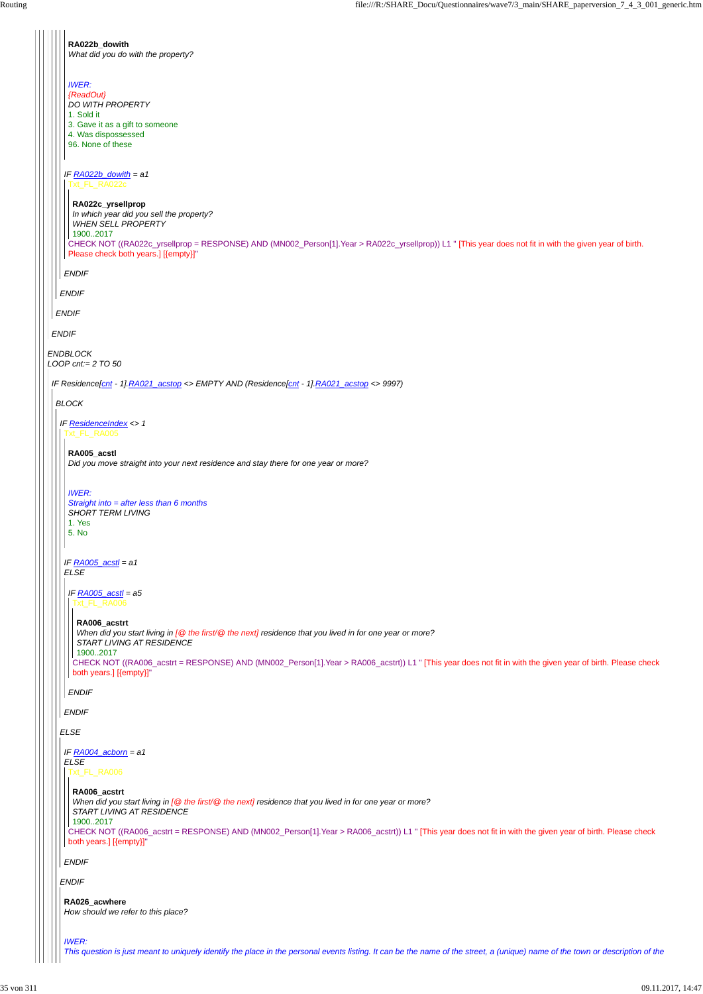|  | RA022b_dowith<br>What did you do with the property?                                                                                                                                                                                                                                                                                                            |
|--|----------------------------------------------------------------------------------------------------------------------------------------------------------------------------------------------------------------------------------------------------------------------------------------------------------------------------------------------------------------|
|  | <b>IWER:</b><br>{ReadOut}<br>DO WITH PROPERTY<br>1. Sold it<br>3. Gave it as a gift to someone<br>4. Was dispossessed<br>96. None of these                                                                                                                                                                                                                     |
|  | IF $RAO22b$ _dowith = a1<br>Txt_FL_RA022c<br>RA022c_yrsellprop<br>In which year did you sell the property?<br><b>WHEN SELL PROPERTY</b><br>19002017<br>CHECK NOT ((RA022c_yrsellprop = RESPONSE) AND (MN002_Person[1].Year > RA022c_yrsellprop)) L1 " [This year does not fit in with the given year of birth.<br>Please check both years.] [{empty}]"         |
|  | <b>ENDIF</b>                                                                                                                                                                                                                                                                                                                                                   |
|  | <b>ENDIF</b>                                                                                                                                                                                                                                                                                                                                                   |
|  | <b>ENDIF</b>                                                                                                                                                                                                                                                                                                                                                   |
|  | <b>ENDIF</b>                                                                                                                                                                                                                                                                                                                                                   |
|  | <b>ENDBLOCK</b><br>LOOP cnt:= $2$ TO 50                                                                                                                                                                                                                                                                                                                        |
|  | IF Residence[cnt - 1].RA021_acstop <> EMPTY AND (Residence[cnt - 1].RA021_acstop <> 9997)                                                                                                                                                                                                                                                                      |
|  | <b>BLOCK</b>                                                                                                                                                                                                                                                                                                                                                   |
|  | IF ResidenceIndex <> 1<br>Txt_FL_RA005                                                                                                                                                                                                                                                                                                                         |
|  | RA005_acstl<br>Did you move straight into your next residence and stay there for one year or more?                                                                                                                                                                                                                                                             |
|  | <b>IWER:</b><br>Straight into = after less than 6 months<br><b>SHORT TERM LIVING</b><br>1. Yes<br>5. No                                                                                                                                                                                                                                                        |
|  | IF $RA005$ $acstl = a1$<br><b>ELSE</b>                                                                                                                                                                                                                                                                                                                         |
|  | IF RA005_acstl = a5<br>Txt_FL_RA006                                                                                                                                                                                                                                                                                                                            |
|  | RA006_acstrt<br>When did you start living in $[@$ the first/ $@$ the next] residence that you lived in for one year or more?<br>START LIVING AT RESIDENCE<br>19002017<br>CHECK NOT ((RA006_acstrt = RESPONSE) AND (MN002_Person[1].Year > RA006_acstrt)) L1 " [This year does not fit in with the given year of birth. Please check<br>both years.] [{empty}]" |
|  | <b>ENDIF</b>                                                                                                                                                                                                                                                                                                                                                   |
|  | <b>ENDIF</b>                                                                                                                                                                                                                                                                                                                                                   |
|  | <b>ELSE</b>                                                                                                                                                                                                                                                                                                                                                    |

```
ENDIF
IF RA004_acborn = a1
   ELSE
  ENDIF
    Txt_FL_RA006
    CHECK NOT ((RA006_acstrt = RESPONSE) AND (MN002_Person[1].Year > RA006_acstrt)) L1 " [This year does not fit in with the given year of birth. Please check
  both years.] [{empty}]"
     RA006_acstrt
      When did you start living in [@ the first/@ the next] residence that you lived in for one year or more?
      START LIVING AT RESIDENCE
    1900..2017
   RA026_acwhere
   How should we refer to this place?
   IWER:
   This question is just meant to uniquely identify the place in the personal events listing. It can be the name of the street, a (unique) name of the town or description of the
```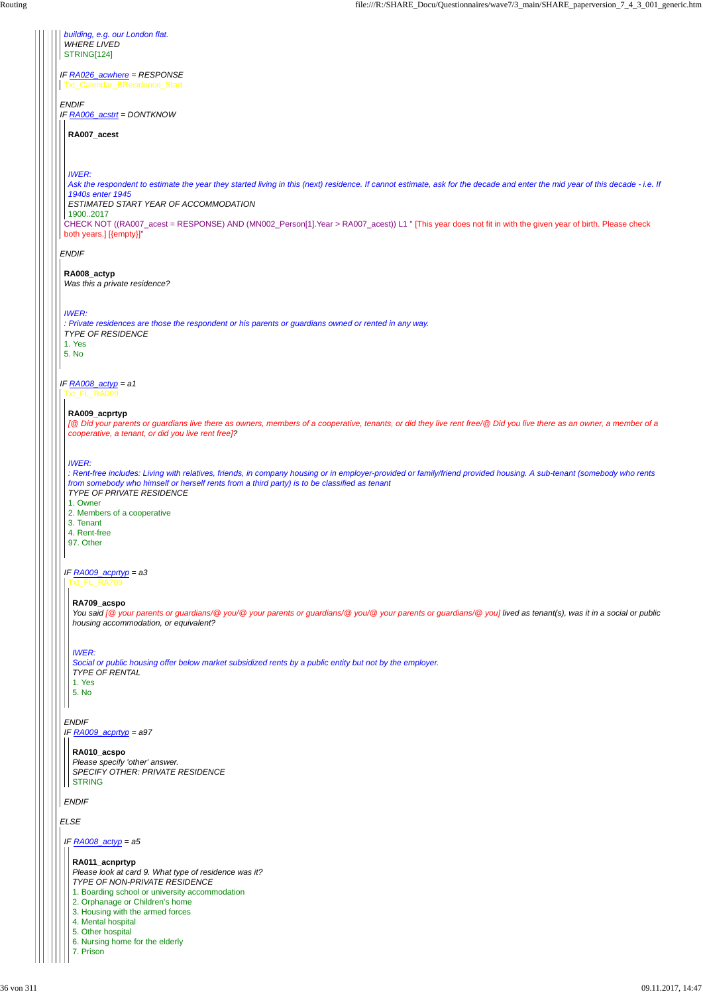*ENDIF IF RA006\_acstrt = DONTKNOW*

*ENDIF*

*IF RA008\_actyp = a1*

*IF RA026\_acwhere = RESPONSE* Txt\_Calendar\_BResidence\_Start

*ELSE*

*building, e.g. our London flat. WHERE LIVED* STRING[124]

CHECK NOT ((RA007\_acest = RESPONSE) AND (MN002\_Person[1].Year > RA007\_acest)) L1 " [This year does not fit in with the given year of birth. Please check both years.] [{empty}]"

**RA007\_acest**

*IWER:*

*Ask the respondent to estimate the year they started living in this (next) residence. If cannot estimate, ask for the decade and enter the mid year of this decade - i.e. If 1940s enter 1945*

*ESTIMATED START YEAR OF ACCOMMODATION*

1900..2017

**RA008\_actyp** *Was this a private residence?*

*IWER:*

*: Private residences are those the respondent or his parents or guardians owned or rented in any way. TYPE OF RESIDENCE*

1. Yes 5. No

Txt\_FL\_RA009

## *IF RA009\_acprtyp = a3*

*ENDIF IF RA009\_acprtyp = a97*

# *ENDIF*

#### **RA009\_acprtyp**

*[@ Did your parents or guardians live there as owners, members of a cooperative, tenants, or did they live rent free/@ Did you live there as an owner, a member of a cooperative, a tenant, or did you live rent free]?*

*IWER:*

*: Rent-free includes: Living with relatives, friends, in company housing or in employer-provided or family/friend provided housing. A sub-tenant (somebody who rents from somebody who himself or herself rents from a third party) is to be classified as tenant TYPE OF PRIVATE RESIDENCE*

1. Owner

2. Members of a cooperative

3. Tenant

4. Rent-free

97. Other

Txt\_FL\_RA709

#### **RA709\_acspo**

*You said [@ your parents or guardians/@ you/@ your parents or guardians/@ you/@ your parents or guardians/@ you] lived as tenant(s), was it in a social or public housing accommodation, or equivalent?*

#### *IWER:*

*Social or public housing offer below market subsidized rents by a public entity but not by the employer. TYPE OF RENTAL* 1. Yes 5. No

#### **RA010\_acspo**

*Please specify 'other' answer. SPECIFY OTHER: PRIVATE RESIDENCE* STRING

*IF RA008\_actyp = a5*

**RA011\_acnprtyp** *Please look at card 9. What type of residence was it? TYPE OF NON-PRIVATE RESIDENCE* 1. Boarding school or university accommodation 2. Orphanage or Children's home 3. Housing with the armed forces

4. Mental hospital

5. Other hospital

6. Nursing home for the elderly

7. Prison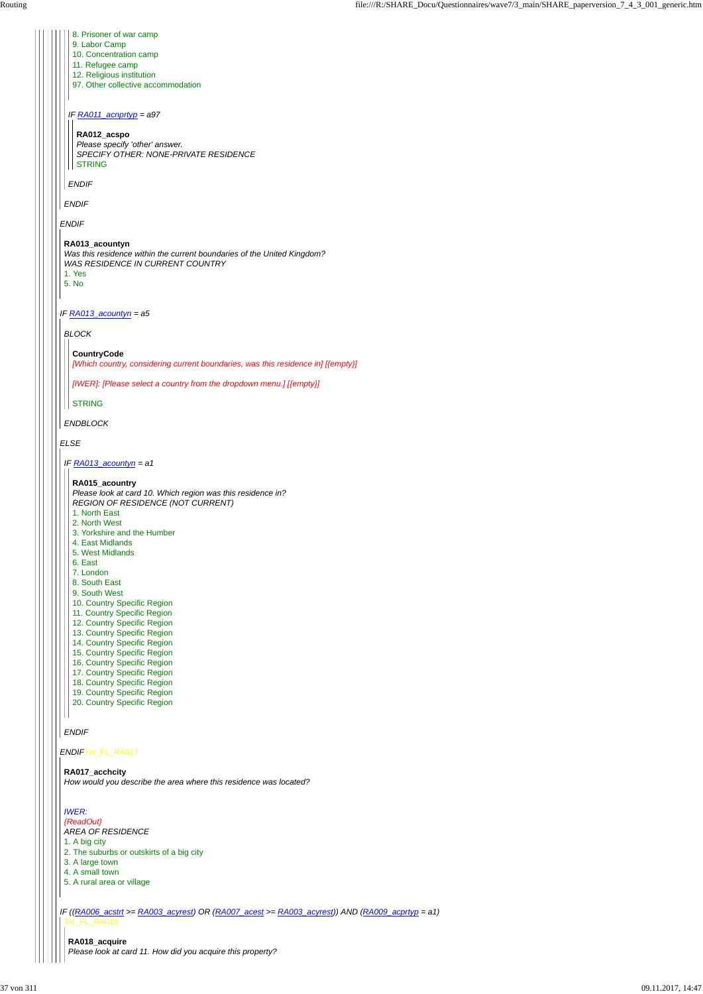### *ENDIF*Txt\_FL\_RA017

*ENDIF IF RA013\_acountyn = a5 ELSE ENDIF IF RA011\_acnprtyp = a97 ENDIF* 8. Prisoner of war camp 9. Labor Camp 10. Concentration camp 11. Refugee camp 12. Religious institution 97. Other collective accommodation **RA012\_acspo** *Please specify 'other' answer. SPECIFY OTHER: NONE-PRIVATE RESIDENCE* STRING **RA013\_acountyn** *Was this residence within the current boundaries of the United Kingdom? WAS RESIDENCE IN CURRENT COUNTRY* 1. Yes 5. No *BLOCK ENDBLOCK* **CountryCode** *[Which country, considering current boundaries, was this residence in] [{empty}] [IWER]: [Please select a country from the dropdown menu.] [{empty}]* STRING *IF RA013\_acountyn = a1 ENDIF* **RA015\_acountry** *Please look at card 10. Which region was this residence in? REGION OF RESIDENCE (NOT CURRENT)* 1. North East 2. North West 3. Yorkshire and the Humber 4. East Midlands 5. West Midlands 6. East 7. London 8. South East 9. South West 10. Country Specific Region 11. Country Specific Region 12. Country Specific Region 13. Country Specific Region 14. Country Specific Region 15. Country Specific Region 16. Country Specific Region 17. Country Specific Region 18. Country Specific Region 19. Country Specific Region 20. Country Specific Region

*IF ((RA006\_acstrt >= RA003\_acyrest) OR (RA007\_acest >= RA003\_acyrest)) AND (RA009\_acprtyp = a1)* Txt\_FL\_RA018

### **RA017\_acchcity**

*How would you describe the area where this residence was located?*

#### *IWER:*

*{ReadOut} AREA OF RESIDENCE*

1. A big city

- 2. The suburbs or outskirts of a big city
- 3. A large town
- 4. A small town
- 5. A rural area or village

**RA018\_acquire** *Please look at card 11. How did you acquire this property?*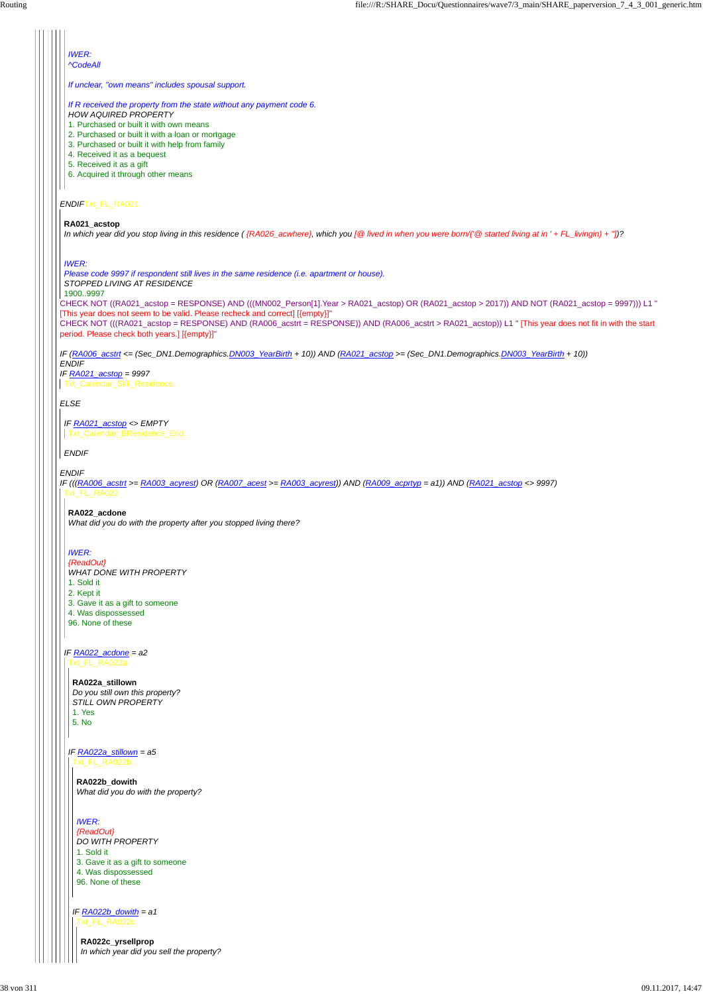| <b>IWER:</b><br><b>^CodeAll</b>                                                                                                                                                                                    |
|--------------------------------------------------------------------------------------------------------------------------------------------------------------------------------------------------------------------|
|                                                                                                                                                                                                                    |
| If unclear, "own means" includes spousal support.                                                                                                                                                                  |
| If R received the property from the state without any payment code 6.                                                                                                                                              |
| <b>HOW AQUIRED PROPERTY</b>                                                                                                                                                                                        |
| 1. Purchased or built it with own means                                                                                                                                                                            |
| 2. Purchased or built it with a loan or mortgage<br>3. Purchased or built it with help from family                                                                                                                 |
| 4. Received it as a bequest                                                                                                                                                                                        |
| 5. Received it as a gift                                                                                                                                                                                           |
| 6. Acquired it through other means                                                                                                                                                                                 |
|                                                                                                                                                                                                                    |
| ENDIFTxt_FL_RA021                                                                                                                                                                                                  |
| RA021 acstop                                                                                                                                                                                                       |
| In which year did you stop living in this residence ({RA026_acwhere}, which you $\lceil \mathcal{Q} \rceil$ lived in when you were born/( $\lceil \mathcal{Q} \rceil$ started living at in ' + FL_livingin) + "])? |
|                                                                                                                                                                                                                    |
| <b>IWER:</b>                                                                                                                                                                                                       |
| Please code 9997 if respondent still lives in the same residence (i.e. apartment or house).                                                                                                                        |
| STOPPED LIVING AT RESIDENCE<br>19009997                                                                                                                                                                            |
| CHECK NOT ((RA021_acstop = RESPONSE) AND (((MN002_Person[1].Year > RA021_acstop) OR (RA021_acstop > 2017)) AND NOT (RA021_acstop = 9997))) L1 "                                                                    |
| [This year does not seem to be valid. Please recheck and correct] [{empty}]"                                                                                                                                       |
| CHECK NOT (((RA021_acstop = RESPONSE) AND (RA006_acstrt = RESPONSE)) AND (RA006_acstrt > RA021_acstop)) L1 " [This year does not fit in with the start                                                             |
| period. Please check both years.] [{empty}]"                                                                                                                                                                       |
| IF (RA006_acstrt <= (Sec_DN1.Demographics.DN003_YearBirth + 10)) AND (RA021_acstop >= (Sec_DN1.Demographics.DN003_YearBirth + 10))                                                                                 |
| <b>ENDIF</b><br>IF $RA021$ acstop = 9997                                                                                                                                                                           |
| <b>Txt Calendar Still Residence</b>                                                                                                                                                                                |
|                                                                                                                                                                                                                    |
| <b>ELSE</b>                                                                                                                                                                                                        |
| IF RA021_acstop <> EMPTY                                                                                                                                                                                           |
| Txt Calendar BResidence End                                                                                                                                                                                        |
| <b>ENDIF</b>                                                                                                                                                                                                       |
|                                                                                                                                                                                                                    |
| <b>ENDIF</b>                                                                                                                                                                                                       |
| IF (((RA006_acstrt >= RA003_acyrest) OR (RA007_acest >= RA003_acyrest)) AND (RA009_acprtyp = a1)) AND (RA021_acstop <> 9997)<br>Txt_FL_RA022                                                                       |
|                                                                                                                                                                                                                    |
| RA022_acdone                                                                                                                                                                                                       |
| What did you do with the property after you stopped living there?                                                                                                                                                  |
|                                                                                                                                                                                                                    |
| <b>IWER:</b><br>{ReadOut}                                                                                                                                                                                          |
| <b>WHAT DONE WITH PROPERTY</b>                                                                                                                                                                                     |
| 1. Sold it                                                                                                                                                                                                         |
| 2. Kept it                                                                                                                                                                                                         |
| 3. Gave it as a gift to someone                                                                                                                                                                                    |

- | | | | 4. Was dispossessed
	- 96. None of these

*IF RA022\_acdone = a2* Txt\_FL\_RA022a

#### *IF RA022a\_stillown = a5* Txt\_FL\_RA022b

 $\mathsf{L}$ 

**RA022a\_stillown** *Do you still own this property? STILL OWN PROPERTY* 1. Yes 5. No

**RA022b\_dowith** *What did you do with the property?*

*IF RA022b\_dowith = a1* Txt\_FL\_RA022c

*IWER: {ReadOut} DO WITH PROPERTY* 1. Sold it 3. Gave it as a gift to someone 4. Was dispossessed 96. None of these

**RA022c\_yrsellprop** *In which year did you sell the property?*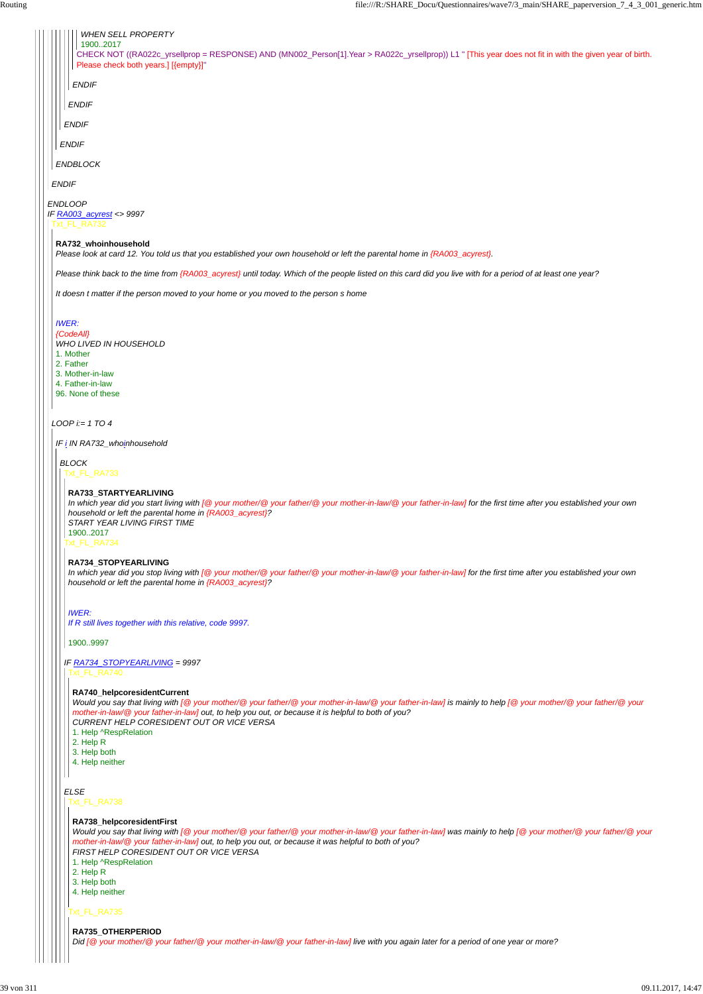*ENDIF*

*ENDBLOCK*

*ENDIF*

*ENDIF*

*ENDIF*

*ENDIF*

*ENDLOOP IF RA003\_acyrest <> 9997* Txt\_FL\_RA732

CHECK NOT ((RA022c\_yrsellprop = RESPONSE) AND (MN002\_Person[1].Year > RA022c\_yrsellprop)) L1 " [This year does not fit in with the given year of birth. Please check both years.] [{empty}]"

### *WHEN SELL PROPERTY*

| $\left\  \cdot \right\ $ (19002017) |
|-------------------------------------|
|                                     |

*LOOP i:= 1 TO 4*

### **RA732\_whoinhousehold**

*Please look at card 12. You told us that you established your own household or left the parental home in {RA003\_acyrest}.*

*Please think back to the time from {RA003\_acyrest} until today. Which of the people listed on this card did you live with for a period of at least one year?*

*It doesn t matter if the person moved to your home or you moved to the person s home*

### *IWER:*

*{CodeAll}*

- *WHO LIVED IN HOUSEHOLD*
- 1. Mother
- 2. Father
- 3. Mother-in-law
- 4. Father-in-law 96. None of these
- 

*IF i IN RA732\_whoinhousehold*

*BLOCK* Txt\_FL\_RA733

Txt\_FL\_RA734

*IF RA734\_STOPYEARLIVING = 9997*

### **RA733\_STARTYEARLIVING**

*In which year did you start living with [@ your mother/@ your father/@ your mother-in-law/@ your father-in-law] for the first time after you established your own household or left the parental home in {RA003\_acyrest}? START YEAR LIVING FIRST TIME* 1900..2017

### **RA734\_STOPYEARLIVING**

*In which year did you stop living with [@ your mother/@ your father/@ your mother-in-law/@ your father-in-law] for the first time after you established your own household or left the parental home in {RA003\_acyrest}?*

#### *ELSE* Txt\_FL\_RA738

*IWER:*

*If R still lives together with this relative, code 9997.*

1900..9997

Txt\_FL\_RA740

#### **RA740\_helpcoresidentCurrent**

*Would you say that living with [@ your mother/@ your father/@ your mother-in-law/@ your father-in-law] is mainly to help [@ your mother/@ your father/@ your mother-in-law/@ your father-in-law] out, to help you out, or because it is helpful to both of you? CURRENT HELP CORESIDENT OUT OR VICE VERSA* 1. Help ^RespRelation

2. Help R

#### 3. Help both 4. Help neither

### Txt\_FL\_RA735

### **RA738\_helpcoresidentFirst**

*Would you say that living with [@ your mother/@ your father/@ your mother-in-law/@ your father-in-law] was mainly to help [@ your mother/@ your father/@ your mother-in-law/@ your father-in-law] out, to help you out, or because it was helpful to both of you? FIRST HELP CORESIDENT OUT OR VICE VERSA* 1. Help ^RespRelation 2. Help R 3. Help both 4. Help neither

### **RA735\_OTHERPERIOD**

*Did [@ your mother/@ your father/@ your mother-in-law/@ your father-in-law] live with you again later for a period of one year or more?*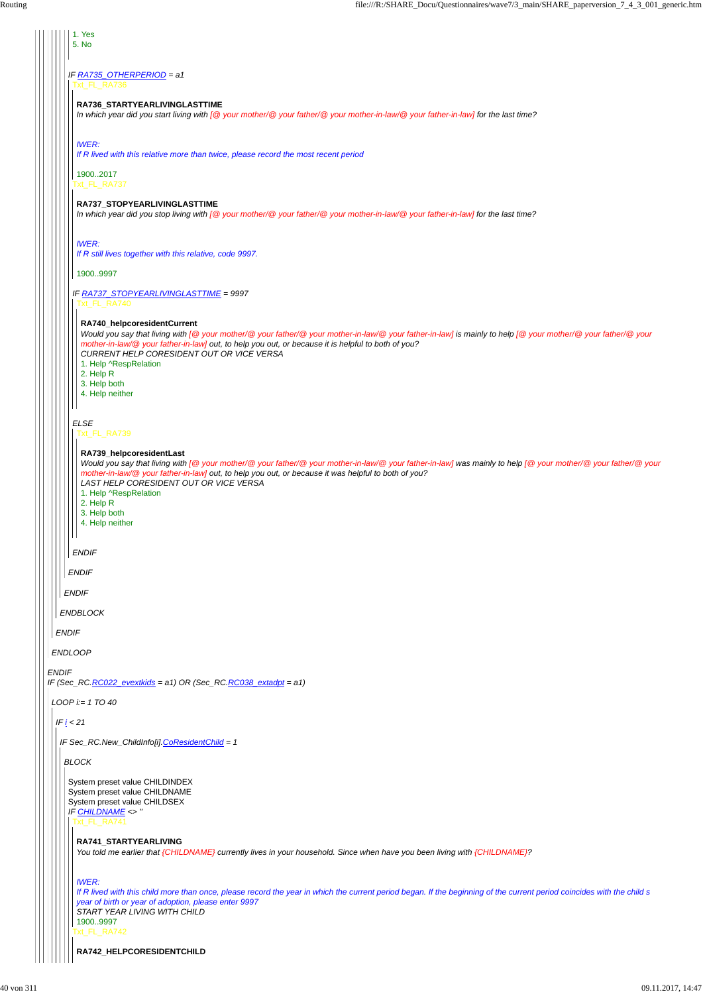|  | 1. Yes<br>5. No                                                                                                                                                                                                                                                                                                                                                                                                     |
|--|---------------------------------------------------------------------------------------------------------------------------------------------------------------------------------------------------------------------------------------------------------------------------------------------------------------------------------------------------------------------------------------------------------------------|
|  | IF RA735_OTHERPERIOD = a1<br>xt_FL_RA736                                                                                                                                                                                                                                                                                                                                                                            |
|  | RA736_STARTYEARLIVINGLASTTIME<br>In which year did you start living with [@ your mother/@ your father/@ your mother-in-law/@ your father-in-law] for the last time?                                                                                                                                                                                                                                                 |
|  | <b>IWER:</b><br>If R lived with this relative more than twice, please record the most recent period                                                                                                                                                                                                                                                                                                                 |
|  | 19002017<br>xt_FL_RA737                                                                                                                                                                                                                                                                                                                                                                                             |
|  | RA737_STOPYEARLIVINGLASTTIME<br>In which year did you stop living with [@ your mother/@ your father/@ your mother-in-law/@ your father-in-law] for the last time?                                                                                                                                                                                                                                                   |
|  | <b>IWER:</b><br>If R still lives together with this relative, code 9997.                                                                                                                                                                                                                                                                                                                                            |
|  | 19009997<br>IF RA737_STOPYEARLIVINGLASTTIME = 9997<br>Txt_FL_RA740                                                                                                                                                                                                                                                                                                                                                  |
|  | RA740_helpcoresidentCurrent<br>Would you say that living with [@ your mother/@ your father/@ your mother-in-law/@ your father-in-law] is mainly to help [@ your mother/@ your father/@ your<br>mother-in-law/@ your father-in-law] out, to help you out, or because it is helpful to both of you?<br>CURRENT HELP CORESIDENT OUT OR VICE VERSA<br>1. Help ^RespRelation<br>2. Help R<br>3. Help both                |
|  | 4. Help neither<br><b>ELSE</b><br>Txt_FL_RA739                                                                                                                                                                                                                                                                                                                                                                      |
|  | RA739_helpcoresidentLast<br>Would you say that living with [@ your mother/@ your father/@ your mother-in-law/@ your father-in-law] was mainly to help [@ your mother/@ your father/@ your<br>mother-in-law/@ your father-in-law] out, to help you out, or because it was helpful to both of you?<br>LAST HELP CORESIDENT OUT OR VICE VERSA<br>1. Help ^RespRelation<br>2. Help R<br>3. Help both<br>4. Help neither |
|  | <b>ENDIF</b>                                                                                                                                                                                                                                                                                                                                                                                                        |
|  | <b>ENDIF</b>                                                                                                                                                                                                                                                                                                                                                                                                        |
|  | <b>ENDIF</b>                                                                                                                                                                                                                                                                                                                                                                                                        |
|  | <b>ENDBLOCK</b>                                                                                                                                                                                                                                                                                                                                                                                                     |
|  | <b>ENDIF</b>                                                                                                                                                                                                                                                                                                                                                                                                        |
|  | <b>ENDLOOP</b>                                                                                                                                                                                                                                                                                                                                                                                                      |
|  | <b>ENDIF</b><br>IF (Sec_RC.RC022_evextkids = a1) OR (Sec_RC.RC038_extadpt = a1)                                                                                                                                                                                                                                                                                                                                     |
|  | $LOOP$ i:= 1 TO 40                                                                                                                                                                                                                                                                                                                                                                                                  |
|  | IF $i < 21$                                                                                                                                                                                                                                                                                                                                                                                                         |
|  | IF Sec_RC.New_ChildInfo[i].CoResidentChild = 1                                                                                                                                                                                                                                                                                                                                                                      |

*BLOCK*

System preset value CHILDINDEX System preset value CHILDNAME System preset value CHILDSEX *IF CHILDNAME <> ''* Txt\_FL\_RA741

### **RA741\_STARTYEARLIVING**

*You told me earlier that {CHILDNAME} currently lives in your household. Since when have you been living with {CHILDNAME}?*

#### *IWER:*

Txt\_FL\_RA742 *If R lived with this child more than once, please record the year in which the current period began. If the beginning of the current period coincides with the child s year of birth or year of adoption, please enter 9997 START YEAR LIVING WITH CHILD* 1900..9997

**RA742\_HELPCORESIDENTCHILD**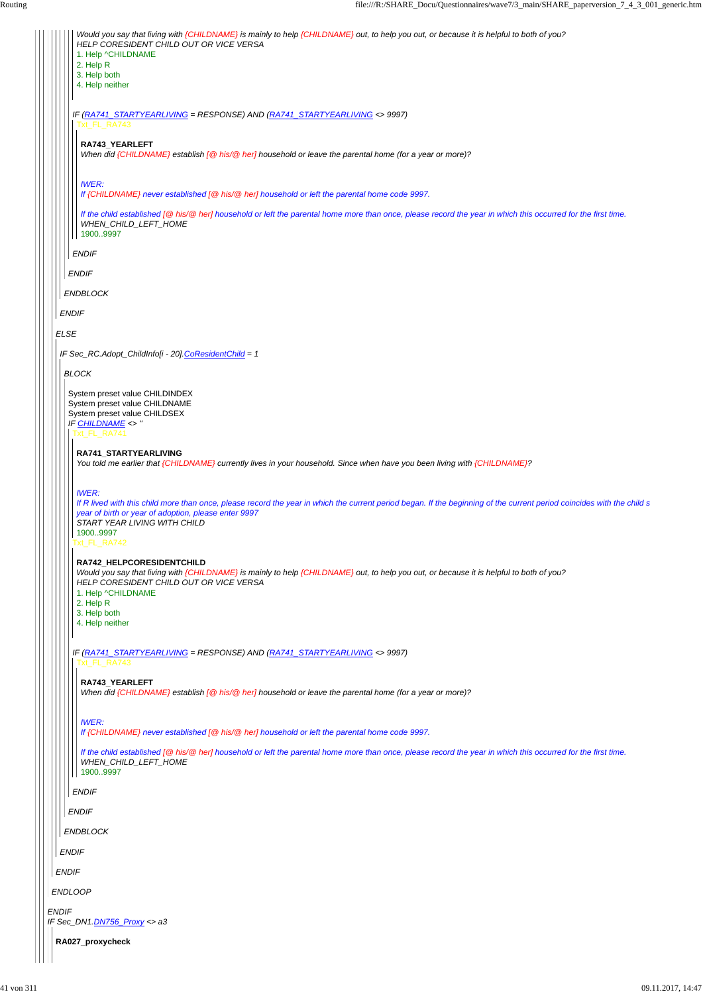| Would you say that living with {CHILDNAME} is mainly to help {CHILDNAME} out, to help you out, or because it is helpful to both of you?<br>HELP CORESIDENT CHILD OUT OR VICE VERSA                                                                                                                         |  |  |
|------------------------------------------------------------------------------------------------------------------------------------------------------------------------------------------------------------------------------------------------------------------------------------------------------------|--|--|
| 1. Help ^CHILDNAME<br>2. Help R                                                                                                                                                                                                                                                                            |  |  |
| 3. Help both                                                                                                                                                                                                                                                                                               |  |  |
| 4. Help neither                                                                                                                                                                                                                                                                                            |  |  |
| IF (RA741_STARTYEARLIVING = RESPONSE) AND (RA741_STARTYEARLIVING <> 9997)<br>Txt_FL_RA743                                                                                                                                                                                                                  |  |  |
| RA743_YEARLEFT<br>When did {CHILDNAME} establish [@ his/@ her] household or leave the parental home (for a year or more)?                                                                                                                                                                                  |  |  |
| <b>IWER:</b><br>If {CHILDNAME} never established [@ his/@ her] household or left the parental home code 9997.                                                                                                                                                                                              |  |  |
| If the child established [@ his/@ her] household or left the parental home more than once, please record the year in which this occurred for the first time.<br>WHEN CHILD LEFT HOME<br>19009997                                                                                                           |  |  |
| <b>ENDIF</b>                                                                                                                                                                                                                                                                                               |  |  |
| <b>ENDIF</b>                                                                                                                                                                                                                                                                                               |  |  |
| <b>ENDBLOCK</b>                                                                                                                                                                                                                                                                                            |  |  |
| <b>ENDIF</b>                                                                                                                                                                                                                                                                                               |  |  |
| <b>ELSE</b>                                                                                                                                                                                                                                                                                                |  |  |
| IF Sec_RC.Adopt_ChildInfo[i - 20].CoResidentChild = 1                                                                                                                                                                                                                                                      |  |  |
| <b>BLOCK</b>                                                                                                                                                                                                                                                                                               |  |  |
| System preset value CHILDINDEX<br>System preset value CHILDNAME<br>System preset value CHILDSEX<br><b>IF CHILDNAME &lt;&gt; "</b>                                                                                                                                                                          |  |  |
| Txt_FL_RA741                                                                                                                                                                                                                                                                                               |  |  |
| RA741_STARTYEARLIVING<br>You told me earlier that {CHILDNAME} currently lives in your household. Since when have you been living with {CHILDNAME}?                                                                                                                                                         |  |  |
| <b>IWER:</b><br>If R lived with this child more than once, please record the year in which the current period began. If the beginning of the current period coincides with the child s<br>year of birth or year of adoption, please enter 9997<br>START YEAR LIVING WITH CHILD<br>19009997<br>Txt_FL_RA742 |  |  |
| RA742_HELPCORESIDENTCHILD<br>Would you say that living with {CHILDNAME} is mainly to help {CHILDNAME} out, to help you out, or because it is helpful to both of you?<br>HELP CORESIDENT CHILD OUT OR VICE VERSA<br>1. Help ^CHILDNAME<br>2. Help R                                                         |  |  |
| 3. Help both<br>4. Help neither                                                                                                                                                                                                                                                                            |  |  |
| IF (RA741_STARTYEARLIVING = RESPONSE) AND (RA741_STARTYEARLIVING <> 9997)<br>Txt_FL_RA743                                                                                                                                                                                                                  |  |  |
| RA743 YEARLEFT<br>When did {CHILDNAME} establish [@ his/@ her] household or leave the parental home (for a year or more)?                                                                                                                                                                                  |  |  |
| <b>IWER:</b><br>If {CHILDNAME} never established [@ his/@ her] household or left the parental home code 9997.                                                                                                                                                                                              |  |  |

|              | If the child established [@ his/@ her] household or left the parental home more than once, please record the year in which this occurred for the first time.<br>WHEN_CHILD_LEFT_HOME<br>19009997 |
|--------------|--------------------------------------------------------------------------------------------------------------------------------------------------------------------------------------------------|
|              | <b>ENDIF</b>                                                                                                                                                                                     |
|              | <b>ENDIF</b>                                                                                                                                                                                     |
|              | ENDBLOCK                                                                                                                                                                                         |
|              | <b>ENDIF</b>                                                                                                                                                                                     |
|              | <b>ENDIF</b>                                                                                                                                                                                     |
|              | <b>ENDLOOP</b>                                                                                                                                                                                   |
| <b>ENDIF</b> |                                                                                                                                                                                                  |
|              | IF Sec_DN1.DN756_Proxy <> a3                                                                                                                                                                     |
|              | RA027_proxycheck                                                                                                                                                                                 |
|              |                                                                                                                                                                                                  |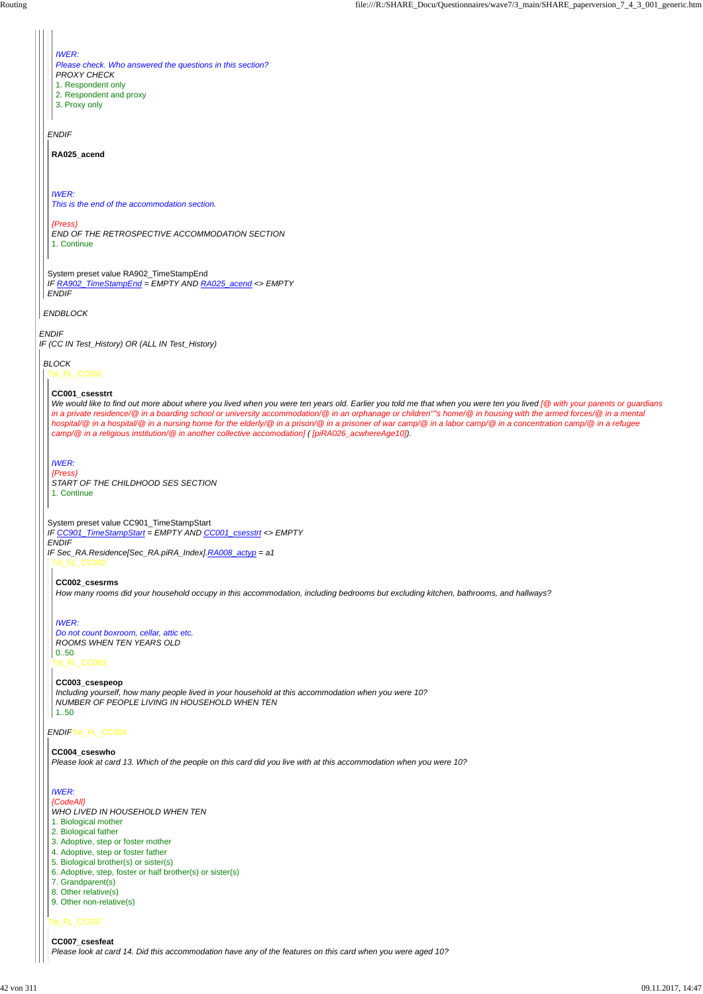#### *ENDIF*

*IF (CC IN Test\_History) OR (ALL IN Test\_History)*

*ENDBLOCK*

*ENDIF*

#### System preset value RA902\_TimeStampEnd *IF RA902\_TimeStampEnd = EMPTY AND RA025\_acend <> EMPTY*

*ENDIF*

# *IWER:*

*Please check. Who answered the questions in this section? PROXY CHECK*

- 1. Respondent only
- 2. Respondent and proxy
- 3. Proxy only

#### **RA025\_acend**

*IWER: This is the end of the accommodation section.*

#### *{Press}*

*END OF THE RETROSPECTIVE ACCOMMODATION SECTION* 1. Continue

### *BLOCK*

Txt\_FL\_CC001

*ENDIF*Txt\_FL\_CC004

### Txt\_FL\_CC007

#### **CC001\_csesstrt**

*Including yourself, how many people lived in your household at this accommodation when you were 10? NUMBER OF PEOPLE LIVING IN HOUSEHOLD WHEN TEN*  $|1..50$ 

System preset value CC901\_TimeStampStart *IF CC901\_TimeStampStart = EMPTY AND CC001\_csesstrt <> EMPTY ENDIF IF Sec\_RA.Residence[Sec\_RA.piRA\_Index].RA008\_actyp = a1* Txt\_FL\_CC002

*We would like to find out more about where you lived when you were ten years old. Earlier you told me that when you were ten you lived [@ with your parents or guardians in a private residence/@ in a boarding school or university accommodation/@ in an orphanage or children''''s home/@ in housing with the armed forces/@ in a mental hospital/@ in a hospital/@ in a nursing home for the elderly/@ in a prison/@ in a prisoner of war camp/@ in a labor camp/@ in a concentration camp/@ in a refugee camp/@ in a religious institution/@ in another collective accomodation] ( [piRA026\_acwhereAge10]).*

*IWER: {Press} START OF THE CHILDHOOD SES SECTION* 1. Continue

**CC002\_csesrms** *How many rooms did your household occupy in this accommodation, including bedrooms but excluding kitchen, bathrooms, and hallways?*

Txt\_FL\_CC003 *Do not count boxroom, cellar, attic etc. ROOMS WHEN TEN YEARS OLD* 0..50

### *IWER:*

# **CC003\_csespeop**

#### **CC004\_cseswho**

*Please look at card 13. Which of the people on this card did you live with at this accommodation when you were 10?*

#### *IWER:*

#### *{CodeAll}*

### *WHO LIVED IN HOUSEHOLD WHEN TEN*

- 1. Biological mother
- 2. Biological father
- 3. Adoptive, step or foster mother
- 4. Adoptive, step or foster father
- 5. Biological brother(s) or sister(s)
- 6. Adoptive, step, foster or half brother(s) or sister(s)
- 7. Grandparent(s)
- 8. Other relative(s)
- 9. Other non-relative(s)

#### **CC007\_csesfeat**

*Please look at card 14. Did this accommodation have any of the features on this card when you were aged 10?*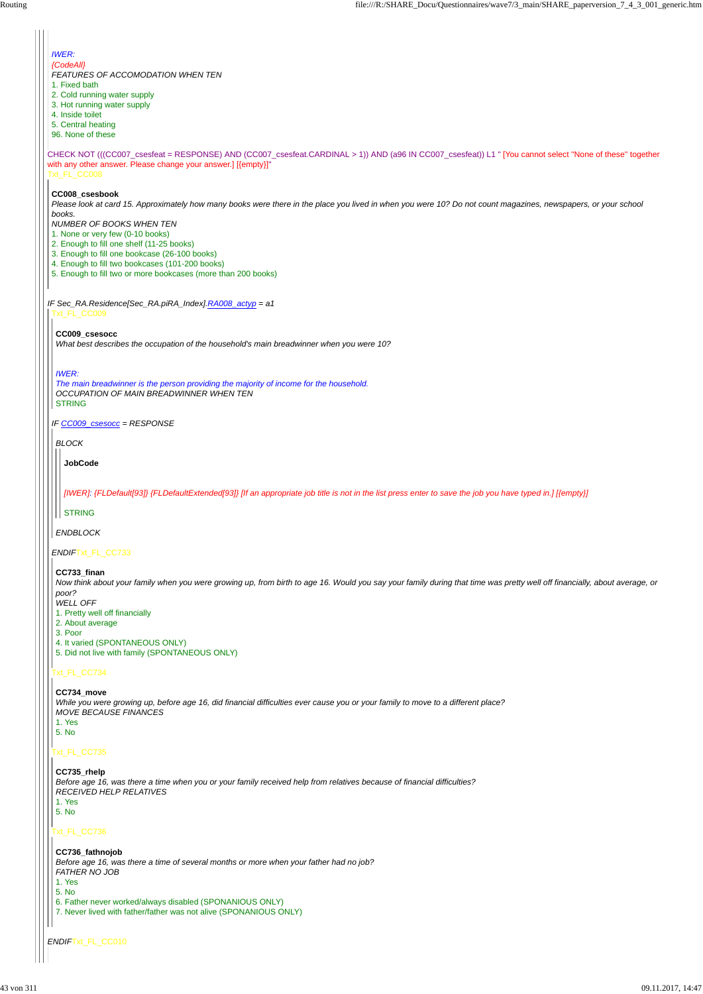#### *ENDIF*Txt\_FL\_CC010

CHECK NOT (((CC007\_csesfeat = RESPONSE) AND (CC007\_csesfeat.CARDINAL > 1)) AND (a96 IN CC007\_csesfeat)) L1 " [You cannot select ''None of these'' together with any other answer. Please change your answer.] [{empty}]" Txt\_FL\_CC008 *IF Sec\_RA.Residence[Sec\_RA.piRA\_Index].RA008\_actyp = a1 IWER: {CodeAll} FEATURES OF ACCOMODATION WHEN TEN* 1. Fixed bath 2. Cold running water supply 3. Hot running water supply 4. Inside toilet 5. Central heating 96. None of these **CC008\_csesbook** *Please look at card 15. Approximately how many books were there in the place you lived in when you were 10? Do not count magazines, newspapers, or your school books. NUMBER OF BOOKS WHEN TEN* 1. None or very few (0-10 books) 2. Enough to fill one shelf (11-25 books) 3. Enough to fill one bookcase (26-100 books) 4. Enough to fill two bookcases (101-200 books) 5. Enough to fill two or more bookcases (more than 200 books) Txt\_FL\_CC009 *IF CC009\_csesocc = RESPONSE ENDIF*Txt\_FL\_CC733 Txt\_FL\_CC734 **CC009\_csesocc** *What best describes the occupation of the household's main breadwinner when you were 10? IWER: The main breadwinner is the person providing the majority of income for the household. OCCUPATION OF MAIN BREADWINNER WHEN TEN* **STRING** *BLOCK ENDBLOCK* **JobCode** *[IWER]: {FLDefault[93]} {FLDefaultExtended[93]} [If an appropriate job title is not in the list press enter to save the job you have typed in.] [{empty}]* **STRING CC733\_finan** *Now think about your family when you were growing up, from birth to age 16. Would you say your family during that time was pretty well off financially, about average, or poor? WELL OFF* 1. Pretty well off financially 2. About average 3. Poor 4. It varied (SPONTANEOUS ONLY) 5. Did not live with family (SPONTANEOUS ONLY) **CC734\_move**

#### Txt\_FL\_CC735

#### Txt\_FL\_CC736

*While you were growing up, before age 16, did financial difficulties ever cause you or your family to move to a different place? MOVE BECAUSE FINANCES*

1. Yes 5. No

#### **CC735\_rhelp**

*Before age 16, was there a time when you or your family received help from relatives because of financial difficulties? RECEIVED HELP RELATIVES*

### 1. Yes

#### 5. No

#### **CC736\_fathnojob**

*Before age 16, was there a time of several months or more when your father had no job? FATHER NO JOB*

#### 1. Yes

#### 5. No

6. Father never worked/always disabled (SPONANIOUS ONLY)

7. Never lived with father/father was not alive (SPONANIOUS ONLY)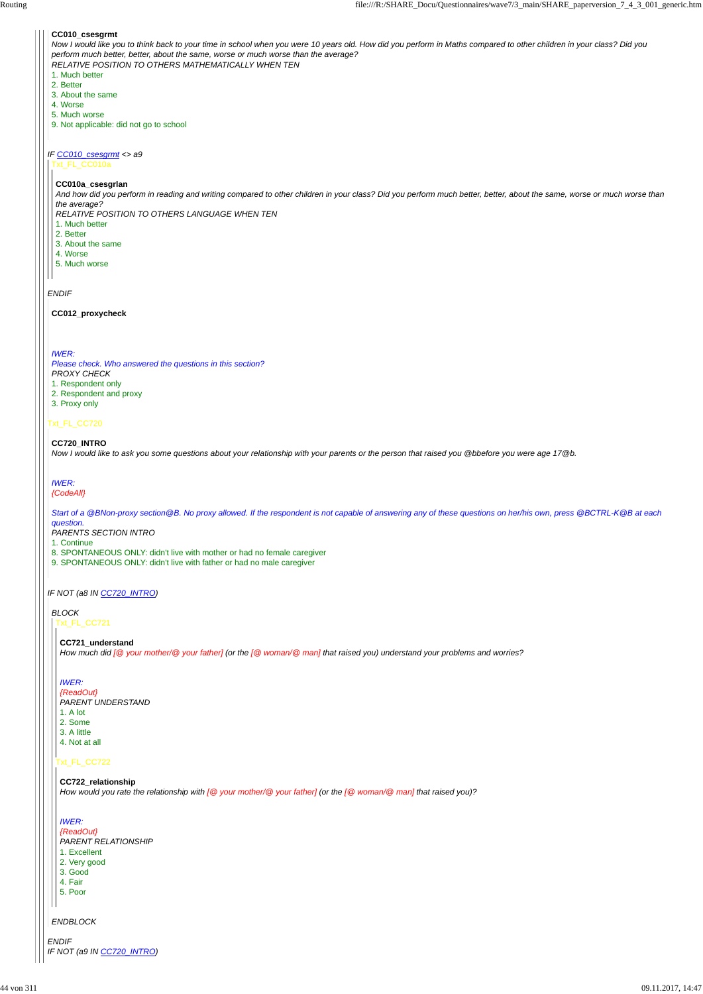### *IF CC010\_csesgrmt <> a9*

#### *ENDIF*

### Txt\_FL\_CC720

### *IF NOT (a8 IN CC720\_INTRO)*

*ENDIF IF NOT (a9 IN CC720\_INTRO)*

### **CC010\_csesgrmt**

*Now I would like you to think back to your time in school when you were 10 years old. How did you perform in Maths compared to other children in your class? Did you perform much better, better, about the same, worse or much worse than the average? RELATIVE POSITION TO OTHERS MATHEMATICALLY WHEN TEN* 1. Much better

- 2. Better
- 3. About the same
- 4. Worse
- 5. Much worse
- 9. Not applicable: did not go to school

#### Txt\_FL\_CC010a

#### **CC010a\_csesgrlan**

*And how did you perform in reading and writing compared to other children in your class? Did you perform much better, better, about the same, worse or much worse than the average?*

*RELATIVE POSITION TO OTHERS LANGUAGE WHEN TEN*

- 1. Much better
- 2. Better
- 3. About the same
- 4. Worse
- 5. Much worse

#### **CC012\_proxycheck**

#### *IWER:*

*Please check. Who answered the questions in this section?*

*PROXY CHECK*

- 1. Respondent only
- 2. Respondent and proxy
- 3. Proxy only

### **CC720\_INTRO**

*Now I would like to ask you some questions about your relationship with your parents or the person that raised you @bbefore you were age 17@b.*

# *IWER:*

*{CodeAll}*

*Start of a @BNon-proxy section@B. No proxy allowed. If the respondent is not capable of answering any of these questions on her/his own, press @BCTRL-K@B at each question.*

*PARENTS SECTION INTRO*

1. Continue

- 8. SPONTANEOUS ONLY: didn't live with mother or had no female caregiver
- 9. SPONTANEOUS ONLY: didn't live with father or had no male caregiver

# *BLOCK*

#### *ENDBLOCK*

Txt\_FL\_CC721

### Txt\_FL\_CC722

**CC721\_understand** *How much did [@ your mother/@ your father] (or the [@ woman/@ man] that raised you) understand your problems and worries?*

### *IWER:*

*{ReadOut} PARENT UNDERSTAND*

- 1. A lot
- 2. Some
- 3. A little
- 4. Not at all

#### **CC722\_relationship**

*How would you rate the relationship with [@ your mother/@ your father] (or the [@ woman/@ man] that raised you)?*

#### *IWER:*

*{ReadOut}*

*PARENT RELATIONSHIP*

#### 1. Excellent

2. Very good

3. Good

4. Fair

5. Poor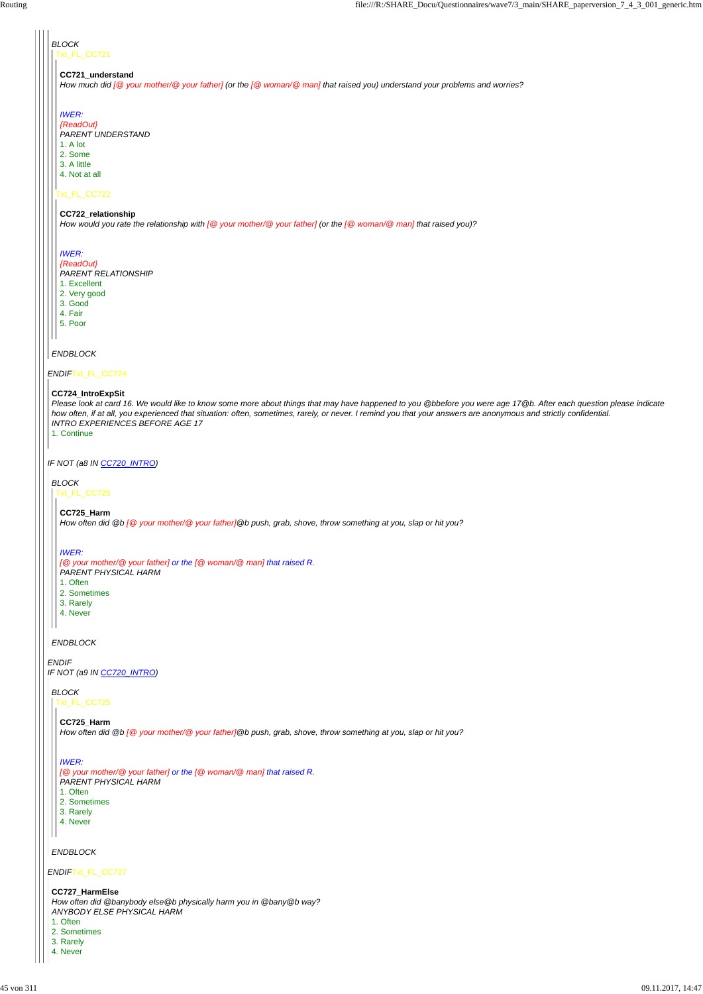### *ENDIF*Txt\_FL\_CC724

*IF NOT (a8 IN CC720\_INTRO)*

*ENDIF IF NOT (a9 IN CC720\_INTRO)*

#### *ENDIF*Txt\_FL\_CC727

#### *BLOCK* Txt\_FL\_CC721

## Txt\_FL\_CC722

### **CC721\_understand**

*How much did [@ your mother/@ your father] (or the [@ woman/@ man] that raised you) understand your problems and worries?*

#### *IWER:*

*{ReadOut} PARENT UNDERSTAND*

- 1. Excellent
- 2. Very good
- 3. Good
- 4. Fair
- 5. Poor
- *ENDBLOCK*
- 1. A lot
- 2. Some
- 3. A little
- 4. Not at all

# **CC722\_relationship**

*How would you rate the relationship with [@ your mother/@ your father] (or the [@ woman/@ man] that raised you)?*

### *IWER:*

*{ReadOut} PARENT RELATIONSHIP*

### **CC724\_IntroExpSit**

*Please look at card 16. We would like to know some more about things that may have happened to you @bbefore you were age 17@b. After each question please indicate how often, if at all, you experienced that situation: often, sometimes, rarely, or never. I remind you that your answers are anonymous and strictly confidential. INTRO EXPERIENCES BEFORE AGE 17*

1. Continue

*ENDBLOCK*

*BLOCK* Txt\_FL\_CC725

**CC725\_Harm**

*How often did @b [@ your mother/@ your father]@b push, grab, shove, throw something at you, slap or hit you?*

### *IWER:*

*[@ your mother/@ your father] or the [@ woman/@ man] that raised R. PARENT PHYSICAL HARM*

- 1. Often
- 2. Sometimes
- 3. Rarely
- 4. Never

### *ENDBLOCK*

*BLOCK* Txt\_FL\_CC725

> **CC725\_Harm** *How often did @b [@ your mother/@ your father]@b push, grab, shove, throw something at you, slap or hit you?*

#### *IWER:*

### *[@ your mother/@ your father] or the [@ woman/@ man] that raised R.*

*PARENT PHYSICAL HARM*

1. Often

#### 2. Sometimes

- 3. Rarely
- 4. Never

### **CC727\_HarmElse**

*How often did @banybody else@b physically harm you in @bany@b way? ANYBODY ELSE PHYSICAL HARM*

1. Often

#### 2. Sometimes

- 3. Rarely
- 4. Never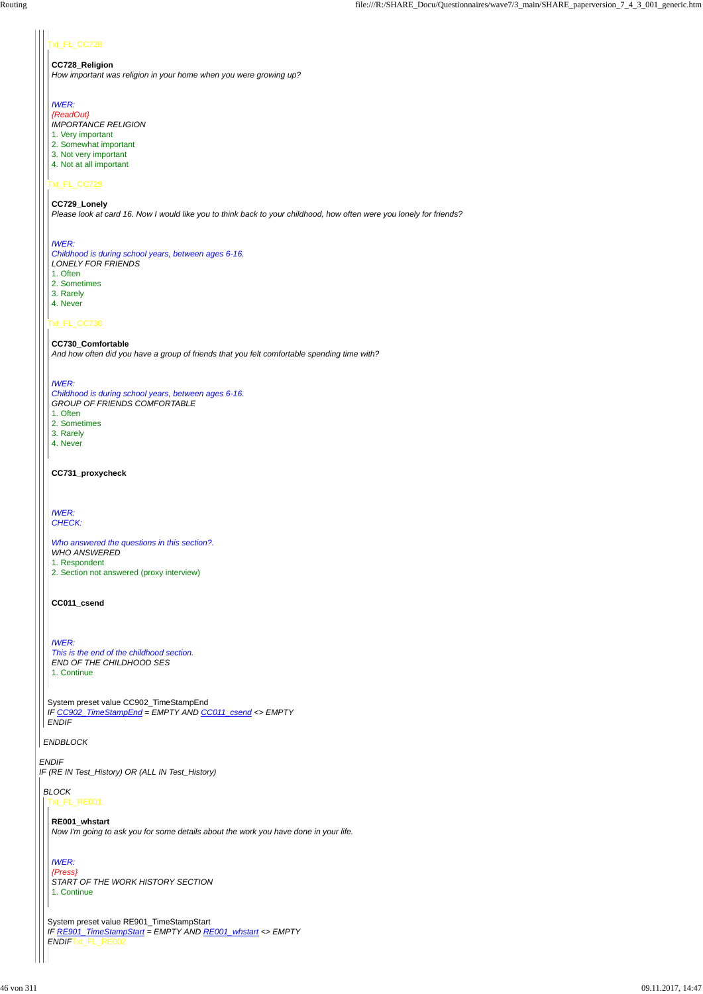### t\_FL\_CC728

#### *ENDIF*

*IF (RE IN Test\_History) OR (ALL IN Test\_History)*

*ENDBLOCK*

# Txt\_FL\_CC729

#### Txt\_FL\_CC730

System preset value CC902\_TimeStampEnd *IF CC902\_TimeStampEnd = EMPTY AND CC011\_csend <> EMPTY ENDIF*

#### **CC728\_Religion**

*How important was religion in your home when you were growing up?*

### *IWER:*

- *{ReadOut}*
- *IMPORTANCE RELIGION*
- 1. Very important
- 2. Somewhat important
- 3. Not very important
- 4. Not at all important

#### **CC729\_Lonely**

*Please look at card 16. Now I would like you to think back to your childhood, how often were you lonely for friends?*

### *IWER:*

*Childhood is during school years, between ages 6-16. LONELY FOR FRIENDS* 1. Often 2. Sometimes 3. Rarely

- 4. Never
- 

**CC730\_Comfortable** *And how often did you have a group of friends that you felt comfortable spending time with?*

#### *IWER:*

*Childhood is during school years, between ages 6-16. GROUP OF FRIENDS COMFORTABLE* 1. Often

- 2. Sometimes
- 3. Rarely
- 4. Never

### **CC731\_proxycheck**

*IWER: CHECK:*

*Who answered the questions in this section?. WHO ANSWERED* 1. Respondent 2. Section not answered (proxy interview)

#### **CC011\_csend**

### *IWER:*

*This is the end of the childhood section. END OF THE CHILDHOOD SES* 1. Continue

# *BLOCK*

### Txt\_FL\_RE001

System preset value RE901\_TimeStampStart *IF RE901\_TimeStampStart = EMPTY AND RE001\_whstart <> EMPTY ENDIF*Txt\_FL\_RE002

**RE001\_whstart** *Now I'm going to ask you for some details about the work you have done in your life.*

#### *IWER: {Press} START OF THE WORK HISTORY SECTION* 1. Continue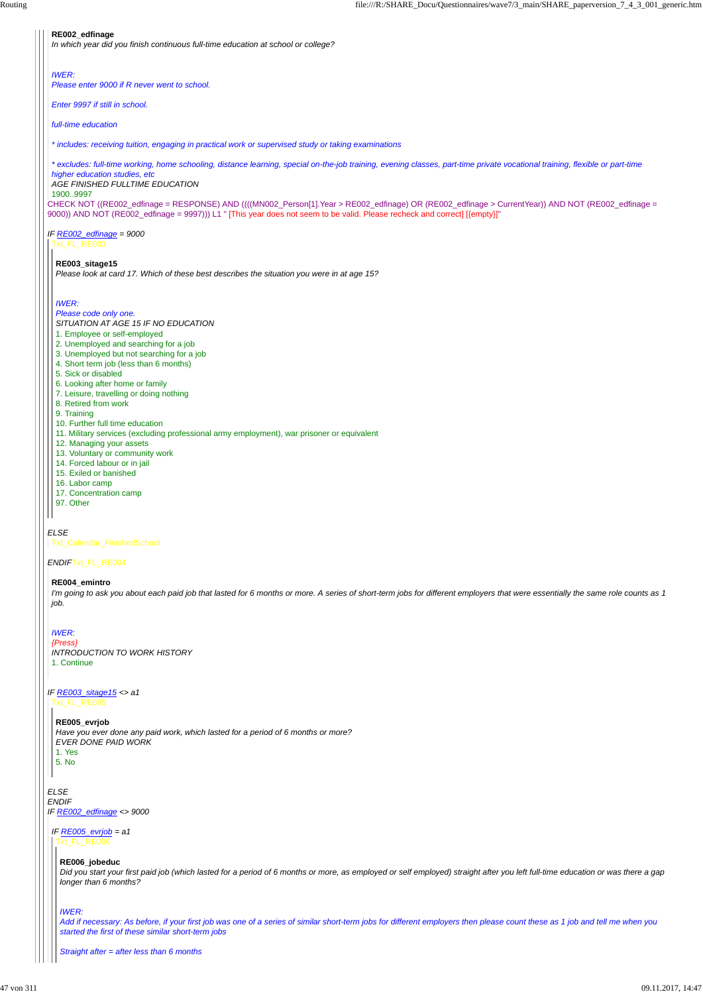CHECK NOT ((RE002\_edfinage = RESPONSE) AND ((((MN002\_Person[1].Year > RE002\_edfinage) OR (RE002\_edfinage > CurrentYear)) AND NOT (RE002\_edfinage = 9000)) AND NOT (RE002\_edfinage = 9997))) L1 " [This year does not seem to be valid. Please recheck and correct] [{empty}]"

# *IF RE002\_edfinage = 9000*

#### *ELSE*

#### *ENDIF*Txt\_FL\_RE004

#### *ELSE ENDIF IF RE002\_edfinage <> 9000*

#### **RE002\_edfinage**

*In which year did you finish continuous full-time education at school or college?*

#### *IWER:*

*Please enter 9000 if R never went to school.*

*Enter 9997 if still in school.*

*full-time education*

*\* includes: receiving tuition, engaging in practical work or supervised study or taking examinations*

*\* excludes: full-time working, home schooling, distance learning, special on-the-job training, evening classes, part-time private vocational training, flexible or part-time*

#### *higher education studies, etc AGE FINISHED FULLTIME EDUCATION*

1900..9997

Txt\_FL\_RE003

#### **RE003\_sitage15**

*Please look at card 17. Which of these best describes the situation you were in at age 15?*

#### *IWER:*

### *Please code only one.*

*SITUATION AT AGE 15 IF NO EDUCATION*

#### *IF RE003\_sitage15 <> a1* Txt\_FL\_RE005

- 1. Employee or self-employed
- 2. Unemployed and searching for a job
- 3. Unemployed but not searching for a job
- 4. Short term job (less than 6 months)
- 5. Sick or disabled
- 6. Looking after home or family
- 7. Leisure, travelling or doing nothing
- 8. Retired from work
- 9. Training
- 10. Further full time education
- 11. Military services (excluding professional army employment), war prisoner or equivalent
- 12. Managing your assets
- 13. Voluntary or community work
- 14. Forced labour or in jail
- 15. Exiled or banished
- 16. Labor camp
- 17. Concentration camp
- 97. Other

Txt\_Calendar\_FinishedSchool

#### **RE004\_emintro**

*I'm going to ask you about each paid job that lasted for 6 months or more. A series of short-term jobs for different employers that were essentially the same role counts as 1 job.*

### *IWER:*

*{Press} INTRODUCTION TO WORK HISTORY* 1. Continue

**RE005\_evrjob** *Have you ever done any paid work, which lasted for a period of 6 months or more? EVER DONE PAID WORK*

| ×  |
|----|
| ۰, |

*IF RE005\_evrjob = a1* Txt\_FL\_RE006

### **RE006\_jobeduc**

*Did you start your first paid job (which lasted for a period of 6 months or more, as employed or self employed) straight after you left full-time education or was there a gap longer than 6 months?*

#### *IWER:*

*Add if necessary: As before, if your first job was one of a series of similar short-term jobs for different employers then please count these as 1 job and tell me when you started the first of these similar short-term jobs*

*Straight after = after less than 6 months*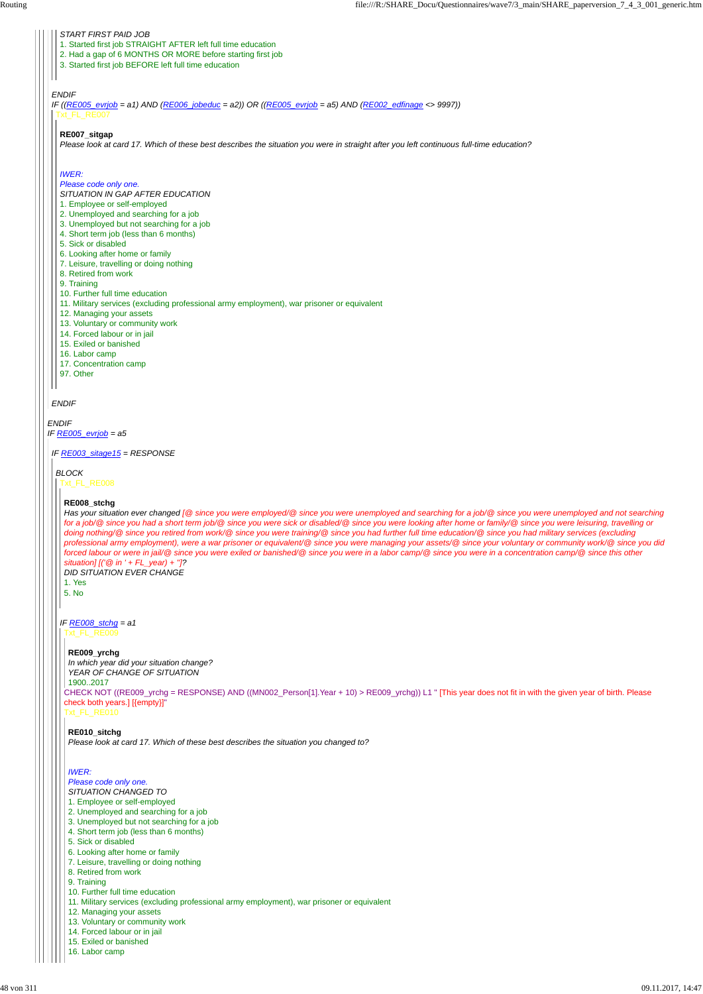#### *ENDIF*

*IF RE005\_evrjob = a5*

#### *ENDIF*

*ENDIF*

#### *START FIRST PAID JOB*

*IF ((RE005\_evrjob = a1) AND (RE006\_jobeduc = a2)) OR ((RE005\_evrjob = a5) AND (RE002\_edfinage <> 9997))* Txt\_FL\_RE007

- 1. Started first job STRAIGHT AFTER left full time education
- 2. Had a gap of 6 MONTHS OR MORE before starting first job
- 3. Started first job BEFORE left full time education

#### **RE007\_sitgap**

*Please look at card 17. Which of these best describes the situation you were in straight after you left continuous full-time education?*

#### *IWER:*

#### *Please code only one.*

*SITUATION IN GAP AFTER EDUCATION*

- 1. Employee or self-employed
- 2. Unemployed and searching for a job
- 3. Unemployed but not searching for a job
- 4. Short term job (less than 6 months)
- 5. Sick or disabled
- 6. Looking after home or family
- 7. Leisure, travelling or doing nothing
- 8. Retired from work
- 9. Training
- 10. Further full time education
- 11. Military services (excluding professional army employment), war prisoner or equivalent
- 12. Managing your assets
- 13. Voluntary or community work
- 14. Forced labour or in jail
- 15. Exiled or banished
- 16. Labor camp
- 17. Concentration camp
- 97. Other

*IF RE003\_sitage15 = RESPONSE*

### *BLOCK*

Txt\_FL\_RE008

#### **RE008\_stchg**

*Has your situation ever changed [@ since you were employed/@ since you were unemployed and searching for a job/@ since you were unemployed and not searching for a job/@ since you had a short term job/@ since you were sick or disabled/@ since you were looking after home or family/@ since you were leisuring, travelling or doing nothing/@ since you retired from work/@ since you were training/@ since you had further full time education/@ since you had military services (excluding professional army employment), were a war prisoner or equivalent/@ since you were managing your assets/@ since your voluntary or community work/@ since you did forced labour or were in jail/@ since you were exiled or banished/@ since you were in a labor camp/@ since you were in a concentration camp/@ since this other situation] [('@ in ' + FL\_year) + '']?*

*IF RE008\_stchg = a1* Txt\_FL\_RE009

*DID SITUATION EVER CHANGE*

1. Yes

5. No

CHECK NOT ((RE009\_yrchg = RESPONSE) AND ((MN002\_Person[1].Year + 10) > RE009\_yrchg)) L1 " [This year does not fit in with the given year of birth. Please check both years.] [{empty}]" Txt\_FL\_RE010 *In which year did your situation change? YEAR OF CHANGE OF SITUATION* 1900..2017

#### **RE009\_yrchg**

#### **RE010\_sitchg**

*Please look at card 17. Which of these best describes the situation you changed to?*

#### *IWER:*

*Please code only one.*

- *SITUATION CHANGED TO*
- 1. Employee or self-employed
- 2. Unemployed and searching for a job
- 3. Unemployed but not searching for a job
- 4. Short term job (less than 6 months)
- 5. Sick or disabled
- 6. Looking after home or family
- 7. Leisure, travelling or doing nothing
- 8. Retired from work
- 9. Training
- 10. Further full time education
- 11. Military services (excluding professional army employment), war prisoner or equivalent
- 12. Managing your assets
- 13. Voluntary or community work
- 14. Forced labour or in jail
- 15. Exiled or banished
- 16. Labor camp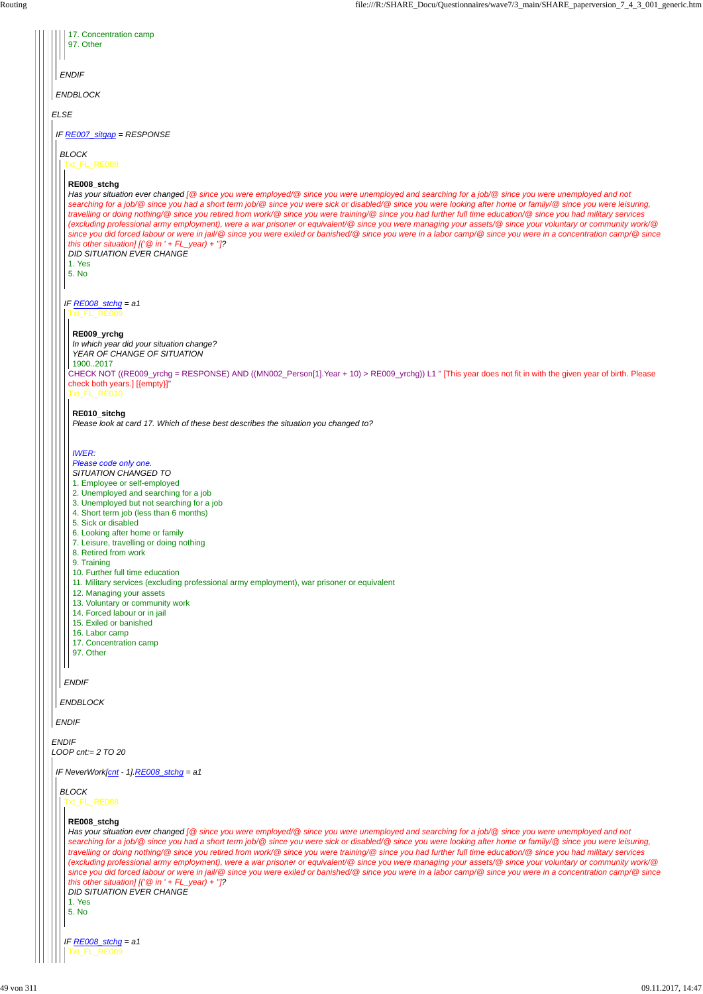*ENDIF*

*LOOP cnt:= 2 TO 20*

|             | 17. Concentration camp<br>97. Other                                                                                                                                                                                                                                                                                                                                                                                                                                                                                                                                                                                                                                                                                                                                                                                                                                                                                                                                                                     |
|-------------|---------------------------------------------------------------------------------------------------------------------------------------------------------------------------------------------------------------------------------------------------------------------------------------------------------------------------------------------------------------------------------------------------------------------------------------------------------------------------------------------------------------------------------------------------------------------------------------------------------------------------------------------------------------------------------------------------------------------------------------------------------------------------------------------------------------------------------------------------------------------------------------------------------------------------------------------------------------------------------------------------------|
|             |                                                                                                                                                                                                                                                                                                                                                                                                                                                                                                                                                                                                                                                                                                                                                                                                                                                                                                                                                                                                         |
|             | <b>ENDIF</b>                                                                                                                                                                                                                                                                                                                                                                                                                                                                                                                                                                                                                                                                                                                                                                                                                                                                                                                                                                                            |
|             | <b>ENDBLOCK</b>                                                                                                                                                                                                                                                                                                                                                                                                                                                                                                                                                                                                                                                                                                                                                                                                                                                                                                                                                                                         |
| <b>ELSE</b> |                                                                                                                                                                                                                                                                                                                                                                                                                                                                                                                                                                                                                                                                                                                                                                                                                                                                                                                                                                                                         |
|             | IF RE007 sitgap = RESPONSE                                                                                                                                                                                                                                                                                                                                                                                                                                                                                                                                                                                                                                                                                                                                                                                                                                                                                                                                                                              |
|             | <b>BLOCK</b><br>Txt_FL_RE008                                                                                                                                                                                                                                                                                                                                                                                                                                                                                                                                                                                                                                                                                                                                                                                                                                                                                                                                                                            |
|             | RE008_stchg<br>Has your situation ever changed [@ since you were employed/@ since you were unemployed and searching for a job/@ since you were unemployed and not<br>searching for a job/@ since you had a short term job/@ since you were sick or disabled/@ since you were looking after home or family/@ since you were leisuring,<br>travelling or doing nothing/@ since you retired from work/@ since you were training/@ since you had further full time education/@ since you had military services<br>(excluding professional army employment), were a war prisoner or equivalent/@ since you were managing your assets/@ since your voluntary or community work/@<br>since you did forced labour or were in jail/@ since you were exiled or banished/@ since you were in a labor camp/@ since you were in a concentration camp/@ since<br>this other situation] $[(\mathcal{O} \text{ in } ' + F\text{L}_\text{year}) + \mathcal{O}]$ ?<br><b>DID SITUATION EVER CHANGE</b><br>1. Yes<br>5. No |
|             | IF RE008_stchg = $a1$<br>Txt FL RE009                                                                                                                                                                                                                                                                                                                                                                                                                                                                                                                                                                                                                                                                                                                                                                                                                                                                                                                                                                   |
|             | RE009_yrchg<br>In which year did your situation change?<br>YEAR OF CHANGE OF SITUATION<br>19002017<br>CHECK NOT ((RE009_yrchg = RESPONSE) AND ((MN002_Person[1].Year + 10) > RE009_yrchg)) L1 " [This year does not fit in with the given year of birth. Please<br>check both years.] [{empty}]"<br>Txt_FL_RE010<br>RE010_sitchg                                                                                                                                                                                                                                                                                                                                                                                                                                                                                                                                                                                                                                                                        |
|             | Please look at card 17. Which of these best describes the situation you changed to?                                                                                                                                                                                                                                                                                                                                                                                                                                                                                                                                                                                                                                                                                                                                                                                                                                                                                                                     |
|             | <b>IWER:</b><br>Please code only one.<br>SITUATION CHANGED TO<br>1. Employee or self-employed<br>2. Unemployed and searching for a job<br>3. Unemployed but not searching for a job<br>4. Short term job (less than 6 months)<br>5. Sick or disabled<br>6. Looking after home or family<br>7. Leisure, travelling or doing nothing<br>8. Retired from work<br>9. Training<br>10. Further full time education<br>11. Military services (excluding professional army employment), war prisoner or equivalent<br>12. Managing your assets<br>13. Voluntary or community work<br>14. Forced labour or in jail<br>15. Exiled or banished<br>16. Labor camp<br>17. Concentration camp<br>97. Other                                                                                                                                                                                                                                                                                                            |
|             | <b>ENDIF</b>                                                                                                                                                                                                                                                                                                                                                                                                                                                                                                                                                                                                                                                                                                                                                                                                                                                                                                                                                                                            |
|             | <b>ENDBLOCK</b>                                                                                                                                                                                                                                                                                                                                                                                                                                                                                                                                                                                                                                                                                                                                                                                                                                                                                                                                                                                         |
|             | <b>ENDIF</b>                                                                                                                                                                                                                                                                                                                                                                                                                                                                                                                                                                                                                                                                                                                                                                                                                                                                                                                                                                                            |

### *IF NeverWork[cnt - 1].RE008\_stchg = a1*

# *BLOCK*

### Txt\_FL\_RE008

### **RE008\_stchg**

*IF RE008\_stchg = a1* Txt\_FL\_RE009

*Has your situation ever changed [@ since you were employed/@ since you were unemployed and searching for a job/@ since you were unemployed and not searching for a job/@ since you had a short term job/@ since you were sick or disabled/@ since you were looking after home or family/@ since you were leisuring, travelling or doing nothing/@ since you retired from work/@ since you were training/@ since you had further full time education/@ since you had military services (excluding professional army employment), were a war prisoner or equivalent/@ since you were managing your assets/@ since your voluntary or community work/@ since you did forced labour or were in jail/@ since you were exiled or banished/@ since you were in a labor camp/@ since you were in a concentration camp/@ since this other situation] [('@ in ' + FL\_year) + '']? DID SITUATION EVER CHANGE*

1. Yes

5. No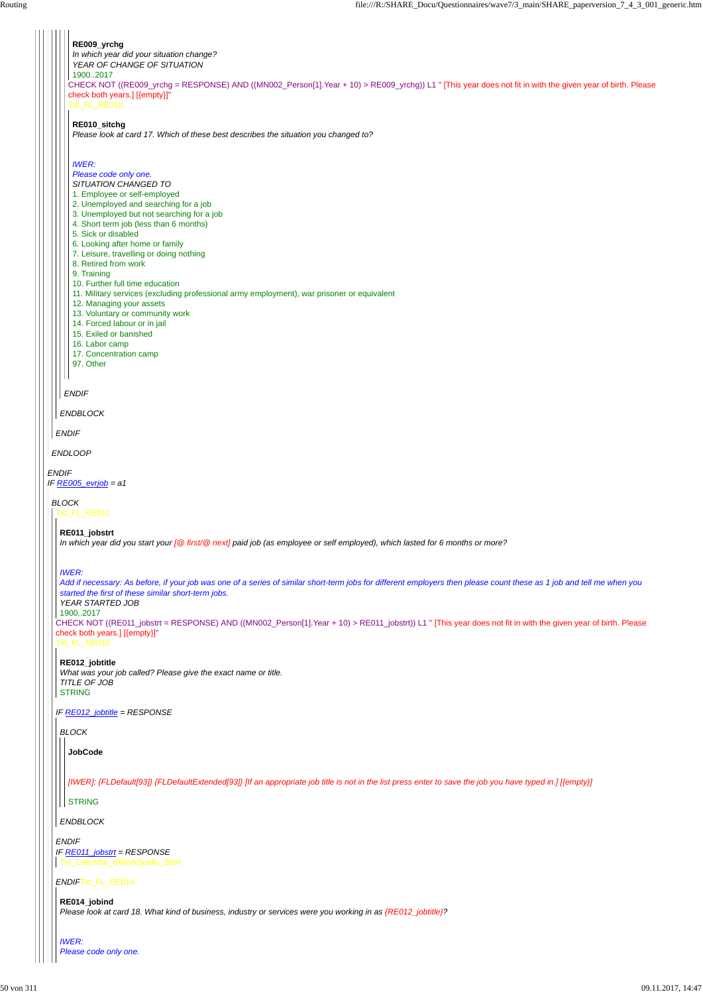*ENDIF IF RE005\_evrjob = a1 ENDLOOP ENDIF ENDBLOCK ENDIF* CHECK NOT ((RE009\_yrchg = RESPONSE) AND ((MN002\_Person[1].Year + 10) > RE009\_yrchg)) L1 " [This year does not fit in with the given year of birth. Please check both years.] [{empty}]" Txt\_FL\_RE010 **RE009\_yrchg** *In which year did your situation change? YEAR OF CHANGE OF SITUATION* 1900..2017 **RE010\_sitchg** *Please look at card 17. Which of these best describes the situation you changed to? IWER: Please code only one. SITUATION CHANGED TO* 1. Employee or self-employed 2. Unemployed and searching for a job 3. Unemployed but not searching for a job 4. Short term job (less than 6 months) 5. Sick or disabled 6. Looking after home or family 7. Leisure, travelling or doing nothing 8. Retired from work 9. Training 10. Further full time education 11. Military services (excluding professional army employment), war prisoner or equivalent 12. Managing your assets 13. Voluntary or community work 14. Forced labour or in jail 15. Exiled or banished 16. Labor camp 17. Concentration camp 97. Other *BLOCK* Txt\_FL\_RE011 CHECK NOT ((RE011\_jobstrt = RESPONSE) AND ((MN002\_Person[1].Year + 10) > RE011\_jobstrt)) L1 " [This year does not fit in with the given year of birth. Please check both years.] [{empty}]" Txt\_FL\_RE012 *IF RE012\_jobtitle = RESPONSE* **RE011\_jobstrt** *In which year did you start your [@ first/@ next] paid job (as employee or self employed), which lasted for 6 months or more? IWER: Add if necessary: As before, if your job was one of a series of similar short-term jobs for different employers then please count these as 1 job and tell me when you started the first of these similar short-term jobs. YEAR STARTED JOB* 1900..2017 **RE012\_jobtitle** *What was your job called? Please give the exact name or title. TITLE OF JOB* STRING *BLOCK* **JobCode**

*ENDIF*Txt\_FL\_RE014

*ENDIF IF RE011\_jobstrt = RESPONSE* Txt\_Calendar\_BWorkSpells\_Start

*ENDBLOCK*

*[IWER]: {FLDefault[93]} {FLDefaultExtended[93]} [If an appropriate job title is not in the list press enter to save the job you have typed in.] [{empty}]*

#### **STRING**

**RE014\_jobind** *Please look at card 18. What kind of business, industry or services were you working in as {RE012\_jobtitle}?*

*IWER: Please code only one.*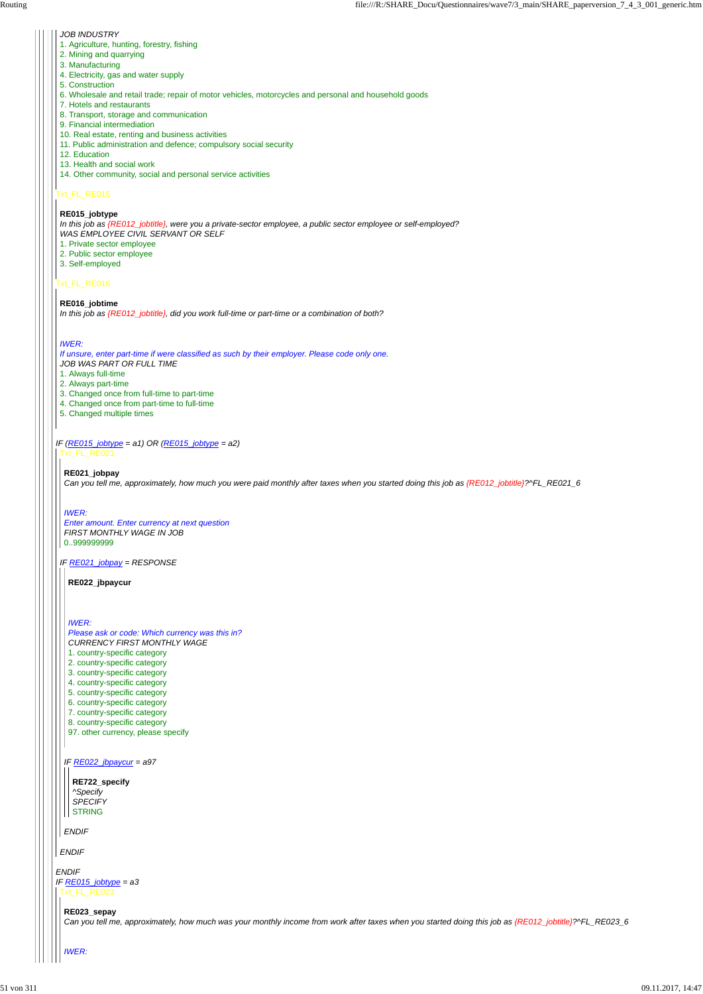### Txt\_FL\_RE015

#### Txt\_FL\_RE016

#### *JOB INDUSTRY*

- 1. Agriculture, hunting, forestry, fishing
- 2. Mining and quarrying
- 3. Manufacturing
- 4. Electricity, gas and water supply
- 5. Construction
- 6. Wholesale and retail trade; repair of motor vehicles, motorcycles and personal and household goods
- 7. Hotels and restaurants
- 8. Transport, storage and communication
- 9. Financial intermediation
- 10. Real estate, renting and business activities
- 11. Public administration and defence; compulsory social security
- 12. Education
- 13. Health and social work
- 14. Other community, social and personal service activities

#### *IF (RE015\_jobtype = a1) OR (RE015\_jobtype = a2)* Txt\_FL\_RE021

**RE015\_jobtype**

*In this job as {RE012\_jobtitle}, were you a private-sector employee, a public sector employee or self-employed? WAS EMPLOYEE CIVIL SERVANT OR SELF*

- 1. Private sector employee
- 2. Public sector employee
- 3. Self-employed

#### **RE016\_jobtime**

*In this job as {RE012\_jobtitle}, did you work full-time or part-time or a combination of both?*

### *IWER:*

*If unsure, enter part-time if were classified as such by their employer. Please code only one.*

|  | IF <u>RE022_jbpaycur</u> = a97                                                                                                                                        |
|--|-----------------------------------------------------------------------------------------------------------------------------------------------------------------------|
|  | RE722_specify<br>^Specify<br><b>SPECIFY</b>                                                                                                                           |
|  | <b>STRING</b><br><b>ENDIF</b>                                                                                                                                         |
|  | <b>ENDIF</b>                                                                                                                                                          |
|  | <b>ENDIF</b><br>IF RE015_jobtype = a3<br>Txt_FL_RE023                                                                                                                 |
|  | RE023_sepay<br>Can you tell me, approximately, how much was your monthly income from work after taxes when you started doing this job as {RE012_jobtitle}?^FL_RE023_6 |
|  | <b>IWER:</b>                                                                                                                                                          |

- *JOB WAS PART OR FULL TIME*
- 1. Always full-time
- 2. Always part-time
- 3. Changed once from full-time to part-time
- 4. Changed once from part-time to full-time
- 5. Changed multiple times

*IF RE021\_jobpay = RESPONSE*

#### **RE021\_jobpay**

*Can you tell me, approximately, how much you were paid monthly after taxes when you started doing this job as {RE012\_jobtitle}?^FL\_RE021\_6*

### *IWER:*

*Enter amount. Enter currency at next question FIRST MONTHLY WAGE IN JOB* 0..999999999

**RE022\_jbpaycur**

### *IWER:*

*Please ask or code: Which currency was this in? CURRENCY FIRST MONTHLY WAGE* 1. country-specific category 2. country-specific category 3. country-specific category 4. country-specific category 5. country-specific category 6. country-specific category 7. country-specific category 8. country-specific category

97. other currency, please specify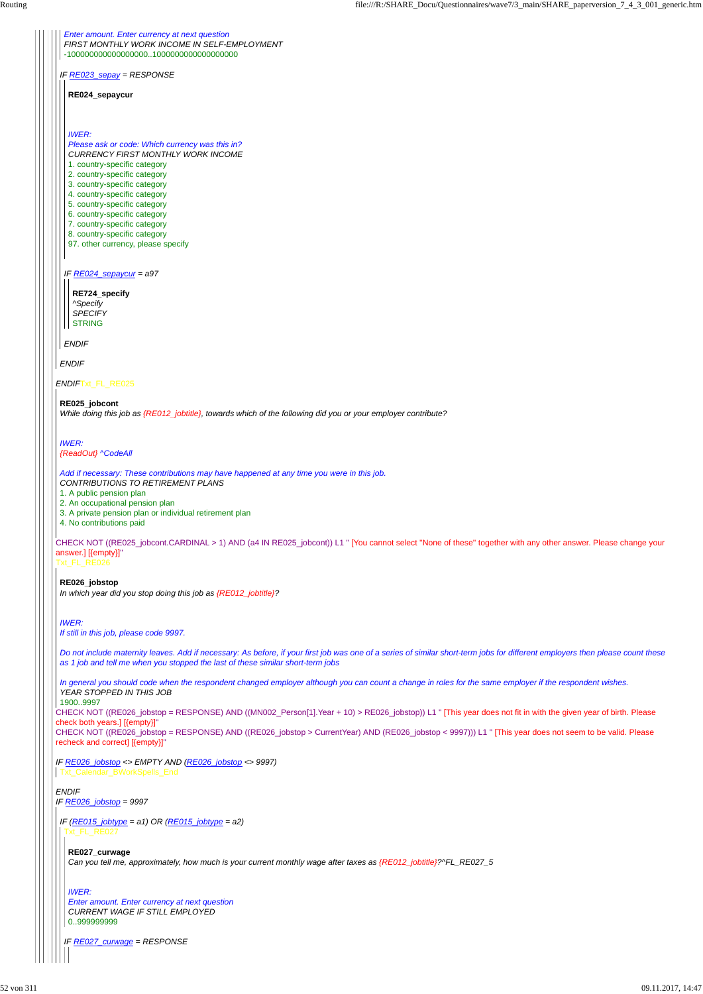*ENDIF*Txt\_FL\_RE025

CHECK NOT ((RE025\_jobcont.CARDINAL > 1) AND (a4 IN RE025\_jobcont)) L1 " [You cannot select ''None of these'' together with any other answer. Please change your answer.] [{empty}]"

Txt\_FL\_RE026

CHECK NOT ((RE026\_jobstop = RESPONSE) AND ((MN002\_Person[1].Year + 10) > RE026\_jobstop)) L1 " [This year does not fit in with the given year of birth. Please check both years.] [{empty}]"

CHECK NOT ((RE026\_jobstop = RESPONSE) AND ((RE026\_jobstop > CurrentYear) AND (RE026\_jobstop < 9997))) L1 " [This year does not seem to be valid. Please recheck and correct] [{empty}]"

*ENDIF*

*IF RE026\_jobstop = 9997*

*IF RE023\_sepay = RESPONSE*

*ENDIF*

*Enter amount. Enter currency at next question FIRST MONTHLY WORK INCOME IN SELF-EMPLOYMENT* -100000000000000000..1000000000000000000

*IF RE024\_sepaycur = a97*

*ENDIF*

**RE024\_sepaycur**

*IWER:*

*Please ask or code: Which currency was this in? CURRENCY FIRST MONTHLY WORK INCOME* 1. country-specific category 2. country-specific category 3. country-specific category 4. country-specific category 5. country-specific category 6. country-specific category 7. country-specific category 8. country-specific category

97. other currency, please specify

**RE724\_specify** *^Specify SPECIFY* STRING

#### **RE025\_jobcont**

*While doing this job as {RE012\_jobtitle}, towards which of the following did you or your employer contribute?*

*IWER: {ReadOut} ^CodeAll*

*IF RE026\_jobstop <> EMPTY AND (RE026\_jobstop <> 9997)* Txt\_Calendar\_BWorkSpells\_End

*Add if necessary: These contributions may have happened at any time you were in this job.*

*CONTRIBUTIONS TO RETIREMENT PLANS*

1. A public pension plan

2. An occupational pension plan

3. A private pension plan or individual retirement plan

4. No contributions paid

**RE026\_jobstop**

*In which year did you stop doing this job as {RE012\_jobtitle}?*

#### *IWER:*

*If still in this job, please code 9997.*

*Do not include maternity leaves. Add if necessary: As before, if your first job was one of a series of similar short-term jobs for different employers then please count these as 1 job and tell me when you stopped the last of these similar short-term jobs*

*In general you should code when the respondent changed employer although you can count a change in roles for the same employer if the respondent wishes. YEAR STOPPED IN THIS JOB*

1900..9997

*IF (RE015\_jobtype = a1) OR (RE015\_jobtype = a2)* Txt\_FL\_RE027

*IF RE027\_curwage = RESPONSE*

**RE027\_curwage** *Can you tell me, approximately, how much is your current monthly wage after taxes as {RE012\_jobtitle}?^FL\_RE027\_5*

*IWER:*

*Enter amount. Enter currency at next question CURRENT WAGE IF STILL EMPLOYED* 0..999999999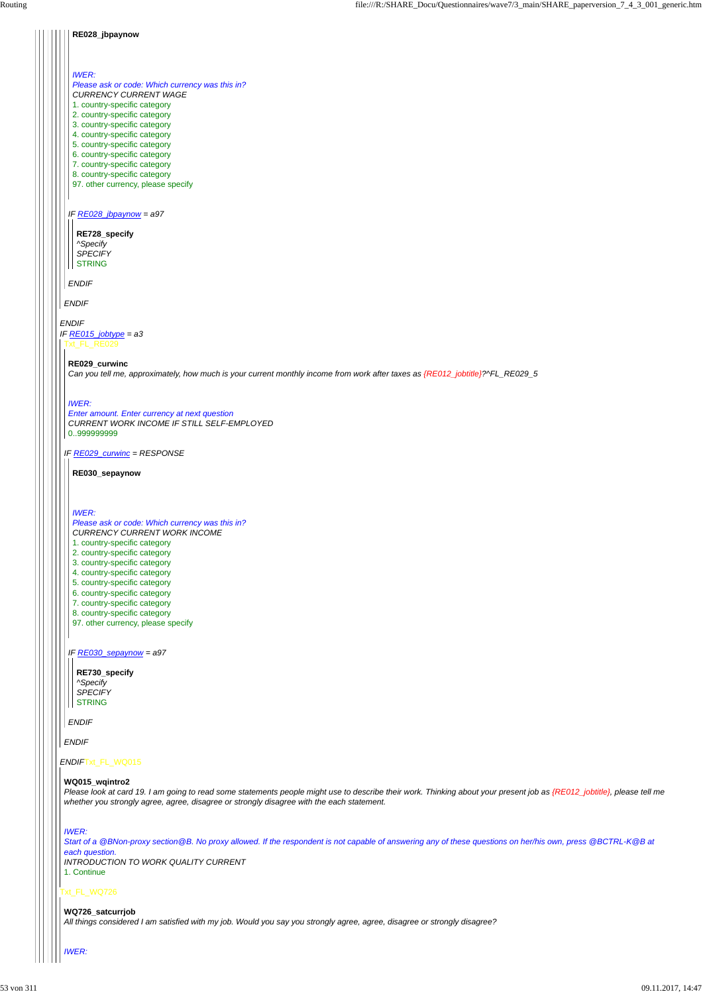#### *ENDIF*Txt\_FL\_WQ015

#### Txt\_FL\_WQ726

#### **RE028\_jbpaynow**

# *ENDIF IF RE015\_jobtype = a3 ENDIF IF RE028\_jbpaynow = a97 ENDIF IWER: Please ask or code: Which currency was this in? CURRENCY CURRENT WAGE* 1. country-specific category 2. country-specific category 3. country-specific category 4. country-specific category 5. country-specific category 6. country-specific category 7. country-specific category 8. country-specific category 97. other currency, please specify **RE728\_specify** *^Specify SPECIFY* **STRING** Txt\_FL\_RE029 *IF RE029\_curwinc = RESPONSE* **RE029\_curwinc** *Can you tell me, approximately, how much is your current monthly income from work after taxes as {RE012\_jobtitle}?^FL\_RE029\_5 IWER: Enter amount. Enter currency at next question CURRENT WORK INCOME IF STILL SELF-EMPLOYED* 0..999999999 **RE030\_sepaynow** *IWER:*

*ENDIF*

*IF RE030\_sepaynow = a97*

*ENDIF*

 $\blacksquare$ 

*Please ask or code: Which currency was this in? CURRENCY CURRENT WORK INCOME* 1. country-specific category 2. country-specific category 3. country-specific category 4. country-specific category 5. country-specific category 6. country-specific category 7. country-specific category 8. country-specific category 97. other currency, please specify

**RE730\_specify** *^Specify SPECIFY* STRING

#### **WQ015\_wqintro2**

*Please look at card 19. I am going to read some statements people might use to describe their work. Thinking about your present job as {RE012\_jobtitle}, please tell me whether you strongly agree, agree, disagree or strongly disagree with the each statement.*

#### *IWER:*

*Start of a @BNon-proxy section@B. No proxy allowed. If the respondent is not capable of answering any of these questions on her/his own, press @BCTRL-K@B at each question.*

*INTRODUCTION TO WORK QUALITY CURRENT*

1. Continue

**WQ726\_satcurrjob**

*All things considered I am satisfied with my job. Would you say you strongly agree, agree, disagree or strongly disagree?*

#### *IWER:*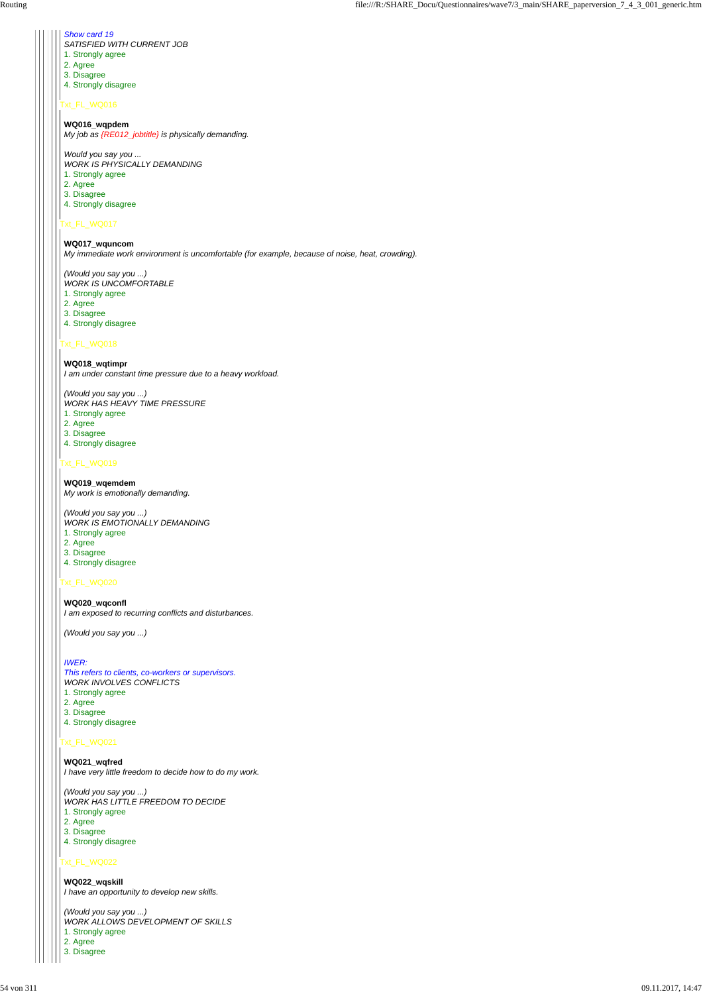#### Txt\_FL\_WQ016

### Txt\_FL\_WQ017

### Txt\_FL\_WQ018

### Txt\_FL\_WQ019

### Txt\_FL\_WQ020

### Txt\_FL\_WQ022

### *Show card 19*

- *SATISFIED WITH CURRENT JOB*
- 1. Strongly agree
- 2. Agree
- 3. Disagree
- 4. Strongly disagree

#### **WQ016\_wqpdem**

*My job as {RE012\_jobtitle} is physically demanding.*

*Would you say you ... WORK IS PHYSICALLY DEMANDING*

- 1. Strongly agree
- 2. Agree 3. Disagree
- 4. Strongly disagree

**WQ017\_wquncom** *My immediate work environment is uncomfortable (for example, because of noise, heat, crowding).*

*(Would you say you ...)*

- *WORK IS UNCOMFORTABLE*
- 1. Strongly agree
- 2. Agree
- 3. Disagree
- 4. Strongly disagree

- 1. Strongly agree
- 2. Agree
- 3. Disagree
- 4. Strongly disagree

### **WQ018\_wqtimpr** *I am under constant time pressure due to a heavy workload.*

*(Would you say you ...) WORK HAS HEAVY TIME PRESSURE*

- 1. Strongly agree
- 2. Agree
- 3. Disagree
- 4. Strongly disagree

**WQ019\_wqemdem** *My work is emotionally demanding.*

*(Would you say you ...) WORK IS EMOTIONALLY DEMANDING*

- 1. Strongly agree
- 2. Agree
- 3. Disagree
- 4. Strongly disagree

**WQ020\_wqconfl** *I am exposed to recurring conflicts and disturbances.*

*(Would you say you ...)*

### *IWER:*

*This refers to clients, co-workers or supervisors. WORK INVOLVES CONFLICTS*

#### **WQ021\_wqfred**

*I have very little freedom to decide how to do my work.*

*(Would you say you ...) WORK HAS LITTLE FREEDOM TO DECIDE*

- 1. Strongly agree
- 2. Agree
- 3. Disagree

4. Strongly disagree

**WQ022\_wqskill** *I have an opportunity to develop new skills.*

*(Would you say you ...) WORK ALLOWS DEVELOPMENT OF SKILLS* 1. Strongly agree 2. Agree 3. Disagree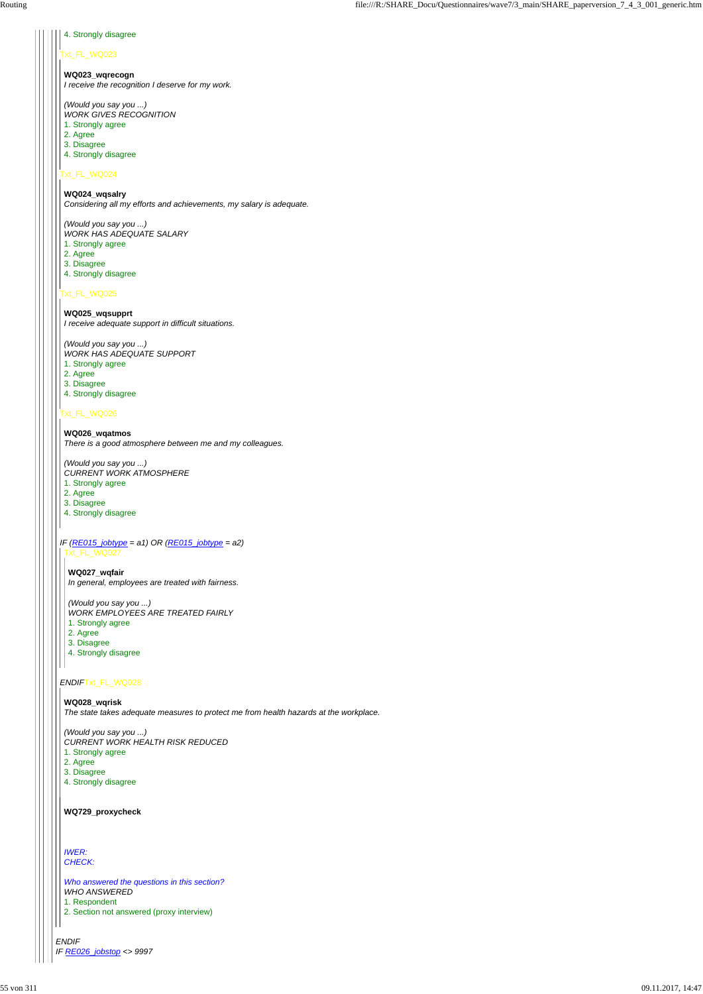*ENDIF IF RE026\_jobstop <> 9997*

### Txt\_FL\_WQ023

### Txt\_FL\_WQ024

#### Txt\_FL\_WQ025

#### Txt\_FL\_WQ026

#### *ENDIF*Txt\_FL\_WQ028

#### 4. Strongly disagree

**WQ023\_wqrecogn** *I receive the recognition I deserve for my work.*

*(Would you say you ...) WORK GIVES RECOGNITION*

- 1. Strongly agree
- 2. Agree
- 3. Disagree
- 4. Strongly disagree

**WQ024\_wqsalry** *Considering all my efforts and achievements, my salary is adequate.*

*(Would you say you ...) WORK HAS ADEQUATE SALARY*

*IF (RE015\_jobtype = a1) OR (RE015\_jobtype = a2)* Txt\_FL\_WQ027

- 1. Strongly agree
- 2. Agree
- 3. Disagree
- 4. Strongly disagree

- 1. Strongly agree
- 2. Agree
- 3. Disagree
- 4. Strongly disagree

**WQ025\_wqsupprt** *I receive adequate support in difficult situations.*

*(Would you say you ...) WORK HAS ADEQUATE SUPPORT*

- 1. Strongly agree
- 2. Agree
- 3. Disagree
- 4. Strongly disagree

**WQ026\_wqatmos** *There is a good atmosphere between me and my colleagues.*

*(Would you say you ...)*

- *CURRENT WORK ATMOSPHERE*
- 1. Strongly agree
- 2. Agree
- 3. Disagree
- 4. Strongly disagree

**WQ027\_wqfair**

*In general, employees are treated with fairness.*

*(Would you say you ...)*

*WORK EMPLOYEES ARE TREATED FAIRLY*

**WQ028\_wqrisk** *The state takes adequate measures to protect me from health hazards at the workplace.*

*(Would you say you ...) CURRENT WORK HEALTH RISK REDUCED*

1. Strongly agree

2. Agree

3. Disagree

4. Strongly disagree

**WQ729\_proxycheck**

*IWER: CHECK:*

*Who answered the questions in this section? WHO ANSWERED*

1. Respondent

2. Section not answered (proxy interview)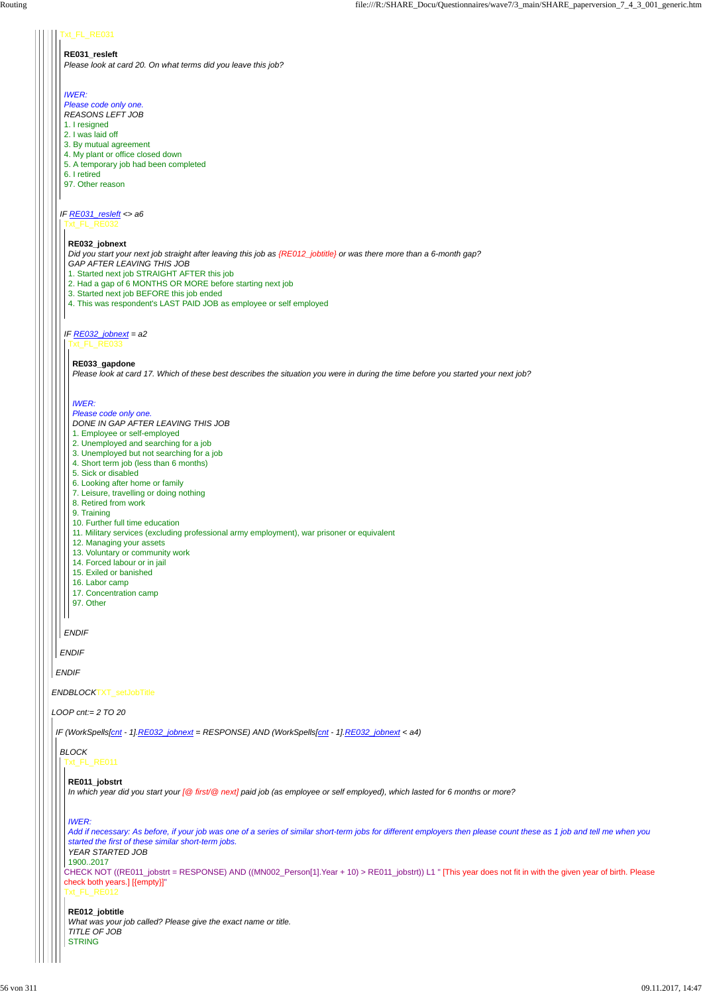### *ENDBLOCK*TXT\_setJobTitle

*LOOP cnt:= 2 TO 20*

*ENDIF*

### Txt\_FL\_RE031

### *IF RE031\_resleft <> a6*

*ENDIF*

### **RE031\_resleft**

*Please look at card 20. On what terms did you leave this job?*

### *IWER:*

*Please code only one. REASONS LEFT JOB*

- 1. I resigned
- 2. I was laid off
- 3. By mutual agreement
- 4. My plant or office closed down
- 5. A temporary job had been completed
- 6. I retired
- 97. Other reason

```
Txt_FL_RE032
```
- 1. Started next job STRAIGHT AFTER this job
- 2. Had a gap of 6 MONTHS OR MORE before starting next job
- 3. Started next job BEFORE this job ended
- 4. This was respondent's LAST PAID JOB as employee or self employed

### *IF RE032\_jobnext = a2*

*ENDIF*

### **RE032\_jobnext**

*Did you start your next job straight after leaving this job as {RE012\_jobtitle} or was there more than a 6-month gap? GAP AFTER LEAVING THIS JOB*

#### Txt\_FL\_RE033

### **RE033\_gapdone**

*Please look at card 17. Which of these best describes the situation you were in during the time before you started your next job?*

### *IWER:*

#### *Please code only one.*

**RE012\_jobtitle** *What was your job called? Please give the exact name or title. TITLE OF JOB* **STRING** 

- *DONE IN GAP AFTER LEAVING THIS JOB*
- 1. Employee or self-employed
- 2. Unemployed and searching for a job
- 3. Unemployed but not searching for a job
- 4. Short term job (less than 6 months)
- 5. Sick or disabled
- 6. Looking after home or family
- 7. Leisure, travelling or doing nothing
- 8. Retired from work
- 9. Training
- 10. Further full time education
- 11. Military services (excluding professional army employment), war prisoner or equivalent
- 12. Managing your assets
- 13. Voluntary or community work
- 14. Forced labour or in jail
- 15. Exiled or banished
- 16. Labor camp
- 17. Concentration camp
- 97. Other

*IF (WorkSpells[cnt - 1].RE032\_jobnext = RESPONSE) AND (WorkSpells[cnt - 1].RE032\_jobnext < a4)*

#### *BLOCK* Txt\_FL\_RE011

CHECK NOT ((RE011\_jobstrt = RESPONSE) AND ((MN002\_Person[1].Year + 10) > RE011\_jobstrt)) L1 " [This year does not fit in with the given year of birth. Please check both years.] [{empty}]"

Txt\_FL\_RE012

#### **RE011\_jobstrt**

*In which year did you start your [@ first/@ next] paid job (as employee or self employed), which lasted for 6 months or more?*

### *IWER:*

*Add if necessary: As before, if your job was one of a series of similar short-term jobs for different employers then please count these as 1 job and tell me when you started the first of these similar short-term jobs.*

*YEAR STARTED JOB*

```
1900..2017
```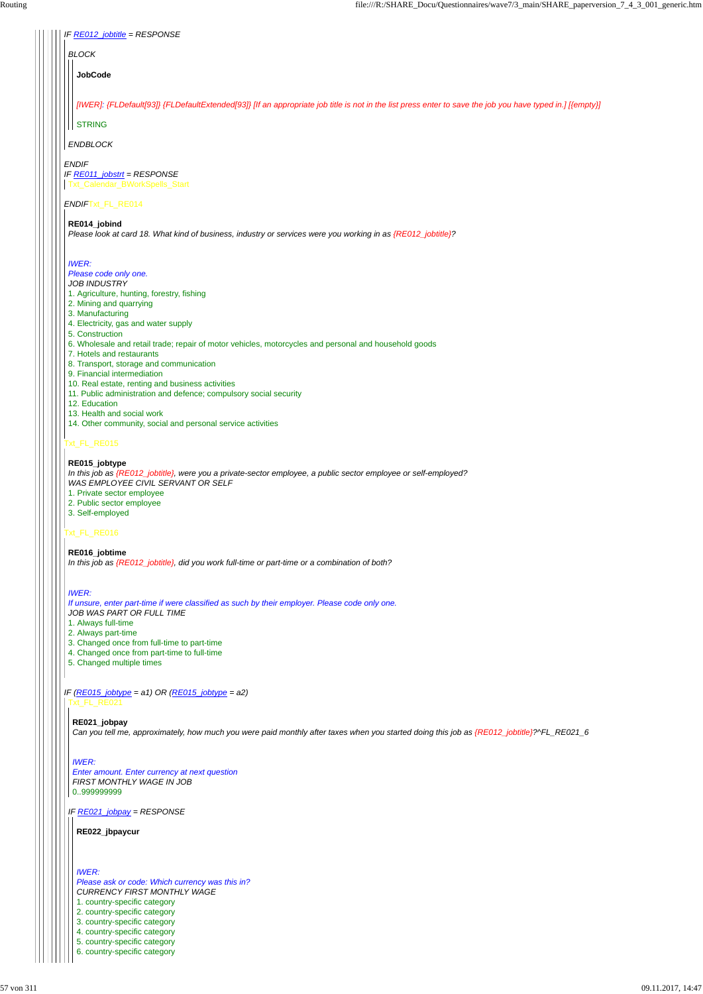| IF RE012_jobtitle = RESPONSE |  |
|------------------------------|--|
|------------------------------|--|

### *ENDIF*Txt\_FL\_RE014

### Txt\_FL\_RE015

### Txt\_FL\_RE016

# *BLOCK*

*ENDBLOCK*

**JobCode**

#### *ENDIF IF RE011\_jobstrt = RESPONSE* Txt\_Calendar\_BWorkSpells\_Start

*[IWER]: {FLDefault[93]} {FLDefaultExtended[93]} [If an appropriate job title is not in the list press enter to save the job you have typed in.] [{empty}]*

#### **STRING**

### **RE014\_jobind**

*Please look at card 18. What kind of business, industry or services were you working in as {RE012\_jobtitle}?*

#### *IWER:*

#### *Please code only one.*

### *JOB INDUSTRY*

- 1. Agriculture, hunting, forestry, fishing
- 2. Mining and quarrying
- 3. Manufacturing
- 4. Electricity, gas and water supply
- 5. Construction
- 6. Wholesale and retail trade; repair of motor vehicles, motorcycles and personal and household goods
- 7. Hotels and restaurants
- 8. Transport, storage and communication
- 9. Financial intermediation
- 10. Real estate, renting and business activities
- 11. Public administration and defence; compulsory social security
- 12. Education
- 13. Health and social work
- 14. Other community, social and personal service activities

#### *IF (RE015\_jobtype = a1) OR (RE015\_jobtype = a2)* Txt\_FL\_RE021

### **RE015\_jobtype**

*In this job as {RE012\_jobtitle}, were you a private-sector employee, a public sector employee or self-employed? WAS EMPLOYEE CIVIL SERVANT OR SELF*

- 1. Private sector employee
- 2. Public sector employee
- 3. Self-employed

#### **RE016\_jobtime**

*In this job as {RE012\_jobtitle}, did you work full-time or part-time or a combination of both?*

### *IWER:*

*If unsure, enter part-time if were classified as such by their employer. Please code only one. JOB WAS PART OR FULL TIME*

- 1. Always full-time
- 2. Always part-time
- 3. Changed once from full-time to part-time
- 4. Changed once from part-time to full-time
- 5. Changed multiple times

*IF RE021\_jobpay = RESPONSE*

#### **RE021\_jobpay**

*Can you tell me, approximately, how much you were paid monthly after taxes when you started doing this job as {RE012\_jobtitle}?^FL\_RE021\_6*

#### *IWER:*

*Enter amount. Enter currency at next question FIRST MONTHLY WAGE IN JOB* 0..999999999

**RE022\_jbpaycur**

*IWER:*

*Please ask or code: Which currency was this in? CURRENCY FIRST MONTHLY WAGE* 1. country-specific category 2. country-specific category 3. country-specific category 4. country-specific category 5. country-specific category 6. country-specific category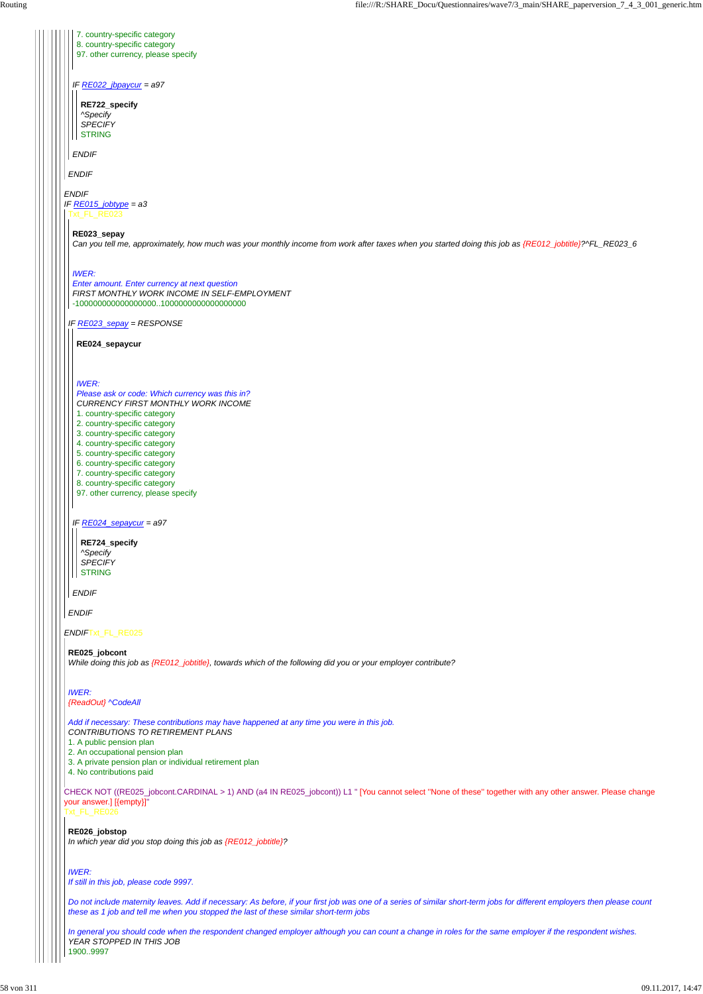*ENDIF*Txt\_FL\_RE025

*IF RE022\_jbpaycur = a97* 7. country-specific category 8. country-specific category 97. other currency, please specify **RE722\_specify** *^Specify SPECIFY* **STRING** 

CHECK NOT ((RE025\_jobcont.CARDINAL > 1) AND (a4 IN RE025\_jobcont)) L1 " [You cannot select ''None of these'' together with any other answer. Please change your answer.] [{empty}]" Txt\_FL\_RE026

### *ENDIF IF RE015\_jobtype = a3* Txt\_FL\_RE023

*ENDIF*

*ENDIF*

*IF RE023\_sepay = RESPONSE*

*ENDIF*

#### **RE023\_sepay**

*Can you tell me, approximately, how much was your monthly income from work after taxes when you started doing this job as {RE012\_jobtitle}?^FL\_RE023\_6*

**RE724\_specify** *^Specify SPECIFY* **STRING** 

#### *IWER:*

*Enter amount. Enter currency at next question FIRST MONTHLY WORK INCOME IN SELF-EMPLOYMENT* -100000000000000000..1000000000000000000

*IF RE024\_sepaycur = a97*

*ENDIF*

**RE024\_sepaycur**

*IWER:*

*Please ask or code: Which currency was this in? CURRENCY FIRST MONTHLY WORK INCOME* 1. country-specific category 2. country-specific category 3. country-specific category 4. country-specific category 5. country-specific category 6. country-specific category 7. country-specific category 8. country-specific category

97. other currency, please specify

#### **RE025\_jobcont**

*While doing this job as {RE012\_jobtitle}, towards which of the following did you or your employer contribute?*

*IWER: {ReadOut} ^CodeAll*

*Add if necessary: These contributions may have happened at any time you were in this job. CONTRIBUTIONS TO RETIREMENT PLANS* 1. A public pension plan

2. An occupational pension plan

3. A private pension plan or individual retirement plan

4. No contributions paid

**RE026\_jobstop** *In which year did you stop doing this job as {RE012\_jobtitle}?*

*IWER: If still in this job, please code 9997.*

*Do not include maternity leaves. Add if necessary: As before, if your first job was one of a series of similar short-term jobs for different employers then please count these as 1 job and tell me when you stopped the last of these similar short-term jobs*

*In general you should code when the respondent changed employer although you can count a change in roles for the same employer if the respondent wishes. YEAR STOPPED IN THIS JOB* 1900..9997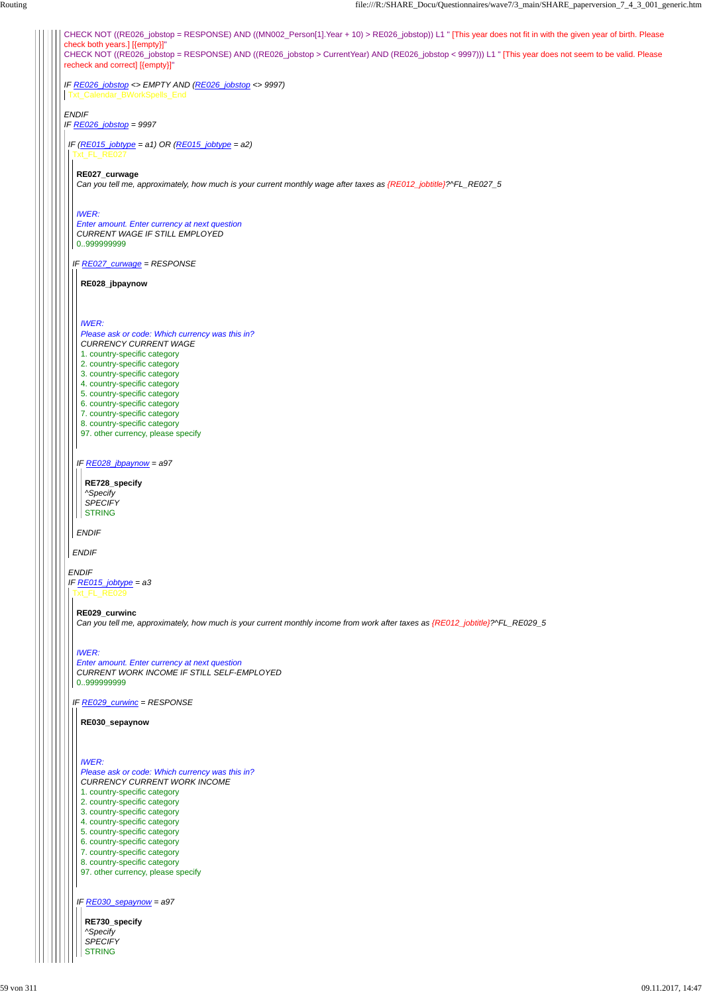CHECK NOT ((RE026\_jobstop = RESPONSE) AND ((MN002\_Person[1].Year + 10) > RE026\_jobstop)) L1 " [This year does not fit in with the given year of birth. Please check both years.] [{empty}]" CHECK NOT ((RE026\_jobstop = RESPONSE) AND ((RE026\_jobstop > CurrentYear) AND (RE026\_jobstop < 9997))) L1 " [This year does not seem to be valid. Please recheck and correct] [{empty}]" *IF RE026\_jobstop <> EMPTY AND (RE026\_jobstop <> 9997) ENDIF IF RE026\_jobstop = 9997* Txt\_Calendar\_BWorkSpells\_End *IF (RE015\_jobtype = a1) OR (RE015\_jobtype = a2)* Txt\_FL\_RE027 *IF RE027\_curwage = RESPONSE* **RE027\_curwage** *Can you tell me, approximately, how much is your current monthly wage after taxes as {RE012\_jobtitle}?^FL\_RE027\_5 IWER: Enter amount. Enter currency at next question CURRENT WAGE IF STILL EMPLOYED* 0..999999999 **RE028\_jbpaynow** *IWER: Please ask or code: Which currency was this in? CURRENCY CURRENT WAGE* 1. country-specific category 2. country-specific category 3. country-specific category 4. country-specific category 5. country-specific category Routing file:///R:/SHARE\_Docu/Questionnaires/wave7/3\_main/SHARE\_paperversion\_7\_4\_3\_001\_generic.htm

*ENDIF*

**RE728\_specify** *^Specify SPECIFY* **STRING** 

*IF RE028\_jbpaynow = a97*

*ENDIF*

*ENDIF IF RE015\_jobtype = a3* Txt\_FL\_RE029

> **RE730\_specify** *^Specify SPECIFY* **STRING**

6. country-specific category

7. country-specific category

8. country-specific category 97. other currency, please specify

*IF RE029\_curwinc = RESPONSE*

**RE029\_curwinc**

*Can you tell me, approximately, how much is your current monthly income from work after taxes as {RE012\_jobtitle}?^FL\_RE029\_5*

#### *IWER:*

*Enter amount. Enter currency at next question CURRENT WORK INCOME IF STILL SELF-EMPLOYED* 0..999999999

*IF RE030\_sepaynow = a97*

**RE030\_sepaynow**

#### *IWER:*

*Please ask or code: Which currency was this in? CURRENCY CURRENT WORK INCOME*

1. country-specific category

2. country-specific category

3. country-specific category

4. country-specific category

5. country-specific category

6. country-specific category

7. country-specific category

8. country-specific category

97. other currency, please specify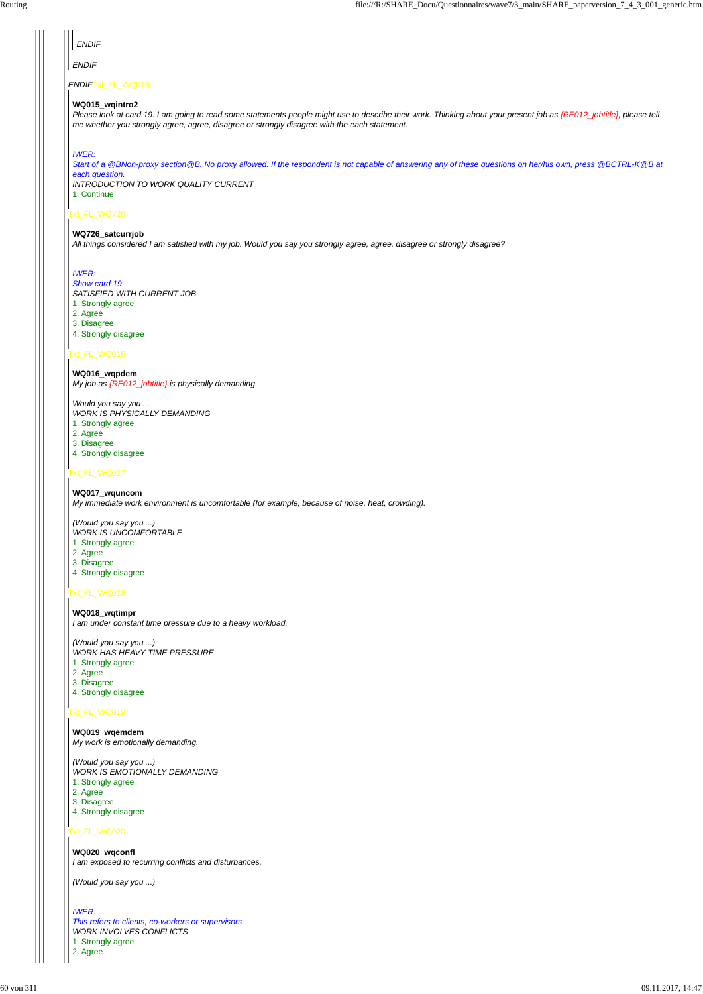### Txt\_FL\_WQ016

### Txt\_FL\_WQ017

### Txt\_FL\_WQ018

### Txt\_FL\_WQ019

### Txt\_FL\_WQ020

| <b>ENDIF</b>                                                                                                                                                                                                                                                                           |
|----------------------------------------------------------------------------------------------------------------------------------------------------------------------------------------------------------------------------------------------------------------------------------------|
| <b>ENDIF</b>                                                                                                                                                                                                                                                                           |
| ENDIFTxt_FL_WQ015                                                                                                                                                                                                                                                                      |
| WQ015_wqintro2<br>Please look at card 19. I am going to read some statements people might use to describe their work. Thinking about your present job as {RE012_jobtitle}, please tell<br>me whether you strongly agree, agree, disagree or strongly disagree with the each statement. |
| <b>IWER:</b><br>Start of a @BNon-proxy section @B. No proxy allowed. If the respondent is not capable of answering any of these questions on her/his own, press @BCTRL-K@B at<br>each question.<br><b>INTRODUCTION TO WORK QUALITY CURRENT</b><br>1. Continue                          |
| xt FL WQ726<br>WQ726_satcurrjob<br>All things considered I am satisfied with my job. Would you say you strongly agree, agree, disagree or strongly disagree?                                                                                                                           |

### *IWER:*

*Show card 19 SATISFIED WITH CURRENT JOB*

- 1. Strongly agree
- 2. Agree
- 3. Disagree
- 4. Strongly disagree

**WQ016\_wqpdem** *My job as {RE012\_jobtitle} is physically demanding.*

*Would you say you ... WORK IS PHYSICALLY DEMANDING*

- 1. Strongly agree
- 2. Agree
- 3. Disagree
- 4. Strongly disagree

### **WQ017\_wquncom**

*My immediate work environment is uncomfortable (for example, because of noise, heat, crowding).*

- *(Would you say you ...) WORK IS UNCOMFORTABLE*
- 1. Strongly agree
- 2. Agree
- 3. Disagree
- 4. Strongly disagree

### **WQ018\_wqtimpr**

*I am under constant time pressure due to a heavy workload.*

*(Would you say you ...) WORK HAS HEAVY TIME PRESSURE*

- 1. Strongly agree
- 2. Agree
- 3. Disagree
- 4. Strongly disagree

**WQ019\_wqemdem** *My work is emotionally demanding.*

*(Would you say you ...) WORK IS EMOTIONALLY DEMANDING*

1. Strongly agree

2. Agree

3. Disagree

4. Strongly disagree

#### **WQ020\_wqconfl**

*I am exposed to recurring conflicts and disturbances.*

*(Would you say you ...)*

*IWER:*

*This refers to clients, co-workers or supervisors. WORK INVOLVES CONFLICTS*

1. Strongly agree

2. Agree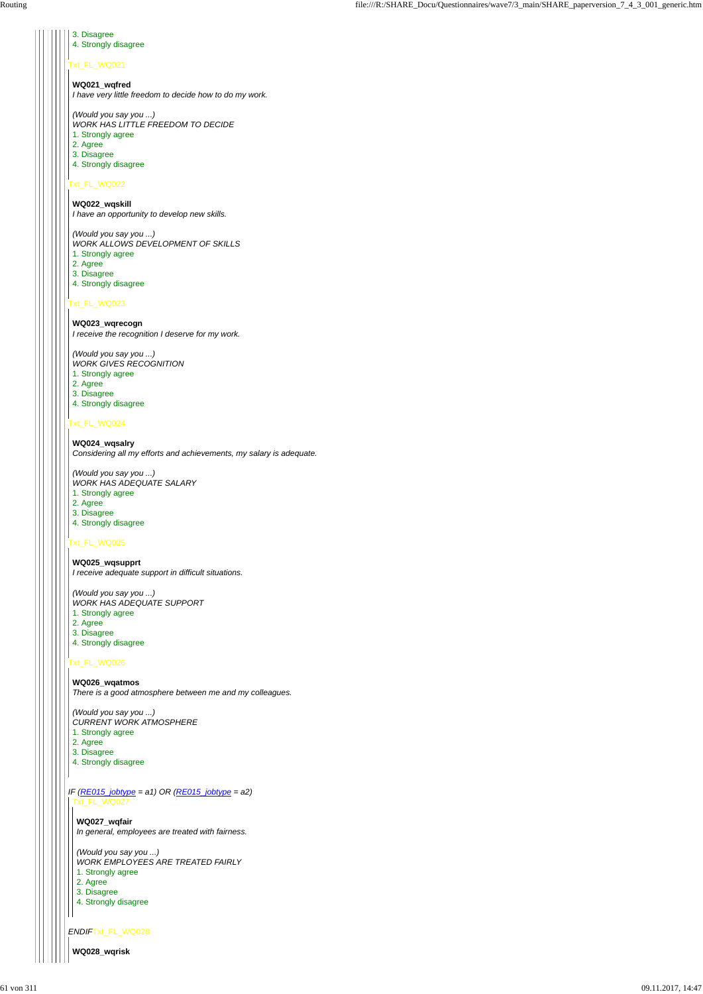### Txt\_FL\_WQ021

### Txt\_FL\_WQ022

# Txt\_FL\_WQ023

### Txt\_FL\_WQ024

### Txt\_FL\_WQ025

# Txt\_FL\_WQ026

*ENDIF*Txt\_FL\_WQ028

3. Disagree 4. Strongly disagree

**WQ021\_wqfred** *I have very little freedom to decide how to do my work.*

*(Would you say you ...)*

*WORK HAS LITTLE FREEDOM TO DECIDE* 1. Strongly agree

2. Agree

3. Disagree

4. Strongly disagree

**WQ022\_wqskill** *I have an opportunity to develop new skills.*

*(Would you say you ...)*

*WORK ALLOWS DEVELOPMENT OF SKILLS* 1. Strongly agree

2. Agree

3. Disagree

4. Strongly disagree

### **WQ023\_wqrecogn**

*I receive the recognition I deserve for my work.*

*(Would you say you ...)*

- *WORK GIVES RECOGNITION*
- 1. Strongly agree
- 2. Agree
- 3. Disagree 4. Strongly disagree

*IF (RE015\_jobtype = a1) OR (RE015\_jobtype = a2)* Txt\_FL\_WQ027

**WQ024\_wqsalry** *Considering all my efforts and achievements, my salary is adequate.*

*(Would you say you ...) WORK HAS ADEQUATE SALARY*

- 1. Strongly agree
- 2. Agree
- 3. Disagree
- 4. Strongly disagree

**WQ025\_wqsupprt** *I receive adequate support in difficult situations.*

*(Would you say you ...) WORK HAS ADEQUATE SUPPORT*

- 1. Strongly agree
- 2. Agree
- 3. Disagree
- 4. Strongly disagree

**WQ026\_wqatmos** *There is a good atmosphere between me and my colleagues.*

*(Would you say you ...) CURRENT WORK ATMOSPHERE* 1. Strongly agree 2. Agree

3. Disagree 4. Strongly disagree

**WQ027\_wqfair** *In general, employees are treated with fairness.*

*(Would you say you ...) WORK EMPLOYEES ARE TREATED FAIRLY*

1. Strongly agree

2. Agree

3. Disagree

4. Strongly disagree

**WQ028\_wqrisk**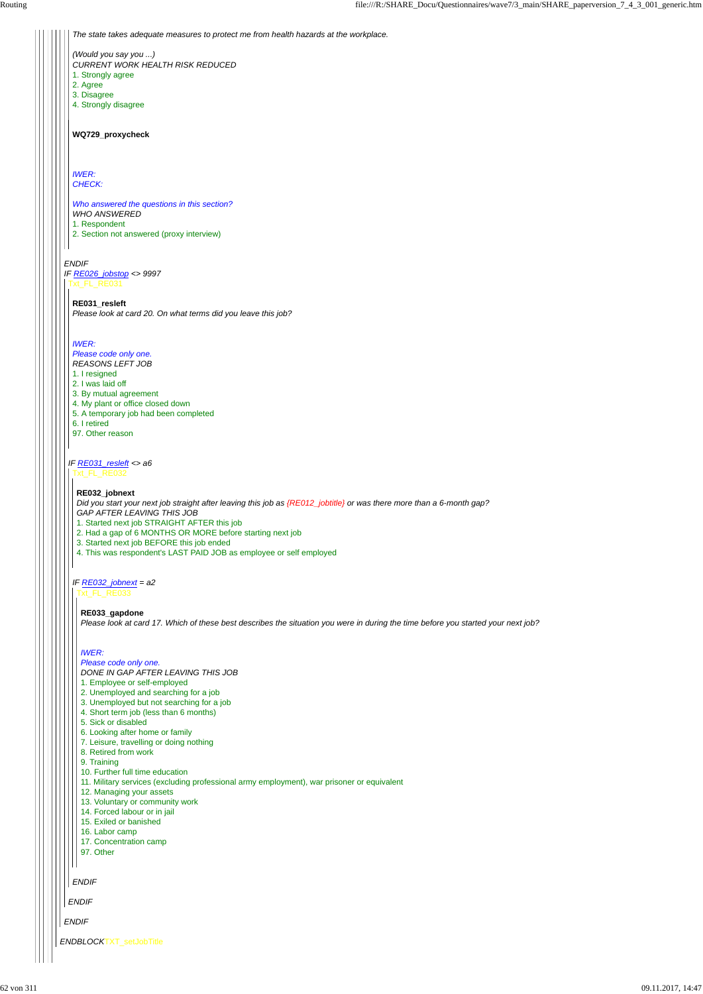*ENDBLOCK*TXT\_setJobTitle

*ENDIF*

*ENDIF*

*The state takes adequate measures to protect me from health hazards at the workplace.*

*(Would you say you ...) CURRENT WORK HEALTH RISK REDUCED* 1. Strongly agree

*IF RE026\_jobstop <> 9997* Txt\_FL\_RE031

- 2. Agree
- 3. Disagree
- 4. Strongly disagree

**WQ729\_proxycheck**

*IWER: CHECK:*

*Who answered the questions in this section? WHO ANSWERED*

1. Respondent 2. Section not answered (proxy interview)

*IF RE031\_resleft <> a6*

*ENDIF*

**RE031\_resleft** *Please look at card 20. On what terms did you leave this job?*

*IWER:*

*Please code only one. REASONS LEFT JOB*

- 1. I resigned 2. I was laid off
- 3. By mutual agreement
- 4. My plant or office closed down
- 5. A temporary job had been completed
- 6. I retired
- 97. Other reason

Txt\_FL\_RE032

*IF RE032\_jobnext = a2*

*ENDIF*

#### **RE032\_jobnext**

*Did you start your next job straight after leaving this job as {RE012\_jobtitle} or was there more than a 6-month gap? GAP AFTER LEAVING THIS JOB*

1. Started next job STRAIGHT AFTER this job

- 2. Had a gap of 6 MONTHS OR MORE before starting next job
- 3. Started next job BEFORE this job ended
- 4. This was respondent's LAST PAID JOB as employee or self employed

Txt\_FL\_RE033

#### **RE033\_gapdone**

*Please look at card 17. Which of these best describes the situation you were in during the time before you started your next job?*

### *IWER:*

*Please code only one.*

- *DONE IN GAP AFTER LEAVING THIS JOB*
- 1. Employee or self-employed
- 2. Unemployed and searching for a job
- 3. Unemployed but not searching for a job
- 4. Short term job (less than 6 months)
- 5. Sick or disabled
- 6. Looking after home or family
- 7. Leisure, travelling or doing nothing
- 

|  | 8. Retired from work |  |  |  |
|--|----------------------|--|--|--|
|--|----------------------|--|--|--|

9. Training

10. Further full time education

11. Military services (excluding professional army employment), war prisoner or equivalent

12. Managing your assets

13. Voluntary or community work

14. Forced labour or in jail

15. Exiled or banished

16. Labor camp

17. Concentration camp

97. Other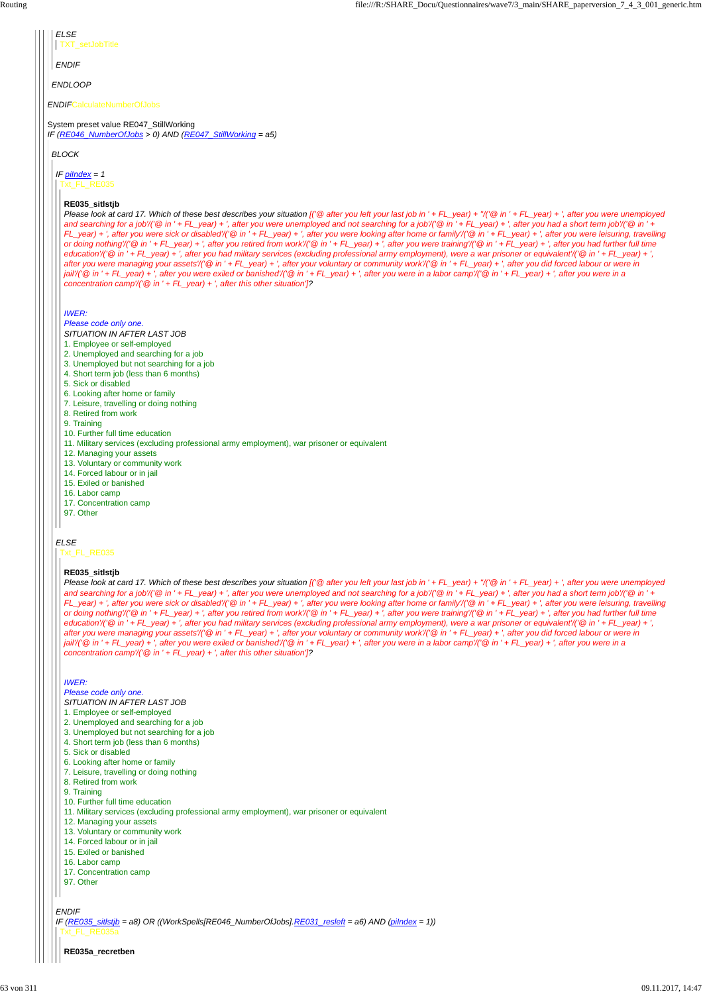*ENDIF*CalculateNumberOfJobs System preset value RE047\_StillWorking *IF (RE046\_NumberOfJobs > 0) AND (RE047\_StillWorking = a5) ENDLOOP ELSE ENDIF* TXT\_setJobTitle *BLOCK IF piIndex = 1 ELSE* Txt\_FL\_RE035 **RE035\_sitlstjb** *Please look at card 17. Which of these best describes your situation [('@ after you left your last job in ' + FL\_year) + ''/('@ in ' + FL\_year) + ', after you were unemployed and searching for a job'/('@ in ' + FL\_year) + ', after you were unemployed and not searching for a job'/('@ in ' + FL\_year) + ', after you had a short term job'/('@ in ' + FL\_year) + ', after you were sick or disabled'/('@ in ' + FL\_year) + ', after you were looking after home or family'/('@ in ' + FL\_year) + ', after you were leisuring, travelling or doing nothing'/('@ in ' + FL\_year) + ', after you retired from work'/('@ in ' + FL\_year) + ', after you were training'/('@ in ' + FL\_year) + ', after you had further full time education'/('@ in ' + FL\_year) + ', after you had military services (excluding professional army employment), were a war prisoner or equivalent'/('@ in ' + FL\_year) + ', after you were managing your assets'/('@ in ' + FL\_year) + ', after your voluntary or community work'/('@ in ' + FL\_year) + ', after you did forced labour or were in jail'/('@ in ' + FL\_year) + ', after you were exiled or banished'/('@ in ' + FL\_year) + ', after you were in a labor camp'/('@ in ' + FL\_year) + ', after you were in a concentration camp'/('@ in ' + FL\_year) + ', after this other situation']? IWER: Please code only one. SITUATION IN AFTER LAST JOB* 1. Employee or self-employed 2. Unemployed and searching for a job 3. Unemployed but not searching for a job 4. Short term job (less than 6 months) 5. Sick or disabled 6. Looking after home or family 7. Leisure, travelling or doing nothing 8. Retired from work 9. Training 10. Further full time education 11. Military services (excluding professional army employment), war prisoner or equivalent 12. Managing your assets 13. Voluntary or community work 14. Forced labour or in jail 15. Exiled or banished 16. Labor camp 17. Concentration camp 97. Other Txt\_FL\_RE035 **RE035\_sitlstjb** *Please look at card 17. Which of these best describes your situation [('@ after you left your last job in ' + FL\_year) + ''/('@ in ' + FL\_year) + ', after you were unemployed and searching for a job'/('@ in ' + FL\_year) + ', after you were unemployed and not searching for a job'/('@ in ' + FL\_year) + ', after you had a short term job'/('@ in ' + FL\_year) + ', after you were sick or disabled'/('@ in ' + FL\_year) + ', after you were looking after home or family'/('@ in ' + FL\_year) + ', after you were leisuring, travelling or doing nothing'/('@ in ' + FL\_year) + ', after you retired from work'/('@ in ' + FL\_year) + ', after you were training'/('@ in ' + FL\_year) + ', after you had further full time education'/('@ in ' + FL\_year) + ', after you had military services (excluding professional army employment), were a war prisoner or equivalent'/('@ in ' + FL\_year) + ', after you were managing your assets'/('@ in ' + FL\_year) + ', after your voluntary or community work'/('@ in ' + FL\_year) + ', after you did forced labour or were in jail'/('@ in ' + FL\_year) + ', after you were exiled or banished'/('@ in ' + FL\_year) + ', after you were in a labor camp'/('@ in ' + FL\_year) + ', after you were in a concentration camp'/('@ in ' + FL\_year) + ', after this other situation']?*

```
ENDIF
IF (RE035_sitlstjb = a8) OR ((WorkSpells[RE046_NumberOfJobs].RE031_resleft = a6) AND (piIndex = 1))
  5. Sick or disabled
  6. Looking after home or family
  7. Leisure, travelling or doing nothing
  8. Retired from work
 9. Training
 10. Further full time education
 11. Military services (excluding professional army employment), war prisoner or equivalent
 12. Managing your assets
 13. Voluntary or community work
  14. Forced labour or in jail
  15. Exiled or banished
  16. Labor camp
  17. Concentration camp
  97. Other
 Txt_FL_RE035a
  RE035a_recretben
```
### *IWER:*

*Please code only one. SITUATION IN AFTER LAST JOB*

- 1. Employee or self-employed
- 2. Unemployed and searching for a job
- 3. Unemployed but not searching for a job
- 4. Short term job (less than 6 months)
-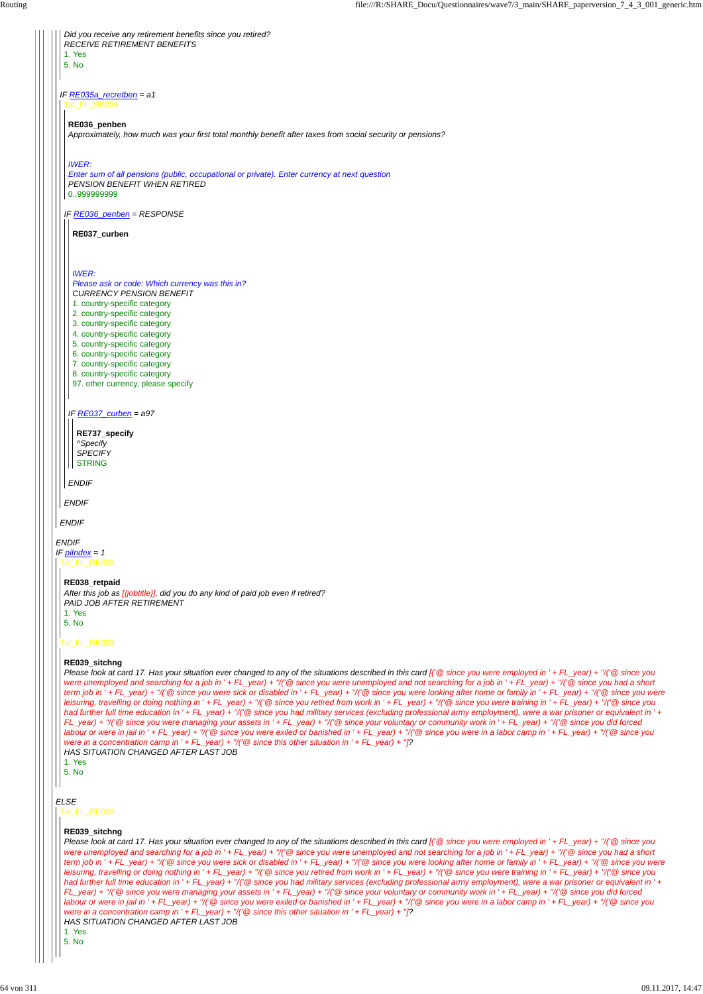*ENDIF IF piIndex = 1 IF RE035a\_recretben = a1 ENDIF Did you receive any retirement benefits since you retired? RECEIVE RETIREMENT BENEFITS* 1. Yes 5. No Txt\_FL\_RE036 *IF RE036\_penben = RESPONSE ENDIF* **RE036\_penben** *Approximately, how much was your first total monthly benefit after taxes from social security or pensions? IWER: Enter sum of all pensions (public, occupational or private). Enter currency at next question PENSION BENEFIT WHEN RETIRED* 0..999999999 *IF RE037\_curben = a97 ENDIF* **RE037\_curben** *IWER: Please ask or code: Which currency was this in? CURRENCY PENSION BENEFIT* 1. country-specific category 2. country-specific category 3. country-specific category 4. country-specific category 5. country-specific category 6. country-specific category 7. country-specific category 8. country-specific category 97. other currency, please specify **RE737\_specify** *^Specify SPECIFY* STRING Txt\_FL\_RE038 Txt\_FL\_RE039 **RE038\_retpaid** *After this job as [{jobtitle}], did you do any kind of paid job even if retired? PAID JOB AFTER RETIREMENT* 1. Yes 5. No **RE039\_sitchng** *Please look at card 17. Has your situation ever changed to any of the situations described in this card [('@ since you were employed in ' + FL\_year) + ''/('@ since you were unemployed and searching for a job in ' + FL\_year) + ''/('@ since you were unemployed and not searching for a job in ' + FL\_year) + ''/('@ since you had a short term job in ' + FL\_year) + ''/('@ since you were sick or disabled in ' + FL\_year) + ''/('@ since you were looking after home or family in ' + FL\_year) + ''/('@ since you were leisuring, travelling or doing nothing in ' + FL\_year) + ''/('@ since you retired from work in ' + FL\_year) + ''/('@ since you were training in ' + FL\_year) + ''/('@ since you had further full time education in ' + FL\_year) + ''/('@ since you had military services (excluding professional army employment), were a war prisoner or equivalent in ' +*

*FL\_year) + ''/('@ since you were managing your assets in ' + FL\_year) + ''/('@ since your voluntary or community work in ' + FL\_year) + ''/('@ since you did forced labour or were in jail in ' + FL\_year) + ''/('@ since you were exiled or banished in ' + FL\_year) + ''/('@ since you were in a labor camp in ' + FL\_year) + ''/('@ since you*

|  | were in a concentration camp in ' + $FL\_year$ ) + "/(' @ since this other situation in ' + $FL\_year$ ) + "[?<br>HAS SITUATION CHANGED AFTER LAST JOB<br>l. Yes<br>5. No                                                                                                                                                                                                                                                                                                                                                                                                                                                                                                                                                                                                                                                                                                                                                                                                                                                                                                                                                                                                                                                                                                                                                                                                                                                                    |
|--|----------------------------------------------------------------------------------------------------------------------------------------------------------------------------------------------------------------------------------------------------------------------------------------------------------------------------------------------------------------------------------------------------------------------------------------------------------------------------------------------------------------------------------------------------------------------------------------------------------------------------------------------------------------------------------------------------------------------------------------------------------------------------------------------------------------------------------------------------------------------------------------------------------------------------------------------------------------------------------------------------------------------------------------------------------------------------------------------------------------------------------------------------------------------------------------------------------------------------------------------------------------------------------------------------------------------------------------------------------------------------------------------------------------------------------------------|
|  | ELSE<br>FL RE039                                                                                                                                                                                                                                                                                                                                                                                                                                                                                                                                                                                                                                                                                                                                                                                                                                                                                                                                                                                                                                                                                                                                                                                                                                                                                                                                                                                                                             |
|  | RE039 sitchng<br>Please look at card 17. Has your situation ever changed to any of the situations described in this card [ $\degree$ since you were employed in ' + FL_year) + "/ $\degree$ since you<br>were unemployed and searching for a job in '+ FL_year) + "/('@ since you were unemployed and not searching for a job in '+ FL_year) + "/('@ since you had a short<br>term job in ' + FL_year) + "/('@ since you were sick or disabled in ' + FL_year) + "/('@ since you were looking after home or family in ' + FL_year) + "/('@ since you were<br>leisuring, travelling or doing nothing in ' + FL_year) + "/('@ since you retired from work in ' + FL_year) + "/('@ since you were training in ' + FL_year) + "/('@ since you<br>had further full time education in ' + FL_year) + "/('@ since you had military services (excluding professional army employment), were a war prisoner or equivalent in ' +<br>FL_year) + "/("@ since you were managing your assets in ' + FL_year) + "/("@ since your voluntary or community work in ' + FL_year) + "/("@ since you did forced<br>labour or were in jail in ' + FL_year) + "/('@ since you were exiled or banished in ' + FL_year) + "/('@ since you were in a labor camp in ' + FL_year) + "/('@ since you<br>were in a concentration camp in ' + FL_year) + "/(' @ since this other situation in ' + FL_year) + "[?<br>HAS SITUATION CHANGED AFTER LAST JOB<br>. Yes<br>5. No |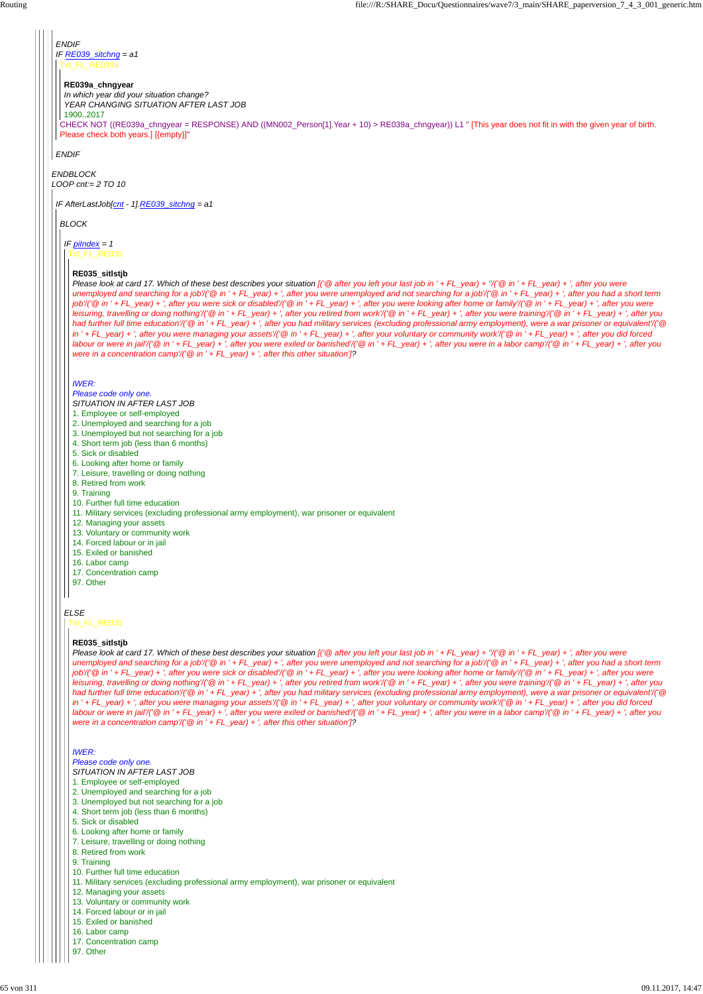*ENDBLOCK LOOP cnt:= 2 TO 10*

*ENDIF IF RE039\_sitchng = a1* Txt\_FL\_RE039a

*ENDIF*

CHECK NOT ((RE039a\_chngyear = RESPONSE) AND ((MN002\_Person[1].Year + 10) > RE039a\_chngyear)) L1 " [This year does not fit in with the given year of birth. Please check both years.] [{empty}]"

#### **RE039a\_chngyear**

*In which year did your situation change? YEAR CHANGING SITUATION AFTER LAST JOB* 1900..2017

*IF AfterLastJob[cnt - 1].RE039\_sitchng = a1*

*BLOCK*

*IF piIndex = 1*

### *ELSE*

# Txt\_FL\_RE035

### **RE035\_sitlstjb**

*Please look at card 17. Which of these best describes your situation [('@ after you left your last job in ' + FL\_year) + ''/('@ in ' + FL\_year) + ', after you were unemployed and searching for a job'/('@ in ' + FL\_year) + ', after you were unemployed and not searching for a job'/('@ in ' + FL\_year) + ', after you had a short term job'/('@ in ' + FL\_year) + ', after you were sick or disabled'/('@ in ' + FL\_year) + ', after you were looking after home or family'/('@ in ' + FL\_year) + ', after you were leisuring, travelling or doing nothing'/('@ in ' + FL\_year) + ', after you retired from work'/('@ in ' + FL\_year) + ', after you were training'/('@ in ' + FL\_year) + ', after you had further full time education'/('@ in ' + FL\_year) + ', after you had military services (excluding professional army employment), were a war prisoner or equivalent'/('@ in ' + FL\_year) + ', after you were managing your assets'/('@ in ' + FL\_year) + ', after your voluntary or community work'/('@ in ' + FL\_year) + ', after you did forced labour or were in jail'/('@ in ' + FL\_year) + ', after you were exiled or banished'/('@ in ' + FL\_year) + ', after you were in a labor camp'/('@ in ' + FL\_year) + ', after you were in a concentration camp'/('@ in ' + FL\_year) + ', after this other situation']?*

#### *IWER:*

*Please code only one.*

- *SITUATION IN AFTER LAST JOB*
- 1. Employee or self-employed
- 2. Unemployed and searching for a job
- 3. Unemployed but not searching for a job
- 4. Short term job (less than 6 months)
- 5. Sick or disabled
- 6. Looking after home or family
- 7. Leisure, travelling or doing nothing
- 8. Retired from work
- 9. Training
- 10. Further full time education
- 11. Military services (excluding professional army employment), war prisoner or equivalent
- 12. Managing your assets
- 13. Voluntary or community work
- 14. Forced labour or in jail
- 15. Exiled or banished
- 16. Labor camp
- 17. Concentration camp
- 97. Other

Txt\_FL\_RE035

#### **RE035\_sitlstjb**

*Please look at card 17. Which of these best describes your situation [('@ after you left your last job in ' + FL\_year) + ''/('@ in ' + FL\_year) + ', after you were unemployed and searching for a job'/('@ in ' + FL\_year) + ', after you were unemployed and not searching for a job'/('@ in ' + FL\_year) + ', after you had a short term job'/('@ in ' + FL\_year) + ', after you were sick or disabled'/('@ in ' + FL\_year) + ', after you were looking after home or family'/('@ in ' + FL\_year) + ', after you were leisuring, travelling or doing nothing'/('@ in ' + FL\_year) + ', after you retired from work'/('@ in ' + FL\_year) + ', after you were training'/('@ in ' + FL\_year) + ', after you had further full time education'/('@ in ' + FL\_year) + ', after you had military services (excluding professional army employment), were a war prisoner or equivalent'/('@ in ' + FL\_year) + ', after you were managing your assets'/('@ in ' + FL\_year) + ', after your voluntary or community work'/('@ in ' + FL\_year) + ', after you did forced labour or were in jail'/('@ in ' + FL\_year) + ', after you were exiled or banished'/('@ in ' + FL\_year) + ', after you were in a labor camp'/('@ in ' + FL\_year) + ', after you were in a concentration camp'/('@ in ' + FL\_year) + ', after this other situation']?*

#### *IWER:*

*Please code only one.*

*SITUATION IN AFTER LAST JOB*

1. Employee or self-employed

2. Unemployed and searching for a job

3. Unemployed but not searching for a job

4. Short term job (less than 6 months)

5. Sick or disabled

6. Looking after home or family

7. Leisure, travelling or doing nothing

8. Retired from work

9. Training

10. Further full time education

11. Military services (excluding professional army employment), war prisoner or equivalent

12. Managing your assets

13. Voluntary or community work

14. Forced labour or in jail

15. Exiled or banished

16. Labor camp

17. Concentration camp

97. Other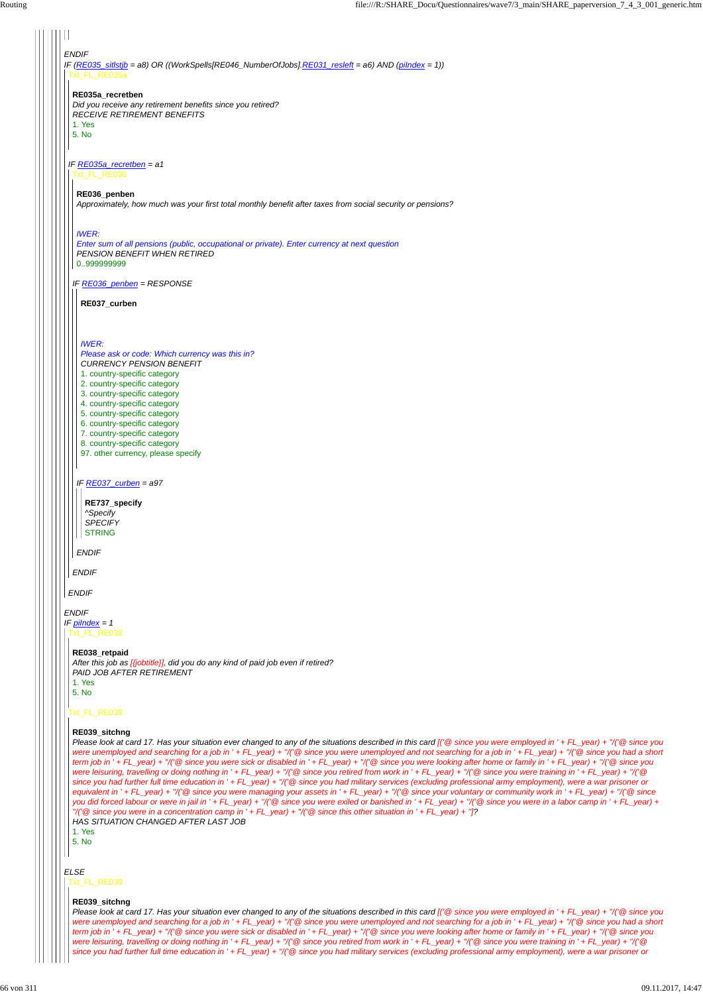| <b>ENDIF</b><br>IF (RE035_sitlstjb = a8) OR ((WorkSpells[RE046_NumberOfJobs].RE031_resleft = a6) AND (pilndex = 1))<br>Txt_FL_RE035a                                                                                                                                                                                                                                                                     |
|----------------------------------------------------------------------------------------------------------------------------------------------------------------------------------------------------------------------------------------------------------------------------------------------------------------------------------------------------------------------------------------------------------|
| RE035a_recretben<br>Did you receive any retirement benefits since you retired?<br><b>RECEIVE RETIREMENT BENEFITS</b><br>1. Yes<br>5. No                                                                                                                                                                                                                                                                  |
| IF RE035a_recretben = $a1$<br>Txt_FL_RE036                                                                                                                                                                                                                                                                                                                                                               |
| RE036_penben<br>Approximately, how much was your first total monthly benefit after taxes from social security or pensions?                                                                                                                                                                                                                                                                               |
| <b>IWER:</b><br>Enter sum of all pensions (public, occupational or private). Enter currency at next question<br>PENSION BENEFIT WHEN RETIRED<br>0999999999                                                                                                                                                                                                                                               |
| IF RE036_penben = RESPONSE                                                                                                                                                                                                                                                                                                                                                                               |
| RE037_curben                                                                                                                                                                                                                                                                                                                                                                                             |
| <b>IWER:</b><br>Please ask or code: Which currency was this in?<br><b>CURRENCY PENSION BENEFIT</b><br>1. country-specific category<br>2. country-specific category<br>3. country-specific category<br>4. country-specific category<br>5. country-specific category<br>6. country-specific category<br>7. country-specific category<br>8. country-specific category<br>97. other currency, please specify |
| IF RE037_curben = $a97$<br>RE737_specify<br>^Specify<br><b>SPECIFY</b><br><b>STRING</b>                                                                                                                                                                                                                                                                                                                  |
| <b>ENDIF</b>                                                                                                                                                                                                                                                                                                                                                                                             |
| <b>ENDIF</b>                                                                                                                                                                                                                                                                                                                                                                                             |
| <b>ENDIF</b>                                                                                                                                                                                                                                                                                                                                                                                             |
| <b>ENDIF</b><br>IF pilndex = 1<br>Txt FL RE038<br>RE038_retpaid<br>After this job as [{jobtitle}], did you do any kind of paid job even if retired?<br>PAID JOB AFTER RETIREMENT<br>1. Yes<br>5. No                                                                                                                                                                                                      |
| Txt_FL_RE039                                                                                                                                                                                                                                                                                                                                                                                             |

**RE039\_sitchng**

*Please look at card 17. Has your situation ever changed to any of the situations described in this card [('@ since you were employed in ' + FL\_year) + ''/('@ since you*

*ELSE* Txt\_FL\_RE039

*were unemployed and searching for a job in ' + FL\_year) + ''/('@ since you were unemployed and not searching for a job in ' + FL\_year) + ''/('@ since you had a short term job in ' + FL\_year) + ''/('@ since you were sick or disabled in ' + FL\_year) + ''/('@ since you were looking after home or family in ' + FL\_year) + ''/('@ since you were leisuring, travelling or doing nothing in ' + FL\_year) + ''/('@ since you retired from work in ' + FL\_year) + ''/('@ since you were training in ' + FL\_year) + ''/('@ since you had further full time education in ' + FL\_year) + ''/('@ since you had military services (excluding professional army employment), were a war prisoner or equivalent in ' + FL\_year) + ''/('@ since you were managing your assets in ' + FL\_year) + ''/('@ since your voluntary or community work in ' + FL\_year) + ''/('@ since you did forced labour or were in jail in ' + FL\_year) + ''/('@ since you were exiled or banished in ' + FL\_year) + ''/('@ since you were in a labor camp in ' + FL\_year) + ''/('@ since you were in a concentration camp in ' + FL\_year) + ''/('@ since this other situation in ' + FL\_year) + '']?*

*HAS SITUATION CHANGED AFTER LAST JOB*

1. Yes

5. No

#### **RE039\_sitchng**

*Please look at card 17. Has your situation ever changed to any of the situations described in this card [('@ since you were employed in ' + FL\_year) + ''/('@ since you were unemployed and searching for a job in ' + FL\_year) + ''/('@ since you were unemployed and not searching for a job in ' + FL\_year) + ''/('@ since you had a short term job in ' + FL\_year) + ''/('@ since you were sick or disabled in ' + FL\_year) + ''/('@ since you were looking after home or family in ' + FL\_year) + ''/('@ since you were leisuring, travelling or doing nothing in ' + FL\_year) + ''/('@ since you retired from work in ' + FL\_year) + ''/('@ since you were training in ' + FL\_year) + ''/('@ since you had further full time education in ' + FL\_year) + ''/('@ since you had military services (excluding professional army employment), were a war prisoner or*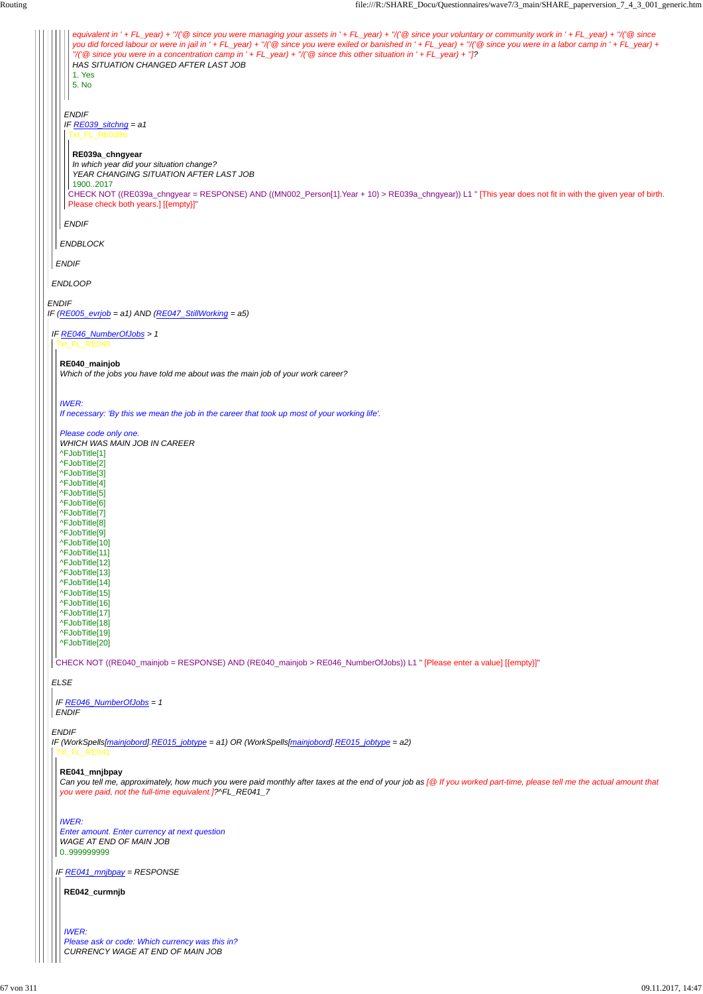*ENDIF IF (RE005\_evrjob = a1) AND (RE047\_StillWorking = a5) ENDLOOP ENDIF ENDBLOCK ENDIF IF RE039\_sitchng = a1 ENDIF equivalent in ' + FL\_year) + ''/('@ since you were managing your assets in ' + FL\_year) + ''/('@ since your voluntary or community work in ' + FL\_year) + ''/('@ since you did forced labour or were in jail in ' + FL\_year) + ''/('@ since you were exiled or banished in ' + FL\_year) + ''/('@ since you were in a labor camp in ' + FL\_year) + ''/('@ since you were in a concentration camp in ' + FL\_year) + ''/('@ since this other situation in ' + FL\_year) + '']? HAS SITUATION CHANGED AFTER LAST JOB* 1. Yes 5. No Txt\_FL\_RE039a CHECK NOT ((RE039a\_chngyear = RESPONSE) AND ((MN002\_Person[1].Year + 10) > RE039a\_chngyear)) L1 " [This year does not fit in with the given year of birth. Please check both years.] [{empty}]" **RE039a\_chngyear** *In which year did your situation change? YEAR CHANGING SITUATION AFTER LAST JOB* 1900..2017 *IF RE046\_NumberOfJobs > 1 ELSE ENDIF* Txt\_FL\_RE040 CHECK NOT ((RE040\_mainjob = RESPONSE) AND (RE040\_mainjob > RE046\_NumberOfJobs)) L1 " [Please enter a value] [{empty}]" **RE040\_mainjob** *Which of the jobs you have told me about was the main job of your work career? IWER: If necessary: 'By this we mean the job in the career that took up most of your working life'. Please code only one. WHICH WAS MAIN JOB IN CAREER* ^FJobTitle[1] ^FJobTitle[2] ^FJobTitle[3] ^FJobTitle[4] ^FJobTitle[5] ^FJobTitle[6] ^FJobTitle[7] ^FJobTitle[8] ^FJobTitle[9] ^FJobTitle[10] ^FJobTitle[11] ^FJobTitle[12] ^FJobTitle[13] ^FJobTitle[14] ^FJobTitle[15] ^FJobTitle[16] ^FJobTitle[17] ^FJobTitle[18] ^FJobTitle[19] ^FJobTitle[20] *IF RE046\_NumberOfJobs = 1 ENDIF*

#### <u>\_FL</u>\_RE041

*IF (WorkSpells[mainjobord].RE015\_jobtype = a1) OR (WorkSpells[mainjobord].RE015\_jobtype = a2)*

Can you tell me, approximately, how much you were paid monthly after taxes at the end of your job as [@ If you worked part-time, please tell me the actual amount that *you were paid, not the full-time equivalent.]?^FL\_RE041\_7*

*IF RE041\_mnjbpay = RESPONSE*

#### **RE041\_mnjbpay**

#### *IWER: Enter amount. Enter currency at next question WAGE AT END OF MAIN JOB* 0..999999999

**RE042\_curmnjb**

*IWER: Please ask or code: Which currency was this in? CURRENCY WAGE AT END OF MAIN JOB*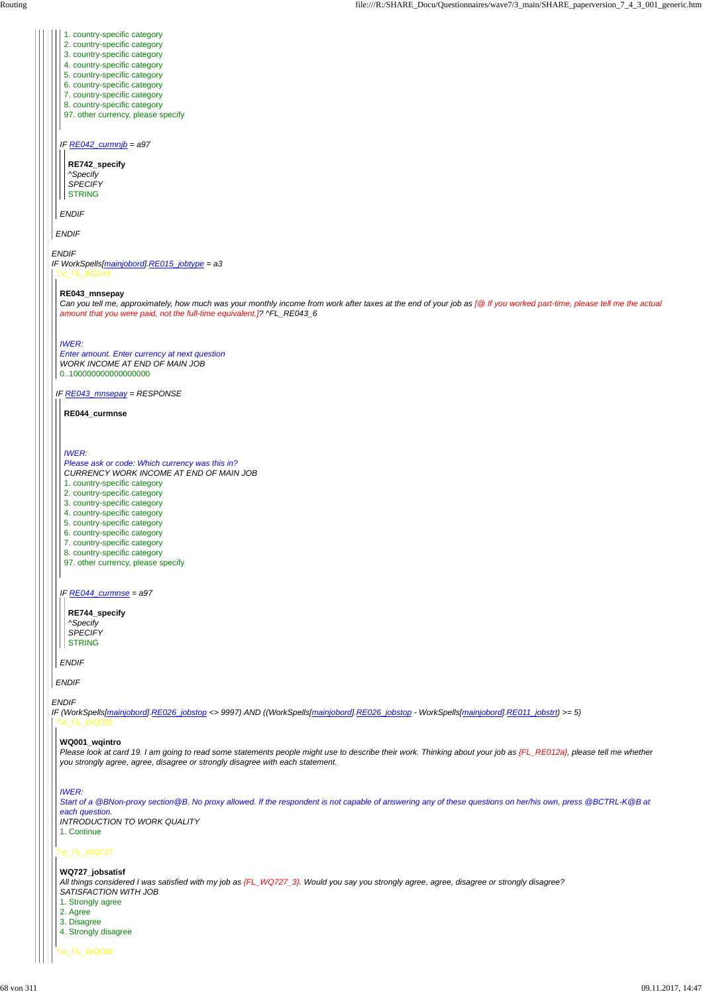#### *ENDIF*

*ENDIF*

*ENDIF*

### *IF RE042\_curmnjb = a97*

#### *ENDIF*

*IF WorkSpells[mainjobord].RE015\_jobtype = a3* Txt\_FL\_RE043

- 1. country-specific category
- 2. country-specific category
- 3. country-specific category
- 4. country-specific category
- 5. country-specific category
- 6. country-specific category
- 7. country-specific category
- 8. country-specific category
- 97. other currency, please specify

### **RE742\_specify** *^Specify*

*SPECIFY* STRING

*IF RE043\_mnsepay = RESPONSE*

*ENDIF*

#### **RE043\_mnsepay**

#### **RE744\_specify** *^Specify SPECIFY* **STRING**

*Can you tell me, approximately, how much was your monthly income from work after taxes at the end of your job as [@ If you worked part-time, please tell me the actual amount that you were paid, not the full-time equivalent.]? ^FL\_RE043\_6*

*IF (WorkSpells[mainjobord].RE026\_jobstop <> 9997) AND ((WorkSpells[mainjobord].RE026\_jobstop - WorkSpells[mainjobord].RE011\_jobstrt) >= 5)* Txt\_FL\_WQ001

### *IWER:*

Please look at card 19. I am going to read some statements people might use to describe their work. Thinking about your job as {FL\_RE012a}, please tell me whether *you strongly agree, agree, disagree or strongly disagree with each statement.*

*Enter amount. Enter currency at next question WORK INCOME AT END OF MAIN JOB* 0..100000000000000000

#### *IF RE044\_curmnse = a97*

*ENDIF*

**RE044\_curmnse**

### *IWER:*

### *Please ask or code: Which currency was this in? CURRENCY WORK INCOME AT END OF MAIN JOB*

- 1. country-specific category
- 2. country-specific category
- 3. country-specific category
- 4. country-specific category
- 5. country-specific category
- 6. country-specific category
- 7. country-specific category
- 8. country-specific category
- 97. other currency, please specify

### Txt\_FL\_WQ727

Txt\_FL\_WQ002

### **WQ001\_wqintro**

#### *IWER:*

*Start of a @BNon-proxy section@B. No proxy allowed. If the respondent is not capable of answering any of these questions on her/his own, press @BCTRL-K@B at each question.*

*INTRODUCTION TO WORK QUALITY*

1. Continue

**WQ727\_jobsatisf** *All things considered I was satisfied with my job as {FL\_WQ727\_3}. Would you say you strongly agree, agree, disagree or strongly disagree? SATISFACTION WITH JOB*

- 1. Strongly agree
- 2. Agree
- 3. Disagree
- 4. Strongly disagree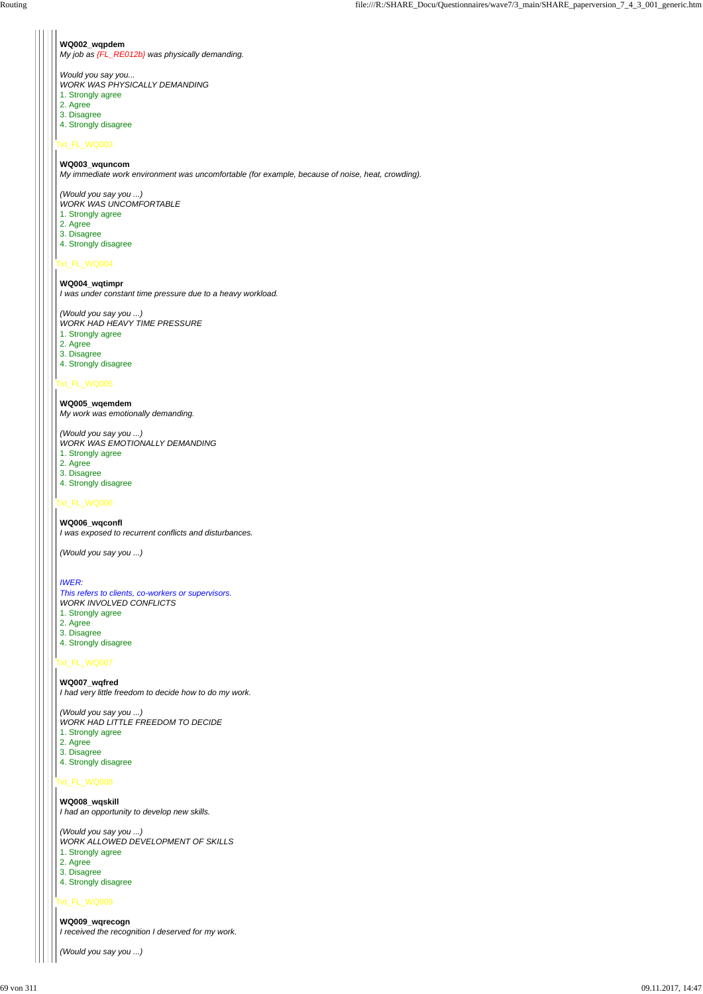## Txt\_FL\_WQ003

# Txt\_FL\_WQ004

### Txt\_FL\_WQ005

### Txt\_FL\_WQ006

# Txt\_FL\_WQ007

### Txt\_FL\_WQ008

### Txt\_FL\_WQ009

#### **WQ002\_wqpdem**

*My job as {FL\_RE012b} was physically demanding.*

*Would you say you...*

*WORK WAS PHYSICALLY DEMANDING*

- 1. Strongly agree
- 2. Agree
- 3. Disagree
- 4. Strongly disagree

### **WQ003\_wquncom**

*My immediate work environment was uncomfortable (for example, because of noise, heat, crowding).*

*(Would you say you ...) WORK WAS UNCOMFORTABLE*

- 1. Strongly agree
- 2. Agree
- 3. Disagree
- 4. Strongly disagree

### **WQ004\_wqtimpr**

*I was under constant time pressure due to a heavy workload.*

*(Would you say you ...) WORK HAD HEAVY TIME PRESSURE*

- 1. Strongly agree
- 2. Agree
- 3. Disagree
- 4. Strongly disagree

**WQ005\_wqemdem** *My work was emotionally demanding.*

*(Would you say you ...) WORK WAS EMOTIONALLY DEMANDING*

- 1. Strongly agree
- 2. Agree
- 3. Disagree
- 4. Strongly disagree

### **WQ006\_wqconfl**

*I was exposed to recurrent conflicts and disturbances.*

*(Would you say you ...)*

### *IWER:*

*This refers to clients, co-workers or supervisors. WORK INVOLVED CONFLICTS*

- 1. Strongly agree
- 2. Agree
- 3. Disagree 4. Strongly disagree
- 

**WQ007\_wqfred** *I had very little freedom to decide how to do my work.*

*(Would you say you ...) WORK HAD LITTLE FREEDOM TO DECIDE* 1. Strongly agree

- 2. Agree
- 

3. Disagree

4. Strongly disagree

**WQ008\_wqskill** *I had an opportunity to develop new skills.*

*(Would you say you ...) WORK ALLOWED DEVELOPMENT OF SKILLS* 1. Strongly agree 2. Agree

3. Disagree

4. Strongly disagree

**WQ009\_wqrecogn** *I received the recognition I deserved for my work.*

*(Would you say you ...)*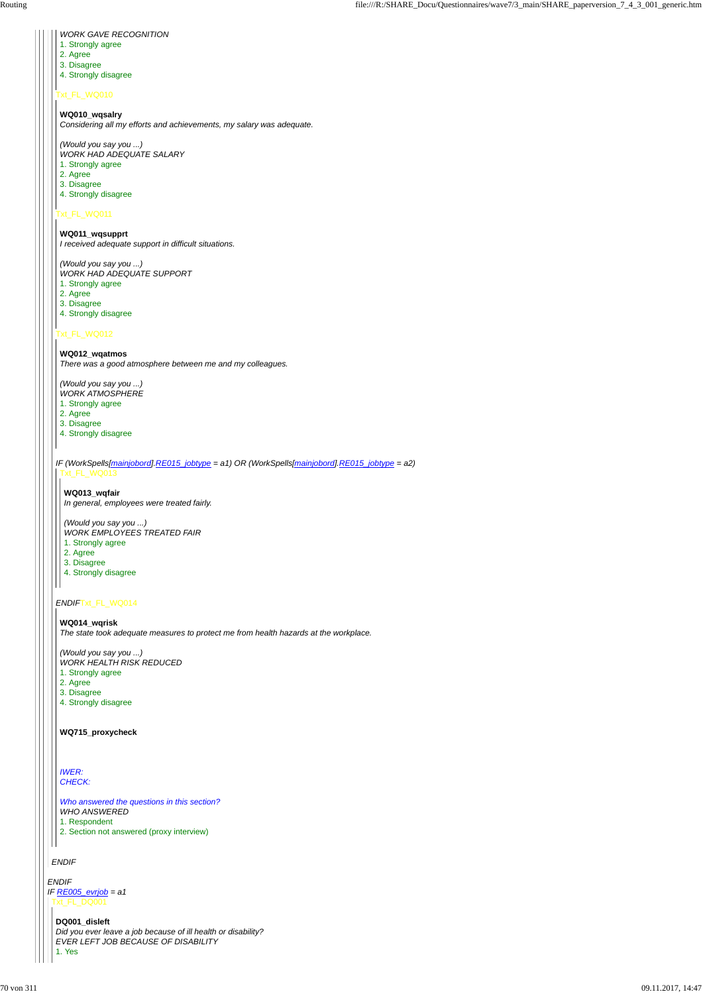#### *ENDIF*

### Txt\_FL\_WQ010

### Txt\_FL\_WQ011

### Txt\_FL\_WQ012

### *ENDIF*Txt\_FL\_WQ014

### *WORK GAVE RECOGNITION*

- 1. Strongly agree
- 2. Agree
- 3. Disagree
- 4. Strongly disagree

**WQ010\_wqsalry**

*Considering all my efforts and achievements, my salary was adequate.*

*(Would you say you ...) WORK HAD ADEQUATE SALARY*

- 1. Strongly agree
- 2. Agree
- 3. Disagree
- 4. Strongly disagree

*IF (WorkSpells[mainjobord].RE015\_jobtype = a1) OR (WorkSpells[mainjobord].RE015\_jobtype = a2)* Txt\_FL\_WQ013

**WQ011\_wqsupprt** *I received adequate support in difficult situations.*

*(Would you say you ...) WORK HAD ADEQUATE SUPPORT*

- 1. Strongly agree
- 2. Agree
- 3. Disagree
- 4. Strongly disagree

#### **WQ012\_wqatmos**

*ENDIF IF RE005\_evrjob = a1* Txt\_FL\_DQ001

*There was a good atmosphere between me and my colleagues.*

*(Would you say you ...)*

- *WORK ATMOSPHERE*
- 1. Strongly agree
- 2. Agree
- 3. Disagree
- 4. Strongly disagree

**WQ013\_wqfair**

*In general, employees were treated fairly.*

*(Would you say you ...)*

- *WORK EMPLOYEES TREATED FAIR*
- 1. Strongly agree
- 2. Agree
- 3. Disagree
- 4. Strongly disagree

#### **WQ014\_wqrisk**

*The state took adequate measures to protect me from health hazards at the workplace.*

*(Would you say you ...)*

- *WORK HEALTH RISK REDUCED*
- 1. Strongly agree
- 2. Agree
- 3. Disagree
- 4. Strongly disagree

**WQ715\_proxycheck**

#### *IWER: CHECK:*

*Who answered the questions in this section? WHO ANSWERED*

1. Respondent

2. Section not answered (proxy interview)

#### **DQ001\_disleft**

*Did you ever leave a job because of ill health or disability? EVER LEFT JOB BECAUSE OF DISABILITY*

1. Yes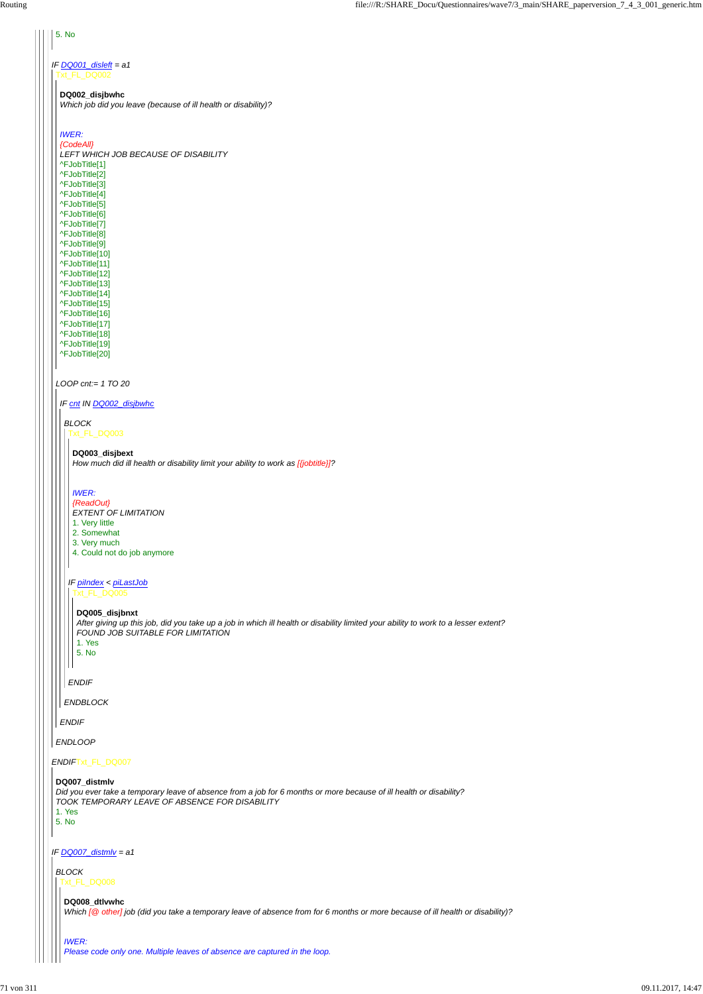### *ENDIF*Txt\_FL\_DQ007

*IF DQ007\_distmlv = a1*

# 5. No *IF DQ001\_disleft = a1* Txt\_FL\_DQ002 **DQ002\_disjbwhc** *Which job did you leave (because of ill health or disability)? IWER: {CodeAll} LEFT WHICH JOB BECAUSE OF DISABILITY* ^FJobTitle[1] ^FJobTitle[2] ^FJobTitle[3] ^FJobTitle[4] ^FJobTitle[5] ^FJobTitle[6] ^FJobTitle[7] ^FJobTitle[8] ^FJobTitle[9] ^FJobTitle[10] ^FJobTitle[11] ^FJobTitle[12] ^FJobTitle[13] ^FJobTitle[14] ^FJobTitle[15] ^FJobTitle[16] ^FJobTitle[17] ^FJobTitle[18] ^FJobTitle[19] ^FJobTitle[20] *LOOP cnt:= 1 TO 20 IF cnt IN DQ002\_disjbwhc BLOCK* Txt\_FL\_DQ003 **DQ003\_disjbext** *How much did ill health or disability limit your ability to work as [{jobtitle}]? IWER: {ReadOut} EXTENT OF LIMITATION* 1. Very little 2. Somewhat 3. Very much 4. Could not do job anymore *IF piIndex < piLastJob* Txt\_FL\_DQ005 **DQ005\_disjbnxt** *After giving up this job, did you take up a job in which ill health or disability limited your ability to work to a lesser extent? FOUND JOB SUITABLE FOR LIMITATION* 1. Yes 5. No l I *ENDIF ENDBLOCK ENDIF ENDLOOP*

#### **DQ007\_distmlv**

*Did you ever take a temporary leave of absence from a job for 6 months or more because of ill health or disability? TOOK TEMPORARY LEAVE OF ABSENCE FOR DISABILITY*

1. Yes 5. No

*BLOCK* Txt\_FL\_DQ008

**DQ008\_dtlvwhc**

*Which [@ other] job (did you take a temporary leave of absence from for 6 months or more because of ill health or disability)?*

#### *IWER:*

*Please code only one. Multiple leaves of absence are captured in the loop.*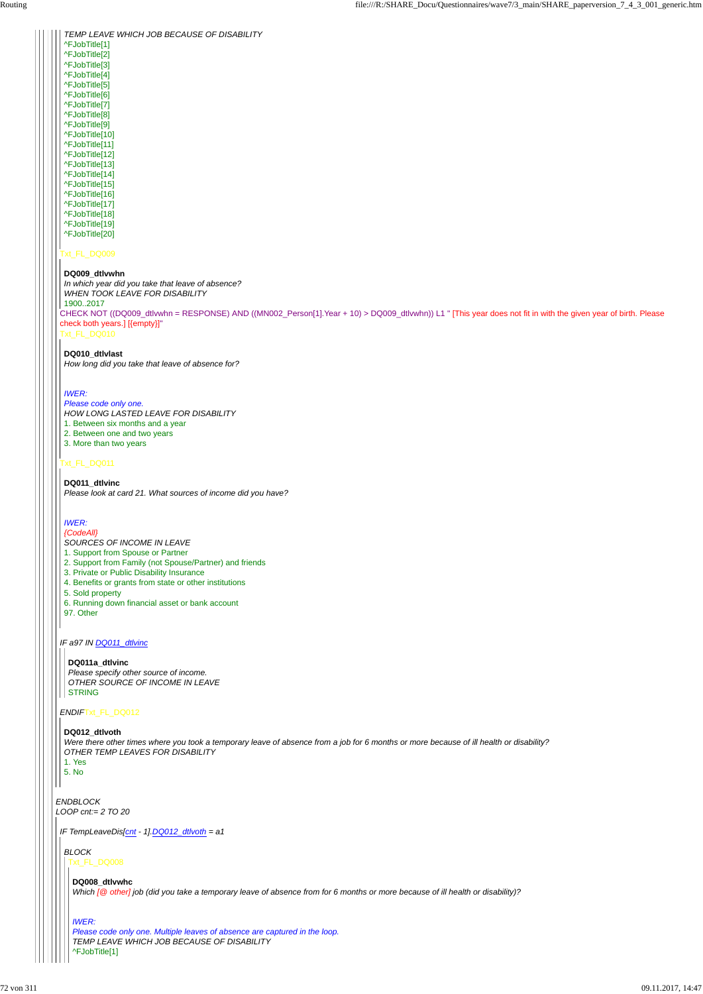### Txt\_FL\_DQ009

### Txt\_FL\_DQ011

*IF a97 IN DQ011\_dtlvinc*

#### *ENDIF*Txt\_FL\_DQ012

CHECK NOT ((DQ009\_dtlvwhn = RESPONSE) AND ((MN002\_Person[1].Year + 10) > DQ009\_dtlvwhn)) L1 " [This year does not fit in with the given year of birth. Please check both years.] [{empty}]" Txt\_FL\_DQ010 *In which year did you take that leave of absence? WHEN TOOK LEAVE FOR DISABILITY* 1900..2017

*TEMP LEAVE WHICH JOB BECAUSE OF DISABILITY* ^FJobTitle[1] ^FJobTitle[2] ^FJobTitle[3] ^FJobTitle[4] ^FJobTitle[5] ^FJobTitle[6] ^FJobTitle[7] ^FJobTitle[8] ^FJobTitle[9] ^FJobTitle[10] ^FJobTitle[11]

^FJobTitle[12]

^FJobTitle[13] ^FJobTitle[14] ^FJobTitle[15] ^FJobTitle[16] ^FJobTitle[17] ^FJobTitle[18]

^FJobTitle[19]

^FJobTitle[20]

#### **DQ009\_dtlvwhn**

#### **DQ010\_dtlvlast**

*How long did you take that leave of absence for?*

#### *IWER:*

*Please code only one. HOW LONG LASTED LEAVE FOR DISABILITY* 1. Between six months and a year 2. Between one and two years 3. More than two years

#### **DQ011\_dtlvinc**

```
ENDBLOCK
LOOP cnt:= 2 TO 20
  OTHER TEMP LEAVES FOR DISABILITY
  1. Yes
  5. No
IF TempLeaveDis[cnt - 1].DQ012_dtlvoth = a1
  BLOCK
  Txt_FL_DQ008
   DQ008_dtlvwhc
    Which [@ other] job (did you take a temporary leave of absence from for 6 months or more because of ill health or disability)?
    IWER:
    Please code only one. Multiple leaves of absence are captured in the loop.
    TEMP LEAVE WHICH JOB BECAUSE OF DISABILITY
    ^FJobTitle[1]
```
*Please look at card 21. What sources of income did you have?*

#### *IWER:*

#### *{CodeAll}*

- *SOURCES OF INCOME IN LEAVE*
- 1. Support from Spouse or Partner
- 2. Support from Family (not Spouse/Partner) and friends
- 3. Private or Public Disability Insurance
- 4. Benefits or grants from state or other institutions
- 5. Sold property
- 6. Running down financial asset or bank account
- 97. Other

#### **DQ011a\_dtlvinc**

*Please specify other source of income. OTHER SOURCE OF INCOME IN LEAVE* STRING

#### **DQ012\_dtlvoth**

*Were there other times where you took a temporary leave of absence from a job for 6 months or more because of ill health or disability?*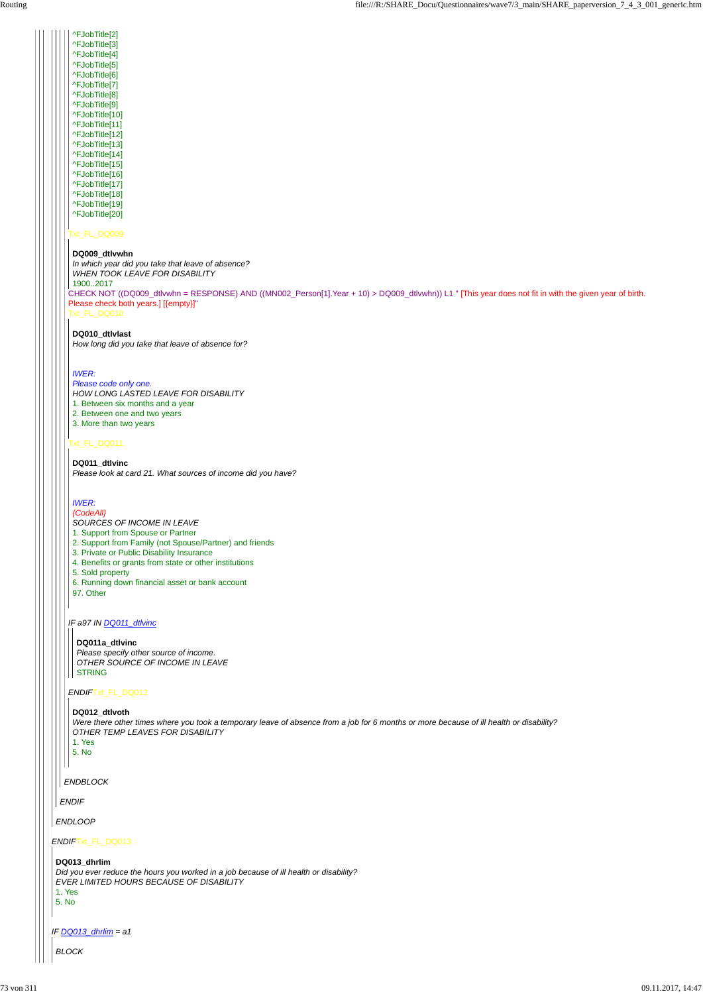Txt\_FL\_DQ009

Txt\_FL\_DQ010

## Txt\_FL\_DQ011

#### *IF a97 IN DQ011\_dtlvinc*

#### *ENDIF*Txt\_FL\_DQ012

^FJobTitle[2]

CHECK NOT ((DQ009\_dtlvwhn = RESPONSE) AND ((MN002\_Person[1].Year + 10) > DQ009\_dtlvwhn)) L1 " [This year does not fit in with the given year of birth. Please check both years.] [{empty}]" *In which year did you take that leave of absence? WHEN TOOK LEAVE FOR DISABILITY* 1900..2017

^FJobTitle[3] ^FJobTitle[4] ^FJobTitle[5] ^FJobTitle[6] ^FJobTitle[7] ^FJobTitle[8] ^FJobTitle[9] ^FJobTitle[10] ^FJobTitle[11] ^FJobTitle[12] ^FJobTitle[13] ^FJobTitle[14] ^FJobTitle[15] ^FJobTitle[16] ^FJobTitle[17] ^FJobTitle[18] ^FJobTitle[19] ^FJobTitle[20]

#### **DQ009\_dtlvwhn**

#### **DQ010\_dtlvlast**

*How long did you take that leave of absence for?*

#### *IWER:*

*Please code only one.*

*HOW LONG LASTED LEAVE FOR DISABILITY*

1. Between six months and a year

2. Between one and two years

3. More than two years

# **DQ011\_dtlvinc**

*Please look at card 21. What sources of income did you have?*

### *IWER:*

*{CodeAll} SOURCES OF INCOME IN LEAVE*

- 1. Support from Spouse or Partner
- 2. Support from Family (not Spouse/Partner) and friends
- 3. Private or Public Disability Insurance
- 4. Benefits or grants from state or other institutions
- 5. Sold property
- 6. Running down financial asset or bank account
- 97. Other

#### **DQ011a\_dtlvinc**

*Please specify other source of income. OTHER SOURCE OF INCOME IN LEAVE* STRING

#### **DQ012\_dtlvoth**

*Were there other times where you took a temporary leave of absence from a job for 6 months or more because of ill health or disability? OTHER TEMP LEAVES FOR DISABILITY* 1. Yes 5. No  $\mathsf{I}$ *ENDBLOCK ENDIF ENDLOOP ENDIF*Txt\_FL\_DQ013 **DQ013\_dhrlim** *Did you ever reduce the hours you worked in a job because of ill health or disability? EVER LIMITED HOURS BECAUSE OF DISABILITY* 1. Yes 5. No *IF DQ013\_dhrlim = a1 BLOCK*

 $\mathbf{L}$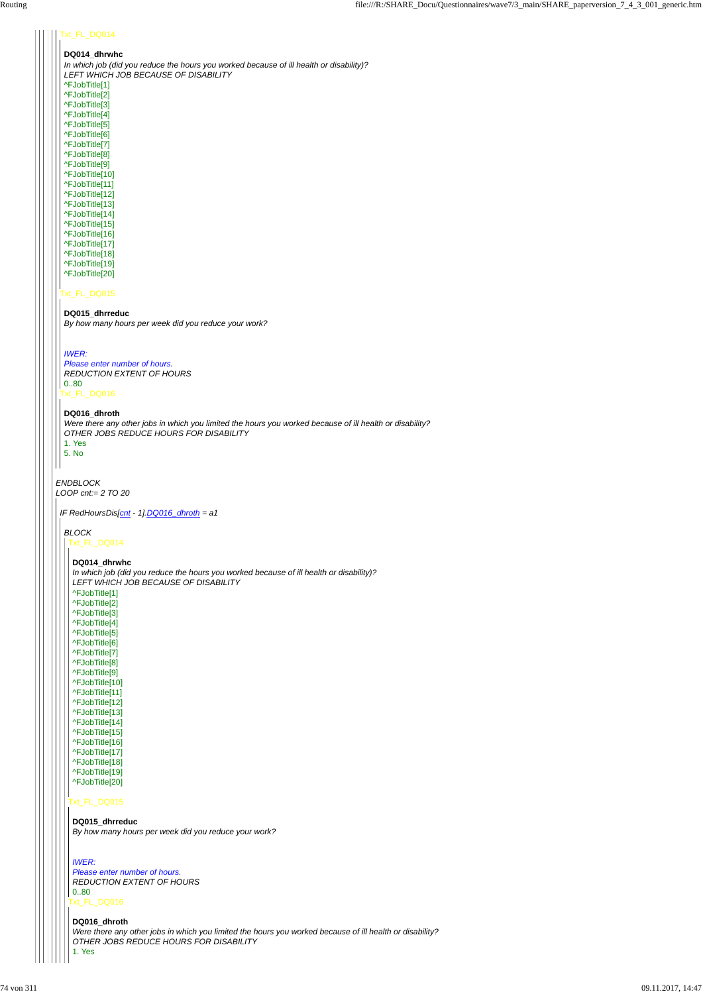*ENDBLOCK LOOP cnt:= 2 TO 20*

# Txt\_FL\_DQ014

# Txt\_FL\_DQ015

#### **DQ014\_dhrwhc** *In which job (did you reduce the hours you worked because of ill health or disability)? LEFT WHICH JOB BECAUSE OF DISABILITY*

```
Txt_FL_DQ016
Please enter number of hours.
REDUCTION EXTENT OF HOURS
0..80
```
^FJobTitle[1] ^FJobTitle[2] ^FJobTitle[3] ^FJobTitle[4] ^FJobTitle[5] ^FJobTitle[6] ^FJobTitle[7] ^FJobTitle[8] ^FJobTitle[9] ^FJobTitle[10] ^FJobTitle[11] ^FJobTitle[12] ^FJobTitle[13] ^FJobTitle[14] ^FJobTitle[15] ^FJobTitle[16] ^FJobTitle[17] ^FJobTitle[18] ^FJobTitle[19] ^FJobTitle[20]

# **DQ015\_dhrreduc**

*By how many hours per week did you reduce your work?*

*IWER:*

#### **DQ016\_dhroth**

*Were there any other jobs in which you limited the hours you worked because of ill health or disability? OTHER JOBS REDUCE HOURS FOR DISABILITY*

1. Yes 5. No

*IF RedHoursDis[cnt - 1].DQ016\_dhroth = a1*

# *BLOCK*

```
Txt_FL_DQ014
```
# Txt\_FL\_DQ015

Txt\_FL\_DQ016

**DQ014\_dhrwhc**

*In which job (did you reduce the hours you worked because of ill health or disability)? LEFT WHICH JOB BECAUSE OF DISABILITY* ^FJobTitle[1] ^FJobTitle[2] ^FJobTitle[3] ^FJobTitle[4] ^FJobTitle[5] ^FJobTitle[6] ^FJobTitle[7] ^FJobTitle[8] ^FJobTitle[9] ^FJobTitle[10] ^FJobTitle[11] ^FJobTitle[12] ^FJobTitle[13]

- ^FJobTitle[14] ^FJobTitle[15] ^FJobTitle[16]
- 

^FJobTitle[17] ^FJobTitle[18] ^FJobTitle[19] ^FJobTitle[20]

**DQ015\_dhrreduc** *By how many hours per week did you reduce your work?*

# *IWER: Please enter number of hours. REDUCTION EXTENT OF HOURS* 0..80

#### **DQ016\_dhroth**

*Were there any other jobs in which you limited the hours you worked because of ill health or disability? OTHER JOBS REDUCE HOURS FOR DISABILITY*

1. Yes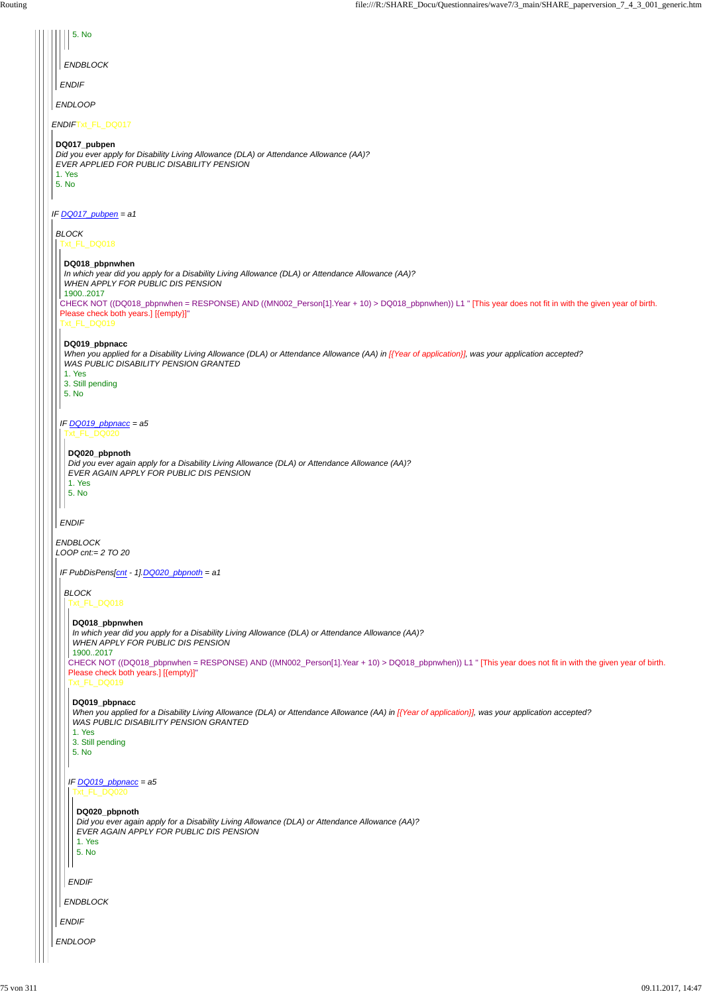| 5. No                                                                                                                                                                                                                                    |
|------------------------------------------------------------------------------------------------------------------------------------------------------------------------------------------------------------------------------------------|
|                                                                                                                                                                                                                                          |
| <b>ENDBLOCK</b>                                                                                                                                                                                                                          |
| <b>ENDIF</b>                                                                                                                                                                                                                             |
| <b>ENDLOOP</b>                                                                                                                                                                                                                           |
| ENDIFTxt_FL_DQ017                                                                                                                                                                                                                        |
| DQ017_pubpen<br>Did you ever apply for Disability Living Allowance (DLA) or Attendance Allowance (AA)?<br>EVER APPLIED FOR PUBLIC DISABILITY PENSION<br>1. Yes<br>5. No                                                                  |
| IF DQ017_pubpen = a1                                                                                                                                                                                                                     |
| <b>BLOCK</b><br>Txt_FL_DQ018                                                                                                                                                                                                             |
| DQ018_pbpnwhen                                                                                                                                                                                                                           |
| In which year did you apply for a Disability Living Allowance (DLA) or Attendance Allowance (AA)?<br>WHEN APPLY FOR PUBLIC DIS PENSION                                                                                                   |
| 19002017<br>CHECK NOT ((DQ018_pbpnwhen = RESPONSE) AND ((MN002_Person[1].Year + 10) > DQ018_pbpnwhen)) L1 " [This year does not fit in with the given year of birth.<br>Please check both years.] [{empty}]"<br>Txt_FL_DQ019             |
| DQ019_pbpnacc<br>When you applied for a Disability Living Allowance (DLA) or Attendance Allowance (AA) in [{Year of application}], was your application accepted?<br>WAS PUBLIC DISABILITY PENSION GRANTED<br>1. Yes                     |
| 3. Still pending<br>5. No                                                                                                                                                                                                                |
| IF $DQ019$ pbpnacc = a5                                                                                                                                                                                                                  |
| Txt_FL_DQ020                                                                                                                                                                                                                             |
| DQ020_pbpnoth<br>Did you ever again apply for a Disability Living Allowance (DLA) or Attendance Allowance (AA)?<br>EVER AGAIN APPLY FOR PUBLIC DIS PENSION<br>1. Yes<br>5. No                                                            |
| <b>ENDIF</b>                                                                                                                                                                                                                             |
| <b>ENDBLOCK</b>                                                                                                                                                                                                                          |
| LOOP cnt:= $2$ TO $20$                                                                                                                                                                                                                   |
| IF PubDisPens[cnt - 1].DQ020_pbpnoth = a1                                                                                                                                                                                                |
| <b>BLOCK</b>                                                                                                                                                                                                                             |
| Txt_FL_DQ018                                                                                                                                                                                                                             |
| DQ018_pbpnwhen<br>In which year did you apply for a Disability Living Allowance (DLA) or Attendance Allowance (AA)?<br>WHEN APPLY FOR PUBLIC DIS PENSION<br>19002017                                                                     |
| CHECK NOT ((DQ018_pbpnwhen = RESPONSE) AND ((MN002_Person[1].Year + 10) > DQ018_pbpnwhen)) L1 " [This year does not fit in with the given year of birth.<br>Please check both years.] [{empty}]"<br>Txt_FL_DQ019                         |
| DQ019_pbpnacc<br>When you applied for a Disability Living Allowance (DLA) or Attendance Allowance (AA) in [{Year of application}], was your application accepted?<br>WAS PUBLIC DISABILITY PENSION GRANTED<br>1. Yes<br>3. Still pending |
| 5. No                                                                                                                                                                                                                                    |
| IF $DQ019$ _pbpnacc = a5<br><b>Txt FL DQ020</b>                                                                                                                                                                                          |
| DQ020_pbpnoth<br>Did you ever again apply for a Disability Living Allowance (DLA) or Attendance Allowance (AA)?<br>EVER AGAIN APPLY FOR PUBLIC DIS PENSION<br>1. Yes                                                                     |
| 5. No                                                                                                                                                                                                                                    |
|                                                                                                                                                                                                                                          |
| <b>ENDIF</b>                                                                                                                                                                                                                             |
| <b>ENDBLOCK</b>                                                                                                                                                                                                                          |
| <b>ENDIF</b>                                                                                                                                                                                                                             |
| <b>ENDLOOP</b>                                                                                                                                                                                                                           |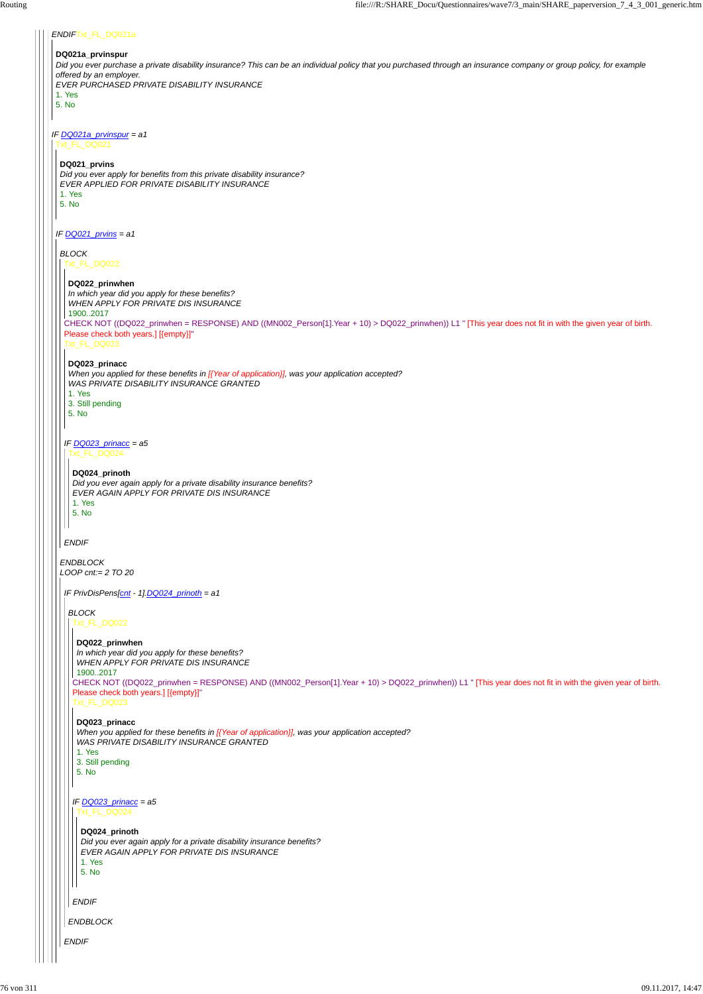#### *ENDIF*Txt\_FL\_DQ021a

#### **DQ021a\_prvinspur**

*Did you ever purchase a private disability insurance? This can be an individual policy that you purchased through an insurance company or group policy, for example offered by an employer.*

*IF DQ021a\_prvinspur = a1* Txt\_FL\_DQ021

*EVER PURCHASED PRIVATE DISABILITY INSURANCE*

1. Yes

5. No

*IF DQ021\_prvins = a1*

# **DQ021\_prvins**

*Did you ever apply for benefits from this private disability insurance? EVER APPLIED FOR PRIVATE DISABILITY INSURANCE* 1. Yes

5. No

#### *BLOCK*

*ENDBLOCK LOOP cnt:= 2 TO 20*

Txt\_FL\_DQ022

CHECK NOT ((DQ022\_prinwhen = RESPONSE) AND ((MN002\_Person[1].Year + 10) > DQ022\_prinwhen)) L1 " [This year does not fit in with the given year of birth. Please check both years.] [{empty}]"

Txt\_FL\_DQ023

# *IF DQ023\_prinacc = a5*

#### *ENDIF*

#### **DQ022\_prinwhen**

*In which year did you apply for these benefits? WHEN APPLY FOR PRIVATE DIS INSURANCE* 1900..2017

# **DQ023\_prinacc**

|  | 1. Yes                                                                                                                                                  |
|--|---------------------------------------------------------------------------------------------------------------------------------------------------------|
|  | 3. Still pending<br>5. No                                                                                                                               |
|  | IF DQ023_prinacc = a5<br>Txt_FL_DQ024                                                                                                                   |
|  | DQ024_prinoth<br>Did you ever again apply for a private disability insurance benefits?<br>EVER AGAIN APPLY FOR PRIVATE DIS INSURANCE<br>1. Yes<br>5. No |
|  | <b>ENDIF</b>                                                                                                                                            |
|  | <b>ENDBLOCK</b>                                                                                                                                         |
|  | <b>ENDIF</b>                                                                                                                                            |
|  |                                                                                                                                                         |

*When you applied for these benefits in [{Year of application}], was your application accepted? WAS PRIVATE DISABILITY INSURANCE GRANTED*

#### 1. Yes 3. Still pending

5. No

Txt\_FL\_DQ024

#### **DQ024\_prinoth**

*Did you ever again apply for a private disability insurance benefits? EVER AGAIN APPLY FOR PRIVATE DIS INSURANCE*

#### 1. Yes 5. No

*IF PrivDisPens[cnt - 1].DQ024\_prinoth = a1*

# *BLOCK*

Txt\_FL\_DQ022

CHECK NOT ((DQ022\_prinwhen = RESPONSE) AND ((MN002\_Person[1].Year + 10) > DQ022\_prinwhen)) L1 " [This year does not fit in with the given year of birth. Please check both years.] [{empty}]" Txt\_FL\_DQ023

# **DQ022\_prinwhen**

*In which year did you apply for these benefits? WHEN APPLY FOR PRIVATE DIS INSURANCE*

# 1900..2017

# **DQ023\_prinacc**

*When you applied for these benefits in [{Year of application}], was your application accepted? WAS PRIVATE DISABILITY INSURANCE GRANTED*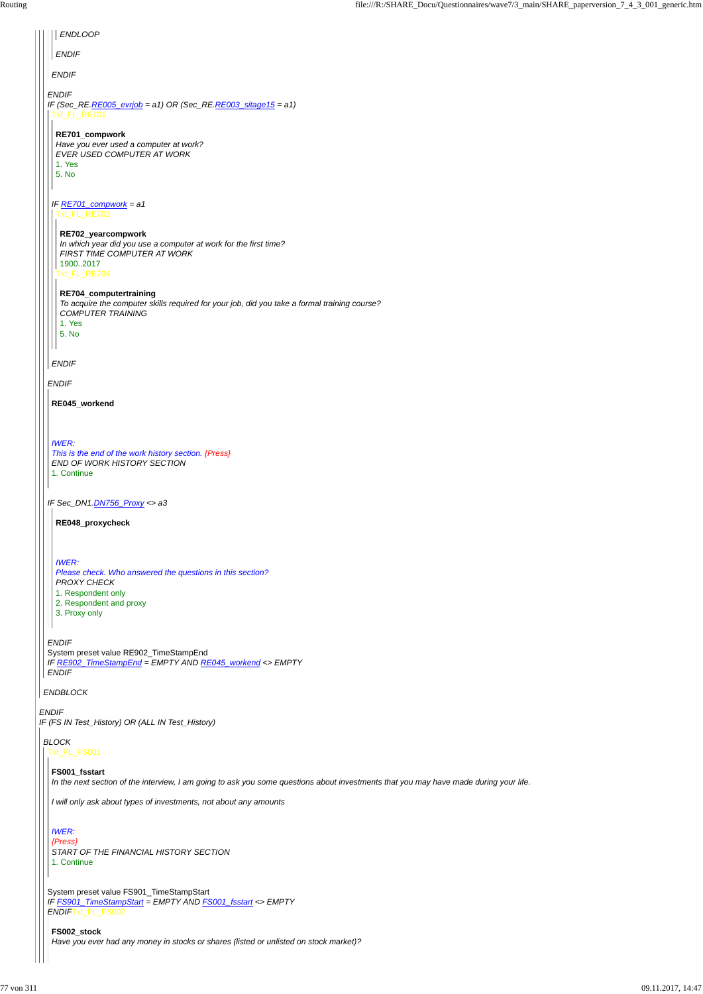| <b>ENDLOOP</b>                                                                                                                                                                                                           |  |
|--------------------------------------------------------------------------------------------------------------------------------------------------------------------------------------------------------------------------|--|
| <b>ENDIF</b>                                                                                                                                                                                                             |  |
| <b>ENDIF</b>                                                                                                                                                                                                             |  |
| <b>ENDIF</b><br>IF (Sec_RE. $RE$ 005_evrjob = a1) OR (Sec_RE. $RE$ 003_sitage15 = a1)<br>Txt_FL_RE701<br>RE701_compwork<br>Have you ever used a computer at work?<br>EVER USED COMPUTER AT WORK<br>1. Yes<br>5. No       |  |
| IF $RE701$ _compwork = a1<br>Txt_FL_RE702<br>RE702_yearcompwork<br>In which year did you use a computer at work for the first time?<br>FIRST TIME COMPUTER AT WORK<br>19002017<br>Txt_FL_RE704<br>RE704_computertraining |  |
| To acquire the computer skills required for your job, did you take a formal training course?<br><b>COMPUTER TRAINING</b><br>1. Yes<br>5. No                                                                              |  |
|                                                                                                                                                                                                                          |  |
| <b>ENDIF</b>                                                                                                                                                                                                             |  |
| <b>ENDIF</b>                                                                                                                                                                                                             |  |
| RE045_workend                                                                                                                                                                                                            |  |
| <b>IWER:</b><br>This is the end of the work history section. {Press}<br>END OF WORK HISTORY SECTION<br>1. Continue                                                                                                       |  |
| IF Sec_DN1.DN756_Proxy <> a3                                                                                                                                                                                             |  |
| RE048_proxycheck                                                                                                                                                                                                         |  |
| <b>IWER:</b><br>Please check. Who answered the questions in this section?<br><b>PROXY CHECK</b><br>1. Respondent only<br>2. Respondent and proxy<br>3. Proxy only                                                        |  |
| <b>ENDIF</b><br>System preset value RE902_TimeStampEnd<br>IF RE902_TimeStampEnd = EMPTY AND RE045_workend <> EMPTY<br><b>ENDIF</b>                                                                                       |  |
| <b>ENDBLOCK</b>                                                                                                                                                                                                          |  |
| <b>ENDIF</b><br>IF (FS IN Test_History) OR (ALL IN Test_History)                                                                                                                                                         |  |

*BLOCK*

#### t\_FL\_FS001

System preset value FS901\_TimeStampStart *IF FS901\_TimeStampStart = EMPTY AND FS001\_fsstart <> EMPTY ENDIF*Txt\_FL\_FS002

# **FS001\_fsstart**

*In the next section of the interview, I am going to ask you some questions about investments that you may have made during your life.*

*I will only ask about types of investments, not about any amounts*

*IWER:*

*{Press} START OF THE FINANCIAL HISTORY SECTION* 1. Continue

**FS002\_stock** *Have you ever had any money in stocks or shares (listed or unlisted on stock market)?*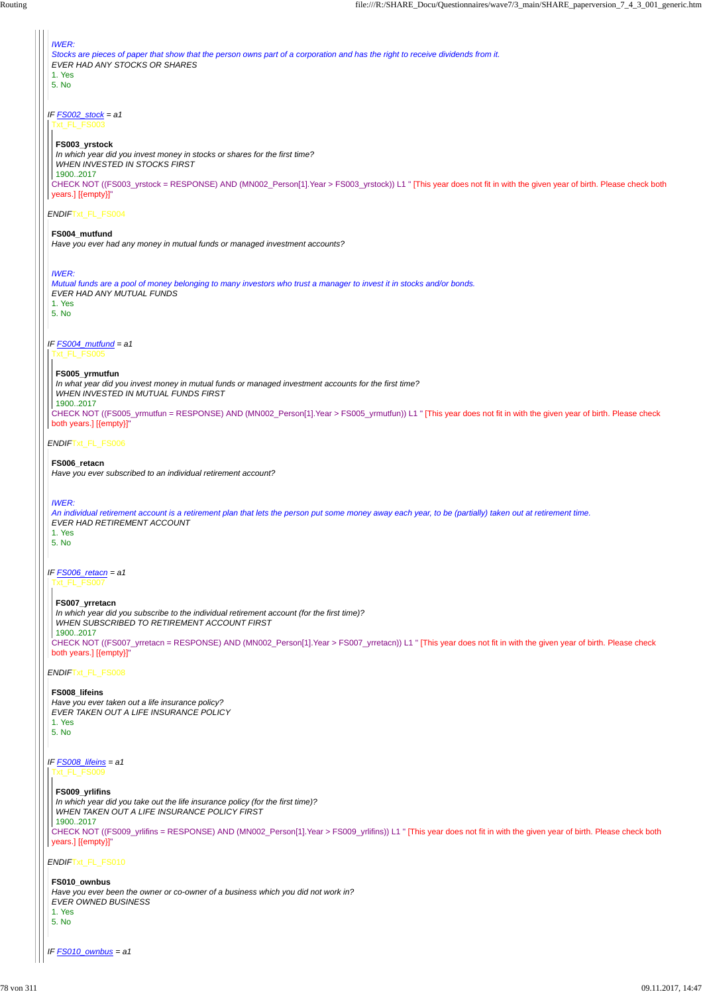*ENDIF*Txt\_FL\_FS010

*IF FS010\_ownbus = a1*

| <b>IWER:</b><br>Stocks are pieces of paper that show that the person owns part of a corporation and has the right to receive dividends from it.<br>EVER HAD ANY STOCKS OR SHARES<br>1. Yes<br>5. No                                                                                                                                                                                                                      |
|--------------------------------------------------------------------------------------------------------------------------------------------------------------------------------------------------------------------------------------------------------------------------------------------------------------------------------------------------------------------------------------------------------------------------|
| IF $FS002\_stock = a1$<br>Txt_FL_FS003<br>FS003_yrstock<br>In which year did you invest money in stocks or shares for the first time?<br><b>WHEN INVESTED IN STOCKS FIRST</b><br>19002017<br>CHECK NOT ((FS003_yrstock = RESPONSE) AND (MN002_Person[1].Year > FS003_yrstock)) L1 " [This year does not fit in with the given year of birth. Please check both<br>years.] [{empty}]"                                     |
| ENDIFTxt_FL_FS004<br>FS004_mutfund                                                                                                                                                                                                                                                                                                                                                                                       |
| Have you ever had any money in mutual funds or managed investment accounts?                                                                                                                                                                                                                                                                                                                                              |
| <b>IWER:</b><br>Mutual funds are a pool of money belonging to many investors who trust a manager to invest it in stocks and/or bonds.<br>EVER HAD ANY MUTUAL FUNDS<br>1. Yes<br>5. No                                                                                                                                                                                                                                    |
| IF $FS004$ mutfund = a1<br>Txt_FL_FS005<br>FS005_yrmutfun<br>In what year did you invest money in mutual funds or managed investment accounts for the first time?<br><b>WHEN INVESTED IN MUTUAL FUNDS FIRST</b><br>19002017<br>CHECK NOT ((FS005_yrmutfun = RESPONSE) AND (MN002_Person[1].Year > FS005_yrmutfun)) L1 " [This year does not fit in with the given year of birth. Please check<br>both years.] [{empty}]" |
| <b>ENDIFTXt_FL_FS006</b>                                                                                                                                                                                                                                                                                                                                                                                                 |
| FS006_retacn<br>Have you ever subscribed to an individual retirement account?                                                                                                                                                                                                                                                                                                                                            |
| <b>IWER:</b><br>An individual retirement account is a retirement plan that lets the person put some money away each year, to be (partially) taken out at retirement time.<br>EVER HAD RETIREMENT ACCOUNT<br>1. Yes<br>5. No                                                                                                                                                                                              |
| IF <b>FS006</b> retacn = a1<br>Txt_FL_FS007                                                                                                                                                                                                                                                                                                                                                                              |
| FS007_yrretacn<br>In which year did you subscribe to the individual retirement account (for the first time)?<br>WHEN SUBSCRIBED TO RETIREMENT ACCOUNT FIRST<br>19002017<br>CHECK NOT ((FS007_yrretacn = RESPONSE) AND (MN002_Person[1].Year > FS007_yrretacn)) L1 " [This year does not fit in with the given year of birth. Please check<br>both years.] [{empty}]"                                                     |
| ENDIFTxt_FL_FS008                                                                                                                                                                                                                                                                                                                                                                                                        |
| <b>FOOOO</b>                                                                                                                                                                                                                                                                                                                                                                                                             |

# *IF FS008\_lifeins = a1* Txt\_FL\_FS009

**FS008\_lifeins** *Have you ever taken out a life insurance policy? EVER TAKEN OUT A LIFE INSURANCE POLICY*

1. Yes 5. No

CHECK NOT ((FS009\_yrlifins = RESPONSE) AND (MN002\_Person[1].Year > FS009\_yrlifins)) L1 " [This year does not fit in with the given year of birth. Please check both years.] [{empty}]" *In which year did you take out the life insurance policy (for the first time)? WHEN TAKEN OUT A LIFE INSURANCE POLICY FIRST* 1900..2017

# **FS009\_yrlifins**

# **FS010\_ownbus**

*Have you ever been the owner or co-owner of a business which you did not work in? EVER OWNED BUSINESS* 1. Yes 5. No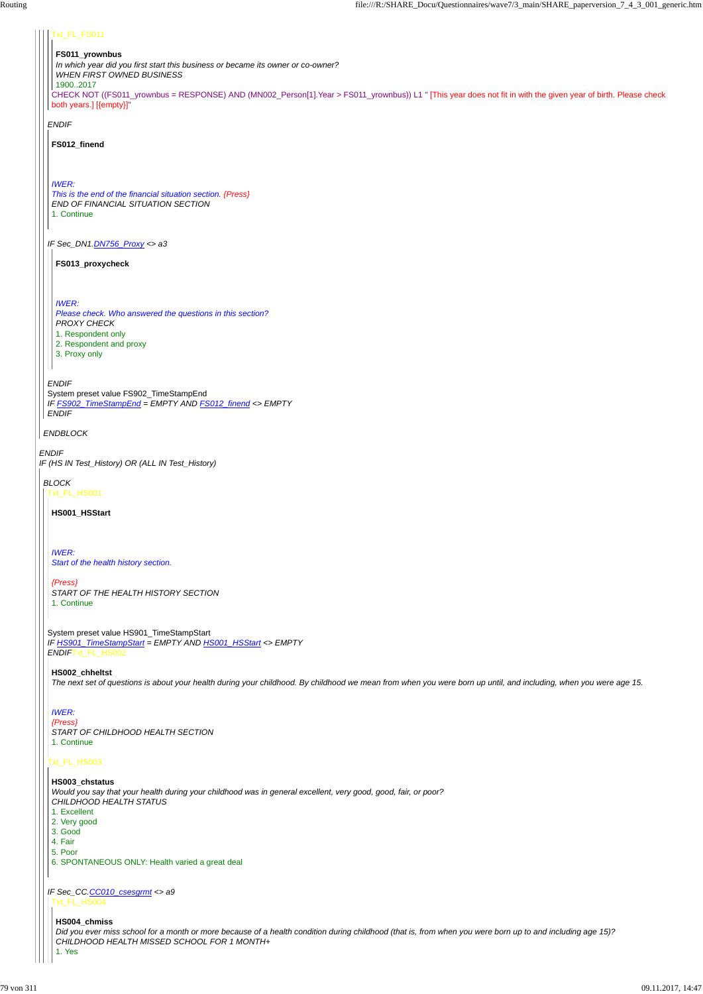*ENDIF IF (HS IN Test\_History) OR (ALL IN Test\_History)*

*ENDBLOCK*

*ENDIF*

*IF Sec\_DN1.DN756\_Proxy <> a3*

*ENDIF* System preset value FS902\_TimeStampEnd *IF FS902\_TimeStampEnd = EMPTY AND FS012\_finend <> EMPTY ENDIF*

### Txt\_FL\_FS011

CHECK NOT ((FS011\_yrownbus = RESPONSE) AND (MN002\_Person[1].Year > FS011\_yrownbus)) L1 " [This year does not fit in with the given year of birth. Please check both years.] [{empty}]" 1900..2017

#### **FS011\_yrownbus**

*In which year did you first start this business or became its owner or co-owner?*

*WHEN FIRST OWNED BUSINESS*

**FS012\_finend**

*IWER: This is the end of the financial situation section. {Press} END OF FINANCIAL SITUATION SECTION* 1. Continue

**FS013\_proxycheck**

*IWER:*

*Please check. Who answered the questions in this section? PROXY CHECK*

1. Respondent only

2. Respondent and proxy

3. Proxy only

*BLOCK* Txt\_FL\_HS001

System preset value HS901\_TimeStampStart *IF HS901\_TimeStampStart = EMPTY AND HS001\_HSStart <> EMPTY ENDIF*Txt\_FL\_HS002

# Txt\_FL\_HS003

**HS001\_HSStart**

*IWER: Start of the health history section.*

*{Press} START OF THE HEALTH HISTORY SECTION* 1. Continue

#### **HS002\_chheltst**

*The next set of questions is about your health during your childhood. By childhood we mean from when you were born up until, and including, when you were age 15.*

*IF Sec\_CC.CC010\_csesgrmt <> a9* Txt\_FL\_HS004

*IWER: {Press} START OF CHILDHOOD HEALTH SECTION* 1. Continue

# **HS003\_chstatus**

*Would you say that your health during your childhood was in general excellent, very good, good, fair, or poor? CHILDHOOD HEALTH STATUS*

1. Excellent

2. Very good

3. Good

4. Fair

5. Poor

6. SPONTANEOUS ONLY: Health varied a great deal

#### **HS004\_chmiss**

*Did you ever miss school for a month or more because of a health condition during childhood (that is, from when you were born up to and including age 15)? CHILDHOOD HEALTH MISSED SCHOOL FOR 1 MONTH+*

1. Yes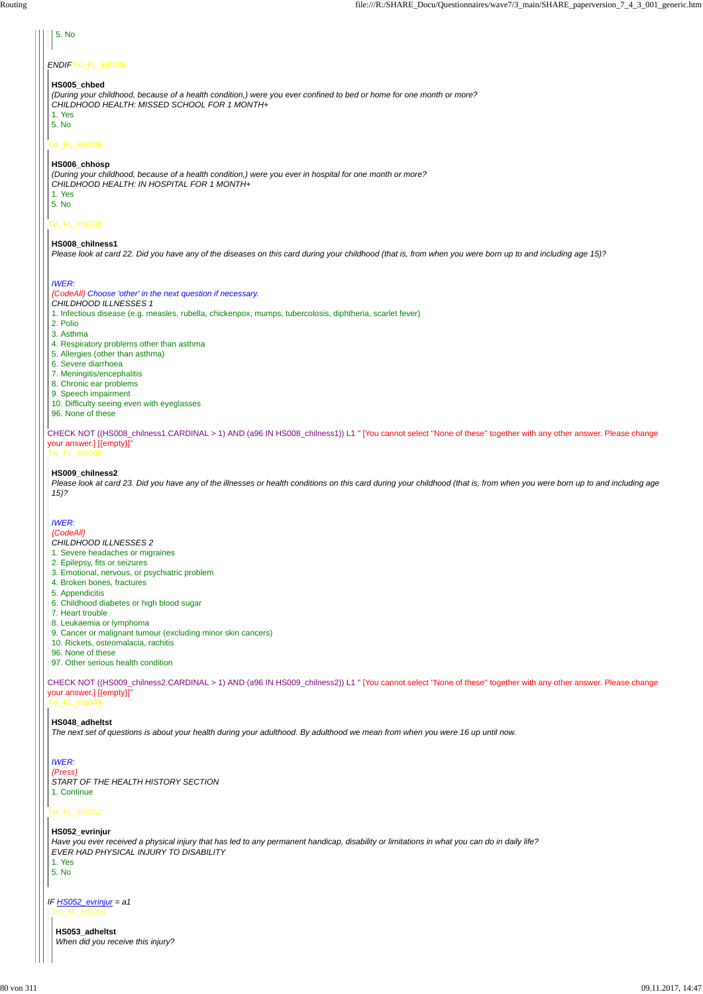# **1.** 5. No

#### *ENDIF*Txt\_FL\_HS005

#### Txt\_FL\_HS006

### Txt\_FL\_HS008

CHECK NOT ((HS008\_chilness1.CARDINAL > 1) AND (a96 IN HS008\_chilness1)) L1 " [You cannot select ''None of these'' together with any other answer. Please change your answer.] [{empty}]"

Txt\_FL\_HS009

CHECK NOT ((HS009\_chilness2.CARDINAL > 1) AND (a96 IN HS009\_chilness2)) L1 " [You cannot select ''None of these'' together with any other answer. Please change your answer.] [{empty}]"

Txt\_FL\_HS048

### Txt\_FL\_HS052

#### **HS005\_chbed**

*(During your childhood, because of a health condition,) were you ever confined to bed or home for one month or more? CHILDHOOD HEALTH: MISSED SCHOOL FOR 1 MONTH+* 1. Yes

5. No

#### **HS006\_chhosp**

*(During your childhood, because of a health condition,) were you ever in hospital for one month or more? CHILDHOOD HEALTH: IN HOSPITAL FOR 1 MONTH+* 1. Yes

5. No

#### **HS008\_chilness1**

*Please look at card 22. Did you have any of the diseases on this card during your childhood (that is, from when you were born up to and including age 15)?*

#### *IWER:*

#### *{CodeAll} Choose 'other' in the next question if necessary.*

*CHILDHOOD ILLNESSES 1*

1. Infectious disease (e.g. measles, rubella, chickenpox, mumps, tubercolosis, diphtheria, scarlet fever)

- 2. Polio
- 3. Asthma
- 4. Respiratory problems other than asthma
- 5. Allergies (other than asthma)
- 6. Severe diarrhoea
- 7. Meningitis/encephalitis
- 8. Chronic ear problems
- 9. Speech impairment
- 10. Difficulty seeing even with eyeglasses
- 96. None of these

#### **HS009\_chilness2**

*IF HS052\_evrinjur = a1* Txt\_FL\_HS053

*Please look at card 23. Did you have any of the illnesses or health conditions on this card during your childhood (that is, from when you were born up to and including age 15)?*

#### *IWER:*

#### *{CodeAll}*

- *CHILDHOOD ILLNESSES 2*
- 1. Severe headaches or migraines
- 2. Epilepsy, fits or seizures
- 3. Emotional, nervous, or psychiatric problem
- 4. Broken bones, fractures
- 5. Appendicitis
- 6. Childhood diabetes or high blood sugar
- 7. Heart trouble
- 8. Leukaemia or lymphoma
- 9. Cancer or malignant tumour (excluding minor skin cancers)
- 10. Rickets, osteomalacia, rachitis
- 96. None of these
- 97. Other serious health condition

#### **HS048\_adheltst**

*The next set of questions is about your health during your adulthood. By adulthood we mean from when you were 16 up until now.*

*IWER:*

```
{Press}
START OF THE HEALTH HISTORY SECTION
1. Continue
```
**HS052\_evrinjur**

*Have you ever received a physical injury that has led to any permanent handicap, disability or limitations in what you can do in daily life? EVER HAD PHYSICAL INJURY TO DISABILITY*

1. Yes

5. No

**HS053\_adheltst** *When did you receive this injury?*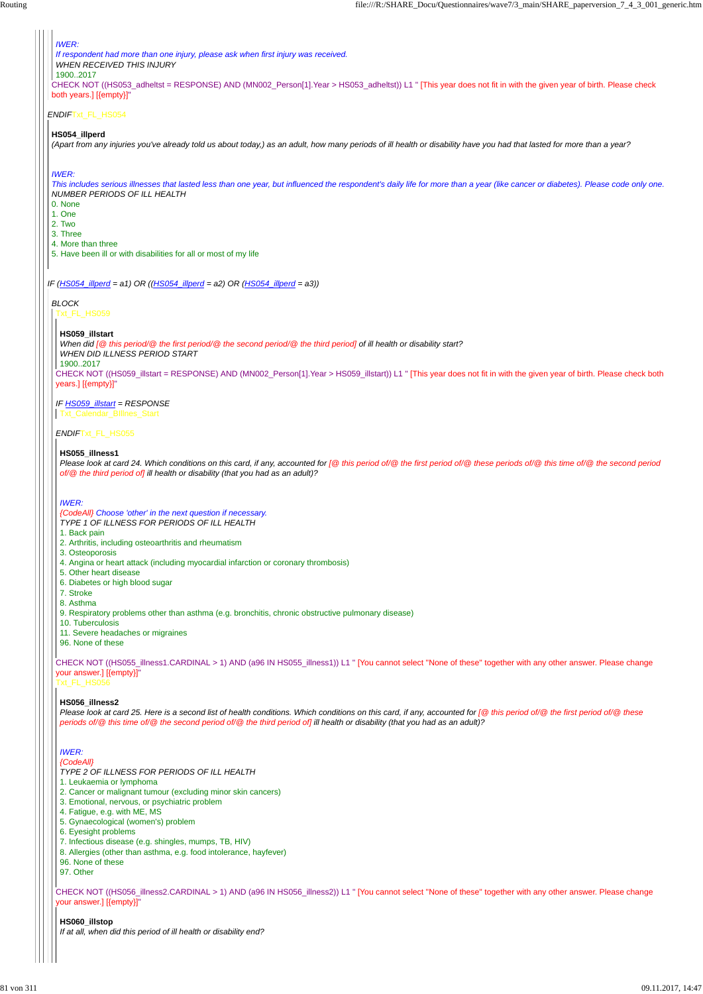#### *ENDIF*Txt\_FL\_HS054

*IF (HS054\_illperd = a1) OR ((HS054\_illperd = a2) OR (HS054\_illperd = a3))*

CHECK NOT ((HS053\_adheltst = RESPONSE) AND (MN002\_Person[1].Year > HS053\_adheltst)) L1 " [This year does not fit in with the given year of birth. Please check both years.] [{empty}]"

#### *IWER:*

*If respondent had more than one injury, please ask when first injury was received.*

*WHEN RECEIVED THIS INJURY*

1900..2017

#### **HS054\_illperd**

*(Apart from any injuries you've already told us about today,) as an adult, how many periods of ill health or disability have you had that lasted for more than a year?*

#### *IWER:*

*This includes serious illnesses that lasted less than one year, but influenced the respondent's daily life for more than a year (like cancer or diabetes). Please code only one. NUMBER PERIODS OF ILL HEALTH*

CHECK NOT ((HS056 illness2.CARDINAL > 1) AND (a96 IN HS056 illness2)) L1 " [You cannot select "None of these" together with any other answer. Please change your answer.] [{empty}]"

- 0. None
- 1. One
- 2. Two
- 3. Three
- 4. More than three
- 5. Have been ill or with disabilities for all or most of my life

#### *BLOCK* Txt\_FL\_HS059

CHECK NOT ((HS059\_illstart = RESPONSE) AND (MN002\_Person[1].Year > HS059\_illstart)) L1 " [This year does not fit in with the given year of birth. Please check both years.] [{empty}]"

#### *IF HS059\_illstart = RESPONSE*

#### *ENDIF*Txt\_FL\_HS055

CHECK NOT ((HS055\_illness1.CARDINAL > 1) AND (a96 IN HS055\_illness1)) L1 " [You cannot select ''None of these'' together with any other answer. Please change your answer.] [{empty}]"

# Txt\_FL\_HS056

# **HS059\_illstart**

*When did [@ this period/@ the first period/@ the second period/@ the third period] of ill health or disability start?*

*WHEN DID ILLNESS PERIOD START*

1900..2017

Txt\_Calendar\_BIllnes\_Start

#### **HS055\_illness1**

*Please look at card 24. Which conditions on this card, if any, accounted for [@ this period of/@ the first period of/@ these periods of/@ this time of/@ the second period of/@ the third period of] ill health or disability (that you had as an adult)?*

#### *IWER:*

*{CodeAll} Choose 'other' in the next question if necessary. TYPE 1 OF ILLNESS FOR PERIODS OF ILL HEALTH*

- 1. Back pain
- 2. Arthritis, including osteoarthritis and rheumatism
- 3. Osteoporosis
- 4. Angina or heart attack (including myocardial infarction or coronary thrombosis)
- 5. Other heart disease
- 6. Diabetes or high blood sugar
- 7. Stroke
- 8. Asthma
- 9. Respiratory problems other than asthma (e.g. bronchitis, chronic obstructive pulmonary disease)
- 10. Tuberculosis
- 11. Severe headaches or migraines
- 96. None of these

### **HS056\_illness2**

*Please look at card 25. Here is a second list of health conditions. Which conditions on this card, if any, accounted for [@ this period of/@ the first period of/@ these periods of/@ this time of/@ the second period of/@ the third period of] ill health or disability (that you had as an adult)?*

*IWER:*

#### *{CodeAll}*

*TYPE 2 OF ILLNESS FOR PERIODS OF ILL HEALTH*

- 1. Leukaemia or lymphoma
- 2. Cancer or malignant tumour (excluding minor skin cancers)
- 3. Emotional, nervous, or psychiatric problem
- 4. Fatigue, e.g. with ME, MS
- 5. Gynaecological (women's) problem
- 6. Eyesight problems
- 7. Infectious disease (e.g. shingles, mumps, TB, HIV)
- 8. Allergies (other than asthma, e.g. food intolerance, hayfever)
- 96. None of these
- 97. Other

#### **HS060\_illstop**

*If at all, when did this period of ill health or disability end?*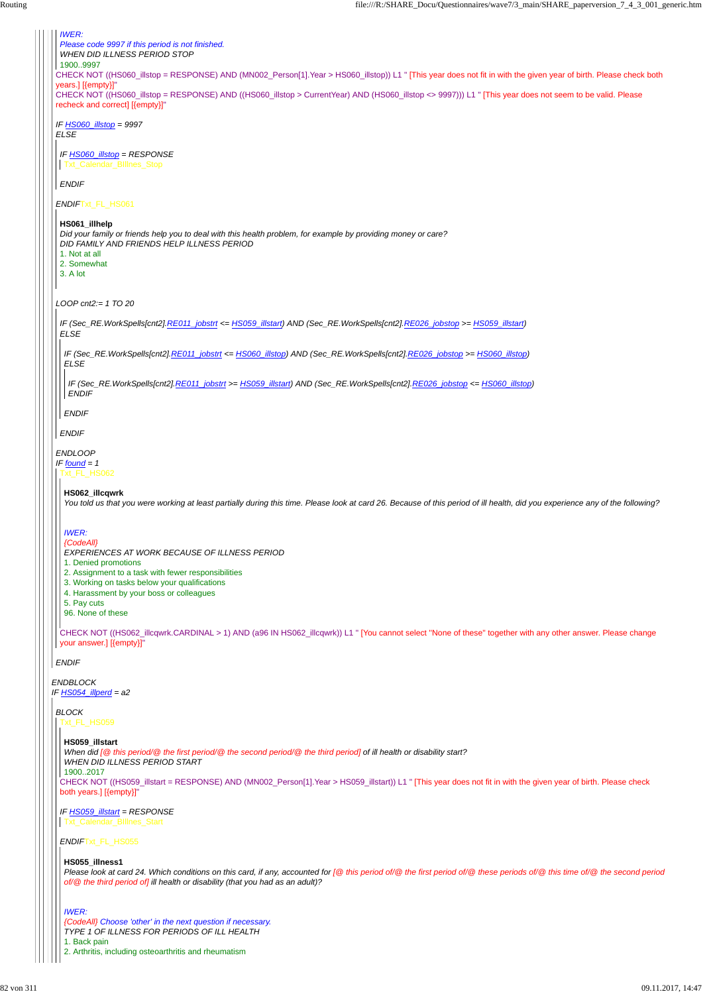*ENDBLOCK IF HS054\_illperd = a2* CHECK NOT ((HS060\_illstop = RESPONSE) AND (MN002\_Person[1].Year > HS060\_illstop)) L1 " [This year does not fit in with the given year of birth. Please check both years.] [{empty}]" CHECK NOT ((HS060\_illstop = RESPONSE) AND ((HS060\_illstop > CurrentYear) AND (HS060\_illstop <> 9997))) L1 " [This year does not seem to be valid. Please recheck and correct] [{empty}]" *IF HS060\_illstop = 9997 ELSE ENDIF*Txt\_FL\_HS061 *LOOP cnt2:= 1 TO 20 ENDLOOP IF found = 1 ENDIF IWER: Please code 9997 if this period is not finished. WHEN DID ILLNESS PERIOD STOP* 1900..9997 *IF HS060\_illstop = RESPONSE ENDIF* Txt\_Calendar\_BIllnes\_Stop **HS061\_illhelp** *Did your family or friends help you to deal with this health problem, for example by providing money or care? DID FAMILY AND FRIENDS HELP ILLNESS PERIOD* 1. Not at all 2. Somewhat 3. A lot *IF (Sec\_RE.WorkSpells[cnt2].RE011\_jobstrt <= HS059\_illstart) AND (Sec\_RE.WorkSpells[cnt2].RE026\_jobstop >= HS059\_illstart) ELSE ENDIF IF (Sec\_RE.WorkSpells[cnt2].RE011\_jobstrt <= HS060\_illstop) AND (Sec\_RE.WorkSpells[cnt2].RE026\_jobstop >= HS060\_illstop) ELSE ENDIF IF (Sec\_RE.WorkSpells[cnt2].RE011\_jobstrt >= HS059\_illstart) AND (Sec\_RE.WorkSpells[cnt2].RE026\_jobstop <= HS060\_illstop) ENDIF* Txt\_FL\_HS062 CHECK NOT ((HS062\_illcqwrk.CARDINAL > 1) AND (a96 IN HS062\_illcqwrk)) L1 " [You cannot select ''None of these'' together with any other answer. Please change your answer.] [{empty}]" **HS062\_illcqwrk** *You told us that you were working at least partially during this time. Please look at card 26. Because of this period of ill health, did you experience any of the following? IWER: {CodeAll} EXPERIENCES AT WORK BECAUSE OF ILLNESS PERIOD* 1. Denied promotions 2. Assignment to a task with fewer responsibilities 3. Working on tasks below your qualifications 4. Harassment by your boss or colleagues 5. Pay cuts 96. None of these *BLOCK* Txt\_FL\_HS059

CHECK NOT ((HS059\_illstart = RESPONSE) AND (MN002\_Person[1].Year > HS059\_illstart)) L1 " [This year does not fit in with the given year of birth. Please check both years.] [{empty}]"

*ENDIF*Txt\_FL\_HS055

**HS059\_illstart**

*IF HS059\_illstart = RESPONSE* Txt\_Calendar\_BIllnes\_Start

*When did [@ this period/@ the first period/@ the second period/@ the third period] of ill health or disability start? WHEN DID ILLNESS PERIOD START*

1900..2017

**HS055\_illness1**

*Please look at card 24. Which conditions on this card, if any, accounted for [@ this period of/@ the first period of/@ these periods of/@ this time of/@ the second period of/@ the third period of] ill health or disability (that you had as an adult)?*

*IWER:*

*{CodeAll} Choose 'other' in the next question if necessary. TYPE 1 OF ILLNESS FOR PERIODS OF ILL HEALTH*

1. Back pain

2. Arthritis, including osteoarthritis and rheumatism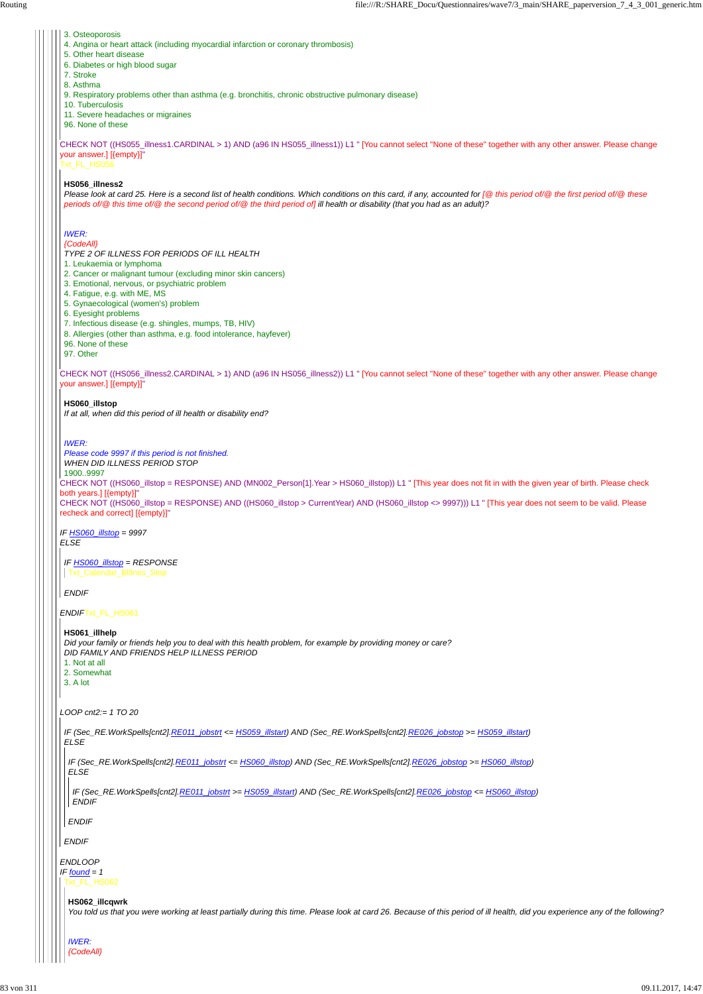CHECK NOT ((HS055\_illness1.CARDINAL > 1) AND (a96 IN HS055\_illness1)) L1 " [You cannot select ''None of these'' together with any other answer. Please change your answer.] [{empty}]"

# Txt\_FL\_HS056

CHECK NOT ((HS056\_illness2.CARDINAL > 1) AND (a96 IN HS056\_illness2)) L1 " [You cannot select ''None of these'' together with any other answer. Please change your answer.] [{empty}]"

CHECK NOT ((HS060\_illstop = RESPONSE) AND (MN002\_Person[1].Year > HS060\_illstop)) L1 " [This year does not fit in with the given year of birth. Please check both years.] [{empty}]"

CHECK NOT ((HS060\_illstop = RESPONSE) AND ((HS060\_illstop > CurrentYear) AND (HS060\_illstop <> 9997))) L1 " [This year does not seem to be valid. Please recheck and correct] [{empty}]"

# *IF HS060\_illstop = 9997*

*ELSE*

*ENDIF*Txt\_FL\_HS061

*LOOP cnt2:= 1 TO 20*

- 3. Osteoporosis
- 4. Angina or heart attack (including myocardial infarction or coronary thrombosis)
- 5. Other heart disease
- 6. Diabetes or high blood sugar
- 7. Stroke
- 8. Asthma

9. Respiratory problems other than asthma (e.g. bronchitis, chronic obstructive pulmonary disease)

- 10. Tuberculosis
- 11. Severe headaches or migraines
- 96. None of these

#### **HS056\_illness2**

*Please look at card 25. Here is a second list of health conditions. Which conditions on this card, if any, accounted for [@ this period of/@ the first period of/@ these periods of/@ this time of/@ the second period of/@ the third period of] ill health or disability (that you had as an adult)?*

# *IWER:*

# *{CodeAll}*

- *TYPE 2 OF ILLNESS FOR PERIODS OF ILL HEALTH*
- 1. Leukaemia or lymphoma
- 2. Cancer or malignant tumour (excluding minor skin cancers)
- 3. Emotional, nervous, or psychiatric problem
- 4. Fatigue, e.g. with ME, MS
- 5. Gynaecological (women's) problem
- 6. Eyesight problems
- 7. Infectious disease (e.g. shingles, mumps, TB, HIV)
- 8. Allergies (other than asthma, e.g. food intolerance, hayfever)
- 96. None of these
- 97. Other

|  | IF (Sec_RE.WorkSpells[cnt2].RE011_jobstrt <= HS060_illstop) AND (Sec_RE.WorkSpells[cnt2].RE026_jobstop >= HS060_illstop)<br>ELSE                                                                |
|--|-------------------------------------------------------------------------------------------------------------------------------------------------------------------------------------------------|
|  | IF (Sec_RE.WorkSpells[cnt2].RE011_jobstrt >= HS059_illstart) AND (Sec_RE.WorkSpells[cnt2].RE026_jobstop <= HS060_illstop)<br><b>ENDIF</b>                                                       |
|  | <b>ENDIF</b>                                                                                                                                                                                    |
|  | <b>ENDIF</b>                                                                                                                                                                                    |
|  | <b>ENDLOOP</b><br>IF found = $1$                                                                                                                                                                |
|  | kt_FL_HS062                                                                                                                                                                                     |
|  | HS062_illcqwrk<br>You told us that you were working at least partially during this time. Please look at card 26. Because of this period of ill health, did you experience any of the following? |
|  | <b>IWER:</b><br>CodeAll}                                                                                                                                                                        |

# **HS060\_illstop**

*If at all, when did this period of ill health or disability end?*

# *IWER:*

- *Please code 9997 if this period is not finished.*
- *WHEN DID ILLNESS PERIOD STOP*

1900..9997

#### *IF HS060\_illstop = RESPONSE* Txt\_Calendar\_BIllnes\_Stop

# *ENDIF*

# **HS061\_illhelp**

*Did your family or friends help you to deal with this health problem, for example by providing money or care? DID FAMILY AND FRIENDS HELP ILLNESS PERIOD* 1. Not at all 2. Somewhat

3. A lot

*IF (Sec\_RE.WorkSpells[cnt2].RE011\_jobstrt <= HS059\_illstart) AND (Sec\_RE.WorkSpells[cnt2].RE026\_jobstop >= HS059\_illstart) ELSE*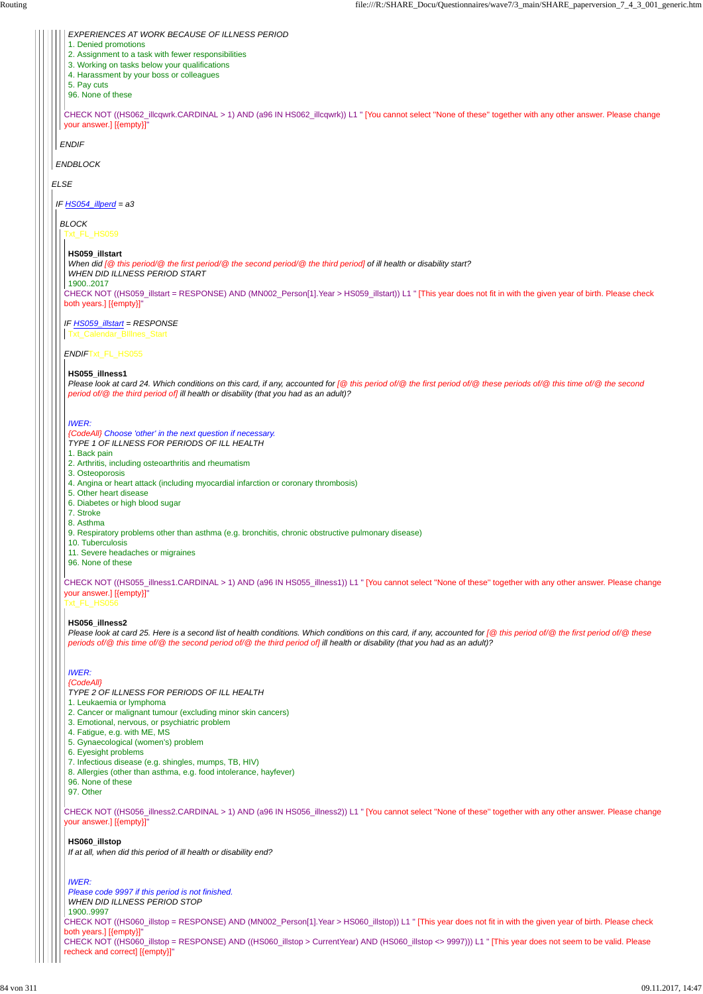*ELSE*

*ENDBLOCK*

*ENDIF*

CHECK NOT ((HS062\_illcqwrk.CARDINAL > 1) AND (a96 IN HS062\_illcqwrk)) L1 " [You cannot select ''None of these'' together with any other answer. Please change your answer.] [{empty}]"

*EXPERIENCES AT WORK BECAUSE OF ILLNESS PERIOD*

1. Denied promotions

2. Assignment to a task with fewer responsibilities

3. Working on tasks below your qualifications

4. Harassment by your boss or colleagues

5. Pay cuts

96. None of these

*IF HS054\_illperd = a3*

*BLOCK*

Txt\_FL\_HS059

CHECK NOT ((HS059\_illstart = RESPONSE) AND (MN002\_Person[1].Year > HS059\_illstart)) L1 " [This year does not fit in with the given year of birth. Please check both years.] [{empty}]"

*IF HS059\_illstart = RESPONSE*

#### *ENDIF*Txt\_FL\_HS055

CHECK NOT ((HS055\_illness1.CARDINAL > 1) AND (a96 IN HS055\_illness1)) L1 " [You cannot select ''None of these'' together with any other answer. Please change your answer.] [{empty}]"

Txt\_FL\_HS056

#### **HS059\_illstart**

*When did [@ this period/@ the first period/@ the second period/@ the third period] of ill health or disability start? WHEN DID ILLNESS PERIOD START*

1900..2017

Txt\_Calendar\_BIllnes\_Start

#### **HS055\_illness1**

*Please look at card 24. Which conditions on this card, if any, accounted for [@ this period of/@ the first period of/@ these periods of/@ this time of/@ the second period of/@ the third period of] ill health or disability (that you had as an adult)?*

#### *IWER:*

*{CodeAll} Choose 'other' in the next question if necessary. TYPE 1 OF ILLNESS FOR PERIODS OF ILL HEALTH*

```
CHECK NOT ((HS056_illness2.CARDINAL > 1) AND (a96 IN HS056_illness2)) L1 " [You cannot select ''None of these'' together with any other answer. Please change
your answer.] [{empty}]"
CHECK NOT ((HS060_illstop = RESPONSE) AND (MN002_Person[1].Year > HS060_illstop)) L1 " [This year does not fit in with the given year of birth. Please check
both years.] [{empty}]"
CHECK NOT ((HS060_illstop = RESPONSE) AND ((HS060_illstop > CurrentYear) AND (HS060_illstop <> 9997))) L1 " [This year does not seem to be valid. Please
recheck and correct] [{empty}]"
 6. Eyesight problems
 7. Infectious disease (e.g. shingles, mumps, TB, HIV)
8. Allergies (other than asthma, e.g. food intolerance, hayfever)
96. None of these
97. Other
HS060_illstop
If at all, when did this period of ill health or disability end?
 IWER:
 Please code 9997 if this period is not finished.
 WHEN DID ILLNESS PERIOD STOP
1900..9997
```
- 1. Back pain
- 2. Arthritis, including osteoarthritis and rheumatism
- 3. Osteoporosis
- 4. Angina or heart attack (including myocardial infarction or coronary thrombosis)
- 5. Other heart disease
- 6. Diabetes or high blood sugar
- 7. Stroke
- 8. Asthma
- 9. Respiratory problems other than asthma (e.g. bronchitis, chronic obstructive pulmonary disease)
- 10. Tuberculosis
- 11. Severe headaches or migraines
- 96. None of these

#### **HS056\_illness2**

*Please look at card 25. Here is a second list of health conditions. Which conditions on this card, if any, accounted for [@ this period of/@ the first period of/@ these periods of/@ this time of/@ the second period of/@ the third period of] ill health or disability (that you had as an adult)?*

# *IWER:*

*{CodeAll} TYPE 2 OF ILLNESS FOR PERIODS OF ILL HEALTH*

- 1. Leukaemia or lymphoma
- 2. Cancer or malignant tumour (excluding minor skin cancers)
- 3. Emotional, nervous, or psychiatric problem
- 4. Fatigue, e.g. with ME, MS
- 5. Gynaecological (women's) problem
-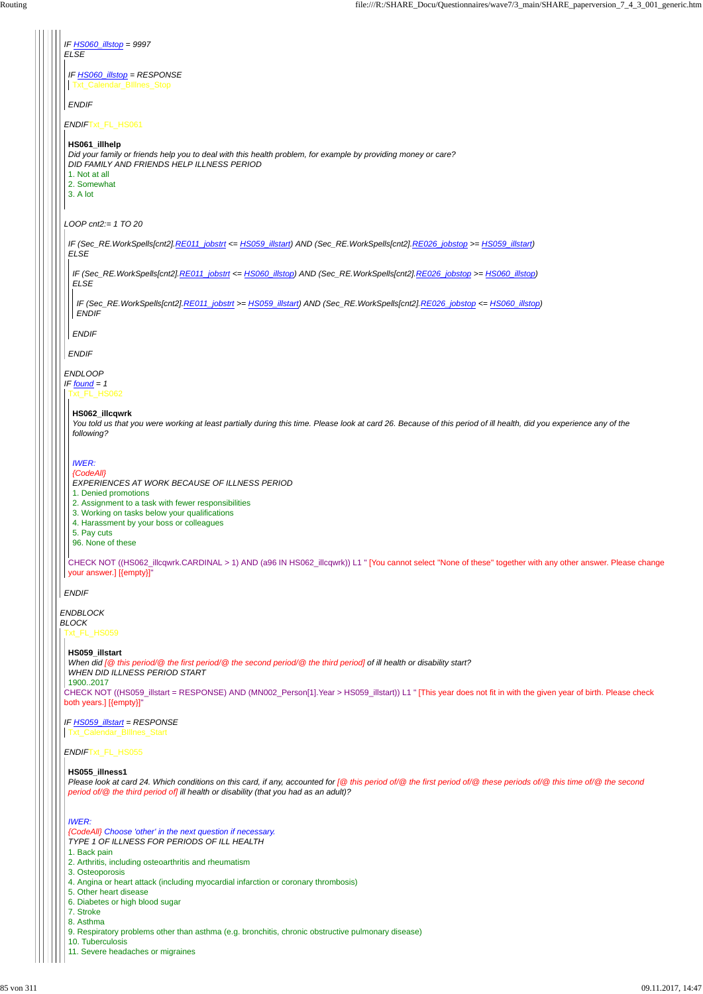| <b>ELSE</b>  | IF HS060 illstop = 9997                                                                                                                                                                                                                                                                    |
|--------------|--------------------------------------------------------------------------------------------------------------------------------------------------------------------------------------------------------------------------------------------------------------------------------------------|
|              | IF <b>HS060_illstop</b> = RESPONSE                                                                                                                                                                                                                                                         |
|              | Txt_Calendar_BIllnes_Stop                                                                                                                                                                                                                                                                  |
|              | <b>ENDIF</b>                                                                                                                                                                                                                                                                               |
|              | ENDIFTxt_FL_HS061                                                                                                                                                                                                                                                                          |
|              | HS061_illhelp<br>Did your family or friends help you to deal with this health problem, for example by providing money or care?<br>DID FAMILY AND FRIENDS HELP ILLNESS PERIOD<br>1. Not at all<br>2. Somewhat<br>3. A lot                                                                   |
|              | $LOOP$ cnt $2 = 1$ TO 20                                                                                                                                                                                                                                                                   |
|              | IF (Sec_RE.WorkSpells[cnt2].RE011_jobstrt <= HS059_illstart) AND (Sec_RE.WorkSpells[cnt2].RE026_jobstop >= HS059_illstart)<br><b>ELSE</b>                                                                                                                                                  |
|              | IF (Sec_RE.WorkSpells[cnt2] RE011_jobstrt <= HS060_illstop) AND (Sec_RE.WorkSpells[cnt2].RE026_jobstop >= HS060_illstop)<br><b>ELSE</b>                                                                                                                                                    |
|              | IF (Sec_RE.WorkSpells[cnt2].RE011_jobstrt >= HS059_illstart) AND (Sec_RE.WorkSpells[cnt2].RE026_jobstop <= HS060_illstop)<br><b>ENDIF</b>                                                                                                                                                  |
|              | <b>ENDIF</b>                                                                                                                                                                                                                                                                               |
|              | <b>ENDIF</b>                                                                                                                                                                                                                                                                               |
|              | IF found $= 1$<br>xt_FL_HS062<br>HS062_illcqwrk<br>You told us that you were working at least partially during this time. Please look at card 26. Because of this period of ill health, did you experience any of the<br>following?                                                        |
|              | <b>IWER:</b><br>{CodeAll}<br>EXPERIENCES AT WORK BECAUSE OF ILLNESS PERIOD<br>1. Denied promotions<br>2. Assignment to a task with fewer responsibilities<br>3. Working on tasks below your qualifications<br>4. Harassment by your boss or colleagues<br>5. Pay cuts<br>96. None of these |
|              | CHECK NOT ((HS062_illcqwrk.CARDINAL > 1) AND (a96 IN HS062_illcqwrk)) L1 " [You cannot select "None of these" together with any other answer. Please change<br>your answer.] [{empty}]"                                                                                                    |
|              | <b>ENDIF</b>                                                                                                                                                                                                                                                                               |
| <b>BLOCK</b> | <b>ENDBLOCK</b><br>Txt_FL_HS059                                                                                                                                                                                                                                                            |
|              | HS059_illstart<br>When did [@ this period/@ the first period/@ the second period/@ the third period] of ill health or disability start?<br><b>WHEN DID ILLNESS PERIOD START</b><br>19002017                                                                                                |
|              | CHECK NOT ((HS059_illstart = RESPONSE) AND (MN002_Person[1].Year > HS059_illstart)) L1 " [This year does not fit in with the given year of birth. Please check<br>both years.] [{empty}]"                                                                                                  |

### *ENDIF*Txt\_FL\_HS055

*IF HS059\_illstart = RESPONSE* Txt\_Calendar\_BIllnes\_Start

#### **HS055\_illness1**

*Please look at card 24. Which conditions on this card, if any, accounted for [@ this period of/@ the first period of/@ these periods of/@ this time of/@ the second period of/@ the third period of] ill health or disability (that you had as an adult)?*

# *IWER:*

*{CodeAll} Choose 'other' in the next question if necessary.*

*TYPE 1 OF ILLNESS FOR PERIODS OF ILL HEALTH*

1. Back pain

- 2. Arthritis, including osteoarthritis and rheumatism
- 3. Osteoporosis
- 4. Angina or heart attack (including myocardial infarction or coronary thrombosis)
- 5. Other heart disease
- 6. Diabetes or high blood sugar
- 7. Stroke
- 8. Asthma
- 9. Respiratory problems other than asthma (e.g. bronchitis, chronic obstructive pulmonary disease)
- 10. Tuberculosis
- 11. Severe headaches or migraines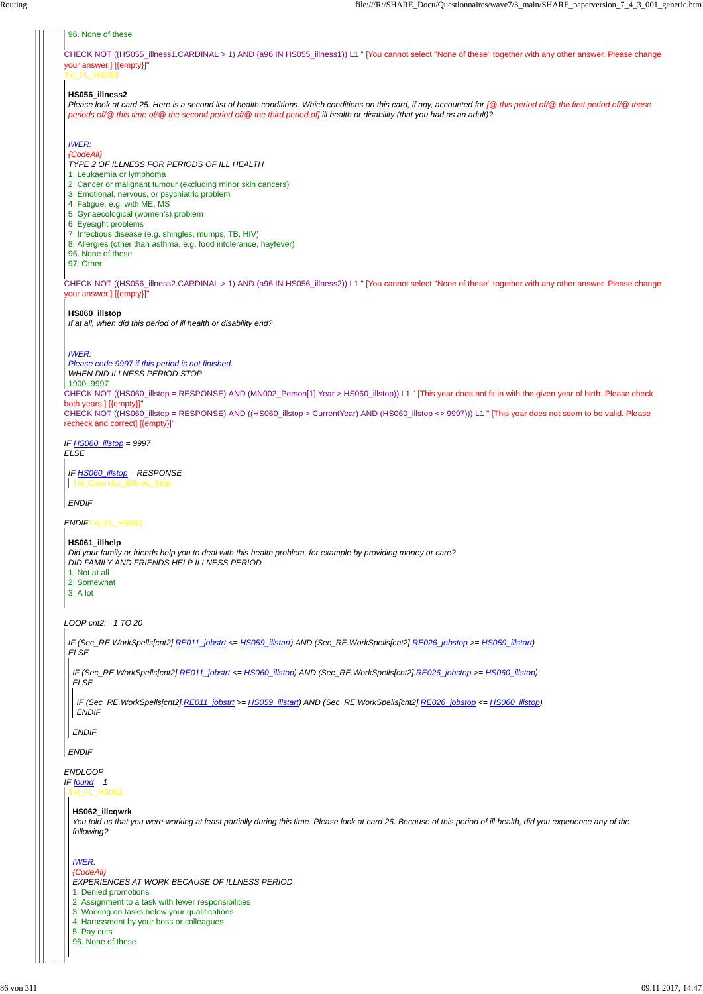CHECK NOT ((HS055\_illness1.CARDINAL > 1) AND (a96 IN HS055\_illness1)) L1 " [You cannot select ''None of these'' together with any other answer. Please change your answer.] [{empty}]" Txt\_FL\_HS056

CHECK NOT ((HS056\_illness2.CARDINAL > 1) AND (a96 IN HS056\_illness2)) L1 " [You cannot select ''None of these'' together with any other answer. Please change your answer.] [{empty}]"

CHECK NOT ((HS060\_illstop = RESPONSE) AND (MN002\_Person[1].Year > HS060\_illstop)) L1 " [This year does not fit in with the given year of birth. Please check both years.] [{empty}]"

CHECK NOT ((HS060\_illstop = RESPONSE) AND ((HS060\_illstop > CurrentYear) AND (HS060\_illstop <> 9997))) L1 " [This year does not seem to be valid. Please recheck and correct] [{empty}]"

*IF HS060\_illstop = 9997 ELSE*

*ENDIF*Txt\_FL\_HS061

*LOOP cnt2:= 1 TO 20*

#### *ENDLOOP*

#### 96. None of these

#### **HS056\_illness2**

*Please look at card 25. Here is a second list of health conditions. Which conditions on this card, if any, accounted for [@ this period of/@ the first period of/@ these periods of/@ this time of/@ the second period of/@ the third period of] ill health or disability (that you had as an adult)?*

# *IWER:*

*{CodeAll}*

*TYPE 2 OF ILLNESS FOR PERIODS OF ILL HEALTH*

- 1. Leukaemia or lymphoma
- 2. Cancer or malignant tumour (excluding minor skin cancers)
- 3. Emotional, nervous, or psychiatric problem
- 4. Fatigue, e.g. with ME, MS
- 5. Gynaecological (women's) problem
- 6. Eyesight problems
- 7. Infectious disease (e.g. shingles, mumps, TB, HIV)
- 8. Allergies (other than asthma, e.g. food intolerance, hayfever)
- 96. None of these

97. Other

#### **HS060\_illstop**

*IF found = 1* Txt\_FL\_HS062

*If at all, when did this period of ill health or disability end?*

#### *IWER:*

*Please code 9997 if this period is not finished.*

*WHEN DID ILLNESS PERIOD STOP*

1900..9997

*IF HS060\_illstop = RESPONSE* Txt\_Calendar\_BIllnes\_Stop

*ENDIF*

#### **HS061\_illhelp**

*Did your family or friends help you to deal with this health problem, for example by providing money or care? DID FAMILY AND FRIENDS HELP ILLNESS PERIOD*

- 1. Not at all
- 2. Somewhat

3. A lot

*IF (Sec\_RE.WorkSpells[cnt2].RE011\_jobstrt <= HS059\_illstart) AND (Sec\_RE.WorkSpells[cnt2].RE026\_jobstop >= HS059\_illstart) ELSE*

#### *ENDIF*

*IF (Sec\_RE.WorkSpells[cnt2].RE011\_jobstrt <= HS060\_illstop) AND (Sec\_RE.WorkSpells[cnt2].RE026\_jobstop >= HS060\_illstop) ELSE*

*ENDIF*

*IF (Sec\_RE.WorkSpells[cnt2].RE011\_jobstrt >= HS059\_illstart) AND (Sec\_RE.WorkSpells[cnt2].RE026\_jobstop <= HS060\_illstop) ENDIF*

#### **HS062\_illcqwrk**

*You told us that you were working at least partially during this time. Please look at card 26. Because of this period of ill health, did you experience any of the following?*

# *IWER:*

*{CodeAll}*

*EXPERIENCES AT WORK BECAUSE OF ILLNESS PERIOD*

1. Denied promotions

2. Assignment to a task with fewer responsibilities

3. Working on tasks below your qualifications

4. Harassment by your boss or colleagues

5. Pay cuts

96. None of these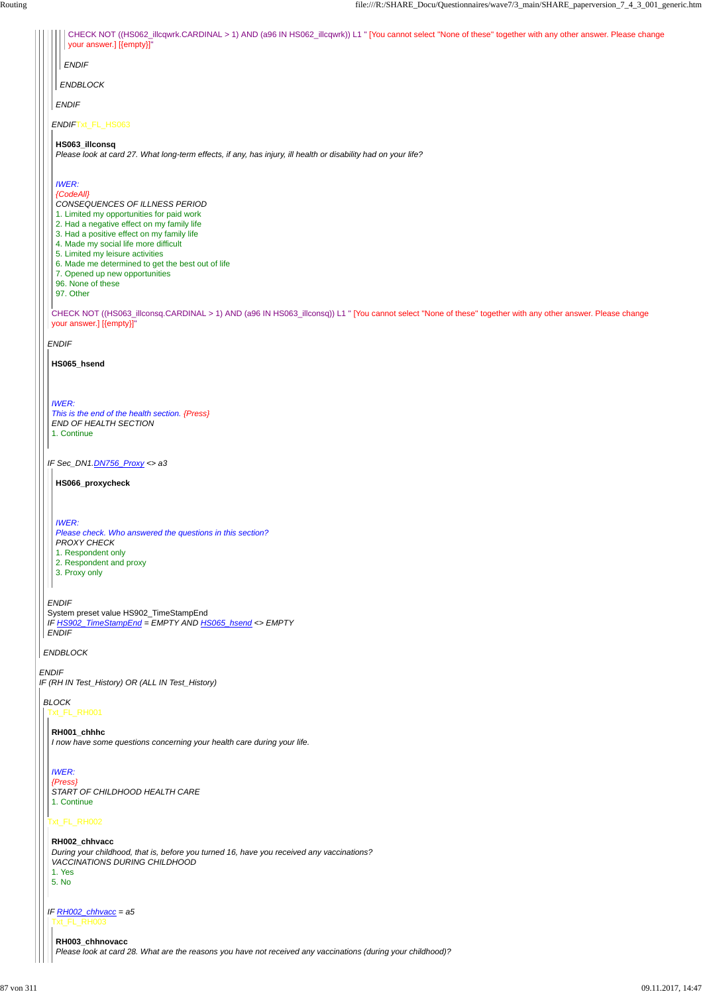*ENDIF IF (RH IN Test\_History) OR (ALL IN Test\_History)*

*ENDBLOCK*

*ENDIF*

| CHECK NOT ((HS062_illcqwrk.CARDINAL > 1) AND (a96 IN HS062_illcqwrk)) L1 " [You cannot select "None of these" together with any other answer. Please change<br>your answer.] [{empty}]"                                                                                                                                                                                                                    |
|------------------------------------------------------------------------------------------------------------------------------------------------------------------------------------------------------------------------------------------------------------------------------------------------------------------------------------------------------------------------------------------------------------|
| <b>ENDIF</b>                                                                                                                                                                                                                                                                                                                                                                                               |
| ENDBLOCK                                                                                                                                                                                                                                                                                                                                                                                                   |
| <b>ENDIF</b>                                                                                                                                                                                                                                                                                                                                                                                               |
| ENDIFTxt_FL_HS063                                                                                                                                                                                                                                                                                                                                                                                          |
| HS063_illconsq<br>Please look at card 27. What long-term effects, if any, has injury, ill health or disability had on your life?                                                                                                                                                                                                                                                                           |
| <b>IWER:</b><br>{CodeAll}<br>CONSEQUENCES OF ILLNESS PERIOD<br>1. Limited my opportunities for paid work<br>2. Had a negative effect on my family life<br>3. Had a positive effect on my family life<br>4. Made my social life more difficult<br>5. Limited my leisure activities<br>6. Made me determined to get the best out of life<br>7. Opened up new opportunities<br>96. None of these<br>97. Other |
| CHECK NOT ((HS063_illconsq.CARDINAL > 1) AND (a96 IN HS063_illconsq)) L1 " [You cannot select "None of these" together with any other answer. Please change<br>your answer.] [{empty}]"                                                                                                                                                                                                                    |
| <b>ENDIF</b>                                                                                                                                                                                                                                                                                                                                                                                               |
| HS065_hsend                                                                                                                                                                                                                                                                                                                                                                                                |
| <b>IWER:</b><br>This is the end of the health section. {Press}<br>END OF HEALTH SECTION<br>1. Continue                                                                                                                                                                                                                                                                                                     |
| IF Sec_DN1.DN756_Proxy <> a3                                                                                                                                                                                                                                                                                                                                                                               |
| HS066_proxycheck                                                                                                                                                                                                                                                                                                                                                                                           |
| <b>IWER:</b><br>Please check. Who answered the questions in this section?<br><b>PROXY CHECK</b><br>1. Respondent only<br>2. Respondent and proxy<br>3. Proxy only                                                                                                                                                                                                                                          |
| <b>ENDIF</b>                                                                                                                                                                                                                                                                                                                                                                                               |
| System preset value HS902_TimeStampEnd<br>IF HS902_TimeStampEnd = EMPTY AND HS065_hsend <> EMPTY                                                                                                                                                                                                                                                                                                           |

*BLOCK* Txt\_FL\_RH001

# Txt\_FL\_RH002

**RH001\_chhhc** *I now have some questions concerning your health care during your life.*

# *IWER: {Press} START OF CHILDHOOD HEALTH CARE* 1. Continue

*IF RH002\_chhvacc = a5* Txt\_FL\_RH003

# **RH002\_chhvacc**

*During your childhood, that is, before you turned 16, have you received any vaccinations? VACCINATIONS DURING CHILDHOOD* 1. Yes

5. No

# **RH003\_chhnovacc**

*Please look at card 28. What are the reasons you have not received any vaccinations (during your childhood)?*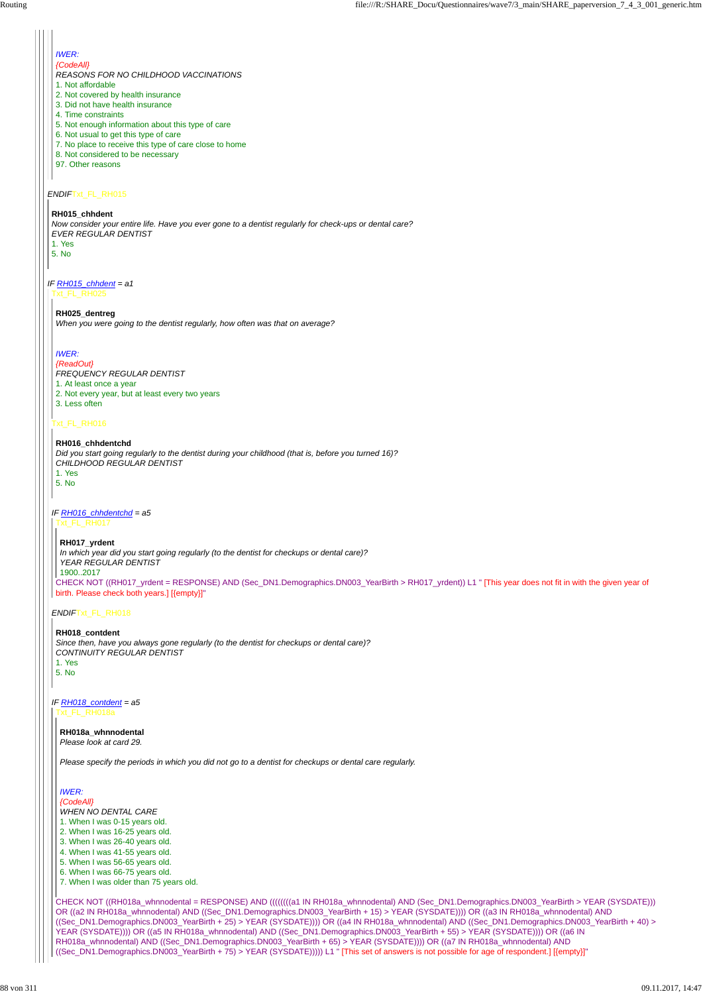# *ENDIF*Txt\_FL\_RH015

# *IWER:*

*{CodeAll}*

*REASONS FOR NO CHILDHOOD VACCINATIONS*

- 1. Not affordable
- 2. Not covered by health insurance 3. Did not have health insurance
- 
- 4. Time constraints
- 5. Not enough information about this type of care
- 6. Not usual to get this type of care
- 7. No place to receive this type of care close to home
- 8. Not considered to be necessary
- 97. Other reasons

### *IF RH015\_chhdent = a1* Txt\_FL\_RH025

#### **RH015\_chhdent**

*Now consider your entire life. Have you ever gone to a dentist regularly for check-ups or dental care? EVER REGULAR DENTIST* 1. Yes

5. No

# Txt\_FL\_RH016

# *ENDIF*Txt\_FL\_RH018

**RH025\_dentreg** *When you were going to the dentist regularly, how often was that on average?*

# *IWER:*

- *{ReadOut}*
- *FREQUENCY REGULAR DENTIST*
- 1. At least once a year
- 2. Not every year, but at least every two years
- 3. Less often

#### *IF RH016\_chhdentchd = a5* Txt\_FL\_RH017

#### **RH016\_chhdentchd**

*Did you start going regularly to the dentist during your childhood (that is, before you turned 16)? CHILDHOOD REGULAR DENTIST*

1. Yes

5. No

*IF RH018\_contdent = a5* Txt\_FL\_RH018a

CHECK NOT ((RH017\_yrdent = RESPONSE) AND (Sec\_DN1.Demographics.DN003\_YearBirth > RH017\_yrdent)) L1 " [This year does not fit in with the given year of birth. Please check both years.] [{empty}]" *In which year did you start going regularly (to the dentist for checkups or dental care)? YEAR REGULAR DENTIST* 1900..2017

#### **RH017\_yrdent**

# **RH018\_contdent** *Since then, have you always gone regularly (to the dentist for checkups or dental care)? CONTINUITY REGULAR DENTIST* 1. Yes

5. No

CHECK NOT ((RH018a\_whnnodental = RESPONSE) AND ((((((((a1 IN RH018a\_whnnodental) AND (Sec\_DN1.Demographics.DN003\_YearBirth > YEAR (SYSDATE))) OR ((a2 IN RH018a\_whnnodental) AND ((Sec\_DN1.Demographics.DN003\_YearBirth + 15) > YEAR (SYSDATE)))) OR ((a3 IN RH018a\_whnnodental) AND ((Sec\_DN1.Demographics.DN003\_YearBirth + 25) > YEAR (SYSDATE)))) OR ((a4 IN RH018a\_whnnodental) AND ((Sec\_DN1.Demographics.DN003\_YearBirth + 40) > YEAR (SYSDATE)))) OR ((a5 IN RH018a\_whnnodental) AND ((Sec\_DN1.Demographics.DN003\_YearBirth + 55) > YEAR (SYSDATE)))) OR ((a6 IN RH018a\_whnnodental) AND ((Sec\_DN1.Demographics.DN003\_YearBirth + 65) > YEAR (SYSDATE)))) OR ((a7 IN RH018a\_whnnodental) AND ((Sec\_DN1.Demographics.DN003\_YearBirth + 75) > YEAR (SYSDATE))))) L1 " [This set of answers is not possible for age of respondent.] [{empty}]"

**RH018a\_whnnodental** *Please look at card 29.*

*Please specify the periods in which you did not go to a dentist for checkups or dental care regularly.*

#### *IWER:*

#### *{CodeAll}*

*WHEN NO DENTAL CARE* 1. When I was 0-15 years old. 2. When I was 16-25 years old. 3. When I was 26-40 years old. 4. When I was 41-55 years old. 5. When I was 56-65 years old. 6. When I was 66-75 years old. 7. When I was older than 75 years old.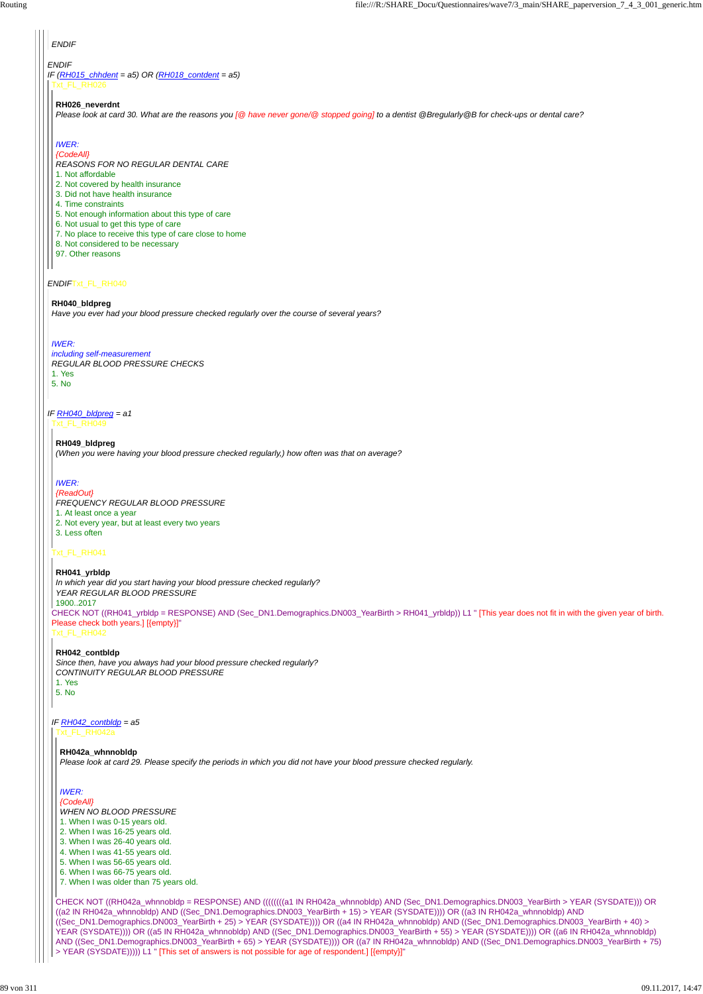# *ENDIF*

*IF (RH015\_chhdent = a5) OR (RH018\_contdent = a5)* Txt\_FL\_RH026

### *ENDIF*Txt\_FL\_RH040

# *IF RH040\_bldpreg = a1*

# *ENDIF*

#### **RH026\_neverdnt**

*Please look at card 30. What are the reasons you [@ have never gone/@ stopped going] to a dentist @Bregularly@B for check-ups or dental care?*

# *IWER:*

*{CodeAll}*

*REASONS FOR NO REGULAR DENTAL CARE*

- 1. Not affordable
- 2. Not covered by health insurance
- 3. Did not have health insurance
- 4. Time constraints
- 5. Not enough information about this type of care
- 6. Not usual to get this type of care
- 7. No place to receive this type of care close to home
- 8. Not considered to be necessary
- 97. Other reasons

#### **RH040\_bldpreg**

*Have you ever had your blood pressure checked regularly over the course of several years?*

#### *IWER:*

*including self-measurement REGULAR BLOOD PRESSURE CHECKS* 1. Yes 5. No

Txt\_FL\_RH049

#### Txt\_FL\_RH041

CHECK NOT ((RH041\_yrbldp = RESPONSE) AND (Sec\_DN1.Demographics.DN003\_YearBirth > RH041\_yrbldp)) L1 " [This year does not fit in with the given year of birth. Please check both years.] [{empty}]"

# Txt\_FL\_RH042

**RH049\_bldpreg** *(When you were having your blood pressure checked regularly,) how often was that on average?*

#### *IWER:*

- *{ReadOut}*
- *FREQUENCY REGULAR BLOOD PRESSURE*
- 1. At least once a year
- 2. Not every year, but at least every two years
- 3. Less often

*IF RH042\_contbldp = a5* Txt\_FL\_RH042a

#### **RH041\_yrbldp**

*In which year did you start having your blood pressure checked regularly?*

*YEAR REGULAR BLOOD PRESSURE*

1900..2017

#### **RH042\_contbldp**

*Since then, have you always had your blood pressure checked regularly? CONTINUITY REGULAR BLOOD PRESSURE* 1. Yes 5. No

CHECK NOT ((RH042a\_whnnobldp = RESPONSE) AND ((((((((a1 IN RH042a\_whnnobldp) AND (Sec\_DN1.Demographics.DN003\_YearBirth > YEAR (SYSDATE))) OR ((a2 IN RH042a\_whnnobldp) AND ((Sec\_DN1.Demographics.DN003\_YearBirth + 15) > YEAR (SYSDATE)))) OR ((a3 IN RH042a\_whnnobldp) AND ((Sec\_DN1.Demographics.DN003\_YearBirth + 25) > YEAR (SYSDATE)))) OR ((a4 IN RH042a\_whnnobldp) AND ((Sec\_DN1.Demographics.DN003\_YearBirth + 40) > YEAR (SYSDATE)))) OR ((a5 IN RH042a\_whnnobldp) AND ((Sec\_DN1.Demographics.DN003\_YearBirth + 55) > YEAR (SYSDATE)))) OR ((a6 IN RH042a\_whnnobldp) AND ((Sec\_DN1.Demographics.DN003\_YearBirth + 65) > YEAR (SYSDATE)))) OR ((a7 IN RH042a\_whnnobldp) AND ((Sec\_DN1.Demographics.DN003\_YearBirth + 75) > YEAR (SYSDATE))))) L1 " [This set of answers is not possible for age of respondent.] [{empty}]"

#### **RH042a\_whnnobldp**

*Please look at card 29. Please specify the periods in which you did not have your blood pressure checked regularly.*

#### *IWER:*

#### *{CodeAll}*

*WHEN NO BLOOD PRESSURE* 1. When I was 0-15 years old.

- 
- 2. When I was 16-25 years old.
- 3. When I was 26-40 years old.
- 4. When I was 41-55 years old.
- 5. When I was 56-65 years old.
- 6. When I was 66-75 years old.
- 7. When I was older than 75 years old.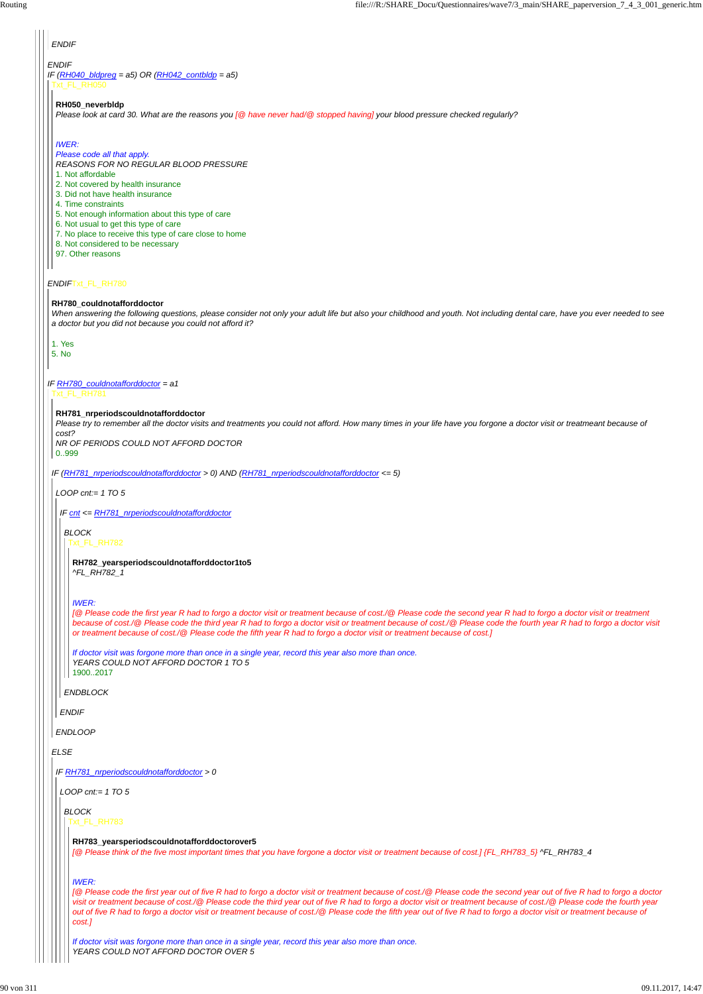# *ENDIF*

#### *ENDIF*Txt\_FL\_RH780

*IF (RH040\_bldpreg = a5) OR (RH042\_contbldp = a5)* Txt\_FL\_RH050

*IF RH780\_couldnotafforddoctor = a1*

# *ENDIF*

#### **RH050\_neverbldp**

*Please look at card 30. What are the reasons you [@ have never had/@ stopped having] your blood pressure checked regularly?*

#### *IWER:*

*Please code all that apply.*

*REASONS FOR NO REGULAR BLOOD PRESSURE*

- 1. Not affordable
- 2. Not covered by health insurance
- 3. Did not have health insurance
- 4. Time constraints
- 5. Not enough information about this type of care
- 6. Not usual to get this type of care
- 7. No place to receive this type of care close to home
- 8. Not considered to be necessary
- 97. Other reasons

#### **RH780\_couldnotafforddoctor**

*When answering the following questions, please consider not only your adult life but also your childhood and youth. Not including dental care, have you ever needed to see a doctor but you did not because you could not afford it?*

1. Yes 5. No

# Txt\_FL\_RH781

*IF (RH781\_nrperiodscouldnotafforddoctor > 0) AND (RH781\_nrperiodscouldnotafforddoctor <= 5)*

*ELSE*

#### **RH781\_nrperiodscouldnotafforddoctor**

*Please try to remember all the doctor visits and treatments you could not afford. How many times in your life have you forgone a doctor visit or treatmeant because of cost?*

*NR OF PERIODS COULD NOT AFFORD DOCTOR*

# 0..999

*LOOP cnt:= 1 TO 5*

*ENDLOOP*

*IF cnt <= RH781\_nrperiodscouldnotafforddoctor*

*ENDIF*

*ENDBLOCK*

*BLOCK* Txt\_FL\_RH782

> **RH782\_yearsperiodscouldnotafforddoctor1to5** *^FL\_RH782\_1*

#### *IWER:*

*[@ Please code the first year R had to forgo a doctor visit or treatment because of cost./@ Please code the second year R had to forgo a doctor visit or treatment because of cost./@ Please code the third year R had to forgo a doctor visit or treatment because of cost./@ Please code the fourth year R had to forgo a doctor visit or treatment because of cost./@ Please code the fifth year R had to forgo a doctor visit or treatment because of cost.]*

*If doctor visit was forgone more than once in a single year, record this year also more than once. YEARS COULD NOT AFFORD DOCTOR 1 TO 5* 1900..2017

#### *IF RH781\_nrperiodscouldnotafforddoctor > 0*

*LOOP cnt:= 1 TO 5*

*BLOCK*

Txt\_FL\_RH783

### **RH783\_yearsperiodscouldnotafforddoctorover5**

*[@ Please think of the five most important times that you have forgone a doctor visit or treatment because of cost.] {FL\_RH783\_5} ^FL\_RH783\_4*

#### *IWER:*

*[@ Please code the first year out of five R had to forgo a doctor visit or treatment because of cost./@ Please code the second year out of five R had to forgo a doctor visit or treatment because of cost./@ Please code the third year out of five R had to forgo a doctor visit or treatment because of cost./@ Please code the fourth year out of five R had to forgo a doctor visit or treatment because of cost./@ Please code the fifth year out of five R had to forgo a doctor visit or treatment because of cost.]*

*If doctor visit was forgone more than once in a single year, record this year also more than once. YEARS COULD NOT AFFORD DOCTOR OVER 5*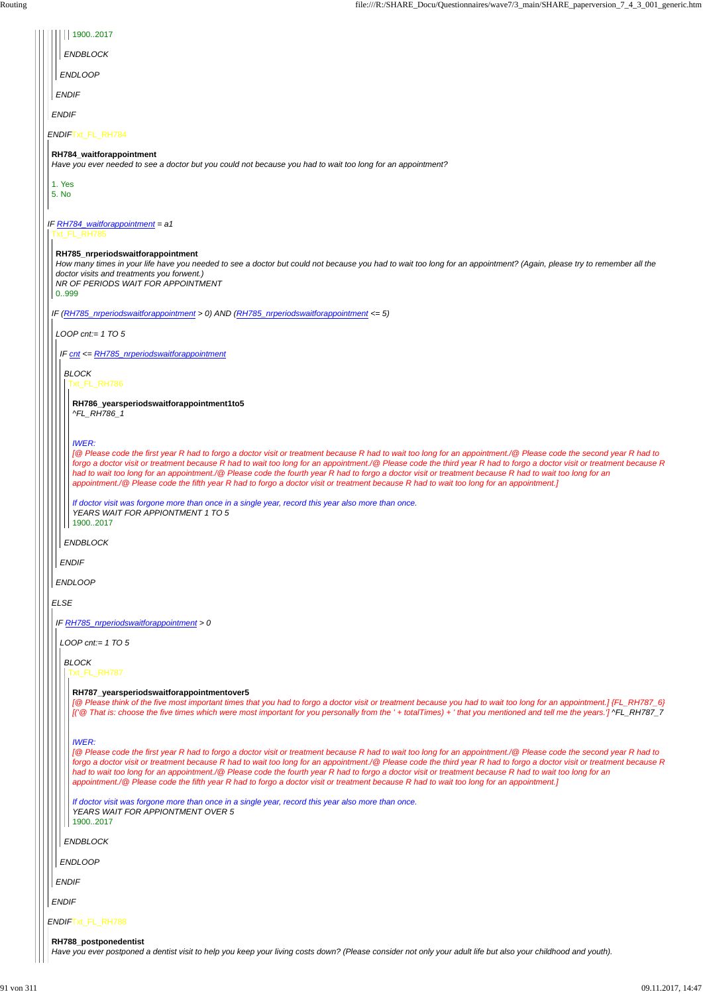| 19002017                                                                                                                                                                                                                                                                                                                                                                                                                                                                                                                                                                                                                                                            |
|---------------------------------------------------------------------------------------------------------------------------------------------------------------------------------------------------------------------------------------------------------------------------------------------------------------------------------------------------------------------------------------------------------------------------------------------------------------------------------------------------------------------------------------------------------------------------------------------------------------------------------------------------------------------|
| <b>ENDBLOCK</b>                                                                                                                                                                                                                                                                                                                                                                                                                                                                                                                                                                                                                                                     |
| <b>ENDLOOP</b>                                                                                                                                                                                                                                                                                                                                                                                                                                                                                                                                                                                                                                                      |
| <b>ENDIF</b>                                                                                                                                                                                                                                                                                                                                                                                                                                                                                                                                                                                                                                                        |
| <b>ENDIF</b>                                                                                                                                                                                                                                                                                                                                                                                                                                                                                                                                                                                                                                                        |
| ENDIFTxt_FL_RH784                                                                                                                                                                                                                                                                                                                                                                                                                                                                                                                                                                                                                                                   |
| RH784_waitforappointment<br>Have you ever needed to see a doctor but you could not because you had to wait too long for an appointment?                                                                                                                                                                                                                                                                                                                                                                                                                                                                                                                             |
| 1. Yes                                                                                                                                                                                                                                                                                                                                                                                                                                                                                                                                                                                                                                                              |
| 5. No                                                                                                                                                                                                                                                                                                                                                                                                                                                                                                                                                                                                                                                               |
| IF RH784_waitforappointment = a1<br>Txt FL RH785                                                                                                                                                                                                                                                                                                                                                                                                                                                                                                                                                                                                                    |
| RH785_nrperiodswaitforappointment                                                                                                                                                                                                                                                                                                                                                                                                                                                                                                                                                                                                                                   |
| How many times in your life have you needed to see a doctor but could not because you had to wait too long for an appointment? (Again, please try to remember all the<br>doctor visits and treatments you forwent.)<br>NR OF PERIODS WAIT FOR APPOINTMENT                                                                                                                                                                                                                                                                                                                                                                                                           |
| 0999                                                                                                                                                                                                                                                                                                                                                                                                                                                                                                                                                                                                                                                                |
| IF (RH785_nrperiodswaitforappointment > 0) AND (RH785_nrperiodswaitforappointment <= 5)                                                                                                                                                                                                                                                                                                                                                                                                                                                                                                                                                                             |
| LOOP cnt:= $1$ TO 5                                                                                                                                                                                                                                                                                                                                                                                                                                                                                                                                                                                                                                                 |
| IF cnt <= RH785_nrperiodswaitforappointment                                                                                                                                                                                                                                                                                                                                                                                                                                                                                                                                                                                                                         |
| <b>BLOCK</b><br>Txt_FL_RH786                                                                                                                                                                                                                                                                                                                                                                                                                                                                                                                                                                                                                                        |
| RH786_yearsperiodswaitforappointment1to5                                                                                                                                                                                                                                                                                                                                                                                                                                                                                                                                                                                                                            |
| ^FL_RH786_1                                                                                                                                                                                                                                                                                                                                                                                                                                                                                                                                                                                                                                                         |
| <b>IWER:</b><br>[@ Please code the first year R had to forgo a doctor visit or treatment because R had to wait too long for an appointment./@ Please code the second year R had to<br>forgo a doctor visit or treatment because R had to wait too long for an appointment./@ Please code the third year R had to forgo a doctor visit or treatment because R<br>had to wait too long for an appointment./@ Please code the fourth year R had to forgo a doctor visit or treatment because R had to wait too long for an<br>appointment./@ Please code the fifth year R had to forgo a doctor visit or treatment because R had to wait too long for an appointment.] |
| If doctor visit was forgone more than once in a single year, record this year also more than once.<br>YEARS WAIT FOR APPIONTMENT 1 TO 5<br>19002017                                                                                                                                                                                                                                                                                                                                                                                                                                                                                                                 |
| <b>ENDBLOCK</b>                                                                                                                                                                                                                                                                                                                                                                                                                                                                                                                                                                                                                                                     |
| <b>ENDIF</b>                                                                                                                                                                                                                                                                                                                                                                                                                                                                                                                                                                                                                                                        |
| <b>ENDLOOP</b>                                                                                                                                                                                                                                                                                                                                                                                                                                                                                                                                                                                                                                                      |
| <b>ELSE</b>                                                                                                                                                                                                                                                                                                                                                                                                                                                                                                                                                                                                                                                         |
| IF RH785_nrperiodswaitforappointment > 0                                                                                                                                                                                                                                                                                                                                                                                                                                                                                                                                                                                                                            |
| LOOP cnt:= $1$ TO 5                                                                                                                                                                                                                                                                                                                                                                                                                                                                                                                                                                                                                                                 |
| <b>BLOCK</b>                                                                                                                                                                                                                                                                                                                                                                                                                                                                                                                                                                                                                                                        |
| Txt_FL_RH787                                                                                                                                                                                                                                                                                                                                                                                                                                                                                                                                                                                                                                                        |
| RH787_yearsperiodswaitforappointmentover5<br>[@ Please think of the five most important times that you had to forgo a doctor visit or treatment because you had to wait too long for an appointment.] {FL_RH787_6}<br>I' @ That is: choose the five times which were most important for you personally from the ' + totalTimes) + ' that you mentioned and tell me the years.'] ^FL_RH787_7                                                                                                                                                                                                                                                                         |
| <b>IWER:</b><br>[@ Please code the first year R had to forgo a doctor visit or treatment because R had to wait too long for an appointment./@ Please code the second year R had to<br>forgo a doctor visit or treatment because R had to wait too long for an appointment./@ Please code the third year R had to forgo a doctor visit or treatment because R<br>had to wait too long for an appointment./@ Please code the fourth year R had to forgo a doctor visit or treatment because R had to wait too long for an                                                                                                                                             |
| appointment./@ Please code the fifth year R had to forgo a doctor visit or treatment because R had to wait too long for an appointment.]<br>If doctor visit was forgone more than once in a single year, record this year also more than once.                                                                                                                                                                                                                                                                                                                                                                                                                      |
| YEARS WAIT FOR APPIONTMENT OVER 5<br>19002017                                                                                                                                                                                                                                                                                                                                                                                                                                                                                                                                                                                                                       |
| <b>ENDBLOCK</b>                                                                                                                                                                                                                                                                                                                                                                                                                                                                                                                                                                                                                                                     |
| <b>ENDLOOP</b>                                                                                                                                                                                                                                                                                                                                                                                                                                                                                                                                                                                                                                                      |
| <b>ENDIF</b>                                                                                                                                                                                                                                                                                                                                                                                                                                                                                                                                                                                                                                                        |
| <b>ENDIF</b>                                                                                                                                                                                                                                                                                                                                                                                                                                                                                                                                                                                                                                                        |
| ENDIFTxt_FL_RH788                                                                                                                                                                                                                                                                                                                                                                                                                                                                                                                                                                                                                                                   |
| RH788_postponedentist<br>Have you ever postponed a dentist visit to help you keep your living costs down? (Please consider not only your adult life but also your childhood and youth).                                                                                                                                                                                                                                                                                                                                                                                                                                                                             |

 $\vert \vert \vert \vert$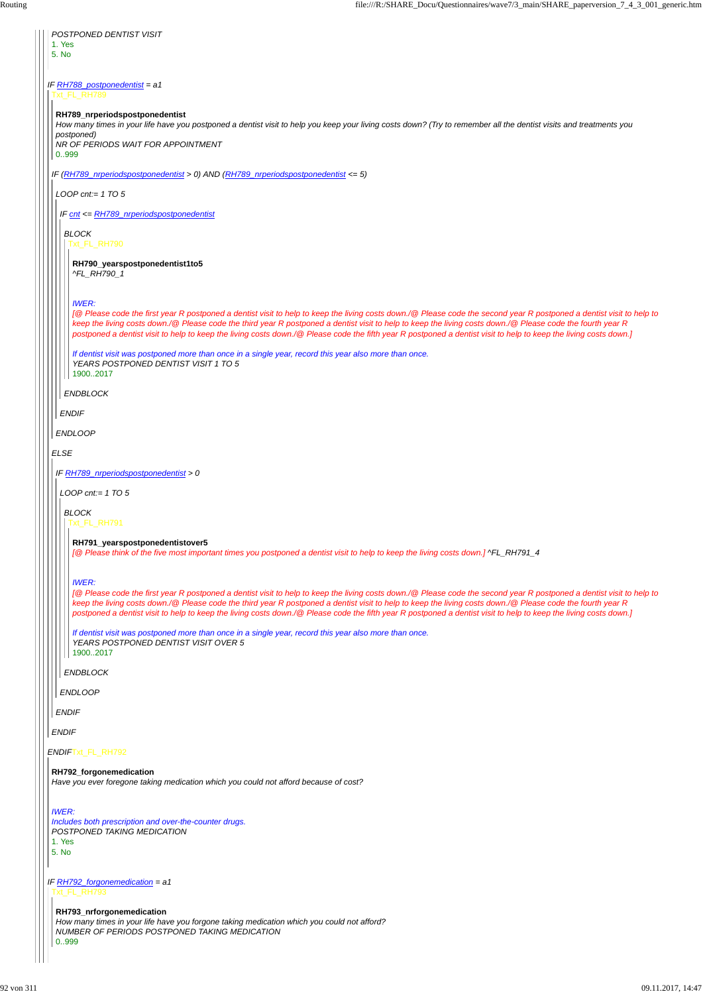### *ENDIF*Txt\_FL\_RH792

| POSTPONED DENTIST VISIT<br>1. Yes<br>5. No                                                                                                                                                                                                                                                                                                                                                                                                                                                                                |  |  |
|---------------------------------------------------------------------------------------------------------------------------------------------------------------------------------------------------------------------------------------------------------------------------------------------------------------------------------------------------------------------------------------------------------------------------------------------------------------------------------------------------------------------------|--|--|
| IF RH788_postponedentist = $a1$<br>Txt_FL_RH789                                                                                                                                                                                                                                                                                                                                                                                                                                                                           |  |  |
| RH789_nrperiodspostponedentist<br>How many times in your life have you postponed a dentist visit to help you keep your living costs down? (Try to remember all the dentist visits and treatments you<br>postponed)<br>NR OF PERIODS WAIT FOR APPOINTMENT<br>0.999                                                                                                                                                                                                                                                         |  |  |
| IF (RH789_nrperiodspostponedentist > 0) AND (RH789_nrperiodspostponedentist <= 5)                                                                                                                                                                                                                                                                                                                                                                                                                                         |  |  |
| LOOP cnt:= $1$ TO 5                                                                                                                                                                                                                                                                                                                                                                                                                                                                                                       |  |  |
| IF cnt <= RH789_nrperiodspostponedentist                                                                                                                                                                                                                                                                                                                                                                                                                                                                                  |  |  |
| <b>BLOCK</b><br>Txt_FL_RH790                                                                                                                                                                                                                                                                                                                                                                                                                                                                                              |  |  |
| RH790_yearspostponedentist1to5<br>^FL_RH790_1                                                                                                                                                                                                                                                                                                                                                                                                                                                                             |  |  |
| <b>IWER:</b><br>[@ Please code the first year R postponed a dentist visit to help to keep the living costs down./@ Please code the second year R postponed a dentist visit to help to<br>keep the living costs down./@ Please code the third year R postponed a dentist visit to help to keep the living costs down./@ Please code the fourth year R<br>postponed a dentist visit to help to keep the living costs down./@ Please code the fifth year R postponed a dentist visit to help to keep the living costs down.] |  |  |
| If dentist visit was postponed more than once in a single year, record this year also more than once.<br>YEARS POSTPONED DENTIST VISIT 1 TO 5<br>19002017                                                                                                                                                                                                                                                                                                                                                                 |  |  |
| <b>ENDBLOCK</b>                                                                                                                                                                                                                                                                                                                                                                                                                                                                                                           |  |  |
| <b>ENDIF</b>                                                                                                                                                                                                                                                                                                                                                                                                                                                                                                              |  |  |
| <b>ENDLOOP</b>                                                                                                                                                                                                                                                                                                                                                                                                                                                                                                            |  |  |
| <b>ELSE</b>                                                                                                                                                                                                                                                                                                                                                                                                                                                                                                               |  |  |
| IF RH789_nrperiodspostponedentist > 0                                                                                                                                                                                                                                                                                                                                                                                                                                                                                     |  |  |
| LOOP cnt:= $1$ TO 5                                                                                                                                                                                                                                                                                                                                                                                                                                                                                                       |  |  |
| <b>BLOCK</b><br>Txt_FL_RH791                                                                                                                                                                                                                                                                                                                                                                                                                                                                                              |  |  |
| RH791_yearspostponedentistover5<br>[@ Please think of the five most important times you postponed a dentist visit to help to keep the living costs down.] ^FL_RH791_4                                                                                                                                                                                                                                                                                                                                                     |  |  |
| <b>IWER:</b><br>[@ Please code the first year R postponed a dentist visit to help to keep the living costs down./@ Please code the second year R postponed a dentist visit to help to<br>keep the living costs down./@ Please code the third year R postponed a dentist visit to help to keep the living costs down./@ Please code the fourth year R<br>postponed a dentist visit to help to keep the living costs down./@ Please code the fifth year R postponed a dentist visit to help to keep the living costs down.] |  |  |
| If dentist visit was postponed more than once in a single year, record this year also more than once.<br>YEARS POSTPONED DENTIST VISIT OVER 5<br>19002017                                                                                                                                                                                                                                                                                                                                                                 |  |  |
| <b>ENDBLOCK</b>                                                                                                                                                                                                                                                                                                                                                                                                                                                                                                           |  |  |
| <b>ENDLOOP</b>                                                                                                                                                                                                                                                                                                                                                                                                                                                                                                            |  |  |
| <b>ENDIF</b>                                                                                                                                                                                                                                                                                                                                                                                                                                                                                                              |  |  |
| <b>ENDIF</b>                                                                                                                                                                                                                                                                                                                                                                                                                                                                                                              |  |  |

*IF RH792\_forgonemedication = a1* Txt\_FL\_RH793

# **RH792\_forgonemedication**

*Have you ever foregone taking medication which you could not afford because of cost?*

### *IWER:*

*Includes both prescription and over-the-counter drugs. POSTPONED TAKING MEDICATION* 1. Yes 5. No

**RH793\_nrforgonemedication** *How many times in your life have you forgone taking medication which you could not afford? NUMBER OF PERIODS POSTPONED TAKING MEDICATION* 0..999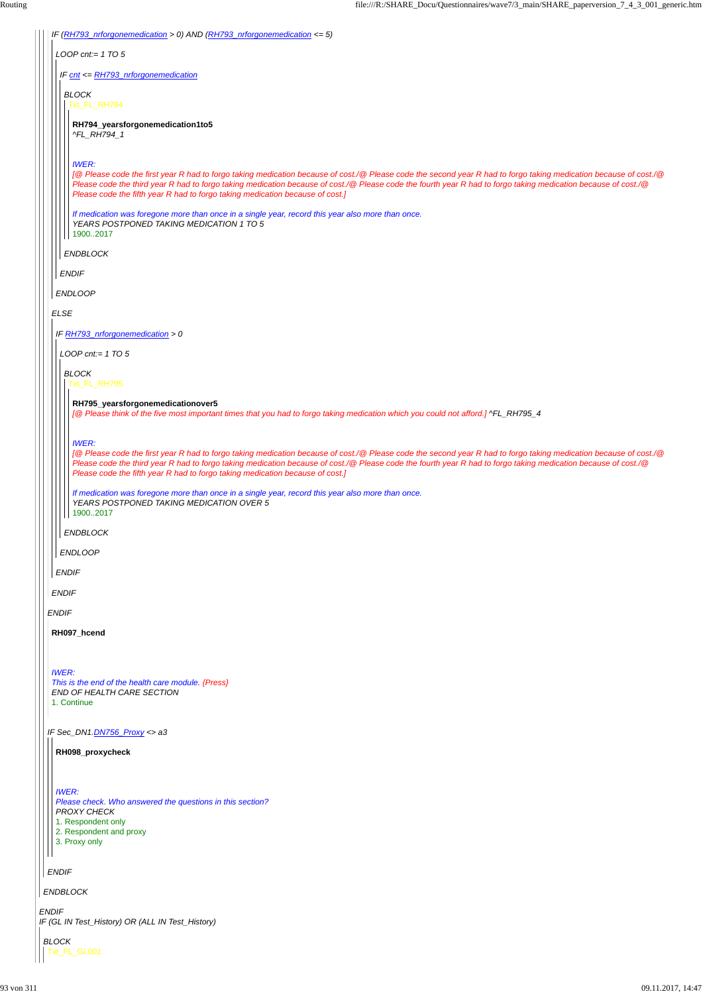|              | IF (RH793_nrforgonemedication > 0) AND (RH793_nrforgonemedication <= 5)                                                                                                                                                                                                                                                                                                                                                              |
|--------------|--------------------------------------------------------------------------------------------------------------------------------------------------------------------------------------------------------------------------------------------------------------------------------------------------------------------------------------------------------------------------------------------------------------------------------------|
|              | LOOP cnt:= $1 TO 5$                                                                                                                                                                                                                                                                                                                                                                                                                  |
|              | IF cnt <= RH793_nrforgonemedication                                                                                                                                                                                                                                                                                                                                                                                                  |
|              | <b>BLOCK</b><br>Txt_FL_RH794                                                                                                                                                                                                                                                                                                                                                                                                         |
|              | RH794_yearsforgonemedication1to5<br>^FL_RH794_1                                                                                                                                                                                                                                                                                                                                                                                      |
|              | <b>IWER:</b><br>[@ Please code the first year R had to forgo taking medication because of cost./@ Please code the second year R had to forgo taking medication because of cost./@<br>Please code the third year R had to forgo taking medication because of cost./@ Please code the fourth year R had to forgo taking medication because of cost./@<br>Please code the fifth year R had to forgo taking medication because of cost.] |
|              | If medication was foregone more than once in a single year, record this year also more than once.<br>YEARS POSTPONED TAKING MEDICATION 1 TO 5<br>19002017                                                                                                                                                                                                                                                                            |
|              | <b>ENDBLOCK</b>                                                                                                                                                                                                                                                                                                                                                                                                                      |
|              | <b>ENDIF</b>                                                                                                                                                                                                                                                                                                                                                                                                                         |
|              | <b>ENDLOOP</b>                                                                                                                                                                                                                                                                                                                                                                                                                       |
| <b>ELSE</b>  |                                                                                                                                                                                                                                                                                                                                                                                                                                      |
|              | IF RH793_nrforgonemedication > 0                                                                                                                                                                                                                                                                                                                                                                                                     |
|              | LOOP cnt:= $1 T0 5$                                                                                                                                                                                                                                                                                                                                                                                                                  |
|              | <b>BLOCK</b>                                                                                                                                                                                                                                                                                                                                                                                                                         |
|              | Txt_FL_RH795                                                                                                                                                                                                                                                                                                                                                                                                                         |
|              | RH795_yearsforgonemedicationover5<br>[@ Please think of the five most important times that you had to forgo taking medication which you could not afford.] ^FL_RH795_4                                                                                                                                                                                                                                                               |
|              | <b>IWER:</b><br>[@ Please code the first year R had to forgo taking medication because of cost./@ Please code the second year R had to forgo taking medication because of cost./@<br>Please code the third year R had to forgo taking medication because of cost./@ Please code the fourth year R had to forgo taking medication because of cost./@<br>Please code the fifth year R had to forgo taking medication because of cost.] |
|              | If medication was foregone more than once in a single year, record this year also more than once.<br>YEARS POSTPONED TAKING MEDICATION OVER 5<br>19002017                                                                                                                                                                                                                                                                            |
|              | <b>ENDBLOCK</b>                                                                                                                                                                                                                                                                                                                                                                                                                      |
|              | <b>ENDLOOP</b>                                                                                                                                                                                                                                                                                                                                                                                                                       |
| <b>ENDIF</b> |                                                                                                                                                                                                                                                                                                                                                                                                                                      |
| <b>ENDIF</b> |                                                                                                                                                                                                                                                                                                                                                                                                                                      |
| <b>ENDIF</b> |                                                                                                                                                                                                                                                                                                                                                                                                                                      |
|              | RH097_hcend                                                                                                                                                                                                                                                                                                                                                                                                                          |
|              |                                                                                                                                                                                                                                                                                                                                                                                                                                      |
| <b>IWER:</b> | This is the end of the health care module. {Press}<br>END OF HEALTH CARE SECTION<br>1. Continue                                                                                                                                                                                                                                                                                                                                      |
|              | IF Sec_DN1.DN756_Proxy <> a3                                                                                                                                                                                                                                                                                                                                                                                                         |
|              | RH098_proxycheck                                                                                                                                                                                                                                                                                                                                                                                                                     |
| <b>IWER:</b> | Please check. Who answered the questions in this section?                                                                                                                                                                                                                                                                                                                                                                            |
|              | <b>PROXY CHECK</b><br>1. Respondent only<br>2. Respondent and proxy<br>3. Proxy only                                                                                                                                                                                                                                                                                                                                                 |
| <b>ENDIF</b> |                                                                                                                                                                                                                                                                                                                                                                                                                                      |
|              | <b>ENDBLOCK</b>                                                                                                                                                                                                                                                                                                                                                                                                                      |
| <b>ENDIF</b> | IF (GL IN Test_History) OR (ALL IN Test_History)                                                                                                                                                                                                                                                                                                                                                                                     |
| <b>BLOCK</b> |                                                                                                                                                                                                                                                                                                                                                                                                                                      |
|              | Txt_FL_GL001                                                                                                                                                                                                                                                                                                                                                                                                                         |
|              |                                                                                                                                                                                                                                                                                                                                                                                                                                      |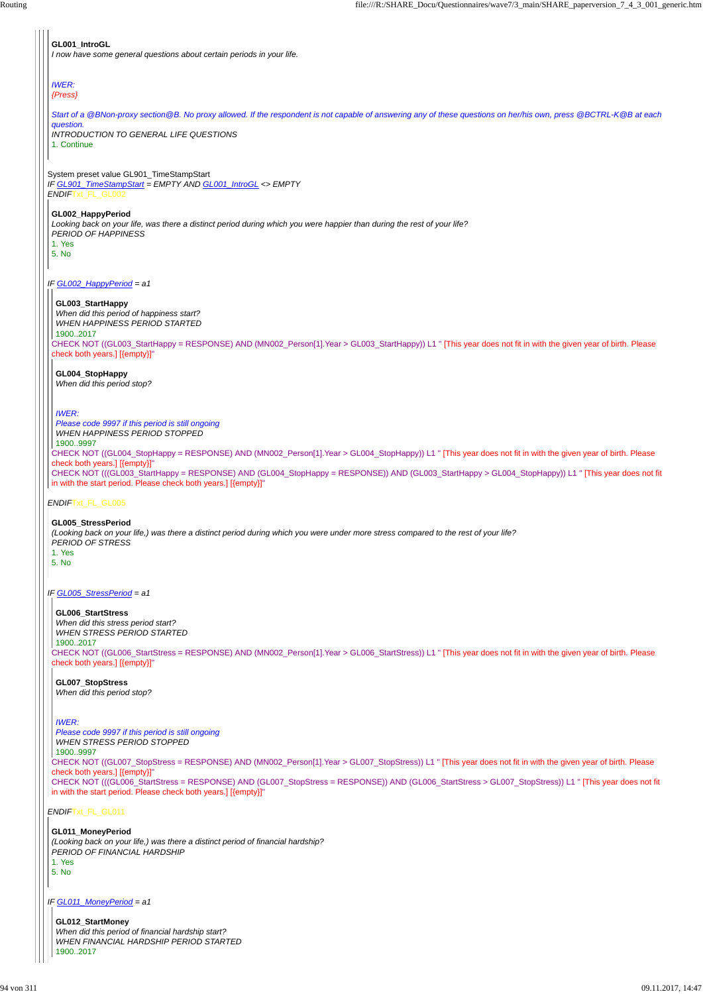#### System preset value GL901\_TimeStampStart *IF GL901\_TimeStampStart = EMPTY AND GL001\_IntroGL <> EMPTY ENDIF*Txt\_FL\_GL002

# *IF GL002\_HappyPeriod = a1*

# *ENDIF*Txt\_FL\_GL005

# *IF GL005\_StressPeriod = a1*

*ENDIF*Txt\_FL\_GL011

*IF GL011\_MoneyPeriod = a1*

# **GL001\_IntroGL**

*I now have some general questions about certain periods in your life.*

#### *IWER: {Press}*

*Start of a @BNon-proxy section@B. No proxy allowed. If the respondent is not capable of answering any of these questions on her/his own, press @BCTRL-K@B at each question. INTRODUCTION TO GENERAL LIFE QUESTIONS*

1. Continue

**GL002\_HappyPeriod**

*Looking back on your life, was there a distinct period during which you were happier than during the rest of your life? PERIOD OF HAPPINESS* 1. Yes

5. No

CHECK NOT ((GL004 StopHappy = RESPONSE) AND (MN002 Person[1].Year > GL004 StopHappy)) L1 " [This year does not fit in with the given year of birth. Please check both years.] [{empty}]" CHECK NOT (((GL003\_StartHappy = RESPONSE) AND (GL004\_StopHappy = RESPONSE)) AND (GL003\_StartHappy > GL004\_StopHappy)) L1 " [This year does not fit In with the start period. Please check both years.] [{empty}]" *Please code 9997 if this period is still ongoing WHEN HAPPINESS PERIOD STOPPED* 1900..9997

CHECK NOT ((GL003\_StartHappy = RESPONSE) AND (MN002\_Person[1].Year > GL003\_StartHappy)) L1 " [This year does not fit in with the given year of birth. Please check both years.] [{empty}]"

# **GL003\_StartHappy**

*When did this period of happiness start? WHEN HAPPINESS PERIOD STARTED* 1900..2017

# **GL004\_StopHappy**

*When did this period stop?*

# *IWER:*

# **GL005\_StressPeriod**

*(Looking back on your life,) was there a distinct period during which you were under more stress compared to the rest of your life? PERIOD OF STRESS* 1. Yes

5. No

CHECK NOT ((GL006\_StartStress = RESPONSE) AND (MN002\_Person[1].Year > GL006\_StartStress)) L1 " [This year does not fit in with the given year of birth. Please check both years.] [{empty}]"

CHECK NOT ((GL007\_StopStress = RESPONSE) AND (MN002\_Person[1].Year > GL007\_StopStress)) L1 " [This year does not fit in with the given year of birth. Please check both years.] [{empty}]" CHECK NOT (((GL006\_StartStress = RESPONSE) AND (GL007\_StopStress = RESPONSE)) AND (GL006\_StartStress > GL007\_StopStress)) L1 " [This year does not fit in with the start period. Please check both years.] [{empty}]"

# **GL006\_StartStress**

*When did this stress period start? WHEN STRESS PERIOD STARTED* 1900..2017

**GL007\_StopStress** *When did this period stop?*

# *IWER:*

*Please code 9997 if this period is still ongoing WHEN STRESS PERIOD STOPPED*

1900..9997

**GL011\_MoneyPeriod** *(Looking back on your life,) was there a distinct period of financial hardship? PERIOD OF FINANCIAL HARDSHIP* 1. Yes 5. No

**GL012\_StartMoney** *When did this period of financial hardship start? WHEN FINANCIAL HARDSHIP PERIOD STARTED* 1900..2017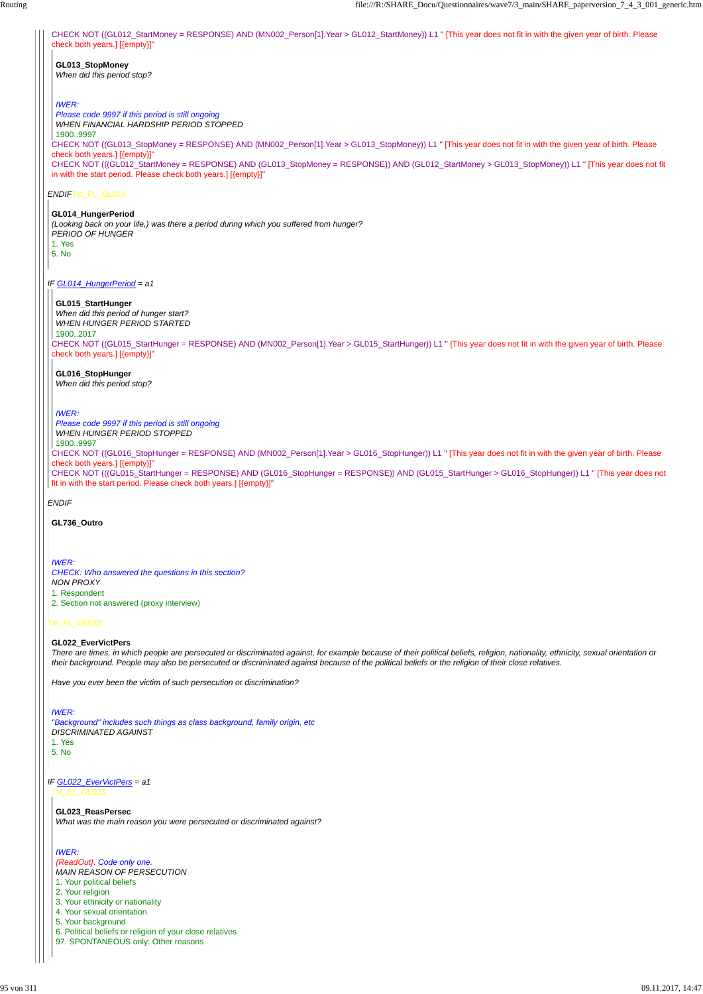*ENDIF*Txt\_FL\_GL014

*IF GL014\_HungerPeriod = a1*

*ENDIF*

# Txt\_FL\_GL022

CHECK NOT ((GL012\_StartMoney = RESPONSE) AND (MN002\_Person[1].Year > GL012\_StartMoney)) L1 " [This year does not fit in with the given year of birth. Please check both years.] [{empty}]" **GL013\_StopMoney** *When did this period stop? IWER: Please code 9997 if this period is still ongoing WHEN FINANCIAL HARDSHIP PERIOD STOPPED*

CHECK NOT ((GL013\_StopMoney = RESPONSE) AND (MN002\_Person[1].Year > GL013\_StopMoney)) L1 " [This year does not fit in with the given year of birth. Please check both years.] [{empty}]" CHECK NOT (((GL012\_StartMoney = RESPONSE) AND (GL013\_StopMoney = RESPONSE)) AND (GL012\_StartMoney > GL013\_StopMoney)) L1 " [This year does not fit in with the start period. Please check both years.] [{empty}]" 1900..9997

#### **GL014\_HungerPeriod**

*(Looking back on your life,) was there a period during which you suffered from hunger? PERIOD OF HUNGER* 1. Yes 5. No

CHECK NOT ((GL015\_StartHunger = RESPONSE) AND (MN002\_Person[1].Year > GL015\_StartHunger)) L1 " [This year does not fit in with the given year of birth. Please check both years.] [{empty}]"

### *IF GL022\_EverVictPers = a1* Txt\_FL\_GL023

CHECK NOT ((GL016\_StopHunger = RESPONSE) AND (MN002\_Person[1].Year > GL016\_StopHunger)) L1 " [This year does not fit in with the given year of birth. Please check both years.] [{empty}]" CHECK NOT (((GL015\_StartHunger = RESPONSE) AND (GL016\_StopHunger = RESPONSE)) AND (GL015\_StartHunger > GL016\_StopHunger)) L1 " [This year does not fit in with the start period. Please check both years.] [{empty}]" *Please code 9997 if this period is still ongoing WHEN HUNGER PERIOD STOPPED* 1900..9997

### **GL015\_StartHunger**

*When did this period of hunger start? WHEN HUNGER PERIOD STARTED* 1900..2017

# **GL016\_StopHunger**

*When did this period stop?*

*IWER:*

# **GL736\_Outro**

*IWER: CHECK: Who answered the questions in this section? NON PROXY* 1. Respondent 2. Section not answered (proxy interview)

# **GL022\_EverVictPers**

*There are times, in which people are persecuted or discriminated against, for example because of their political beliefs, religion, nationality, ethnicity, sexual orientation or their background. People may also be persecuted or discriminated against because of the political beliefs or the religion of their close relatives.*

*Have you ever been the victim of such persecution or discrimination?*

*IWER:*

*"Background" includes such things as class background, family origin, etc DISCRIMINATED AGAINST*

1. Yes

#### 5. No

#### **GL023\_ReasPersec**

*What was the main reason you were persecuted or discriminated against?*

#### *IWER:*

*{ReadOut}. Code only one. MAIN REASON OF PERSECUTION* 1. Your political beliefs 2. Your religion 3. Your ethnicity or nationality 4. Your sexual orientation 5. Your background 6. Political beliefs or religion of your close relatives 97. SPONTANEOUS only: Other reasons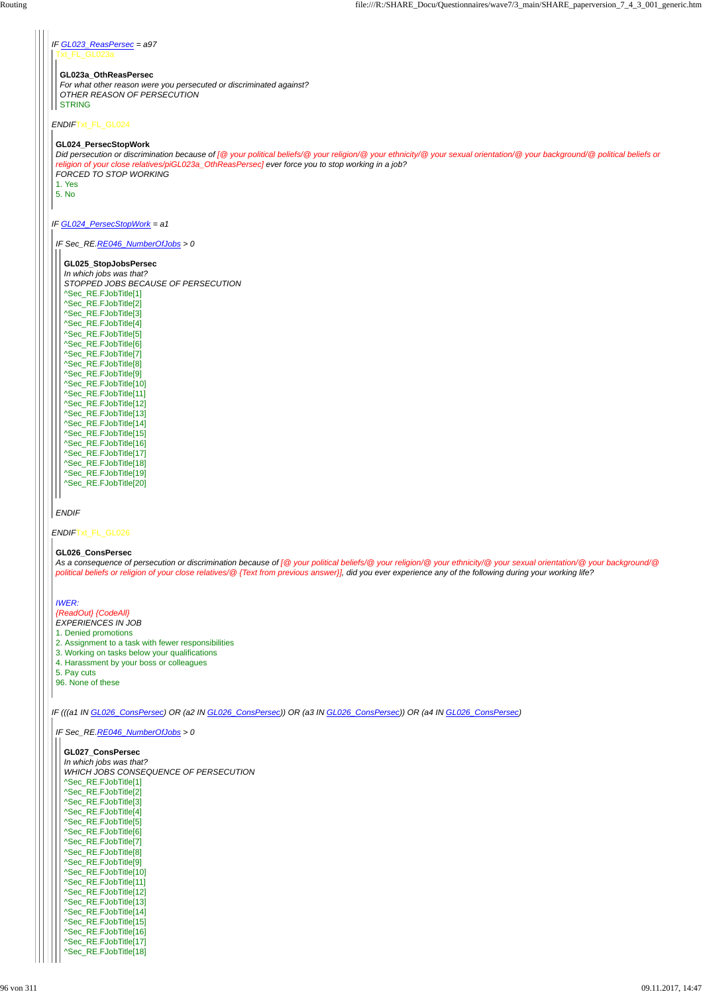*IF GL023\_ReasPersec = a97 ENDIF*Txt\_FL\_GL024 *IF GL024\_PersecStopWork = a1 ENDIF*Txt\_FL\_GL026 *IF (((a1 IN GL026\_ConsPersec) OR (a2 IN GL026\_ConsPersec)) OR (a3 IN GL026\_ConsPersec)) OR (a4 IN GL026\_ConsPersec)* xt\_FL\_GL023a **GL023a\_OthReasPersec** *For what other reason were you persecuted or discriminated against? OTHER REASON OF PERSECUTION* STRING **GL024\_PersecStopWork** *Did persecution or discrimination because of [@ your political beliefs/@ your religion/@ your ethnicity/@ your sexual orientation/@ your background/@ political beliefs or religion of your close relatives/piGL023a\_OthReasPersec] ever force you to stop working in a job? FORCED TO STOP WORKING* 1. Yes 5. No *IF Sec\_RE.RE046\_NumberOfJobs > 0 ENDIF* **GL025\_StopJobsPersec** *In which jobs was that? STOPPED JOBS BECAUSE OF PERSECUTION* ^Sec\_RE.FJobTitle[1] ^Sec\_RE.FJobTitle[2] ^Sec\_RE.FJobTitle[3] ^Sec\_RE.FJobTitle[4] ^Sec\_RE.FJobTitle[5] ^Sec\_RE.FJobTitle[6] ^Sec\_RE.FJobTitle[7] ^Sec\_RE.FJobTitle[8] ^Sec\_RE.FJobTitle[9] ^Sec\_RE.FJobTitle[10] ^Sec\_RE.FJobTitle[11] ^Sec\_RE.FJobTitle[12] ^Sec\_RE.FJobTitle[13] ^Sec\_RE.FJobTitle[14] ^Sec\_RE.FJobTitle[15] ^Sec\_RE.FJobTitle[16] ^Sec\_RE.FJobTitle[17] ^Sec\_RE.FJobTitle[18] ^Sec\_RE.FJobTitle[19] ^Sec\_RE.FJobTitle[20] **GL026\_ConsPersec** *As a consequence of persecution or discrimination because of [@ your political beliefs/@ your religion/@ your ethnicity/@ your sexual orientation/@ your background/@ political beliefs or religion of your close relatives/@ {Text from previous answer}], did you ever experience any of the following during your working life? IWER: {ReadOut} {CodeAll} EXPERIENCES IN JOB* 1. Denied promotions 2. Assignment to a task with fewer responsibilities 3. Working on tasks below your qualifications 4. Harassment by your boss or colleagues 5. Pay cuts 96. None of these *IF Sec\_RE.RE046\_NumberOfJobs > 0* **GL027\_ConsPersec** *In which jobs was that? WHICH JOBS CONSEQUENCE OF PERSECUTION* ^Sec\_RE.FJobTitle[1] ^Sec\_RE.FJobTitle[2] ^Sec\_RE.FJobTitle[3] ^Sec\_RE.FJobTitle[4] ^Sec\_RE.FJobTitle[5] ^Sec\_RE.FJobTitle[6] ^Sec\_RE.FJobTitle[7] ^Sec\_RE.FJobTitle[8] ^Sec\_RE.FJobTitle[9] ^Sec\_RE.FJobTitle[10] ^Sec\_RE.FJobTitle[11] ^Sec\_RE.FJobTitle[12] ^Sec\_RE.FJobTitle[13] ^Sec\_RE.FJobTitle[14] ^Sec\_RE.FJobTitle[15] ^Sec\_RE.FJobTitle[16] ^Sec\_RE.FJobTitle[17] ^Sec\_RE.FJobTitle[18]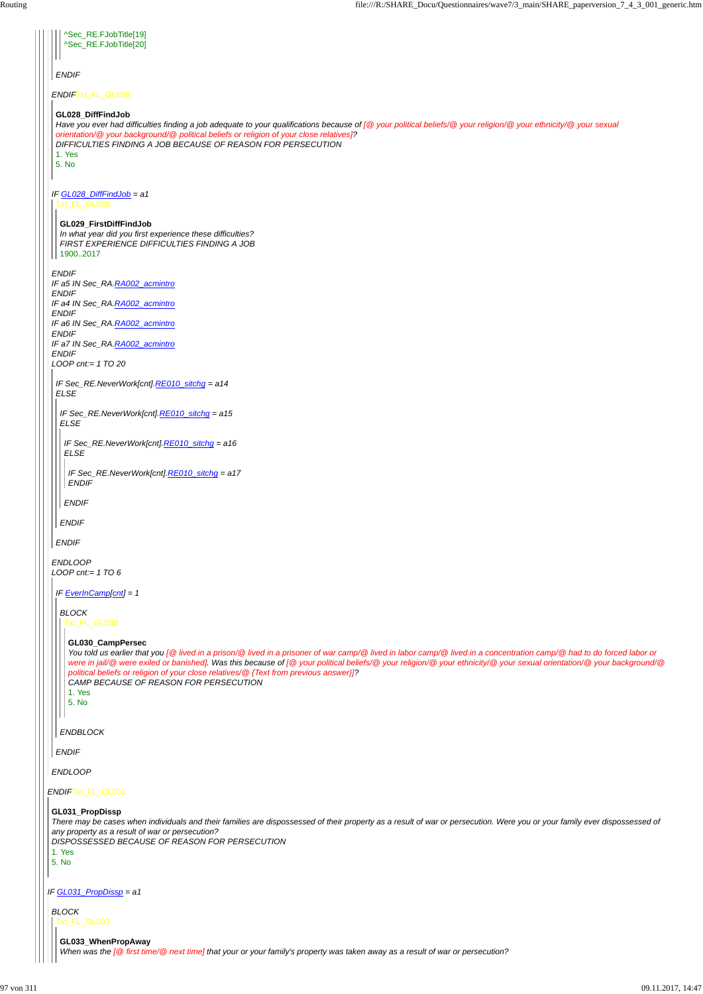*ENDIF*Txt\_FL\_GL031 *IF GL031\_PropDissp = a1 ENDIF*Txt\_FL\_GL028 *IF GL028\_DiffFindJob = a1 ENDIF IF a5 IN Sec\_RA.RA002\_acmintro ENDIF IF a4 IN Sec\_RA.RA002\_acmintro ENDIF IF a6 IN Sec\_RA.RA002\_acmintro ENDIF IF a7 IN Sec\_RA.RA002\_acmintro ENDIF LOOP cnt:= 1 TO 20 ENDLOOP LOOP cnt:= 1 TO 6 ENDLOOP ENDIF* ^Sec\_RE.FJobTitle[19] ^Sec\_RE.FJobTitle[20] **GL028\_DiffFindJob** *Have you ever had difficulties finding a job adequate to your qualifications because of [@ your political beliefs/@ your religion/@ your ethnicity/@ your sexual orientation/@ your background/@ political beliefs or religion of your close relatives]? DIFFICULTIES FINDING A JOB BECAUSE OF REASON FOR PERSECUTION* 1. Yes 5. No Txt\_FL\_GL029 **GL029\_FirstDiffFindJob** *In what year did you first experience these difficulties? FIRST EXPERIENCE DIFFICULTIES FINDING A JOB* 1900..2017 *IF Sec\_RE.NeverWork[cnt].RE010\_sitchg = a14 ELSE ENDIF IF Sec\_RE.NeverWork[cnt].RE010\_sitchg = a15 ELSE ENDIF IF Sec\_RE.NeverWork[cnt].RE010\_sitchg = a16 ELSE ENDIF IF Sec\_RE.NeverWork[cnt].RE010\_sitchg = a17 ENDIF IF EverInCamp[cnt] = 1 ENDIF BLOCK ENDBLOCK* Txt\_FL\_GL030 **GL030\_CampPersec** *You told us earlier that you [@ lived in a prison/@ lived in a prisoner of war camp/@ lived in labor camp/@ lived in a concentration camp/@ had to do forced labor or were in jail/@ were exiled or banished]. Was this because of [@ your political beliefs/@ your religion/@ your ethnicity/@ your sexual orientation/@ your background/@ political beliefs or religion of your close relatives/@ {Text from previous answer}]? CAMP BECAUSE OF REASON FOR PERSECUTION* 1. Yes 5. No **GL031\_PropDissp** *There may be cases when individuals and their families are dispossessed of their property as a result of war or persecution. Were you or your family ever dispossessed of any property as a result of war or persecution? DISPOSSESSED BECAUSE OF REASON FOR PERSECUTION* 1. Yes 5. No *BLOCK* Txt\_FL\_GL033 **GL033\_WhenPropAway** *When was the [@ first time/@ next time] that your or your family's property was taken away as a result of war or persecution?*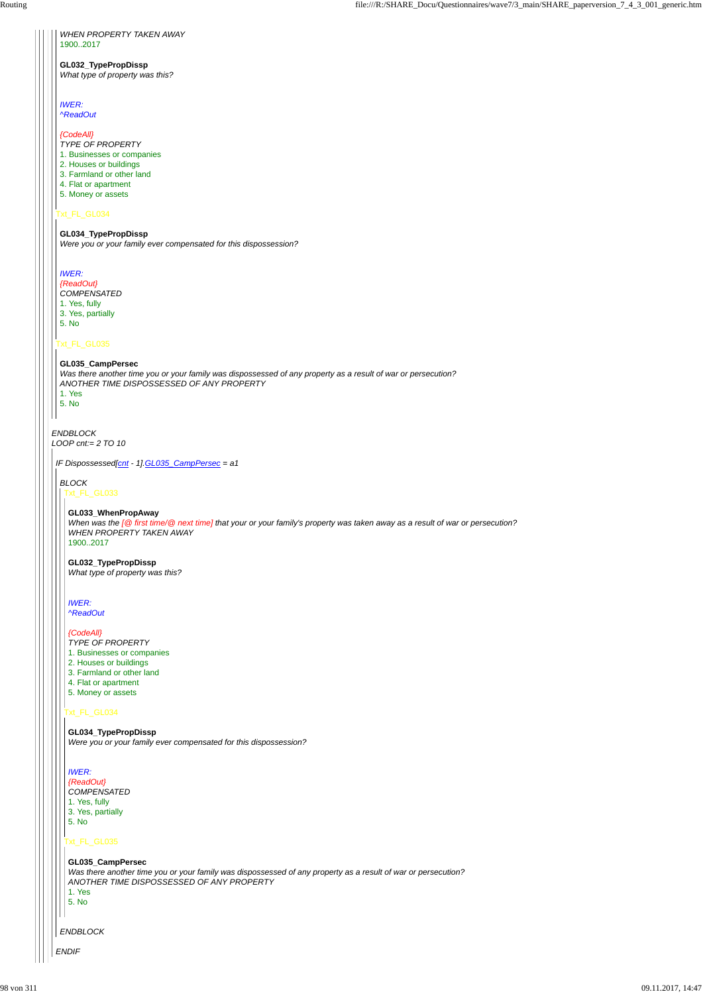*ENDBLOCK LOOP cnt:= 2 TO 10*

# Txt\_FL\_GL034

# Txt\_FL\_GL035

*WHEN PROPERTY TAKEN AWAY* 1900..2017

### **GL032\_TypePropDissp** *What type of property was this?*

*IWER: ^ReadOut*

*{CodeAll} TYPE OF PROPERTY*

- 
- 1. Businesses or companies
- 2. Houses or buildings
- 3. Farmland or other land 4. Flat or apartment
- 
- 5. Money or assets

## **GL034\_TypePropDissp**

*Were you or your family ever compensated for this dispossession?*

# *IWER:*

*{ReadOut} COMPENSATED* 1. Yes, fully 3. Yes, partially 5. No

#### **GL035\_CampPersec**

*Was there another time you or your family was dispossessed of any property as a result of war or persecution? ANOTHER TIME DISPOSSESSED OF ANY PROPERTY*

1. Yes 5. No

*IF Dispossessed[cnt - 1].GL035\_CampPersec = a1*

*BLOCK*

# Txt\_FL\_GL033

# Txt\_FL\_GL034

# **GL033\_WhenPropAway**

*When was the [@ first time/@ next time] that your or your family's property was taken away as a result of war or persecution? WHEN PROPERTY TAKEN AWAY* 1900..2017

### **GL032\_TypePropDissp** *What type of property was this?*

*IWER: ^ReadOut*

#### *{CodeAll}*

- *TYPE OF PROPERTY*
- 1. Businesses or companies
- 2. Houses or buildings
- 3. Farmland or other land
- 4. Flat or apartment
- 5. Money or assets

# *ENDIF ENDBLOCK* Txt\_FL\_GL035 *IWER: {ReadOut} COMPENSATED* 1. Yes, fully 3. Yes, partially 5. No **GL035\_CampPersec** *Was there another time you or your family was dispossessed of any property as a result of war or persecution? ANOTHER TIME DISPOSSESSED OF ANY PROPERTY* 1. Yes 5. No

**GL034\_TypePropDissp** *Were you or your family ever compensated for this dispossession?*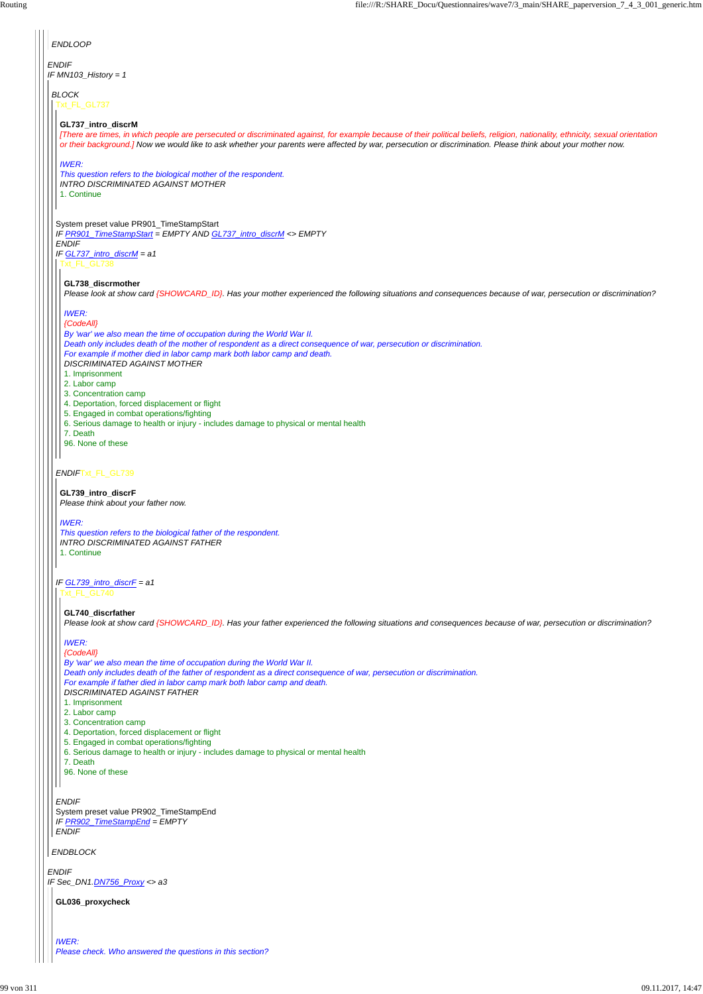*ENDIF IF Sec\_DN1.DN756\_Proxy <> a3*

*ENDBLOCK*

*ENDIF* System preset value PR902\_TimeStampEnd *IF PR902\_TimeStampEnd = EMPTY ENDIF*

| <b>ENDLOOP</b>                                                                                                                                                                                                                                                                                                                                  |
|-------------------------------------------------------------------------------------------------------------------------------------------------------------------------------------------------------------------------------------------------------------------------------------------------------------------------------------------------|
| <b>ENDIF</b><br>IF MN103_History = 1                                                                                                                                                                                                                                                                                                            |
|                                                                                                                                                                                                                                                                                                                                                 |
| <b>BLOCK</b><br>Txt_FL_GL737                                                                                                                                                                                                                                                                                                                    |
| GL737_intro_discrM                                                                                                                                                                                                                                                                                                                              |
| [There are times, in which people are persecuted or discriminated against, for example because of their political beliefs, religion, nationality, ethnicity, sexual orientation<br>or their background.] Now we would like to ask whether your parents were affected by war, persecution or discrimination. Please think about your mother now. |
| <b>IWER:</b>                                                                                                                                                                                                                                                                                                                                    |
| This question refers to the biological mother of the respondent.<br><b>INTRO DISCRIMINATED AGAINST MOTHER</b>                                                                                                                                                                                                                                   |
| 1. Continue                                                                                                                                                                                                                                                                                                                                     |
| System preset value PR901_TimeStampStart                                                                                                                                                                                                                                                                                                        |
| IF PR901_TimeStampStart = EMPTY AND GL737_intro_discrM <> EMPTY<br><b>ENDIF</b>                                                                                                                                                                                                                                                                 |
| IF $GL737$ _intro_discrM = a1<br>Txt_FL_GL738                                                                                                                                                                                                                                                                                                   |
| GL738_discrmother                                                                                                                                                                                                                                                                                                                               |
| Please look at show card {SHOWCARD_ID}. Has your mother experienced the following situations and consequences because of war, persecution or discrimination?                                                                                                                                                                                    |
| <b>IWER:</b><br>{CodeAll}                                                                                                                                                                                                                                                                                                                       |
| By 'war' we also mean the time of occupation during the World War II.<br>Death only includes death of the mother of respondent as a direct consequence of war, persecution or discrimination.                                                                                                                                                   |
| For example if mother died in labor camp mark both labor camp and death.<br><b>DISCRIMINATED AGAINST MOTHER</b>                                                                                                                                                                                                                                 |
| 1. Imprisonment<br>2. Labor camp                                                                                                                                                                                                                                                                                                                |
| 3. Concentration camp                                                                                                                                                                                                                                                                                                                           |
| 4. Deportation, forced displacement or flight<br>5. Engaged in combat operations/fighting                                                                                                                                                                                                                                                       |
| 6. Serious damage to health or injury - includes damage to physical or mental health<br>7. Death                                                                                                                                                                                                                                                |
| 96. None of these                                                                                                                                                                                                                                                                                                                               |
| ENDIFTxt_FL_GL739                                                                                                                                                                                                                                                                                                                               |
| GL739_intro_discrF<br>Please think about your father now.                                                                                                                                                                                                                                                                                       |
|                                                                                                                                                                                                                                                                                                                                                 |
| <b>IWER:</b><br>This question refers to the biological father of the respondent.                                                                                                                                                                                                                                                                |
| <b>INTRO DISCRIMINATED AGAINST FATHER</b><br>1. Continue                                                                                                                                                                                                                                                                                        |
|                                                                                                                                                                                                                                                                                                                                                 |
| IF $GL739$ _intro_discrF = a1<br>xt FL GL740                                                                                                                                                                                                                                                                                                    |

**GL740\_discrfather**

*Please look at show card {SHOWCARD\_ID}. Has your father experienced the following situations and consequences because of war, persecution or discrimination?*

*IWER:*

*{CodeAll}*

*By 'war' we also mean the time of occupation during the World War II. Death only includes death of the father of respondent as a direct consequence of war, persecution or discrimination. For example if father died in labor camp mark both labor camp and death. DISCRIMINATED AGAINST FATHER*

- 1. Imprisonment
- 2. Labor camp
- 3. Concentration camp
- 4. Deportation, forced displacement or flight
- 5. Engaged in combat operations/fighting
- 

6. Serious damage to health or injury - includes damage to physical or mental health

7. Death

96. None of these

**GL036\_proxycheck**

*IWER: Please check. Who answered the questions in this section?*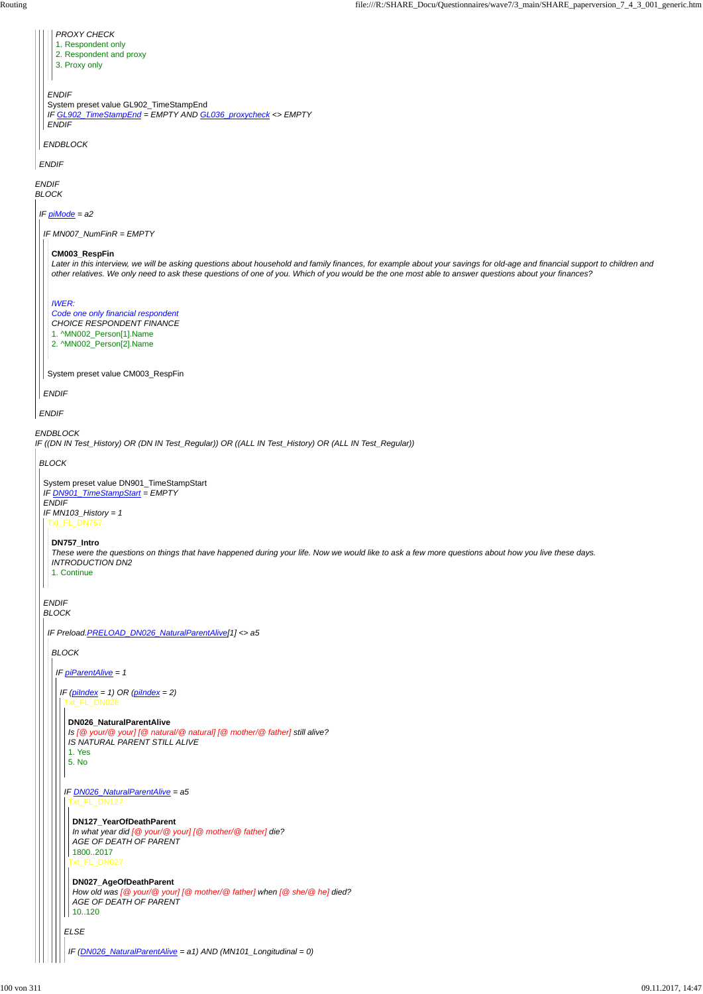*ENDIF BLOCK ENDBLOCK IF ((DN IN Test\_History) OR (DN IN Test\_Regular)) OR ((ALL IN Test\_History) OR (ALL IN Test\_Regular)) ENDIF ENDBLOCK ENDIF* System preset value GL902\_TimeStampEnd *IF GL902\_TimeStampEnd = EMPTY AND GL036\_proxycheck <> EMPTY ENDIF PROXY CHECK* 1. Respondent only 2. Respondent and proxy 3. Proxy only *IF piMode = a2 ENDIF IF MN007\_NumFinR = EMPTY ENDIF* System preset value CM003\_RespFin **CM003\_RespFin** *Later in this interview, we will be asking questions about household and family finances, for example about your savings for old-age and financial support to children and other relatives. We only need to ask these questions of one of you. Which of you would be the one most able to answer questions about your finances? IWER: Code one only financial respondent CHOICE RESPONDENT FINANCE* 1. ^MN002\_Person[1].Name 2. ^MN002\_Person[2].Name *BLOCK* System preset value DN901\_TimeStampStart *IF DN901\_TimeStampStart = EMPTY ENDIF IF MN103\_History = 1 ENDIF BLOCK* Txt\_FL\_DN757 **DN757\_Intro** *These were the questions on things that have happened during your life. Now we would like to ask a few more questions about how you live these days. INTRODUCTION DN2* 1. Continue *IF Preload.PRELOAD\_DN026\_NaturalParentAlive[1] <> a5 BLOCK IF piParentAlive = 1 IF (piIndex = 1) OR (piIndex = 2)* Txt\_FL\_DN026 **DN026\_NaturalParentAlive** *Is [@ your/@ your] [@ natural/@ natural] [@ mother/@ father] still alive? IS NATURAL PARENT STILL ALIVE*

# *ELSE*

*IF DN026\_NaturalParentAlive = a5* Txt\_FL\_DN127

1. Yes 5. No

```
Txt_FL_DN027
DN127_YearOfDeathParent
In what year did [@ your/@ your] [@ mother/@ father] die?
AGE OF DEATH OF PARENT
1800..2017
DN027_AgeOfDeathParent
```
*How old was [@ your/@ your] [@ mother/@ father] when [@ she/@ he] died? AGE OF DEATH OF PARENT*

10..120

*IF (DN026\_NaturalParentAlive = a1) AND (MN101\_Longitudinal = 0)*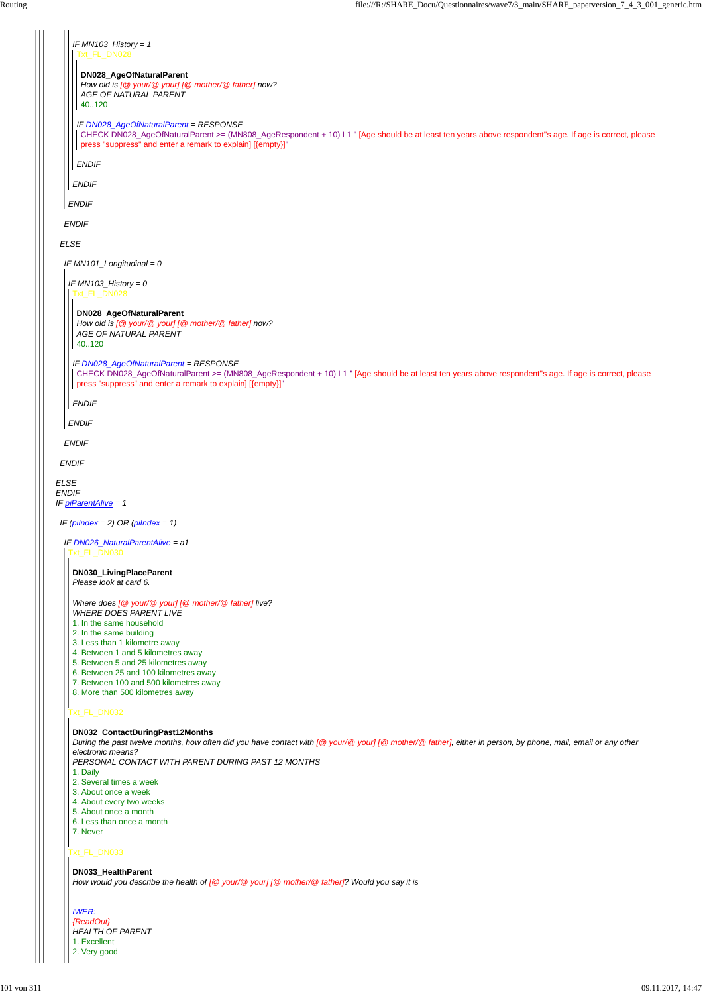| IF $MN103$ _History = 1                                                                                                                                                                                                                                       |
|---------------------------------------------------------------------------------------------------------------------------------------------------------------------------------------------------------------------------------------------------------------|
| Txt_FL_DN028                                                                                                                                                                                                                                                  |
| DN028_AgeOfNaturalParent                                                                                                                                                                                                                                      |
| How old is [@ your/@ your] [@ mother/@ father] now?<br>AGE OF NATURAL PARENT                                                                                                                                                                                  |
| 40.120                                                                                                                                                                                                                                                        |
| IF DN028_AgeOfNaturalParent = RESPONSE<br>CHECK DN028_AgeOfNaturalParent >= (MN808_AgeRespondent + 10) L1 " [Age should be at least ten years above respondent"s age. If age is correct, please<br>press "suppress" and enter a remark to explain] [{empty}]" |
| <b>ENDIF</b>                                                                                                                                                                                                                                                  |
| <b>ENDIF</b>                                                                                                                                                                                                                                                  |
| <b>ENDIF</b>                                                                                                                                                                                                                                                  |
| <b>ENDIF</b>                                                                                                                                                                                                                                                  |
| <b>ELSE</b>                                                                                                                                                                                                                                                   |
|                                                                                                                                                                                                                                                               |
| IF $MN101$ _Longitudinal = 0                                                                                                                                                                                                                                  |
| IF $MN103$ _History = 0<br>Txt_FL_DN028                                                                                                                                                                                                                       |
| DN028_AgeOfNaturalParent                                                                                                                                                                                                                                      |
| How old is [@ your/@ your] [@ mother/@ father] now?<br>AGE OF NATURAL PARENT                                                                                                                                                                                  |
| 40.120                                                                                                                                                                                                                                                        |
| IF DN028_AgeOfNaturalParent = RESPONSE                                                                                                                                                                                                                        |
| CHECK DN028_AgeOfNaturalParent >= (MN808_AgeRespondent + 10) L1 " [Age should be at least ten years above respondent"s age. If age is correct, please<br>press "suppress" and enter a remark to explain] [{empty}]"                                           |
| <b>ENDIF</b>                                                                                                                                                                                                                                                  |
| <b>ENDIF</b>                                                                                                                                                                                                                                                  |
| <b>ENDIF</b>                                                                                                                                                                                                                                                  |
| <b>ENDIF</b>                                                                                                                                                                                                                                                  |
| <b>ELSE</b>                                                                                                                                                                                                                                                   |
| <b>ENDIF</b>                                                                                                                                                                                                                                                  |
| IF piParentAlive = 1                                                                                                                                                                                                                                          |
| IF $(\text{pildex} = 2) \text{ OR } (\text{pildex} = 1)$                                                                                                                                                                                                      |
| IF DN026_NaturalParentAlive = a1<br>Txt_FL_DN030                                                                                                                                                                                                              |
|                                                                                                                                                                                                                                                               |
| DN030_LivingPlaceParent<br>Please look at card 6.                                                                                                                                                                                                             |
| Where does [@ your/@ your] [@ mother/@ father] live?                                                                                                                                                                                                          |
| <b>WHERE DOES PARENT LIVE</b><br>1. In the same household                                                                                                                                                                                                     |
| 2. In the same building                                                                                                                                                                                                                                       |
| 3. Less than 1 kilometre away                                                                                                                                                                                                                                 |
| 4. Between 1 and 5 kilometres away<br>5. Between 5 and 25 kilometres away                                                                                                                                                                                     |
| 6. Between 25 and 100 kilometres away                                                                                                                                                                                                                         |
| 7. Between 100 and 500 kilometres away                                                                                                                                                                                                                        |
| 8. More than 500 kilometres away                                                                                                                                                                                                                              |
| Txt_FL_DN032                                                                                                                                                                                                                                                  |
| DN032_ContactDuringPast12Months<br>During the past twelve months, how often did you have contact with [@ your/@ your] [@ mother/@ father], either in person, by phone, mail, email or any other                                                               |

# Txt\_FL\_DN033

*electronic means?*

*PERSONAL CONTACT WITH PARENT DURING PAST 12 MONTHS*

# 1. Daily

2. Several times a week

3. About once a week

4. About every two weeks

- 5. About once a month
- 6. Less than once a month

7. Never

**DN033\_HealthParent**

*How would you describe the health of [@ your/@ your] [@ mother/@ father]? Would you say it is*

*IWER: {ReadOut} HEALTH OF PARENT*

1. Excellent

2. Very good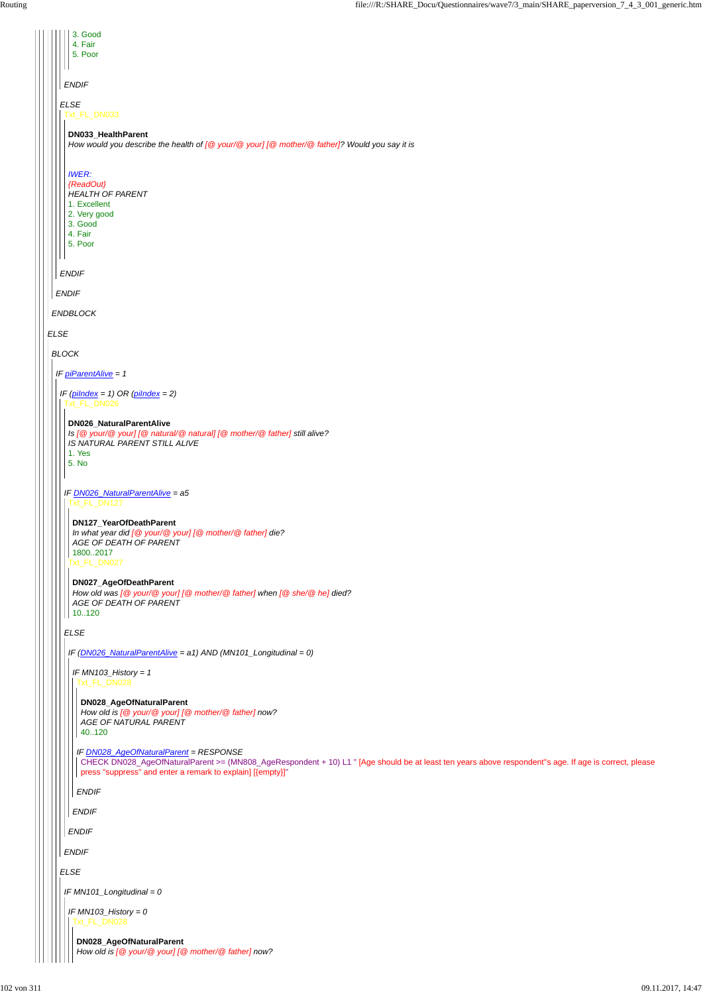|              |             | 3. Good<br>4. Fair<br>5. Poor                                                                                                                             |
|--------------|-------------|-----------------------------------------------------------------------------------------------------------------------------------------------------------|
| <b>ENDIF</b> |             |                                                                                                                                                           |
|              |             | <b>ELSE</b><br>Txt_FL_DN033                                                                                                                               |
|              |             | DN033_HealthParent<br>How would you describe the health of $[@$ your/ $@$ your] $[@$ mother/ $@$ father]? Would you say it is                             |
|              |             | <b>IWER:</b><br>{ReadOut}<br><b>HEALTH OF PARENT</b><br>1. Excellent<br>2. Very good<br>3. Good<br>4. Fair<br>5. Poor                                     |
|              |             | <b>ENDIF</b>                                                                                                                                              |
|              |             | <b>ENDIF</b>                                                                                                                                              |
|              |             | <b>ENDBLOCK</b>                                                                                                                                           |
|              | <b>ELSE</b> |                                                                                                                                                           |
|              |             | <b>BLOCK</b>                                                                                                                                              |
|              |             | IF <i>piParentAlive</i> = 1                                                                                                                               |
|              |             | IF $(\text{pildex} = 1) \text{ OR } (\text{pildex} = 2)$<br>FL DN026                                                                                      |
|              |             | DN026_NaturalParentAlive<br>Is [@ your/@ your] [@ natural/@ natural] [@ mother/@ father] still alive?<br>IS NATURAL PARENT STILL ALIVE<br>1. Yes<br>5. No |
|              |             | IF <b>DN026_NaturalParentAlive</b> = a5<br>Txt FL DN127                                                                                                   |
|              |             | DN127_YearOfDeathParent<br>In what year did [@ your/@ your] [@ mother/@ father] die?<br>AGE OF DEATH OF PARENT<br>18002017<br>Txt_FL_DN027                |
|              |             | DN027_AgeOfDeathParent<br>How old was [@ your/@ your] [@ mother/@ father] when [@ she/@ he] died?<br>AGE OF DEATH OF PARENT<br>10120                      |
|              |             | <b>ELSE</b>                                                                                                                                               |
|              |             | IF (DN026_NaturalParentAlive = a1) AND (MN101_Longitudinal = 0)                                                                                           |
|              |             | IF $MN103$ _History = 1<br>Txt_FL_DN028                                                                                                                   |
|              |             | DN028_AgeOfNaturalParent<br>How old is [@ your/@ your] [@ mother/@ father] now?<br><b>AGE OF NATURAL PARENT</b><br>40120                                  |

|              | IF DN028 AgeOtNaturalParent = RESPONSE<br>CHECK DN028_AgeOfNaturalParent >= (MN808_AgeRespondent + 10) L1 " [Age should be at least ten years above respondent"s age. If age is correct, please<br>press "suppress" and enter a remark to explain] [{empty}]" |  |  |
|--------------|---------------------------------------------------------------------------------------------------------------------------------------------------------------------------------------------------------------------------------------------------------------|--|--|
|              | <b>ENDIF</b>                                                                                                                                                                                                                                                  |  |  |
|              | <b>ENDIF</b>                                                                                                                                                                                                                                                  |  |  |
|              | <b>ENDIF</b>                                                                                                                                                                                                                                                  |  |  |
| <b>ENDIF</b> |                                                                                                                                                                                                                                                               |  |  |
| <b>ELSE</b>  |                                                                                                                                                                                                                                                               |  |  |
|              | IF MN101_Longitudinal = $0$                                                                                                                                                                                                                                   |  |  |
|              | IF MN103_History = 0<br>xt_FL_DN028                                                                                                                                                                                                                           |  |  |
|              | DN028_AgeOfNaturalParent<br>How old is $[@$ your/ $@$ your] $[@$ mother/ $@$ father] now?                                                                                                                                                                     |  |  |

*IF DN028\_AgeOfNaturalParent = RESPONSE*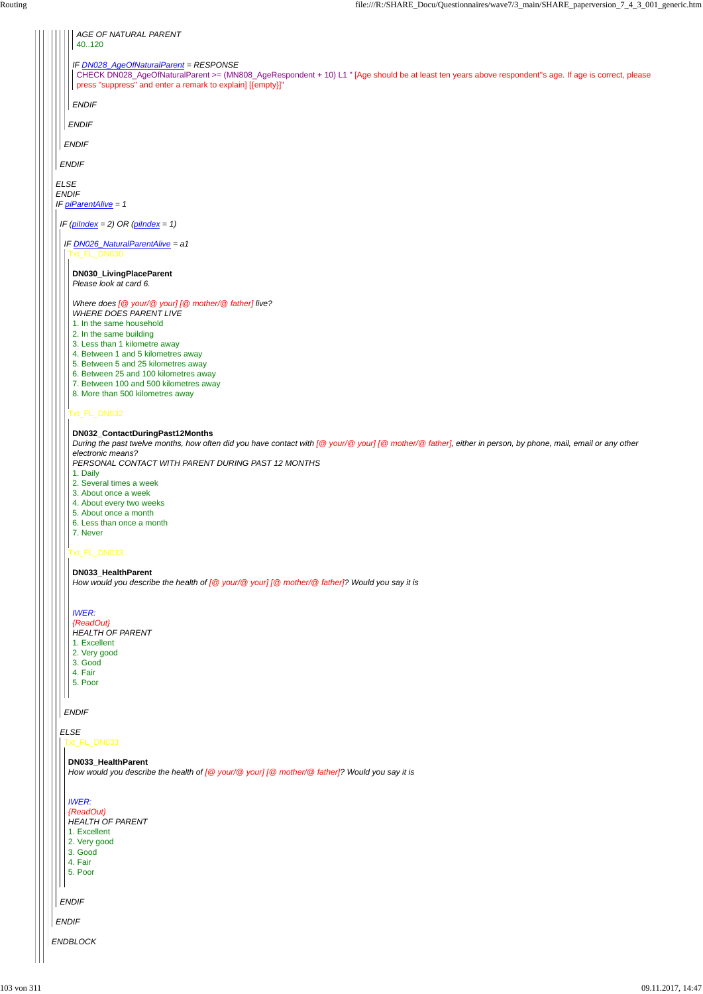*ENDBLOCK*

*ENDIF*

Ш

*ELSE* | | | | | | Txt\_FL\_DN033

*ENDIF*

|             | AGE OF NATURAL PARENT<br>40120                                                                                                                                                                  |
|-------------|-------------------------------------------------------------------------------------------------------------------------------------------------------------------------------------------------|
|             |                                                                                                                                                                                                 |
|             | IF DN028_AgeOfNaturalParent = RESPONSE<br>CHECK DN028_AgeOfNaturalParent >= (MN808_AgeRespondent + 10) L1 " [Age should be at least ten years above respondent"s age. If age is correct, please |
|             | press "suppress" and enter a remark to explain] [{empty}]"                                                                                                                                      |
|             | <b>ENDIF</b>                                                                                                                                                                                    |
|             |                                                                                                                                                                                                 |
|             | <b>ENDIF</b>                                                                                                                                                                                    |
|             | <b>ENDIF</b>                                                                                                                                                                                    |
|             | <b>ENDIF</b>                                                                                                                                                                                    |
| <b>ELSE</b> |                                                                                                                                                                                                 |
|             | <b>ENDIF</b>                                                                                                                                                                                    |
|             | IF piParentAlive = 1                                                                                                                                                                            |
|             | IF ( $pilndex = 2$ ) OR ( $pilndex = 1$ )                                                                                                                                                       |
|             |                                                                                                                                                                                                 |
|             | IF DN026_NaturalParentAlive = a1<br>xt_FL_DN030                                                                                                                                                 |
|             |                                                                                                                                                                                                 |
|             | DN030_LivingPlaceParent<br>Please look at card 6.                                                                                                                                               |
|             |                                                                                                                                                                                                 |
|             | Where does [@ your/@ your] [@ mother/@ father] live?<br><b>WHERE DOES PARENT LIVE</b>                                                                                                           |
|             | 1. In the same household                                                                                                                                                                        |
|             | 2. In the same building                                                                                                                                                                         |
|             | 3. Less than 1 kilometre away                                                                                                                                                                   |
|             | 4. Between 1 and 5 kilometres away                                                                                                                                                              |
|             | 5. Between 5 and 25 kilometres away                                                                                                                                                             |
|             | 6. Between 25 and 100 kilometres away<br>7. Between 100 and 500 kilometres away                                                                                                                 |
|             | 8. More than 500 kilometres away                                                                                                                                                                |
|             |                                                                                                                                                                                                 |
|             | xt_FL_DN032                                                                                                                                                                                     |
|             | DN032_ContactDuringPast12Months                                                                                                                                                                 |
|             | During the past twelve months, how often did you have contact with [@ your/@ your] [@ mother/@ father], either in person, by phone, mail, email or any other<br>electronic means?               |
|             | PERSONAL CONTACT WITH PARENT DURING PAST 12 MONTHS                                                                                                                                              |
|             | 1. Daily                                                                                                                                                                                        |
|             | 2. Several times a week                                                                                                                                                                         |
|             | 3. About once a week                                                                                                                                                                            |
|             | 4. About every two weeks<br>5. About once a month                                                                                                                                               |
|             | 6. Less than once a month                                                                                                                                                                       |
|             | 7. Never                                                                                                                                                                                        |
|             | xt_FL_DN033                                                                                                                                                                                     |
|             |                                                                                                                                                                                                 |
|             | DN033_HealthParent<br>How would you describe the health of [@ your/@ your] [@ mother/@ father]? Would you say it is                                                                             |
|             |                                                                                                                                                                                                 |
|             | <b>IWER:</b>                                                                                                                                                                                    |
|             | {ReadOut}                                                                                                                                                                                       |
|             | <b>HEALTH OF PARENT</b>                                                                                                                                                                         |
|             | 1. Excellent                                                                                                                                                                                    |

- 2. Very good
- 3. Good
- 4. Fair
- 5. Poor
- *ENDIF*

 $\vert \vert \vert$ 

# **DN033\_HealthParent**

*How would you describe the health of [@ your/@ your] [@ mother/@ father]? Would you say it is*

# *IWER: {ReadOut}*

*HEALTH OF PARENT*

1. Excellent

2. Very good

3. Good

4. Fair

5. Poor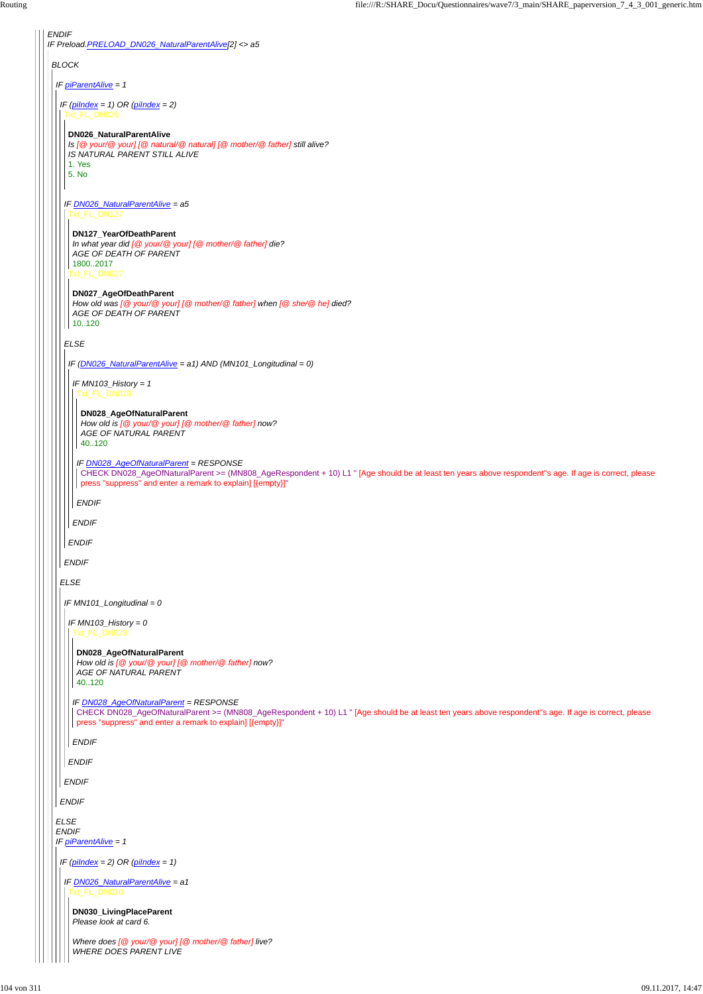*ENDIF IF Preload.PRELOAD\_DN026\_NaturalParentAlive[2] <> a5 BLOCK IF piParentAlive = 1 IF (piIndex = 1) OR (piIndex = 2) ELSE* Txt\_FL\_DN026 *IF DN026\_NaturalParentAlive = a5 ELSE ENDIF* **DN026\_NaturalParentAlive** *Is [@ your/@ your] [@ natural/@ natural] [@ mother/@ father] still alive? IS NATURAL PARENT STILL ALIVE* 1. Yes 5. No Txt\_FL\_DN127 Txt\_FL\_DN027 **DN127\_YearOfDeathParent** *In what year did [@ your/@ your] [@ mother/@ father] die? AGE OF DEATH OF PARENT* 1800..2017 **DN027\_AgeOfDeathParent** *How old was [@ your/@ your] [@ mother/@ father] when [@ she/@ he] died? AGE OF DEATH OF PARENT* 10..120 *IF (DN026\_NaturalParentAlive = a1) AND (MN101\_Longitudinal = 0) ENDIF IF MN103\_History = 1 ENDIF* Txt\_FL\_DN028 *IF DN028\_AgeOfNaturalParent = RESPONSE ENDIF* **DN028\_AgeOfNaturalParent** *How old is [@ your/@ your] [@ mother/@ father] now? AGE OF NATURAL PARENT* 40..120 CHECK DN028\_AgeOfNaturalParent >= (MN808\_AgeRespondent + 10) L1 " [Age should be at least ten years above respondent''s age. If age is correct, please press "suppress" and enter a remark to explain] [{empty}]" *IF MN101\_Longitudinal = 0 IF MN103\_History = 0* Txt\_FL\_DN028 *IF DN028\_AgeOfNaturalParent = RESPONSE ENDIF* **DN028\_AgeOfNaturalParent** *How old is [@ your/@ your] [@ mother/@ father] now? AGE OF NATURAL PARENT* 40..120 CHECK DN028\_AgeOfNaturalParent >= (MN808\_AgeRespondent + 10) L1 " [Age should be at least ten years above respondent''s age. If age is correct, please press "suppress" and enter a remark to explain] [{empty}]"

```
ELSE
ENDIF
IF piParentAlive = 1
ENDIF
 ENDIF
  ENDIF
IF (piIndex = 2) OR (piIndex = 1)
  IF DN026_NaturalParentAlive = a1
   Txt_FL_DN030
   DN030_LivingPlaceParent
    Please look at card 6.
    Where does [@ your/@ your] [@ mother/@ father] live?
    WHERE DOES PARENT LIVE
```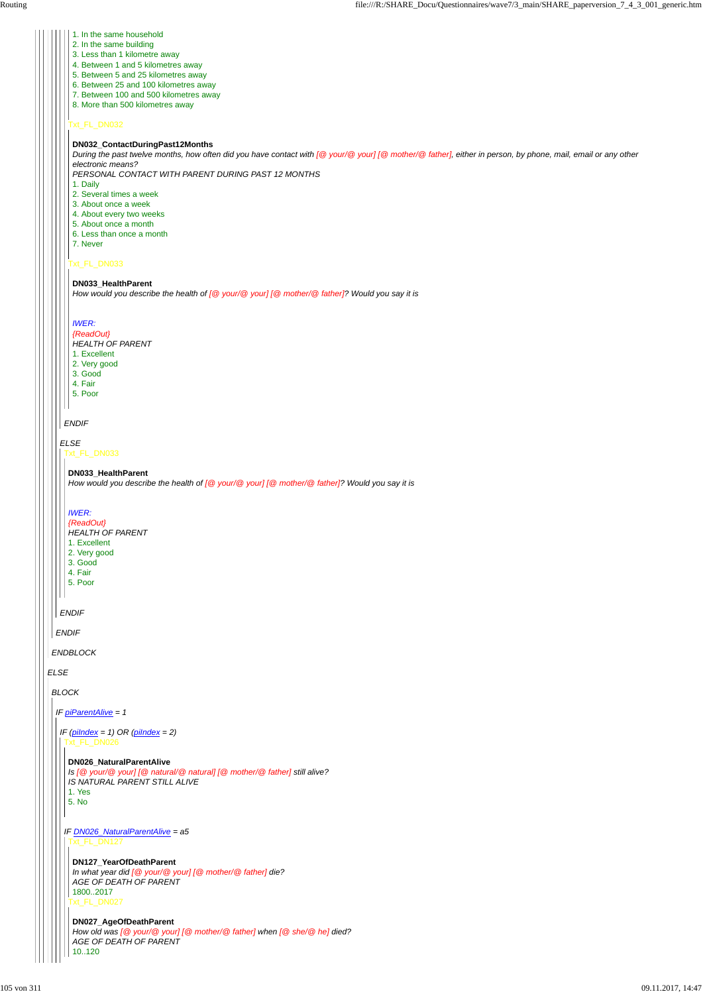# *ELSE*

*ENDBLOCK*

*ENDIF*

*ELSE*

# *ENDIF*

# *ENDIF*

### Txt\_FL\_DN032

Txt\_FL\_DN033

- 1. In the same household
- 2. In the same building
- 3. Less than 1 kilometre away
- 4. Between 1 and 5 kilometres away
- 5. Between 5 and 25 kilometres away
- 6. Between 25 and 100 kilometres away
- 7. Between 100 and 500 kilometres away
- 8. More than 500 kilometres away

### **DN032\_ContactDuringPast12Months**

*During the past twelve months, how often did you have contact with [@ your/@ your] [@ mother/@ father], either in person, by phone, mail, email or any other electronic means?*

*PERSONAL CONTACT WITH PARENT DURING PAST 12 MONTHS*

*IF (piIndex = 1) OR (piIndex = 2)* Txt\_FL\_DN026

- 1. Daily
- 2. Several times a week
- 3. About once a week
- 4. About every two weeks
- 5. About once a month
- 6. Less than once a month
- 7. Never

#### **DN033\_HealthParent**

*How would you describe the health of [@ your/@ your] [@ mother/@ father]? Would you say it is*

### *IWER:*

*{ReadOut}*

- *HEALTH OF PARENT*
- 1. Excellent
- 2. Very good
- 3. Good 4. Fair
- 5. Poor
- 

Txt\_FL\_DN033

#### **DN033\_HealthParent**

*How would you describe the health of [@ your/@ your] [@ mother/@ father]? Would you say it is*

#### *IWER:*

*{ReadOut}*

- *HEALTH OF PARENT*
- 1. Excellent
- 2. Very good 3. Good
- 4. Fair
- 5. Poor

*BLOCK*

*IF piParentAlive = 1*

# **DN026\_NaturalParentAlive**

*IF DN026\_NaturalParentAlive = a5* Txt\_FL\_DN127

```
Is [@ your/@ your] [@ natural/@ natural] [@ mother/@ father] still alive?
IS NATURAL PARENT STILL ALIVE
```
1. Yes 5. No

> Txt\_FL\_DN027 **DN127\_YearOfDeathParent** *In what year did [@ your/@ your] [@ mother/@ father] die? AGE OF DEATH OF PARENT* 1800..2017

### **DN027\_AgeOfDeathParent**

*How old was [@ your/@ your] [@ mother/@ father] when [@ she/@ he] died? AGE OF DEATH OF PARENT*

10..120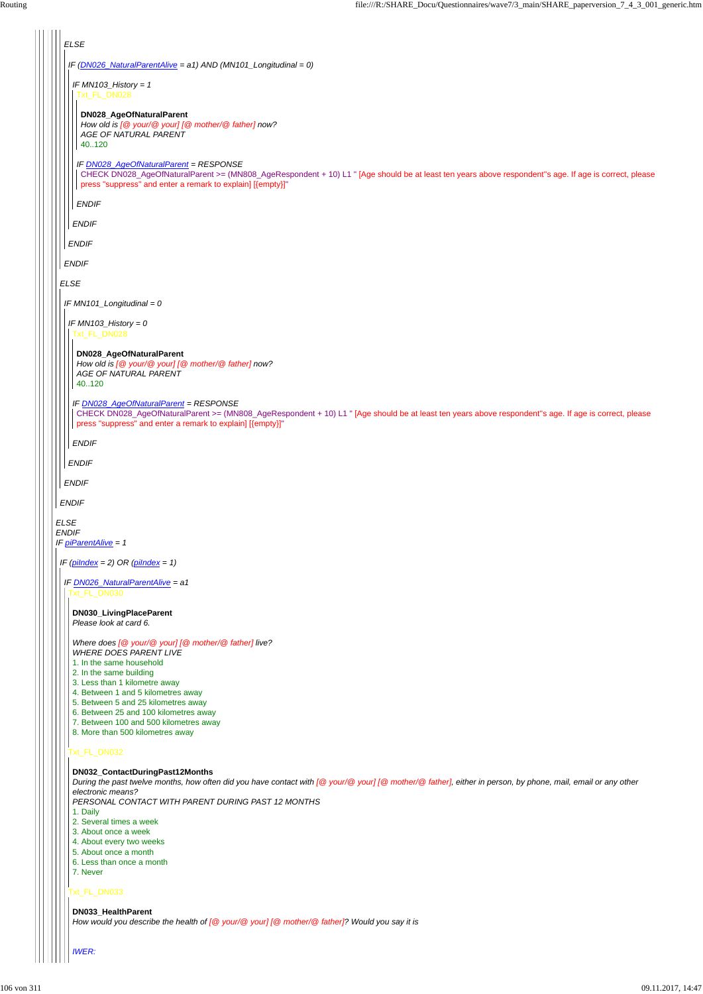*ELSE ENDIF IF piParentAlive = 1 ELSE ENDIF ELSE ENDIF IF (DN026\_NaturalParentAlive = a1) AND (MN101\_Longitudinal = 0) ENDIF IF MN103\_History = 1 ENDIF* Txt\_FL\_DN028 *IF DN028\_AgeOfNaturalParent = RESPONSE ENDIF* **DN028\_AgeOfNaturalParent** *How old is [@ your/@ your] [@ mother/@ father] now? AGE OF NATURAL PARENT* 40..120 CHECK DN028\_AgeOfNaturalParent >= (MN808\_AgeRespondent + 10) L1 " [Age should be at least ten years above respondent''s age. If age is correct, please press "suppress" and enter a remark to explain] [{empty}]" *IF MN101\_Longitudinal = 0 ENDIF IF MN103\_History = 0 ENDIF* Txt\_FL\_DN028 *IF DN028\_AgeOfNaturalParent = RESPONSE ENDIF* **DN028\_AgeOfNaturalParent** *How old is [@ your/@ your] [@ mother/@ father] now? AGE OF NATURAL PARENT* 40..120 CHECK DN028\_AgeOfNaturalParent >= (MN808\_AgeRespondent + 10) L1 " [Age should be at least ten years above respondent''s age. If age is correct, please press "suppress" and enter a remark to explain] [{empty}]" *IF (piIndex = 2) OR (piIndex = 1) IF DN026\_NaturalParentAlive = a1* Txt\_FL\_DN030 t\_FL\_DN032 **DN030\_LivingPlaceParent** *Please look at card 6. Where does [@ your/@ your] [@ mother/@ father] live? WHERE DOES PARENT LIVE* 1. In the same household 2. In the same building 3. Less than 1 kilometre away 4. Between 1 and 5 kilometres away 5. Between 5 and 25 kilometres away 6. Between 25 and 100 kilometres away 7. Between 100 and 500 kilometres away 8. More than 500 kilometres away

# Txt\_FL\_DN033

#### **DN032\_ContactDuringPast12Months**

*During the past twelve months, how often did you have contact with [@ your/@ your] [@ mother/@ father], either in person, by phone, mail, email or any other electronic means?*

*PERSONAL CONTACT WITH PARENT DURING PAST 12 MONTHS*

### 1. Daily

- 2. Several times a week
- 3. About once a week
- 4. About every two weeks
- 5. About once a month
- 6. Less than once a month
- 7. Never

#### **DN033\_HealthParent**

*How would you describe the health of [@ your/@ your] [@ mother/@ father]? Would you say it is*

#### *IWER:*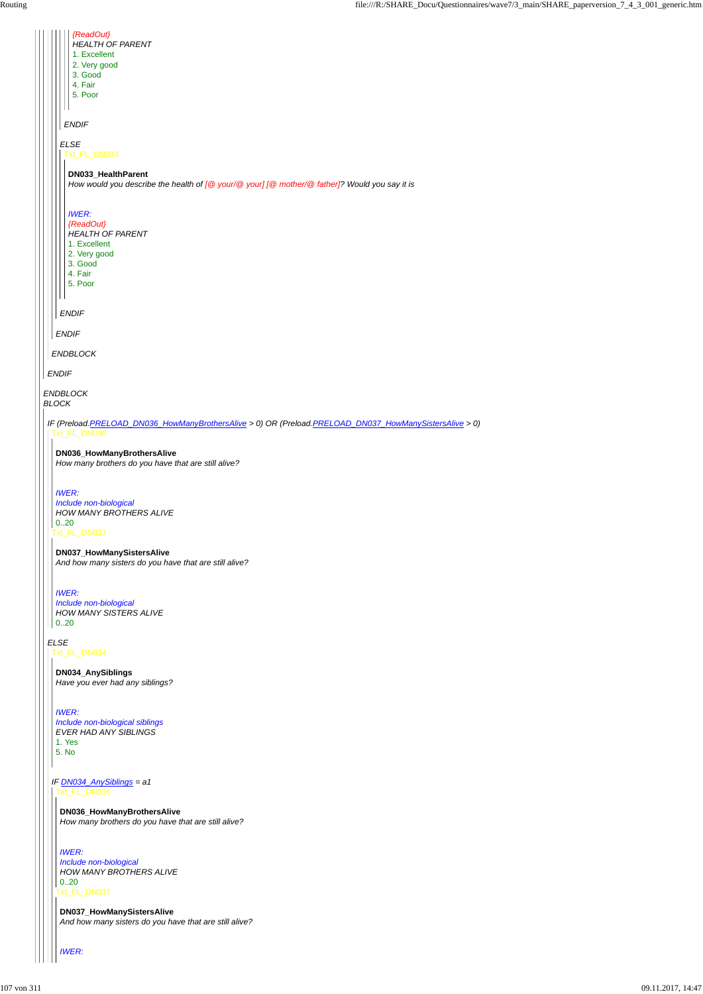|  | {ReadOut}                                                                                              |
|--|--------------------------------------------------------------------------------------------------------|
|  | <b>HEALTH OF PARENT</b>                                                                                |
|  | 1. Excellent                                                                                           |
|  | 2. Very good                                                                                           |
|  | 3. Good<br>4. Fair                                                                                     |
|  | 5. Poor                                                                                                |
|  |                                                                                                        |
|  | <b>ENDIF</b>                                                                                           |
|  |                                                                                                        |
|  | <b>ELSE</b><br>Txt_FL_DN033                                                                            |
|  | DN033_HealthParent                                                                                     |
|  | How would you describe the health of [@ your/@ your] [@ mother/@ father]? Would you say it is          |
|  |                                                                                                        |
|  | <b>IWER:</b><br>{ReadOut}                                                                              |
|  | <b>HEALTH OF PARENT</b>                                                                                |
|  | 1. Excellent                                                                                           |
|  | 2. Very good                                                                                           |
|  | 3. Good                                                                                                |
|  | 4. Fair<br>5. Poor                                                                                     |
|  |                                                                                                        |
|  |                                                                                                        |
|  | <b>ENDIF</b>                                                                                           |
|  | <b>ENDIF</b>                                                                                           |
|  | ENDBLOCK                                                                                               |
|  | <b>ENDIF</b>                                                                                           |
|  | <b>ENDBLOCK</b>                                                                                        |
|  | <b>BLOCK</b>                                                                                           |
|  | IF (Preload.PRELOAD_DN036_HowManyBrothersAlive > 0) OR (Preload.PRELOAD_DN037_HowManySistersAlive > 0) |
|  | Txt_FL_DN036                                                                                           |
|  | DN036_HowManyBrothersAlive                                                                             |
|  | How many brothers do you have that are still alive?                                                    |
|  |                                                                                                        |
|  | <b>IWER:</b>                                                                                           |
|  | Include non-biological                                                                                 |
|  | <b>HOW MANY BROTHERS ALIVE</b>                                                                         |
|  | 0.20                                                                                                   |
|  | Txt_FL_DN037                                                                                           |
|  | DN037_HowManySistersAlive                                                                              |
|  | And how many sisters do you have that are still alive?                                                 |
|  |                                                                                                        |
|  | <b>IWER:</b>                                                                                           |
|  | Include non-biological                                                                                 |
|  | <b>HOW MANY SISTERS ALIVE</b>                                                                          |
|  | 0.20                                                                                                   |
|  | <b>ELSE</b>                                                                                            |
|  | Txt_FL_DN034                                                                                           |
|  |                                                                                                        |
|  | DN034_AnySiblings                                                                                      |
|  | Have you ever had any siblings?                                                                        |
|  |                                                                                                        |
|  | <b>IWER:</b>                                                                                           |

*IF DN034\_AnySiblings = a1* Txt\_FL\_DN036

*Include non-biological siblings EVER HAD ANY SIBLINGS*

1. Yes 5. No

 $\mathbb{R}^2$ 

# **DN036\_HowManyBrothersAlive**

*How many brothers do you have that are still alive?*

Txt\_FL\_DN037 *IWER: Include non-biological HOW MANY BROTHERS ALIVE* 0..20

**DN037\_HowManySistersAlive** *And how many sisters do you have that are still alive?*

*IWER:*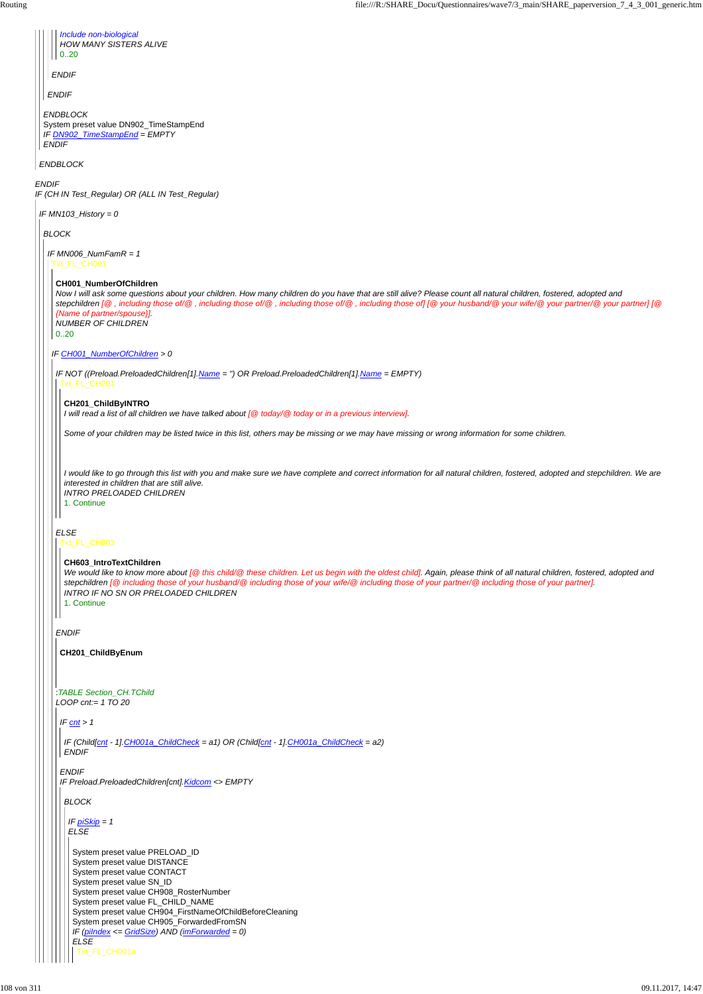|              | Include non-biological<br><b>HOW MANY SISTERS ALIVE</b><br>0.20                                            |                                                                                                                                                                                                                                                                                                                                                                          |  |  |  |  |  |
|--------------|------------------------------------------------------------------------------------------------------------|--------------------------------------------------------------------------------------------------------------------------------------------------------------------------------------------------------------------------------------------------------------------------------------------------------------------------------------------------------------------------|--|--|--|--|--|
| <b>ENDIF</b> |                                                                                                            |                                                                                                                                                                                                                                                                                                                                                                          |  |  |  |  |  |
|              | <b>ENDIF</b>                                                                                               |                                                                                                                                                                                                                                                                                                                                                                          |  |  |  |  |  |
|              | <b>ENDBLOCK</b><br>System preset value DN902_TimeStampEnd<br>IF DN902 TimeStampEnd = EMPTY<br><b>ENDIF</b> |                                                                                                                                                                                                                                                                                                                                                                          |  |  |  |  |  |
|              | <b>ENDBLOCK</b>                                                                                            |                                                                                                                                                                                                                                                                                                                                                                          |  |  |  |  |  |
|              | <b>ENDIF</b><br>IF (CH IN Test_Regular) OR (ALL IN Test_Regular)                                           |                                                                                                                                                                                                                                                                                                                                                                          |  |  |  |  |  |
|              | IF MN103_History = 0                                                                                       |                                                                                                                                                                                                                                                                                                                                                                          |  |  |  |  |  |
|              | <b>BLOCK</b>                                                                                               |                                                                                                                                                                                                                                                                                                                                                                          |  |  |  |  |  |
|              | IF MN006_NumFam $R = 1$<br>Txt_FL_CH001                                                                    |                                                                                                                                                                                                                                                                                                                                                                          |  |  |  |  |  |
|              | CH001_NumberOfChildren<br>{Name of partner/spouse}]<br><b>NUMBER OF CHILDREN</b><br>0.20                   | Now I will ask some questions about your children. How many children do you have that are still alive? Please count all natural children, fostered, adopted and<br>stepchildren [@, including those of/@, including those of/@, including those of/@, including those of] [@ your husband/@ your wife/@ your partner/@ your partner] [@                                  |  |  |  |  |  |
|              | IF CH001_NumberOfChildren > 0                                                                              |                                                                                                                                                                                                                                                                                                                                                                          |  |  |  |  |  |
|              | Txt_FL_CH201                                                                                               | IF NOT ((Preload.PreloadedChildren[1].Name = ") OR Preload.PreloadedChildren[1].Name = EMPTY)                                                                                                                                                                                                                                                                            |  |  |  |  |  |
|              | CH201_ChildByINTRO                                                                                         | I will read a list of all children we have talked about [@ today/@ today or in a previous interview].                                                                                                                                                                                                                                                                    |  |  |  |  |  |
|              |                                                                                                            | Some of your children may be listed twice in this list, others may be missing or we may have missing or wrong information for some children.                                                                                                                                                                                                                             |  |  |  |  |  |
|              | interested in children that are still alive.<br><b>INTRO PRELOADED CHILDREN</b><br>1. Continue             | I would like to go through this list with you and make sure we have complete and correct information for all natural children, fostered, adopted and stepchildren. We are                                                                                                                                                                                                |  |  |  |  |  |
|              | <b>ELSE</b><br>Txt_FL_CH603                                                                                |                                                                                                                                                                                                                                                                                                                                                                          |  |  |  |  |  |
|              | CH603_IntroTextChildren<br>1. Continue                                                                     | We would like to know more about [@ this child/@ these children. Let us begin with the oldest child]. Again, please think of all natural children, fostered, adopted and<br>stepchildren [@ including those of your husband/@ including those of your wife/@ including those of your partner/@ including those of your partner].<br>INTRO IF NO SN OR PRELOADED CHILDREN |  |  |  |  |  |
|              | <b>ENDIF</b>                                                                                               |                                                                                                                                                                                                                                                                                                                                                                          |  |  |  |  |  |
|              | CH201_ChildByEnum                                                                                          |                                                                                                                                                                                                                                                                                                                                                                          |  |  |  |  |  |
|              | :TABLE Section_CH.TChild<br>LOOP cnt:= $1 TQ$ 20                                                           |                                                                                                                                                                                                                                                                                                                                                                          |  |  |  |  |  |
|              | $IF$ cnt > 1                                                                                               |                                                                                                                                                                                                                                                                                                                                                                          |  |  |  |  |  |
|              |                                                                                                            | IF (Child[cnt - 1] CH001a_ChildCheck = a1) OR (Child[cnt - 1] CH001a_ChildCheck = a2)                                                                                                                                                                                                                                                                                    |  |  |  |  |  |

```
ENDIF
```
*ENDIF IF Preload.PreloadedChildren[cnt].Kidcom <> EMPTY BLOCK IF piSkip = 1 ELSE* System preset value PRELOAD\_ID System preset value DISTANCE System preset value CONTACT System preset value SN\_ID System preset value CH908\_RosterNumber System preset value FL\_CHILD\_NAME System preset value CH904\_FirstNameOfChildBeforeCleaning System preset value CH905\_ForwardedFromSN *IF (piIndex <= GridSize) AND (imForwarded = 0) ELSE* Txt\_FL\_CH001a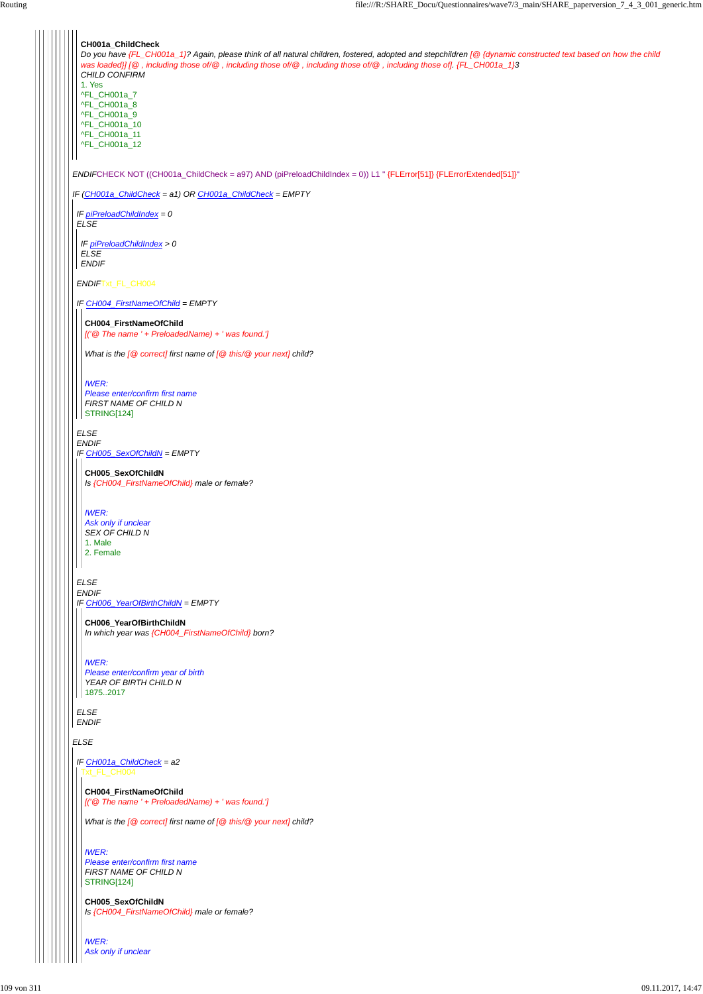*ELSE*

*ENDIF*CHECK NOT ((CH001a\_ChildCheck = a97) AND (piPreloadChildIndex = 0)) L1 " {FLError[51]} {FLErrorExtended[51]}" *IF (CH001a\_ChildCheck = a1) OR CH001a\_ChildCheck = EMPTY* **CH001a\_ChildCheck** *Do you have {FL\_CH001a\_1}? Again, please think of all natural children, fostered, adopted and stepchildren [@ {dynamic constructed text based on how the child was loaded}] [@ , including those of/@ , including those of/@ , including those of/@ , including those of]. {FL\_CH001a\_1}3 CHILD CONFIRM* 1. Yes ^FL\_CH001a\_7 ^FL\_CH001a\_8 ^FL\_CH001a\_9 ^FL\_CH001a\_10 ^FL\_CH001a\_11 ^FL\_CH001a\_12 *IF piPreloadChildIndex = 0 ELSE ENDIF*Txt\_FL\_CH004 *IF CH004\_FirstNameOfChild = EMPTY ELSE ENDIF IF CH005\_SexOfChildN = EMPTY ELSE ENDIF IF CH006\_YearOfBirthChildN = EMPTY IF piPreloadChildIndex > 0 ELSE ENDIF* **CH004\_FirstNameOfChild** *[('@ The name ' + PreloadedName) + ' was found.'] What is the [@ correct] first name of [@ this/@ your next] child? IWER: Please enter/confirm first name FIRST NAME OF CHILD N* STRING[124] **CH005\_SexOfChildN** *Is {CH004\_FirstNameOfChild} male or female? IWER: Ask only if unclear SEX OF CHILD N* 1. Male 2. Female **CH006\_YearOfBirthChildN** *In which year was {CH004\_FirstNameOfChild} born? IWER: Please enter/confirm year of birth YEAR OF BIRTH CHILD N* 1875..2017

*ELSE ENDIF*

#### *IF CH001a\_ChildCheck = a2* Txt\_FL\_CH004

#### **CH004\_FirstNameOfChild**

*[('@ The name ' + PreloadedName) + ' was found.']*

*What is the [@ correct] first name of [@ this/@ your next] child?*

#### *IWER:*

*Please enter/confirm first name FIRST NAME OF CHILD N* STRING[124]

**CH005\_SexOfChildN** *Is {CH004\_FirstNameOfChild} male or female?*

*IWER: Ask only if unclear*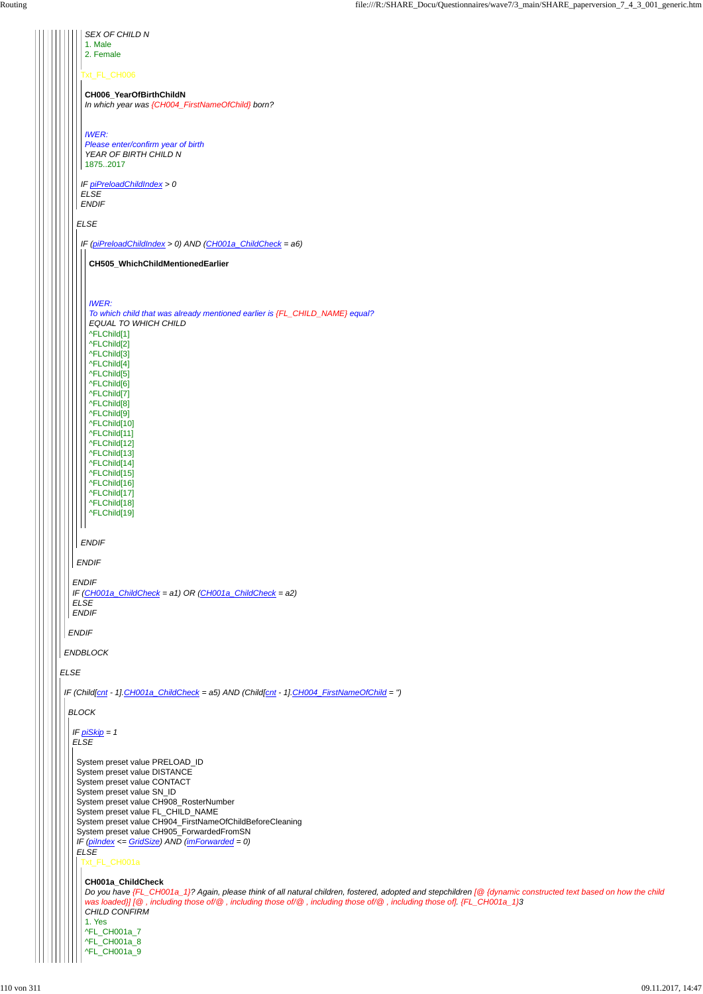| 2. Female<br>Txt_FL_CH006<br>CH006_YearOfBirthChildN                                                                                                                                                                                                                                                                                                                                                                              |
|-----------------------------------------------------------------------------------------------------------------------------------------------------------------------------------------------------------------------------------------------------------------------------------------------------------------------------------------------------------------------------------------------------------------------------------|
|                                                                                                                                                                                                                                                                                                                                                                                                                                   |
| In which year was {CH004_FirstNameOfChild} born?                                                                                                                                                                                                                                                                                                                                                                                  |
| <b>IWER:</b><br>Please enter/confirm year of birth<br>YEAR OF BIRTH CHILD N<br>18752017                                                                                                                                                                                                                                                                                                                                           |
| IF piPreloadChildIndex > 0<br><b>ELSE</b><br><b>ENDIF</b>                                                                                                                                                                                                                                                                                                                                                                         |
| <b>ELSE</b>                                                                                                                                                                                                                                                                                                                                                                                                                       |
| IF (piPreloadChildIndex > 0) AND (CH001a_ChildCheck = a6)                                                                                                                                                                                                                                                                                                                                                                         |
| CH505_WhichChildMentionedEarlier                                                                                                                                                                                                                                                                                                                                                                                                  |
| <b>IWER:</b><br>To which child that was already mentioned earlier is {FL_CHILD_NAME} equal?<br><b>EQUAL TO WHICH CHILD</b><br>^FLChild[1]<br>^FLChild[2]<br>^FLChild[3]<br>^FLChild[4]<br>^FLChild[5]<br>^FLChild[6]<br>^FLChild[7]<br>^FLChild[8]<br>^FLChild[9]<br>^FLChild[10]<br>^FLChild[11]<br>^FLChild[12]<br>^FLChild[13]<br>^FLChild[14]<br>^FLChild[15]<br>^FLChild[16]<br>^FLChild[17]<br>^FLChild[18]<br>^FLChild[19] |
| <b>ENDIF</b>                                                                                                                                                                                                                                                                                                                                                                                                                      |
| <b>ENDIF</b>                                                                                                                                                                                                                                                                                                                                                                                                                      |
| <b>ENDIF</b><br>IF $(CH001a_CchildCheck = a1)$ OR $(CH001a_CchildCheck = a2)$<br><b>ELSE</b><br><b>ENDIF</b>                                                                                                                                                                                                                                                                                                                      |
| <b>ENDIF</b>                                                                                                                                                                                                                                                                                                                                                                                                                      |
| <b>ENDBLOCK</b>                                                                                                                                                                                                                                                                                                                                                                                                                   |
| <b>ELSE</b>                                                                                                                                                                                                                                                                                                                                                                                                                       |
| IF (Child[cnt - 1] CH001a_ChildCheck = a5) AND (Child[cnt - 1] CH004_FirstNameOfChild = ")                                                                                                                                                                                                                                                                                                                                        |
| <b>BLOCK</b>                                                                                                                                                                                                                                                                                                                                                                                                                      |
| IF $p_i$ Ski $p = 1$<br><b>ELSE</b>                                                                                                                                                                                                                                                                                                                                                                                               |

```
Do you have {FL_CH001a_1}? Again, please think of all natural children, fostered, adopted and stepchildren [@ {dynamic constructed text based on how the child
was loaded}] [@ , including those of/@ , including those of/@ , including those of/@ , including those of]. {FL_CH001a_1}3
CHILD CONFIRM
1. Yes
^FL_CH001a_7
^FL_CH001a_8
^FL_CH001a_9
```

```
System preset value PRELOAD_ID
System preset value DISTANCE
System preset value CONTACT
System preset value SN_ID
System preset value CH908_RosterNumber
System preset value FL_CHILD_NAME
System preset value CH904_FirstNameOfChildBeforeCleaning
System preset value CH905_ForwardedFromSN
IF (piIndex <= GridSize) AND (imForwarded = 0)
ELSE
Txt_FL_CH001a
```

```
CH001a_ChildCheck
```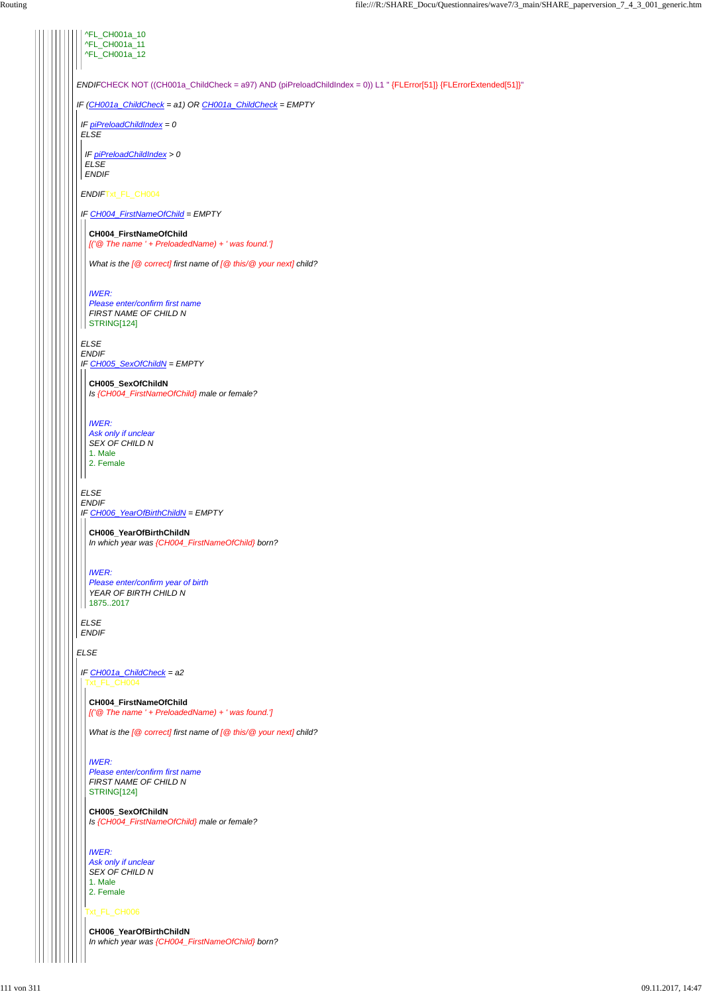| ^FL_CH001a_10<br>^FL_CH001a_11<br>^FL_CH001a_12                                                                    |
|--------------------------------------------------------------------------------------------------------------------|
|                                                                                                                    |
| ENDIFCHECK NOT ((CH001a_ChildCheck = a97) AND (piPreloadChildIndex = 0)) L1 " {FLError[51]} {FLErrorExtended[51]}" |
| IF (CH001a_ChildCheck = a1) OR CH001a_ChildCheck = EMPTY                                                           |
| IF piPreloadChildIndex = 0<br><b>ELSE</b>                                                                          |
| IF piPreloadChildIndex > 0<br><b>ELSE</b><br><b>ENDIF</b>                                                          |
| ENDIFTxt_FL_CH004                                                                                                  |
| IF CH004_FirstNameOfChild = EMPTY                                                                                  |
| CH004_FirstNameOfChild<br>[('@ The name ' + PreloadedName) + ' was found.']                                        |
| What is the $[@$ correct] first name of $[@$ this/ $@$ your next] child?                                           |
| <b>IWER:</b><br>Please enter/confirm first name<br>FIRST NAME OF CHILD N<br>STRING[124]                            |
| <b>ELSE</b>                                                                                                        |
| <b>ENDIF</b><br>IF CH005_SexOfChildN = EMPTY                                                                       |
| CH005_SexOfChildN<br>Is {CH004_FirstNameOfChild} male or female?                                                   |
| <b>IWER:</b><br>Ask only if unclear<br>SEX OF CHILD N<br>1. Male<br>2. Female                                      |
|                                                                                                                    |
| <b>ELSE</b><br><b>ENDIF</b><br>IF CH006_YearOfBirthChildN = EMPTY                                                  |
| CH006_YearOfBirthChildN<br>In which year was {CH004_FirstNameOfChild} born?                                        |
| <b>IWER:</b><br>Please enter/confirm year of birth<br>YEAR OF BIRTH CHILD N<br>18752017                            |
| <b>ELSE</b><br><b>ENDIF</b>                                                                                        |
| <b>ELSE</b>                                                                                                        |
| IF CH001a_ChildCheck = a2<br>Txt_FL_CH004                                                                          |
| CH004_FirstNameOfChild<br>$[(\text{°@ The name ' + PreloadedName) + ' was found.]$                                 |

Txt\_FL\_CH006

*What is the [@ correct] first name of [@ this/@ your next] child?*

*IWER:*

*Please enter/confirm first name FIRST NAME OF CHILD N* STRING[124]

**CH005\_SexOfChildN** *Is {CH004\_FirstNameOfChild} male or female?*

*IWER: Ask only if unclear SEX OF CHILD N* 1. Male 2. Female

**CH006\_YearOfBirthChildN** *In which year was {CH004\_FirstNameOfChild} born?*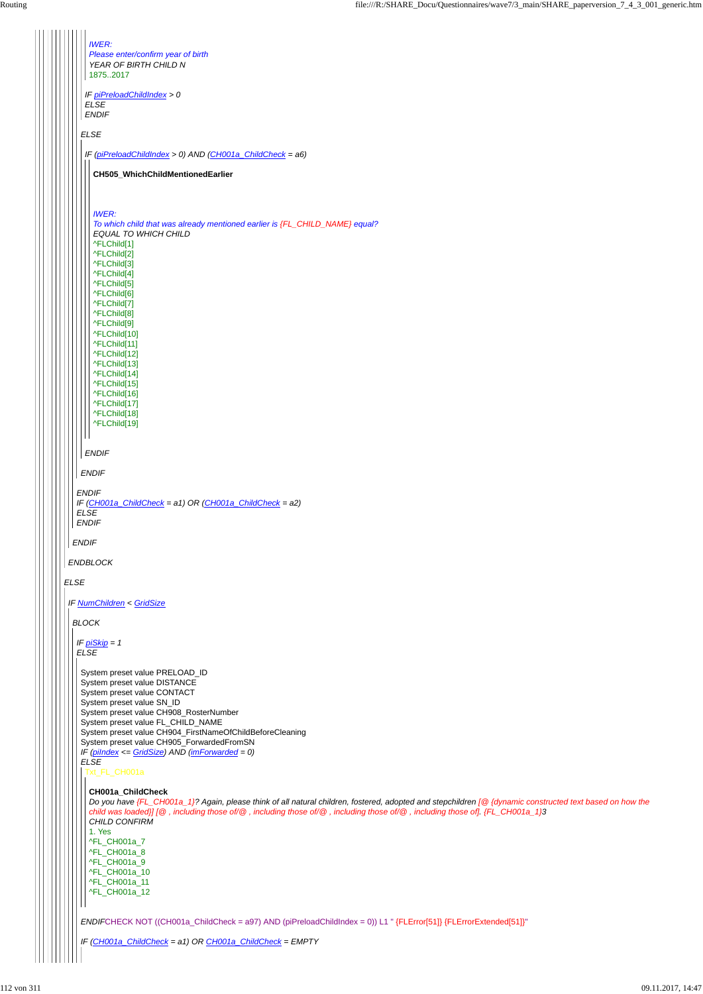*ELSE ENDBLOCK ENDIF ENDIF IF (CH001a\_ChildCheck = a1) OR (CH001a\_ChildCheck = a2) ELSE ENDIF ELSE ENDIF IF piPreloadChildIndex > 0 ELSE ENDIF IWER: Please enter/confirm year of birth YEAR OF BIRTH CHILD N* 1875..2017 *IF (piPreloadChildIndex > 0) AND (CH001a\_ChildCheck = a6) ENDIF* **CH505\_WhichChildMentionedEarlier** *IWER: To which child that was already mentioned earlier is {FL\_CHILD\_NAME} equal? EQUAL TO WHICH CHILD* ^FLChild[1] ^FLChild[2] ^FLChild[3] ^FLChild[4] ^FLChild[5] ^FLChild[6] ^FLChild[7] ^FLChild[8] ^FLChild[9] ^FLChild[10] ^FLChild[11] ^FLChild[12] ^FLChild[13] ^FLChild[14] ^FLChild[15] ^FLChild[16] ^FLChild[17] ^FLChild[18] ^FLChild[19] *IF NumChildren < GridSize BLOCK IF piSkip = 1 ELSE* System preset value PRELOAD\_ID System preset value DISTANCE System preset value CONTACT System preset value SN\_ID System preset value CH908\_RosterNumber System preset value FL\_CHILD\_NAME System preset value CH904\_FirstNameOfChildBeforeCleaning System preset value CH905\_ForwardedFromSN

```
IF (piIndex <= GridSize) AND (imForwarded = 0)
ELSE
ENDIFCHECK NOT ((CH001a_ChildCheck = a97) AND (piPreloadChildIndex = 0)) L1 " {FLError[51]} {FLErrorExtended[51]}"
IF (CH001a_ChildCheck = a1) OR CH001a_ChildCheck = EMPTY
 Txt_FL_CH001a
  CH001a_ChildCheck
  Do you have {FL_CH001a_1}? Again, please think of all natural children, fostered, adopted and stepchildren [@ {dynamic constructed text based on how the
  child was loaded}] [@ , including those of/@ , including those of/@ , including those of/@ , including those of]. {FL_CH001a_1}3
  CHILD CONFIRM
  1. Yes
  ^FL_CH001a_7
  ^FL_CH001a_8
  ^FL_CH001a_9
  ^FL_CH001a_10
  ^FL_CH001a_11
  ^FL_CH001a_12
```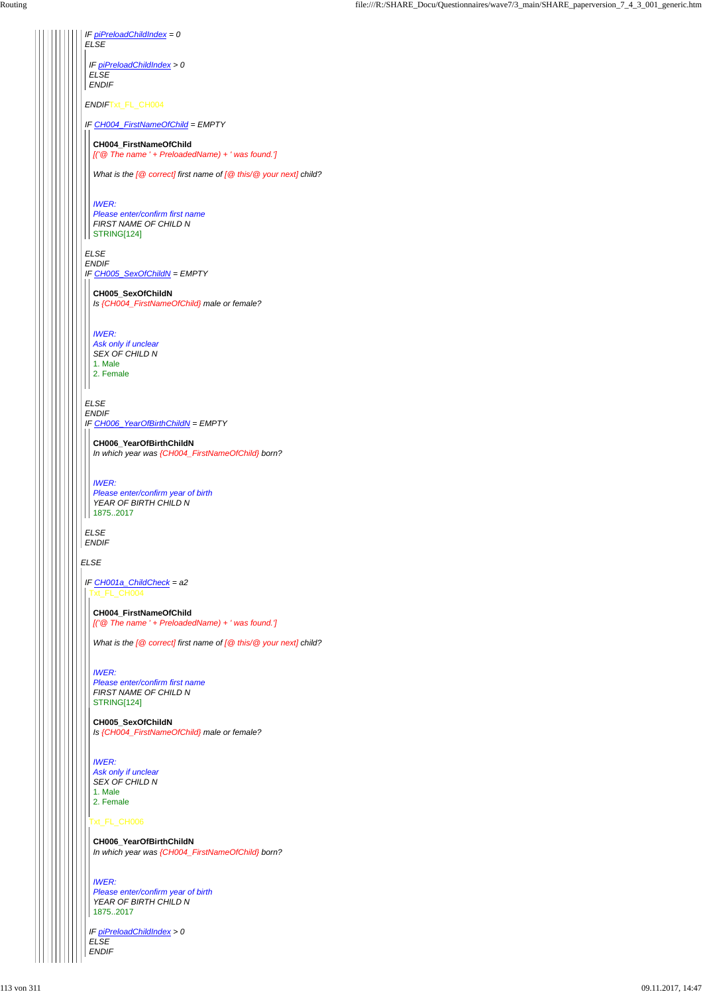*ELSE IF piPreloadChildIndex = 0 ELSE ENDIF*Txt\_FL\_CH004 *IF CH004\_FirstNameOfChild = EMPTY ELSE ENDIF IF CH005\_SexOfChildN = EMPTY ELSE ENDIF IF CH006\_YearOfBirthChildN = EMPTY ELSE ENDIF IF piPreloadChildIndex > 0 ELSE ENDIF* **CH004\_FirstNameOfChild** *[('@ The name ' + PreloadedName) + ' was found.'] What is the [@ correct] first name of [@ this/@ your next] child? IWER: Please enter/confirm first name FIRST NAME OF CHILD N* STRING[124] **CH005\_SexOfChildN** *Is {CH004\_FirstNameOfChild} male or female? IWER: Ask only if unclear SEX OF CHILD N* 1. Male 2. Female **CH006\_YearOfBirthChildN** *In which year was {CH004\_FirstNameOfChild} born? IWER: Please enter/confirm year of birth YEAR OF BIRTH CHILD N* 1875..2017 *IF CH001a\_ChildCheck = a2* Txt\_FL\_CH004 **CH004\_FirstNameOfChild** *[('@ The name ' + PreloadedName) + ' was found.'] What is the [@ correct] first name of [@ this/@ your next] child? IWER: Please enter/confirm first name*

Txt\_FL\_CH006

*IF piPreloadChildIndex > 0 ELSE ENDIF*

*FIRST NAME OF CHILD N*

STRING[124]

**CH005\_SexOfChildN** *Is {CH004\_FirstNameOfChild} male or female?*

#### *IWER:*

*Ask only if unclear SEX OF CHILD N*

1. Male

2. Female

**CH006\_YearOfBirthChildN** *In which year was {CH004\_FirstNameOfChild} born?*

*IWER: Please enter/confirm year of birth YEAR OF BIRTH CHILD N* 1875..2017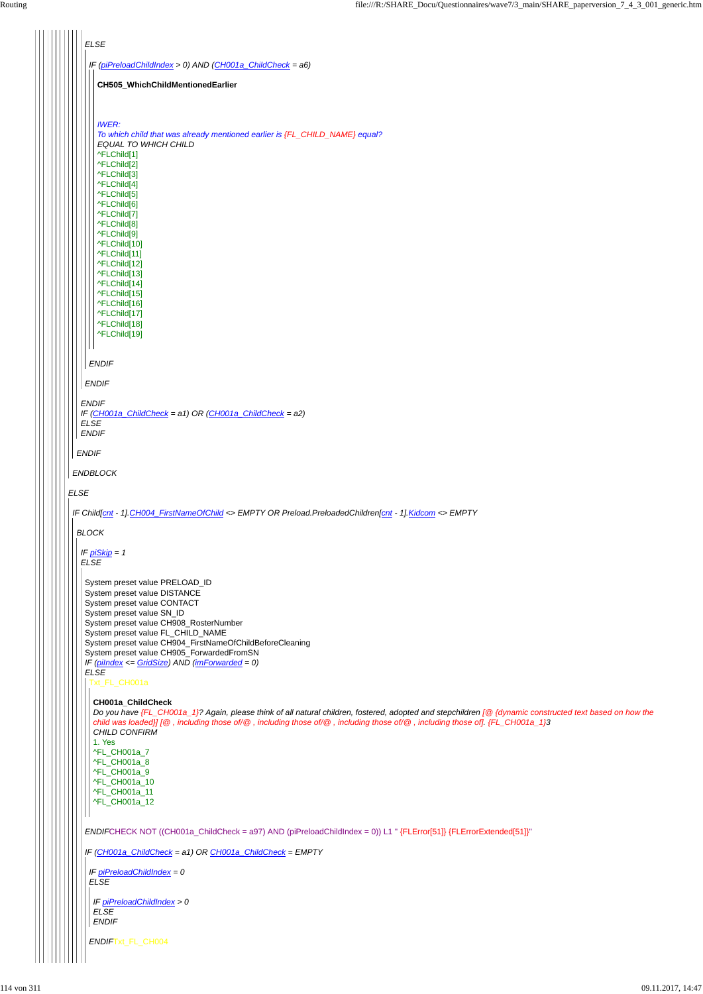|             | <b>ELSE</b>                                                                                                                                                                                                                                                                                                                                                                                                                                                                                                                                                                                                                                                                                                                                                |
|-------------|------------------------------------------------------------------------------------------------------------------------------------------------------------------------------------------------------------------------------------------------------------------------------------------------------------------------------------------------------------------------------------------------------------------------------------------------------------------------------------------------------------------------------------------------------------------------------------------------------------------------------------------------------------------------------------------------------------------------------------------------------------|
|             | IF (piPreloadChildIndex > 0) AND (CH001a_ChildCheck = a6)                                                                                                                                                                                                                                                                                                                                                                                                                                                                                                                                                                                                                                                                                                  |
|             | CH505_WhichChildMentionedEarlier                                                                                                                                                                                                                                                                                                                                                                                                                                                                                                                                                                                                                                                                                                                           |
|             |                                                                                                                                                                                                                                                                                                                                                                                                                                                                                                                                                                                                                                                                                                                                                            |
|             | <b>IWER:</b><br>To which child that was already mentioned earlier is {FL_CHILD_NAME} equal?<br><b>EQUAL TO WHICH CHILD</b><br>^FLChild[1]<br>^FLChild[2]<br>^FLChild[3]<br>^FLChild[4]<br>^FLChild[5]<br>^FLChild[6]<br>^FLChild[7]<br>^FLChild[8]<br>^FLChild[9]<br>^FLChild[10]<br>^FLChild[11]<br>^FLChild[12]<br>^FLChild[13]<br>^FLChild[14]<br>^FLChild[15]<br>^FLChild[16]<br>^FLChild[17]<br>^FLChild[18]<br>^FLChild[19]                                                                                                                                                                                                                                                                                                                          |
|             | <b>ENDIF</b>                                                                                                                                                                                                                                                                                                                                                                                                                                                                                                                                                                                                                                                                                                                                               |
|             | <b>ENDIF</b>                                                                                                                                                                                                                                                                                                                                                                                                                                                                                                                                                                                                                                                                                                                                               |
|             |                                                                                                                                                                                                                                                                                                                                                                                                                                                                                                                                                                                                                                                                                                                                                            |
|             | <b>ENDIF</b><br>IF (CH001a_ChildCheck = a1) OR (CH001a_ChildCheck = a2)<br><b>ELSE</b><br><b>ENDIF</b>                                                                                                                                                                                                                                                                                                                                                                                                                                                                                                                                                                                                                                                     |
|             | <b>ENDIF</b>                                                                                                                                                                                                                                                                                                                                                                                                                                                                                                                                                                                                                                                                                                                                               |
|             | <b>ENDBLOCK</b>                                                                                                                                                                                                                                                                                                                                                                                                                                                                                                                                                                                                                                                                                                                                            |
| <b>ELSE</b> |                                                                                                                                                                                                                                                                                                                                                                                                                                                                                                                                                                                                                                                                                                                                                            |
|             | IF Child[cnt - 1]. CH004_FirstNameOfChild <> EMPTY OR Preload.PreloadedChildren[cnt - 1]. Kidcom <> EMPTY                                                                                                                                                                                                                                                                                                                                                                                                                                                                                                                                                                                                                                                  |
|             | <b>BLOCK</b>                                                                                                                                                                                                                                                                                                                                                                                                                                                                                                                                                                                                                                                                                                                                               |
|             | IF $p_i$ Skip = 1<br><b>ELSE</b>                                                                                                                                                                                                                                                                                                                                                                                                                                                                                                                                                                                                                                                                                                                           |
|             | System preset value PRELOAD_ID<br>System preset value DISTANCE<br>System preset value CONTACT<br>System preset value SN_ID<br>System preset value CH908_RosterNumber<br>System preset value FL_CHILD_NAME<br>System preset value CH904_FirstNameOfChildBeforeCleaning<br>System preset value CH905_ForwardedFromSN<br>IF ( $pilndex \leq GridSize$ ) AND ( $imForwarded = 0$ )<br><b>ELSE</b><br>Txt_FL_CH001a<br>CH001a_ChildCheck<br>Do you have {FL_CH001a_1}? Again, please think of all natural children, fostered, adopted and stepchildren [@ {dynamic constructed text based on how the<br>child was loaded}] [@, including those of/@, including those of/@, including those of/@, including those of]. {FL_CH001a_1}3<br>CHILD CONFIRM<br>1. Yes |

```
ENDIFCHECK NOT ((CH001a_ChildCheck = a97) AND (piPreloadChildIndex = 0)) L1 " {FLError[51]} {FLErrorExtended[51]}"
IF (CH001a_ChildCheck = a1) OR CH001a_ChildCheck = EMPTY
  ^FL_CH001a_7
 ^FL_CH001a_8
  ^FL_CH001a_9
 ^FL_CH001a_10
 ^FL_CH001a_11
 ^FL_CH001a_12
 IF piPreloadChildIndex = 0
ELSE
 ENDIFTxt_FL_CH004
 IF piPreloadChildIndex > 0
 ELSE
 ENDIF
```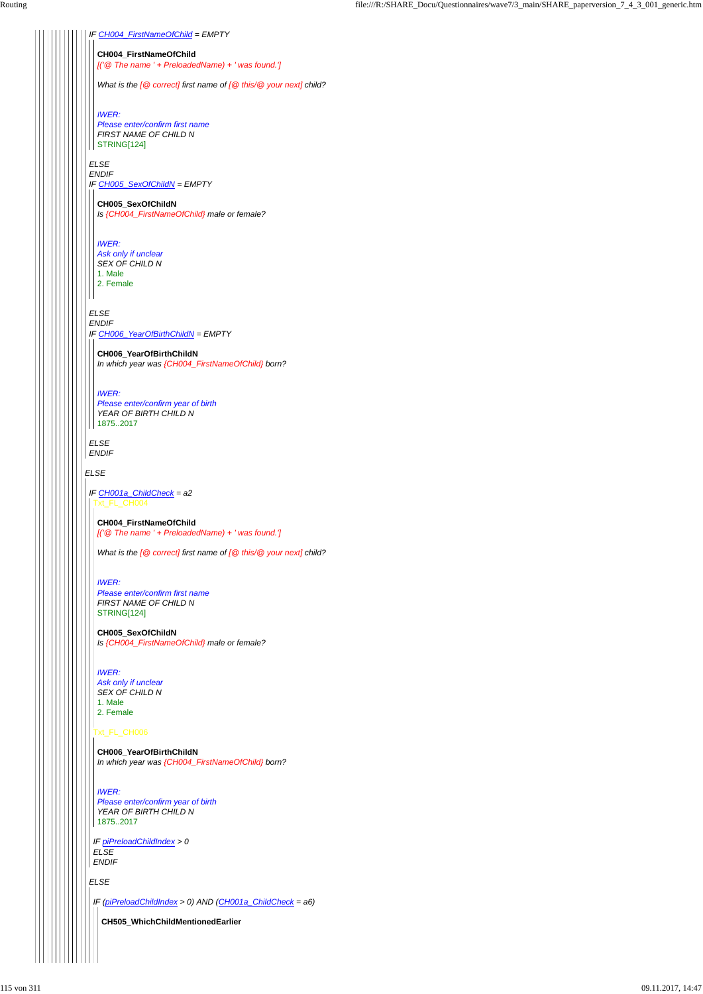*ELSE*

### *IF CH004\_FirstNameOfChild = EMPTY*

### *ELSE*

*ENDIF IF CH005\_SexOfChildN = EMPTY*

# *ELSE*

*ENDIF IF CH006\_YearOfBirthChildN = EMPTY*

#### *ELSE ENDIF*

#### **CH004\_FirstNameOfChild**

*[('@ The name ' + PreloadedName) + ' was found.']*

*What is the [@ correct] first name of [@ this/@ your next] child?*

# *IWER: Please enter/confirm first name*

*FIRST NAME OF CHILD N* STRING[124]

#### **CH005\_SexOfChildN**

*Is {CH004\_FirstNameOfChild} male or female?*

#### *IWER:*

*Ask only if unclear SEX OF CHILD N* 1. Male 2. Female

#### **CH006\_YearOfBirthChildN**

*In which year was {CH004\_FirstNameOfChild} born?*

|  | CH006_YearOfBirthChildN<br>In which year was {CH004_FirstNameOfChild} born?             |  |
|--|-----------------------------------------------------------------------------------------|--|
|  | <b>IWER:</b><br>Please enter/confirm year of birth<br>YEAR OF BIRTH CHILD N<br>18752017 |  |
|  | IF piPreloadChildIndex > 0<br><b>ELSE</b><br><b>ENDIF</b>                               |  |
|  | <b>ELSE</b>                                                                             |  |
|  | IF ( $piPreloadChildIndex > 0$ ) AND ( $CH001a$ _ChildCheck = a6)                       |  |
|  | CH505_WhichChildMentionedEarlier                                                        |  |
|  |                                                                                         |  |

#### *IWER:*

*Please enter/confirm year of birth YEAR OF BIRTH CHILD N* 1875..2017

#### *IF CH001a\_ChildCheck = a2* Txt\_FL\_CH004

#### **CH004\_FirstNameOfChild** *[('@ The name ' + PreloadedName) + ' was found.']*

*What is the [@ correct] first name of [@ this/@ your next] child?*

#### *IWER:*

*Please enter/confirm first name FIRST NAME OF CHILD N* STRING[124]

# **CH005\_SexOfChildN**

*Is {CH004\_FirstNameOfChild} male or female?*

### *IWER:*

*Ask only if unclear SEX OF CHILD N* 1. Male 2. Female

# $\left|\left|\left|\left|\left|\right|\right|\right|$  Txt\_FL\_CH006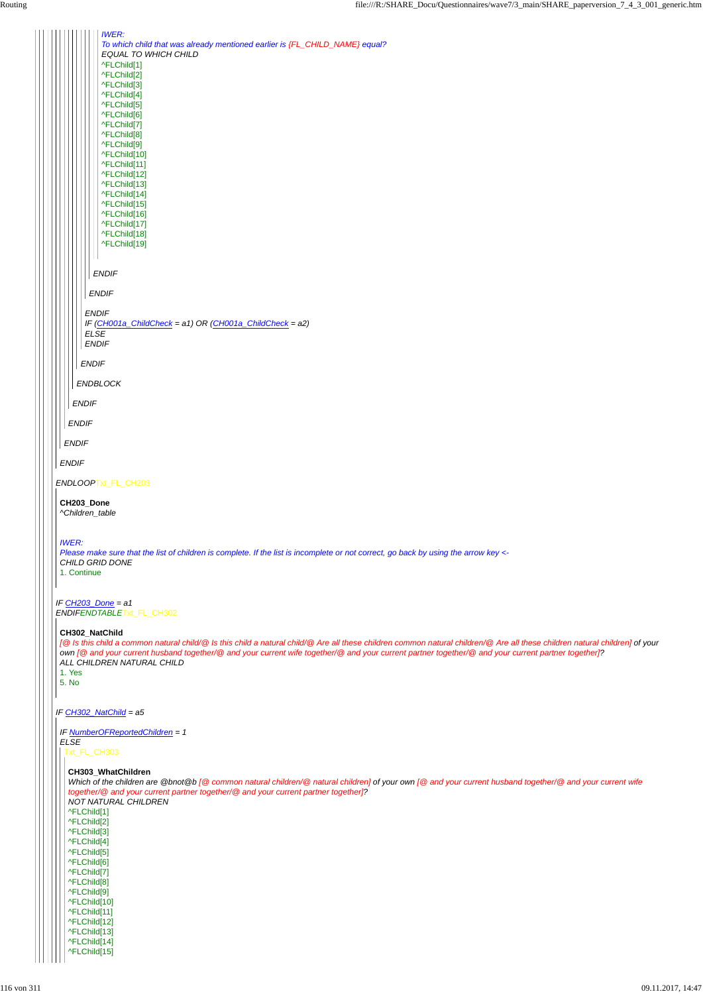*IWER:*

| To which child that was already mentioned earlier is {FL_CHILD_NAME} equal?<br><b>EQUAL TO WHICH CHILD</b><br>^FLChild[1]<br>^FLChild[2]<br>^FLChild[3]<br>^FLChild[4]<br>^FLChild[5]<br>^FLChild[6]<br>^FLChild[7]<br>^FLChild[8]<br>^FLChild <sup>[9]</sup><br>^FLChild[10]<br>^FLChild[11]<br>^FLChild[12]<br>^FLChild[13]<br>^FLChild[14]<br>^FLChild[15]<br>^FLChild[16]<br>^FLChild[17]<br>^FLChild[18]<br>^FLChild[19]<br><b>ENDIF</b><br><b>ENDIF</b><br><b>ENDIF</b><br>IF (CH001a_ChildCheck = a1) OR (CH001a_ChildCheck = a2)<br><b>ELSE</b><br><b>ENDIF</b><br><b>ENDIF</b> |  |
|-----------------------------------------------------------------------------------------------------------------------------------------------------------------------------------------------------------------------------------------------------------------------------------------------------------------------------------------------------------------------------------------------------------------------------------------------------------------------------------------------------------------------------------------------------------------------------------------|--|
| <b>ENDBLOCK</b><br><b>ENDIF</b>                                                                                                                                                                                                                                                                                                                                                                                                                                                                                                                                                         |  |
| <b>ENDIF</b>                                                                                                                                                                                                                                                                                                                                                                                                                                                                                                                                                                            |  |
| <b>ENDIF</b>                                                                                                                                                                                                                                                                                                                                                                                                                                                                                                                                                                            |  |
| <b>ENDIF</b>                                                                                                                                                                                                                                                                                                                                                                                                                                                                                                                                                                            |  |
| ENDLOOPTxt_FL_CH203                                                                                                                                                                                                                                                                                                                                                                                                                                                                                                                                                                     |  |
|                                                                                                                                                                                                                                                                                                                                                                                                                                                                                                                                                                                         |  |
| CH203_Done<br>^Children_table                                                                                                                                                                                                                                                                                                                                                                                                                                                                                                                                                           |  |
| <b>IWER:</b><br>Please make sure that the list of children is complete. If the list is incomplete or not correct, go back by using the arrow key <-<br>CHILD GRID DONE<br>1. Continue                                                                                                                                                                                                                                                                                                                                                                                                   |  |
| IF CH203_Done = a1<br>ENDIFENDTABLETxt_FL_CH302                                                                                                                                                                                                                                                                                                                                                                                                                                                                                                                                         |  |
| CH302_NatChild<br>[@ Is this child a common natural child/@ Is this child a natural child/@ Are all these children common natural children/@ Are all these children natural children] of your<br>own [@ and your current husband together/@ and your current wife together/@ and your current partner together/@ and your current partner together]?<br>ALL CHILDREN NATURAL CHILD<br>1. Yes<br>5. No                                                                                                                                                                                   |  |
| IF CH302_NatChild = a5                                                                                                                                                                                                                                                                                                                                                                                                                                                                                                                                                                  |  |
| IF NumberOFReportedChildren = 1<br><b>ELSE</b><br>Txt_FL_CH303                                                                                                                                                                                                                                                                                                                                                                                                                                                                                                                          |  |
|                                                                                                                                                                                                                                                                                                                                                                                                                                                                                                                                                                                         |  |

**CH303\_WhatChildren**

*Which of the children are @bnot@b [@ common natural children/@ natural children] of your own [@ and your current husband together/@ and your current wife together/@ and your current partner together/@ and your current partner together]? NOT NATURAL CHILDREN* ^FLChild[1] ^FLChild[2] ^FLChild[3] ^FLChild[4] ^FLChild[5] ^FLChild[6] ^FLChild[7] ^FLChild[8] ^FLChild[9] ^FLChild[10] ^FLChild[11] ^FLChild[12] ^FLChild[13] ^FLChild[14] ^FLChild[15]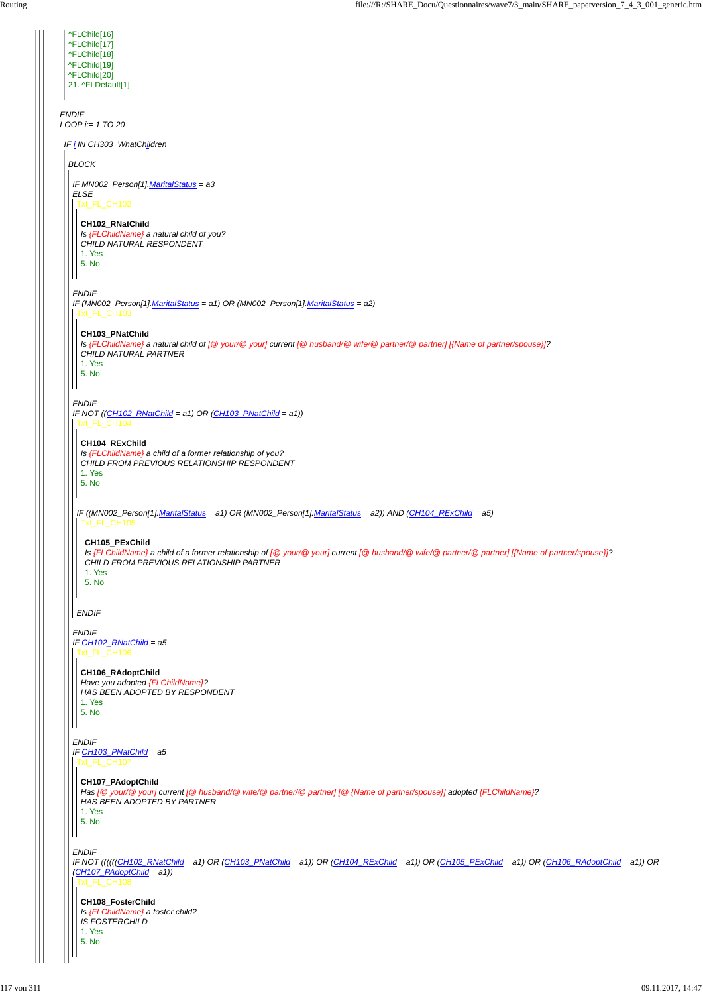#### *ENDIF*

 $\mathsf{I}$ 

| ^FLChild[16]<br>^FLChild[17]<br>^FLChild[18]<br>^FLChild[19]<br>^FLChild[20]<br>21. ^FLDefault[1]                                                                                                                                  |
|------------------------------------------------------------------------------------------------------------------------------------------------------------------------------------------------------------------------------------|
| <b>ENDIF</b><br>$LOOP$ i:= 1 TO 20                                                                                                                                                                                                 |
| IF i IN CH303_WhatChildren                                                                                                                                                                                                         |
| <b>BLOCK</b>                                                                                                                                                                                                                       |
| IF MN002_Person[1]. MaritalStatus = a3<br><b>ELSE</b>                                                                                                                                                                              |
| Txt_FL_CH102                                                                                                                                                                                                                       |
| CH102_RNatChild<br>Is {FLChildName} a natural child of you?                                                                                                                                                                        |
| CHILD NATURAL RESPONDENT<br>1. Yes                                                                                                                                                                                                 |
| 5. No                                                                                                                                                                                                                              |
| <b>ENDIF</b>                                                                                                                                                                                                                       |
| IF (MN002_Person[1].MaritalStatus = a1) OR (MN002_Person[1].MaritalStatus = a2)<br>xt_FL_CH103                                                                                                                                     |
| CH103_PNatChild<br>Is {FLChildName} a natural child of [@ your/@ your] current [@ husband/@ wife/@ partner/@ partner] [{Name of partner/spouse}]?<br>CHILD NATURAL PARTNER<br>1. Yes<br>5. No                                      |
| <b>ENDIF</b><br>IF NOT $((CH102_RNatChild = a1) OR (CH103_RNatChild = a1))$<br>xt_FL_CH104<br>CH104_RExChild<br>Is {FLChildName} a child of a former relationship of you?<br>CHILD FROM PREVIOUS RELATIONSHIP RESPONDENT<br>1. Yes |
| 5. No                                                                                                                                                                                                                              |
| IF ((MN002_Person[1].MaritalStatus = a1) OR (MN002_Person[1].MaritalStatus = a2)) AND (CH104_RExChild = a5)<br>Txt_FL_CH105                                                                                                        |
| CH105_PExChild<br>Is {FLChildName} a child of a former relationship of [@ your/@ your] current [@ husband/@ wife/@ partner/@ partner] [{Name of partner/spouse}]?<br>CHILD FROM PREVIOUS RELATIONSHIP PARTNER<br>1. Yes<br>5. No   |
| <b>ENDIF</b>                                                                                                                                                                                                                       |
| <b>ENDIF</b><br>IF CH102_RNatChild = a5<br>FL_CH106                                                                                                                                                                                |
| CH106_RAdoptChild<br>Have you adopted {FLChildName}?<br>HAS BEEN ADOPTED BY RESPONDENT<br>1. Yes                                                                                                                                   |
| 5. No                                                                                                                                                                                                                              |
| <b>ENDIF</b><br>IF CH103_PNatChild = a5                                                                                                                                                                                            |

*IF NOT ((((((CH102\_RNatChild = a1) OR (CH103\_PNatChild = a1)) OR (CH104\_RExChild = a1)) OR (CH105\_PExChild = a1)) OR (CH106\_RAdoptChild = a1)) OR (CH107\_PAdoptChild = a1))* Txt\_FL\_CH108

# Txt\_FL\_CH107

**CH107\_PAdoptChild** *Has [@ your/@ your] current [@ husband/@ wife/@ partner/@ partner] [@ {Name of partner/spouse}] adopted {FLChildName}? HAS BEEN ADOPTED BY PARTNER*

1. Yes 5. No

**CH108\_FosterChild**

*Is {FLChildName} a foster child?*

*IS FOSTERCHILD*

1. Yes

5. No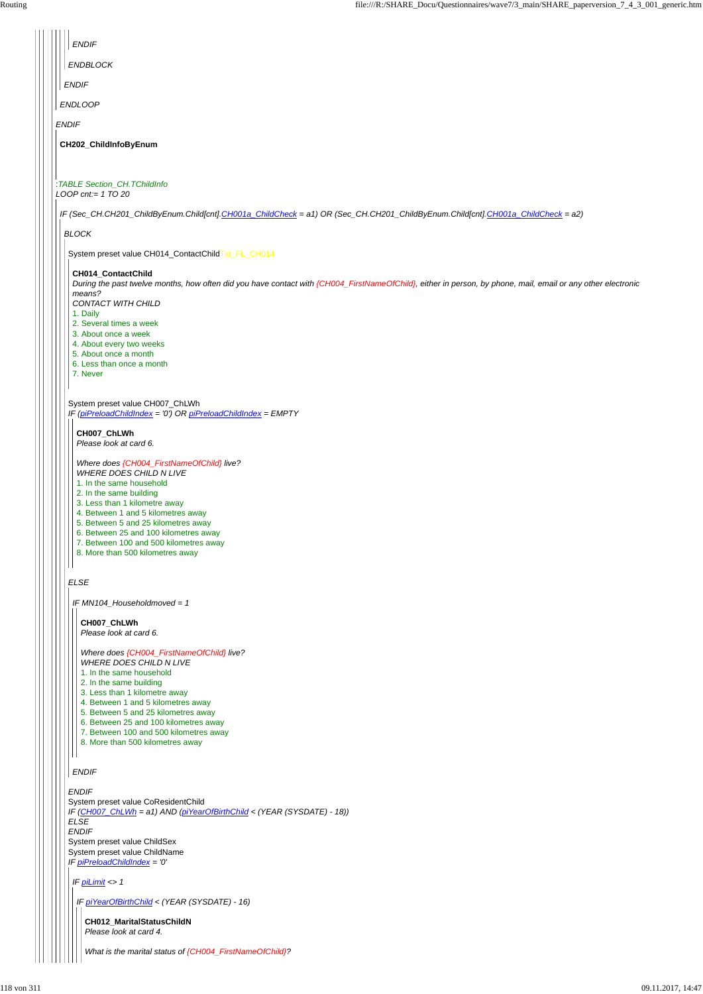|  | ENDIF                                                                                                                                                                              |
|--|------------------------------------------------------------------------------------------------------------------------------------------------------------------------------------|
|  | ENDBLOCK                                                                                                                                                                           |
|  | <b>ENDIF</b>                                                                                                                                                                       |
|  | <b>ENDLOOP</b>                                                                                                                                                                     |
|  | <b>ENDIF</b>                                                                                                                                                                       |
|  | CH202_ChildInfoByEnum                                                                                                                                                              |
|  |                                                                                                                                                                                    |
|  | :TABLE Section_CH.TChildInfo<br>LOOP cnt:= $1 TQ$ 20                                                                                                                               |
|  | IF (Sec_CH.CH201_ChildByEnum.Child[cnt].CH001a_ChildCheck = a1) OR (Sec_CH.CH201_ChildByEnum.Child[cnt].CH001a_ChildCheck = a2)                                                    |
|  | <b>BLOCK</b>                                                                                                                                                                       |
|  | System preset value CH014_ContactChildTxt_FL_CH014                                                                                                                                 |
|  | CH014_ContactChild<br>During the past twelve months, how often did you have contact with {CH004_FirstNameOfChild}, either in person, by phone, mail, email or any other electronic |
|  | means?<br><b>CONTACT WITH CHILD</b>                                                                                                                                                |
|  | 1. Daily<br>2. Several times a week                                                                                                                                                |
|  | 3. About once a week<br>4. About every two weeks                                                                                                                                   |
|  | 5. About once a month<br>6. Less than once a month                                                                                                                                 |
|  | 7. Never                                                                                                                                                                           |
|  | System preset value CH007_ChLWh<br>IF (piPreloadChildIndex = '0') OR piPreloadChildIndex = EMPTY                                                                                   |
|  | CH007_ChLWh                                                                                                                                                                        |
|  | Please look at card 6.                                                                                                                                                             |
|  | Where does {CH004_FirstNameOfChild} live?<br><b>WHERE DOES CHILD N LIVE</b>                                                                                                        |
|  | 1. In the same household<br>2. In the same building                                                                                                                                |
|  | 3. Less than 1 kilometre away                                                                                                                                                      |
|  | 4. Between 1 and 5 kilometres away<br>5. Between 5 and 25 kilometres away                                                                                                          |
|  | 6. Between 25 and 100 kilometres away<br>7. Between 100 and 500 kilometres away                                                                                                    |
|  | 8. More than 500 kilometres away                                                                                                                                                   |
|  | <b>ELSE</b>                                                                                                                                                                        |
|  | IF MN104_Householdmoved = 1                                                                                                                                                        |
|  | CH007_ChLWh                                                                                                                                                                        |
|  | Please look at card 6.                                                                                                                                                             |
|  | Where does {CH004_FirstNameOfChild} live?<br><b>WHERE DOES CHILD N LIVE</b>                                                                                                        |
|  | 1. In the same household<br>2. In the same building                                                                                                                                |
|  | 3. Less than 1 kilometre away                                                                                                                                                      |
|  | 4. Between 1 and 5 kilometres away<br>5. Between 5 and 25 kilometres away                                                                                                          |
|  | 6. Between 25 and 100 kilometres away                                                                                                                                              |

```
\mathbf{H}ENDIF
ENDIF
System preset value CoResidentChild
IF (CH007_ChLWh = a1) AND (piYearOfBirthChild < (YEAR (SYSDATE) - 18))
ELSE
ENDIF
System preset value ChildSex
System preset value ChildName
IF piPreloadChildIndex = '0'
 IF piLimit <> 1
  IF piYearOfBirthChild < (YEAR (SYSDATE) - 16)
     CH012_MaritalStatusChildN
     Please look at card 4.
    What is the marital status of {CH004_FirstNameOfChild}?
```
- 7. Between 100 and 500 kilometres away
- 8. More than 500 kilometres away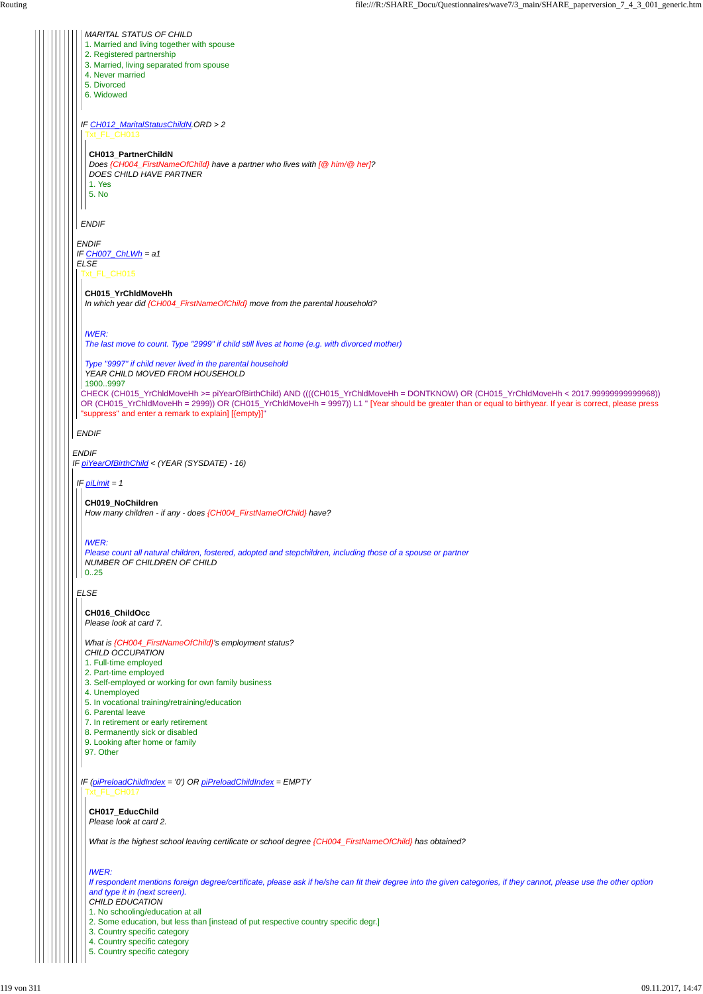

*IF (piPreloadChildIndex = '0') OR piPreloadChildIndex = EMPTY* Txt\_FL\_CH017

- 7. In retirement or early retirement
- 8. Permanently sick or disabled
- 9. Looking after home or family
- 

97. Other

**CH017\_EducChild** *Please look at card 2.*

*What is the highest school leaving certificate or school degree {CH004\_FirstNameOfChild} has obtained?*

*IWER:*

*If respondent mentions foreign degree/certificate, please ask if he/she can fit their degree into the given categories, if they cannot, please use the other option and type it in (next screen).*

*CHILD EDUCATION*

1. No schooling/education at all

2. Some education, but less than [instead of put respective country specific degr.]

3. Country specific category

4. Country specific category

5. Country specific category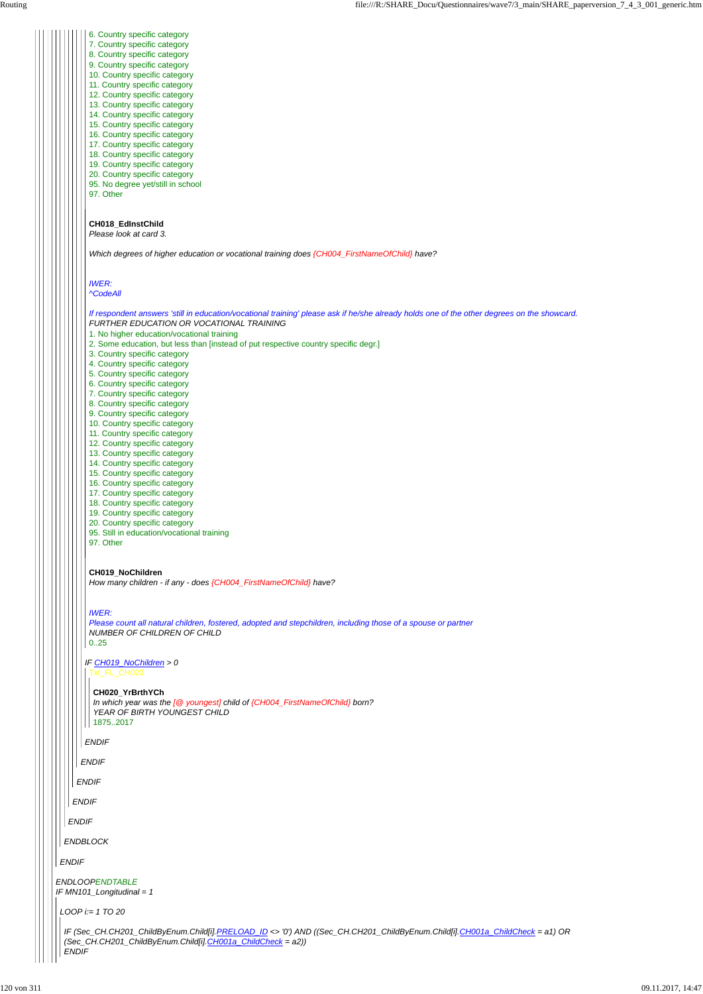*ENDIF*

*IF CH019\_NoChildren > 0* 6. Country specific category 7. Country specific category 8. Country specific category 9. Country specific category 10. Country specific category 11. Country specific category 12. Country specific category 13. Country specific category 14. Country specific category 15. Country specific category 16. Country specific category 17. Country specific category 18. Country specific category 19. Country specific category 20. Country specific category 95. No degree yet/still in school 97. Other **CH018\_EdInstChild** *Please look at card 3. Which degrees of higher education or vocational training does {CH004\_FirstNameOfChild} have? IWER: ^CodeAll If respondent answers 'still in education/vocational training' please ask if he/she already holds one of the other degrees on the showcard. FURTHER EDUCATION OR VOCATIONAL TRAINING* 1. No higher education/vocational training 2. Some education, but less than [instead of put respective country specific degr.] 3. Country specific category 4. Country specific category 5. Country specific category 6. Country specific category 7. Country specific category 8. Country specific category 9. Country specific category 10. Country specific category 11. Country specific category 12. Country specific category 13. Country specific category 14. Country specific category 15. Country specific category 16. Country specific category 17. Country specific category 18. Country specific category 19. Country specific category 20. Country specific category 95. Still in education/vocational training 97. Other **CH019\_NoChildren** *How many children - if any - does {CH004\_FirstNameOfChild} have? IWER: Please count all natural children, fostered, adopted and stepchildren, including those of a spouse or partner NUMBER OF CHILDREN OF CHILD* 0..25 Txt\_FL\_CH020 **CH020\_YrBrthYCh** *In which year was the [@ youngest] child of {CH004\_FirstNameOfChild} born? YEAR OF BIRTH YOUNGEST CHILD*

```
ENDLOOPENDTABLE
IF MN101_Longitudinal = 1
ENDIF
 ENDBLOCK
  ENDIF
   ENDIF
    ENDIF
     ENDIF
LOOP i:= 1 TO 20
 IF (Sec_CH.CH201_ChildByEnum.Child[i].PRELOAD_ID <> '0') AND ((Sec_CH.CH201_ChildByEnum.Child[i].CH001a_ChildCheck = a1) OR
 (Sec_CH.CH201_ChildByEnum.Child[i].CH001a_ChildCheck = a2))
 ENDIF
```
1875..2017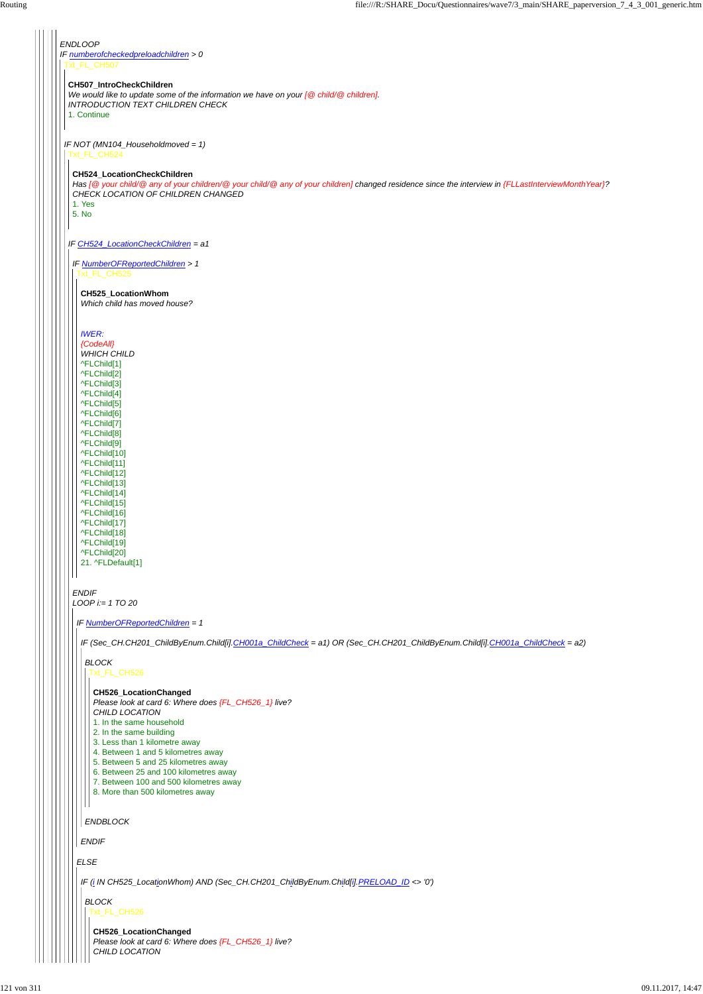*ENDLOOP IF numberofcheckedpreloadchildren > 0* Txt\_FL\_CH507 *IF NOT (MN104\_Householdmoved = 1)* **CH507\_IntroCheckChildren** *We would like to update some of the information we have on your [@ child/@ children]. INTRODUCTION TEXT CHILDREN CHECK* 1. Continue Txt\_FL\_CH524 *IF CH524\_LocationCheckChildren = a1* **CH524\_LocationCheckChildren** *Has [@ your child/@ any of your children/@ your child/@ any of your children] changed residence since the interview in {FLLastInterviewMonthYear}? CHECK LOCATION OF CHILDREN CHANGED* 1. Yes 5. No *IF NumberOFReportedChildren > 1 ENDIF LOOP i:= 1 TO 20* Txt\_FL\_CH525 **CH525\_LocationWhom** *Which child has moved house? IWER: {CodeAll} WHICH CHILD* ^FLChild[1] ^FLChild[2] ^FLChild[3] ^FLChild[4] ^FLChild[5] ^FLChild[6] ^FLChild[7] ^FLChild[8] ^FLChild[9] ^FLChild[10] ^FLChild[11] ^FLChild[12] ^FLChild[13] ^FLChild[14] ^FLChild[15] ^FLChild[16] ^FLChild[17] ^FLChild[18] ^FLChild[19] ^FLChild[20] 21. ^FLDefault[1] *IF NumberOFReportedChildren = 1 IF (Sec\_CH.CH201\_ChildByEnum.Child[i].CH001a\_ChildCheck = a1) OR (Sec\_CH.CH201\_ChildByEnum.Child[i].CH001a\_ChildCheck = a2) BLOCK* Txt\_FL\_CH526 **CH526\_LocationChanged** *Please look at card 6: Where does {FL\_CH526\_1} live? CHILD LOCATION* 1. In the same household 2. In the same building 3. Less than 1 kilometre away

|  | 4. Between 1 and 5 kilometres away                                                     |
|--|----------------------------------------------------------------------------------------|
|  | 5. Between 5 and 25 kilometres away                                                    |
|  | 6. Between 25 and 100 kilometres away                                                  |
|  | 7. Between 100 and 500 kilometres away                                                 |
|  | 8. More than 500 kilometres away                                                       |
|  |                                                                                        |
|  |                                                                                        |
|  | <b>ENDBLOCK</b>                                                                        |
|  |                                                                                        |
|  | <b>ENDIF</b>                                                                           |
|  |                                                                                        |
|  | <b>ELSE</b>                                                                            |
|  |                                                                                        |
|  | IF (i IN CH525_LocationWhom) AND (Sec_CH.CH201_ChildByEnum.Child[i].PRELOAD_ID <> '0') |
|  |                                                                                        |
|  | <b>BLOCK</b>                                                                           |
|  | Txt FL CH526                                                                           |
|  |                                                                                        |
|  | CH526_LocationChanged                                                                  |
|  | Please look at card 6: Where does {FL_CH526_1} live?                                   |
|  | CHILD LOCATION                                                                         |
|  |                                                                                        |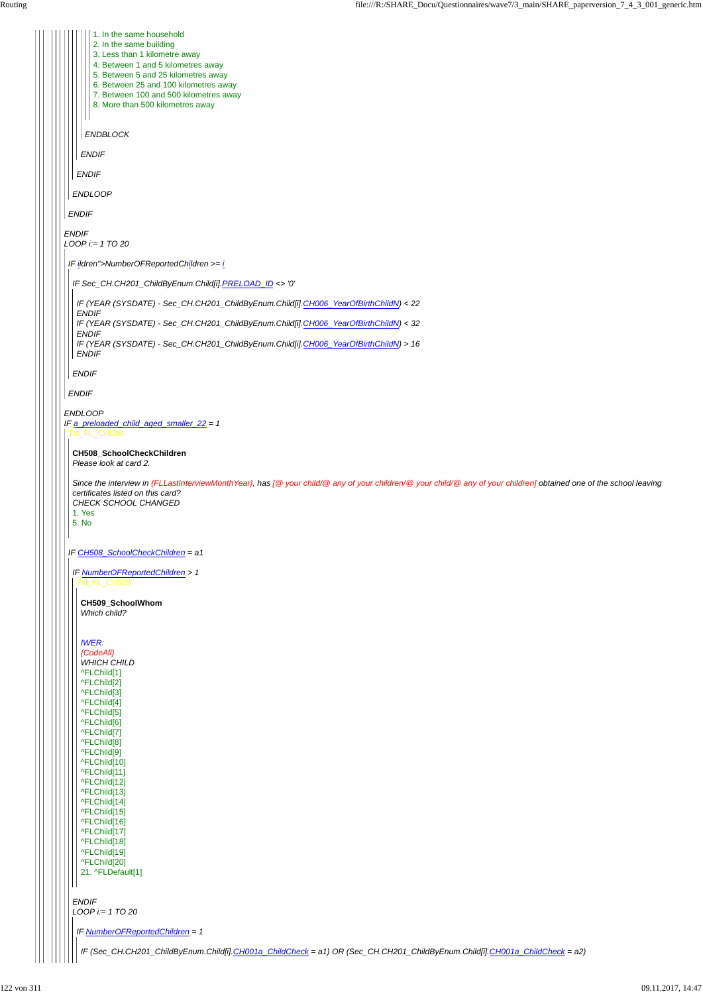|              | 1. In the same household                                                                                                                                                                                 |
|--------------|----------------------------------------------------------------------------------------------------------------------------------------------------------------------------------------------------------|
|              | 2. In the same building                                                                                                                                                                                  |
|              | 3. Less than 1 kilometre away<br>4. Between 1 and 5 kilometres away                                                                                                                                      |
|              | 5. Between 5 and 25 kilometres away                                                                                                                                                                      |
|              | 6. Between 25 and 100 kilometres away                                                                                                                                                                    |
|              | 7. Between 100 and 500 kilometres away                                                                                                                                                                   |
|              | 8. More than 500 kilometres away                                                                                                                                                                         |
|              |                                                                                                                                                                                                          |
|              | <b>ENDBLOCK</b>                                                                                                                                                                                          |
|              |                                                                                                                                                                                                          |
|              | <b>ENDIF</b>                                                                                                                                                                                             |
|              | <b>ENDIF</b>                                                                                                                                                                                             |
|              |                                                                                                                                                                                                          |
|              | <b>ENDLOOP</b>                                                                                                                                                                                           |
|              |                                                                                                                                                                                                          |
| <b>ENDIF</b> |                                                                                                                                                                                                          |
| <b>ENDIF</b> |                                                                                                                                                                                                          |
|              | $LOOP$ i:= 1 TO 20                                                                                                                                                                                       |
|              |                                                                                                                                                                                                          |
|              | IF ildren">NumberOFReportedChildren >= $i$                                                                                                                                                               |
|              | IF Sec_CH.CH201_ChildByEnum.Child[i].PRELOAD_ID <> '0'                                                                                                                                                   |
|              |                                                                                                                                                                                                          |
|              | IF (YEAR (SYSDATE) - Sec_CH.CH201_ChildByEnum.Child[i].CH006_YearOfBirthChildN) < 22                                                                                                                     |
|              | <b>ENDIF</b>                                                                                                                                                                                             |
|              | IF (YEAR (SYSDATE) - Sec_CH.CH201_ChildByEnum.Child[i].CH006_YearOfBirthChildN) < 32<br><b>ENDIF</b>                                                                                                     |
|              | IF (YEAR (SYSDATE) - Sec_CH.CH201_ChildByEnum.Child[i].CH006_YearOfBirthChildN) > 16                                                                                                                     |
|              | <b>ENDIF</b>                                                                                                                                                                                             |
|              |                                                                                                                                                                                                          |
|              | <b>ENDIF</b>                                                                                                                                                                                             |
| <b>ENDIF</b> |                                                                                                                                                                                                          |
|              |                                                                                                                                                                                                          |
|              | <b>ENDLOOP</b>                                                                                                                                                                                           |
|              | IF a_preloaded_child_aged_smaller_22 = 1<br>Txt_FL_CH508                                                                                                                                                 |
|              |                                                                                                                                                                                                          |
|              | CH508_SchoolCheckChildren                                                                                                                                                                                |
|              | Please look at card 2.                                                                                                                                                                                   |
|              |                                                                                                                                                                                                          |
|              | Since the interview in {FLLastInterviewMonthYear}, has [@ your child/@ any of your children/@ your child/@ any of your children] obtained one of the school leaving<br>certificates listed on this card? |
|              | CHECK SCHOOL CHANGED                                                                                                                                                                                     |
|              | 1. Yes                                                                                                                                                                                                   |
| 5. No        |                                                                                                                                                                                                          |
|              |                                                                                                                                                                                                          |
|              | IF CH508_SchoolCheckChildren = a1                                                                                                                                                                        |
|              |                                                                                                                                                                                                          |
|              | IF NumberOFReportedChildren > 1                                                                                                                                                                          |
|              | Txt_FL_CH509                                                                                                                                                                                             |
|              |                                                                                                                                                                                                          |
|              | CH509_SchoolWhom<br>Which child?                                                                                                                                                                         |
|              |                                                                                                                                                                                                          |
|              |                                                                                                                                                                                                          |
|              | <b>IWER:</b>                                                                                                                                                                                             |
|              | {CodeAll}                                                                                                                                                                                                |
|              | <b>WHICH CHILD</b>                                                                                                                                                                                       |
|              | ^FLChild[1]                                                                                                                                                                                              |
|              | ^FLChild[2]<br>^FLChild[3]                                                                                                                                                                               |
|              | ^FLChild[4]                                                                                                                                                                                              |
|              | ^FLChild[5]                                                                                                                                                                                              |
|              | ^FLChild[6]                                                                                                                                                                                              |
|              | ^FLChild[7]                                                                                                                                                                                              |
|              | ^FLChild[8]                                                                                                                                                                                              |

```
^FLChild[9]
  ^FLChild[10]
  ^FLChild[11]
  ^FLChild[12]
  ^FLChild[13]
  ^FLChild[14]
  ^FLChild[15]
  ^FLChild[16]
  ^FLChild[17]
  ^FLChild[18]
  ^FLChild[19]
  ^FLChild[20]
  21. ^FLDefault[1]
\mathsf{I}ENDIF
LOOP i:= 1 TO 20
IF NumberOFReportedChildren = 1
  IF (Sec_CH.CH201_ChildByEnum.Child[i].CH001a_ChildCheck = a1) OR (Sec_CH.CH201_ChildByEnum.Child[i].CH001a_ChildCheck = a2)
```
122 von 311 09.11.2017, 14:47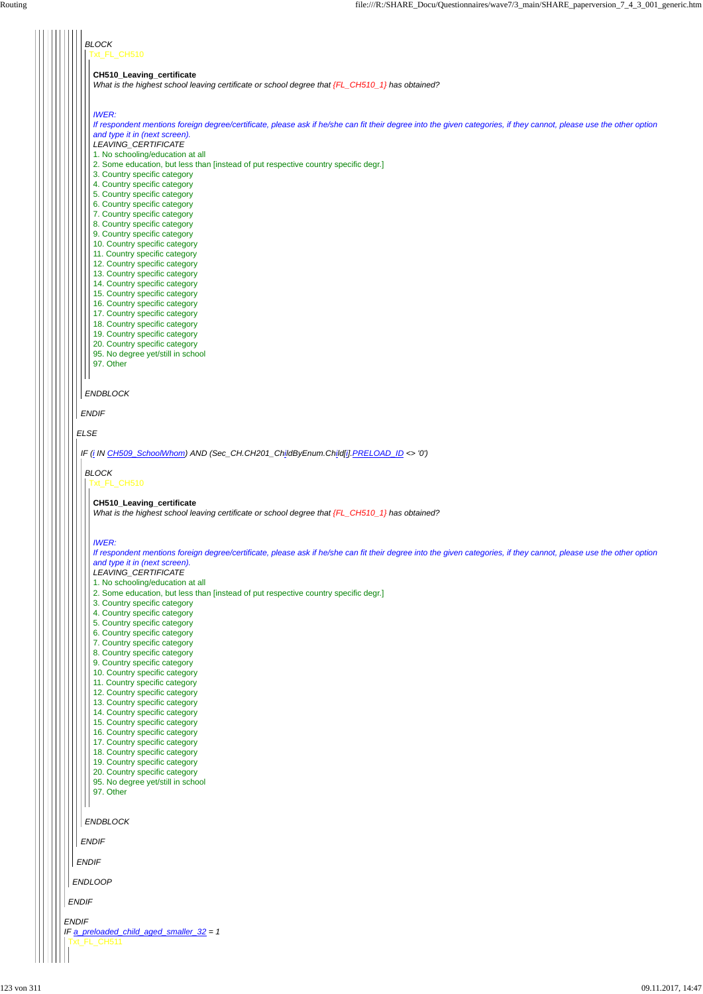| <b>BLOCK</b><br>Txt_FL_CH510                                                                                                                                                        |
|-------------------------------------------------------------------------------------------------------------------------------------------------------------------------------------|
| CH510_Leaving_certificate<br>What is the highest school leaving certificate or school degree that {FL_CH510_1} has obtained?                                                        |
| <b>IWER:</b><br>If respondent mentions foreign degree/certificate, please ask if he/she can fit their degree into the given categories, if they cannot, please use the other option |
| and type it in (next screen).<br>LEAVING_CERTIFICATE<br>1. No schooling/education at all                                                                                            |
| 2. Some education, but less than [instead of put respective country specific degr.]<br>3. Country specific category                                                                 |
| 4. Country specific category<br>5. Country specific category<br>6. Country specific category                                                                                        |
| 7. Country specific category<br>8. Country specific category                                                                                                                        |
| 9. Country specific category<br>10. Country specific category<br>11. Country specific category                                                                                      |
| 12. Country specific category<br>13. Country specific category                                                                                                                      |
| 14. Country specific category<br>15. Country specific category<br>16. Country specific category                                                                                     |
| 17. Country specific category<br>18. Country specific category                                                                                                                      |
| 19. Country specific category<br>20. Country specific category<br>95. No degree yet/still in school                                                                                 |
| 97. Other                                                                                                                                                                           |
| <b>ENDBLOCK</b>                                                                                                                                                                     |
| <b>ENDIF</b><br><b>ELSE</b>                                                                                                                                                         |
| IF (i IN CH509_SchoolWhom) AND (Sec_CH.CH201_ChildByEnum.Child[i].PRELOAD_ID <> '0')                                                                                                |
| <b>BLOCK</b><br>Txt_FL_CH510                                                                                                                                                        |
| CH510_Leaving_certificate                                                                                                                                                           |
| What is the highest school leaving certificate or school degree that {FL_CH510_1} has obtained?                                                                                     |
| <b>IWER:</b><br>If respondent mentions foreign degree/certificate, please ask if he/she can fit their degree into the given categories, if they cannot, please use the other option |
| and type it in (next screen).<br>LEAVING_CERTIFICATE<br>1. No schooling/education at all                                                                                            |
| 2. Some education, but less than [instead of put respective country specific degr.]<br>3. Country specific category                                                                 |
| 4. Country specific category<br>5. Country specific category<br>6. Country specific category                                                                                        |
| 7. Country specific category<br>8. Country specific category                                                                                                                        |
| 9. Country specific category<br>10. Country specific category<br>11. Country specific category                                                                                      |
| 12. Country specific category<br>13. Country specific category                                                                                                                      |
| 14. Country specific category<br>15. Country specific category                                                                                                                      |

16. Country specific category 17. Country specific category

| 18. Country specific category<br>19. Country specific category<br>20. Country specific category<br>95. No degree yet/still in school<br>97. Other |
|---------------------------------------------------------------------------------------------------------------------------------------------------|
| <b>ENDBLOCK</b>                                                                                                                                   |
| <b>ENDIF</b>                                                                                                                                      |
| <b>ENDIF</b>                                                                                                                                      |
| <b>ENDLOOP</b>                                                                                                                                    |
| <b>ENDIF</b>                                                                                                                                      |
| <b>ENDIF</b><br>IF a_preloaded_child_aged_smaller_32 = 1<br>Txt FL CH511                                                                          |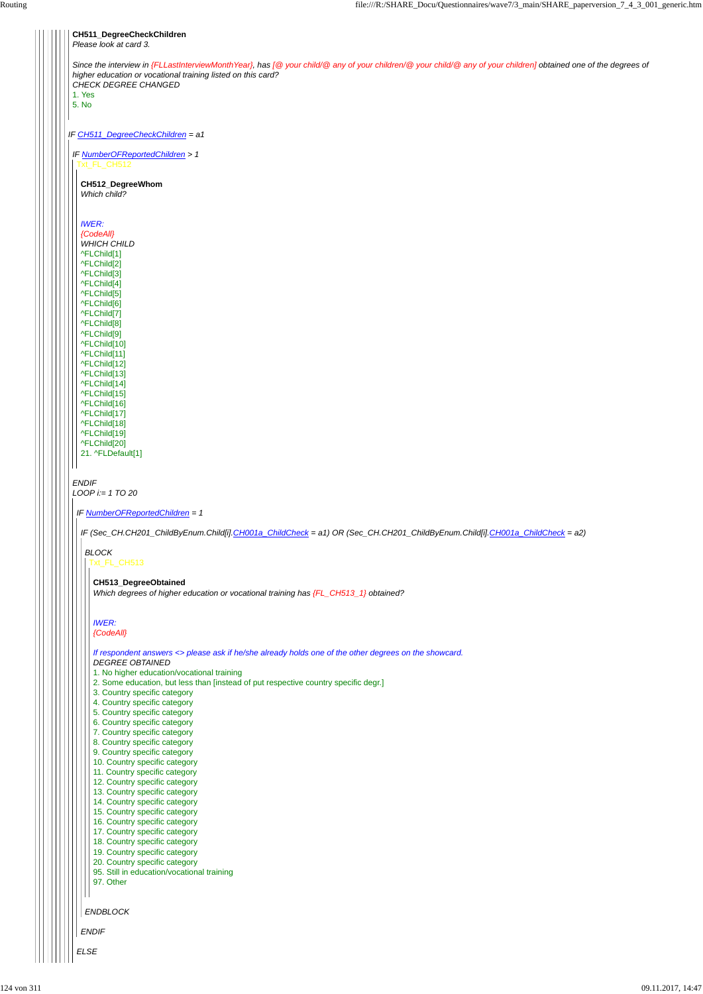| CH511_DegreeCheckChildren<br>Please look at card 3.                                                                                                                                                                                                     |
|---------------------------------------------------------------------------------------------------------------------------------------------------------------------------------------------------------------------------------------------------------|
| Since the interview in {FLLastInterviewMonthYear}, has [@ your child/@ any of your children/@ your child/@ any of your children] obtained one of the degrees of<br>higher education or vocational training listed on this card?<br>CHECK DEGREE CHANGED |
| 1. Yes                                                                                                                                                                                                                                                  |
| 5. No                                                                                                                                                                                                                                                   |
| IF CH511_DegreeCheckChildren = a1                                                                                                                                                                                                                       |
| IF NumberOFReportedChildren > 1<br>Txt_FL_CH512                                                                                                                                                                                                         |
| CH512_DegreeWhom<br>Which child?                                                                                                                                                                                                                        |
| <b>IWER:</b><br>{CodeAll}<br><b>WHICH CHILD</b><br>^FLChild[1]<br>^FLChild[2]<br>^FLChild[3]<br>^FLChild[4]<br>^FLChild[5]                                                                                                                              |
| ^FLChild[6]<br>^FLChild[7]<br>^FLChild[8]<br>^FLChild <sup>[9]</sup><br>^FLChild[10]<br>^FLChild[11]<br>^FLChild[12]<br>^FLChild[13]                                                                                                                    |
| ^FLChild[14]<br>^FLChild[15]<br>^FLChild[16]<br>^FLChild[17]<br>^FLChild[18]<br>^FLChild[19]<br>^FLChild[20]<br>21. ^FLDefault[1]                                                                                                                       |
| <b>ENDIF</b><br>$LOOP$ i:= 1 TO 20                                                                                                                                                                                                                      |
| IF NumberOFReportedChildren = 1                                                                                                                                                                                                                         |
| IF (Sec_CH.CH201_ChildByEnum.Child[i].CH001a_ChildCheck = a1) OR (Sec_CH.CH201_ChildByEnum.Child[i].CH001a_ChildCheck = a2)                                                                                                                             |
| <b>BLOCK</b><br>Txt_FL_CH513                                                                                                                                                                                                                            |
| CH513_DegreeObtained<br>Which degrees of higher education or vocational training has {FL_CH513_1} obtained?                                                                                                                                             |
| <b>IWER:</b><br>{CodeAll}                                                                                                                                                                                                                               |
| If respondent answers <> please ask if he/she already holds one of the other degrees on the showcard.<br><b>DEGREE OBTAINED</b><br>1. No higher education/vocational training                                                                           |
| 2. Some education, but less than [instead of put respective country specific degr.]<br>3. Country specific category<br>4. Country specific category                                                                                                     |
| 5. Country specific category<br>6. Country specific category                                                                                                                                                                                            |
| 7. Country specific category                                                                                                                                                                                                                            |



- 8. Country specific category
-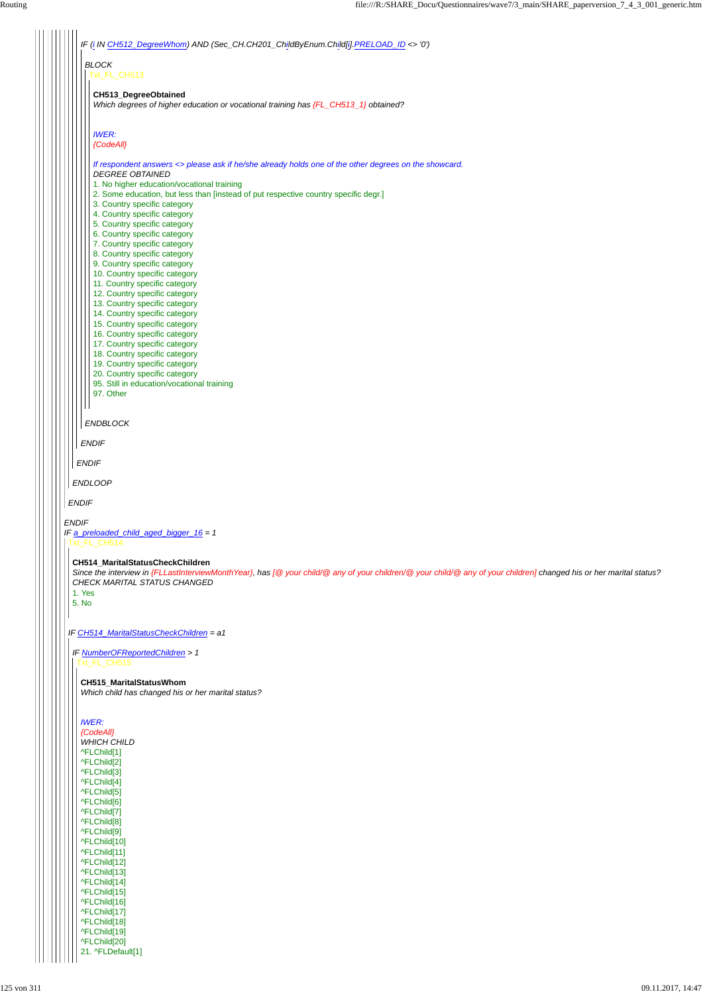

^FLChild[1] ^FLChild[2] ^FLChild[3] ^FLChild[4] ^FLChild[5] ^FLChild[6] ^FLChild[7] ^FLChild[8] ^FLChild[9] ^FLChild[10] ^FLChild[11] ^FLChild[12] ^FLChild[13] ^FLChild[14] ^FLChild[15] ^FLChild[16] ^FLChild[17] ^FLChild[18] ^FLChild[19] ^FLChild[20] 21. ^FLDefault[1]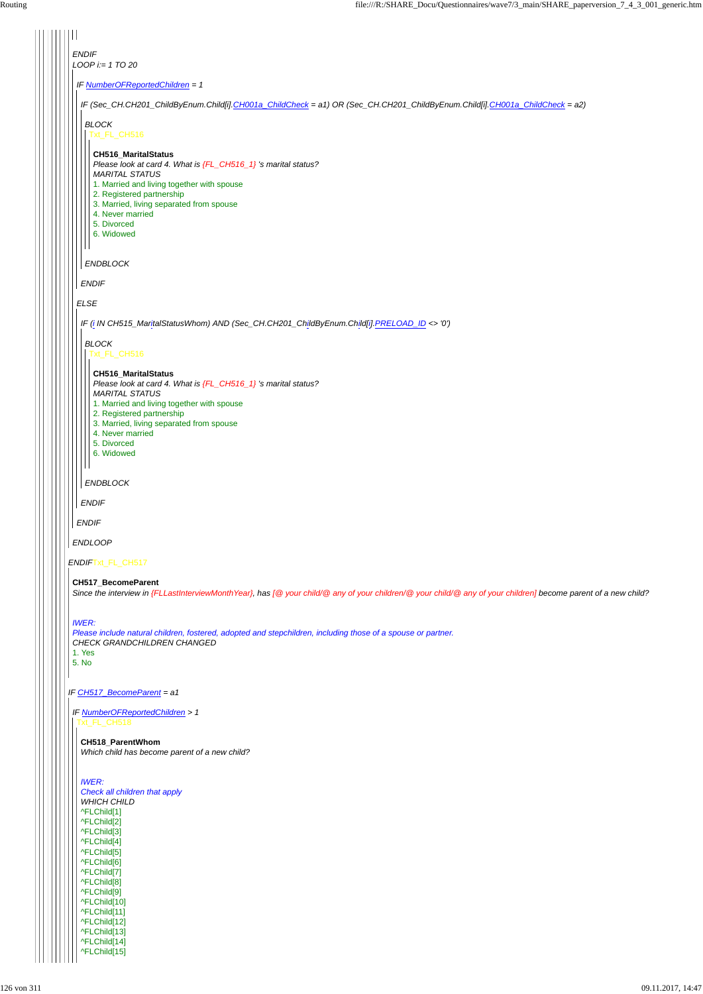| <b>ENDIF</b>                                                                                                                                                   |
|----------------------------------------------------------------------------------------------------------------------------------------------------------------|
| LOOP $i = 1$ TO 20                                                                                                                                             |
| IF NumberOFReportedChildren = 1                                                                                                                                |
| IF (Sec_CH.CH201_ChildByEnum.Child[i].CH001a_ChildCheck = a1) OR (Sec_CH.CH201_ChildByEnum.Child[i].CH001a_ChildCheck = a2)                                    |
| <b>BLOCK</b><br>Txt_FL_CH516                                                                                                                                   |
| <b>CH516_MaritalStatus</b>                                                                                                                                     |
| Please look at card 4. What is {FL_CH516_1} 's marital status?<br><b>MARITAL STATUS</b>                                                                        |
| 1. Married and living together with spouse<br>2. Registered partnership                                                                                        |
| 3. Married, living separated from spouse<br>4. Never married                                                                                                   |
| 5. Divorced<br>6. Widowed                                                                                                                                      |
|                                                                                                                                                                |
| <b>ENDBLOCK</b>                                                                                                                                                |
| <b>ENDIF</b>                                                                                                                                                   |
| <b>ELSE</b>                                                                                                                                                    |
| IF (i IN CH515_MaritalStatusWhom) AND (Sec_CH.CH201_ChildByEnum.Child[i].PRELOAD_ID <> '0')                                                                    |
| <b>BLOCK</b><br>Txt_FL_CH516                                                                                                                                   |
|                                                                                                                                                                |
| <b>CH516_MaritalStatus</b><br>Please look at card 4. What is {FL_CH516_1} 's marital status?                                                                   |
| <b>MARITAL STATUS</b><br>1. Married and living together with spouse                                                                                            |
| 2. Registered partnership<br>3. Married, living separated from spouse                                                                                          |
| 4. Never married<br>5. Divorced                                                                                                                                |
| 6. Widowed                                                                                                                                                     |
| <b>ENDBLOCK</b>                                                                                                                                                |
| <b>ENDIF</b>                                                                                                                                                   |
| <b>ENDIF</b>                                                                                                                                                   |
| <b>ENDLOOP</b>                                                                                                                                                 |
| ENDIFTxt_FL_CH517                                                                                                                                              |
| CH517_BecomeParent                                                                                                                                             |
| Since the interview in {FLLastInterviewMonthYear}, has [@ your child/@ any of your children/@ your child/@ any of your children] become parent of a new child? |
| <b>IWER:</b>                                                                                                                                                   |
| Please include natural children, fostered, adopted and stepchildren, including those of a spouse or partner.<br>CHECK GRANDCHILDREN CHANGED                    |
| 1. Yes<br>5. No                                                                                                                                                |
|                                                                                                                                                                |
| IF CH517_BecomeParent = a1                                                                                                                                     |
| IF NumberOFReportedChildren > 1<br>Txt_FL_CH518                                                                                                                |
| CH518_ParentWhom                                                                                                                                               |
| Which child has become parent of a new child?                                                                                                                  |

*IWER: Check all children that apply WHICH CHILD* ^FLChild[1] ^FLChild[2] ^FLChild[3] ^FLChild[4] ^FLChild[5] ^FLChild[6] ^FLChild[7] ^FLChild[8] ^FLChild[9] ^FLChild[10] ^FLChild[11] ^FLChild[12] ^FLChild[13] ^FLChild[14] ^FLChild[15]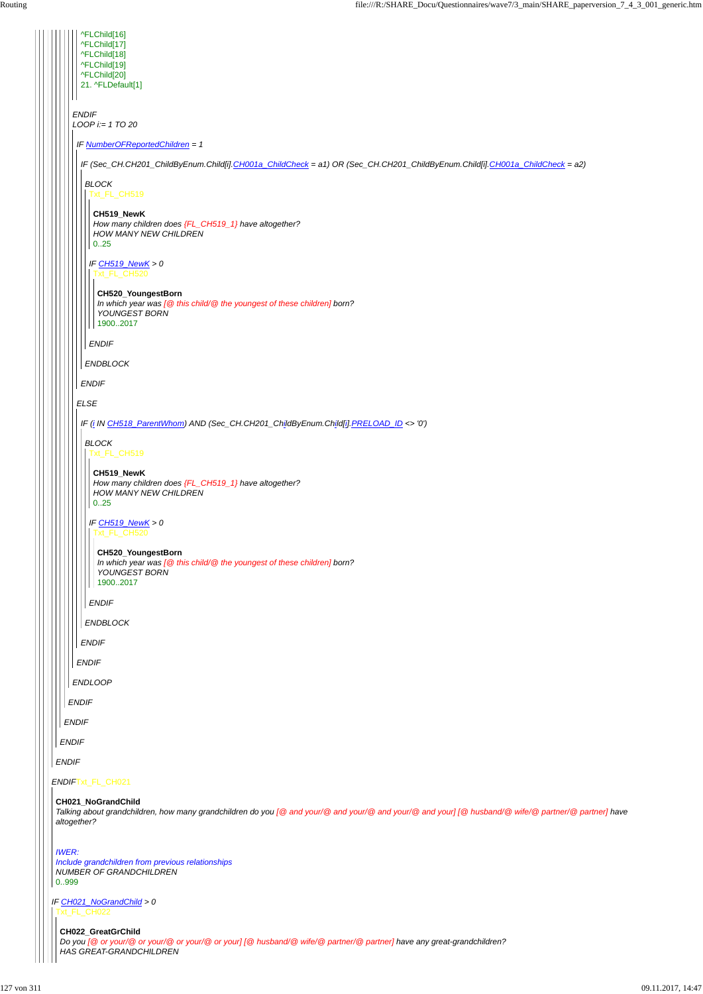#### *ENDIF*Txt\_FL\_CH021

#### *ENDIF*

*ENDIF ENDIF ENDIF ENDIF LOOP i:= 1 TO 20 ENDLOOP* ^FLChild[16] ^FLChild[17] ^FLChild[18] ^FLChild[19] ^FLChild[20] 21. ^FLDefault[1] *IF NumberOFReportedChildren = 1 ELSE ENDIF IF (Sec\_CH.CH201\_ChildByEnum.Child[i].CH001a\_ChildCheck = a1) OR (Sec\_CH.CH201\_ChildByEnum.Child[i].CH001a\_ChildCheck = a2) ENDIF BLOCK ENDBLOCK* Txt\_FL\_CH519 *IF CH519\_NewK > 0 ENDIF* **CH519\_NewK** *How many children does {FL\_CH519\_1} have altogether? HOW MANY NEW CHILDREN* 0..25 Txt\_FL\_CH520 **CH520\_YoungestBorn** *In which year was [@ this child/@ the youngest of these children] born? YOUNGEST BORN* 1900..2017 *IF (i IN CH518\_ParentWhom) AND (Sec\_CH.CH201\_ChildByEnum.Child[i].PRELOAD\_ID <> '0') ENDIF BLOCK ENDBLOCK* Txt\_FL\_CH519 *IF CH519\_NewK > 0 ENDIF* **CH519\_NewK** *How many children does {FL\_CH519\_1} have altogether? HOW MANY NEW CHILDREN* 0..25 Txt\_FL\_CH520 **CH520\_YoungestBorn** *In which year was [@ this child/@ the youngest of these children] born? YOUNGEST BORN* 1900..2017

*IF CH021\_NoGrandChild > 0* Txt\_FL\_CH022

#### **CH021\_NoGrandChild**

*Talking about grandchildren, how many grandchildren do you [@ and your/@ and your/@ and your/@ and your] [@ husband/@ wife/@ partner/@ partner] have altogether?*

#### *IWER: Include grandchildren from previous relationships NUMBER OF GRANDCHILDREN* 0..999

**CH022\_GreatGrChild** *Do you [@ or your/@ or your/@ or your/@ or your] [@ husband/@ wife/@ partner/@ partner] have any great-grandchildren? HAS GREAT-GRANDCHILDREN*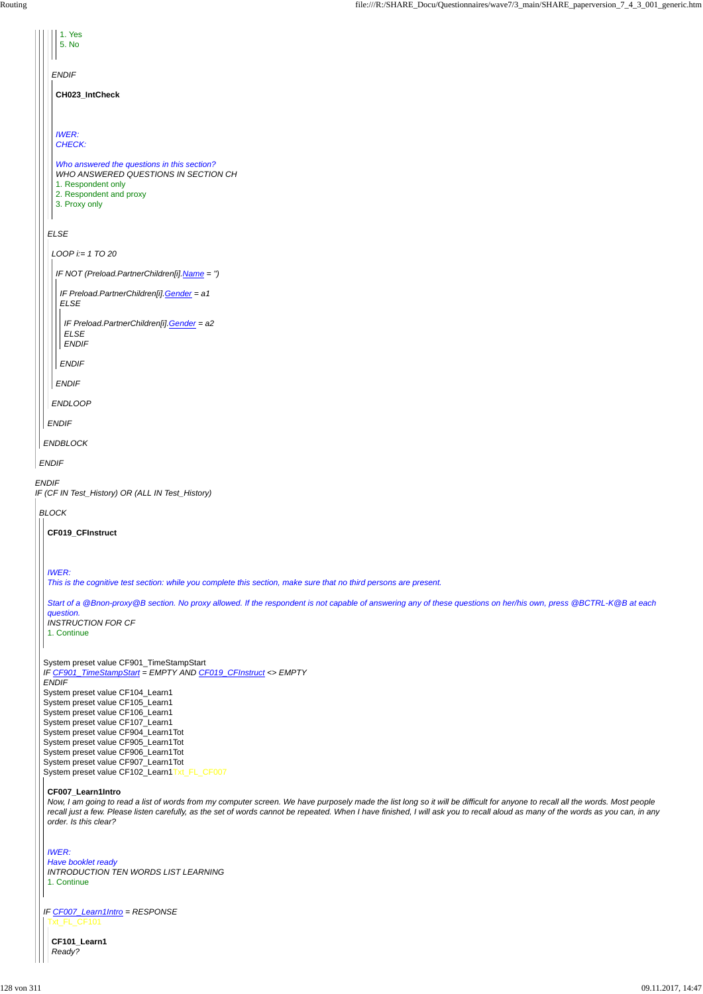1. Yes 5. No

| CH023_IntCheck<br><b>IWER:</b><br>CHECK:<br>Who answered the questions in this section?<br>WHO ANSWERED QUESTIONS IN SECTION CH<br>1. Respondent only<br>2. Respondent and proxy<br>3. Proxy only<br><b>ELSE</b><br>$LOOP$ i:= 1 TO 20<br>IF NOT (Preload.PartnerChildren[i].Name = ")<br>IF Preload.PartnerChildren[i].Gender = a1<br><b>ELSE</b><br>IF Preload.PartnerChildren[i].Gender = a2<br><b>ELSE</b><br><b>ENDIF</b><br><b>ENDIF</b><br><b>ENDIF</b><br><b>ENDLOOP</b><br><b>ENDIF</b><br><b>ENDBLOCK</b><br><b>ENDIF</b><br><b>ENDIF</b><br>IF (CF IN Test_History) OR (ALL IN Test_History)<br><b>BLOCK</b><br><b>CF019 CFInstruct</b><br><b>IWER:</b><br>This is the cognitive test section: while you complete this section, make sure that no third persons are present.<br>question.<br><b>INSTRUCTION FOR CF</b><br>1. Continue<br>System preset value CF901_TimeStampStart<br>IF CF901_TimeStampStart = EMPTY AND CF019_CFInstruct <> EMPTY<br><b>ENDIF</b><br>System preset value CF104_Learn1<br>System preset value CF105_Learn1<br>System preset value CF106_Learn1<br>System preset value CF107_Learn1<br>System preset value CF904_Learn1Tot<br>System preset value CF905_Learn1Tot<br>System preset value CF906_Learn1Tot<br>System preset value CF907_Learn1Tot<br>System preset value CF102_Learn1Txt_FL_CF007 | <b>ENDIF</b>                                                                                                                                                      |
|-------------------------------------------------------------------------------------------------------------------------------------------------------------------------------------------------------------------------------------------------------------------------------------------------------------------------------------------------------------------------------------------------------------------------------------------------------------------------------------------------------------------------------------------------------------------------------------------------------------------------------------------------------------------------------------------------------------------------------------------------------------------------------------------------------------------------------------------------------------------------------------------------------------------------------------------------------------------------------------------------------------------------------------------------------------------------------------------------------------------------------------------------------------------------------------------------------------------------------------------------------------------------------------------------------------------------------------------|-------------------------------------------------------------------------------------------------------------------------------------------------------------------|
|                                                                                                                                                                                                                                                                                                                                                                                                                                                                                                                                                                                                                                                                                                                                                                                                                                                                                                                                                                                                                                                                                                                                                                                                                                                                                                                                           |                                                                                                                                                                   |
|                                                                                                                                                                                                                                                                                                                                                                                                                                                                                                                                                                                                                                                                                                                                                                                                                                                                                                                                                                                                                                                                                                                                                                                                                                                                                                                                           |                                                                                                                                                                   |
|                                                                                                                                                                                                                                                                                                                                                                                                                                                                                                                                                                                                                                                                                                                                                                                                                                                                                                                                                                                                                                                                                                                                                                                                                                                                                                                                           |                                                                                                                                                                   |
|                                                                                                                                                                                                                                                                                                                                                                                                                                                                                                                                                                                                                                                                                                                                                                                                                                                                                                                                                                                                                                                                                                                                                                                                                                                                                                                                           |                                                                                                                                                                   |
|                                                                                                                                                                                                                                                                                                                                                                                                                                                                                                                                                                                                                                                                                                                                                                                                                                                                                                                                                                                                                                                                                                                                                                                                                                                                                                                                           |                                                                                                                                                                   |
|                                                                                                                                                                                                                                                                                                                                                                                                                                                                                                                                                                                                                                                                                                                                                                                                                                                                                                                                                                                                                                                                                                                                                                                                                                                                                                                                           |                                                                                                                                                                   |
|                                                                                                                                                                                                                                                                                                                                                                                                                                                                                                                                                                                                                                                                                                                                                                                                                                                                                                                                                                                                                                                                                                                                                                                                                                                                                                                                           |                                                                                                                                                                   |
|                                                                                                                                                                                                                                                                                                                                                                                                                                                                                                                                                                                                                                                                                                                                                                                                                                                                                                                                                                                                                                                                                                                                                                                                                                                                                                                                           |                                                                                                                                                                   |
|                                                                                                                                                                                                                                                                                                                                                                                                                                                                                                                                                                                                                                                                                                                                                                                                                                                                                                                                                                                                                                                                                                                                                                                                                                                                                                                                           |                                                                                                                                                                   |
|                                                                                                                                                                                                                                                                                                                                                                                                                                                                                                                                                                                                                                                                                                                                                                                                                                                                                                                                                                                                                                                                                                                                                                                                                                                                                                                                           |                                                                                                                                                                   |
|                                                                                                                                                                                                                                                                                                                                                                                                                                                                                                                                                                                                                                                                                                                                                                                                                                                                                                                                                                                                                                                                                                                                                                                                                                                                                                                                           |                                                                                                                                                                   |
|                                                                                                                                                                                                                                                                                                                                                                                                                                                                                                                                                                                                                                                                                                                                                                                                                                                                                                                                                                                                                                                                                                                                                                                                                                                                                                                                           |                                                                                                                                                                   |
|                                                                                                                                                                                                                                                                                                                                                                                                                                                                                                                                                                                                                                                                                                                                                                                                                                                                                                                                                                                                                                                                                                                                                                                                                                                                                                                                           |                                                                                                                                                                   |
|                                                                                                                                                                                                                                                                                                                                                                                                                                                                                                                                                                                                                                                                                                                                                                                                                                                                                                                                                                                                                                                                                                                                                                                                                                                                                                                                           |                                                                                                                                                                   |
|                                                                                                                                                                                                                                                                                                                                                                                                                                                                                                                                                                                                                                                                                                                                                                                                                                                                                                                                                                                                                                                                                                                                                                                                                                                                                                                                           |                                                                                                                                                                   |
|                                                                                                                                                                                                                                                                                                                                                                                                                                                                                                                                                                                                                                                                                                                                                                                                                                                                                                                                                                                                                                                                                                                                                                                                                                                                                                                                           |                                                                                                                                                                   |
|                                                                                                                                                                                                                                                                                                                                                                                                                                                                                                                                                                                                                                                                                                                                                                                                                                                                                                                                                                                                                                                                                                                                                                                                                                                                                                                                           |                                                                                                                                                                   |
|                                                                                                                                                                                                                                                                                                                                                                                                                                                                                                                                                                                                                                                                                                                                                                                                                                                                                                                                                                                                                                                                                                                                                                                                                                                                                                                                           |                                                                                                                                                                   |
|                                                                                                                                                                                                                                                                                                                                                                                                                                                                                                                                                                                                                                                                                                                                                                                                                                                                                                                                                                                                                                                                                                                                                                                                                                                                                                                                           |                                                                                                                                                                   |
|                                                                                                                                                                                                                                                                                                                                                                                                                                                                                                                                                                                                                                                                                                                                                                                                                                                                                                                                                                                                                                                                                                                                                                                                                                                                                                                                           |                                                                                                                                                                   |
|                                                                                                                                                                                                                                                                                                                                                                                                                                                                                                                                                                                                                                                                                                                                                                                                                                                                                                                                                                                                                                                                                                                                                                                                                                                                                                                                           | Start of a @Bnon-proxy@B section. No proxy allowed. If the respondent is not capable of answering any of these questions on her/his own, press @BCTRL-K@B at each |
|                                                                                                                                                                                                                                                                                                                                                                                                                                                                                                                                                                                                                                                                                                                                                                                                                                                                                                                                                                                                                                                                                                                                                                                                                                                                                                                                           |                                                                                                                                                                   |
|                                                                                                                                                                                                                                                                                                                                                                                                                                                                                                                                                                                                                                                                                                                                                                                                                                                                                                                                                                                                                                                                                                                                                                                                                                                                                                                                           |                                                                                                                                                                   |
|                                                                                                                                                                                                                                                                                                                                                                                                                                                                                                                                                                                                                                                                                                                                                                                                                                                                                                                                                                                                                                                                                                                                                                                                                                                                                                                                           |                                                                                                                                                                   |

### **CF007\_Learn1Intro**

*IF CF007\_Learn1Intro = RESPONSE* Txt\_FL\_CF101

*Now, I am going to read a list of words from my computer screen. We have purposely made the list long so it will be difficult for anyone to recall all the words. Most people recall just a few. Please listen carefully, as the set of words cannot be repeated. When I have finished, I will ask you to recall aloud as many of the words as you can, in any order. Is this clear?*

#### *IWER:*

*Have booklet ready INTRODUCTION TEN WORDS LIST LEARNING* 1. Continue

### **CF101\_Learn1**

*Ready?*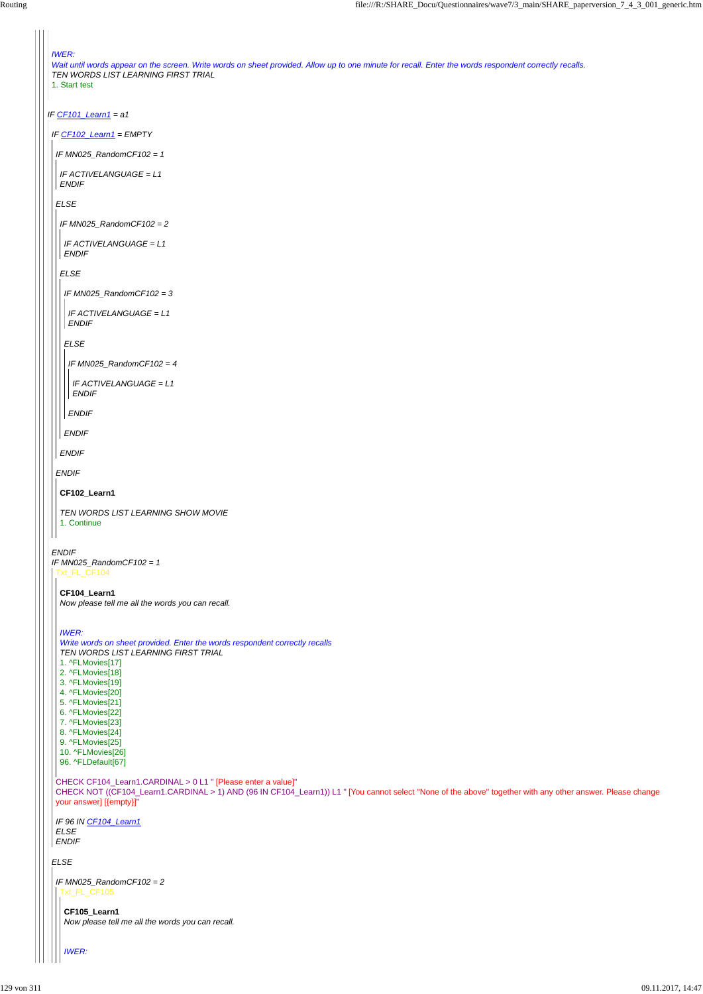```
IF CF101_Learn1 = a1
 IWER:
 Wait until words appear on the screen. Write words on sheet provided. Allow up to one minute for recall. Enter the words respondent correctly recalls.
 TEN WORDS LIST LEARNING FIRST TRIAL
 1. Start test
 IF CF102_Learn1 = EMPTY
ENDIF
 IF MN025_RandomCF102 = 1
 IF MN025_RandomCF102 = 1
 ELSE
  ENDIF
  IF ACTIVELANGUAGE = L1
  ENDIF
  IF MN025_RandomCF102 = 2
  ELSE
  ENDIF
   IF ACTIVELANGUAGE = L1
   ENDIF
   IF MN025_RandomCF102 = 3
   ELSE
  ENDIF
    IF ACTIVELANGUAGE = L1
    ENDIF
    IF MN025_RandomCF102 = 4
  ENDIF
     IF ACTIVELANGUAGE = L1
    ENDIF
  CF102_Learn1
   TEN WORDS LIST LEARNING SHOW MOVIE
  1. Continue
 Txt_FL_CF104
  CF104_Learn1
  Now please tell me all the words you can recall.
  IWER:
  Write words on sheet provided. Enter the words respondent correctly recalls
  TEN WORDS LIST LEARNING FIRST TRIAL
  1. ^FLMovies[17]
  2. ^FLMovies[18]
  3. ^FLMovies[19]
  4. ^FLMovies[20]
  5. ^FLMovies[21]
  6. ^FLMovies[22]
  7. ^FLMovies[23]
  8. ^FLMovies[24]
  9. ^FLMovies[25]
   10. ^FLMovies[26]
  96. ^FLDefault[67]
```
*ELSE*

```
CHECK CF104_Learn1.CARDINAL > 0 L1 " [Please enter a value]"
CHECK NOT ((CF104_Learn1.CARDINAL > 1) AND (96 IN CF104_Learn1)) L1 " [You cannot select ''None of the above'' together with any other answer. Please change
your answer] [{empty}]"
```
*IF 96 IN CF104\_Learn1*

*ELSE ENDIF*

```
IF MN025_RandomCF102 = 2
Txt_FL_CF105
```
**CF105\_Learn1** *Now please tell me all the words you can recall.*

*IWER:*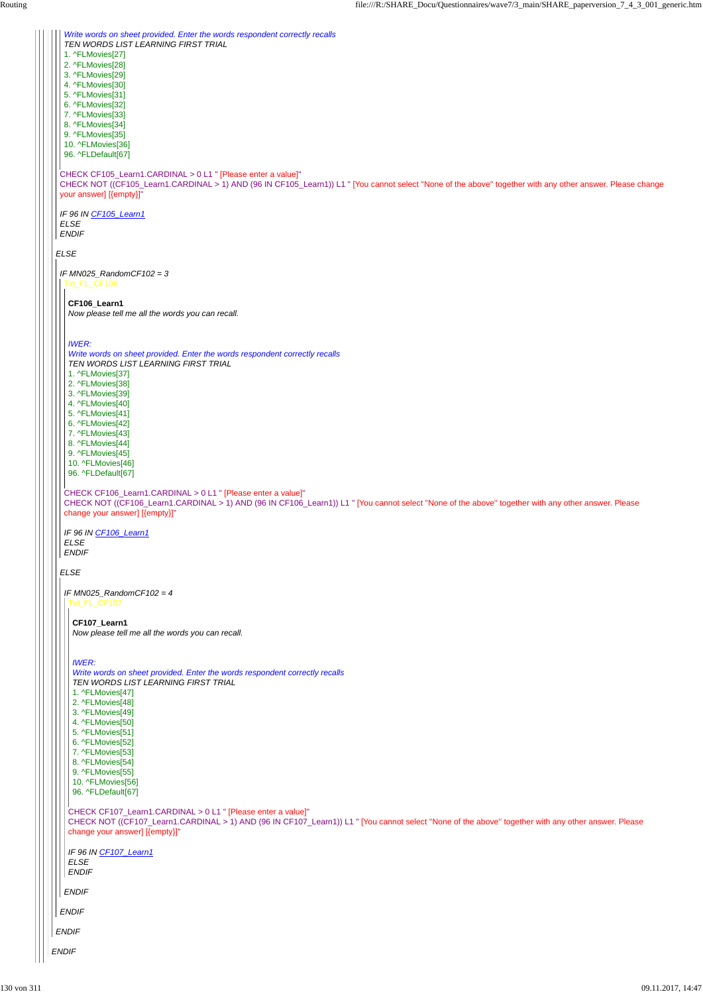*ELSE* CHECK CF105\_Learn1.CARDINAL > 0 L1 " [Please enter a value]" CHECK NOT ((CF105\_Learn1.CARDINAL > 1) AND (96 IN CF105\_Learn1)) L1 " [You cannot select ''None of the above'' together with any other answer. Please change your answer] [{empty}]" *IF 96 IN CF105\_Learn1 ELSE ENDIF Write words on sheet provided. Enter the words respondent correctly recalls TEN WORDS LIST LEARNING FIRST TRIAL* 1. ^FLMovies[27] 2. ^FLMovies[28] 3. ^FLMovies[29] 4. ^FLMovies[30] 5. ^FLMovies[31] 6. ^FLMovies[32] 7. ^FLMovies[33] 8. ^FLMovies[34] 9. ^FLMovies[35] 10. ^FLMovies[36] 96. ^FLDefault[67] *IF MN025\_RandomCF102 = 3 ELSE* Txt\_FL\_CF106 CHECK CF106\_Learn1.CARDINAL > 0 L1 " [Please enter a value]" CHECK NOT ((CF106\_Learn1.CARDINAL > 1) AND (96 IN CF106\_Learn1)) L1 " [You cannot select ''None of the above'' together with any other answer. Please change your answer] [{empty}]" *IF 96 IN CF106\_Learn1 ELSE ENDIF* **CF106\_Learn1** *Now please tell me all the words you can recall. IWER: Write words on sheet provided. Enter the words respondent correctly recalls TEN WORDS LIST LEARNING FIRST TRIAL* 1. ^FLMovies[37] 2. ^FLMovies[38] 3. ^FLMovies[39] 4. ^FLMovies[40] 5. ^FLMovies[41] 6. ^FLMovies[42] 7. ^FLMovies[43] 8. ^FLMovies[44] 9. ^FLMovies[45] 10. ^FLMovies[46] 96. ^FLDefault[67] *IF MN025\_RandomCF102 = 4* Txt\_FL\_CF107 **CF107\_Learn1** *Now please tell me all the words you can recall. IWER: Write words on sheet provided. Enter the words respondent correctly recalls TEN WORDS LIST LEARNING FIRST TRIAL* 1. ^FLMovies[47] 2. ^FLMovies[48] 3. ^FLMovies[49] 4. ^FLMovies[50] 5. ^FLMovies[51]

```
ENDIF
ENDIF
 ENDIF
  ENDIF
   CHECK CF107_Learn1.CARDINAL > 0 L1 " [Please enter a value]"
   CHECK NOT ((CF107_Learn1.CARDINAL > 1) AND (96 IN CF107_Learn1)) L1 " [You cannot select ''None of the above'' together with any other answer. Please
   change your answer] [{empty}]"
   IF 96 IN CF107_Learn1
   ELSE
   ENDIF
     7. ^FLMovies[53]
    8. ^FLMovies[54]
    9. ^FLMovies[55]
    10. ^FLMovies[56]
    96. ^FLDefault[67]
```
6. ^FLMovies[52]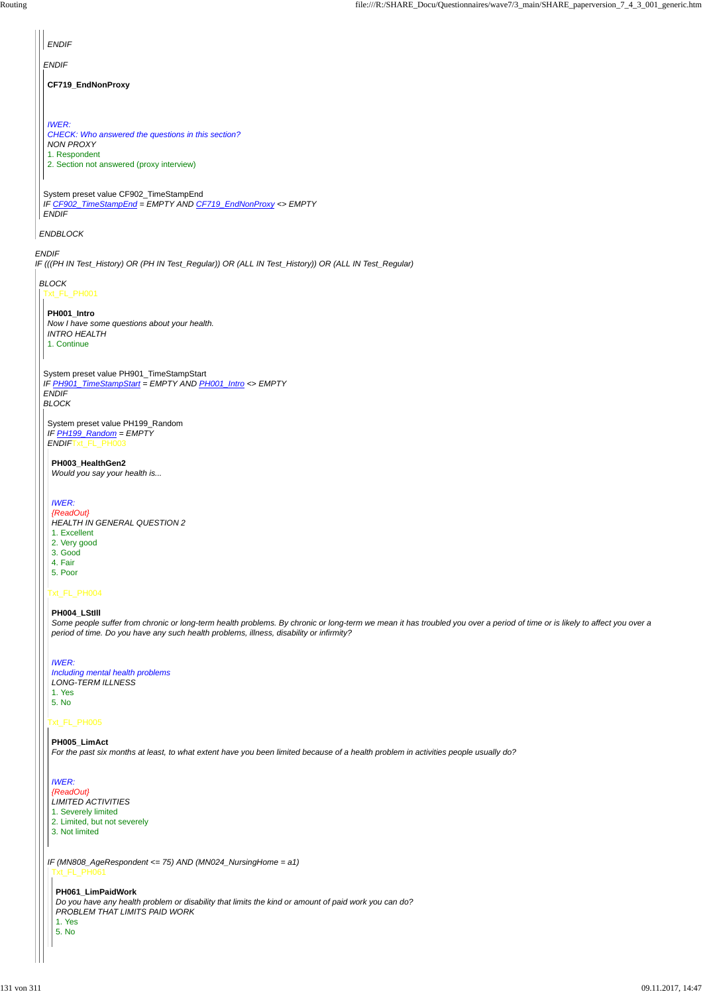*ENDIF IF (((PH IN Test\_History) OR (PH IN Test\_Regular)) OR (ALL IN Test\_History)) OR (ALL IN Test\_Regular) ENDBLOCK ENDIF* System preset value CF902\_TimeStampEnd *IF CF902\_TimeStampEnd = EMPTY AND CF719\_EndNonProxy <> EMPTY ENDIF ENDIF* **CF719\_EndNonProxy** *IWER: CHECK: Who answered the questions in this section? NON PROXY* 1. Respondent 2. Section not answered (proxy interview) *BLOCK* Txt\_FL\_PH001 System preset value PH901\_TimeStampStart *IF PH901\_TimeStampStart = EMPTY AND PH001\_Intro <> EMPTY ENDIF BLOCK* **PH001\_Intro** *Now I have some questions about your health. INTRO HEALTH* 1. Continue System preset value PH199\_Random *IF PH199\_Random = EMPTY ENDIF*Txt\_FL\_PH003 Txt\_FL\_PH004 Txt\_FL\_PH005 **PH003\_HealthGen2** *Would you say your health is... IWER: {ReadOut} HEALTH IN GENERAL QUESTION 2* 1. Excellent 2. Very good 3. Good 4. Fair 5. Poor **PH004\_LStIll** *Some people suffer from chronic or long-term health problems. By chronic or long-term we mean it has troubled you over a period of time or is likely to affect you over a period of time. Do you have any such health problems, illness, disability or infirmity? IWER: Including mental health problems LONG-TERM ILLNESS* 1. Yes 5. No

*IF (MN808\_AgeRespondent <= 75) AND (MN024\_NursingHome = a1)* **PH005\_LimAct** *For the past six months at least, to what extent have you been limited because of a health problem in activities people usually do? IWER: {ReadOut} LIMITED ACTIVITIES* 1. Severely limited 2. Limited, but not severely 3. Not limited Txt\_FL\_PH061 **PH061\_LimPaidWork** *Do you have any health problem or disability that limits the kind or amount of paid work you can do? PROBLEM THAT LIMITS PAID WORK* 1. Yes 5. No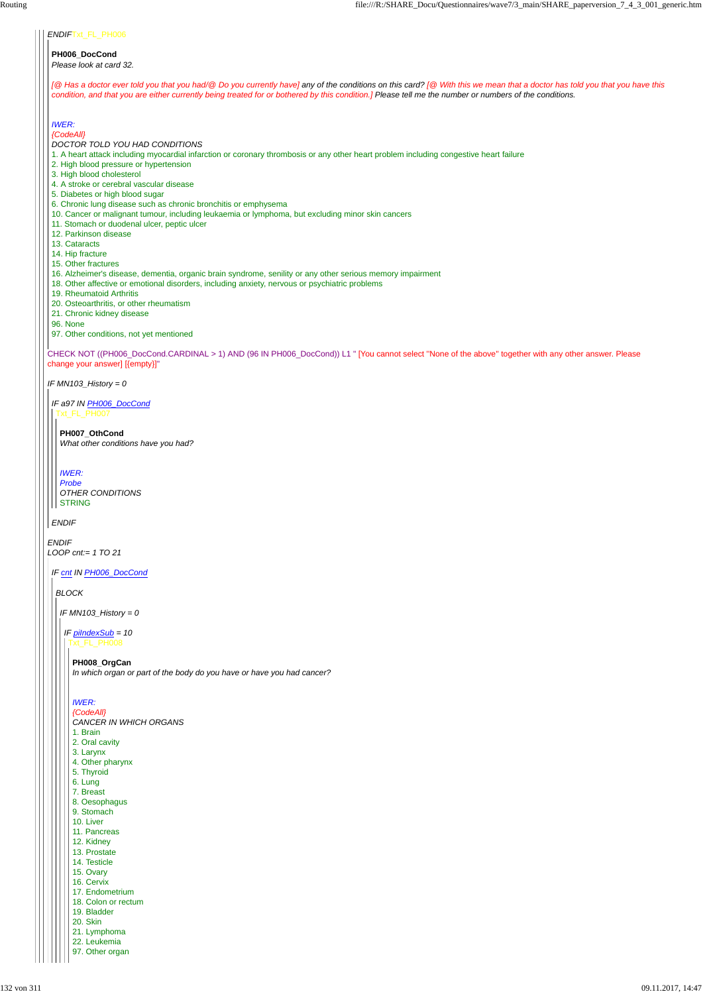#### *ENDIF*Txt\_FL\_PH006

CHECK NOT ((PH006\_DocCond.CARDINAL > 1) AND (96 IN PH006\_DocCond)) L1 " [You cannot select ''None of the above'' together with any other answer. Please change your answer] [{empty}]"

*IF MN103\_History = 0*

*ENDIF LOOP cnt:= 1 TO 21*

#### **PH006\_DocCond** *Please look at card 32.*

*[@ Has a doctor ever told you that you had/@ Do you currently have] any of the conditions on this card? [@ With this we mean that a doctor has told you that you have this condition, and that you are either currently being treated for or bothered by this condition.] Please tell me the number or numbers of the conditions.*

### *IWER:*

*{CodeAll} DOCTOR TOLD YOU HAD CONDITIONS*

1. A heart attack including myocardial infarction or coronary thrombosis or any other heart problem including congestive heart failure

*ENDIF* **STRING** 

- 2. High blood pressure or hypertension
- 3. High blood cholesterol
- 4. A stroke or cerebral vascular disease
- 5. Diabetes or high blood sugar
- 6. Chronic lung disease such as chronic bronchitis or emphysema
- 10. Cancer or malignant tumour, including leukaemia or lymphoma, but excluding minor skin cancers
- 11. Stomach or duodenal ulcer, peptic ulcer
- 12. Parkinson disease
- 13. Cataracts
- 14. Hip fracture
- 15. Other fractures
- 16. Alzheimer's disease, dementia, organic brain syndrome, senility or any other serious memory impairment
- 18. Other affective or emotional disorders, including anxiety, nervous or psychiatric problems
- 19. Rheumatoid Arthritis
- 20. Osteoarthritis, or other rheumatism
- 21. Chronic kidney disease
- 96. None
- 97. Other conditions, not yet mentioned

*IF a97 IN PH006\_DocCond* Txt\_FL\_PH007

**PH007\_OthCond** *What other conditions have you had?*

*IWER: Probe OTHER CONDITIONS*

*IF cnt IN PH006\_DocCond*

*BLOCK*

*IF MN103\_History = 0*

*IF piIndexSub = 10* Txt\_FL\_PH008

**PH008\_OrgCan** *In which organ or part of the body do you have or have you had cancer?*

*IWER: {CodeAll} CANCER IN WHICH ORGANS* 1. Brain 2. Oral cavity

| 3. Larynx           |
|---------------------|
| 4. Other pharynx    |
| 5. Thyroid          |
| 6. Lung             |
| 7. Breast           |
| 8. Oesophagus       |
| 9. Stomach          |
| 10. Liver           |
| 11. Pancreas        |
| 12. Kidney          |
| 13. Prostate        |
| 14. Testicle        |
| 15. Ovary           |
| 16. Cervix          |
| 17. Endometrium     |
| 18. Colon or rectum |
| 19. Bladder         |
| 20. Skin            |
| 21. Lymphoma        |
| 22. Leukemia        |
| 97. Other organ     |
|                     |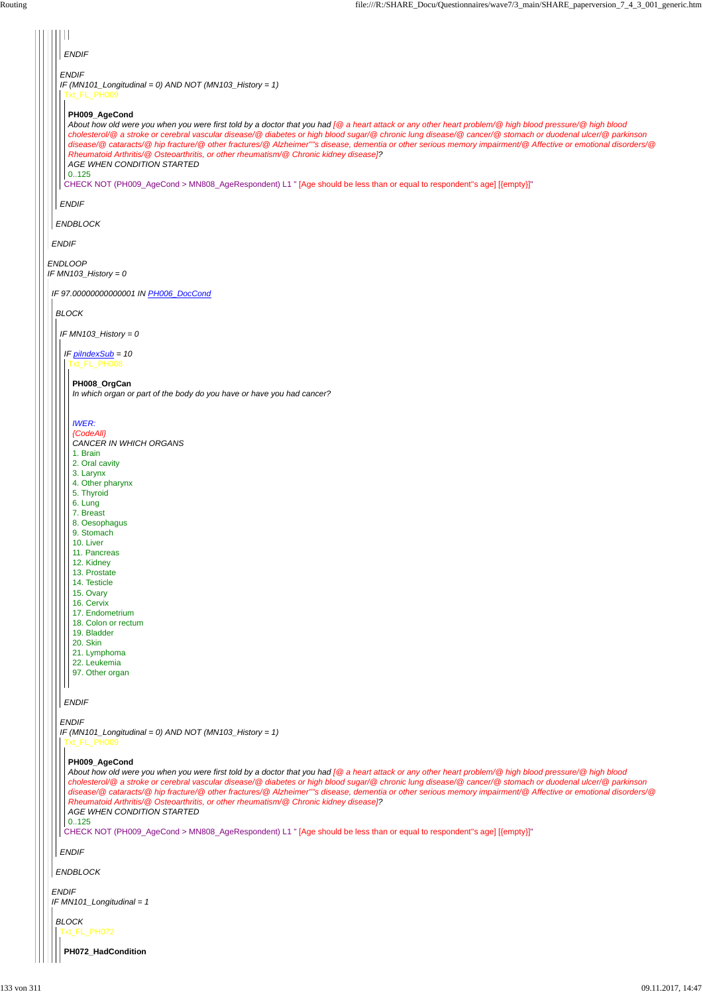| <b>ENDIF</b>                                                                                                                                                                                                                                                                                                                                                                                                                                                                                                                                                                                                                                                                                                                                                  |
|---------------------------------------------------------------------------------------------------------------------------------------------------------------------------------------------------------------------------------------------------------------------------------------------------------------------------------------------------------------------------------------------------------------------------------------------------------------------------------------------------------------------------------------------------------------------------------------------------------------------------------------------------------------------------------------------------------------------------------------------------------------|
| <b>ENDIF</b><br>IF (MN101_Longitudinal = 0) AND NOT (MN103_History = 1)<br>Txt_FL_PH009                                                                                                                                                                                                                                                                                                                                                                                                                                                                                                                                                                                                                                                                       |
| PH009_AgeCond<br>About how old were you when you were first told by a doctor that you had [@ a heart attack or any other heart problem/@ high blood pressure/@ high blood<br>cholesterol/@ a stroke or cerebral vascular disease/@ diabetes or high blood sugar/@ chronic lung disease/@ cancer/@ stomach or duodenal ulcer/@ parkinson<br>disease/@cataracts/@hip fracture/@other fractures/@Alzheimer""s disease, dementia or other serious memory impairment/@Affective or emotional disorders/@<br>Rheumatoid Arthritis/@ Osteoarthritis, or other rheumatism/@ Chronic kidney disease]?<br>AGE WHEN CONDITION STARTED<br>0.125<br>CHECK NOT (PH009_AgeCond > MN808_AgeRespondent) L1 " [Age should be less than or equal to respondent"s age] [{empty}]" |
| <b>ENDIF</b>                                                                                                                                                                                                                                                                                                                                                                                                                                                                                                                                                                                                                                                                                                                                                  |
| <b>ENDBLOCK</b>                                                                                                                                                                                                                                                                                                                                                                                                                                                                                                                                                                                                                                                                                                                                               |
| <b>ENDIF</b>                                                                                                                                                                                                                                                                                                                                                                                                                                                                                                                                                                                                                                                                                                                                                  |
| <b>ENDLOOP</b><br>IF MN103_History = 0                                                                                                                                                                                                                                                                                                                                                                                                                                                                                                                                                                                                                                                                                                                        |
| IF 97.00000000000001 IN PH006_DocCond                                                                                                                                                                                                                                                                                                                                                                                                                                                                                                                                                                                                                                                                                                                         |
| <b>BLOCK</b>                                                                                                                                                                                                                                                                                                                                                                                                                                                                                                                                                                                                                                                                                                                                                  |
|                                                                                                                                                                                                                                                                                                                                                                                                                                                                                                                                                                                                                                                                                                                                                               |
| IF MN103_History = 0                                                                                                                                                                                                                                                                                                                                                                                                                                                                                                                                                                                                                                                                                                                                          |
| IF pilndexSub = 10<br>FL PH008                                                                                                                                                                                                                                                                                                                                                                                                                                                                                                                                                                                                                                                                                                                                |
| PH008_OrgCan<br>In which organ or part of the body do you have or have you had cancer?                                                                                                                                                                                                                                                                                                                                                                                                                                                                                                                                                                                                                                                                        |
| <b>IWER:</b><br>{CodeAll}<br>CANCER IN WHICH ORGANS<br>1. Brain<br>2. Oral cavity<br>3. Larynx<br>4. Other pharynx<br>5. Thyroid<br>6. Lung<br>7. Breast<br>8. Oesophagus<br>9. Stomach<br>10. Liver<br>11. Pancreas<br>12. Kidney<br>13. Prostate<br>14. Testicle<br>15. Ovary<br>16. Cervix<br>17. Endometrium<br>18. Colon or rectum                                                                                                                                                                                                                                                                                                                                                                                                                       |
| 19. Bladder<br>20. Skin<br>21. Lymphoma<br>22. Leukemia<br>97. Other organ                                                                                                                                                                                                                                                                                                                                                                                                                                                                                                                                                                                                                                                                                    |
| <b>ENDIF</b>                                                                                                                                                                                                                                                                                                                                                                                                                                                                                                                                                                                                                                                                                                                                                  |
| <b>ENDIF</b>                                                                                                                                                                                                                                                                                                                                                                                                                                                                                                                                                                                                                                                                                                                                                  |
| IF (MN101_Longitudinal = 0) AND NOT (MN103_History = 1)                                                                                                                                                                                                                                                                                                                                                                                                                                                                                                                                                                                                                                                                                                       |

Txt\_FL\_PH009

```
ENDIF
IF MN101_Longitudinal = 1
ENDBLOCK
 ENDIF
 CHECK NOT (PH009_AgeCond > MN808_AgeRespondent) L1 " [Age should be less than or equal to respondent''s age] [{empty}]"
    PH009_AgeCond
    About how old were you when you were first told by a doctor that you had [@ a heart attack or any other heart problem/@ high blood pressure/@ high blood
    cholesterol/@ a stroke or cerebral vascular disease/@ diabetes or high blood sugar/@ chronic lung disease/@ cancer/@ stomach or duodenal ulcer/@ parkinson
    disease/@ cataracts/@ hip fracture/@ other fractures/@ Alzheimer''''s disease, dementia or other serious memory impairment/@ Affective or emotional disorders/@
   Rheumatoid Arthritis/@ Osteoarthritis, or other rheumatism/@ Chronic kidney disease]?
   AGE WHEN CONDITION STARTED
   0.125BLOCK
  Txt_FL_PH072
   PH072_HadCondition
```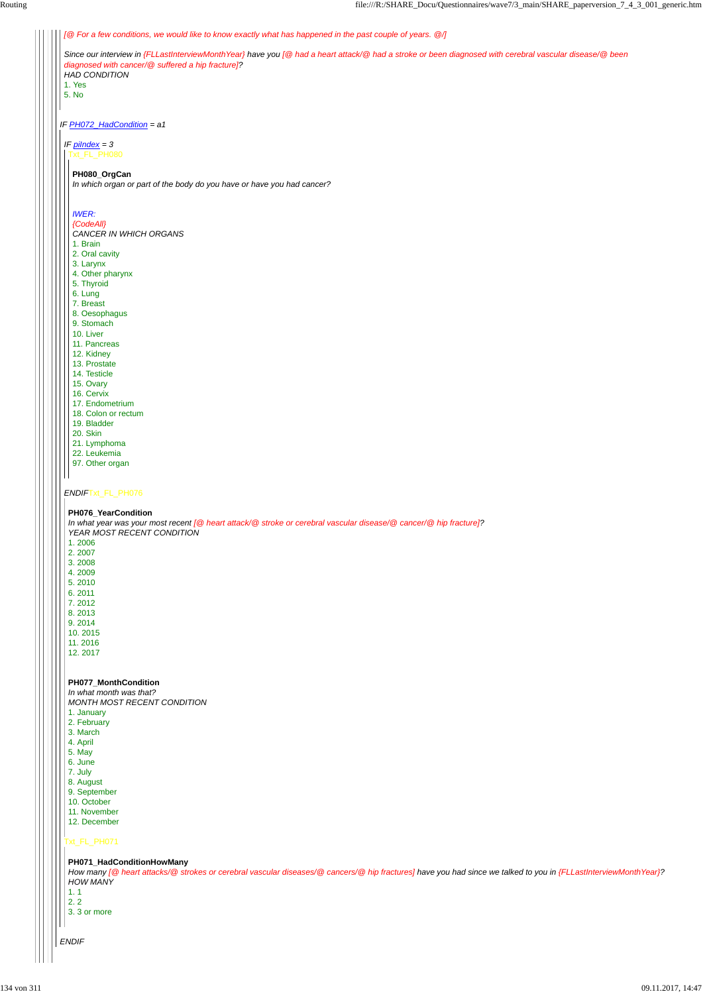| [@ For a few conditions, we would like to know exactly what has happened in the past couple of years. @/]                                                                                                    |
|--------------------------------------------------------------------------------------------------------------------------------------------------------------------------------------------------------------|
| Since our interview in {FLLastInterviewMonthYear} have you [@ had a heart attack/@ had a stroke or been diagnosed with cerebral vascular disease/@ been<br>diagnosed with cancer/@ suffered a hip fracture]? |
| <b>HAD CONDITION</b><br>1. Yes                                                                                                                                                                               |
| 5. No                                                                                                                                                                                                        |
|                                                                                                                                                                                                              |
| IF PH072_HadCondition = a1                                                                                                                                                                                   |
| IF $pilndex = 3$                                                                                                                                                                                             |
| Txt_FL_PH080                                                                                                                                                                                                 |
| PH080_OrgCan<br>In which organ or part of the body do you have or have you had cancer?                                                                                                                       |
| <b>IWER:</b>                                                                                                                                                                                                 |
| {CodeAll}                                                                                                                                                                                                    |
| CANCER IN WHICH ORGANS                                                                                                                                                                                       |
| 1. Brain                                                                                                                                                                                                     |
| 2. Oral cavity                                                                                                                                                                                               |
| 3. Larynx                                                                                                                                                                                                    |
| 4. Other pharynx                                                                                                                                                                                             |
| 5. Thyroid                                                                                                                                                                                                   |
| 6. Lung                                                                                                                                                                                                      |
| 7. Breast                                                                                                                                                                                                    |
| 8. Oesophagus                                                                                                                                                                                                |
| 9. Stomach<br>10. Liver                                                                                                                                                                                      |
| 11. Pancreas                                                                                                                                                                                                 |
| 12. Kidney                                                                                                                                                                                                   |
| 13. Prostate                                                                                                                                                                                                 |
| 14. Testicle                                                                                                                                                                                                 |
| 15. Ovary                                                                                                                                                                                                    |
| 16. Cervix                                                                                                                                                                                                   |
| 17. Endometrium                                                                                                                                                                                              |
| 18. Colon or rectum                                                                                                                                                                                          |
| 19. Bladder                                                                                                                                                                                                  |
| 20. Skin                                                                                                                                                                                                     |
| 21. Lymphoma                                                                                                                                                                                                 |
| 22. Leukemia                                                                                                                                                                                                 |
| 97. Other organ                                                                                                                                                                                              |
| ENDIFTxt_FL_PH076                                                                                                                                                                                            |
|                                                                                                                                                                                                              |
| PH076_YearCondition<br>In what year was your most recent [@ heart attack/@ stroke or cerebral vascular disease/@ cancer/@ hip fracture]?                                                                     |
| YEAR MOST RECENT CONDITION                                                                                                                                                                                   |
| 1.2006                                                                                                                                                                                                       |
| 2.2007                                                                                                                                                                                                       |
| 3.2008                                                                                                                                                                                                       |
| 4.2009                                                                                                                                                                                                       |
| 5.2010                                                                                                                                                                                                       |
| 6.2011                                                                                                                                                                                                       |
| 7.2012                                                                                                                                                                                                       |
| 8.2013                                                                                                                                                                                                       |
|                                                                                                                                                                                                              |
| 9.2014                                                                                                                                                                                                       |
| 10.2015                                                                                                                                                                                                      |
| 11.2016<br>12.2017                                                                                                                                                                                           |

|  | <b>J.</b> Martin                                                                                                                                                                                                                                              |
|--|---------------------------------------------------------------------------------------------------------------------------------------------------------------------------------------------------------------------------------------------------------------|
|  | 4. April                                                                                                                                                                                                                                                      |
|  | 5. May                                                                                                                                                                                                                                                        |
|  | 6. June                                                                                                                                                                                                                                                       |
|  |                                                                                                                                                                                                                                                               |
|  | 7. July                                                                                                                                                                                                                                                       |
|  | 8. August                                                                                                                                                                                                                                                     |
|  | 9. September                                                                                                                                                                                                                                                  |
|  | 10. October                                                                                                                                                                                                                                                   |
|  | 11. November                                                                                                                                                                                                                                                  |
|  | 12. December                                                                                                                                                                                                                                                  |
|  |                                                                                                                                                                                                                                                               |
|  | Txt_FL_PH071<br>PH071_HadConditionHowMany<br>How many [@ heart attacks/@ strokes or cerebral vascular diseases/@ cancers/@ hip fractures] have you had since we talked to you in {FLLastInterviewMonth Year}?<br><b>HOW MANY</b><br>1.1<br>2.2<br>3.3 or more |
|  | <b>ENDIF</b>                                                                                                                                                                                                                                                  |
|  |                                                                                                                                                                                                                                                               |
|  |                                                                                                                                                                                                                                                               |
|  |                                                                                                                                                                                                                                                               |

**PH077\_MonthCondition**

*In what month was that? MONTH MOST RECENT CONDITION*

1. January

2. February

- 3. March
-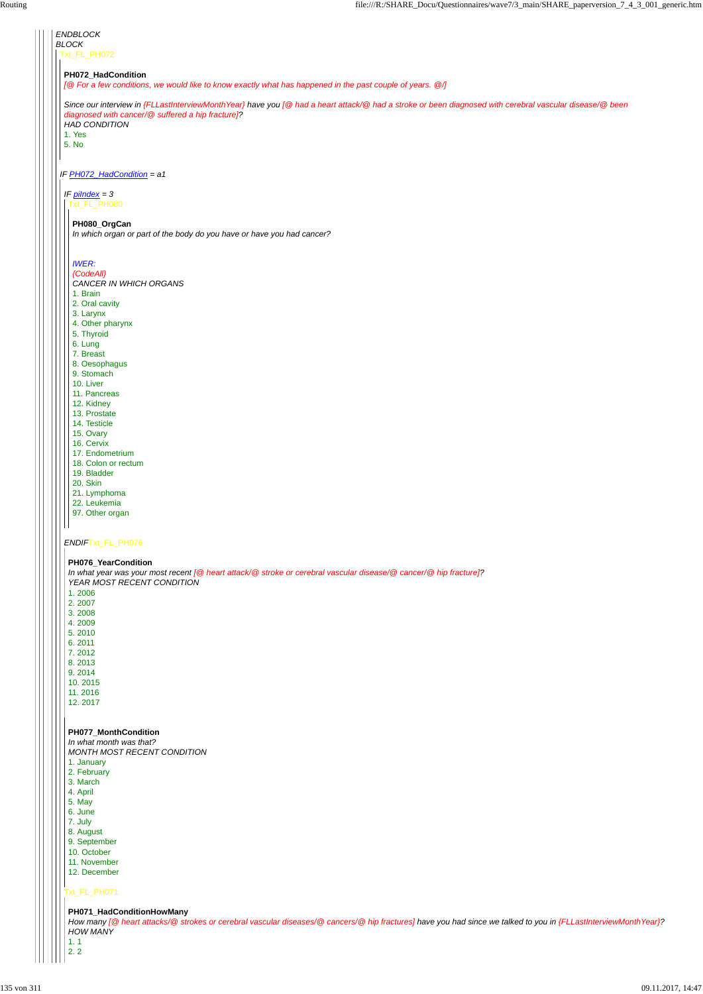| <b>ENDBLOCK</b>                                                                                                                                         |
|---------------------------------------------------------------------------------------------------------------------------------------------------------|
| <b>BLOCK</b>                                                                                                                                            |
| Txt_FL_PH072                                                                                                                                            |
|                                                                                                                                                         |
| PH072_HadCondition                                                                                                                                      |
| [@ For a few conditions, we would like to know exactly what has happened in the past couple of years. @/]                                               |
|                                                                                                                                                         |
| Since our interview in {FLLastInterviewMonthYear} have you [@ had a heart attack/@ had a stroke or been diagnosed with cerebral vascular disease/@ been |
| diagnosed with cancer/@ suffered a hip fracture]?                                                                                                       |
| <b>HAD CONDITION</b>                                                                                                                                    |
| 1. Yes                                                                                                                                                  |
| 5. No                                                                                                                                                   |
|                                                                                                                                                         |
|                                                                                                                                                         |
| IF PH072_HadCondition = a1                                                                                                                              |
|                                                                                                                                                         |
| IF $p$ <i>ilndex</i> = 3                                                                                                                                |
| Txt_FL_PH080                                                                                                                                            |
|                                                                                                                                                         |
| PH080_OrgCan                                                                                                                                            |
| In which organ or part of the body do you have or have you had cancer?                                                                                  |
|                                                                                                                                                         |
|                                                                                                                                                         |
| <b>IWER:</b>                                                                                                                                            |
| {CodeAll}                                                                                                                                               |
| CANCER IN WHICH ORGANS                                                                                                                                  |
| 1. Brain                                                                                                                                                |
| 2. Oral cavity                                                                                                                                          |
| 3. Larynx                                                                                                                                               |
| 4. Other pharynx                                                                                                                                        |
| 5. Thyroid                                                                                                                                              |
| 6. Lung                                                                                                                                                 |
| 7. Breast                                                                                                                                               |
| 8. Oesophagus                                                                                                                                           |
| 9. Stomach                                                                                                                                              |
| 10. Liver                                                                                                                                               |
| 11. Pancreas                                                                                                                                            |
| 12. Kidney                                                                                                                                              |
| 13. Prostate                                                                                                                                            |
| 14. Testicle                                                                                                                                            |
| 15. Ovary                                                                                                                                               |
| 16. Cervix                                                                                                                                              |
| 17. Endometrium                                                                                                                                         |
| 18. Colon or rectum                                                                                                                                     |
| 19. Bladder                                                                                                                                             |
| 20. Skin                                                                                                                                                |
| 21. Lymphoma                                                                                                                                            |
| 22. Leukemia                                                                                                                                            |
| 97. Other organ                                                                                                                                         |
|                                                                                                                                                         |
|                                                                                                                                                         |
| ENDIFTxt_FL_PH076                                                                                                                                       |
|                                                                                                                                                         |
| PH076_YearCondition                                                                                                                                     |
| In what year was your most recent [@ heart attack/@ stroke or cerebral vascular disease/@ cancer/@ hip fracture]?                                       |
| YEAR MOST RECENT CONDITION                                                                                                                              |
| 1.2006                                                                                                                                                  |
| 2.2007                                                                                                                                                  |
| 3.2008                                                                                                                                                  |
| 4.2009                                                                                                                                                  |
| 5.2010                                                                                                                                                  |
| 6.2011                                                                                                                                                  |
| 7.2012                                                                                                                                                  |
| 8.2013                                                                                                                                                  |
| 9.2014                                                                                                                                                  |
| 10.2015                                                                                                                                                 |
| 11.2016                                                                                                                                                 |
| 12.2017                                                                                                                                                 |
|                                                                                                                                                         |
|                                                                                                                                                         |
| PH077_MonthCondition                                                                                                                                    |
| In what month was that?                                                                                                                                 |
| <b>MONTH MOST RECENT CONDITION</b>                                                                                                                      |

*MONTH MOST RECENT CONDITION*  $\mathbf{H}$ 1. January 2. February 3. March 4. April 5. May 6. June 7. July 8. August 9. September 10. October 11. November 12. December Txt\_FL\_PH071 **PH071\_HadConditionHowMany** *How many [@ heart attacks/@ strokes or cerebral vascular diseases/@ cancers/@ hip fractures] have you had since we talked to you in {FLLastInterviewMonthYear}? HOW MANY* 1. 1 2. 2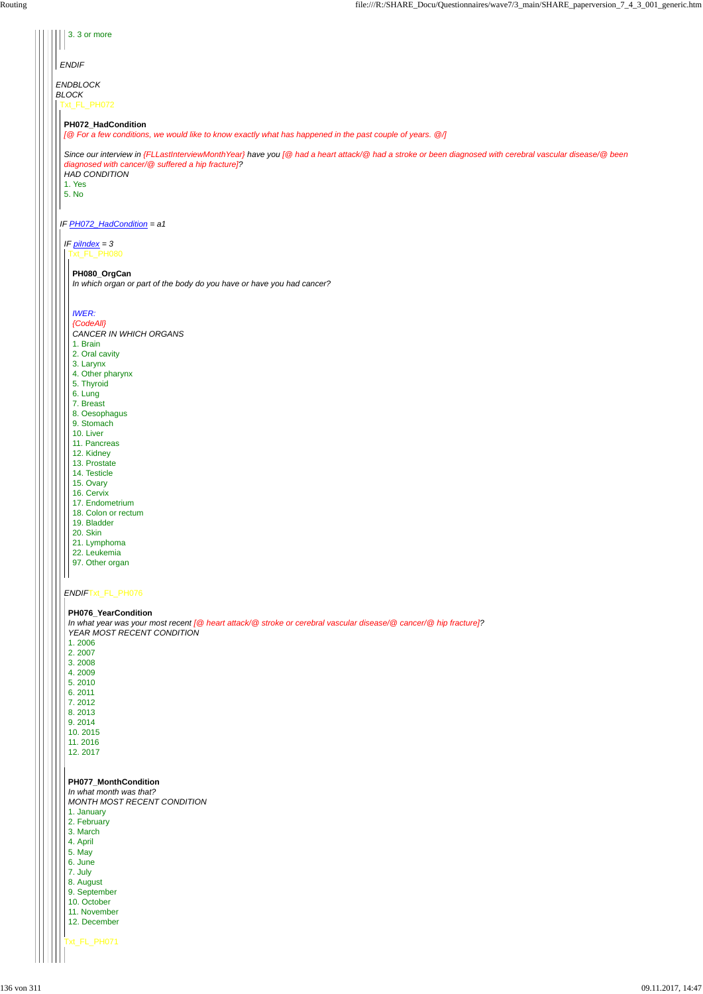| 3.3 or more                                                                                                                                                                                                  |
|--------------------------------------------------------------------------------------------------------------------------------------------------------------------------------------------------------------|
| <b>ENDIF</b>                                                                                                                                                                                                 |
| ENDBLOCK<br><b>BLOCK</b>                                                                                                                                                                                     |
| Txt_FL_PH072                                                                                                                                                                                                 |
| PH072_HadCondition<br>[@ For a few conditions, we would like to know exactly what has happened in the past couple of years. @/]                                                                              |
| Since our interview in {FLLastInterviewMonthYear} have you [@ had a heart attack/@ had a stroke or been diagnosed with cerebral vascular disease/@ been<br>diagnosed with cancer/@ suffered a hip fracture]? |
| <b>HAD CONDITION</b><br>1. Yes<br>5. No                                                                                                                                                                      |
|                                                                                                                                                                                                              |
| IF PH072_HadCondition = a1<br>IF $p$ <i>ilndex</i> = 3                                                                                                                                                       |
| Txt_FL_PH080                                                                                                                                                                                                 |
| PH080_OrgCan<br>In which organ or part of the body do you have or have you had cancer?                                                                                                                       |
| <b>IWER:</b>                                                                                                                                                                                                 |
| {CodeAll}<br>CANCER IN WHICH ORGANS                                                                                                                                                                          |
| 1. Brain<br>2. Oral cavity                                                                                                                                                                                   |
| 3. Larynx<br>4. Other pharynx                                                                                                                                                                                |
| 5. Thyroid<br>6. Lung                                                                                                                                                                                        |
| 7. Breast                                                                                                                                                                                                    |
| 8. Oesophagus<br>9. Stomach                                                                                                                                                                                  |
| 10. Liver                                                                                                                                                                                                    |
| 11. Pancreas                                                                                                                                                                                                 |
| 12. Kidney<br>13. Prostate                                                                                                                                                                                   |
| 14. Testicle                                                                                                                                                                                                 |
| 15. Ovary<br>16. Cervix                                                                                                                                                                                      |
| 17. Endometrium                                                                                                                                                                                              |
| 18. Colon or rectum<br>19. Bladder                                                                                                                                                                           |
| 20. Skin                                                                                                                                                                                                     |
| 21. Lymphoma<br>22. Leukemia                                                                                                                                                                                 |
| 97. Other organ                                                                                                                                                                                              |
| ENDIFTxt_FL_PH076                                                                                                                                                                                            |
| PH076_YearCondition                                                                                                                                                                                          |
| In what year was your most recent [@ heart attack/@ stroke or cerebral vascular disease/@ cancer/@ hip fracture]?<br>YEAR MOST RECENT CONDITION                                                              |
| 1.2006                                                                                                                                                                                                       |
| 2.2007<br>3.2008                                                                                                                                                                                             |
| 4.2009                                                                                                                                                                                                       |
| 5.2010                                                                                                                                                                                                       |
| 6.2011<br>7.2012                                                                                                                                                                                             |
| 8.2013                                                                                                                                                                                                       |
| 9.2014<br>10.2015                                                                                                                                                                                            |
| 11.2016                                                                                                                                                                                                      |
| 12.2017                                                                                                                                                                                                      |

Txt\_FL\_PH071 **PH077\_MonthCondition** *In what month was that? MONTH MOST RECENT CONDITION* 1. January 2. February 3. March 4. April 5. May 6. June 7. July 8. August 9. September 10. October 11. November 12. December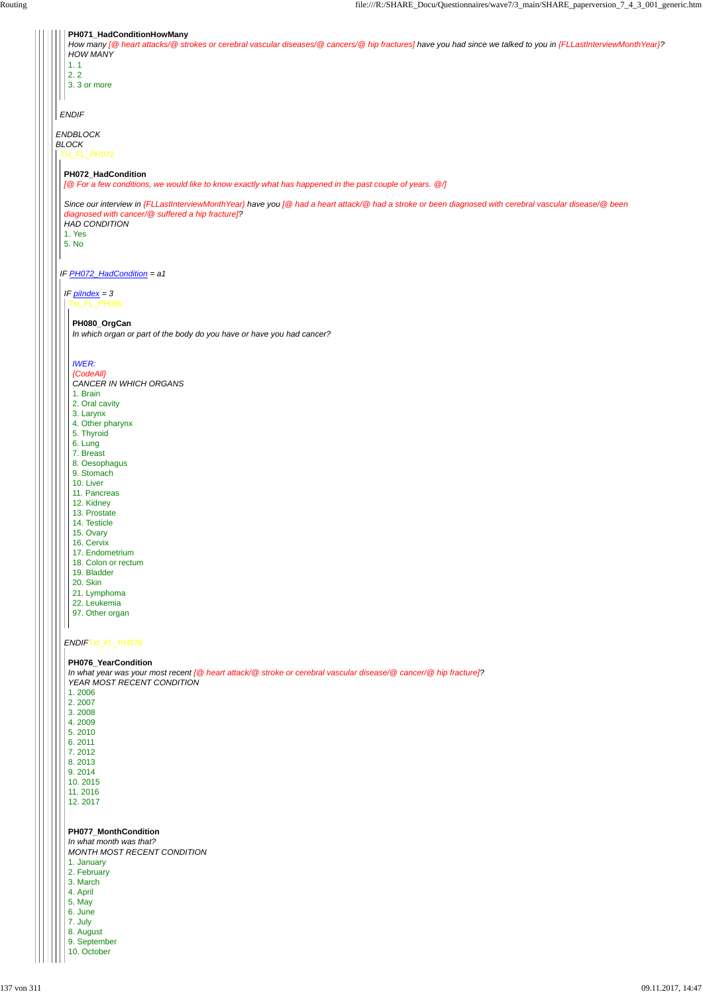| PH071_HadConditionHowMany                                                                                                                                       |
|-----------------------------------------------------------------------------------------------------------------------------------------------------------------|
| How many [@ heart attacks/@ strokes or cerebral vascular diseases/@ cancers/@ hip fractures] have you had since we talked to you in {FLLastInterviewMonthYear}? |
| <b>HOW MANY</b>                                                                                                                                                 |
| 1.1                                                                                                                                                             |
| 2.2                                                                                                                                                             |
| 3.3 or more                                                                                                                                                     |
|                                                                                                                                                                 |
|                                                                                                                                                                 |
| <b>ENDIF</b>                                                                                                                                                    |
| <b>ENDBLOCK</b>                                                                                                                                                 |
| <b>BLOCK</b>                                                                                                                                                    |
| Txt_FL_PH072                                                                                                                                                    |
|                                                                                                                                                                 |
| PH072_HadCondition                                                                                                                                              |
| [@ For a few conditions, we would like to know exactly what has happened in the past couple of years. @/]                                                       |
|                                                                                                                                                                 |
| Since our interview in {FLLastInterviewMonthYear} have you [@ had a heart attack/@ had a stroke or been diagnosed with cerebral vascular disease/@ been         |
| diagnosed with cancer/@ suffered a hip fracture]?                                                                                                               |
| <b>HAD CONDITION</b>                                                                                                                                            |
| 1. Yes                                                                                                                                                          |
| 5. No                                                                                                                                                           |
|                                                                                                                                                                 |
|                                                                                                                                                                 |
| IF PH072_HadCondition = a1                                                                                                                                      |
| IF $p$ <i>ilndex</i> = 3                                                                                                                                        |
| xt_FL_PH080                                                                                                                                                     |
|                                                                                                                                                                 |
| PH080_OrgCan                                                                                                                                                    |
| In which organ or part of the body do you have or have you had cancer?                                                                                          |
|                                                                                                                                                                 |
|                                                                                                                                                                 |
| <b>IWER:</b>                                                                                                                                                    |
| {CodeAll}                                                                                                                                                       |
| CANCER IN WHICH ORGANS                                                                                                                                          |
| 1. Brain                                                                                                                                                        |
| 2. Oral cavity                                                                                                                                                  |
| 3. Larynx                                                                                                                                                       |
| 4. Other pharynx                                                                                                                                                |
| 5. Thyroid                                                                                                                                                      |
| 6. Lung                                                                                                                                                         |
| 7. Breast                                                                                                                                                       |
| 8. Oesophagus                                                                                                                                                   |
| 9. Stomach                                                                                                                                                      |
| 10. Liver<br>11. Pancreas                                                                                                                                       |
| 12. Kidney                                                                                                                                                      |
| 13. Prostate                                                                                                                                                    |
| 14. Testicle                                                                                                                                                    |
| 15. Ovary                                                                                                                                                       |
| 16. Cervix                                                                                                                                                      |
| 17. Endometrium                                                                                                                                                 |
| 18. Colon or rectum                                                                                                                                             |
| 19. Bladder                                                                                                                                                     |
| <b>20. Skin</b>                                                                                                                                                 |
| 21. Lymphoma                                                                                                                                                    |
| 22. Leukemia                                                                                                                                                    |
| 97. Other organ                                                                                                                                                 |
|                                                                                                                                                                 |
|                                                                                                                                                                 |
| ENDIFTxt_FL_PH076                                                                                                                                               |
|                                                                                                                                                                 |
| PH076_YearCondition<br>In what year was your most recent [@ heart attack/@ stroke or cerebral vascular disease/@ cancer/@ hip fracture]?                        |
| YEAR MOST RECENT CONDITION                                                                                                                                      |
| 1.2006                                                                                                                                                          |
|                                                                                                                                                                 |

- 2. 2007
- 3. 2008
- 4. 2009
- 5. 2010
- 
- 
- 6. 2011
- 

| 7.2012                             |
|------------------------------------|
| 8.2013                             |
| 9.2014                             |
| 10.2015                            |
| 11.2016                            |
| 12.2017                            |
|                                    |
|                                    |
| <b>PH077 MonthCondition</b>        |
| In what month was that?            |
|                                    |
| <b>MONTH MOST RECENT CONDITION</b> |
| 1. January                         |
| 2. February                        |
| 3. March                           |
| 4. April                           |
| 5. May                             |
| 6. June                            |
| 7. July                            |
| 8. August                          |
|                                    |
| 9. September                       |
| 10. October                        |
|                                    |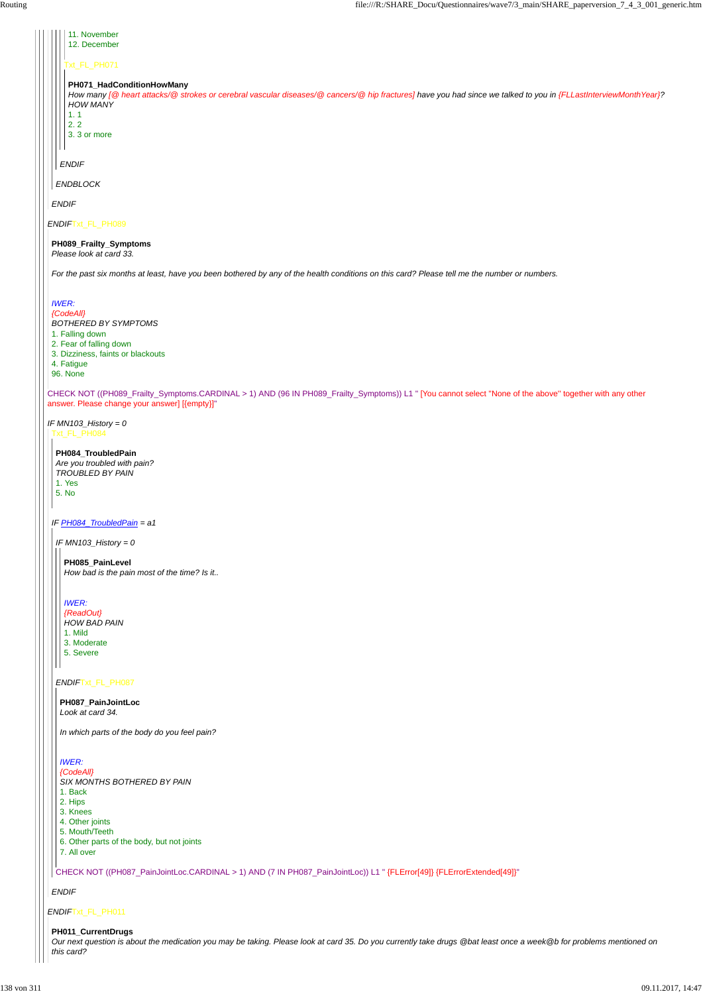| 11. November<br>12. December                                                                                                                                                                                                                 |  |
|----------------------------------------------------------------------------------------------------------------------------------------------------------------------------------------------------------------------------------------------|--|
| Txt_FL_PH071                                                                                                                                                                                                                                 |  |
| PH071_HadConditionHowMany<br>How many [@ heart attacks/@ strokes or cerebral vascular diseases/@ cancers/@ hip fractures] have you had since we talked to you in {FLLastInterviewMonthYear}?<br><b>HOW MANY</b><br>1.1<br>2.2<br>3.3 or more |  |
| <b>ENDIF</b>                                                                                                                                                                                                                                 |  |
| ENDBLOCK                                                                                                                                                                                                                                     |  |
| <b>ENDIF</b>                                                                                                                                                                                                                                 |  |
| ENDIFTxt_FL_PH089                                                                                                                                                                                                                            |  |
| PH089_Frailty_Symptoms<br>Please look at card 33.                                                                                                                                                                                            |  |
| For the past six months at least, have you been bothered by any of the health conditions on this card? Please tell me the number or numbers.                                                                                                 |  |
| <b>IWER:</b><br>{CodeAll}<br><b>BOTHERED BY SYMPTOMS</b><br>1. Falling down<br>2. Fear of falling down<br>3. Dizziness, faints or blackouts<br>4. Fatigue<br>96. None                                                                        |  |
| CHECK NOT ((PH089_Frailty_Symptoms.CARDINAL > 1) AND (96 IN PH089_Frailty_Symptoms)) L1 " [You cannot select "None of the above" together with any other<br>answer. Please change your answer] [{empty}]"                                    |  |
| IF $MN103$ _History = 0<br>Txt_FL_PH084                                                                                                                                                                                                      |  |
| PH084_TroubledPain<br>Are you troubled with pain?<br><b>TROUBLED BY PAIN</b><br>1. Yes<br>5. No                                                                                                                                              |  |
| IF PH084_TroubledPain = a1                                                                                                                                                                                                                   |  |
| IF MN103_History = $0$                                                                                                                                                                                                                       |  |
| PH085_PainLevel<br>How bad is the pain most of the time? Is it                                                                                                                                                                               |  |
| <b>IWER:</b><br>{ReadOut}<br><b>HOW BAD PAIN</b><br>1. Mild<br>3. Moderate<br>5. Severe                                                                                                                                                      |  |
| ENDIFTxt_FL_PH087                                                                                                                                                                                                                            |  |
| PH087_PainJointLoc<br>Look at card 34.                                                                                                                                                                                                       |  |

|  | <b>IWER:</b>                                                                                                          |
|--|-----------------------------------------------------------------------------------------------------------------------|
|  | {CodeAll}                                                                                                             |
|  | SIX MONTHS BOTHERED BY PAIN                                                                                           |
|  | 1. Back                                                                                                               |
|  | 2. Hips                                                                                                               |
|  | 3. Knees                                                                                                              |
|  | 4. Other joints                                                                                                       |
|  | 5. Mouth/Teeth                                                                                                        |
|  | 6. Other parts of the body, but not joints                                                                            |
|  | 7. All over                                                                                                           |
|  | CHECK NOT ((PH087_PainJointLoc.CARDINAL > 1) AND (7 IN PH087_PainJointLoc)) L1 " {FLError[49]} {FLErrorExtended[49]}" |
|  |                                                                                                                       |
|  | <b>ENDIF</b>                                                                                                          |
|  |                                                                                                                       |
|  | ENDIFTxt_FL_PH011                                                                                                     |
|  | PH011_CurrentDrugs                                                                                                    |

*In which parts of the body do you feel pain?*

*Our next question is about the medication you may be taking. Please look at card 35. Do you currently take drugs @bat least once a week@b for problems mentioned on this card?*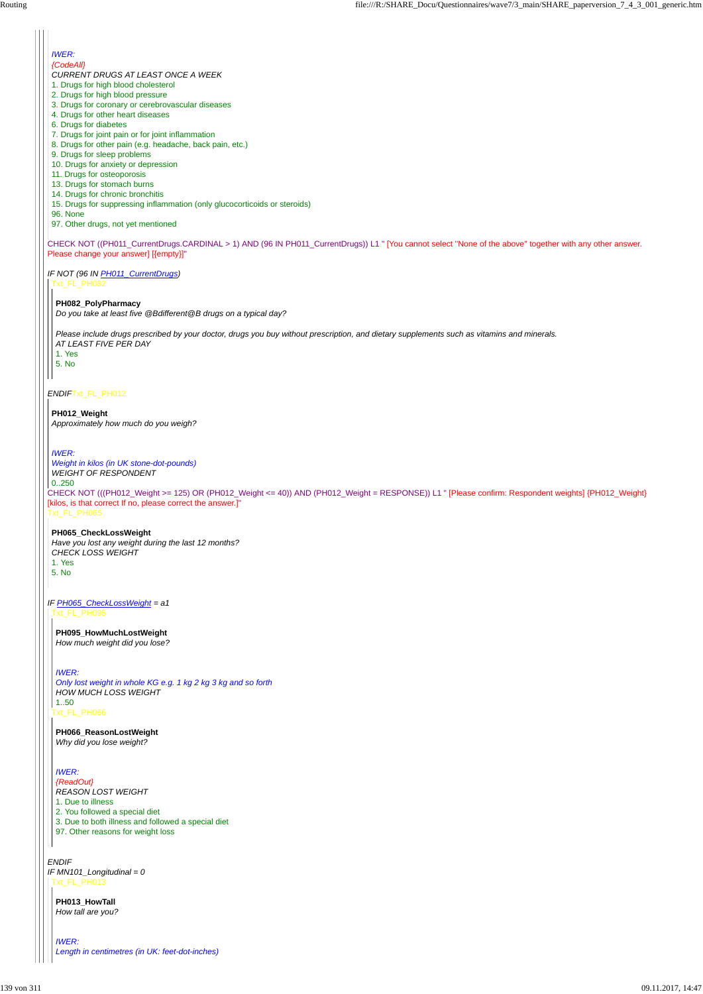CHECK NOT (((PH012\_Weight >= 125) OR (PH012\_Weight <= 40)) AND (PH012\_Weight = RESPONSE)) L1 " [Please confirm: Respondent weights] {PH012\_Weight} [kilos, is that correct If no, please correct the answer.]"

*ENDIF*Txt\_FL\_PH012

Txt\_FL\_PH065

#### *IWER:*

*{CodeAll}*

*CURRENT DRUGS AT LEAST ONCE A WEEK*

*IF NOT (96 IN PH011\_CurrentDrugs)* Txt\_FL\_PH082

- 1. Drugs for high blood cholesterol
- 2. Drugs for high blood pressure
- 3. Drugs for coronary or cerebrovascular diseases
- 4. Drugs for other heart diseases
- 6. Drugs for diabetes
- 7. Drugs for joint pain or for joint inflammation
- 8. Drugs for other pain (e.g. headache, back pain, etc.)
- 9. Drugs for sleep problems
- 10. Drugs for anxiety or depression
- 11. Drugs for osteoporosis
- 13. Drugs for stomach burns
- 14. Drugs for chronic bronchitis
- 15. Drugs for suppressing inflammation (only glucocorticoids or steroids)
- 96. None
- 97. Other drugs, not yet mentioned

CHECK NOT ((PH011\_CurrentDrugs.CARDINAL > 1) AND (96 IN PH011\_CurrentDrugs)) L1 " [You cannot select ''None of the above'' together with any other answer. Please change your answer] [{empty}]"

*IF PH065\_CheckLossWeight = a1* Txt\_FL\_PH095

#### **PH082\_PolyPharmacy**

*Do you take at least five @Bdifferent@B drugs on a typical day?*

*ENDIF IF MN101\_Longitudinal = 0* Txt\_FL\_PH013

*Please include drugs prescribed by your doctor, drugs you buy without prescription, and dietary supplements such as vitamins and minerals. AT LEAST FIVE PER DAY*

- 1. Yes
- 5. No

#### **PH012\_Weight**

*Approximately how much do you weigh?*

#### *IWER:*

*Weight in kilos (in UK stone-dot-pounds) WEIGHT OF RESPONDENT*

0..250

#### **PH065\_CheckLossWeight**

*Have you lost any weight during the last 12 months? CHECK LOSS WEIGHT* 1. Yes 5. No

Txt\_FL\_PH066

**PH095\_HowMuchLostWeight** *How much weight did you lose?*

*IWER:*

*Only lost weight in whole KG e.g. 1 kg 2 kg 3 kg and so forth HOW MUCH LOSS WEIGHT* 1..50

**PH066\_ReasonLostWeight** *Why did you lose weight?*

#### *IWER:*

*{ReadOut} REASON LOST WEIGHT*

1. Due to illness

2. You followed a special diet

3. Due to both illness and followed a special diet

97. Other reasons for weight loss

**PH013\_HowTall** *How tall are you?*

*IWER: Length in centimetres (in UK: feet-dot-inches)*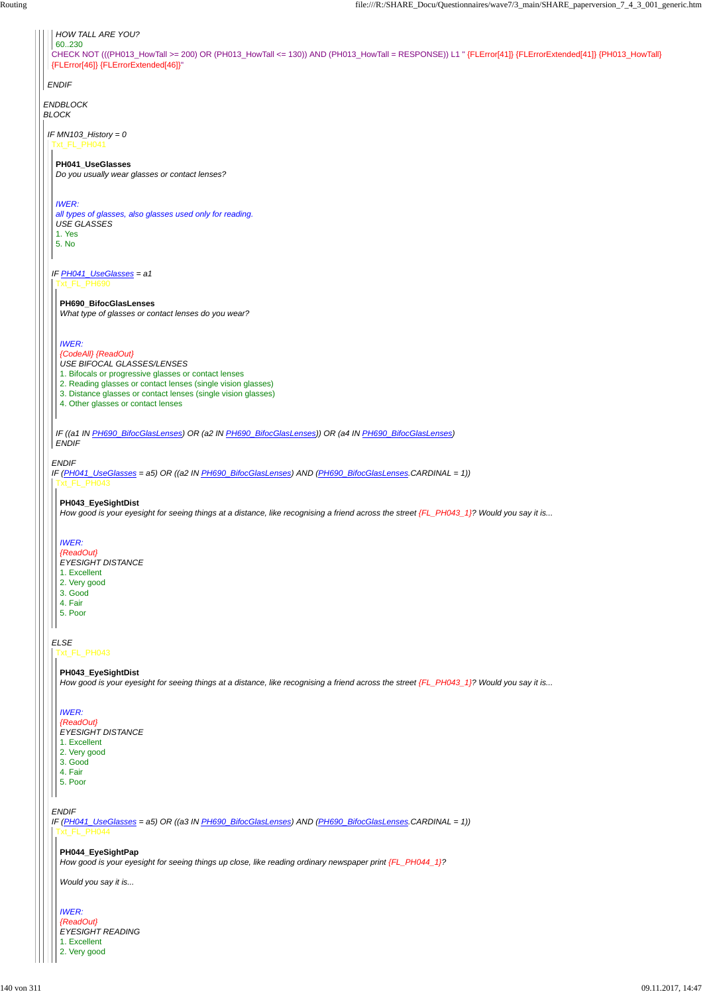*ENDBLOCK BLOCK*

*ENDIF*

CHECK NOT (((PH013\_HowTall >= 200) OR (PH013\_HowTall <= 130)) AND (PH013\_HowTall = RESPONSE)) L1 " {FLError[41]} {FLErrorExtended[41]} {PH013\_HowTall} {FLError[46]} {FLErrorExtended[46]}" 60..230

## *HOW TALL ARE YOU?*

*IF MN103\_History = 0* Txt\_FL\_PH041

*IF PH041\_UseGlasses = a1*

#### *ENDIF*

*ELSE*

#### **PH041\_UseGlasses**

*Do you usually wear glasses or contact lenses?*

*IWER:*

*all types of glasses, also glasses used only for reading. USE GLASSES* 1. Yes

5. No

Txt\_FL\_PH690

*IF (PH041\_UseGlasses = a5) OR ((a2 IN PH690\_BifocGlasLenses) AND (PH690\_BifocGlasLenses.CARDINAL = 1))* Txt\_FL\_PH043

*IF ((a1 IN PH690\_BifocGlasLenses) OR (a2 IN PH690\_BifocGlasLenses)) OR (a4 IN PH690\_BifocGlasLenses) ENDIF*

**PH690\_BifocGlasLenses**

*What type of glasses or contact lenses do you wear?*

#### *IWER:*

*{CodeAll} {ReadOut}*

*USE BIFOCAL GLASSES/LENSES*

- 1. Bifocals or progressive glasses or contact lenses
- 2. Reading glasses or contact lenses (single vision glasses)
- 3. Distance glasses or contact lenses (single vision glasses)
- 4. Other glasses or contact lenses

*ENDIF IF (PH041\_UseGlasses = a5) OR ((a3 IN PH690\_BifocGlasLenses) AND (PH690\_BifocGlasLenses.CARDINAL = 1))* 1. Excellent 2. Very good 3. Good 4. Fair 5. Poor Txt\_FL\_PH044 **PH044\_EyeSightPap** *How good is your eyesight for seeing things up close, like reading ordinary newspaper print {FL\_PH044\_1}? Would you say it is... IWER: {ReadOut} EYESIGHT READING* 1. Excellent 2. Very good

#### **PH043\_EyeSightDist**

*How good is your eyesight for seeing things at a distance, like recognising a friend across the street {FL\_PH043\_1}? Would you say it is...*

#### *IWER:*

*{ReadOut}*

- *EYESIGHT DISTANCE*
- 1. Excellent
- 2. Very good
- 3. Good
- 4. Fair 5. Poor
- 

#### Txt\_FL\_PH043

#### **PH043\_EyeSightDist**

*How good is your eyesight for seeing things at a distance, like recognising a friend across the street {FL\_PH043\_1}? Would you say it is...*

*IWER:*

*{ReadOut} EYESIGHT DISTANCE*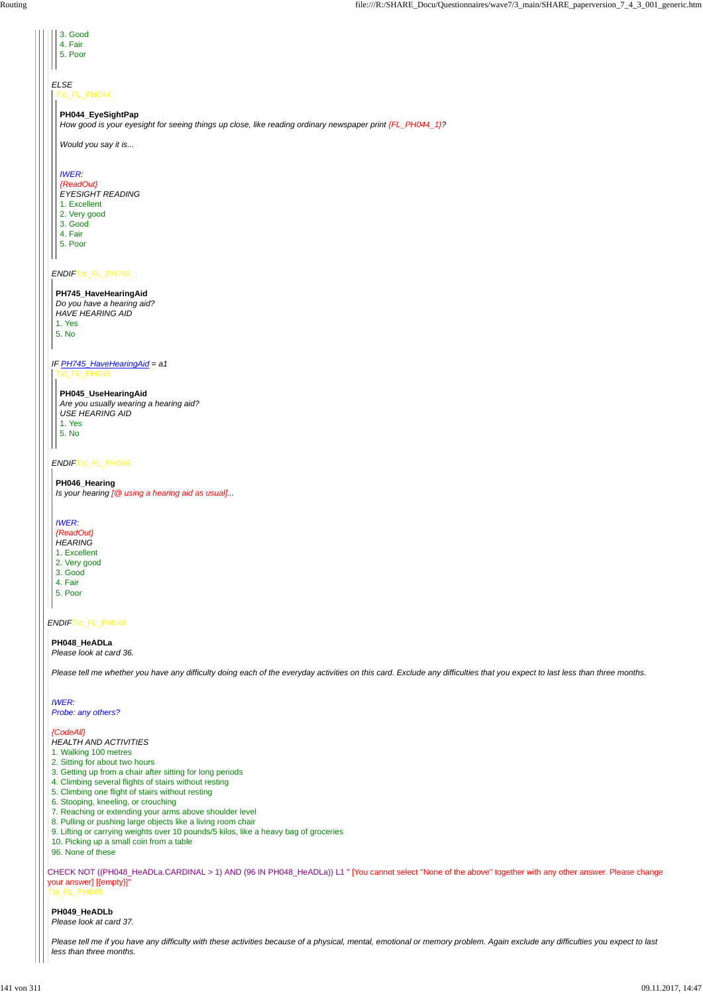#### *ENDIF*Txt\_FL\_PH048

CHECK NOT ((PH048\_HeADLa.CARDINAL > 1) AND (96 IN PH048\_HeADLa)) L1 " [You cannot select ''None of the above'' together with any other answer. Please change your answer] [{empty}]" Txt\_FL\_PH049

#### *ENDIF*Txt\_FL\_PH745

#### *ENDIF*Txt\_FL\_PH046

- 1. Excellent
- 2. Very good
- 3. Good
- 4. Fair
- 5. Poor

| 3. Good                                                                                                   |
|-----------------------------------------------------------------------------------------------------------|
| 4. Fair                                                                                                   |
| 5. Poor                                                                                                   |
|                                                                                                           |
|                                                                                                           |
| <b>ELSE</b>                                                                                               |
| Txt_FL_PH044                                                                                              |
|                                                                                                           |
| PH044_EyeSightPap                                                                                         |
| How good is your eyesight for seeing things up close, like reading ordinary newspaper print {FL_PH044_1}? |
|                                                                                                           |
| Would you say it is                                                                                       |
|                                                                                                           |
|                                                                                                           |
| <b>IWER:</b>                                                                                              |
| {ReadOut}                                                                                                 |
| <b>EYESIGHT READING</b>                                                                                   |
|                                                                                                           |

#### **PH745\_HaveHearingAid**

- *Do you have a hearing aid? HAVE HEARING AID* 1. Yes 5. No
- *IF PH745\_HaveHearingAid = a1* Txt\_FL\_PH045

#### **PH045\_UseHearingAid**

*Are you usually wearing a hearing aid? USE HEARING AID* 1. Yes 5. No

#### **PH046\_Hearing**

*Is your hearing [@ using a hearing aid as usual]...*

#### *IWER:*

*{ReadOut}*

- *HEARING*
- 1. Excellent 2. Very good
- 3. Good
- 4. Fair
- 5. Poor
- 

### **PH048\_HeADLa**

*Please look at card 36.*

*Please tell me whether you have any difficulty doing each of the everyday activities on this card. Exclude any difficulties that you expect to last less than three months.*

*IWER: Probe: any others?*

*{CodeAll} HEALTH AND ACTIVITIES*

1. Walking 100 metres

2. Sitting for about two hours

3. Getting up from a chair after sitting for long periods

4. Climbing several flights of stairs without resting

5. Climbing one flight of stairs without resting

6. Stooping, kneeling, or crouching

7. Reaching or extending your arms above shoulder level

8. Pulling or pushing large objects like a living room chair

9. Lifting or carrying weights over 10 pounds/5 kilos, like a heavy bag of groceries

10. Picking up a small coin from a table

96. None of these

**PH049\_HeADLb**

*Please look at card 37.*

*Please tell me if you have any difficulty with these activities because of a physical, mental, emotional or memory problem. Again exclude any difficulties you expect to last less than three months.*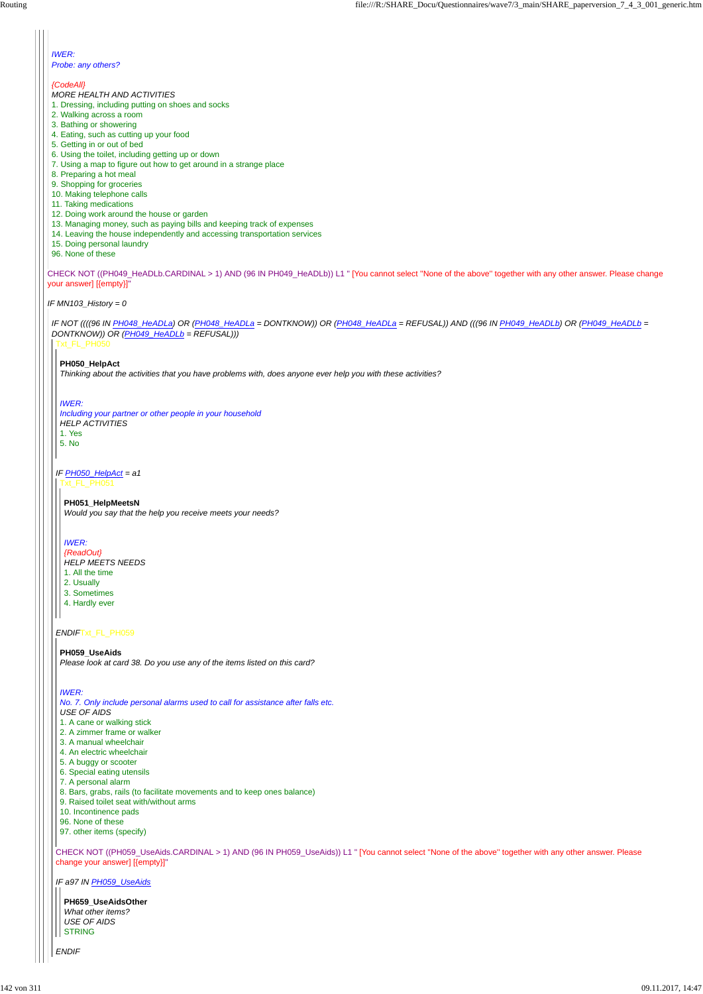CHECK NOT ((PH049\_HeADLb.CARDINAL > 1) AND (96 IN PH049\_HeADLb)) L1 " [You cannot select ''None of the above'' together with any other answer. Please change your answer] [{empty}]"

*IF MN103\_History = 0*

#### *IWER: Probe: any others?*

*{CodeAll} MORE HEALTH AND ACTIVITIES*

- 1. Dressing, including putting on shoes and socks
- 2. Walking across a room
- 3. Bathing or showering
- 4. Eating, such as cutting up your food
- 5. Getting in or out of bed
- 6. Using the toilet, including getting up or down
- 7. Using a map to figure out how to get around in a strange place
- 8. Preparing a hot meal
- 9. Shopping for groceries
- 10. Making telephone calls
- 11. Taking medications
- 12. Doing work around the house or garden
- 13. Managing money, such as paying bills and keeping track of expenses
- 14. Leaving the house independently and accessing transportation services
- 15. Doing personal laundry
- 96. None of these

*IF NOT ((((96 IN PH048\_HeADLa) OR (PH048\_HeADLa = DONTKNOW)) OR (PH048\_HeADLa = REFUSAL)) AND (((96 IN PH049\_HeADLb) OR (PH049\_HeADLb = DONTKNOW)) OR (PH049\_HeADLb = REFUSAL)))* Txt\_FL\_PH050

*IF PH050\_HelpAct = a1*

*ENDIF*Txt\_FL\_PH059

**PH659\_UseAidsOther** *What other items? USE OF AIDS* **STRING** 

CHECK NOT ((PH059\_UseAids.CARDINAL > 1) AND (96 IN PH059\_UseAids)) L1 " [You cannot select ''None of the above'' together with any other answer. Please change your answer] [{empty}]"

*IF a97 IN PH059\_UseAids*

*ENDIF*

#### **PH050\_HelpAct**

*Thinking about the activities that you have problems with, does anyone ever help you with these activities?*

#### *IWER:*

*Including your partner or other people in your household HELP ACTIVITIES* 1. Yes 5. No

Txt\_FL\_PH051

**PH051\_HelpMeetsN**

*Would you say that the help you receive meets your needs?*

#### *IWER:*

- *{ReadOut}*
- *HELP MEETS NEEDS*
- 1. All the time
- 2. Usually
- 3. Sometimes
- 4. Hardly ever

#### **PH059\_UseAids**

*Please look at card 38. Do you use any of the items listed on this card?*

#### *IWER:*

*No. 7. Only include personal alarms used to call for assistance after falls etc. USE OF AIDS* 1. A cane or walking stick

- 2. A zimmer frame or walker
- 3. A manual wheelchair
- 
- 4. An electric wheelchair
- 5. A buggy or scooter
- 6. Special eating utensils
- 7. A personal alarm
- 8. Bars, grabs, rails (to facilitate movements and to keep ones balance)
- 9. Raised toilet seat with/without arms
- 10. Incontinence pads
- 96. None of these
- 97. other items (specify)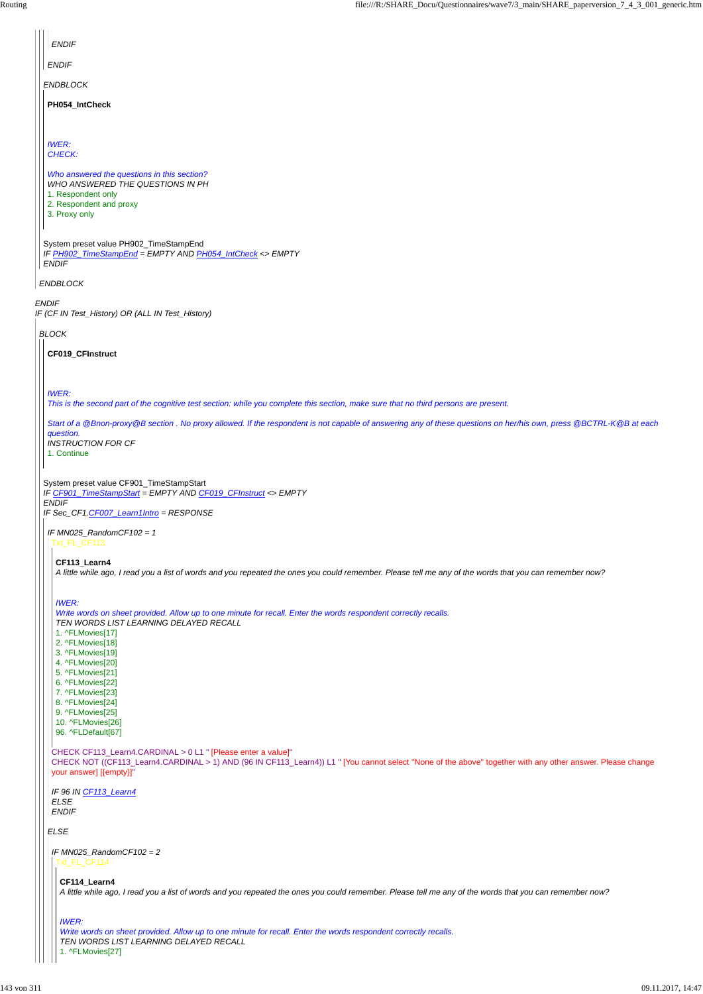| <b>ENDIF</b>                                                                                                                                                                    |
|---------------------------------------------------------------------------------------------------------------------------------------------------------------------------------|
| <b>ENDIF</b>                                                                                                                                                                    |
| <b>ENDBLOCK</b>                                                                                                                                                                 |
| PH054_IntCheck                                                                                                                                                                  |
|                                                                                                                                                                                 |
| <b>IWER:</b>                                                                                                                                                                    |
| CHECK:                                                                                                                                                                          |
| Who answered the questions in this section?<br>WHO ANSWERED THE QUESTIONS IN PH                                                                                                 |
| 1. Respondent only<br>2. Respondent and proxy                                                                                                                                   |
| 3. Proxy only                                                                                                                                                                   |
| System preset value PH902_TimeStampEnd                                                                                                                                          |
| IF PH902_TimeStampEnd = EMPTY AND PH054_IntCheck <> EMPTY                                                                                                                       |
| <b>ENDIF</b>                                                                                                                                                                    |
| <b>ENDBLOCK</b>                                                                                                                                                                 |
| <b>ENDIF</b><br>IF (CF IN Test_History) OR (ALL IN Test_History)                                                                                                                |
| <b>BLOCK</b>                                                                                                                                                                    |
| CF019_CFInstruct                                                                                                                                                                |
|                                                                                                                                                                                 |
| <b>IWER:</b>                                                                                                                                                                    |
| This is the second part of the cognitive test section: while you complete this section, make sure that no third persons are present.                                            |
| Start of a @Bnon-proxy@B section . No proxy allowed. If the respondent is not capable of answering any of these questions on her/his own, press @BCTRL-K@B at each<br>question. |
| <b>INSTRUCTION FOR CF</b><br>1. Continue                                                                                                                                        |
|                                                                                                                                                                                 |
| System preset value CF901_TimeStampStart<br>IF CF901 TimeStampStart = EMPTY AND CF019 CFInstruct <> EMPTY                                                                       |
| <b>ENDIF</b><br>IF Sec_CF1.CF007_Learn1Intro = RESPONSE                                                                                                                         |
| IF MN025_RandomCF102 = 1                                                                                                                                                        |
| Txt_FL_CF113                                                                                                                                                                    |
| CF113_Learn4<br>A little while ago, I read you a list of words and you repeated the ones you could remember. Please tell me any of the words that you can remember now?         |
|                                                                                                                                                                                 |
| <b>IWER:</b><br>Write words on sheet provided. Allow up to one minute for recall. Enter the words respondent correctly recalls.                                                 |
| TEN WORDS LIST LEARNING DELAYED RECALL                                                                                                                                          |
| 1. ^FLMovies[17]<br>2. ^FLMovies[18]                                                                                                                                            |
| 3. ^FLMovies[19]<br>4. ^FLMovies[20]                                                                                                                                            |
| 5. ^FLMovies[21]<br>6. ^FLMovies[22]                                                                                                                                            |
| 7. ^FLMovies[23]<br>8. ^FLMovies[24]                                                                                                                                            |
| 9. ^FLMovies[25]<br>10. ^FLMovies[26]                                                                                                                                           |
| 96. ^FLDefault[67]                                                                                                                                                              |
| CHECK CF113 Learn4.CARDINAL > 0 L1 " [Please enter a value]"                                                                                                                    |

*ELSE* CHECK NOT ((CF113\_Learn4.CARDINAL > 1) AND (96 IN CF113\_Learn4)) L1 " [You cannot select ''None of the above'' together with any other answer. Please change your answer] [{empty}]" *IF 96 IN CF113\_Learn4 ELSE ENDIF IF MN025\_RandomCF102 = 2* Txt\_FL\_CF114 **CF114\_Learn4** *A little while ago, I read you a list of words and you repeated the ones you could remember. Please tell me any of the words that you can remember now? IWER: Write words on sheet provided. Allow up to one minute for recall. Enter the words respondent correctly recalls. TEN WORDS LIST LEARNING DELAYED RECALL* 1. ^FLMovies[27]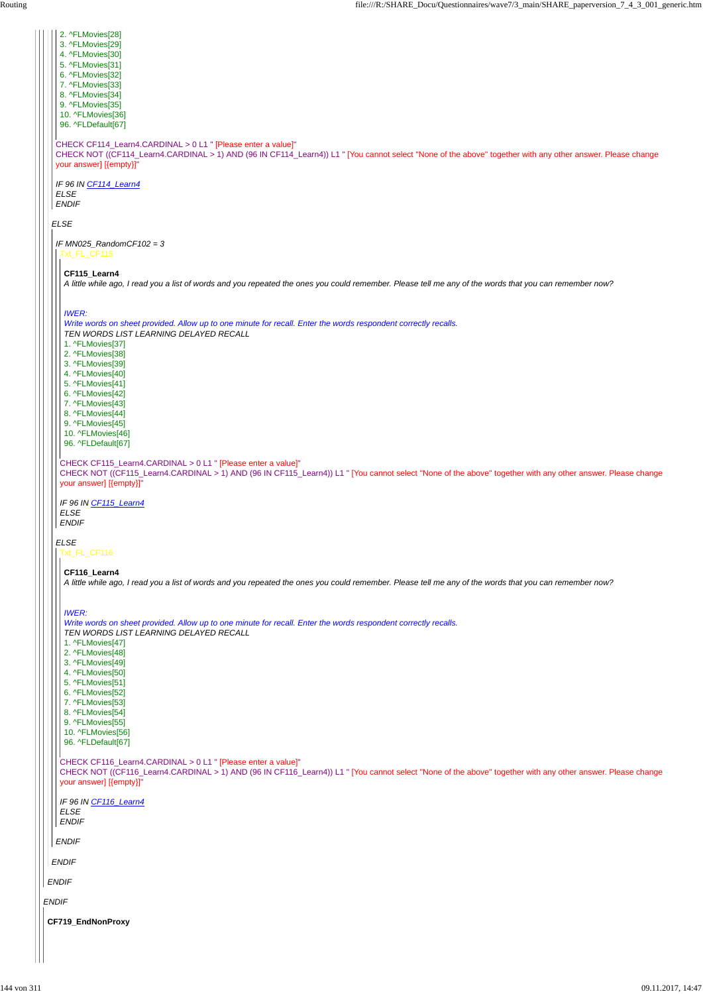*ENDIF*

*ELSE* CHECK CF114\_Learn4.CARDINAL > 0 L1 " [Please enter a value]" CHECK NOT ((CF114\_Learn4.CARDINAL > 1) AND (96 IN CF114\_Learn4)) L1 " [You cannot select ''None of the above'' together with any other answer. Please change your answer] [{empty}]" *IF 96 IN CF114\_Learn4 ELSE ENDIF* 2. ^FLMovies[28] 3. ^FLMovies[29] 4. ^FLMovies[30] 5. ^FLMovies[31] 6. ^FLMovies[32] 7. ^FLMovies[33] 8. ^FLMovies[34] 9. ^FLMovies[35] 10. ^FLMovies[36] 96. ^FLDefault[67] *IF MN025\_RandomCF102 = 3 ELSE* CHECK CF115\_Learn4.CARDINAL > 0 L1 " [Please enter a value]" CHECK NOT ((CF115\_Learn4.CARDINAL > 1) AND (96 IN CF115\_Learn4)) L1 " [You cannot select ''None of the above'' together with any other answer. Please change your answer] [{empty}]" *IF 96 IN CF115\_Learn4 ELSE ENDIF* **CF115\_Learn4** *A little while ago, I read you a list of words and you repeated the ones you could remember. Please tell me any of the words that you can remember now? IWER: Write words on sheet provided. Allow up to one minute for recall. Enter the words respondent correctly recalls. TEN WORDS LIST LEARNING DELAYED RECALL* 1. ^FLMovies[37] 2. ^FLMovies[38] 3. ^FLMovies[39] 4. ^FLMovies[40] 5. ^FLMovies[41] 6. ^FLMovies[42] 7. ^FLMovies[43] 8. ^FLMovies[44] 9. ^FLMovies[45] 10. ^FLMovies[46] 96. ^FLDefault[67] Txt\_FL\_CF116 **CF116\_Learn4** *A little while ago, I read you a list of words and you repeated the ones you could remember. Please tell me any of the words that you can remember now? IWER: Write words on sheet provided. Allow up to one minute for recall. Enter the words respondent correctly recalls. TEN WORDS LIST LEARNING DELAYED RECALL* 1. ^FLMovies[47] 2. ^FLMovies[48] 3. ^FLMovies[49] 4. ^FLMovies[50] 5. ^FLMovies[51] 6. ^FLMovies[52] 7. ^FLMovies[53] 8. ^FLMovies[54] 9. ^FLMovies[55] 10. ^FLMovies[56] 96. ^FLDefault[67]

|              | CHECK CF116_Learn4.CARDINAL > 0 L1 " [Please enter a value]"<br>CHECK NOT ((CF116_Learn4.CARDINAL > 1) AND (96 IN CF116_Learn4)) L1 " [You cannot select "None of the above" together with any other answer. Please change<br>your answer] [{empty}]" |  |  |
|--------------|-------------------------------------------------------------------------------------------------------------------------------------------------------------------------------------------------------------------------------------------------------|--|--|
|              | IF 96 IN CF116_Learn4<br><b>ELSE</b><br><b>ENDIF</b>                                                                                                                                                                                                  |  |  |
|              | <b>ENDIF</b>                                                                                                                                                                                                                                          |  |  |
| <b>ENDIF</b> |                                                                                                                                                                                                                                                       |  |  |
|              | <b>ENDIF</b>                                                                                                                                                                                                                                          |  |  |
|              | <b>NDIF</b>                                                                                                                                                                                                                                           |  |  |
|              | CF719_EndNonProxy                                                                                                                                                                                                                                     |  |  |
|              |                                                                                                                                                                                                                                                       |  |  |
|              |                                                                                                                                                                                                                                                       |  |  |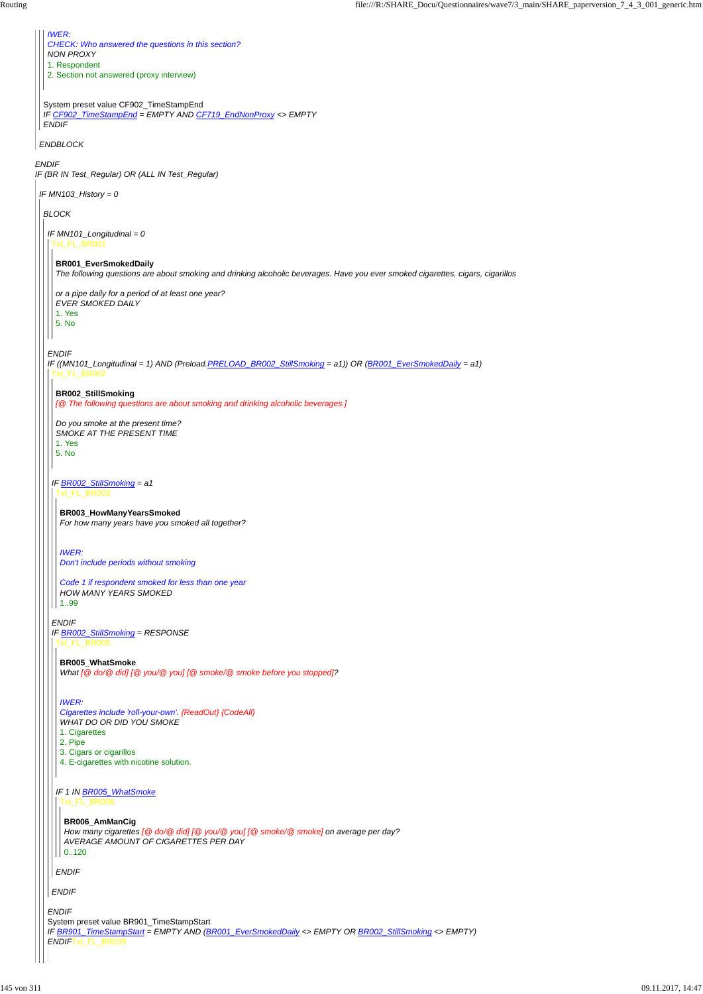*ENDIF*

*IF (BR IN Test\_Regular) OR (ALL IN Test\_Regular)*

*ENDBLOCK*

System preset value CF902\_TimeStampEnd *IF CF902\_TimeStampEnd = EMPTY AND CF719\_EndNonProxy <> EMPTY ENDIF*

*IWER: CHECK: Who answered the questions in this section? NON PROXY* 1. Respondent

2. Section not answered (proxy interview)

*IF MN103\_History = 0*

*BLOCK*

*ENDIF*

*IF MN101\_Longitudinal = 0* Txt\_FL\_BR001

*IF ((MN101\_Longitudinal = 1) AND (Preload.PRELOAD\_BR002\_StillSmoking = a1)) OR (BR001\_EverSmokedDaily = a1)* Txt\_FL\_BR002

*Code 1 if respondent smoked for less than one year HOW MANY YEARS SMOKED*  $|1..99|$ 

#### **BR001\_EverSmokedDaily**

*The following questions are about smoking and drinking alcoholic beverages. Have you ever smoked cigarettes, cigars, cigarillos*

*or a pipe daily for a period of at least one year? EVER SMOKED DAILY*

1. Yes

5. No

**BR002\_StillSmoking**

*IF BR002\_StillSmoking = a1* Txt\_FL\_BR003

*[@ The following questions are about smoking and drinking alcoholic beverages.]*

*Do you smoke at the present time? SMOKE AT THE PRESENT TIME* 1. Yes

|  | 3. Cigars or cigarillos                                                                                                                                                                           |
|--|---------------------------------------------------------------------------------------------------------------------------------------------------------------------------------------------------|
|  | 4. E-cigarettes with nicotine solution.                                                                                                                                                           |
|  | IF 1 IN BR005_WhatSmoke<br>xt FL BR006<br>BR006_AmManCig<br>How many cigarettes [@ do/@ did] [@ you/@ you] [@ smoke/@ smoke] on average per day?<br>AVERAGE AMOUNT OF CIGARETTES PER DAY<br>0.120 |
|  | <b>ENDIF</b>                                                                                                                                                                                      |
|  | <b>ENDIF</b>                                                                                                                                                                                      |
|  | <b>ENDIF</b>                                                                                                                                                                                      |
|  | System preset value BR901_TimeStampStart                                                                                                                                                          |
|  | IF BR901_TimeStampStart = EMPTY AND (BR001_EverSmokedDaily <> EMPTY OR BR002_StillSmoking <> EMPTY)<br><b>ENDIFTXt FL BR039</b>                                                                   |
|  |                                                                                                                                                                                                   |

5. No

*ENDIF IF BR002\_StillSmoking = RESPONSE* Txt\_FL\_BR005

**BR003\_HowManyYearsSmoked** *For how many years have you smoked all together?*

*IWER: Don't include periods without smoking*

**BR005\_WhatSmoke** *What [@ do/@ did] [@ you/@ you] [@ smoke/@ smoke before you stopped]?*

*IWER:*

*Cigarettes include 'roll-your-own'. {ReadOut} {CodeAll} WHAT DO OR DID YOU SMOKE* 1. Cigarettes

2. Pipe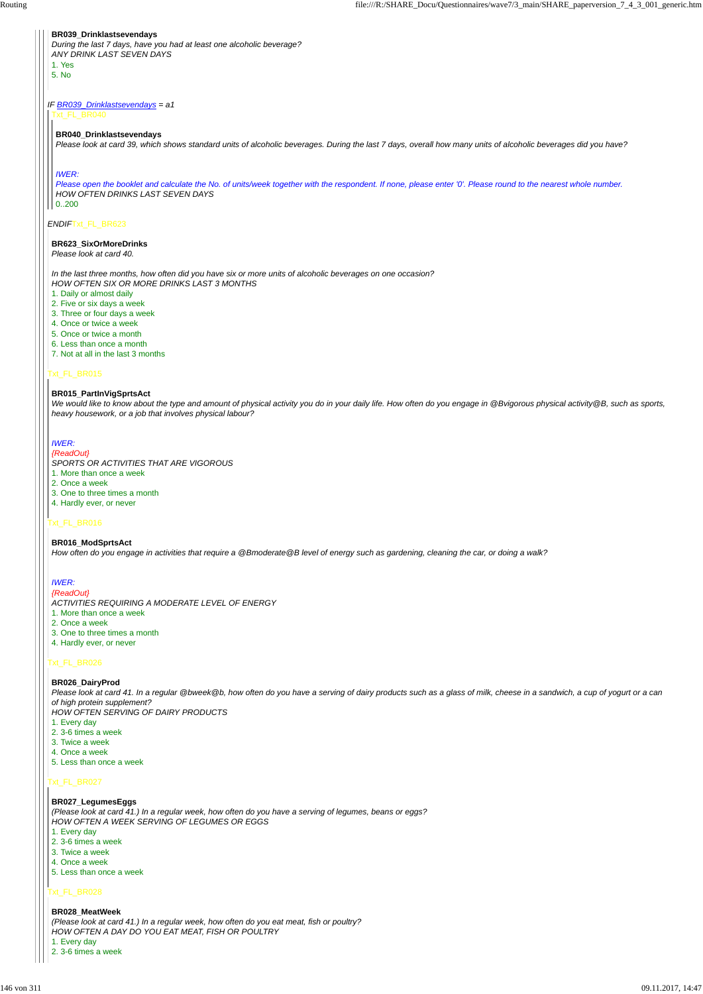### *IF BR039\_Drinklastsevendays = a1*

#### *ENDIF*Txt\_FL\_BR623

### Txt\_FL\_BR015

### Txt\_FL\_BR016

### Txt\_FL\_BR026

#### Txt\_FL\_BR027

#### Txt\_FL\_BR028

#### **BR039\_Drinklastsevendays**

*During the last 7 days, have you had at least one alcoholic beverage? ANY DRINK LAST SEVEN DAYS* 1. Yes

5. No

Txt\_FL\_BR040

#### **BR040\_Drinklastsevendays**

*Please look at card 39, which shows standard units of alcoholic beverages. During the last 7 days, overall how many units of alcoholic beverages did you have?*

#### *IWER:*

*Please open the booklet and calculate the No. of units/week together with the respondent. If none, please enter '0'. Please round to the nearest whole number. HOW OFTEN DRINKS LAST SEVEN DAYS* 0..200

#### **BR623\_SixOrMoreDrinks**

*Please look at card 40.*

#### *In the last three months, how often did you have six or more units of alcoholic beverages on one occasion? HOW OFTEN SIX OR MORE DRINKS LAST 3 MONTHS*

- 1. Daily or almost daily
- 2. Five or six days a week
- 3. Three or four days a week
- 4. Once or twice a week
- 5. Once or twice a month
- 6. Less than once a month
- 7. Not at all in the last 3 months

#### **BR015\_PartInVigSprtsAct**

*We would like to know about the type and amount of physical activity you do in your daily life. How often do you engage in @Bvigorous physical activity@B, such as sports, heavy housework, or a job that involves physical labour?*

### *IWER:*

*{ReadOut}*

- *SPORTS OR ACTIVITIES THAT ARE VIGOROUS*
- 1. More than once a week
- 2. Once a week
- 3. One to three times a month
- 4. Hardly ever, or never

#### **BR016\_ModSprtsAct**

*How often do you engage in activities that require a @Bmoderate@B level of energy such as gardening, cleaning the car, or doing a walk?*

### *IWER:*

*{ReadOut} ACTIVITIES REQUIRING A MODERATE LEVEL OF ENERGY*

- 1. More than once a week
- 2. Once a week
- 3. One to three times a month
- 4. Hardly ever, or never

### **BR026\_DairyProd**

*Please look at card 41. In a regular @bweek@b, how often do you have a serving of dairy products such as a glass of milk, cheese in a sandwich, a cup of yogurt or a can of high protein supplement?*

*HOW OFTEN SERVING OF DAIRY PRODUCTS*

- 1. Every day
- 2. 3-6 times a week
- 3. Twice a week
- 

#### 4. Once a week

5. Less than once a week

#### **BR027\_LegumesEggs**

*(Please look at card 41.) In a regular week, how often do you have a serving of legumes, beans or eggs? HOW OFTEN A WEEK SERVING OF LEGUMES OR EGGS*

1. Every day

2. 3-6 times a week

3. Twice a week

4. Once a week

5. Less than once a week

**BR028\_MeatWeek** *(Please look at card 41.) In a regular week, how often do you eat meat, fish or poultry? HOW OFTEN A DAY DO YOU EAT MEAT, FISH OR POULTRY* 1. Every day 2. 3-6 times a week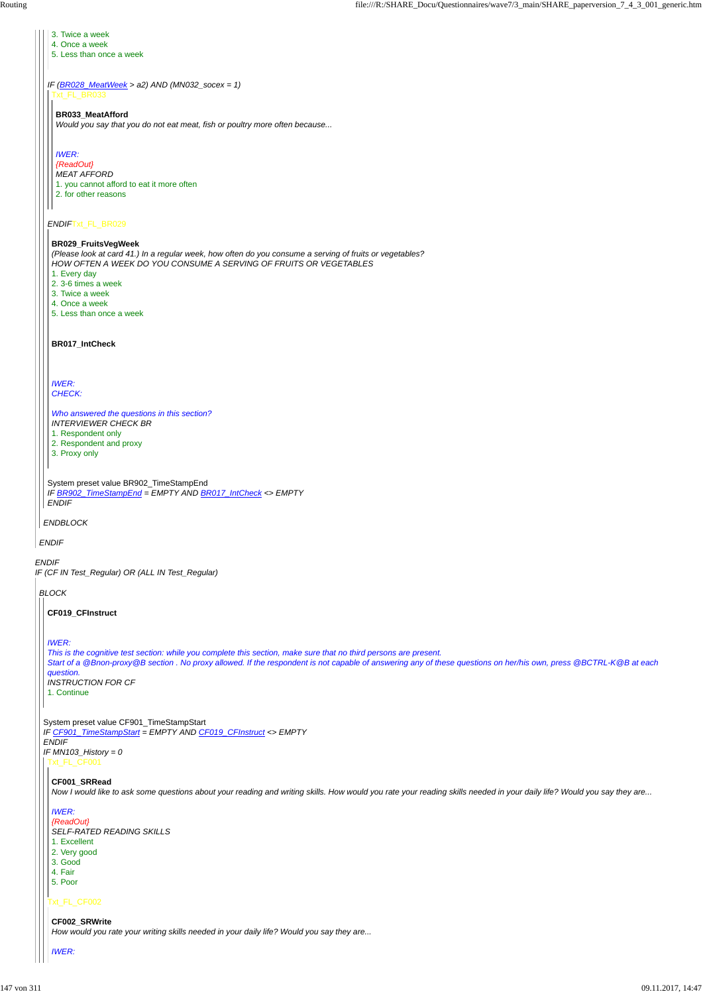*ENDIF IF (CF IN Test\_Regular) OR (ALL IN Test\_Regular) ENDIF ENDBLOCK IF (BR028\_MeatWeek > a2) AND (MN032\_socex = 1) ENDIF*Txt\_FL\_BR029 System preset value BR902\_TimeStampEnd *IF BR902\_TimeStampEnd = EMPTY AND BR017\_IntCheck <> EMPTY ENDIF* 3. Twice a week 4. Once a week 5. Less than once a week Txt\_FL\_BR033 **BR033\_MeatAfford** *Would you say that you do not eat meat, fish or poultry more often because... IWER: {ReadOut} MEAT AFFORD* 1. you cannot afford to eat it more often 2. for other reasons **BR029\_FruitsVegWeek** *(Please look at card 41.) In a regular week, how often do you consume a serving of fruits or vegetables? HOW OFTEN A WEEK DO YOU CONSUME A SERVING OF FRUITS OR VEGETABLES* 1. Every day 2. 3-6 times a week 3. Twice a week 4. Once a week 5. Less than once a week **BR017\_IntCheck** *IWER: CHECK: Who answered the questions in this section? INTERVIEWER CHECK BR* 1. Respondent only 2. Respondent and proxy 3. Proxy only *BLOCK* System preset value CF901\_TimeStampStart *IF CF901\_TimeStampStart = EMPTY AND CF019\_CFInstruct <> EMPTY ENDIF* **CF019\_CFInstruct** *IWER: This is the cognitive test section: while you complete this section, make sure that no third persons are present. Start of a @Bnon-proxy@B section . No proxy allowed. If the respondent is not capable of answering any of these questions on her/his own, press @BCTRL-K@B at each question. INSTRUCTION FOR CF* 1. Continue

# *IF MN103\_History = 0*

### Txt\_FL\_CF002

### **CF001\_SRRead**

*Now I would like to ask some questions about your reading and writing skills. How would you rate your reading skills needed in your daily life? Would you say they are...*

### *IWER:*

# *{ReadOut}*

*SELF-RATED READING SKILLS*

1. Excellent

- 2. Very good
- 3. Good
- 4. Fair
- 5. Poor

### **CF002\_SRWrite**

*How would you rate your writing skills needed in your daily life? Would you say they are...*

#### *IWER:*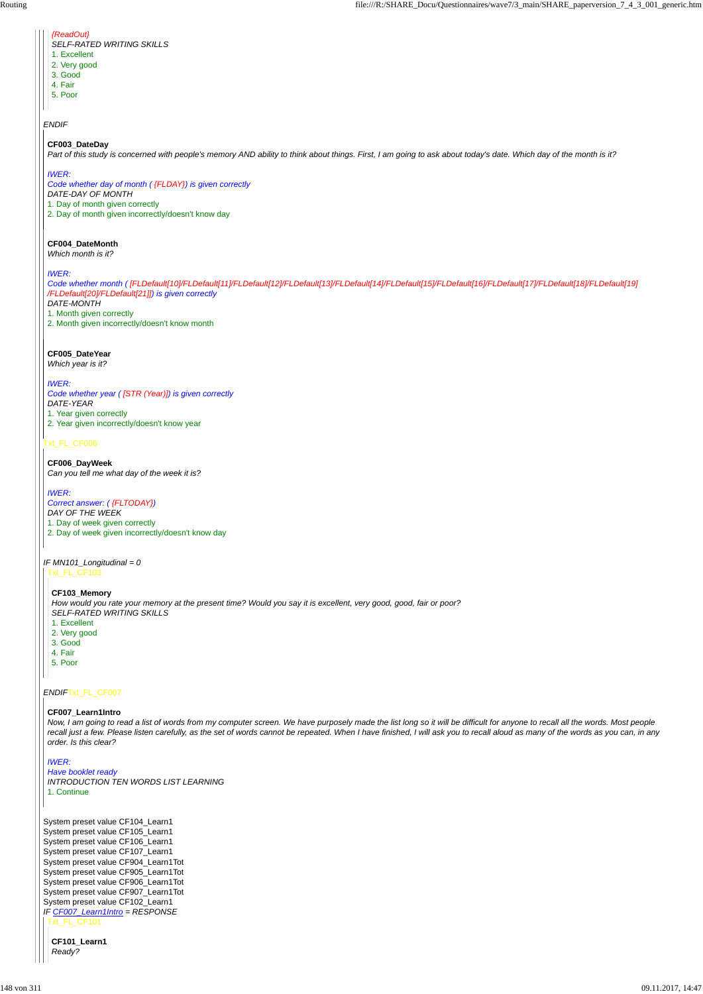*ENDIF*

### Txt\_FL\_CF006

### *ENDIF*Txt\_FL\_CF007

| {ReadOut}                 |
|---------------------------|
| SELF-RATED WRITING SKILLS |
| 1. Excellent              |

- 2. Very good
- 3. Good
- 4. Fair
- 5. Poor

### **CF003\_DateDay**

*Part of this study is concerned with people's memory AND ability to think about things. First, I am going to ask about today's date. Which day of the month is it?*

### *IWER:*

*Code whether day of month ( {FLDAY}) is given correctly DATE-DAY OF MONTH* 1. Day of month given correctly 2. Day of month given incorrectly/doesn't know day

### *IF MN101\_Longitudinal = 0* Txt\_FL\_CF103

### **CF004\_DateMonth**

*Which month is it?*

*IWER:*

*Code whether month ( [FLDefault[10]/FLDefault[11]/FLDefault[12]/FLDefault[13]/FLDefault[14]/FLDefault[15]/FLDefault[16]/FLDefault[17]/FLDefault[18]/FLDefault[19] /FLDefault[20]/FLDefault[21]]) is given correctly DATE-MONTH* 1. Month given correctly

System preset value CF104\_Learn1 System preset value CF105\_Learn1 System preset value CF106\_Learn1 System preset value CF107\_Learn1 System preset value CF904\_Learn1Tot System preset value CF905\_Learn1Tot System preset value CF906\_Learn1Tot System preset value CF907\_Learn1Tot System preset value CF102\_Learn1 *IF CF007\_Learn1Intro = RESPONSE* Txt\_FL\_CF101

2. Month given incorrectly/doesn't know month

### **CF005\_DateYear**

*Which year is it?*

### *IWER:*

*Code whether year ( [STR (Year)]) is given correctly DATE-YEAR* 1. Year given correctly 2. Year given incorrectly/doesn't know year

### **CF006\_DayWeek**

*Can you tell me what day of the week it is?*

### *IWER:*

*Correct answer: ( {FLTODAY}) DAY OF THE WEEK* 1. Day of week given correctly 2. Day of week given incorrectly/doesn't know day

### **CF103\_Memory**

*How would you rate your memory at the present time? Would you say it is excellent, very good, good, fair or poor? SELF-RATED WRITING SKILLS*

- 1. Excellent 2. Very good
- 3. Good
- 4. Fair
- 5. Poor

### **CF007\_Learn1Intro**

*Now, I am going to read a list of words from my computer screen. We have purposely made the list long so it will be difficult for anyone to recall all the words. Most people recall just a few. Please listen carefully, as the set of words cannot be repeated. When I have finished, I will ask you to recall aloud as many of the words as you can, in any order. Is this clear?*

#### *IWER:*

*Have booklet ready INTRODUCTION TEN WORDS LIST LEARNING* 1. Continue

**CF101\_Learn1** *Ready?*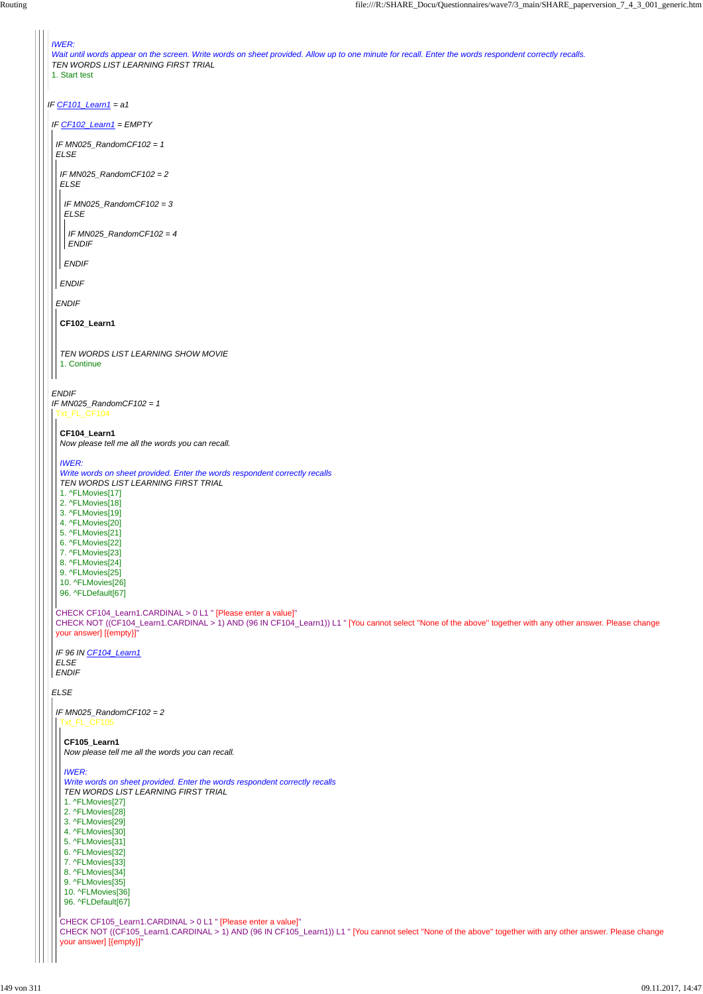```
IF CF101_Learn1 = a1
 IWER:
 Wait until words appear on the screen. Write words on sheet provided. Allow up to one minute for recall. Enter the words respondent correctly recalls.
 TEN WORDS LIST LEARNING FIRST TRIAL
1. Start test
 IF CF102_Learn1 = EMPTY
ENDIF
 IF MN025_RandomCF102 = 1
 ELSE
  IF MN025_RandomCF102 = 1
 ELSE
  ENDIF
  IF MN025_RandomCF102 = 2
  ELSE
  ENDIF
    IF MN025_RandomCF102 = 3
   ELSE
  ENDIF
    IF MN025_RandomCF102 = 4
    ENDIF
  CF102_Learn1
  TEN WORDS LIST LEARNING SHOW MOVIE
   1. Continue
  Txt_FL_CF104
  CHECK CF104_Learn1.CARDINAL > 0 L1 " [Please enter a value]"
  CHECK NOT ((CF104_Learn1.CARDINAL > 1) AND (96 IN CF104_Learn1)) L1 " [You cannot select ''None of the above'' together with any other answer. Please change
 your answer] [{empty}]"
  IF 96 IN CF104_Learn1
  ELSE
 ENDIF
  CF104_Learn1
  Now please tell me all the words you can recall.
  IWER:
  Write words on sheet provided. Enter the words respondent correctly recalls
  TEN WORDS LIST LEARNING FIRST TRIAL
  1. ^FLMovies[17]
  2. ^FLMovies[18]
  3. ^FLMovies[19]
  4. ^FLMovies[20]
  5. ^FLMovies[21]
  6. ^FLMovies[22]
  7. ^FLMovies[23]
  8. ^FLMovies[24]
  9. ^FLMovies[25]
  10. ^FLMovies[26]
  96. ^FLDefault[67]
  IF MN025_RandomCF102 = 2
```
- 1. ^FLMovies[27]
- 2. ^FLMovies[28]
- 3. ^FLMovies[29]
- 
- 4. ^FLMovies[30]
- 5. ^FLMovies[31]
- 6. ^FLMovies[32]
- 
- 7. ^FLMovies[33]
- 8. ^FLMovies[34]
- 9. ^FLMovies[35]
- 10. ^FLMovies[36]
- 96. ^FLDefault[67]

```
CHECK CF105_Learn1.CARDINAL > 0 L1 " [Please enter a value]"
CHECK NOT ((CF105_Learn1.CARDINAL > 1) AND (96 IN CF105_Learn1)) L1 " [You cannot select ''None of the above'' together with any other answer. Please change
your answer] [{empty}]"
```
**CF105\_Learn1**

*Now please tell me all the words you can recall.*

#### *IWER:*

*Write words on sheet provided. Enter the words respondent correctly recalls TEN WORDS LIST LEARNING FIRST TRIAL*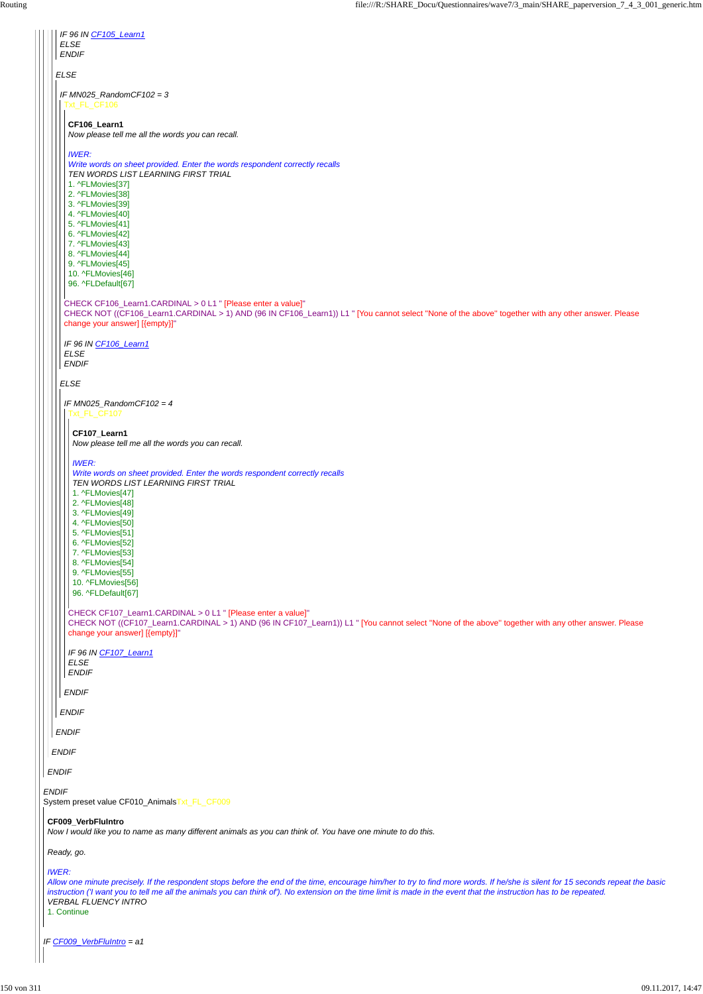*IF CF009\_VerbFluIntro = a1*  $\begin{array}{c} \hline \end{array}$ 

| <b>ENDIF</b><br><b>ELSE</b><br>IF MN025_RandomCF102 = $3$<br>Txt_FL_CF106<br>CF106_Learn1<br>Now please tell me all the words you can recall.<br><b>IWER:</b><br>Write words on sheet provided. Enter the words respondent correctly recalls<br>TEN WORDS LIST LEARNING FIRST TRIAL<br>1. ^FLMovies[37]<br>2. ^FLMovies[38]<br>3. ^FLMovies[39]<br>4. ^FLMovies[40]<br>5. ^FLMovies[41]<br>6. ^FLMovies[42]<br>7. ^FLMovies[43]<br>8. ^FLMovies[44]<br>9. ^FLMovies[45]<br>10. ^FLMovies[46]<br>96. ^FLDefault[67]<br>CHECK CF106_Learn1.CARDINAL > 0 L1 " [Please enter a value]"<br>CHECK NOT ((CF106_Learn1.CARDINAL > 1) AND (96 IN CF106_Learn1)) L1 " [You cannot select "None of the above" together with any other answer. Please<br>change your answer] [{empty}]"<br>IF 96 IN CF106_Learn1<br><b>ELSE</b><br><b>ENDIF</b><br><b>ELSE</b><br>IF MN025_RandomCF102 = $4$<br><b>Fxt_FL_CF107</b><br>CF107_Learn1<br>Now please tell me all the words you can recall.<br><b>IWER:</b><br>Write words on sheet provided. Enter the words respondent correctly recalls<br>TEN WORDS LIST LEARNING FIRST TRIAL<br>1. ^FLMovies[47]<br>2. ^FLMovies[48]<br>3. ^FLMovies[49]<br>4. ^FLMovies[50]<br>5. ^FLMovies[51]<br>6. ^FLMovies[52]<br>7. ^FLMovies[53]<br>8. ^FLMovies[54]<br>9. ^FLMovies[55]<br>10. ^FLMovies[56]<br>96. ^FLDefault[67]<br>CHECK CF107_Learn1.CARDINAL > 0 L1 " [Please enter a value]"<br>CHECK NOT ((CF107_Learn1.CARDINAL > 1) AND (96 IN CF107_Learn1)) L1 " [You cannot select "None of the above" together with any other answer. Please<br>change your answer] [{empty}]"<br>IF 96 IN CF107_Learn1<br><b>ELSE</b><br><b>ENDIF</b><br><b>ENDIF</b><br><b>ENDIF</b><br><b>ENDIF</b> | IF 96 IN CF105_Learn1 |
|-------------------------------------------------------------------------------------------------------------------------------------------------------------------------------------------------------------------------------------------------------------------------------------------------------------------------------------------------------------------------------------------------------------------------------------------------------------------------------------------------------------------------------------------------------------------------------------------------------------------------------------------------------------------------------------------------------------------------------------------------------------------------------------------------------------------------------------------------------------------------------------------------------------------------------------------------------------------------------------------------------------------------------------------------------------------------------------------------------------------------------------------------------------------------------------------------------------------------------------------------------------------------------------------------------------------------------------------------------------------------------------------------------------------------------------------------------------------------------------------------------------------------------------------------------------------------------------------------------------------------------------------------------------------------------------------------------------------|-----------------------|
|                                                                                                                                                                                                                                                                                                                                                                                                                                                                                                                                                                                                                                                                                                                                                                                                                                                                                                                                                                                                                                                                                                                                                                                                                                                                                                                                                                                                                                                                                                                                                                                                                                                                                                                   | <b>ELSE</b>           |
|                                                                                                                                                                                                                                                                                                                                                                                                                                                                                                                                                                                                                                                                                                                                                                                                                                                                                                                                                                                                                                                                                                                                                                                                                                                                                                                                                                                                                                                                                                                                                                                                                                                                                                                   |                       |
|                                                                                                                                                                                                                                                                                                                                                                                                                                                                                                                                                                                                                                                                                                                                                                                                                                                                                                                                                                                                                                                                                                                                                                                                                                                                                                                                                                                                                                                                                                                                                                                                                                                                                                                   |                       |
|                                                                                                                                                                                                                                                                                                                                                                                                                                                                                                                                                                                                                                                                                                                                                                                                                                                                                                                                                                                                                                                                                                                                                                                                                                                                                                                                                                                                                                                                                                                                                                                                                                                                                                                   |                       |
|                                                                                                                                                                                                                                                                                                                                                                                                                                                                                                                                                                                                                                                                                                                                                                                                                                                                                                                                                                                                                                                                                                                                                                                                                                                                                                                                                                                                                                                                                                                                                                                                                                                                                                                   |                       |
|                                                                                                                                                                                                                                                                                                                                                                                                                                                                                                                                                                                                                                                                                                                                                                                                                                                                                                                                                                                                                                                                                                                                                                                                                                                                                                                                                                                                                                                                                                                                                                                                                                                                                                                   |                       |
|                                                                                                                                                                                                                                                                                                                                                                                                                                                                                                                                                                                                                                                                                                                                                                                                                                                                                                                                                                                                                                                                                                                                                                                                                                                                                                                                                                                                                                                                                                                                                                                                                                                                                                                   |                       |
|                                                                                                                                                                                                                                                                                                                                                                                                                                                                                                                                                                                                                                                                                                                                                                                                                                                                                                                                                                                                                                                                                                                                                                                                                                                                                                                                                                                                                                                                                                                                                                                                                                                                                                                   |                       |
|                                                                                                                                                                                                                                                                                                                                                                                                                                                                                                                                                                                                                                                                                                                                                                                                                                                                                                                                                                                                                                                                                                                                                                                                                                                                                                                                                                                                                                                                                                                                                                                                                                                                                                                   |                       |
|                                                                                                                                                                                                                                                                                                                                                                                                                                                                                                                                                                                                                                                                                                                                                                                                                                                                                                                                                                                                                                                                                                                                                                                                                                                                                                                                                                                                                                                                                                                                                                                                                                                                                                                   |                       |
|                                                                                                                                                                                                                                                                                                                                                                                                                                                                                                                                                                                                                                                                                                                                                                                                                                                                                                                                                                                                                                                                                                                                                                                                                                                                                                                                                                                                                                                                                                                                                                                                                                                                                                                   |                       |
|                                                                                                                                                                                                                                                                                                                                                                                                                                                                                                                                                                                                                                                                                                                                                                                                                                                                                                                                                                                                                                                                                                                                                                                                                                                                                                                                                                                                                                                                                                                                                                                                                                                                                                                   |                       |
|                                                                                                                                                                                                                                                                                                                                                                                                                                                                                                                                                                                                                                                                                                                                                                                                                                                                                                                                                                                                                                                                                                                                                                                                                                                                                                                                                                                                                                                                                                                                                                                                                                                                                                                   |                       |
|                                                                                                                                                                                                                                                                                                                                                                                                                                                                                                                                                                                                                                                                                                                                                                                                                                                                                                                                                                                                                                                                                                                                                                                                                                                                                                                                                                                                                                                                                                                                                                                                                                                                                                                   |                       |
|                                                                                                                                                                                                                                                                                                                                                                                                                                                                                                                                                                                                                                                                                                                                                                                                                                                                                                                                                                                                                                                                                                                                                                                                                                                                                                                                                                                                                                                                                                                                                                                                                                                                                                                   |                       |
|                                                                                                                                                                                                                                                                                                                                                                                                                                                                                                                                                                                                                                                                                                                                                                                                                                                                                                                                                                                                                                                                                                                                                                                                                                                                                                                                                                                                                                                                                                                                                                                                                                                                                                                   |                       |
|                                                                                                                                                                                                                                                                                                                                                                                                                                                                                                                                                                                                                                                                                                                                                                                                                                                                                                                                                                                                                                                                                                                                                                                                                                                                                                                                                                                                                                                                                                                                                                                                                                                                                                                   |                       |
|                                                                                                                                                                                                                                                                                                                                                                                                                                                                                                                                                                                                                                                                                                                                                                                                                                                                                                                                                                                                                                                                                                                                                                                                                                                                                                                                                                                                                                                                                                                                                                                                                                                                                                                   |                       |
|                                                                                                                                                                                                                                                                                                                                                                                                                                                                                                                                                                                                                                                                                                                                                                                                                                                                                                                                                                                                                                                                                                                                                                                                                                                                                                                                                                                                                                                                                                                                                                                                                                                                                                                   |                       |
|                                                                                                                                                                                                                                                                                                                                                                                                                                                                                                                                                                                                                                                                                                                                                                                                                                                                                                                                                                                                                                                                                                                                                                                                                                                                                                                                                                                                                                                                                                                                                                                                                                                                                                                   |                       |
|                                                                                                                                                                                                                                                                                                                                                                                                                                                                                                                                                                                                                                                                                                                                                                                                                                                                                                                                                                                                                                                                                                                                                                                                                                                                                                                                                                                                                                                                                                                                                                                                                                                                                                                   |                       |
|                                                                                                                                                                                                                                                                                                                                                                                                                                                                                                                                                                                                                                                                                                                                                                                                                                                                                                                                                                                                                                                                                                                                                                                                                                                                                                                                                                                                                                                                                                                                                                                                                                                                                                                   |                       |
|                                                                                                                                                                                                                                                                                                                                                                                                                                                                                                                                                                                                                                                                                                                                                                                                                                                                                                                                                                                                                                                                                                                                                                                                                                                                                                                                                                                                                                                                                                                                                                                                                                                                                                                   |                       |
|                                                                                                                                                                                                                                                                                                                                                                                                                                                                                                                                                                                                                                                                                                                                                                                                                                                                                                                                                                                                                                                                                                                                                                                                                                                                                                                                                                                                                                                                                                                                                                                                                                                                                                                   |                       |
|                                                                                                                                                                                                                                                                                                                                                                                                                                                                                                                                                                                                                                                                                                                                                                                                                                                                                                                                                                                                                                                                                                                                                                                                                                                                                                                                                                                                                                                                                                                                                                                                                                                                                                                   |                       |
|                                                                                                                                                                                                                                                                                                                                                                                                                                                                                                                                                                                                                                                                                                                                                                                                                                                                                                                                                                                                                                                                                                                                                                                                                                                                                                                                                                                                                                                                                                                                                                                                                                                                                                                   |                       |
|                                                                                                                                                                                                                                                                                                                                                                                                                                                                                                                                                                                                                                                                                                                                                                                                                                                                                                                                                                                                                                                                                                                                                                                                                                                                                                                                                                                                                                                                                                                                                                                                                                                                                                                   |                       |
|                                                                                                                                                                                                                                                                                                                                                                                                                                                                                                                                                                                                                                                                                                                                                                                                                                                                                                                                                                                                                                                                                                                                                                                                                                                                                                                                                                                                                                                                                                                                                                                                                                                                                                                   |                       |
|                                                                                                                                                                                                                                                                                                                                                                                                                                                                                                                                                                                                                                                                                                                                                                                                                                                                                                                                                                                                                                                                                                                                                                                                                                                                                                                                                                                                                                                                                                                                                                                                                                                                                                                   |                       |
|                                                                                                                                                                                                                                                                                                                                                                                                                                                                                                                                                                                                                                                                                                                                                                                                                                                                                                                                                                                                                                                                                                                                                                                                                                                                                                                                                                                                                                                                                                                                                                                                                                                                                                                   |                       |
|                                                                                                                                                                                                                                                                                                                                                                                                                                                                                                                                                                                                                                                                                                                                                                                                                                                                                                                                                                                                                                                                                                                                                                                                                                                                                                                                                                                                                                                                                                                                                                                                                                                                                                                   |                       |
|                                                                                                                                                                                                                                                                                                                                                                                                                                                                                                                                                                                                                                                                                                                                                                                                                                                                                                                                                                                                                                                                                                                                                                                                                                                                                                                                                                                                                                                                                                                                                                                                                                                                                                                   |                       |
|                                                                                                                                                                                                                                                                                                                                                                                                                                                                                                                                                                                                                                                                                                                                                                                                                                                                                                                                                                                                                                                                                                                                                                                                                                                                                                                                                                                                                                                                                                                                                                                                                                                                                                                   |                       |
|                                                                                                                                                                                                                                                                                                                                                                                                                                                                                                                                                                                                                                                                                                                                                                                                                                                                                                                                                                                                                                                                                                                                                                                                                                                                                                                                                                                                                                                                                                                                                                                                                                                                                                                   |                       |
|                                                                                                                                                                                                                                                                                                                                                                                                                                                                                                                                                                                                                                                                                                                                                                                                                                                                                                                                                                                                                                                                                                                                                                                                                                                                                                                                                                                                                                                                                                                                                                                                                                                                                                                   |                       |
|                                                                                                                                                                                                                                                                                                                                                                                                                                                                                                                                                                                                                                                                                                                                                                                                                                                                                                                                                                                                                                                                                                                                                                                                                                                                                                                                                                                                                                                                                                                                                                                                                                                                                                                   |                       |
|                                                                                                                                                                                                                                                                                                                                                                                                                                                                                                                                                                                                                                                                                                                                                                                                                                                                                                                                                                                                                                                                                                                                                                                                                                                                                                                                                                                                                                                                                                                                                                                                                                                                                                                   |                       |
|                                                                                                                                                                                                                                                                                                                                                                                                                                                                                                                                                                                                                                                                                                                                                                                                                                                                                                                                                                                                                                                                                                                                                                                                                                                                                                                                                                                                                                                                                                                                                                                                                                                                                                                   |                       |
|                                                                                                                                                                                                                                                                                                                                                                                                                                                                                                                                                                                                                                                                                                                                                                                                                                                                                                                                                                                                                                                                                                                                                                                                                                                                                                                                                                                                                                                                                                                                                                                                                                                                                                                   |                       |
|                                                                                                                                                                                                                                                                                                                                                                                                                                                                                                                                                                                                                                                                                                                                                                                                                                                                                                                                                                                                                                                                                                                                                                                                                                                                                                                                                                                                                                                                                                                                                                                                                                                                                                                   |                       |

| <b>ENDIF</b>                                                                                                                                                                                        |
|-----------------------------------------------------------------------------------------------------------------------------------------------------------------------------------------------------|
| <b>ENDIF</b>                                                                                                                                                                                        |
| <b>ENDIF</b>                                                                                                                                                                                        |
| System preset value CF010_AnimalsTxt_FL_CF009                                                                                                                                                       |
| <b>CF009 VerbFluIntro</b>                                                                                                                                                                           |
| Now I would like you to name as many different animals as you can think of. You have one minute to do this.                                                                                         |
| Ready, go.                                                                                                                                                                                          |
| <b>IWER:</b>                                                                                                                                                                                        |
| Allow one minute precisely. If the respondent stops before the end of the time, encourage him/her to try to find more words. If he/she is silent for 15 seconds repeat the basic                    |
| instruction ('I want you to tell me all the animals you can think of'). No extension on the time limit is made in the event that the instruction has to be repeated.<br><b>VERBAL FLUENCY INTRO</b> |
| 1. Continue                                                                                                                                                                                         |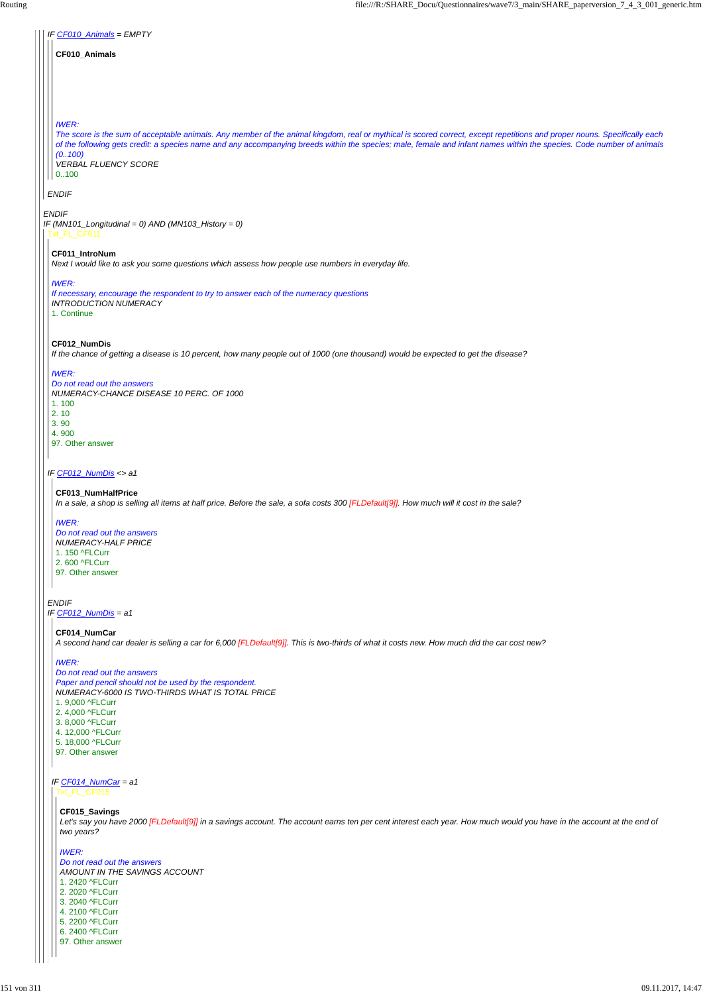*IF CF012\_NumDis = a1*

# *ENDIF IF (MN101\_Longitudinal = 0) AND (MN103\_History = 0) IF CF010\_Animals = EMPTY ENDIF* **CF010\_Animals** *IWER: The score is the sum of acceptable animals. Any member of the animal kingdom, real or mythical is scored correct, except repetitions and proper nouns. Specifically each of the following gets credit: a species name and any accompanying breeds within the species; male, female and infant names within the species. Code number of animals (0..100) VERBAL FLUENCY SCORE* 0..100 Txt\_FL\_CF011 *IF CF012\_NumDis <> a1 ENDIF* **CF011\_IntroNum** *Next I would like to ask you some questions which assess how people use numbers in everyday life. IWER: If necessary, encourage the respondent to try to answer each of the numeracy questions INTRODUCTION NUMERACY* 1. Continue **CF012\_NumDis** *If the chance of getting a disease is 10 percent, how many people out of 1000 (one thousand) would be expected to get the disease? IWER: Do not read out the answers NUMERACY-CHANCE DISEASE 10 PERC. OF 1000* 1. 100 2. 10 3. 90 4. 900 97. Other answer **CF013\_NumHalfPrice** *In a sale, a shop is selling all items at half price. Before the sale, a sofa costs 300 [FLDefault[9]]. How much will it cost in the sale? IWER: Do not read out the answers NUMERACY-HALF PRICE* 1. 150 ^FLCurr 2. 600 ^FLCurr 97. Other answer

**CF014\_NumCar**

*A second hand car dealer is selling a car for 6,000 [FLDefault[9]]. This is two-thirds of what it costs new. How much did the car cost new?*

## *IWER:*

*IF CF014\_NumCar = a1* Txt\_FL\_CF015

*Do not read out the answers Paper and pencil should not be used by the respondent. NUMERACY-6000 IS TWO-THIRDS WHAT IS TOTAL PRICE* 1. 9,000 ^FLCurr 2. 4,000 ^FLCurr 3. 8,000 ^FLCurr 4. 12,000 ^FLCurr 5. 18,000 ^FLCurr

97. Other answer

#### **CF015\_Savings**

*Let's say you have 2000 [FLDefault[9]] in a savings account. The account earns ten per cent interest each year. How much would you have in the account at the end of two years?*

#### *IWER:*

*Do not read out the answers AMOUNT IN THE SAVINGS ACCOUNT* 1. 2420 ^FLCurr 2. 2020 ^FLCurr 3. 2040 ^FLCurr 4. 2100 ^FLCurr 5. 2200 ^FLCurr 6. 2400 ^FLCurr 97. Other answer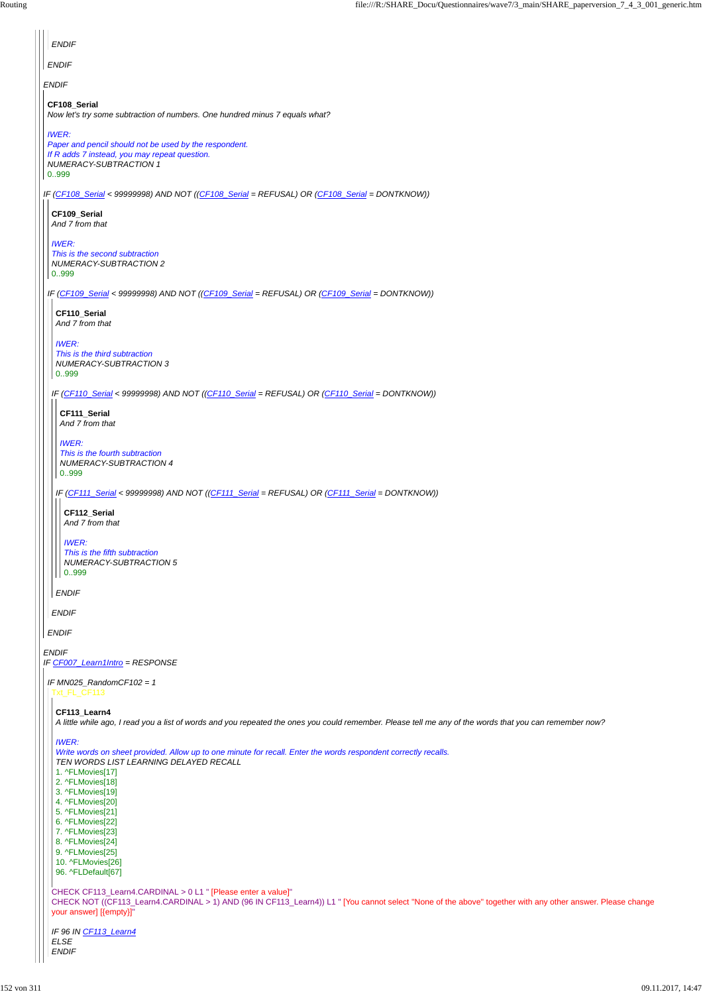```
CHECK CF113_Learn4.CARDINAL > 0 L1 " [Please enter a value]"
CHECK NOT ((CF113_Learn4.CARDINAL > 1) AND (96 IN CF113_Learn4)) L1 " [You cannot select ''None of the above'' together with any other answer. Please change
your answer] [{empty}]"
IF 96 IN CF113_Learn4
ELSE
ENDIF
 Write words on sheet provided. Allow up to one minute for recall. Enter the words respondent correctly recalls.
 TEN WORDS LIST LEARNING DELAYED RECALL
1. ^FLMovies[17]
2. ^FLMovies[18]
3. ^FLMovies[19]
4. ^FLMovies[20]
5. ^FLMovies[21]
6. ^FLMovies[22]
7. ^FLMovies[23]
8. ^FLMovies[24]
9. ^FLMovies[25]
10. ^FLMovies[26]
96. ^FLDefault[67]
```

| <b>ENDIF</b>                                                                                                                                                            |
|-------------------------------------------------------------------------------------------------------------------------------------------------------------------------|
| <b>ENDIF</b>                                                                                                                                                            |
| <b>ENDIF</b>                                                                                                                                                            |
| CF108_Serial<br>Now let's try some subtraction of numbers. One hundred minus 7 equals what?                                                                             |
| <b>IWER:</b><br>Paper and pencil should not be used by the respondent.<br>If R adds 7 instead, you may repeat question.<br><b>NUMERACY-SUBTRACTION 1</b><br>0999        |
| IF (CF108_Serial < 99999998) AND NOT ((CF108_Serial = REFUSAL) OR (CF108_Serial = DONTKNOW))                                                                            |
| CF109 Serial<br>And 7 from that                                                                                                                                         |
| <b>IWER:</b><br>This is the second subtraction<br>NUMERACY-SUBTRACTION 2<br>0.999                                                                                       |
| IF (CF109_Serial < 99999998) AND NOT ((CF109_Serial = REFUSAL) OR (CF109_Serial = DONTKNOW))<br>CF110_Serial<br>And 7 from that                                         |
| <b>IWER:</b><br>This is the third subtraction<br>NUMERACY-SUBTRACTION 3<br>0.999                                                                                        |
| IF (CF110_Serial < 99999998) AND NOT ((CF110_Serial = REFUSAL) OR (CF110_Serial = DONTKNOW))<br>CF111_Serial<br>And 7 from that                                         |
| <b>IWER:</b><br>This is the fourth subtraction<br>NUMERACY-SUBTRACTION 4<br>0999                                                                                        |
| IF (CF111_Serial < 99999998) AND NOT ((CF111_Serial = REFUSAL) OR (CF111_Serial = DONTKNOW))<br>CF112_Serial<br>And 7 from that                                         |
| <b>IWER:</b><br>This is the fifth subtraction<br>NUMERACY-SUBTRACTION 5<br>0.999                                                                                        |
| <b>ENDIF</b>                                                                                                                                                            |
| <b>ENDIF</b>                                                                                                                                                            |
| <b>ENDIF</b>                                                                                                                                                            |
| <b>ENDIF</b><br>IF CF007_Learn1Intro = RESPONSE                                                                                                                         |
| IF MN025_RandomCF102 = $1$<br>Txt_FL_CF113                                                                                                                              |
| CF113_Learn4<br>A little while ago, I read you a list of words and you repeated the ones you could remember. Please tell me any of the words that you can remember now? |

*IWER:*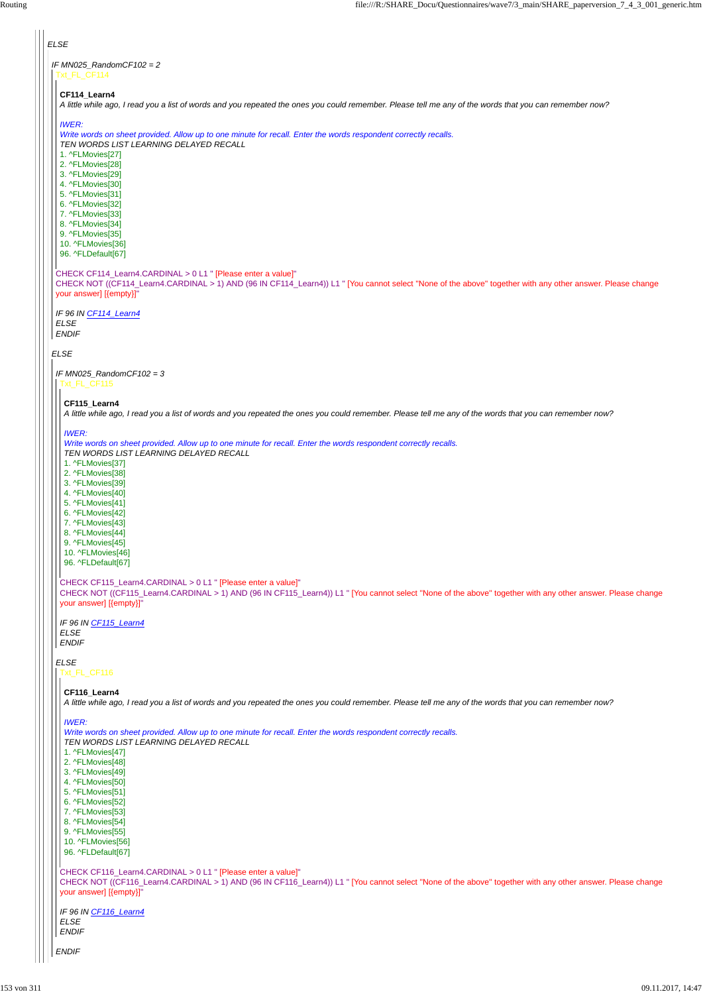```
ENDIF
CHECK CF116_Learn4.CARDINAL > 0 L1 " [Please enter a value]"
CHECK NOT ((CF116_Learn4.CARDINAL > 1) AND (96 IN CF116_Learn4)) L1 " [You cannot select ''None of the above'' together with any other answer. Please change
your answer] [{empty}]"
IF 96 IN CF116_Learn4
ELSE
ENDIF
  TEN WORDS LIST LEARNING DELAYED RECALL
  1. ^FLMovies[47]
 2. ^FLMovies[48]
 3. ^FLMovies[49]
 4. ^FLMovies[50]
 5. ^FLMovies[51]
 6. ^FLMovies[52]
 7. ^FLMovies[53]
 8. ^FLMovies[54]
 9. ^FLMovies[55]
 10. ^FLMovies[56]
 96. ^FLDefault[67]
```
*ELSE IF MN025\_RandomCF102 = 2 ELSE* Txt\_FL\_CF114 CHECK CF114\_Learn4.CARDINAL > 0 L1 " [Please enter a value]" CHECK NOT ((CF114\_Learn4.CARDINAL > 1) AND (96 IN CF114\_Learn4)) L1 " [You cannot select ''None of the above'' together with any other answer. Please change your answer] [{empty}]" *IF 96 IN CF114\_Learn4 ELSE ENDIF* **CF114\_Learn4** *A little while ago, I read you a list of words and you repeated the ones you could remember. Please tell me any of the words that you can remember now? IWER: Write words on sheet provided. Allow up to one minute for recall. Enter the words respondent correctly recalls. TEN WORDS LIST LEARNING DELAYED RECALL* 1. ^FLMovies[27] 2. ^FLMovies[28] 3. ^FLMovies[29] 4. ^FLMovies[30] 5. ^FLMovies[31] 6. ^FLMovies[32] 7. ^FLMovies[33] 8. ^FLMovies[34] 9. ^FLMovies[35] 10. ^FLMovies[36] 96. ^FLDefault[67] *IF MN025\_RandomCF102 = 3 ELSE* Txt\_FL\_CF115 CHECK CF115\_Learn4.CARDINAL > 0 L1 " [Please enter a value]" CHECK NOT ((CF115\_Learn4.CARDINAL > 1) AND (96 IN CF115\_Learn4)) L1 " [You cannot select ''None of the above'' together with any other answer. Please change your answer] [{empty}]" *IF 96 IN CF115\_Learn4 ELSE ENDIF* **CF115\_Learn4** *A little while ago, I read you a list of words and you repeated the ones you could remember. Please tell me any of the words that you can remember now? IWER: Write words on sheet provided. Allow up to one minute for recall. Enter the words respondent correctly recalls. TEN WORDS LIST LEARNING DELAYED RECALL* 1. ^FLMovies[37] 2. ^FLMovies[38] 3. ^FLMovies[39] 4. ^FLMovies[40] 5. ^FLMovies[41] 6. ^FLMovies[42] 7. ^FLMovies[43] 8. ^FLMovies[44] 9. ^FLMovies[45] 10. ^FLMovies[46] 96. ^FLDefault[67] Txt\_FL\_CF116 **CF116\_Learn4** *A little while ago, I read you a list of words and you repeated the ones you could remember. Please tell me any of the words that you can remember now? IWER: Write words on sheet provided. Allow up to one minute for recall. Enter the words respondent correctly recalls.*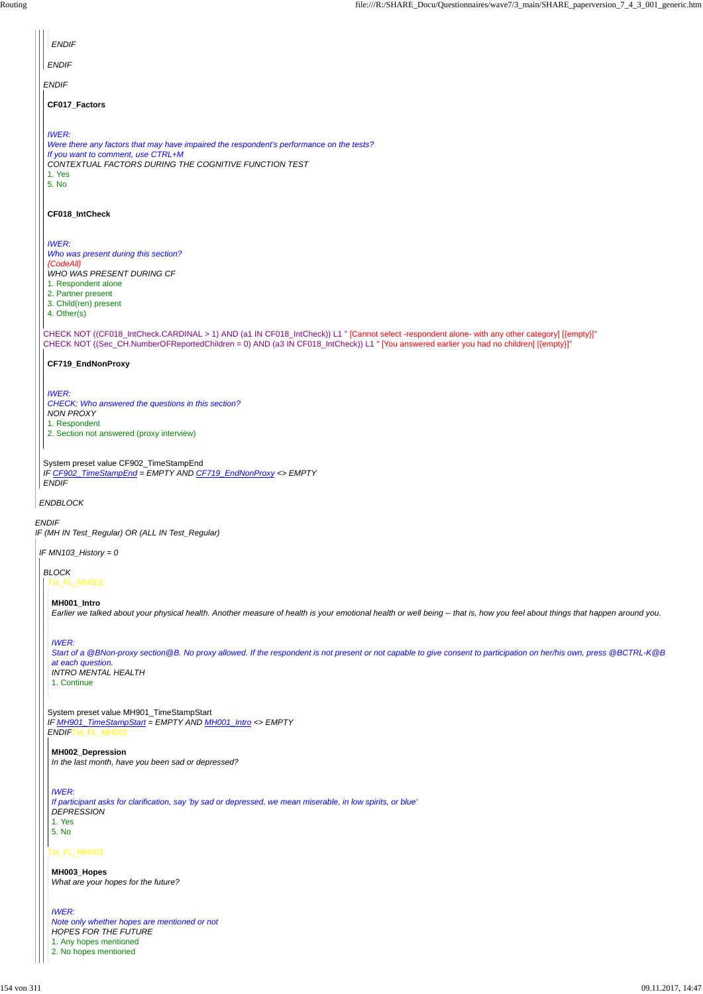| <b>ENDIF</b>                                                                                                                                                                                                                                                                               |  |
|--------------------------------------------------------------------------------------------------------------------------------------------------------------------------------------------------------------------------------------------------------------------------------------------|--|
| <b>ENDIF</b>                                                                                                                                                                                                                                                                               |  |
| <b>ENDIF</b>                                                                                                                                                                                                                                                                               |  |
| CF017_Factors                                                                                                                                                                                                                                                                              |  |
| <b>IWER:</b><br>Were there any factors that may have impaired the respondent's performance on the tests?<br>If you want to comment, use CTRL+M<br>CONTEXTUAL FACTORS DURING THE COGNITIVE FUNCTION TEST<br>1. Yes<br>5. No                                                                 |  |
| CF018_IntCheck                                                                                                                                                                                                                                                                             |  |
| <b>IWER:</b><br>Who was present during this section?<br>{CodeAll}<br>WHO WAS PRESENT DURING CF<br>1. Respondent alone<br>2. Partner present<br>3. Child(ren) present<br>4. Other(s)                                                                                                        |  |
| CHECK NOT ((CF018_IntCheck.CARDINAL > 1) AND (a1 IN CF018_IntCheck)) L1 " [Cannot select -respondent alone- with any other category] [{empty}]"<br>CHECK NOT ((Sec_CH.NumberOFReportedChildren = 0) AND (a3 IN CF018_IntCheck)) L1 " [You answered earlier you had no children] [{empty}]" |  |
| CF719_EndNonProxy                                                                                                                                                                                                                                                                          |  |
| <b>IWER:</b><br>CHECK: Who answered the questions in this section?<br><b>NON PROXY</b><br>1. Respondent<br>2. Section not answered (proxy interview)                                                                                                                                       |  |
| System preset value CF902_TimeStampEnd<br>IF CF902_TimeStampEnd = EMPTY AND CF719_EndNonProxy <> EMPTY<br><b>ENDIF</b>                                                                                                                                                                     |  |
| ENDBLOCK                                                                                                                                                                                                                                                                                   |  |
| <b>ENDIF</b><br>IF (MH IN Test_Regular) OR (ALL IN Test_Regular)                                                                                                                                                                                                                           |  |
| IF MN103_History = 0                                                                                                                                                                                                                                                                       |  |
| <b>BLOCK</b><br>Txt_FL_MH001                                                                                                                                                                                                                                                               |  |
| MH001_Intro<br>Earlier we talked about your physical health. Another measure of health is your emotional health or well being -- that is, how you feel about things that happen around you.                                                                                                |  |
| <b>IWER:</b><br>Start of a @BNon-proxy section@B. No proxy allowed. If the respondent is not present or not capable to give consent to participation on her/his own, press @BCTRL-K@B<br>at each question.<br><b>INTRO MENTAL HEALTH</b><br>1. Continue                                    |  |
| System preset value MH901_TimeStampStart<br>IF MH901_TimeStampStart = EMPTY AND MH001_Intro <> EMPTY<br>ENDIFTxt_FL_MH002                                                                                                                                                                  |  |

### Txt\_FL\_MH003

#### **MH002\_Depression**

*In the last month, have you been sad or depressed?*

*IWER:*

*If participant asks for clarification, say 'by sad or depressed, we mean miserable, in low spirits, or blue' DEPRESSION*

1. Yes

5. No

**MH003\_Hopes** *What are your hopes for the future?*

*IWER: Note only whether hopes are mentioned or not HOPES FOR THE FUTURE* 1. Any hopes mentioned 2. No hopes mentioned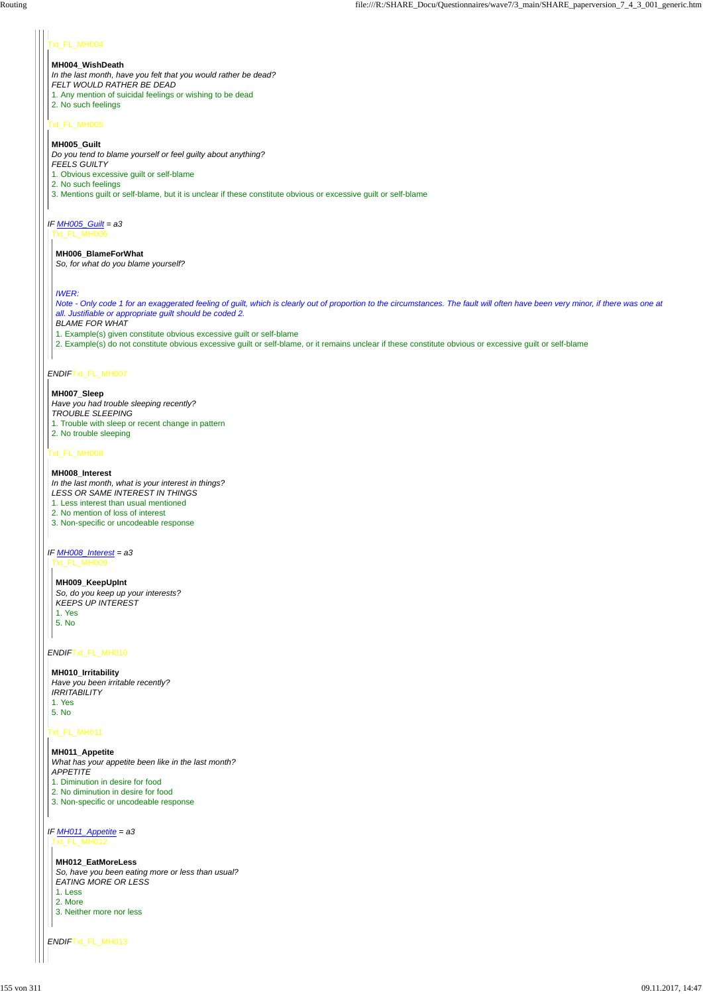### xt\_FL\_MH004

### Txt\_FL\_MH005

### *IF MH005\_Guilt = a3*

### *ENDIF*Txt\_FL\_MH007

### Txt\_FL\_MH008

### *IF MH008\_Interest = a3*

*ENDIF*Txt\_FL\_MH010

Txt\_FL\_MH011

*ENDIF*Txt\_FL\_MH013

#### **MH004\_WishDeath**

*In the last month, have you felt that you would rather be dead? FELT WOULD RATHER BE DEAD* 1. Any mention of suicidal feelings or wishing to be dead 2. No such feelings

#### **MH005\_Guilt**

*Do you tend to blame yourself or feel guilty about anything? FEELS GUILTY* 1. Obvious excessive guilt or self-blame 2. No such feelings 3. Mentions guilt or self-blame, but it is unclear if these constitute obvious or excessive guilt or self-blame

Txt\_FL\_MH006

#### **MH006\_BlameForWhat**

*So, for what do you blame yourself?*

#### *IWER:*

*Note - Only code 1 for an exaggerated feeling of guilt, which is clearly out of proportion to the circumstances. The fault will often have been very minor, if there was one at all. Justifiable or appropriate guilt should be coded 2.*

### *BLAME FOR WHAT*

1. Example(s) given constitute obvious excessive guilt or self-blame

*IF MH011\_Appetite = a3* Txt\_FL\_MH012

2. Example(s) do not constitute obvious excessive guilt or self-blame, or it remains unclear if these constitute obvious or excessive guilt or self-blame

#### **MH007\_Sleep**

*Have you had trouble sleeping recently? TROUBLE SLEEPING* 1. Trouble with sleep or recent change in pattern 2. No trouble sleeping

#### **MH008\_Interest**

*In the last month, what is your interest in things? LESS OR SAME INTEREST IN THINGS* 1. Less interest than usual mentioned 2. No mention of loss of interest

3. Non-specific or uncodeable response

Txt\_FL\_MH009

#### **MH009\_KeepUpInt**

*So, do you keep up your interests? KEEPS UP INTEREST* 1. Yes

5. No

 $\mathbf{I}$ 

**MH011\_Appetite**

*What has your appetite been like in the last month? APPETITE*

1. Diminution in desire for food

2. No diminution in desire for food

3. Non-specific or uncodeable response

**MH012\_EatMoreLess** *So, have you been eating more or less than usual? EATING MORE OR LESS*

1. Less

2. More

3. Neither more nor less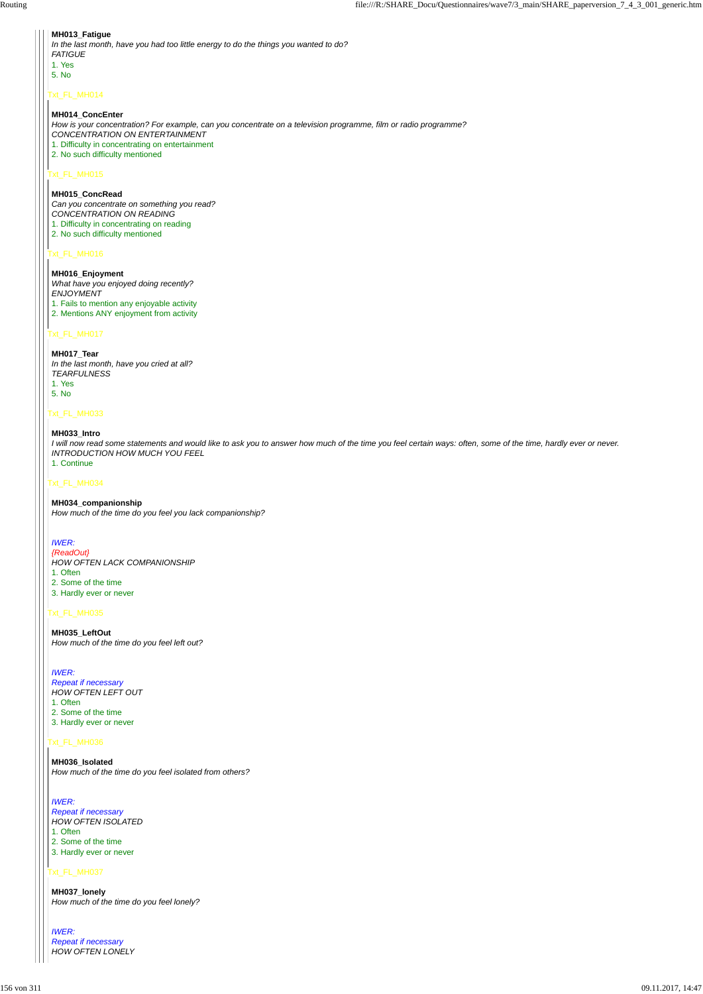## Txt\_FL\_MH014

### Txt\_FL\_MH015

### Txt\_FL\_MH016

### Txt\_FL\_MH017

### Txt\_FL\_MH033

### Txt\_FL\_MH034

#### Txt\_FL\_MH035

Txt\_FL\_MH036

Txt\_FL\_MH037

### **MH013\_Fatigue**

| I in the last month, have you had too little energy to do the things you wanted to do? |
|----------------------------------------------------------------------------------------|
| I FATIGUE                                                                              |
| 1. Yes                                                                                 |
| $-5. N0$                                                                               |
|                                                                                        |

#### **MH014\_ConcEnter**

*How is your concentration? For example, can you concentrate on a television programme, film or radio programme? CONCENTRATION ON ENTERTAINMENT* 1. Difficulty in concentrating on entertainment

2. No such difficulty mentioned

#### **MH015\_ConcRead**

*Can you concentrate on something you read? CONCENTRATION ON READING* 1. Difficulty in concentrating on reading

2. No such difficulty mentioned

### **MH016\_Enjoyment** *What have you enjoyed doing recently? ENJOYMENT* 1. Fails to mention any enjoyable activity 2. Mentions ANY enjoyment from activity

### **MH017\_Tear** *In the last month, have you cried at all? TEARFULNESS* 1. Yes 5. No

#### **MH033\_Intro**

*I will now read some statements and would like to ask you to answer how much of the time you feel certain ways: often, some of the time, hardly ever or never. INTRODUCTION HOW MUCH YOU FEEL* 1. Continue

#### **MH034\_companionship**

*How much of the time do you feel you lack companionship?*

### *IWER:*

*{ReadOut} HOW OFTEN LACK COMPANIONSHIP* 1. Often 2. Some of the time 3. Hardly ever or never

**MH035\_LeftOut** *How much of the time do you feel left out?*

### *IWER:*

*Repeat if necessary HOW OFTEN LEFT OUT* 1. Often

2. Some of the time 3. Hardly ever or never

#### **MH036\_Isolated**

*How much of the time do you feel isolated from others?*

*IWER: Repeat if necessary HOW OFTEN ISOLATED* 1. Often 2. Some of the time 3. Hardly ever or never

**MH037\_lonely** *How much of the time do you feel lonely?*

*IWER: Repeat if necessary HOW OFTEN LONELY*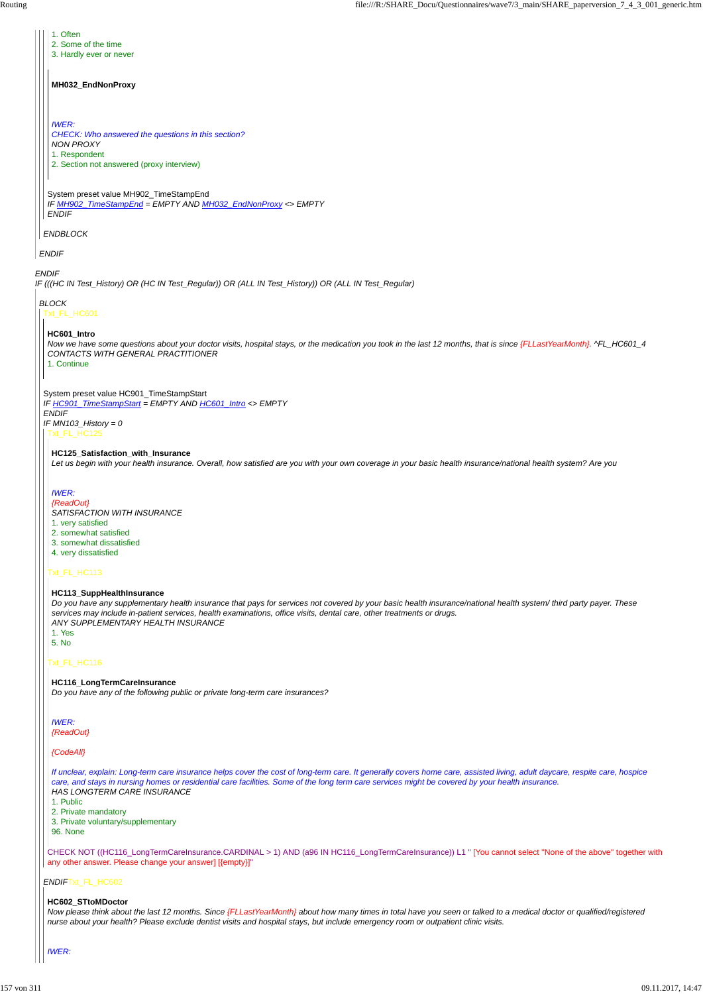1. Often

*ENDIF*Txt\_FL\_HC602

*ENDIF IF (((HC IN Test\_History) OR (HC IN Test\_Regular)) OR (ALL IN Test\_History)) OR (ALL IN Test\_Regular) ENDIF ENDBLOCK* System preset value MH902\_TimeStampEnd *IF MH902\_TimeStampEnd = EMPTY AND MH032\_EndNonProxy <> EMPTY ENDIF* 2. Some of the time 3. Hardly ever or never **MH032\_EndNonProxy** *IWER: CHECK: Who answered the questions in this section? NON PROXY* 1. Respondent 2. Section not answered (proxy interview) *BLOCK* Txt\_FL\_HC601 System preset value HC901\_TimeStampStart *IF HC901\_TimeStampStart = EMPTY AND HC601\_Intro <> EMPTY ENDIF IF MN103\_History = 0* **HC601\_Intro** *Now we have some questions about your doctor visits, hospital stays, or the medication you took in the last 12 months, that is since {FLLastYearMonth}. ^FL\_HC601\_4 CONTACTS WITH GENERAL PRACTITIONER* 1. Continue Txt\_FL\_HC125 Txt\_FL\_HC113 Txt\_FL\_HC116 **HC125\_Satisfaction\_with\_Insurance** *Let us begin with your health insurance. Overall, how satisfied are you with your own coverage in your basic health insurance/national health system? Are you IWER: {ReadOut} SATISFACTION WITH INSURANCE* 1. very satisfied 2. somewhat satisfied 3. somewhat dissatisfied 4. very dissatisfied **HC113\_SuppHealthInsurance** *Do you have any supplementary health insurance that pays for services not covered by your basic health insurance/national health system/ third party payer. These services may include in-patient services, health examinations, office visits, dental care, other treatments or drugs. ANY SUPPLEMENTARY HEALTH INSURANCE* 1. Yes 5. No **HC116\_LongTermCareInsurance** *Do you have any of the following public or private long-term care insurances? IWER: {ReadOut} {CodeAll}*

CHECK NOT ((HC116\_LongTermCareInsurance.CARDINAL > 1) AND (a96 IN HC116\_LongTermCareInsurance)) L1 " [You cannot select ''None of the above'' together with any other answer. Please change your answer] [{empty}]"

*If unclear, explain: Long-term care insurance helps cover the cost of long-term care. It generally covers home care, assisted living, adult daycare, respite care, hospice care, and stays in nursing homes or residential care facilities. Some of the long term care services might be covered by your health insurance. HAS LONGTERM CARE INSURANCE*

1. Public

2. Private mandatory

3. Private voluntary/supplementary

96. None

#### **HC602\_STtoMDoctor**

*Now please think about the last 12 months. Since {FLLastYearMonth} about how many times in total have you seen or talked to a medical doctor or qualified/registered nurse about your health? Please exclude dentist visits and hospital stays, but include emergency room or outpatient clinic visits.*

#### *IWER:*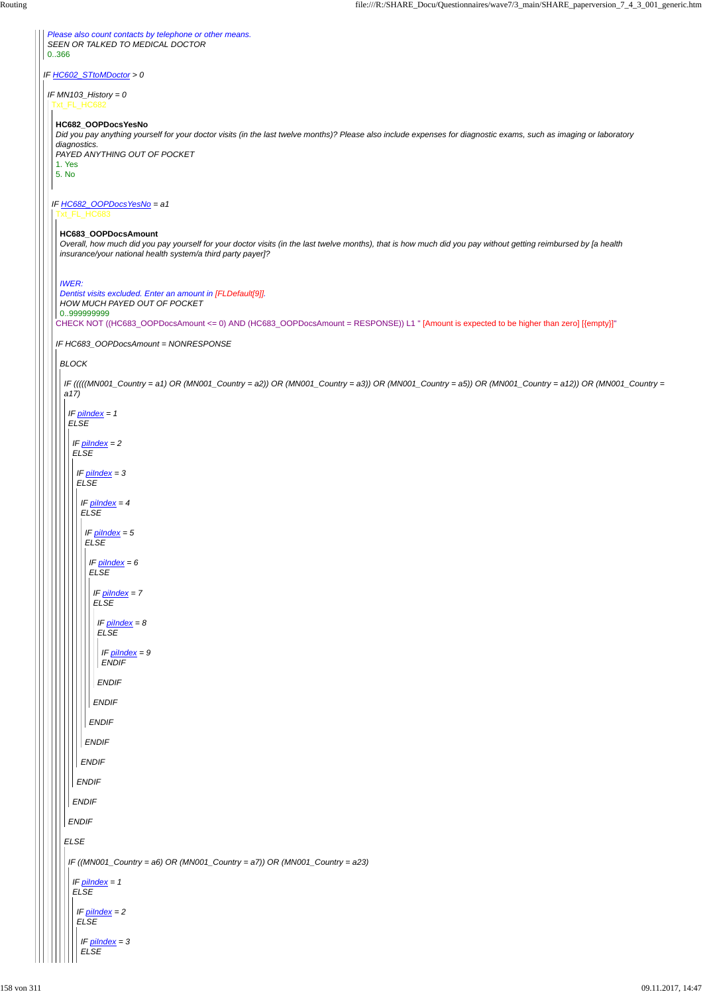*IF HC602\_STtoMDoctor > 0 Please also count contacts by telephone or other means. SEEN OR TALKED TO MEDICAL DOCTOR* 0..366 *IF MN103\_History = 0* Txt\_FL\_HC682 *IF HC682\_OOPDocsYesNo = a1* **HC682\_OOPDocsYesNo** *Did you pay anything yourself for your doctor visits (in the last twelve months)? Please also include expenses for diagnostic exams, such as imaging or laboratory diagnostics. PAYED ANYTHING OUT OF POCKET* 1. Yes 5. No Txt\_FL\_HC683 CHECK NOT ((HC683\_OOPDocsAmount <= 0) AND (HC683\_OOPDocsAmount = RESPONSE)) L1 " [Amount is expected to be higher than zero] [{empty}]" *IF HC683\_OOPDocsAmount = NONRESPONSE* **HC683\_OOPDocsAmount** *Overall, how much did you pay yourself for your doctor visits (in the last twelve months), that is how much did you pay without getting reimbursed by [a health insurance/your national health system/a third party payer]? IWER: Dentist visits excluded. Enter an amount in [FLDefault[9]]. HOW MUCH PAYED OUT OF POCKET* 0..999999999 *BLOCK IF (((((MN001\_Country = a1) OR (MN001\_Country = a2)) OR (MN001\_Country = a3)) OR (MN001\_Country = a5)) OR (MN001\_Country = a12)) OR (MN001\_Country = a17) IF piIndex = 1 ELSE IF piIndex = 2 ELSE IF piIndex = 3 ELSE IF piIndex = 4 ELSE IF piIndex = 5 ELSE ENDIF IF piIndex = 6 ELSE ENDIF IF piIndex = 7 ELSE ENDIF IF piIndex = 8 ELSE ENDIF IF piIndex = 9 ENDIF*

```
ELSE
ENDIF
  ENDIF
  ENDIF
   ENDIF
 IF ((MN001_Country = a6) OR (MN001_Country = a7)) OR (MN001_Country = a23)
  IF piIndex = 1
  ELSE
   IF piIndex = 2
  ELSE
    IF piIndex = 3
    ELSE
```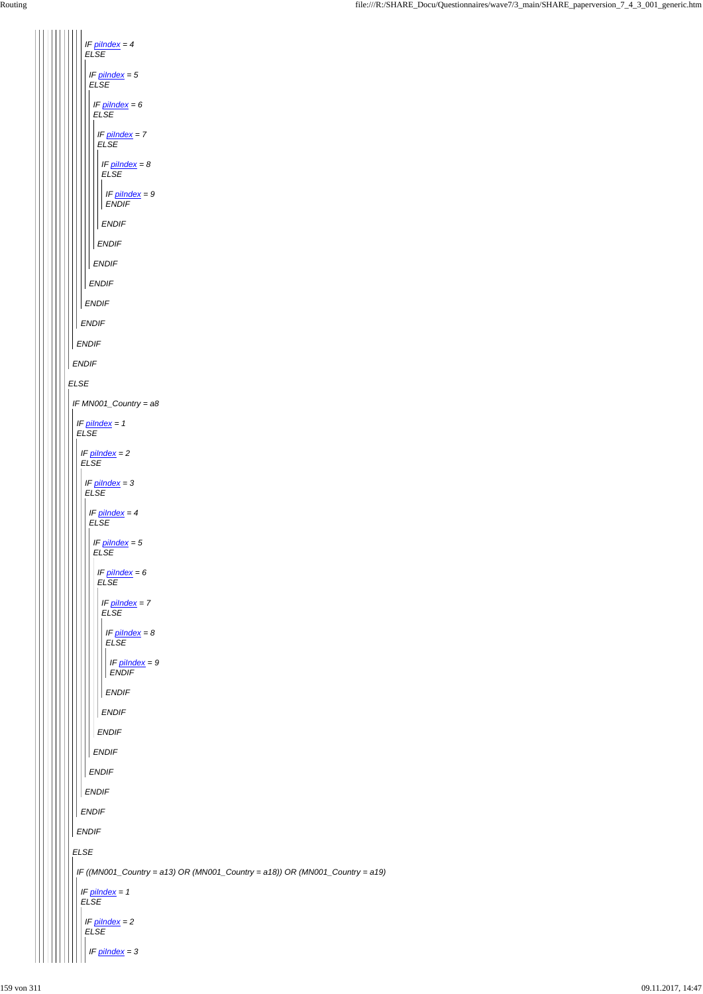*ELSE ENDIF ENDIF ENDIF IF piIndex = 4 ELSE ENDIF IF piIndex = 5 ELSE ENDIF IF piIndex = 6 ELSE ENDIF IF piIndex = 7 ELSE ENDIF IF piIndex = 8 ELSE ENDIF IF piIndex = 9 ENDIF IF MN001\_Country = a8 IF piIndex = 1 ELSE IF piIndex = 2 ELSE IF piIndex = 3 ELSE IF piIndex = 4 ELSE IF piIndex = 5 ELSE IF piIndex = 6 ELSE ENDIF IF piIndex = 7 ELSE ENDIF IF piIndex = 8 ELSE ENDIF IF piIndex = 9 ENDIF*

```
ELSE
ENDIF
ENDIF
  ENDIF
  ENDIF
   ENDIF
IF ((MN001_Country = a13) OR (MN001_Country = a18)) OR (MN001_Country = a19)
 IF piIndex = 1
 ELSE
  IF piIndex = 2
  ELSE
   IF piIndex = 3
```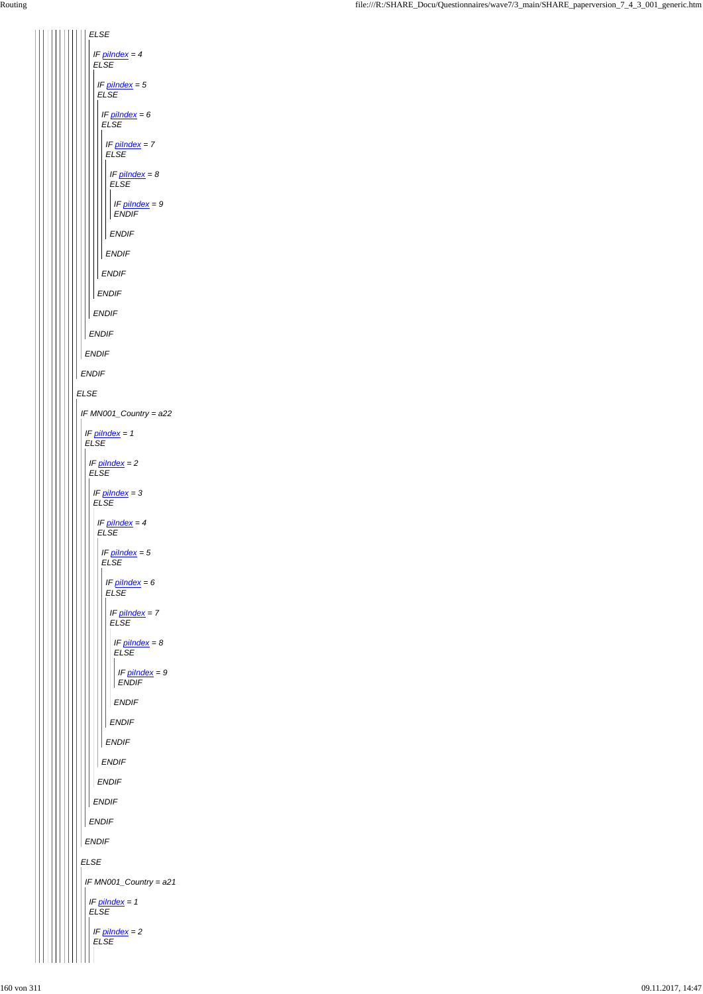*ELSE ENDIF ENDIF ELSE ENDIF IF piIndex = 4 ELSE ENDIF IF piIndex = 5 ELSE ENDIF IF piIndex = 6 ELSE ENDIF IF piIndex = 7 ELSE ENDIF IF piIndex = 8 ELSE ENDIF IF piIndex = 9 ENDIF IF MN001\_Country = a22 IF piIndex = 1 ELSE IF piIndex = 2 ELSE IF piIndex = 3 ELSE IF piIndex = 4 ELSE IF piIndex = 5 ELSE IF piIndex = 6 ELSE ENDIF IF piIndex = 7 ELSE ENDIF IF piIndex = 8 ELSE ENDIF IF piIndex = 9 ENDIF*

| <b>ENDIF</b>                              |
|-------------------------------------------|
| <b>ENDIF</b>                              |
| <b>ENDIF</b>                              |
| <b>ENDIF</b>                              |
| <b>ENDIF</b>                              |
| <b>ELSE</b>                               |
| IF MN001_Country = a21                    |
| IF $pilndex = 1$<br><b>ELSE</b>           |
| IF $p$ <i>ilndex</i> = $2$<br><b>ELSE</b> |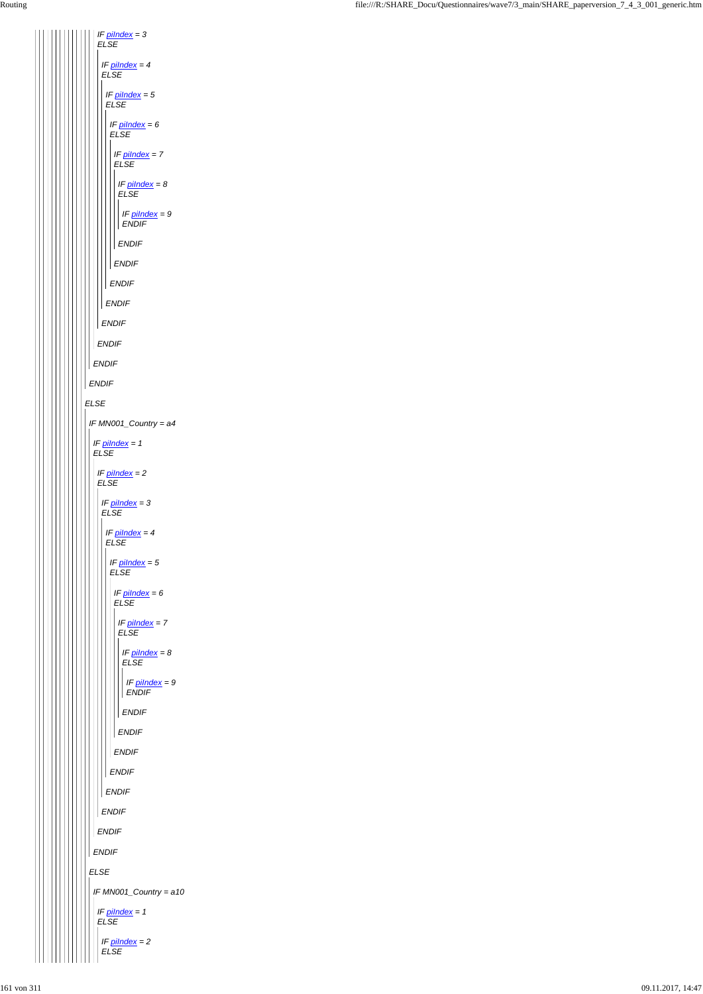*ELSE ENDIF ENDIF IF piIndex = 3 ELSE ENDIF IF piIndex = 4 ELSE ENDIF IF piIndex = 5 ELSE ENDIF IF piIndex = 6 ELSE ENDIF IF piIndex = 7 ELSE ENDIF IF piIndex = 8 ELSE ENDIF IF piIndex = 9 ENDIF IF MN001\_Country = a4 IF piIndex = 1 ELSE IF piIndex = 2 ELSE IF piIndex = 3 ELSE IF piIndex = 4 ELSE IF piIndex = 5 ELSE IF piIndex = 6 ELSE IF piIndex = 7 ELSE ENDIF IF piIndex = 8 ELSE ENDIF IF piIndex = 9 ENDIF*

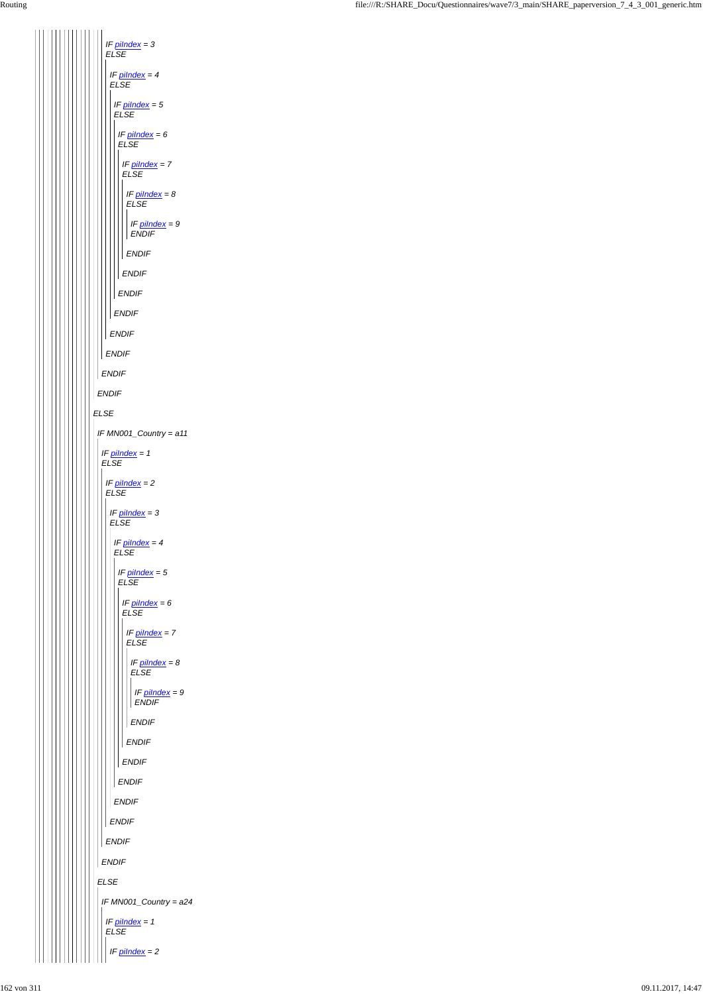*ELSE ENDIF ENDIF IF piIndex = 3 ELSE ENDIF IF piIndex = 4 ELSE ENDIF IF piIndex = 5 ELSE ENDIF IF piIndex = 6 ELSE ENDIF IF piIndex = 7 ELSE ENDIF IF piIndex = 8 ELSE ENDIF IF piIndex = 9 ENDIF IF MN001\_Country = a11 IF piIndex = 1 ELSE IF piIndex = 2 ELSE IF piIndex = 3 ELSE IF piIndex = 4 ELSE IF piIndex = 5 ELSE IF piIndex = 6 ELSE IF piIndex = 7 ELSE ENDIF IF piIndex = 8 ELSE ENDIF IF piIndex = 9 ENDIF*

| <b>ENDIF</b>                     |
|----------------------------------|
| <b>ENDIF</b>                     |
| <b>ENDIF</b>                     |
| <b>ENDIF</b>                     |
| ENDIF                            |
| ENDIF                            |
| ${\it ELSE}$                     |
| IF $MN001$ _Country = $a24$      |
| $IF$ pilndex = 1<br>${\it ELSE}$ |
| $IF$ pilndex = 2                 |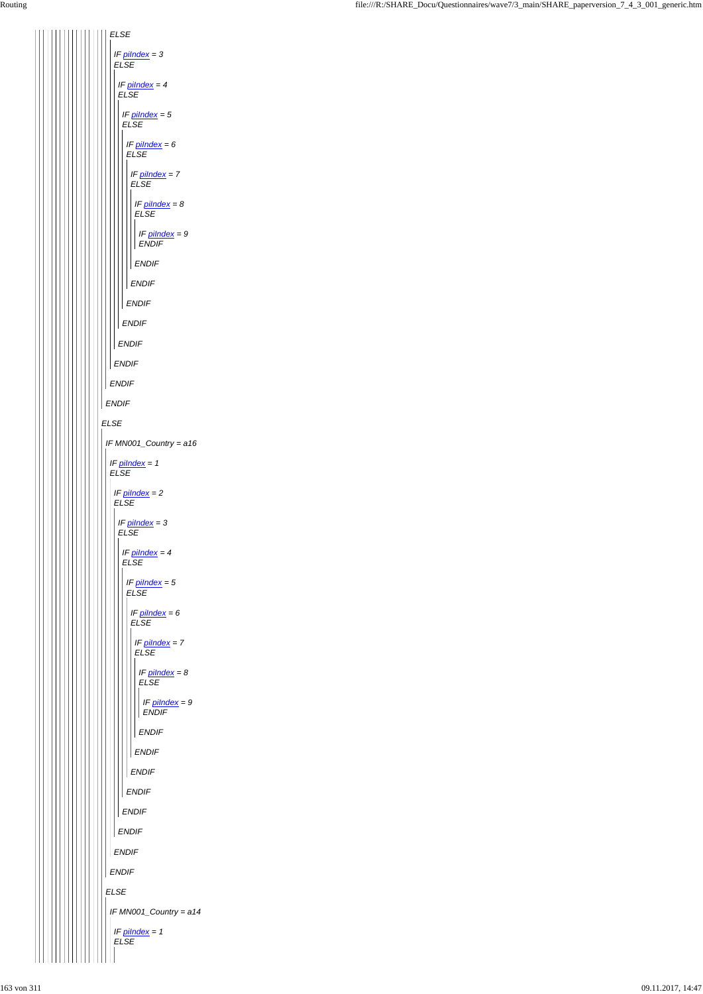

| <b>ENDIF</b>                  |
|-------------------------------|
| <b>ENDIF</b>                  |
| <b>ENDIF</b>                  |
| <b>ENDIF</b>                  |
| <b>ENDIF</b>                  |
| <b>ENDIF</b>                  |
| <b>ENDIF</b>                  |
| <b>ELSE</b>                   |
| IF MN001_Country = a14        |
| IF pilndex = 1<br><b>ELSE</b> |
|                               |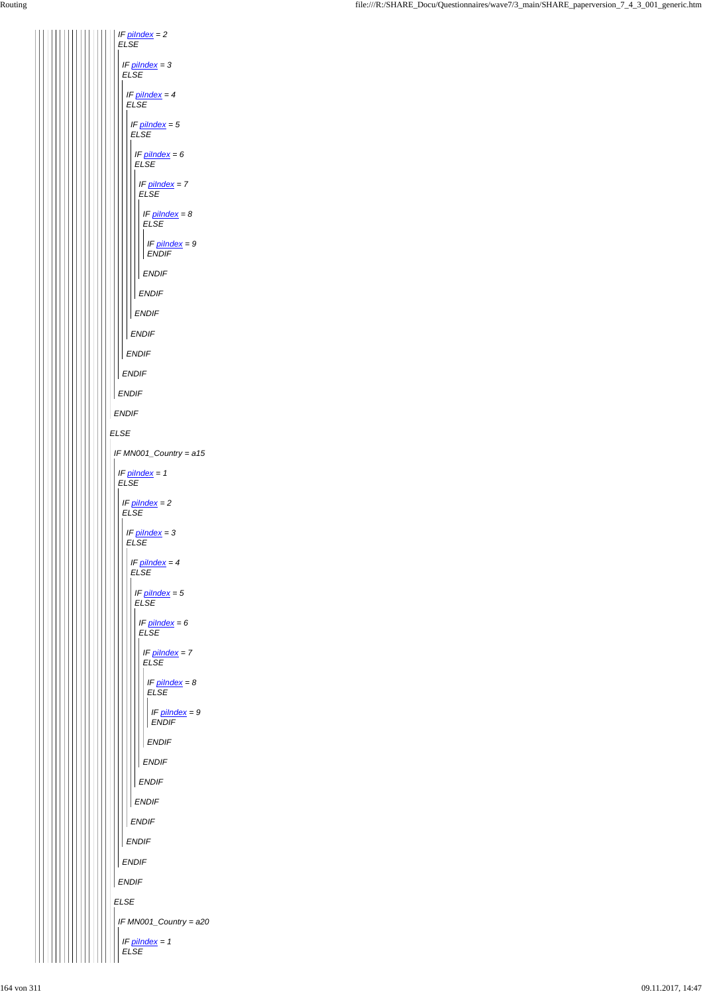*ELSE ENDIF IF piIndex = 2 ELSE ENDIF IF piIndex = 3 ELSE ENDIF IF piIndex = 4 ELSE ENDIF IF piIndex = 5 ELSE ENDIF IF piIndex = 6 ELSE ENDIF IF piIndex = 7 ELSE ENDIF IF piIndex = 8 ELSE ENDIF IF piIndex = 9 ENDIF IF MN001\_Country = a15 IF piIndex = 1 ELSE IF piIndex = 2 ELSE IF piIndex = 3 ELSE IF piIndex = 4 ELSE IF piIndex = 5 ELSE IF piIndex = 6 ELSE IF piIndex = 7 ELSE IF piIndex = 8 ELSE ENDIF IF piIndex = 9 ENDIF*

|             | <b>ENDIF</b>                    |
|-------------|---------------------------------|
|             | <b>ENDIF</b>                    |
|             | <b>ENDIF</b>                    |
|             | <b>ENDIF</b>                    |
|             | <b>ENDIF</b>                    |
|             | <b>ENDIF</b>                    |
|             | <b>ENDIF</b>                    |
| <b>ELSE</b> |                                 |
|             | IF MN001_Country = a20          |
|             | IF $pilndex = 1$<br><b>ELSE</b> |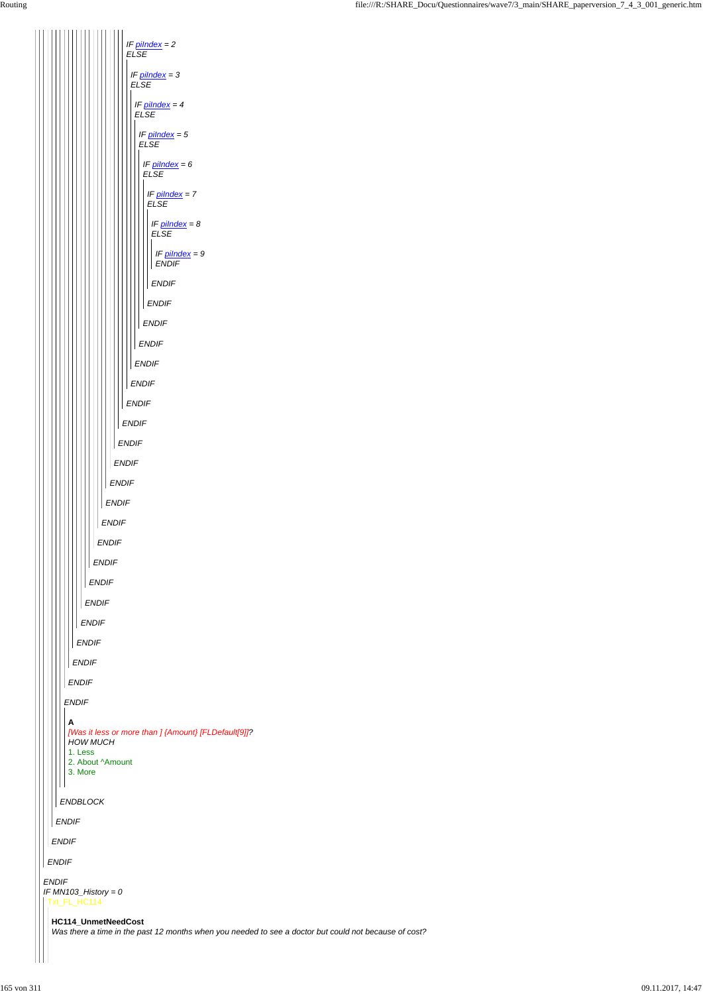| 1. Less<br>2. About ^Amount<br>3. More                                                                                                                                                  |
|-----------------------------------------------------------------------------------------------------------------------------------------------------------------------------------------|
| <b>ENDBLOCK</b>                                                                                                                                                                         |
| <b>ENDIF</b>                                                                                                                                                                            |
| <b>ENDIF</b>                                                                                                                                                                            |
| <b>ENDIF</b>                                                                                                                                                                            |
| <b>ENDIF</b><br>IF $MN103$ _History = 0<br>Txt_FL_HC114<br>HC114_UnmetNeedCost<br>Was there a time in the past 12 months when you needed to see a doctor but could not because of cost? |

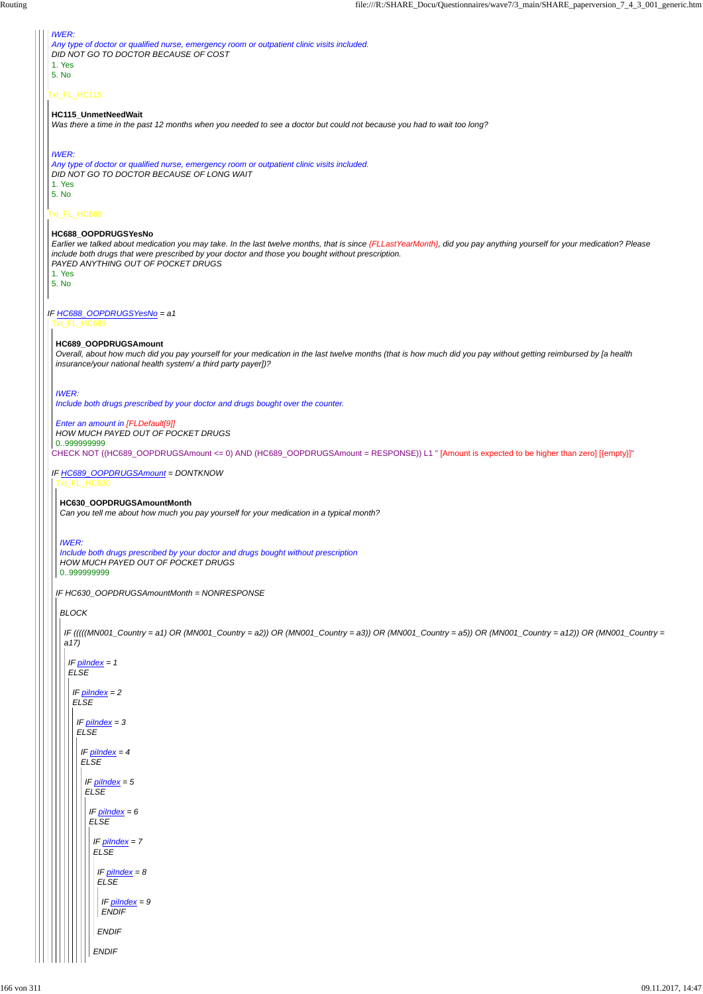Txt\_FL\_HC115 Txt\_FL\_HC688 *IF HC688\_OOPDRUGSYesNo = a1 IWER: Any type of doctor or qualified nurse, emergency room or outpatient clinic visits included. DID NOT GO TO DOCTOR BECAUSE OF COST* 1. Yes 5. No **HC115\_UnmetNeedWait** *Was there a time in the past 12 months when you needed to see a doctor but could not because you had to wait too long? IWER: Any type of doctor or qualified nurse, emergency room or outpatient clinic visits included. DID NOT GO TO DOCTOR BECAUSE OF LONG WAIT* 1. Yes 5. No **HC688\_OOPDRUGSYesNo** *Earlier we talked about medication you may take. In the last twelve months, that is since {FLLastYearMonth}, did you pay anything yourself for your medication? Please include both drugs that were prescribed by your doctor and those you bought without prescription. PAYED ANYTHING OUT OF POCKET DRUGS* 1. Yes 5. No Txt\_FL\_HC689 CHECK NOT ((HC689\_OOPDRUGSAmount <= 0) AND (HC689\_OOPDRUGSAmount = RESPONSE)) L1 " [Amount is expected to be higher than zero] [{empty}]" *IF HC689\_OOPDRUGSAmount = DONTKNOW* **HC689\_OOPDRUGSAmount** *Overall, about how much did you pay yourself for your medication in the last twelve months (that is how much did you pay without getting reimbursed by [a health insurance/your national health system/ a third party payer])? IWER: Include both drugs prescribed by your doctor and drugs bought over the counter. Enter an amount in [FLDefault[9]] HOW MUCH PAYED OUT OF POCKET DRUGS* 0..999999999 Txt\_FL\_HC630 *IF HC630\_OOPDRUGSAmountMonth = NONRESPONSE* **HC630\_OOPDRUGSAmountMonth** *Can you tell me about how much you pay yourself for your medication in a typical month? IWER: Include both drugs prescribed by your doctor and drugs bought without prescription HOW MUCH PAYED OUT OF POCKET DRUGS* 0..999999999 *BLOCK IF (((((MN001\_Country = a1) OR (MN001\_Country = a2)) OR (MN001\_Country = a3)) OR (MN001\_Country = a5)) OR (MN001\_Country = a12)) OR (MN001\_Country = a17) IF piIndex = 1 ELSE IF piIndex = 2 ELSE*

*IF piIndex = 3 ELSE*

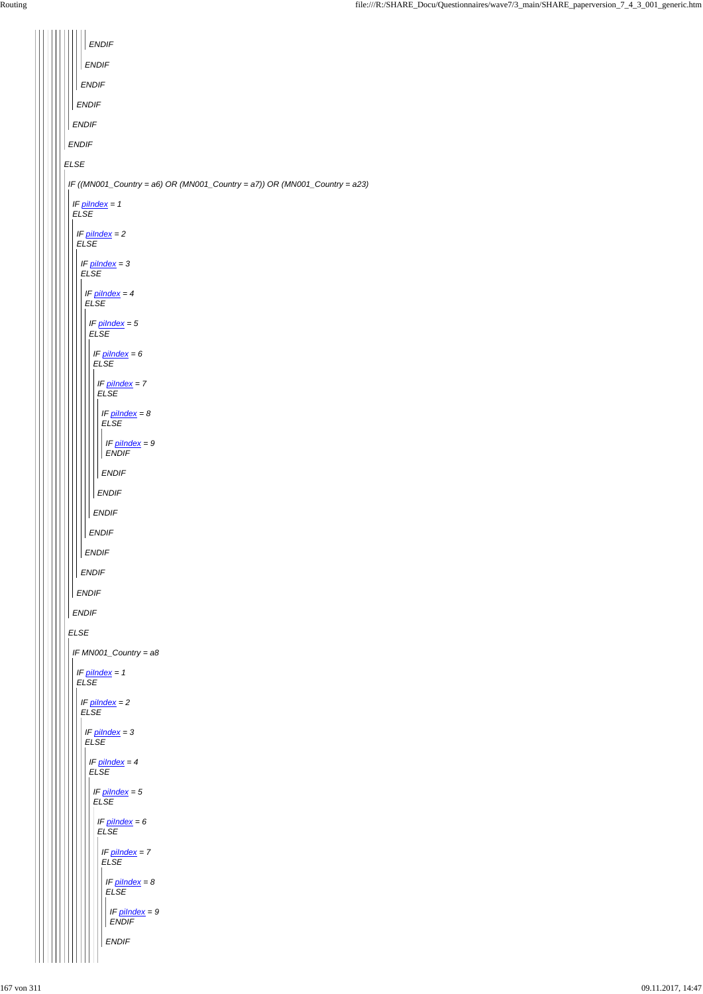| <b>ENDIF</b>                                                                        |
|-------------------------------------------------------------------------------------|
| <b>ENDIF</b>                                                                        |
| <b>ENDIF</b>                                                                        |
| <b>ENDIF</b>                                                                        |
| <b>ENDIF</b>                                                                        |
| <b>ENDIF</b>                                                                        |
| <b>ELSE</b>                                                                         |
| IF ((MN001_Country = $a6$ ) OR (MN001_Country = $a7$ )) OR (MN001_Country = $a23$ ) |
| IF $pilndex = 1$<br><b>ELSE</b>                                                     |
| IF $pilndex = 2$<br><b>ELSE</b>                                                     |
| $IF$ pilndex = 3<br><b>ELSE</b>                                                     |
| IF $pilndex = 4$<br><b>ELSE</b>                                                     |
| IF $pilndex = 5$<br><b>ELSE</b>                                                     |
| IF $p$ <i>ilndex</i> = $6$<br><b>ELSE</b>                                           |
| IF $pilndex = 7$<br><b>ELSE</b>                                                     |
| IF $pilndex = 8$<br><b>ELSE</b>                                                     |
| IF $pilndex = 9$<br><b>ENDIF</b>                                                    |
| <b>ENDIF</b>                                                                        |
| <b>ENDIF</b>                                                                        |
| <b>ENDIF</b>                                                                        |
| ENDIF                                                                               |
| <b>ENDIF</b>                                                                        |
| ENDIF                                                                               |
| <b>ENDIF</b>                                                                        |
| <b>ENDIF</b>                                                                        |
| <b>ELSE</b>                                                                         |
| IF MN001_Country = a8                                                               |
| IF $pilndex = 1$<br><b>ELSE</b>                                                     |
| $IF$ pilndex = 2<br><b>ELSE</b>                                                     |
| IF $pilndex = 3$<br><b>ELSE</b>                                                     |

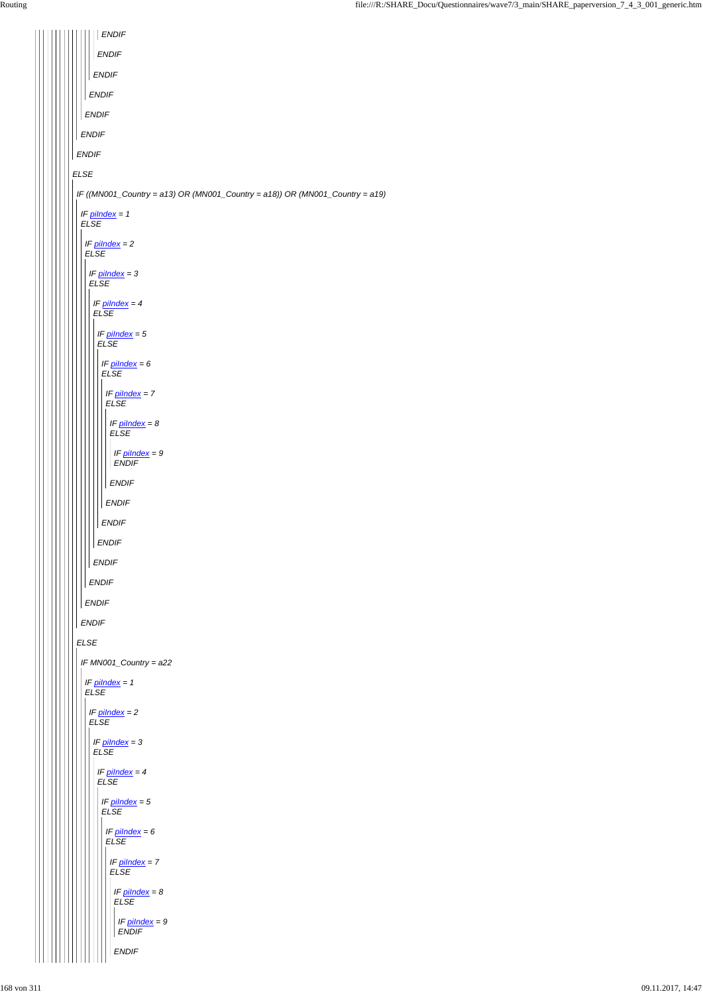*ENDIF ENDIF ENDIF ENDIF ENDIF ENDIF ENDIF ELSE IF ((MN001\_Country = a13) OR (MN001\_Country = a18)) OR (MN001\_Country = a19) IF piIndex = 1 ELSE IF piIndex = 2 ELSE IF piIndex = 3 ELSE IF piIndex = 4 ELSE IF piIndex = 5 ELSE IF piIndex = 6 ELSE IF piIndex = 7 ELSE IF piIndex = 8 ELSE IF piIndex = 9 ENDIF ENDIF ENDIF ENDIF ENDIF ENDIF ENDIF ENDIF ENDIF ELSE IF MN001\_Country = a22 IF piIndex = 1 ELSE IF piIndex = 2 ELSE IF piIndex = 3*  $\Box$ 

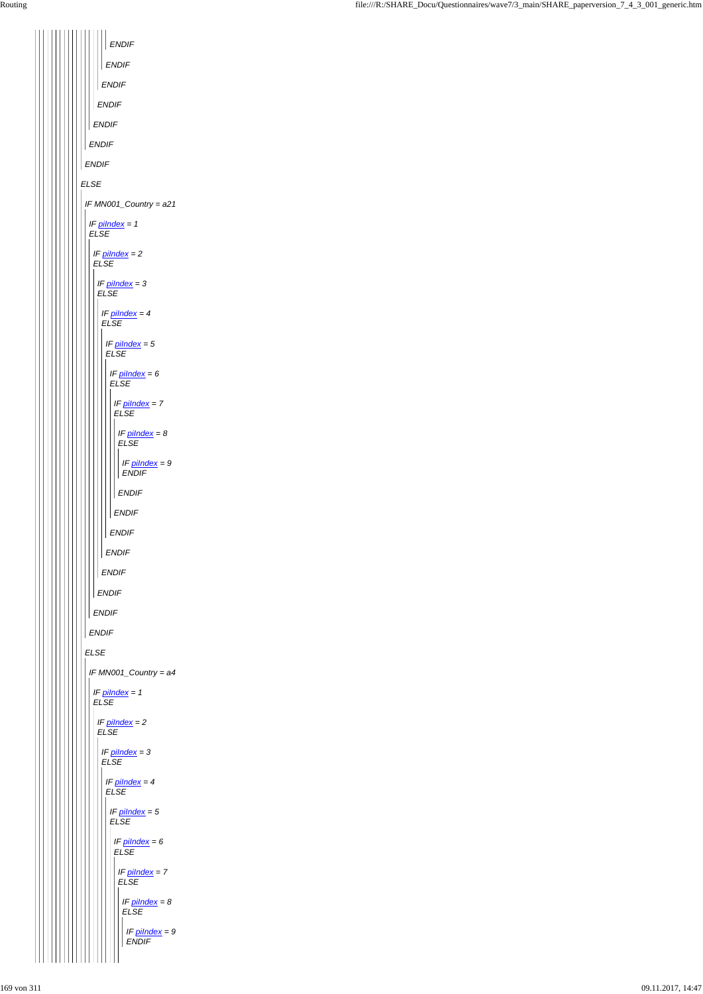| <b>ENDIF</b>                            |  |  |
|-----------------------------------------|--|--|
|                                         |  |  |
| <b>ENDIF</b>                            |  |  |
| <b>ENDIF</b>                            |  |  |
| <b>ENDIF</b>                            |  |  |
| <b>ENDIF</b>                            |  |  |
| <b>ENDIF</b>                            |  |  |
| <b>ENDIF</b>                            |  |  |
| <b>ELSE</b>                             |  |  |
| IF MN001_Country = a21                  |  |  |
| IF pilndex = 1<br><b>ELSE</b>           |  |  |
| IF $pilndex = 2$<br><b>ELSE</b>         |  |  |
| IF pilndex = 3<br><b>ELSE</b>           |  |  |
| IF pilndex = 4<br><b>ELSE</b>           |  |  |
| IF pilndex = 5<br><b>ELSE</b>           |  |  |
| IF pilndex = 6<br><b>ELSE</b>           |  |  |
| IF pilndex = 7<br><b>ELSE</b>           |  |  |
| IF pilndex = 8<br><b>ELSE</b>           |  |  |
| IF $pilndex = 9$<br><b>ENDIF</b>        |  |  |
| <b>ENDIF</b>                            |  |  |
| <b>ENDIF</b>                            |  |  |
| <b>ENDIF</b>                            |  |  |
| <b>ENDIF</b>                            |  |  |
| <b>ENDIF</b>                            |  |  |
| <b>ENDIF</b>                            |  |  |
| <b>ENDIF</b>                            |  |  |
| <b>ENDIF</b>                            |  |  |
| <b>ELSE</b>                             |  |  |
| IF MN001_Country = a4                   |  |  |
| IF $p$ <i>ilndex</i> = 1<br><b>ELSE</b> |  |  |
| IF pilndex = 2<br><b>ELSE</b>           |  |  |
|                                         |  |  |

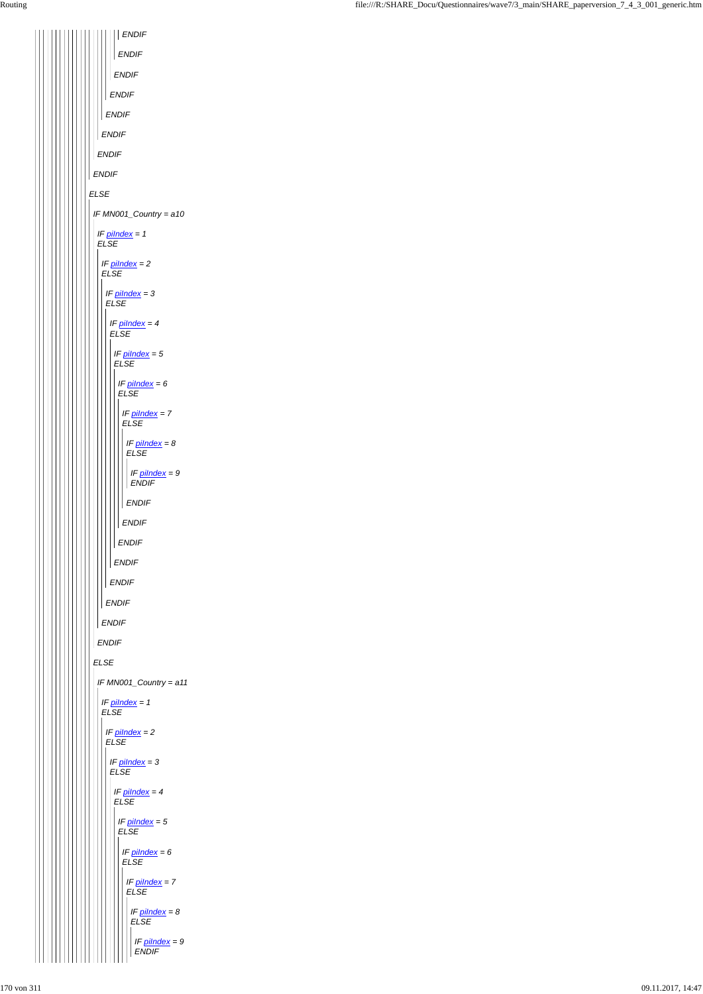| <b>ENDIF</b>                    |  |
|---------------------------------|--|
| <b>ENDIF</b>                    |  |
| <b>ENDIF</b>                    |  |
| <b>ENDIF</b>                    |  |
| <b>ENDIF</b>                    |  |
| <b>ENDIF</b>                    |  |
| <b>ENDIF</b>                    |  |
| <b>ENDIF</b>                    |  |
| <b>ELSE</b>                     |  |
| IF MN001_Country = a10          |  |
| IF pilndex = 1<br><b>ELSE</b>   |  |
| IF $pilndex = 2$<br><b>ELSE</b> |  |
| IF $pilndex = 3$<br><b>ELSE</b> |  |
| IF $pilndex = 4$<br><b>ELSE</b> |  |
| IF $pilndex = 5$<br><b>ELSE</b> |  |
| IF pilndex = 6<br><b>ELSE</b>   |  |
| IF pilndex = 7                  |  |
| <b>ELSE</b>                     |  |
| IF $pilndex = 8$<br><b>ELSE</b> |  |
| IF $pilndex = 9$                |  |
| <b>ENDIF</b>                    |  |
| <b>ENDIF</b><br><b>ENDIF</b>    |  |
| <b>ENDIF</b>                    |  |
| <b>ENDIF</b>                    |  |
| <b>ENDIF</b>                    |  |
| <b>ENDIF</b>                    |  |
| <b>ENDIF</b>                    |  |
| <b>ENDIF</b>                    |  |
| <b>ELSE</b>                     |  |
| IF MN001_Country = a11          |  |
| IF $pilndex = 1$<br><b>ELSE</b> |  |
| IF pilndex = $2$<br><b>ELSE</b> |  |

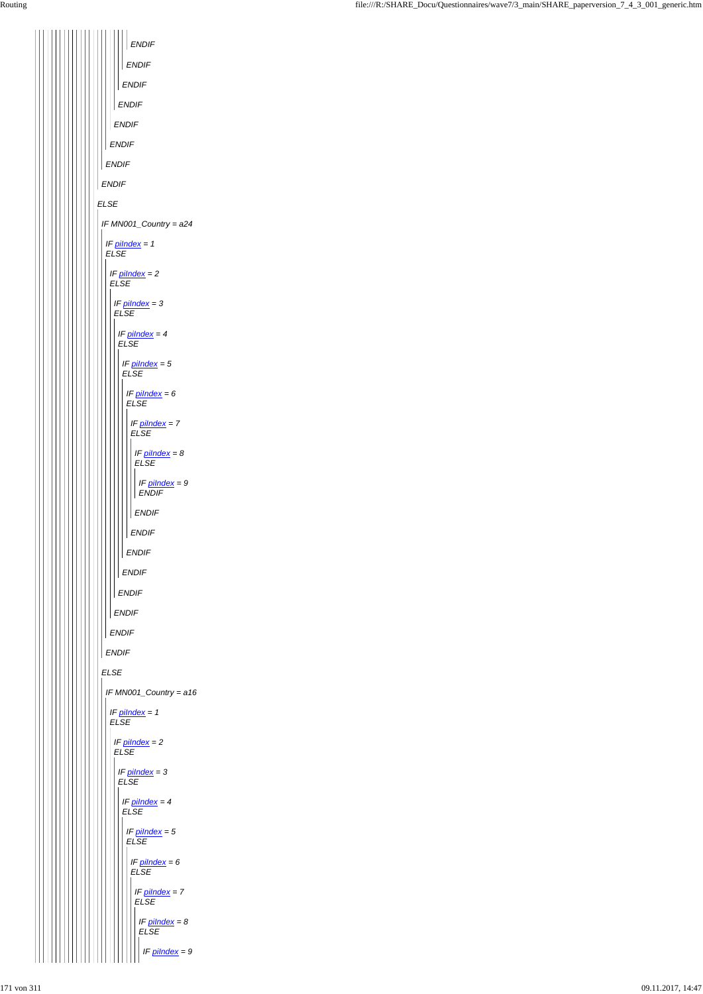*ELSE ENDIF ENDIF ENDIF ENDIF ENDIF ENDIF ENDIF ENDIF IF MN001\_Country = a24 ELSE IF piIndex = 1 ELSE ENDIF IF piIndex = 2 ELSE ENDIF IF piIndex = 3 ELSE ENDIF IF piIndex = 4 ELSE ENDIF IF piIndex = 5 ELSE ENDIF*  $IF$  *IF piIndex = 6 ELSE ENDIF IF piIndex = 7 ELSE ENDIF IF piIndex = 8 ELSE ENDIF IF piIndex = 9 ENDIF IF MN001\_Country = a16 IF piIndex = 1 ELSE*  $\iiint \frac{p \cdot \ln \left( \frac{p}{p} \right)}{p \cdot p}$  = 2

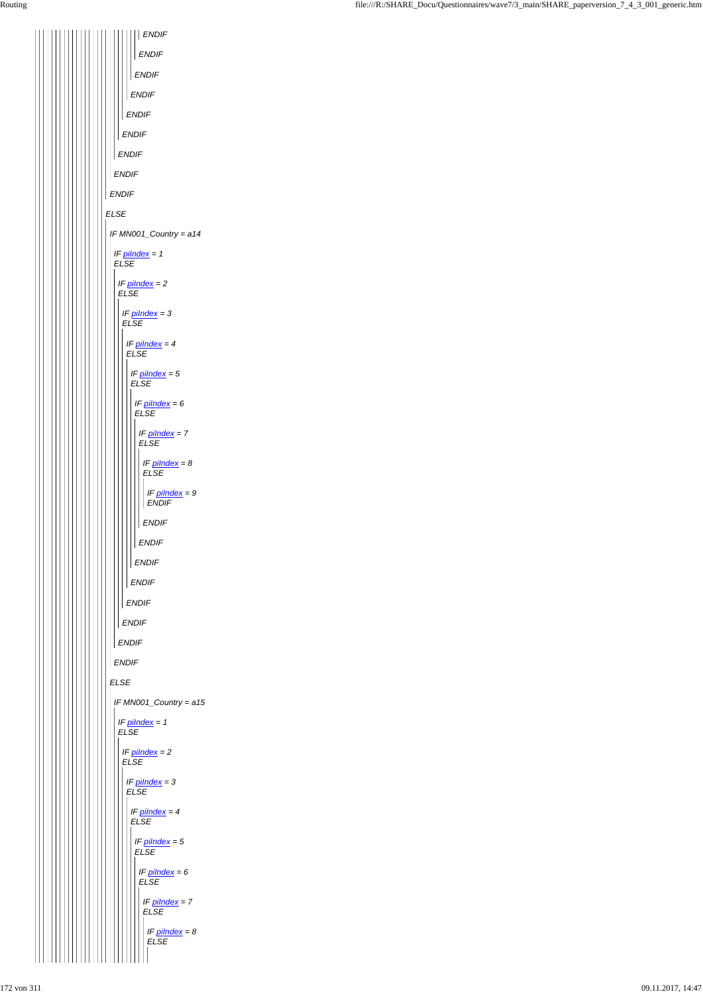| <b>ENDIF</b>                              |
|-------------------------------------------|
| <b>ENDIF</b>                              |
| <b>ENDIF</b>                              |
| <b>ENDIF</b>                              |
| <b>ENDIF</b>                              |
| <b>ENDIF</b>                              |
| <b>ENDIF</b>                              |
| <b>ENDIF</b>                              |
| <b>ENDIF</b>                              |
| <b>ELSE</b>                               |
| IF MN001_Country = a14                    |
| IF $pilndex = 1$<br><b>ELSE</b>           |
| IF pilndex = 2<br><b>ELSE</b>             |
| IF $pilndex = 3$<br><b>ELSE</b>           |
| IF $pilndex = 4$<br><b>ELSE</b>           |
| IF $p$ <i>ilndex</i> = $5$<br><b>ELSE</b> |
| IF pilndex = 6<br><b>ELSE</b>             |
| IF pilndex = 7<br><b>ELSE</b>             |
| IF $pilndex = 8$<br><b>ELSE</b>           |
| IF $pilndex = 9$<br><b>ENDIF</b>          |
| <b>ENDIF</b>                              |
| <b>ENDIF</b>                              |
| <b>ENDIF</b>                              |
| <b>ENDIF</b>                              |
| <b>ENDIF</b>                              |
| <b>ENDIF</b>                              |
| <b>ENDIF</b>                              |
| <b>ENDIF</b>                              |
| <b>ELSE</b>                               |
| IF MN001_Country = a15                    |
| IF $p$ <i>ilndex</i> = 1<br><b>ELSE</b>   |
| IF pilndex $= 2$                          |

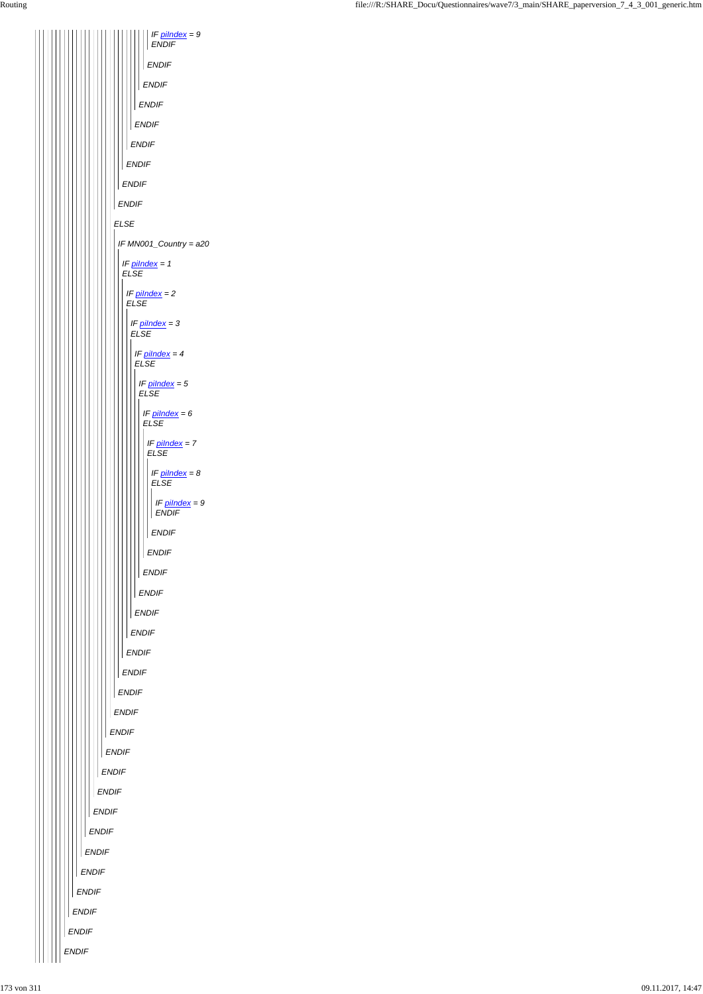

*IF piIndex = 9 ENDIF ENDIF ENDIF ENDIF ENDIF ENDIF ENDIF ENDIF ENDIF ELSE IF MN001\_Country = a20 IF piIndex = 1 ELSE IF piIndex = 2 ELSE IF piIndex = 3 ELSE IF piIndex = 4 ELSE IF piIndex = 5 ELSE IF piIndex = 6 ELSE IF piIndex = 7 ELSE IF piIndex = 8 ELSE IF piIndex = 9 ENDIF ENDIF ENDIF ENDIF ENDIF ENDIF ENDIF ENDIF ENDIF ENDIF ENDIF ENDIF*  $\| \|\|$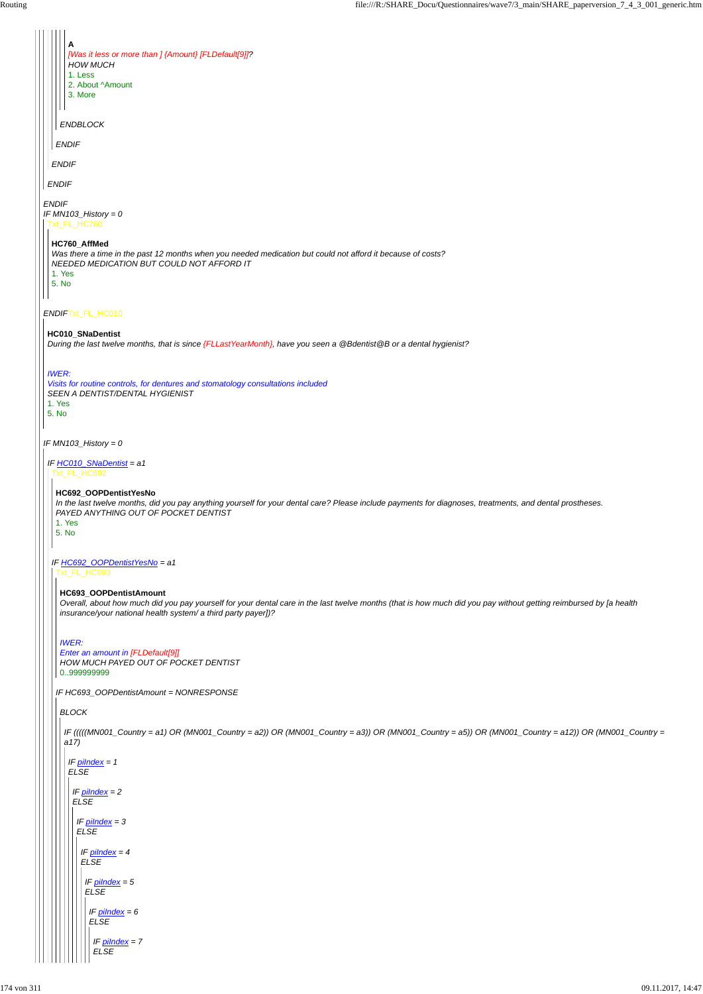*ENDIF IF MN103\_History = 0 ENDIF*Txt\_FL\_HC010 *IF MN103\_History = 0 ENDIF ENDIF ENDIF ENDBLOCK* **A** *[Was it less or more than ] {Amount} [FLDefault[9]]? HOW MUCH* 1. Less 2. About ^Amount 3. More Txt\_FL\_HC760 **HC760\_AffMed** *Was there a time in the past 12 months when you needed medication but could not afford it because of costs? NEEDED MEDICATION BUT COULD NOT AFFORD IT* 1. Yes 5. No **HC010\_SNaDentist** *During the last twelve months, that is since {FLLastYearMonth}, have you seen a @Bdentist@B or a dental hygienist? IWER: Visits for routine controls, for dentures and stomatology consultations included SEEN A DENTIST/DENTAL HYGIENIST* 1. Yes 5. No *IF HC010\_SNaDentist = a1* Txt\_FL\_HC692 *IF HC692\_OOPDentistYesNo = a1* **HC692\_OOPDentistYesNo** *In the last twelve months, did you pay anything yourself for your dental care? Please include payments for diagnoses, treatments, and dental prostheses. PAYED ANYTHING OUT OF POCKET DENTIST* 1. Yes 5. No Txt\_FL\_HC693 *IF HC693\_OOPDentistAmount = NONRESPONSE* **HC693\_OOPDentistAmount** *Overall, about how much did you pay yourself for your dental care in the last twelve months (that is how much did you pay without getting reimbursed by [a health insurance/your national health system/ a third party payer])? IWER: Enter an amount in [FLDefault[9]] HOW MUCH PAYED OUT OF POCKET DENTIST* 0..999999999 *BLOCK IF (((((MN001\_Country = a1) OR (MN001\_Country = a2)) OR (MN001\_Country = a3)) OR (MN001\_Country = a5)) OR (MN001\_Country = a12)) OR (MN001\_Country = a17)*

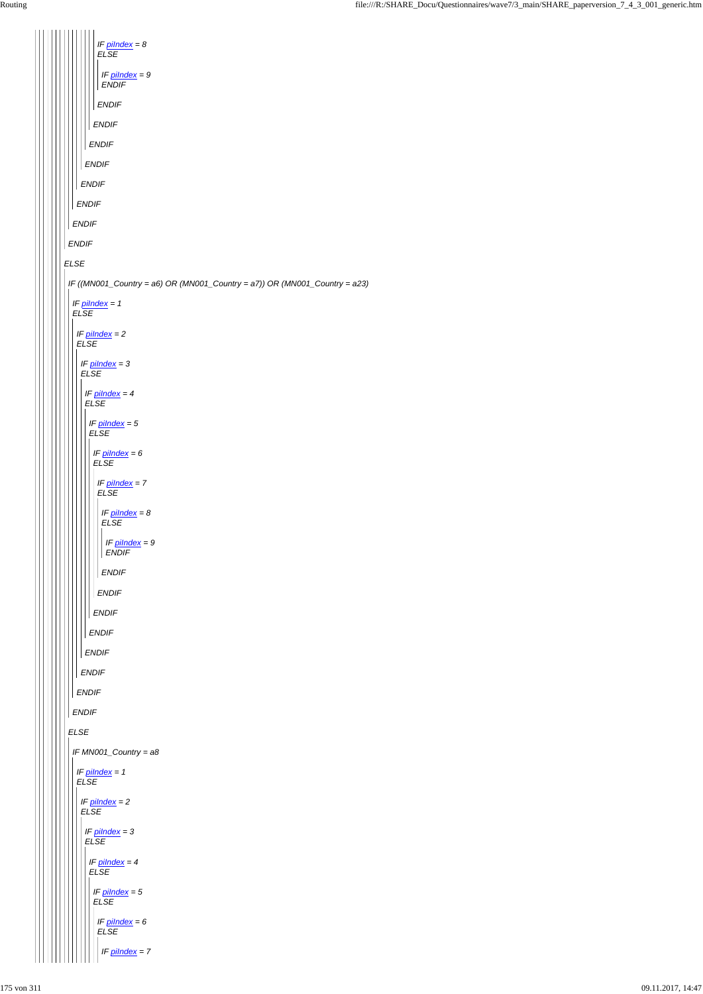| IF $pilndex = 8$<br><b>ELSE</b>                                            |
|----------------------------------------------------------------------------|
| IF $pilndex = 9$<br><b>ENDIF</b>                                           |
| <b>ENDIF</b>                                                               |
| <b>ENDIF</b>                                                               |
| <b>ENDIF</b>                                                               |
| <b>ENDIF</b>                                                               |
| <b>ENDIF</b>                                                               |
| <b>ENDIF</b>                                                               |
| <b>ENDIF</b>                                                               |
| <b>ENDIF</b>                                                               |
| <b>ELSE</b>                                                                |
| IF ((MN001_Country = a6) OR (MN001_Country = a7)) OR (MN001_Country = a23) |
| IF $pilndex = 1$<br><b>ELSE</b>                                            |
|                                                                            |
| IF $pilndex = 2$<br><b>ELSE</b>                                            |
| IF $pilndex = 3$<br><b>ELSE</b>                                            |
| IF $pilndex = 4$                                                           |
| ${\it ELSE}$                                                               |
| IF $pilndex = 5$<br><b>ELSE</b>                                            |
| IF $pilndex = 6$<br>E LSE                                                  |
| IF $pilndex = 7$<br>$E LSE$                                                |
| IF $pilndex = 8$<br>E LSE                                                  |
| IF $pilndex = 9$<br>ENDIF                                                  |
| <b>ENDIF</b>                                                               |
| <b>ENDIF</b>                                                               |
| <b>ENDIF</b>                                                               |
| ENDIF                                                                      |
| ENDIF                                                                      |
| <b>ENDIF</b>                                                               |
| <b>ENDIF</b>                                                               |
| <b>ENDIF</b>                                                               |
| ELSE                                                                       |
| IF $MN001$ Country = $a8$                                                  |

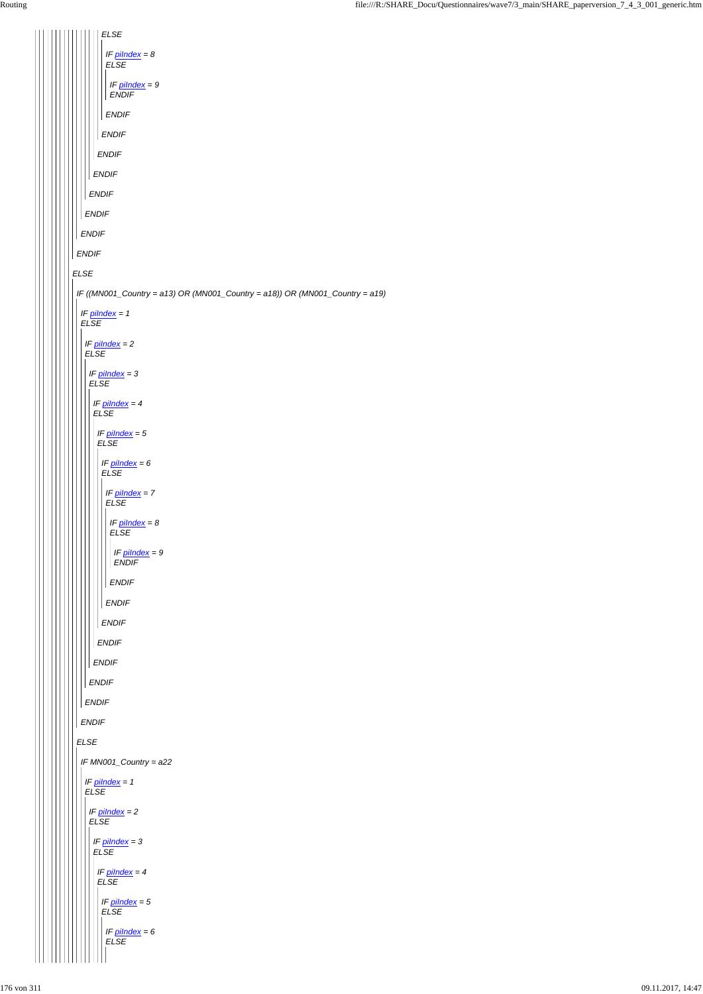*ELSE IF piIndex = 8 ELSE IF piIndex = 9 ENDIF ENDIF ENDIF ENDIF ENDIF ENDIF ENDIF ENDIF ENDIF ELSE IF ((MN001\_Country = a13) OR (MN001\_Country = a18)) OR (MN001\_Country = a19) IF piIndex = 1 ELSE IF piIndex = 2 ELSE IF piIndex = 3 ELSE IF piIndex = 4 ELSE IF piIndex = 5 ELSE IF piIndex = 6 ELSE IF piIndex = 7 ELSE IF piIndex = 8 ELSE IF piIndex = 9 ENDIF ENDIF ENDIF ENDIF ENDIF ENDIF ENDIF ENDIF ENDIF*  $\| \, \| \, \|$ *ELSE*

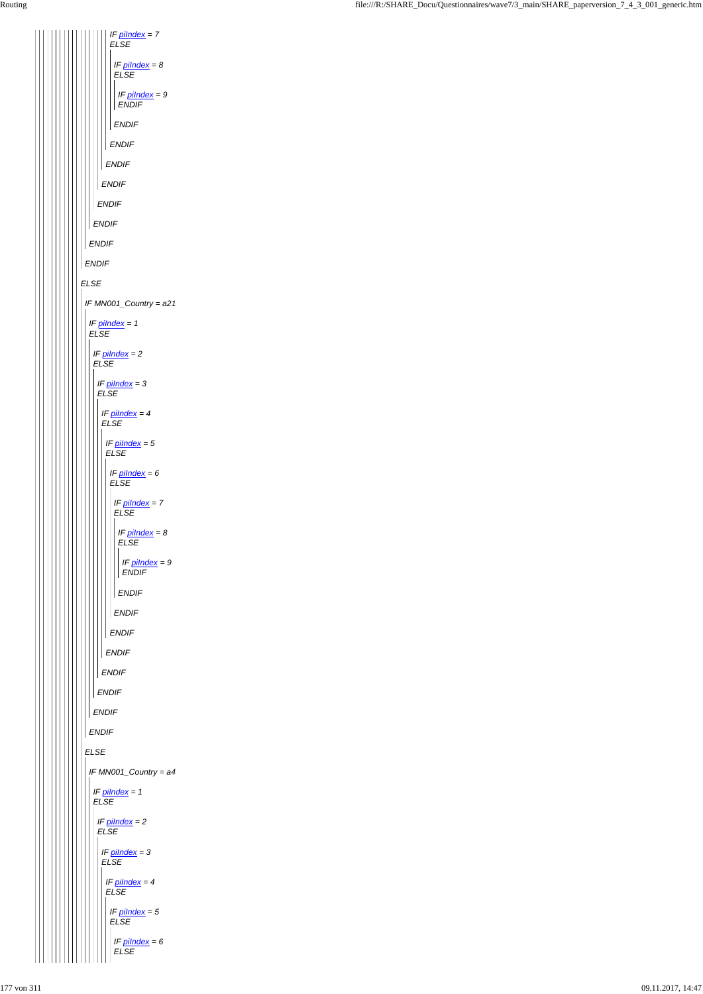*ELSE ENDIF ENDIF ENDIF ENDIF ENDIF ENDIF IF piIndex = 7 ELSE ENDIF IF piIndex = 8 ELSE ENDIF IF piIndex = 9 ENDIF IF MN001\_Country = a21 IF piIndex = 1 ELSE ENDIF IF piIndex = 2 ELSE ENDIF IF piIndex = 3 ELSE ENDIF IF piIndex = 4 ELSE ENDIF IF piIndex = 5 ELSE ENDIF IF piIndex = 6 ELSE ENDIF IF piIndex = 7 ELSE ENDIF IF piIndex = 8 ELSE ENDIF IF piIndex = 9 ENDIF*

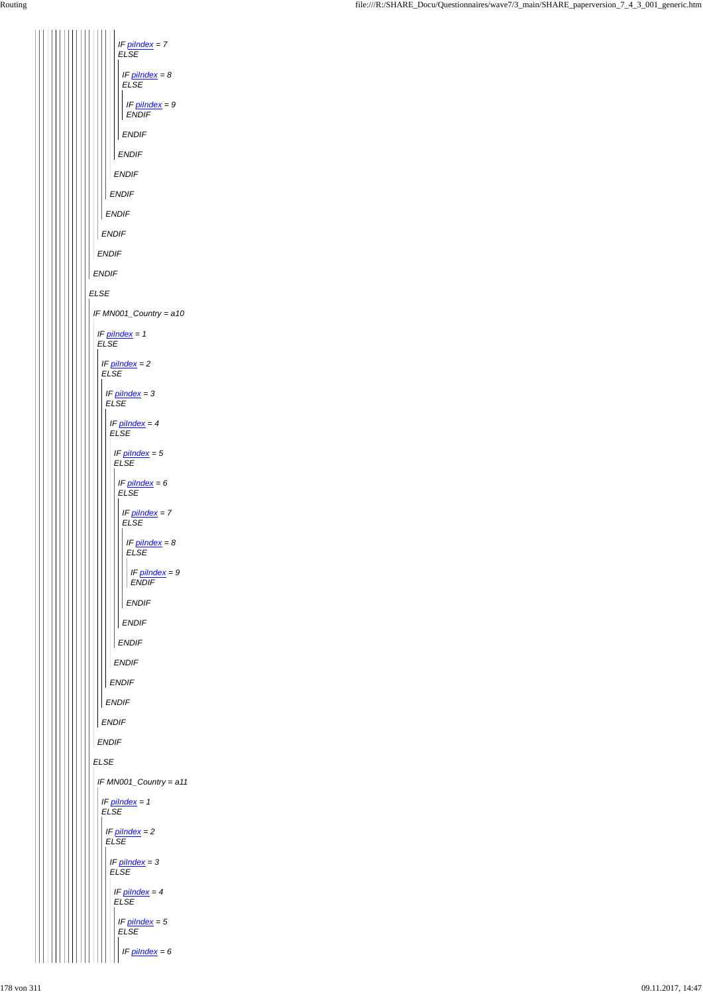*IF piIndex = 7 ELSE IF piIndex = 8 ELSE IF piIndex = 9 ENDIF ENDIF ENDIF ENDIF ENDIF ENDIF ENDIF ENDIF ENDIF ELSE IF MN001\_Country = a10 IF piIndex = 1 ELSE IF piIndex = 2 ELSE IF piIndex = 3 ELSE IF piIndex = 4 ELSE IF piIndex = 5 ELSE IF piIndex = 6 ELSE IF piIndex = 7 ELSE IF piIndex = 8 ELSE IF piIndex = 9 ENDIF ENDIF ENDIF ENDIF ENDIF ENDIF ENDIF ENDIF ENDIF*  $\mathsf{I}$ 

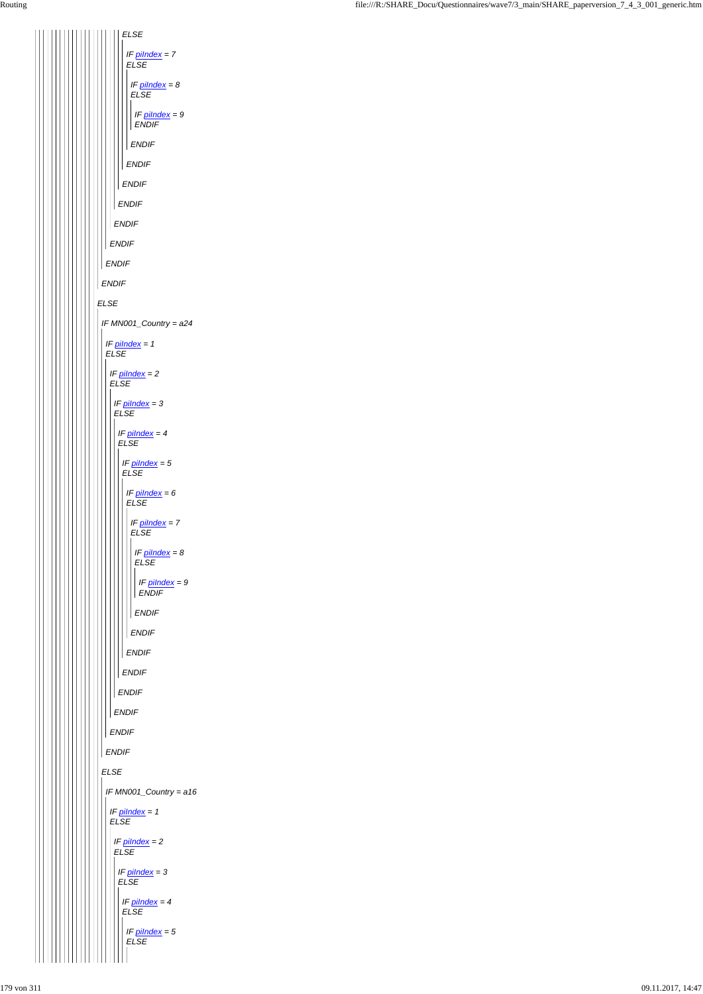| <b>ELSE</b>                               |
|-------------------------------------------|
| IF pilndex = 7<br><b>ELSE</b>             |
| IF $p$ <i>ilndex</i> = $8$<br><b>ELSE</b> |
| IF pilndex = 9<br><b>ENDIF</b>            |
| <b>ENDIF</b>                              |
| <b>ENDIF</b>                              |
| <b>ENDIF</b>                              |
| <b>ENDIF</b>                              |
| <b>ENDIF</b>                              |
| <b>ENDIF</b>                              |
| <b>ENDIF</b>                              |
| <b>ENDIF</b>                              |
| <b>ELSE</b>                               |
| IF MN001_Country = a24                    |
| IF $pilndex = 1$<br><b>ELSE</b>           |
| IF $pilndex = 2$<br><b>ELSE</b>           |
| IF pilndex = 3                            |
| <b>ELSE</b><br>IF $pilndex = 4$           |
| <b>ELSE</b>                               |
| IF $pilndex = 5$<br><b>ELSE</b>           |
| IF $p$ <i>ilndex</i> = $6$<br><b>ELSE</b> |
| IF $pilndex = 7$<br><b>ELSE</b>           |
| IF $p$ <i>ilndex</i> = $8$<br><b>ELSE</b> |
| IF pilndex = 9                            |
| <b>ENDIF</b><br><b>ENDIF</b>              |
| <b>ENDIF</b>                              |
| <b>ENDIF</b>                              |
| <b>ENDIF</b>                              |
| <b>ENDIF</b>                              |
| <b>ENDIF</b>                              |
| <b>ENDIF</b>                              |
|                                           |

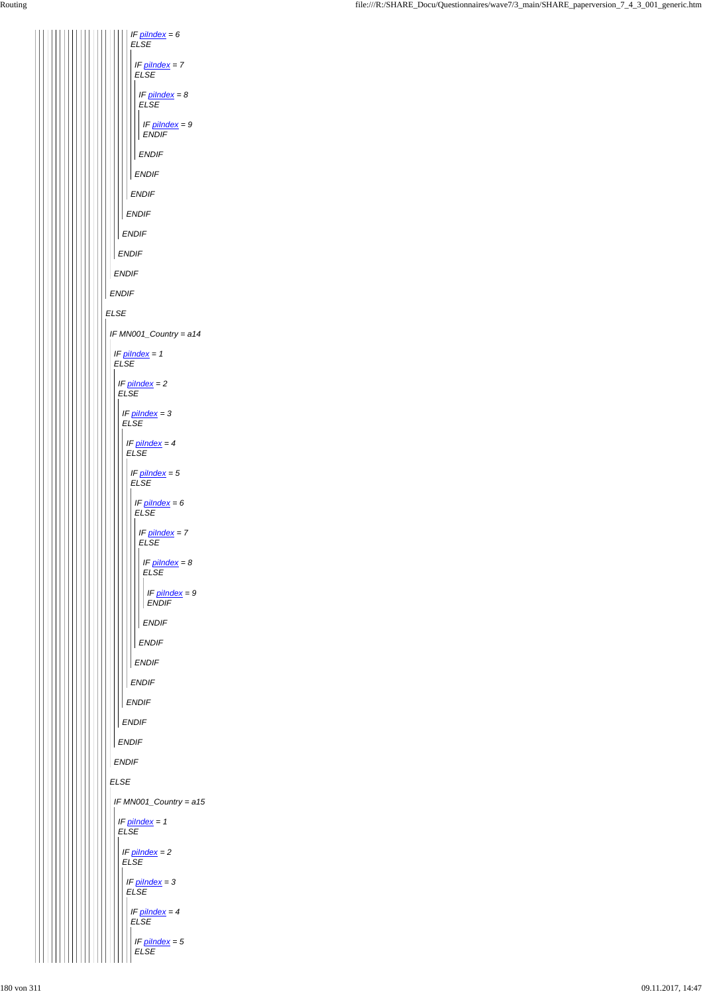*ELSE ENDIF ENDIF ENDIF ENDIF ENDIF IF piIndex = 6 ELSE ENDIF IF piIndex = 7 ELSE ENDIF IF piIndex = 8 ELSE ENDIF IF piIndex = 9 ENDIF IF MN001\_Country = a14 IF piIndex = 1 ELSE IF piIndex = 2 ELSE ENDIF IF piIndex = 3 ELSE ENDIF IF piIndex = 4 ELSE ENDIF IF piIndex = 5 ELSE ENDIF IF piIndex = 6 ELSE ENDIF IF piIndex = 7 ELSE ENDIF IF piIndex = 8 ELSE ENDIF IF piIndex = 9 ENDIF*

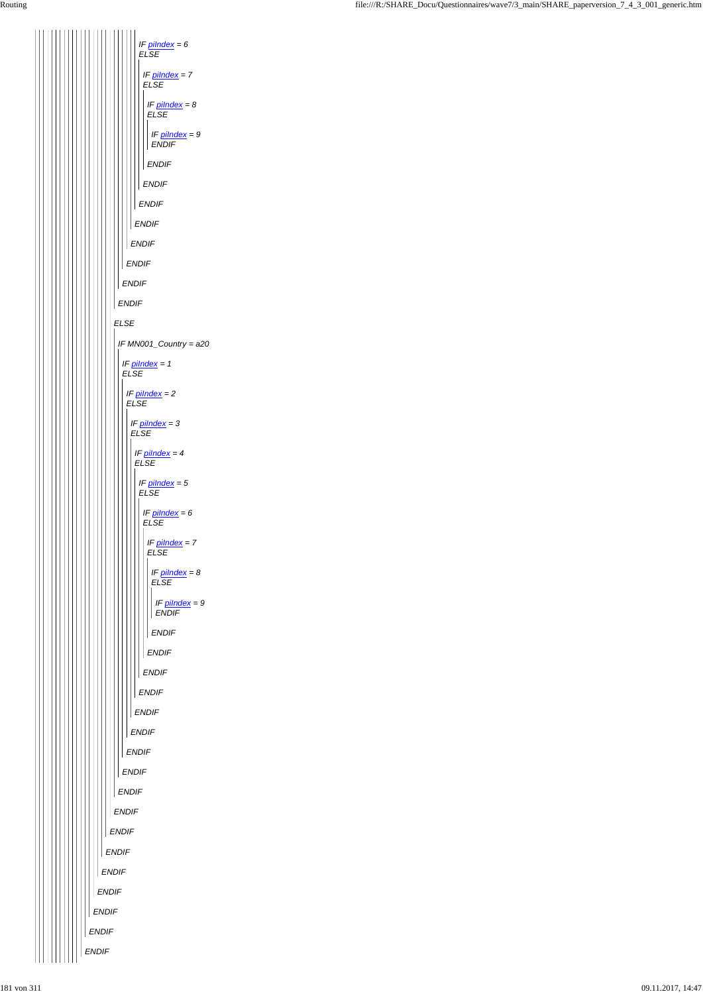|                 | <b>ENDIF</b> |
|-----------------|--------------|
|                 | ENDIF        |
|                 | <b>ENDIF</b> |
|                 | <b>ENDIF</b> |
|                 | <b>ENDIF</b> |
|                 | <b>ENDIF</b> |
|                 | <b>ENDIF</b> |
|                 | <b>ENDIF</b> |
|                 | <b>ENDIF</b> |
|                 | <b>ENDIF</b> |
| $\perp$ $\perp$ | <b>ENDIF</b> |

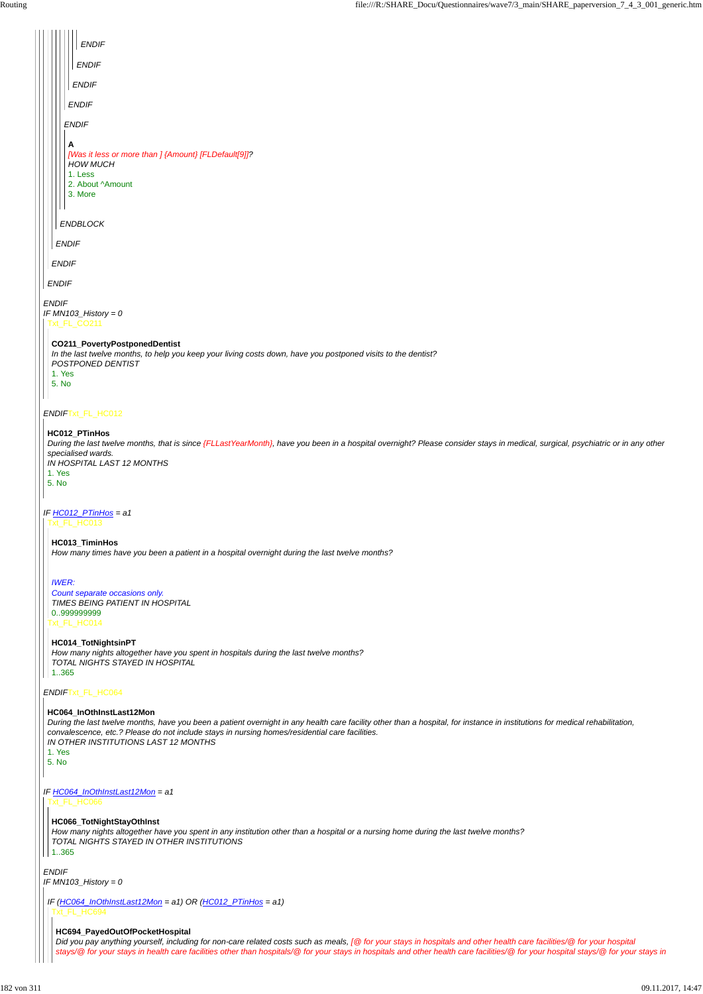```
ENDIF
IF MN103_History = 0
```

|  |                                 | <b>ENDIF</b>                                                                                                                                                                                                                                        |
|--|---------------------------------|-----------------------------------------------------------------------------------------------------------------------------------------------------------------------------------------------------------------------------------------------------|
|  |                                 | <b>ENDIF</b>                                                                                                                                                                                                                                        |
|  |                                 | <b>ENDIF</b>                                                                                                                                                                                                                                        |
|  |                                 | <b>ENDIF</b>                                                                                                                                                                                                                                        |
|  |                                 | <b>ENDIF</b>                                                                                                                                                                                                                                        |
|  | A                               | [Was it less or more than ] {Amount} [FLDefault[9]]?<br><b>HOW MUCH</b><br>1. Less<br>2. About ^Amount<br>3. More                                                                                                                                   |
|  |                                 | <b>ENDBLOCK</b>                                                                                                                                                                                                                                     |
|  | <b>ENDIF</b>                    |                                                                                                                                                                                                                                                     |
|  | <b>ENDIF</b>                    |                                                                                                                                                                                                                                                     |
|  | <b>ENDIF</b>                    |                                                                                                                                                                                                                                                     |
|  | <b>ENDIF</b><br>1. Yes<br>5. No | IF $MN103$ _History = 0<br>Txt_FL_CO211<br>CO211_PovertyPostponedDentist<br>In the last twelve months, to help you keep your living costs down, have you postponed visits to the dentist?<br>POSTPONED DENTIST                                      |
|  |                                 | ENDIFTxt_FL_HC012                                                                                                                                                                                                                                   |
|  | 1. Yes<br>5. No                 | HC012_PTinHos<br>During the last twelve months, that is since {FLLastYearMonth}, have you been in a hospital overnight? Please consider stays in medical, surgical, psychiatric or in any other<br>specialised wards.<br>IN HOSPITAL LAST 12 MONTHS |
|  |                                 | IF $HCO12$ PTinHos = a1<br>Txt_FL_HC013                                                                                                                                                                                                             |
|  |                                 | HC013_TiminHos<br>How many times have you been a patient in a hospital overnight during the last twelve months?                                                                                                                                     |
|  | <b>IWER:</b>                    | Count separate occasions only.<br>TIMES BEING PATIENT IN HOSPITAL<br>0999999999<br>Txt_FL_HC014                                                                                                                                                     |
|  | 1.365                           | HC014_TotNightsinPT<br>How many nights altogether have you spent in hospitals during the last twelve months?<br>TOTAL NIGHTS STAYED IN HOSPITAL                                                                                                     |
|  |                                 | ENDIFTxt_FL_HC064                                                                                                                                                                                                                                   |
|  |                                 | HC064_InOthInstLast12Mon                                                                                                                                                                                                                            |

*IF HC064\_InOthInstLast12Mon = a1* Txt\_FL\_HC066

*During the last twelve months, have you been a patient overnight in any health care facility other than a hospital, for instance in institutions for medical rehabilitation, convalescence, etc.? Please do not include stays in nursing homes/residential care facilities. IN OTHER INSTITUTIONS LAST 12 MONTHS*

|   | ×<br>×<br>۰,<br>۰, |
|---|--------------------|
| ٠ | ٠                  |

# **HC066\_TotNightStayOthInst**

*How many nights altogether have you spent in any institution other than a hospital or a nursing home during the last twelve months? TOTAL NIGHTS STAYED IN OTHER INSTITUTIONS*

 $|| 1..365$ 

```
IF (HC064_InOthInstLast12Mon = a1) OR (HC012_PTinHos = a1)
 Txt_FL_HC694
```
### **HC694\_PayedOutOfPocketHospital**

*Did you pay anything yourself, including for non-care related costs such as meals, [@ for your stays in hospitals and other health care facilities/@ for your hospital stays/@ for your stays in health care facilities other than hospitals/@ for your stays in hospitals and other health care facilities/@ for your hospital stays/@ for your stays in*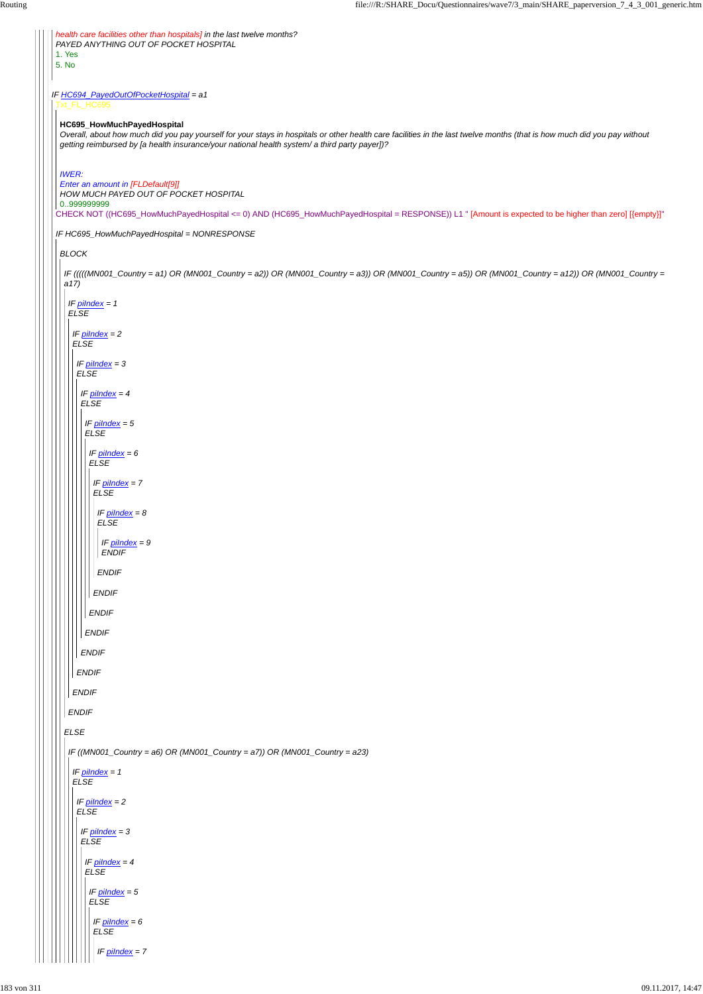*IF HC694\_PayedOutOfPocketHospital = a1 health care facilities other than hospitals] in the last twelve months? PAYED ANYTHING OUT OF POCKET HOSPITAL* 1. Yes 5. No Txt\_FL\_HC695 CHECK NOT ((HC695\_HowMuchPayedHospital <= 0) AND (HC695\_HowMuchPayedHospital = RESPONSE)) L1 " [Amount is expected to be higher than zero] [{empty}]" *IF HC695\_HowMuchPayedHospital = NONRESPONSE* **HC695\_HowMuchPayedHospital** *Overall, about how much did you pay yourself for your stays in hospitals or other health care facilities in the last twelve months (that is how much did you pay without getting reimbursed by [a health insurance/your national health system/ a third party payer])? IWER: Enter an amount in [FLDefault[9]] HOW MUCH PAYED OUT OF POCKET HOSPITAL* 0..999999999 *BLOCK IF (((((MN001\_Country = a1) OR (MN001\_Country = a2)) OR (MN001\_Country = a3)) OR (MN001\_Country = a5)) OR (MN001\_Country = a12)) OR (MN001\_Country = a17) ELSE IF piIndex = 1 ELSE ENDIF IF piIndex = 2 ELSE ENDIF IF piIndex = 3 ELSE ENDIF IF piIndex = 4 ELSE ENDIF IF piIndex = 5 ELSE ENDIF IF piIndex = 6 ELSE ENDIF IF piIndex = 7 ELSE ENDIF IF piIndex = 8 ELSE ENDIF IF piIndex = 9 ENDIF IF ((MN001\_Country = a6) OR (MN001\_Country = a7)) OR (MN001\_Country = a23)*

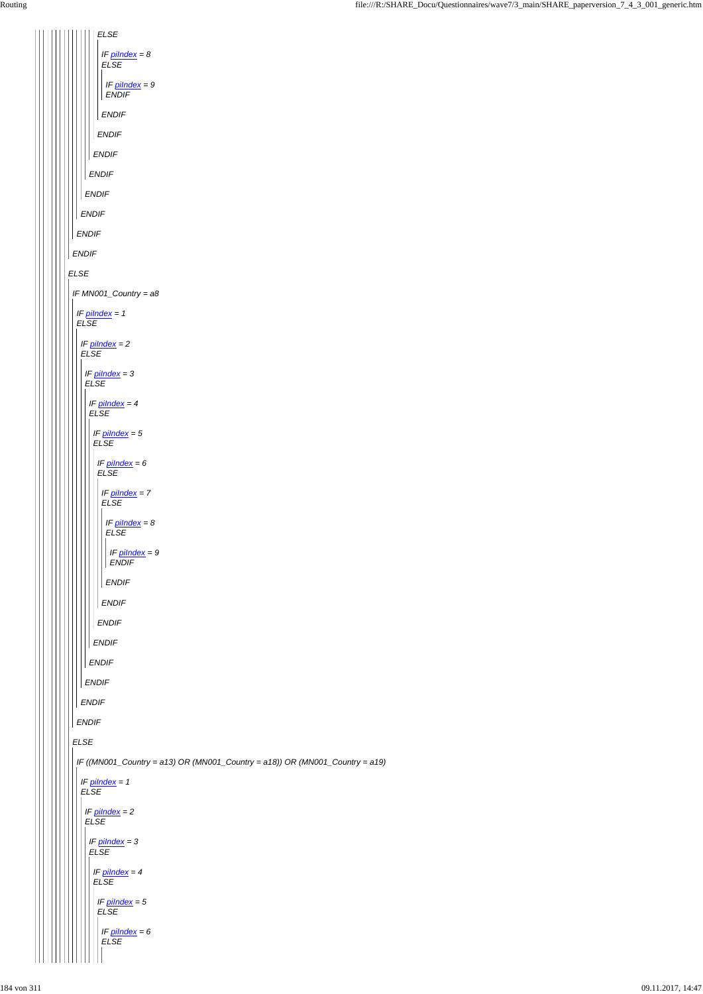| <b>ELSE</b>                                                                         |
|-------------------------------------------------------------------------------------|
| IF $pilndex = 8$<br><b>ELSE</b><br>IF $pilndex = 9$<br><b>ENDIF</b><br><b>ENDIF</b> |
| <b>ENDIF</b>                                                                        |
| <b>ENDIF</b>                                                                        |
| <b>ENDIF</b>                                                                        |
| <b>ENDIF</b>                                                                        |
| <b>ENDIF</b>                                                                        |
| <b>ENDIF</b>                                                                        |
| <b>ENDIF</b>                                                                        |
| <b>ELSE</b>                                                                         |
| IF MN001_Country = a8                                                               |
| IF pilndex = 1<br><b>ELSE</b>                                                       |
| IF pilndex = 2                                                                      |
| <b>ELSE</b>                                                                         |
| IF pilndex = 3<br><b>ELSE</b>                                                       |
| IF <u>pilndex</u> = 4                                                               |
| ELSE                                                                                |
| IF pilndex = 5<br><b>ELSE</b>                                                       |
| IF <u>pilndex</u> = 6                                                               |
| <b>ELSE</b>                                                                         |
| IF <u>pilndex</u> = 7<br><b>ELSE</b>                                                |
| IF pilndex = 8                                                                      |
| <b>ELSE</b>                                                                         |
| IF pilndex = 9<br><b>ENDIF</b>                                                      |
| <b>ENDIF</b>                                                                        |
| <b>ENDIF</b>                                                                        |
| <b>ENDIF</b>                                                                        |
| <b>ENDIF</b>                                                                        |
| <b>ENDIF</b>                                                                        |
| <b>ENDIF</b>                                                                        |
| <b>ENDIF</b>                                                                        |
| <b>ENDIF</b>                                                                        |
| FI SF                                                                               |

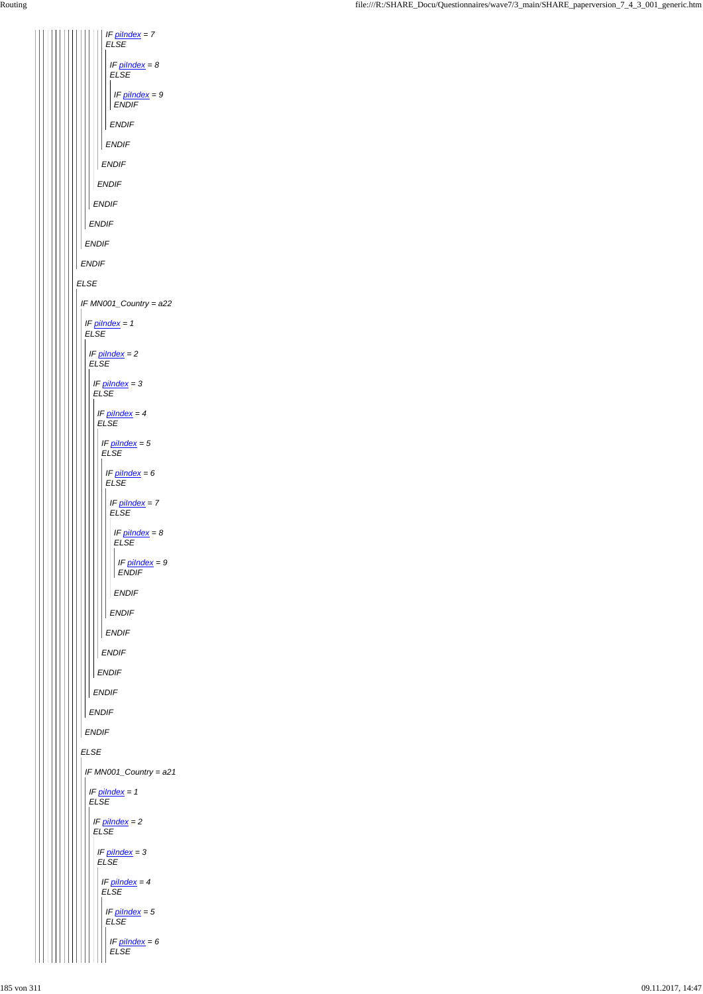| IF <u>pilndex</u> = 7<br><b>ELSE</b>      |
|-------------------------------------------|
| IF pilndex = 8                            |
| <b>ELSE</b><br>IF pilndex = 9             |
| <b>ENDIF</b>                              |
| ENDIF<br><b>ENDIF</b>                     |
| <b>ENDIF</b>                              |
| <b>ENDIF</b>                              |
| <b>ENDIF</b>                              |
| <b>ENDIF</b>                              |
| <b>ENDIF</b>                              |
| <b>ENDIF</b>                              |
| <b>ELSE</b>                               |
| IF MN001_Country = a22                    |
| IF $pilndex = 1$<br><b>ELSE</b>           |
| IF pilndex = 2<br><b>ELSE</b>             |
| IF pilndex = 3                            |
| <b>ELSE</b>                               |
| IF <u>pilndex</u> = 4<br>ELSE             |
| IF pilndex = 5<br><b>ELSE</b>             |
| IF pilndex = 6                            |
| <b>ELSE</b>                               |
| IF pilndex = 7<br><b>ELSE</b>             |
| IF pilndex = 8<br><b>ELSE</b>             |
| IF pilndex = 9                            |
| ENDIF                                     |
| <b>ENDIF</b><br><b>NDIF</b>               |
| ENDIF                                     |
| ENDIF                                     |
| <b>ENDIF</b>                              |
| <b>ENDIF</b>                              |
| <b>ENDIF</b>                              |
| <b>ENDIF</b>                              |
| <b>ELSE</b>                               |
| IF MN001_Country = a21                    |
| IF pilndex = 1<br><b>ELSE</b>             |
| IF $p$ <i>ilndex</i> = $2$<br><b>ELSE</b> |
| IF pilndex = 3                            |
| <b>ELSE</b>                               |
| IF pilndex = 4<br><b>ELSE</b>             |
| IF pilndex = 5<br><b>ELSE</b>             |
| IF pilndex = 6<br><b>ELSE</b>             |
|                                           |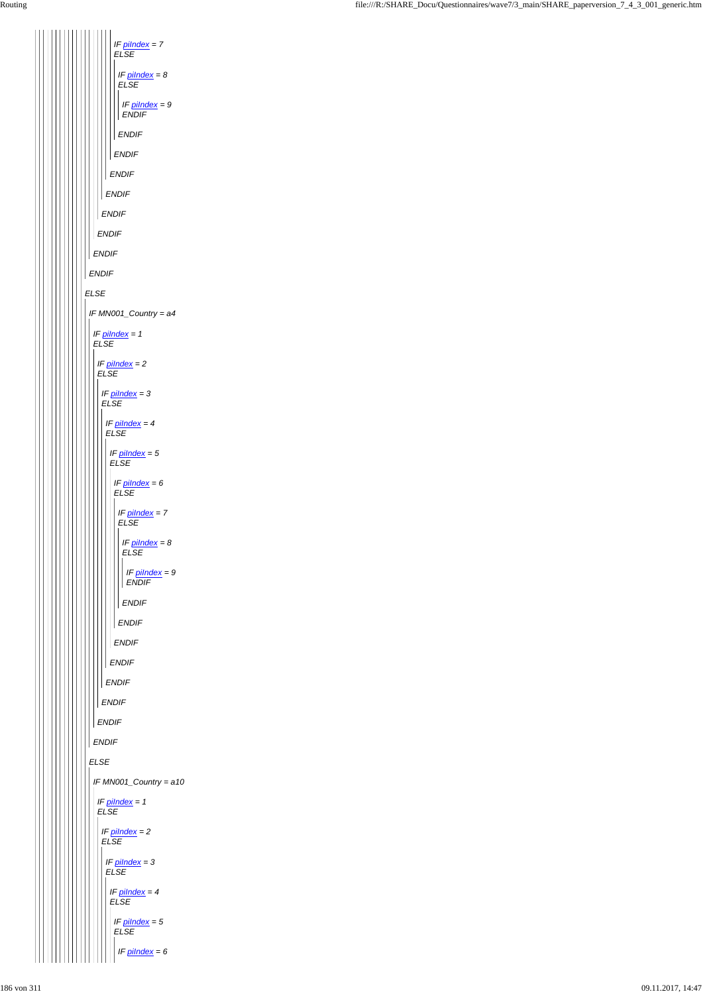*IF piIndex = 7 ELSE IF piIndex = 8 ELSE IF piIndex = 9 ENDIF ENDIF ENDIF ENDIF ENDIF ENDIF ENDIF ENDIF ENDIF ELSE IF MN001\_Country = a4 IF piIndex = 1 ELSE IF piIndex = 2 ELSE IF piIndex = 3 ELSE IF piIndex = 4 ELSE IF piIndex = 5 ELSE IF piIndex = 6 ELSE IF piIndex = 7 ELSE IF piIndex = 8 ELSE IF piIndex = 9 ENDIF ENDIF ENDIF ENDIF ENDIF ENDIF ENDIF ENDIF ENDIF* Ш

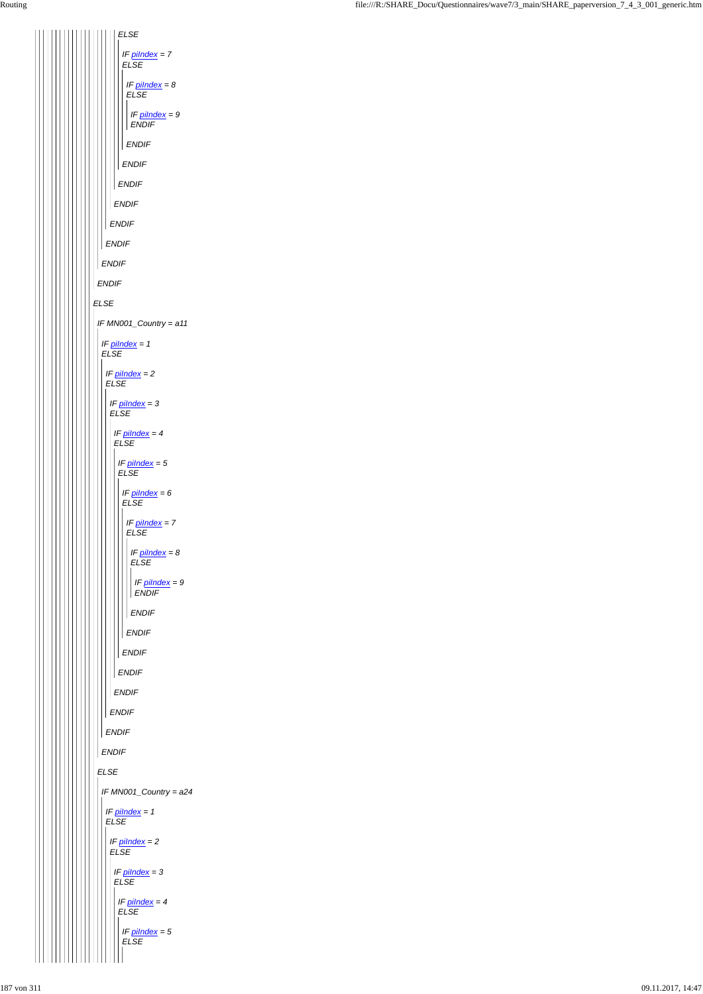*ELSE ENDIF ENDIF ENDIF ENDIF ENDIF ELSE ENDIF IF piIndex = 7 ELSE ENDIF IF piIndex = 8 ELSE ENDIF IF piIndex = 9 ENDIF IF MN001\_Country = a11 IF piIndex = 1 ELSE IF piIndex = 2 ELSE ENDIF IF piIndex = 3 ELSE ENDIF IF piIndex = 4 ELSE ENDIF IF piIndex = 5 ELSE ENDIF IF piIndex = 6 ELSE ENDIF IF piIndex = 7 ELSE ENDIF IF piIndex = 8 ELSE ENDIF IF piIndex = 9 ENDIF*

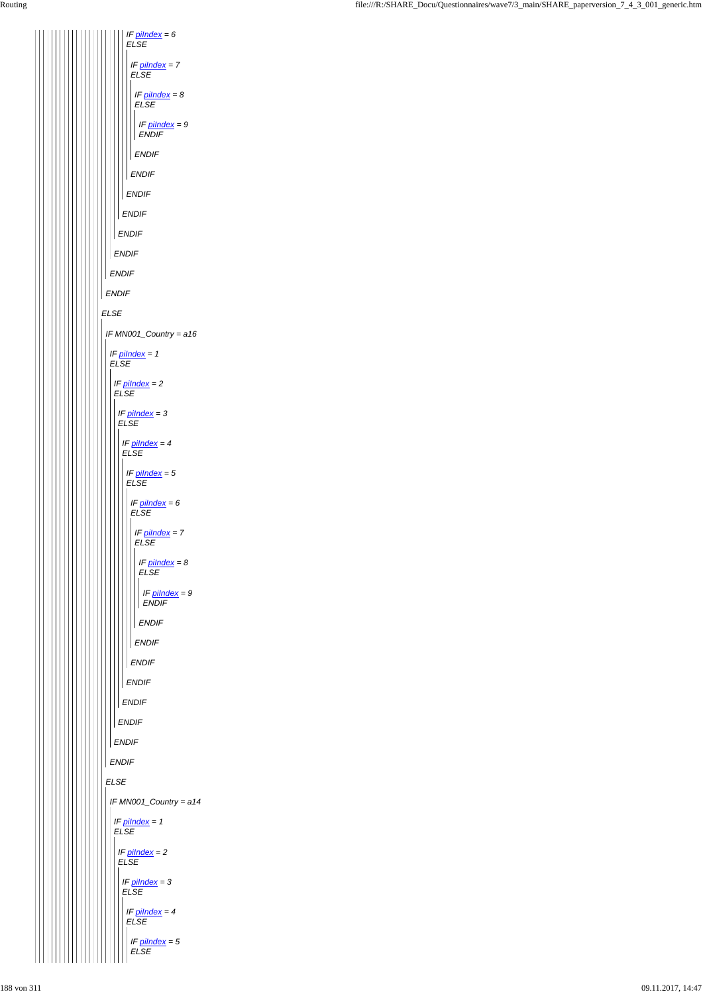*ELSE ENDIF ENDIF ENDIF ENDIF ENDIF IF piIndex = 6 ELSE ENDIF IF piIndex = 7 ELSE ENDIF IF piIndex = 8 ELSE ENDIF IF piIndex = 9 ENDIF IF MN001\_Country = a16 IF piIndex = 1 ELSE IF piIndex = 2 ELSE ENDIF IF piIndex = 3 ELSE ENDIF IF piIndex = 4 ELSE ENDIF IF piIndex = 5 ELSE ENDIF IF piIndex = 6 ELSE ENDIF IF piIndex = 7 ELSE ENDIF IF piIndex = 8 ELSE ENDIF IF piIndex = 9 ENDIF*

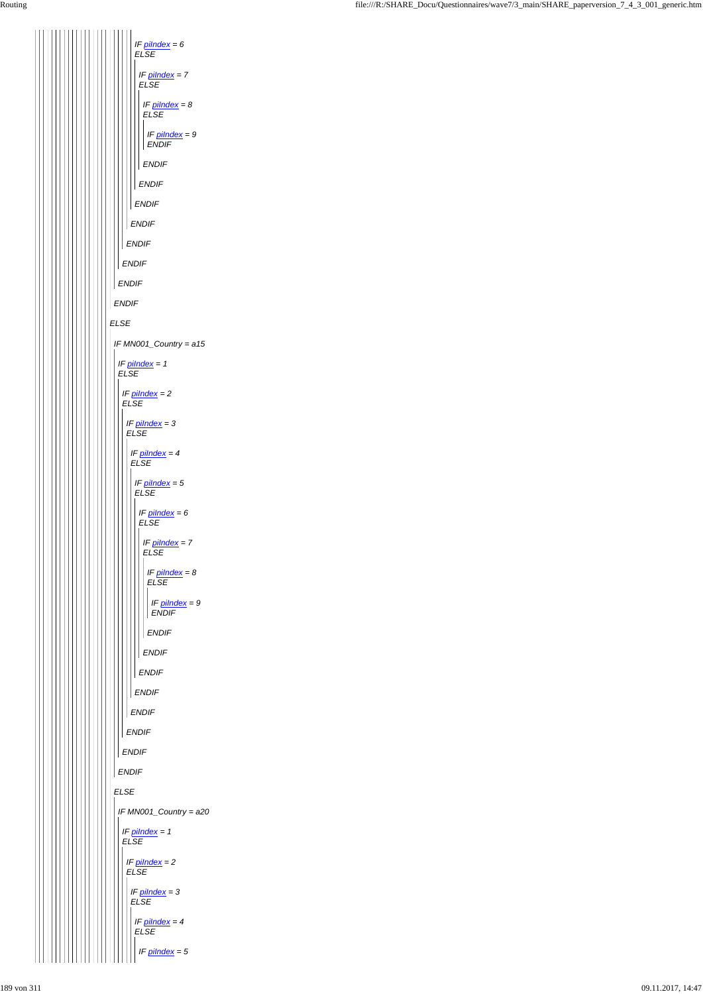

| <b>ENDIF</b>                    |
|---------------------------------|
| <b>ENDIF</b>                    |
| E LSE                           |
| IF MN001_Country = a20          |
| IF $pilndex = 1$<br><b>ELSE</b> |
| $IF$ pilndex = 2<br><b>ELSE</b> |
| $IF$ pilndex = 3<br>ELSE        |
| IF $pilndex = 4$<br><b>ELSE</b> |
| IF $pilndex = 5$                |
|                                 |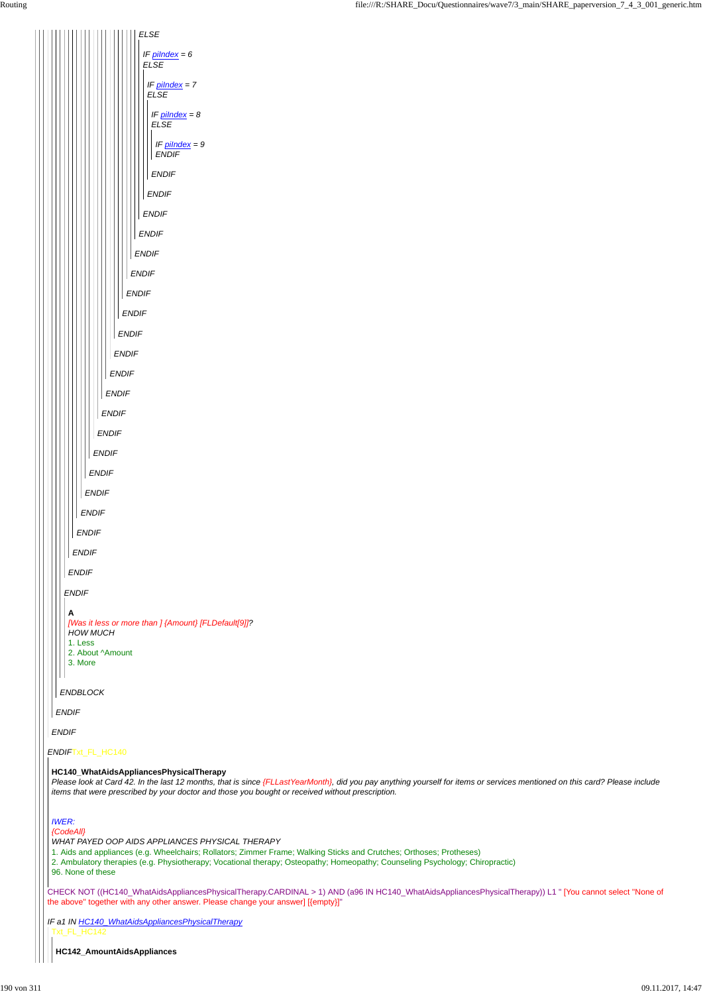*ENDIF*Txt\_FL\_HC140

CHECK NOT ((HC140\_WhatAidsAppliancesPhysicalTherapy.CARDINAL > 1) AND (a96 IN HC140\_WhatAidsAppliancesPhysicalTherapy)) L1 " [You cannot select ''None of the above'' together with any other answer. Please change your answer] [{empty}]"

*IF a1 IN HC140\_WhatAidsAppliancesPhysicalTherapy*



#### **HC140\_WhatAidsAppliancesPhysicalTherapy**

*Please look at Card 42. In the last 12 months, that is since {FLLastYearMonth}, did you pay anything yourself for items or services mentioned on this card? Please include items that were prescribed by your doctor and those you bought or received without prescription.*

*IWER:*

*{CodeAll}*

*WHAT PAYED OOP AIDS APPLIANCES PHYSICAL THERAPY*

1. Aids and appliances (e.g. Wheelchairs; Rollators; Zimmer Frame; Walking Sticks and Crutches; Orthoses; Protheses)

2. Ambulatory therapies (e.g. Physiotherapy; Vocational therapy; Osteopathy; Homeopathy; Counseling Psychology; Chiropractic)

96. None of these

Txt\_FL\_HC142

**HC142\_AmountAidsAppliances**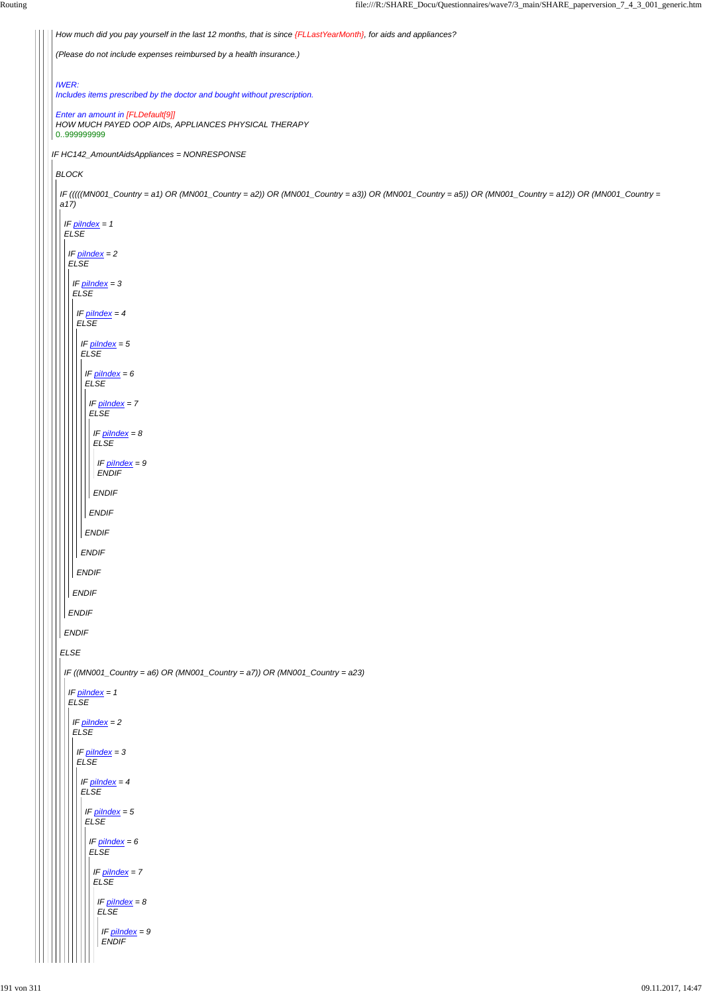```
IF HC142_AmountAidsAppliances = NONRESPONSE
 How much did you pay yourself in the last 12 months, that is since {FLLastYearMonth}, for aids and appliances?
 (Please do not include expenses reimbursed by a health insurance.)
 IWER:
 Includes items prescribed by the doctor and bought without prescription.
 Enter an amount in [FLDefault[9]]
 HOW MUCH PAYED OOP AIDs, APPLIANCES PHYSICAL THERAPY
0..999999999
BLOCK
 IF (((((MN001_Country = a1) OR (MN001_Country = a2)) OR (MN001_Country = a3)) OR (MN001_Country = a5)) OR (MN001_Country = a12)) OR (MN001_Country =
 a17)
 ELSE
  IF piIndex = 1
  ELSE
 ENDIF
   IF piIndex = 2
   ELSE
   ENDIF
    IF piIndex = 3
    ELSE
    ENDIF
     IF piIndex = 4
     ELSE
     ENDIF
      IF piIndex = 5
      ELSE
      ENDIF
        IF piIndex = 6
        ELSE
       ENDIF
         IF piIndex = 7
         ELSE
        ENDIF
          IF piIndex = 8
          ELSE
         ENDIF
          IF piIndex = 9
          ENDIF
  IF ((MN001_Country = a6) OR (MN001_Country = a7)) OR (MN001_Country = a23)
    IF piIndex = 1
   ELSE
     IF piIndex = 2
    ELSE
```
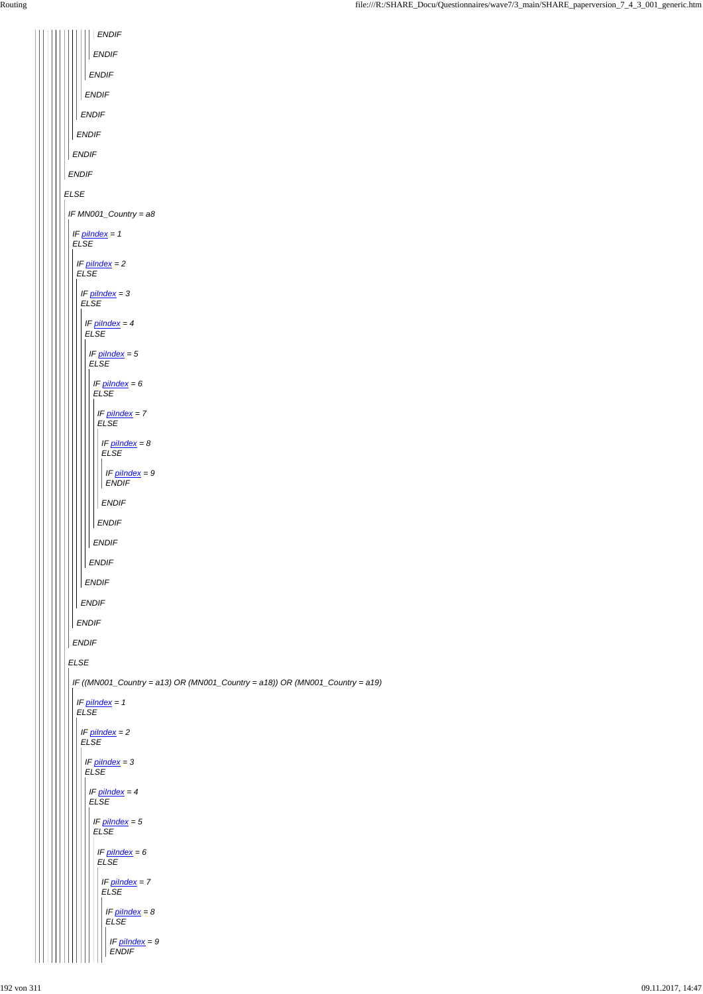| <b>ENDIF</b>                                                                 |
|------------------------------------------------------------------------------|
| <b>ENDIF</b>                                                                 |
| <b>ENDIF</b>                                                                 |
| <b>ENDIF</b>                                                                 |
| ENDIF                                                                        |
| <b>ENDIF</b>                                                                 |
| <b>ENDIF</b>                                                                 |
| <b>ENDIF</b>                                                                 |
| ELSE                                                                         |
| IF MN001_Country = a8                                                        |
| IF $pilndex = 1$<br><b>ELSE</b>                                              |
| IF $pilndex = 2$<br><b>ELSE</b>                                              |
| IF $pilndex = 3$<br><b>ELSE</b>                                              |
| IF $pilndex = 4$<br><b>ELSE</b>                                              |
| IF $pilndex = 5$<br><b>ELSE</b>                                              |
| IF $pilndex = 6$<br>E LSE                                                    |
| IF $pilndex = 7$<br><b>ELSE</b>                                              |
| IF $pilndex = 8$<br>ELSE                                                     |
| IF $pilndex = 9$<br><b>ENDIF</b>                                             |
| <b>ENDIF</b>                                                                 |
| <b>ENDIF</b>                                                                 |
| <b>ENDIF</b>                                                                 |
| <b>ENDIF</b>                                                                 |
| <b>ENDIF</b>                                                                 |
| <b>ENDIF</b>                                                                 |
| <b>ENDIF</b>                                                                 |
| <b>ENDIF</b>                                                                 |
| <b>ELSE</b>                                                                  |
| IF ((MN001_Country = a13) OR (MN001_Country = a18)) OR (MN001_Country = a19) |
| IF $pilndex = 1$<br><b>ELSE</b>                                              |
| $IF$ pilndex = 2                                                             |

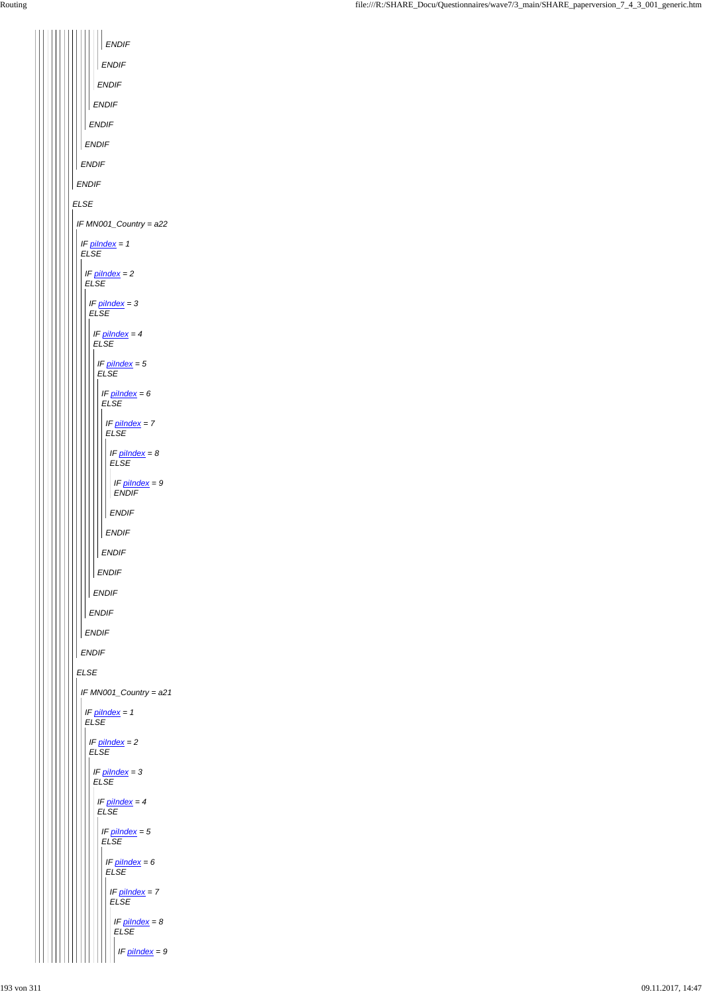| ENDIF                             |  |  |  |  |
|-----------------------------------|--|--|--|--|
| <b>ENDIF</b>                      |  |  |  |  |
| <b>ENDIF</b>                      |  |  |  |  |
| <b>ENDIF</b>                      |  |  |  |  |
| <b>ENDIF</b>                      |  |  |  |  |
| <b>ENDIF</b>                      |  |  |  |  |
| <b>ENDIF</b>                      |  |  |  |  |
| <b>ENDIF</b>                      |  |  |  |  |
| <b>ELSE</b>                       |  |  |  |  |
| IF MN001_Country = a22            |  |  |  |  |
| IF $pilndex = 1$<br><b>ELSE</b>   |  |  |  |  |
| IF $pilndex = 2$<br><b>ELSE</b>   |  |  |  |  |
| IF pilndex = 3<br><b>ELSE</b>     |  |  |  |  |
| IF pilndex = 4<br><b>ELSE</b>     |  |  |  |  |
| IF $pilndex = 5$                  |  |  |  |  |
| <b>ELSE</b>                       |  |  |  |  |
| IF pilndex = 6<br>ELSE            |  |  |  |  |
| IF pilndex = 7<br><b>ELSE</b>     |  |  |  |  |
| IF pilndex = 8<br><b>ELSE</b>     |  |  |  |  |
| IF $p$ ilndex = 9<br><b>ENDIF</b> |  |  |  |  |
| <b>ENDIF</b>                      |  |  |  |  |
| <b>ENDIF</b>                      |  |  |  |  |
| <b>ENDIF</b>                      |  |  |  |  |
| <b>ENDIF</b>                      |  |  |  |  |
| <b>ENDIF</b>                      |  |  |  |  |
| <b>ENDIF</b>                      |  |  |  |  |
| <b>ENDIF</b>                      |  |  |  |  |
| <b>ENDIF</b>                      |  |  |  |  |
| <b>ELSE</b>                       |  |  |  |  |
| IF MN001_Country = a21            |  |  |  |  |
| IF $pilndex = 1$<br><b>ELSE</b>   |  |  |  |  |
| IF pilndex = 2                    |  |  |  |  |

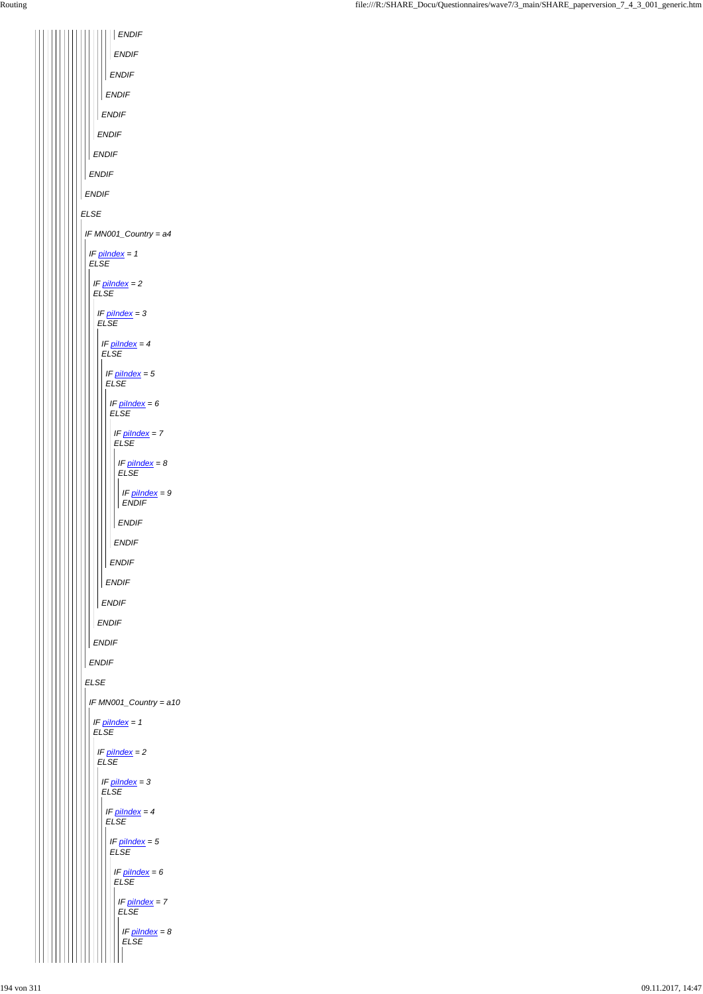|  | <b>ENDIF</b>                                 |  |  |  |  |
|--|----------------------------------------------|--|--|--|--|
|  | <b>ENDIF</b>                                 |  |  |  |  |
|  | <b>ENDIF</b>                                 |  |  |  |  |
|  | <b>ENDIF</b>                                 |  |  |  |  |
|  | <b>ENDIF</b>                                 |  |  |  |  |
|  | <b>ENDIF</b>                                 |  |  |  |  |
|  | <b>ENDIF</b><br><b>ENDIF</b><br><b>ENDIF</b> |  |  |  |  |
|  |                                              |  |  |  |  |
|  |                                              |  |  |  |  |
|  | <b>ELSE</b>                                  |  |  |  |  |
|  | IF MN001_Country = a4                        |  |  |  |  |
|  | IF $pilndex = 1$<br><b>ELSE</b>              |  |  |  |  |
|  | IF pilndex = 2<br><b>ELSE</b>                |  |  |  |  |
|  | IF pilndex = 3<br><b>ELSE</b>                |  |  |  |  |
|  | IF pilndex = 4<br><b>ELSE</b>                |  |  |  |  |
|  | IF $pilndex = 5$<br><b>ELSE</b>              |  |  |  |  |
|  | IF pilndex = 6<br><b>ELSE</b>                |  |  |  |  |
|  | IF pilndex = 7<br><b>ELSE</b>                |  |  |  |  |
|  | IF $p$ <i>ilndex</i> = $8$<br><b>ELSE</b>    |  |  |  |  |
|  | IF pilndex = 9<br><b>ENDIF</b>               |  |  |  |  |
|  | <b>ENDIF</b>                                 |  |  |  |  |
|  | <b>ENDIF</b>                                 |  |  |  |  |
|  | <b>ENDIF</b>                                 |  |  |  |  |
|  | <b>ENDIF</b>                                 |  |  |  |  |
|  | <b>ENDIF</b>                                 |  |  |  |  |
|  | <b>ENDIF</b><br><b>ENDIF</b><br><b>ENDIF</b> |  |  |  |  |
|  |                                              |  |  |  |  |
|  |                                              |  |  |  |  |
|  | <b>ELSE</b>                                  |  |  |  |  |
|  | IF MN001_Country = a10                       |  |  |  |  |
|  | IF $pilndex = 1$<br><b>ELSE</b>              |  |  |  |  |
|  | IF nilndex – 2                               |  |  |  |  |

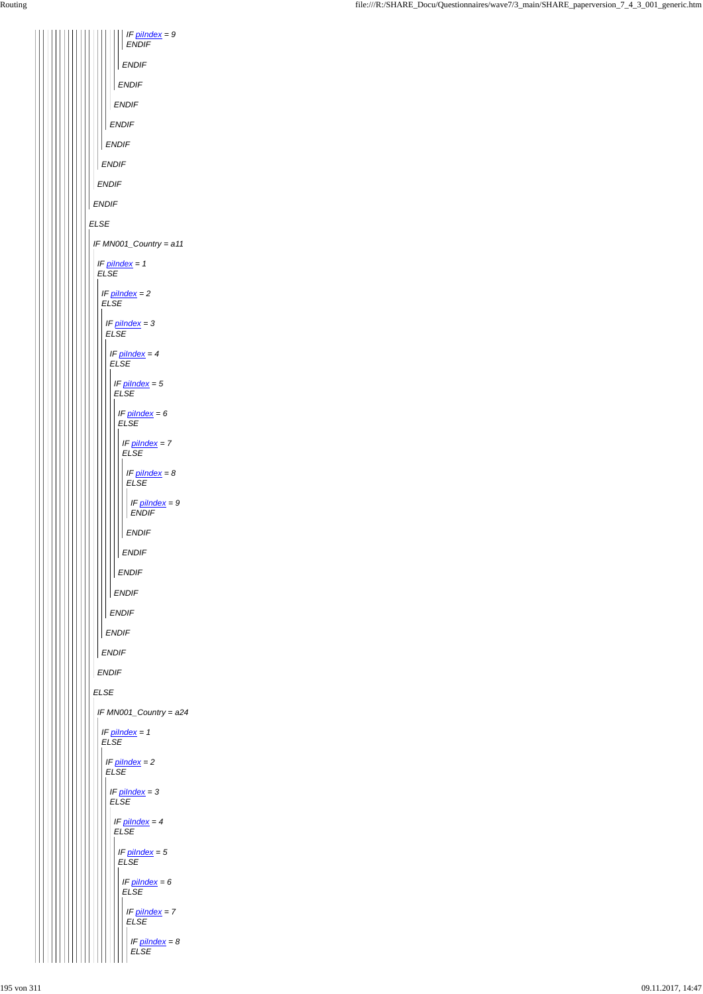*ELSE ENDIF ENDIF ENDIF ENDIF ENDIF ENDIF ENDIF ENDIF IF piIndex = 9 ENDIF IF MN001\_Country = a11 ELSE IF piIndex = 1 ELSE ENDIF IF piIndex = 2 ELSE ENDIF IF piIndex = 3 ELSE ENDIF IF piIndex = 4 ELSE ENDIF IF piIndex = 5 ELSE ENDIF IF piIndex = 6 ELSE ENDIF IF piIndex = 7 ELSE ENDIF IF piIndex = 8 ELSE ENDIF IF piIndex = 9 ENDIF IF MN001\_Country = a24 IF piIndex = 1 ELSE*

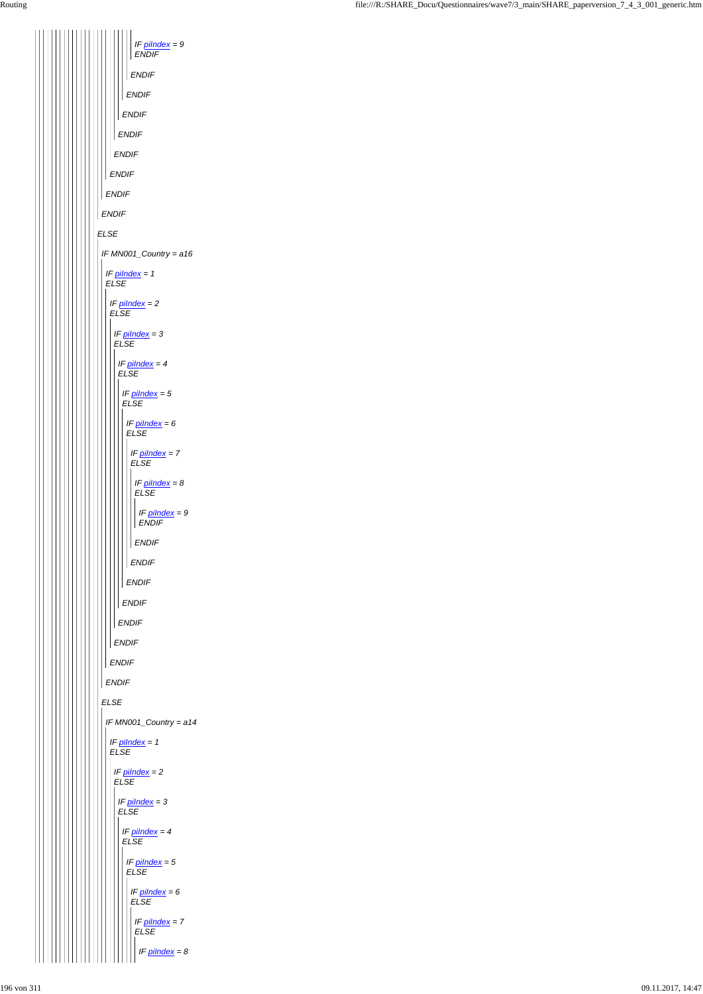*ELSE ENDIF ENDIF ENDIF ENDIF ENDIF ENDIF ENDIF ENDIF IF piIndex = 9 ENDIF IF MN001\_Country = a16 ELSE IF piIndex = 1 ELSE ENDIF IF piIndex = 2 ELSE ENDIF IF piIndex = 3 ELSE ENDIF IF piIndex = 4 ELSE ENDIF IF piIndex = 5 ELSE ENDIF IF piIndex = 6 ELSE ENDIF IF piIndex = 7 ELSE ENDIF IF piIndex = 8 ELSE ENDIF IF piIndex = 9 ENDIF IF MN001\_Country = a14 IF piIndex = 1*

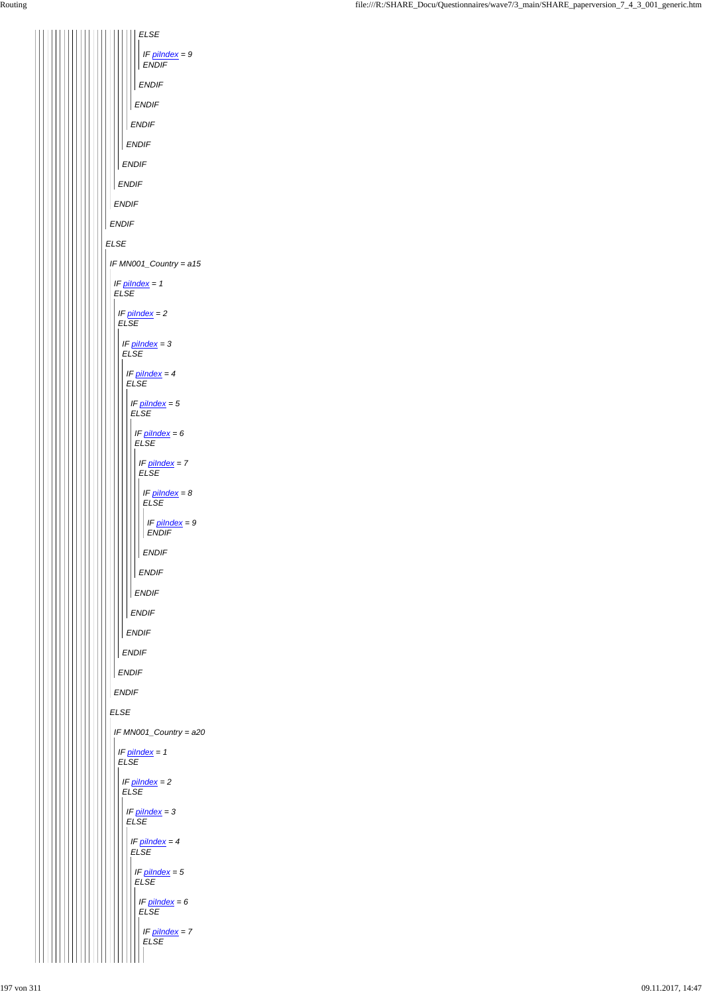*ELSE ENDIF ENDIF ENDIF ENDIF ENDIF ENDIF ENDIF ELSE ENDIF IF piIndex = 9 ENDIF IF MN001\_Country = a15 ELSE IF piIndex = 1 ELSE ENDIF IF piIndex = 2 ELSE ENDIF IF piIndex = 3 ELSE ENDIF IF piIndex = 4 ELSE ENDIF IF piIndex = 5 ELSE ENDIF IF piIndex = 6 ELSE ENDIF IF piIndex = 7 ELSE ENDIF IF piIndex = 8 ELSE ENDIF IF piIndex = 9 ENDIF IF MN001\_Country = a20 IF piIndex = 1*

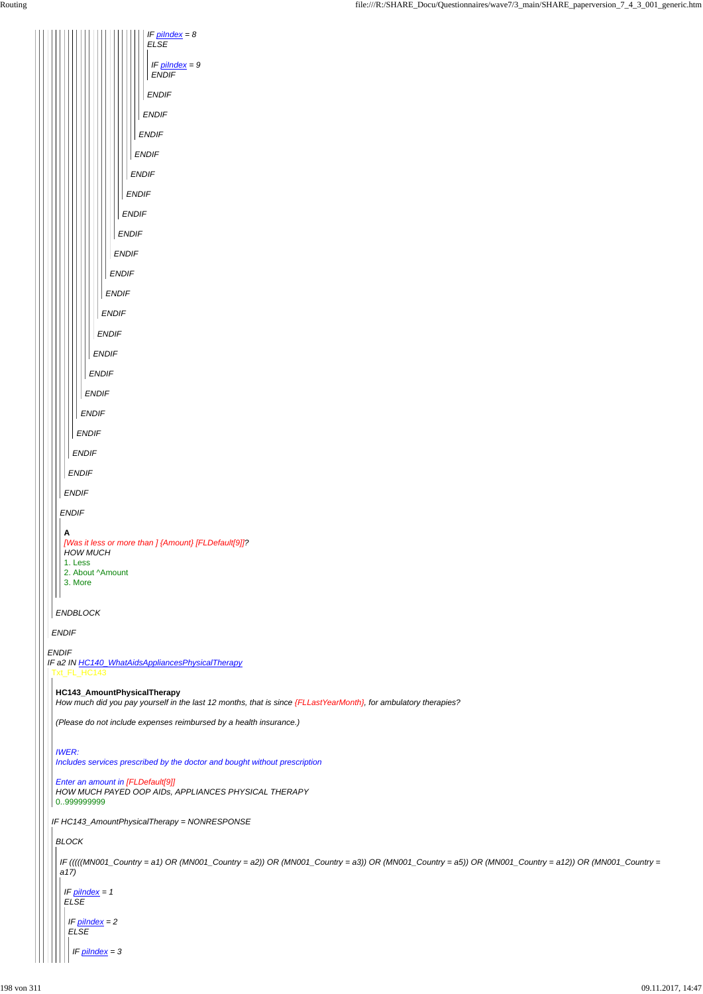

*How much did you pay yourself in the last 12 months, that is since {FLLastYearMonth}, for ambulatory therapies?*

*(Please do not include expenses reimbursed by a health insurance.)*

```
IF HC143_AmountPhysicalTherapy = NONRESPONSE
 IWER:
 Includes services prescribed by the doctor and bought without prescription
 Enter an amount in [FLDefault[9]]
HOW MUCH PAYED OOP AIDs, APPLIANCES PHYSICAL THERAPY
0..999999999
BLOCK
 IF (((((MN001_Country = a1) OR (MN001_Country = a2)) OR (MN001_Country = a3)) OR (MN001_Country = a5)) OR (MN001_Country = a12)) OR (MN001_Country =
 a17)
  IF piIndex = 1
  ELSE
   IF piIndex = 2
   ELSE
     IF piIndex = 3
```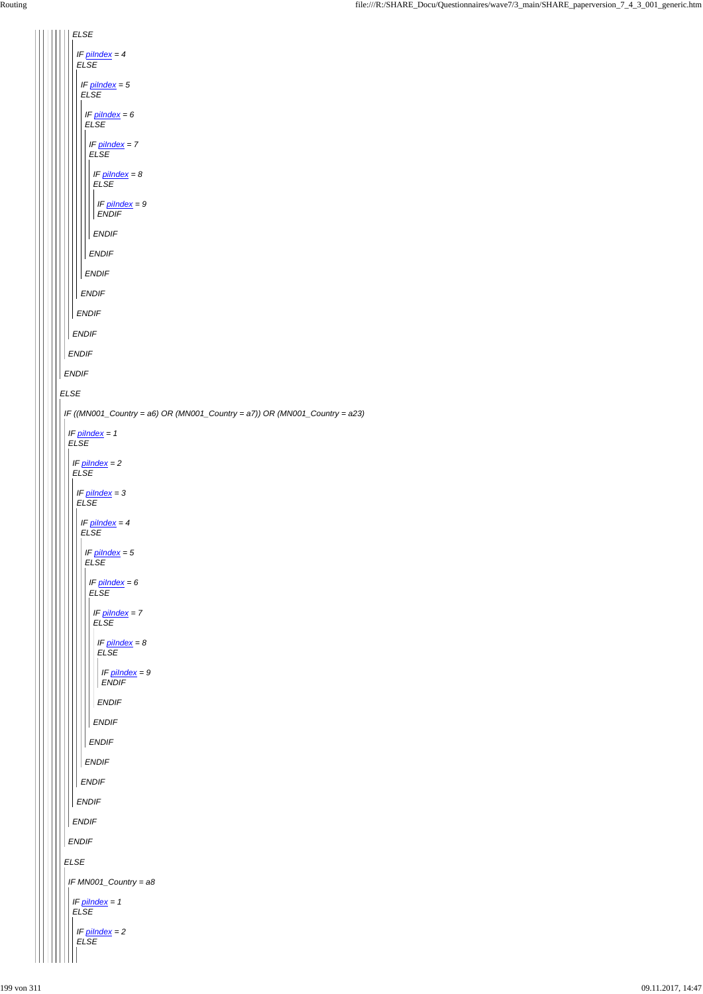*ELSE IF piIndex = 4 ELSE IF piIndex = 5 ELSE IF piIndex = 6 ELSE IF piIndex = 7 ELSE IF piIndex = 8 ELSE IF piIndex = 9 ENDIF ENDIF ENDIF ENDIF ENDIF ENDIF ENDIF ENDIF ENDIF ELSE IF ((MN001\_Country = a6) OR (MN001\_Country = a7)) OR (MN001\_Country = a23) IF piIndex = 1 ELSE IF piIndex = 2 ELSE IF piIndex = 3 ELSE IF piIndex = 4 ELSE IF piIndex = 5 ELSE IF piIndex = 6 ELSE IF piIndex = 7 ELSE IF piIndex = 8 ELSE IF piIndex = 9 ENDIF ENDIF ENDIF ENDIF*  $\mathop{\text{III}}\nolimits$  $\overline{\phantom{a}}$ 

| <b>ENDIF</b>                    |
|---------------------------------|
| <b>ENDIF</b>                    |
| <b>ENDIF</b>                    |
| <b>ENDIF</b>                    |
| <b>ENDIF</b>                    |
| <b>ELSE</b>                     |
| IF MN001_Country = a8           |
| IF $pilndex = 1$<br><b>ELSE</b> |
| IF $pilndex = 2$<br><b>ELSE</b> |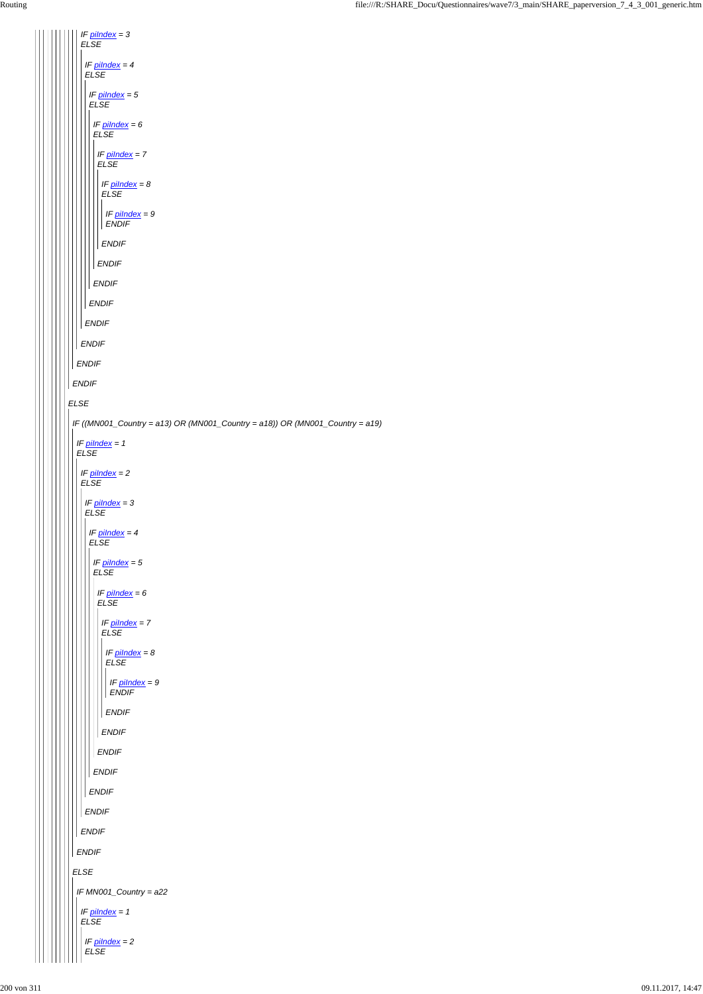```
ELSE
ENDIF
 ENDIF
  IF piIndex = 3
   ELSE
  ENDIF
    IF piIndex = 4
    ELSE
  ENDIF
     IF piIndex = 5
    ELSE
  ENDIF
      IF piIndex = 6
      ELSE
     ENDIF
      IF piIndex = 7
      ELSE
      ENDIF
        IF piIndex = 8
       ELSE
      ENDIF
        IF piIndex = 9
        ENDIF
 IF ((MN001_Country = a13) OR (MN001_Country = a18)) OR (MN001_Country = a19)
  IF piIndex = 1
  ELSE
  IF piIndex = 2
  ELSE
    IF piIndex = 3
    ELSE
    IF piIndex = 4
    ELSE
      IF piIndex = 5
      ELSE
      IF piIndex = 6
      ELSE
       IF piIndex = 7
       ELSE
      ENDIF
        IF piIndex = 8
        ELSE
       ENDIF
         IF piIndex = 9
        ENDIF
```
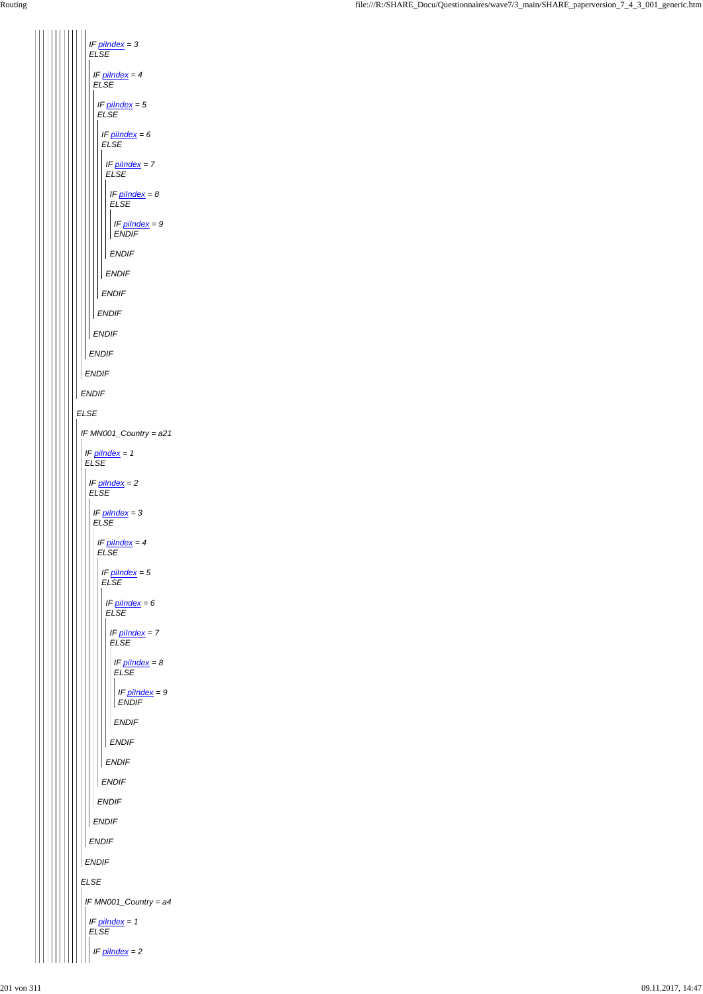*ELSE ENDIF ENDIF IF piIndex = 3 ELSE ENDIF IF piIndex = 4 ELSE ENDIF IF piIndex = 5 ELSE ENDIF IF piIndex = 6 ELSE ENDIF IF piIndex = 7 ELSE ENDIF IF piIndex = 8 ELSE ENDIF IF piIndex = 9 ENDIF IF MN001\_Country = a21 IF piIndex = 1 ELSE IF piIndex = 2 ELSE IF piIndex = 3 ELSE IF piIndex = 4 ELSE IF piIndex = 5 ELSE IF piIndex = 6 ELSE IF piIndex = 7 ELSE ENDIF IF piIndex = 8 ELSE ENDIF IF piIndex = 9 ENDIF*

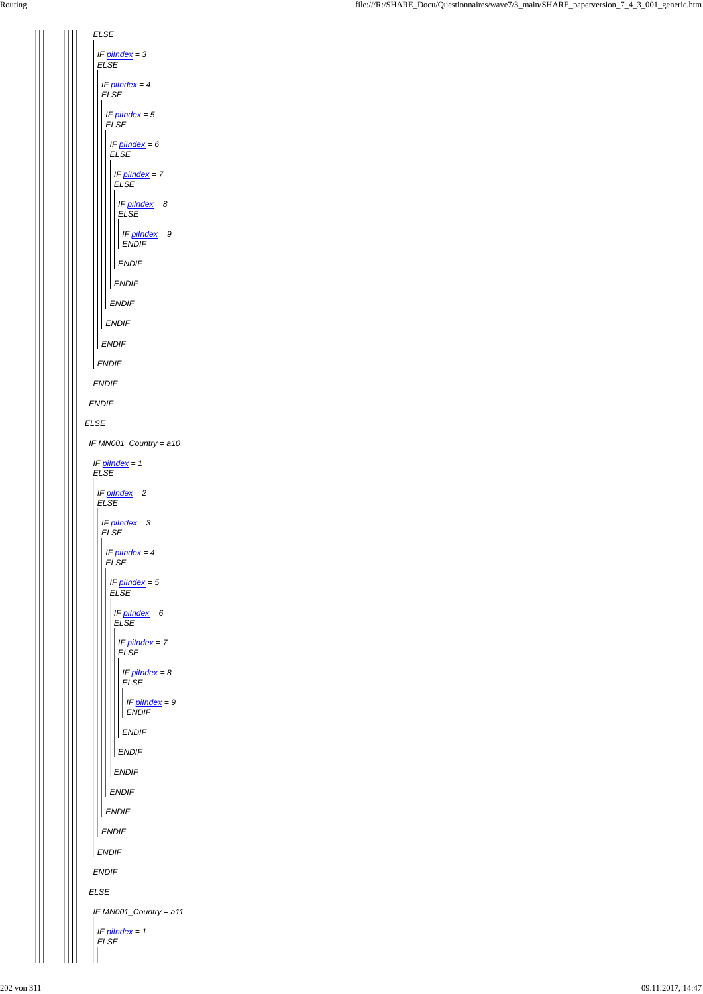*ELSE ENDIF ELSE ENDIF IF piIndex = 3 ELSE ENDIF IF piIndex = 4 ELSE ENDIF IF piIndex = 5 ELSE ENDIF IF piIndex = 6 ELSE ENDIF IF piIndex = 7 ELSE ENDIF IF piIndex = 8 ELSE ENDIF IF piIndex = 9 ENDIF IF MN001\_Country = a10 IF piIndex = 1 ELSE IF piIndex = 2 ELSE IF piIndex = 3 ELSE IF piIndex = 4 ELSE IF piIndex = 5 ELSE IF piIndex = 6 ELSE IF piIndex = 7 ELSE IF piIndex = 8 ELSE ENDIF IF piIndex = 9 ENDIF*

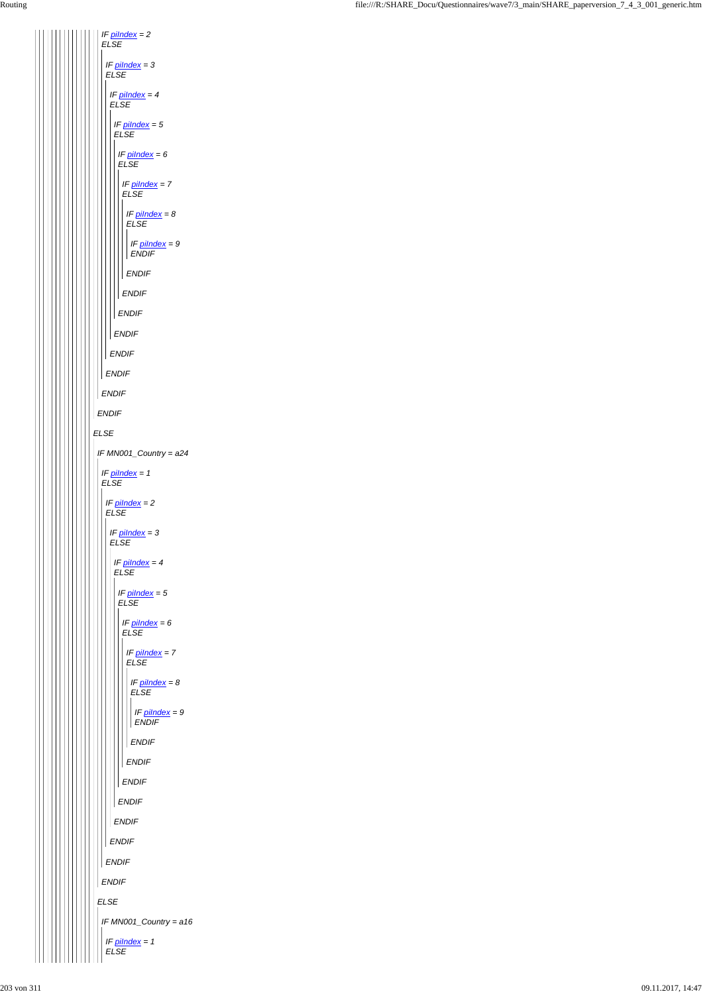*ELSE ENDIF IF piIndex = 2 ELSE ENDIF IF piIndex = 3 ELSE ENDIF IF piIndex = 4 ELSE ENDIF IF piIndex = 5 ELSE ENDIF IF piIndex = 6 ELSE ENDIF IF piIndex = 7 ELSE ENDIF IF piIndex = 8 ELSE ENDIF IF piIndex = 9 ENDIF IF MN001\_Country = a24 IF piIndex = 1 ELSE IF piIndex = 2 ELSE IF piIndex = 3 ELSE IF piIndex = 4 ELSE IF piIndex = 5 ELSE IF piIndex = 6 ELSE IF piIndex = 7 ELSE IF piIndex = 8 ELSE ENDIF IF piIndex = 9 ENDIF*

| <b>ENDIF</b>                     |
|----------------------------------|
| <b>ENDIF</b>                     |
| <b>ENDIF</b>                     |
| <b>ENDIF</b>                     |
| <b>ENDIF</b>                     |
| <b>ENDIF</b>                     |
| <b>ENDIF</b>                     |
| $E L S E$                        |
| IF MN001_Country = a16           |
| IF $pilndex = 1$<br>${\it ELSE}$ |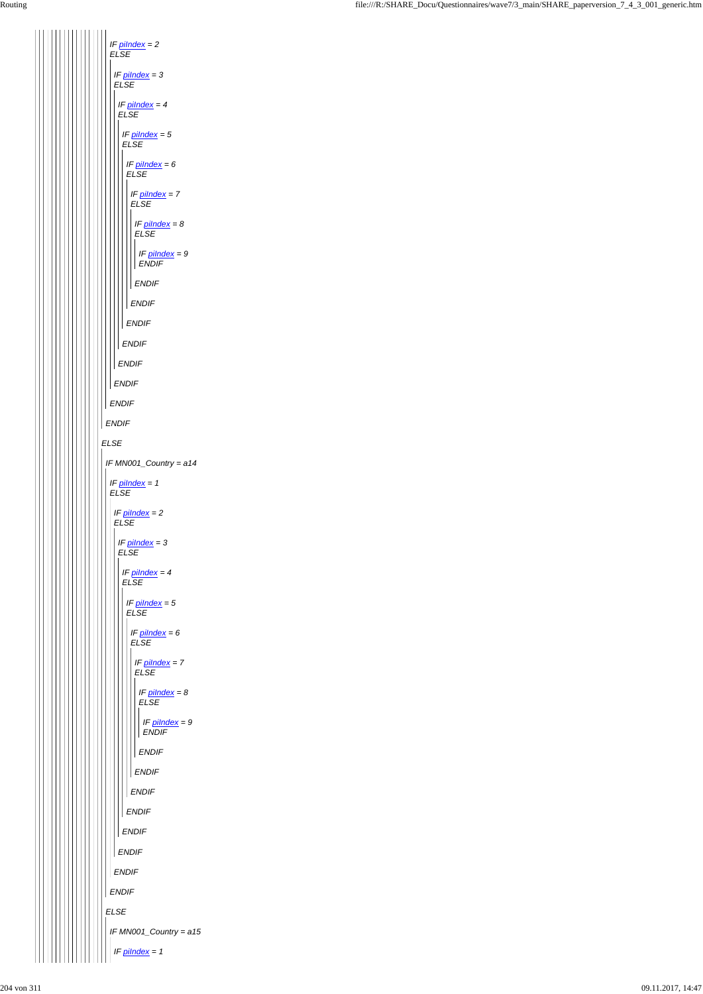

|  |  | <b>ENDIF</b>           |
|--|--|------------------------|
|  |  | <b>ENDIF</b>           |
|  |  | <b>ENDIF</b>           |
|  |  | <b>ENDIF</b>           |
|  |  | <b>ENDIF</b>           |
|  |  | <b>ENDIF</b>           |
|  |  | <b>ENDIF</b>           |
|  |  | <b>ENDIF</b>           |
|  |  | <b>ELSE</b>            |
|  |  | IF MN001_Country = a15 |
|  |  | IF pilndex = 1         |
|  |  |                        |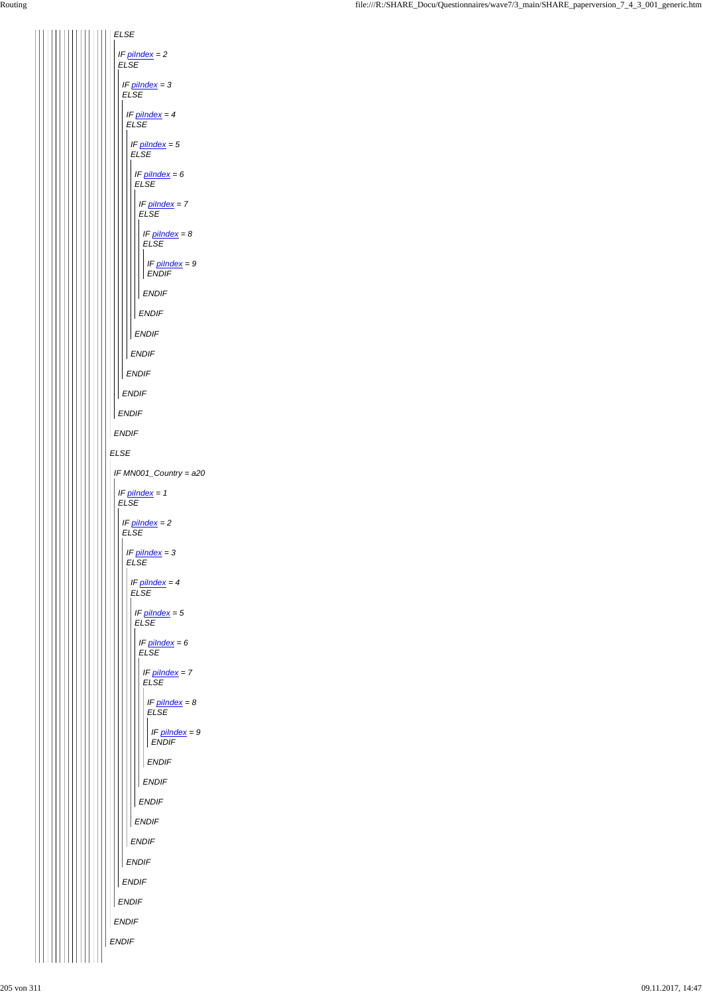|  |  |  |  |  |  |  |  |              |  | ENDIF        |
|--|--|--|--|--|--|--|--|--------------|--|--------------|
|  |  |  |  |  |  |  |  |              |  | <b>ENDIF</b> |
|  |  |  |  |  |  |  |  |              |  | <b>ENDIF</b> |
|  |  |  |  |  |  |  |  |              |  | <b>ENDIF</b> |
|  |  |  |  |  |  |  |  |              |  | <b>ENDIF</b> |
|  |  |  |  |  |  |  |  |              |  | <b>ENDIF</b> |
|  |  |  |  |  |  |  |  |              |  | <b>ENDIF</b> |
|  |  |  |  |  |  |  |  | <b>ENDIF</b> |  |              |
|  |  |  |  |  |  |  |  | <b>ENDIF</b> |  |              |
|  |  |  |  |  |  |  |  | <b>ENDIF</b> |  |              |
|  |  |  |  |  |  |  |  |              |  |              |

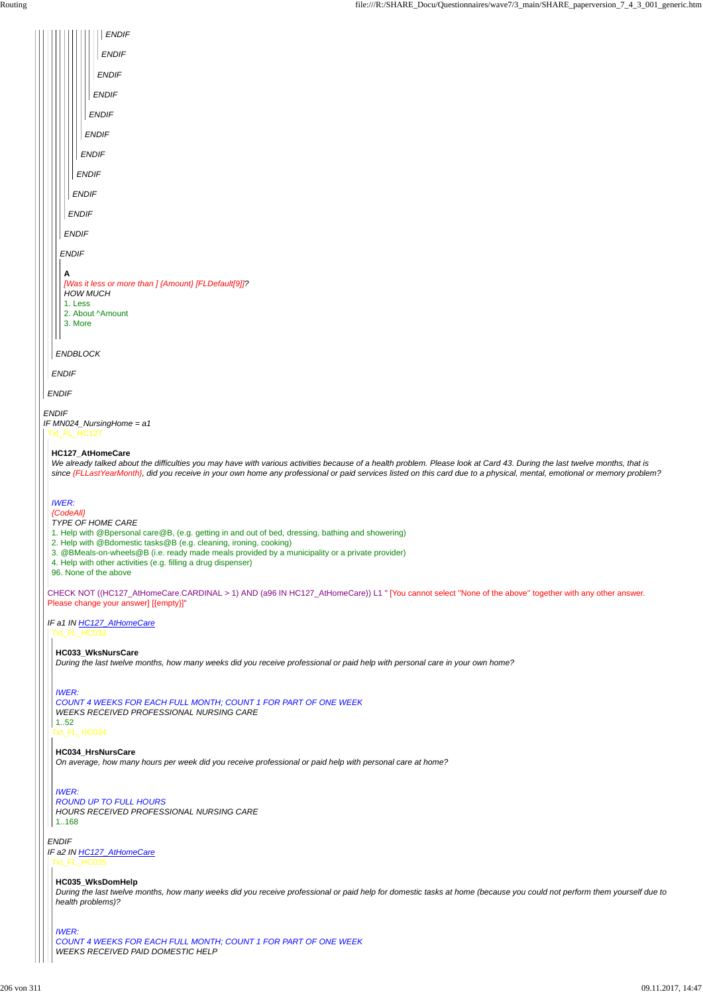*ENDIF*



*ENDIF IF a2 IN HC127\_AtHomeCare* Txt\_FL\_HC035

Txt\_FL\_HC034 1..52

*COUNT 4 WEEKS FOR EACH FULL MONTH; COUNT 1 FOR PART OF ONE WEEK WEEKS RECEIVED PROFESSIONAL NURSING CARE*

#### **HC034\_HrsNursCare**

*On average, how many hours per week did you receive professional or paid help with personal care at home?*

*IWER: ROUND UP TO FULL HOURS HOURS RECEIVED PROFESSIONAL NURSING CARE* 1..168

#### **HC035\_WksDomHelp**

*During the last twelve months, how many weeks did you receive professional or paid help for domestic tasks at home (because you could not perform them yourself due to health problems)?*

*IWER: COUNT 4 WEEKS FOR EACH FULL MONTH; COUNT 1 FOR PART OF ONE WEEK WEEKS RECEIVED PAID DOMESTIC HELP*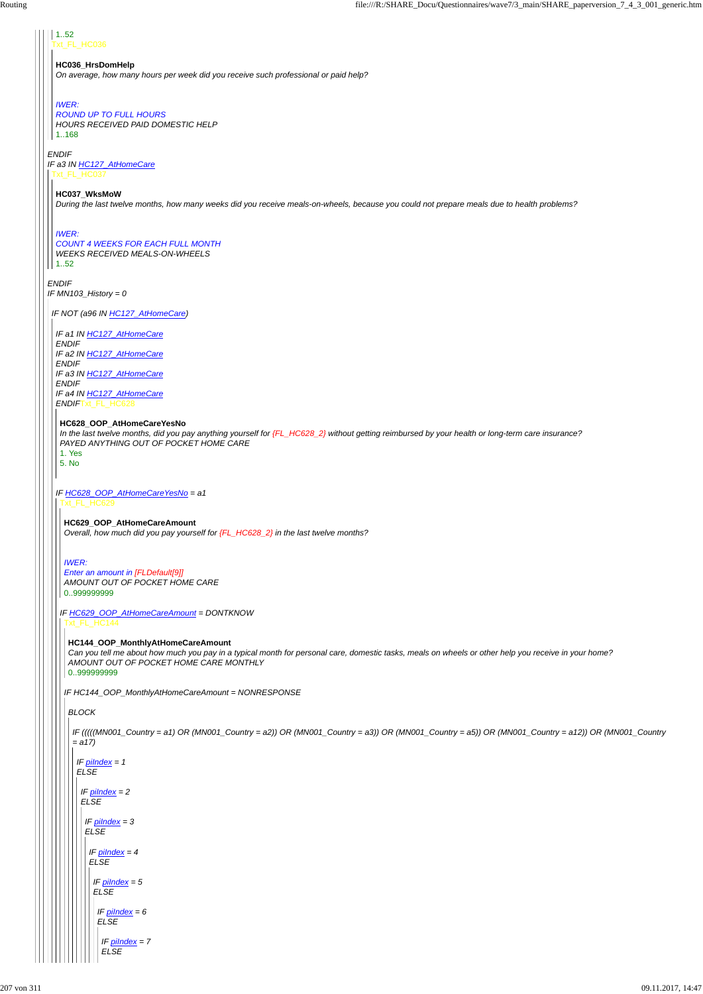# *ENDIF*

xt\_FL\_HC036 1..52

*ENDIF IF MN103\_History = 0*

#### **HC036\_HrsDomHelp**

*IF a3 IN HC127\_AtHomeCare* Txt\_FL\_HC037

*On average, how many hours per week did you receive such professional or paid help?*

### *IWER:*

*ROUND UP TO FULL HOURS HOURS RECEIVED PAID DOMESTIC HELP* 1..168

#### **HC037\_WksMoW**

*During the last twelve months, how many weeks did you receive meals-on-wheels, because you could not prepare meals due to health problems?*

#### *IWER: COUNT 4 WEEKS FOR EACH FULL MONTH WEEKS RECEIVED MEALS-ON-WHEELS* 1..52

*IF NOT (a96 IN HC127\_AtHomeCare)*

*IF a1 IN HC127\_AtHomeCare ENDIF IF a2 IN HC127\_AtHomeCare ENDIF IF a3 IN HC127\_AtHomeCare ENDIF IF a4 IN HC127\_AtHomeCare ENDIF*Txt\_FL\_HC628

#### **HC628\_OOP\_AtHomeCareYesNo**

*IF HC628\_OOP\_AtHomeCareYesNo = a1* Txt\_FL\_HC629

*In the last twelve months, did you pay anything yourself for {FL\_HC628\_2} without getting reimbursed by your health or long-term care insurance? PAYED ANYTHING OUT OF POCKET HOME CARE*

1. Yes 5. No

> **HC629\_OOP\_AtHomeCareAmount** *Overall, how much did you pay yourself for {FL\_HC628\_2} in the last twelve months?*

*IF HC629\_OOP\_AtHomeCareAmount = DONTKNOW* Txt\_FL\_HC144

#### *IWER:*

*Enter an amount in [FLDefault[9]] AMOUNT OUT OF POCKET HOME CARE* 0..999999999

*IF HC144\_OOP\_MonthlyAtHomeCareAmount = NONRESPONSE*

**HC144\_OOP\_MonthlyAtHomeCareAmount**

*Can you tell me about how much you pay in a typical month for personal care, domestic tasks, meals on wheels or other help you receive in your home? AMOUNT OUT OF POCKET HOME CARE MONTHLY* 0..999999999

*BLOCK*

*IF (((((MN001\_Country = a1) OR (MN001\_Country = a2)) OR (MN001\_Country = a3)) OR (MN001\_Country = a5)) OR (MN001\_Country = a12)) OR (MN001\_Country = a17)*

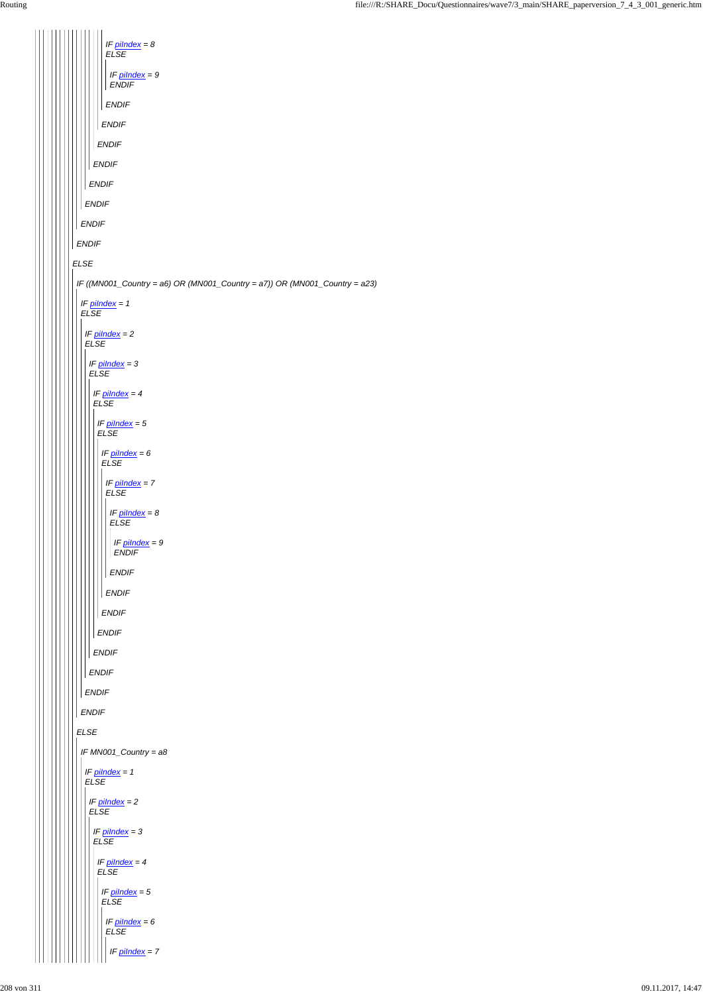*ELSE ENDIF ENDIF ENDIF ENDIF ENDIF ENDIF ENDIF IF piIndex = 8 ELSE ENDIF IF piIndex = 9 ENDIF IF ((MN001\_Country = a6) OR (MN001\_Country = a7)) OR (MN001\_Country = a23) ELSE IF piIndex = 1 ELSE ENDIF IF piIndex = 2 ELSE ENDIF IF piIndex = 3 ELSE ENDIF IF piIndex = 4 ELSE ENDIF IF piIndex = 5 ELSE ENDIF IF piIndex = 6 ELSE ENDIF IF piIndex = 7 ELSE ENDIF IF piIndex = 8 ELSE ENDIF IF piIndex = 9 ENDIF IF MN001\_Country = a8*

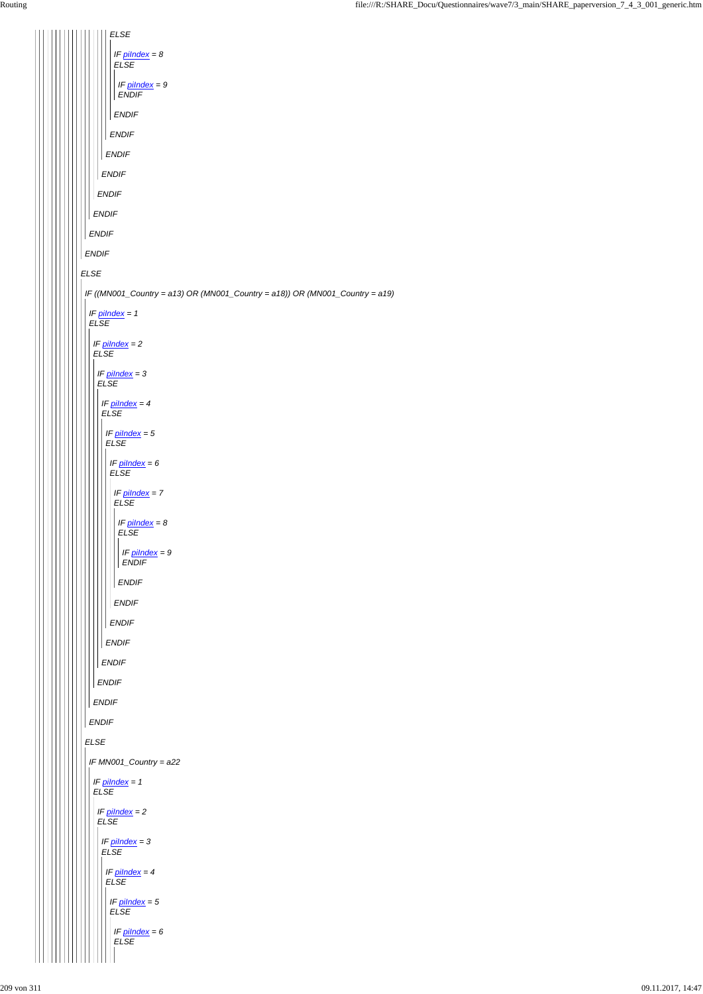*ELSE IF piIndex = 8 ELSE IF piIndex = 9 ENDIF ENDIF ENDIF ENDIF ENDIF ENDIF ENDIF ENDIF ENDIF ELSE IF ((MN001\_Country = a13) OR (MN001\_Country = a18)) OR (MN001\_Country = a19) IF piIndex = 1 ELSE IF piIndex = 2 ELSE IF piIndex = 3 ELSE IF piIndex = 4 ELSE IF piIndex = 5 ELSE IF piIndex = 6 ELSE IF piIndex = 7 ELSE IF piIndex = 8 ELSE IF piIndex = 9 ENDIF ENDIF ENDIF ENDIF ENDIF ENDIF ENDIF ENDIF ENDIF ELSE*  $\mathsf{I}$  $\mathsf{I}$ 

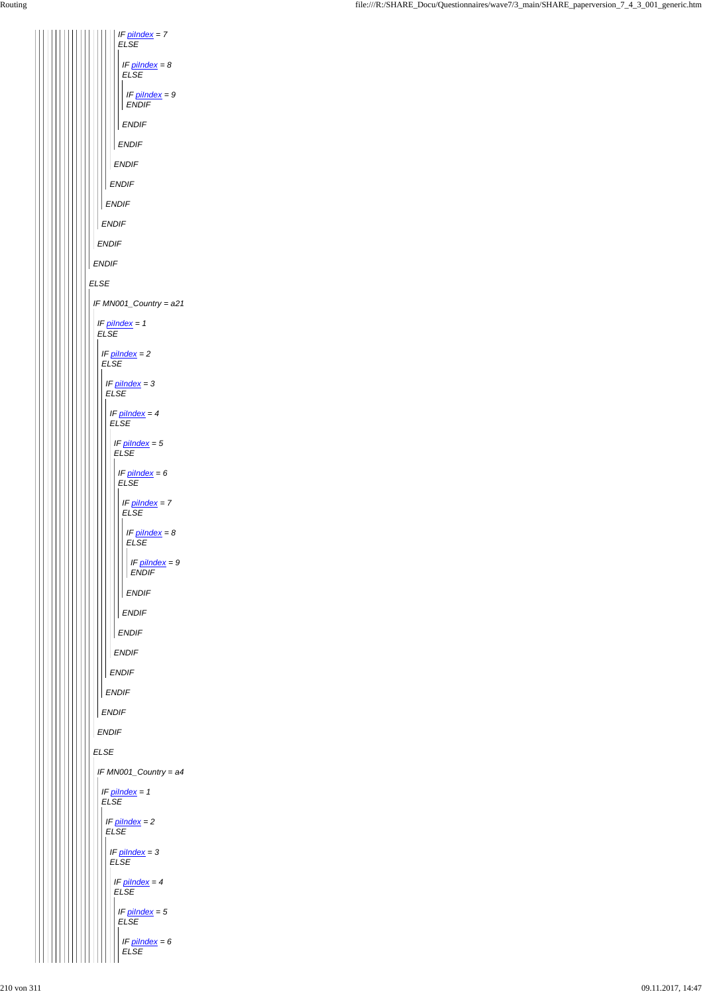*ELSE ENDIF ENDIF ENDIF ENDIF ENDIF ENDIF IF piIndex = 7 ELSE ENDIF IF piIndex = 8 ELSE ENDIF IF piIndex = 9 ENDIF IF MN001\_Country = a21 IF piIndex = 1 ELSE ENDIF IF piIndex = 2 ELSE ENDIF IF piIndex = 3 ELSE ENDIF IF piIndex = 4 ELSE ENDIF IF piIndex = 5 ELSE ENDIF IF piIndex = 6 ELSE ENDIF IF piIndex = 7 ELSE ENDIF IF piIndex = 8 ELSE ENDIF IF piIndex = 9 ENDIF*

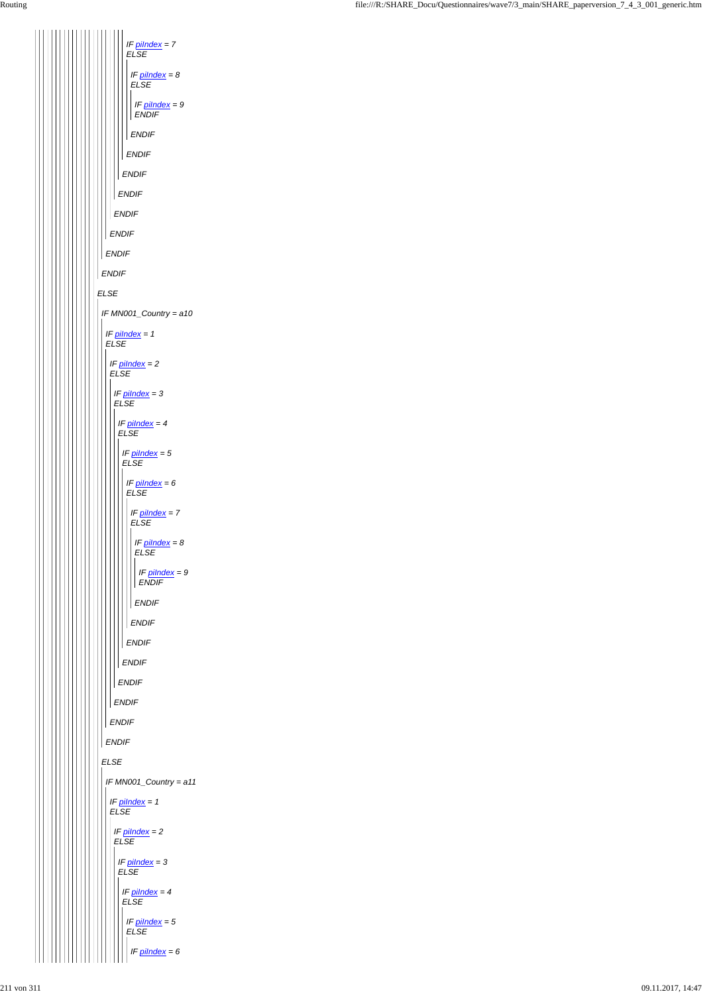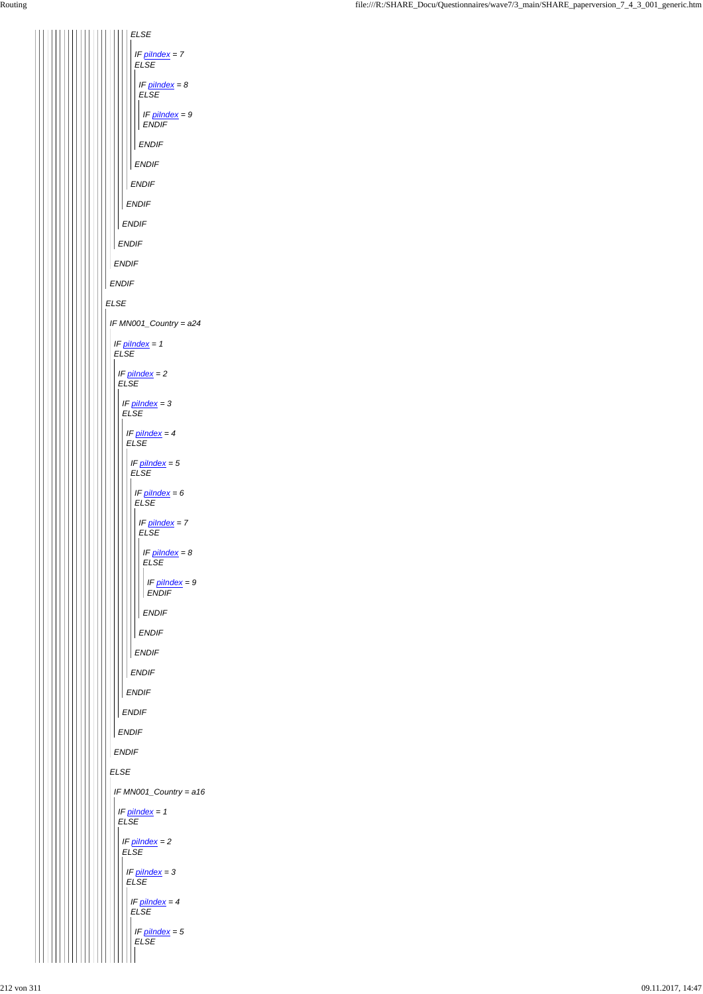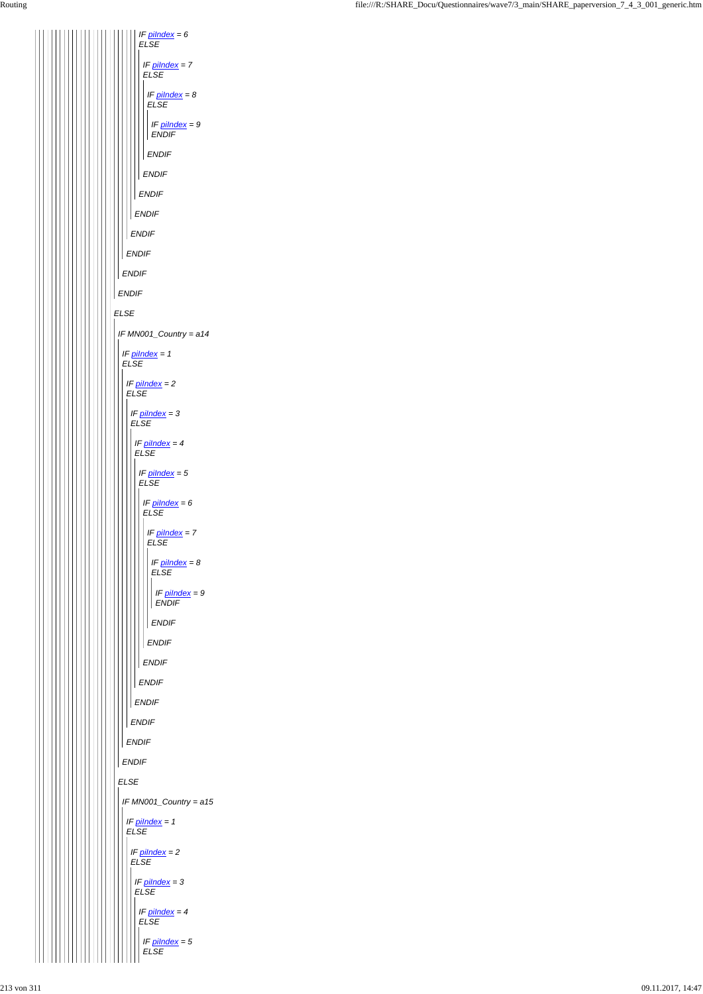*ELSE ENDIF ENDIF ENDIF ENDIF ENDIF IF piIndex = 6 ELSE ENDIF IF piIndex = 7 ELSE ENDIF IF piIndex = 8 ELSE ENDIF IF piIndex = 9 ENDIF IF MN001\_Country = a14 IF piIndex = 1 ELSE IF piIndex = 2 ELSE ENDIF IF piIndex = 3 ELSE ENDIF IF piIndex = 4 ELSE ENDIF IF piIndex = 5 ELSE ENDIF IF piIndex = 6 ELSE ENDIF IF piIndex = 7 ELSE ENDIF IF piIndex = 8 ELSE ENDIF IF piIndex = 9 ENDIF*

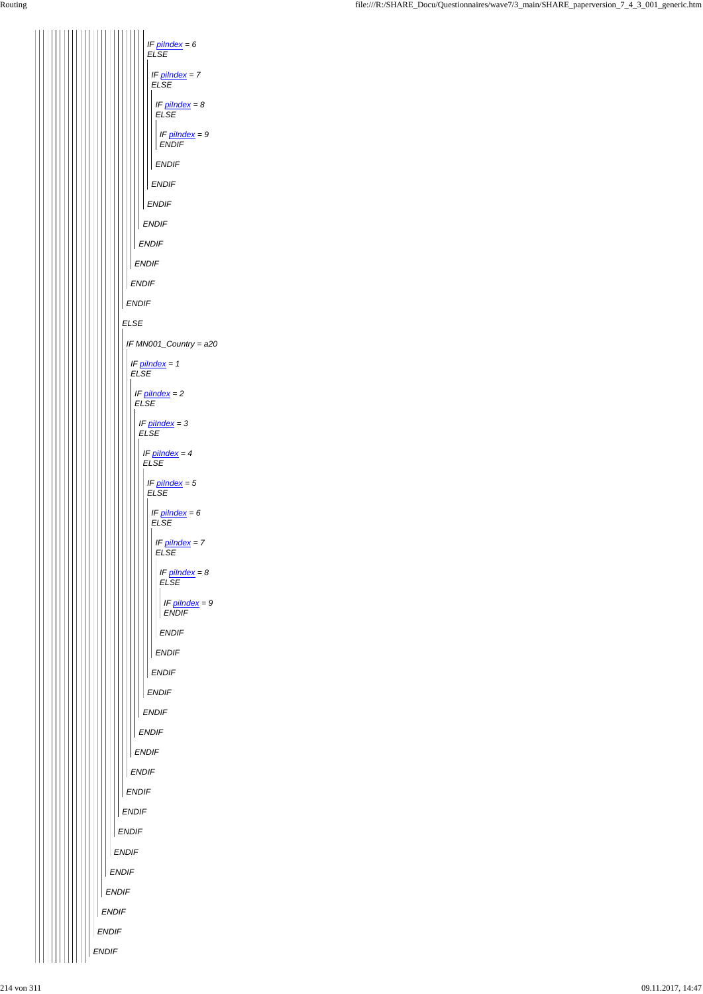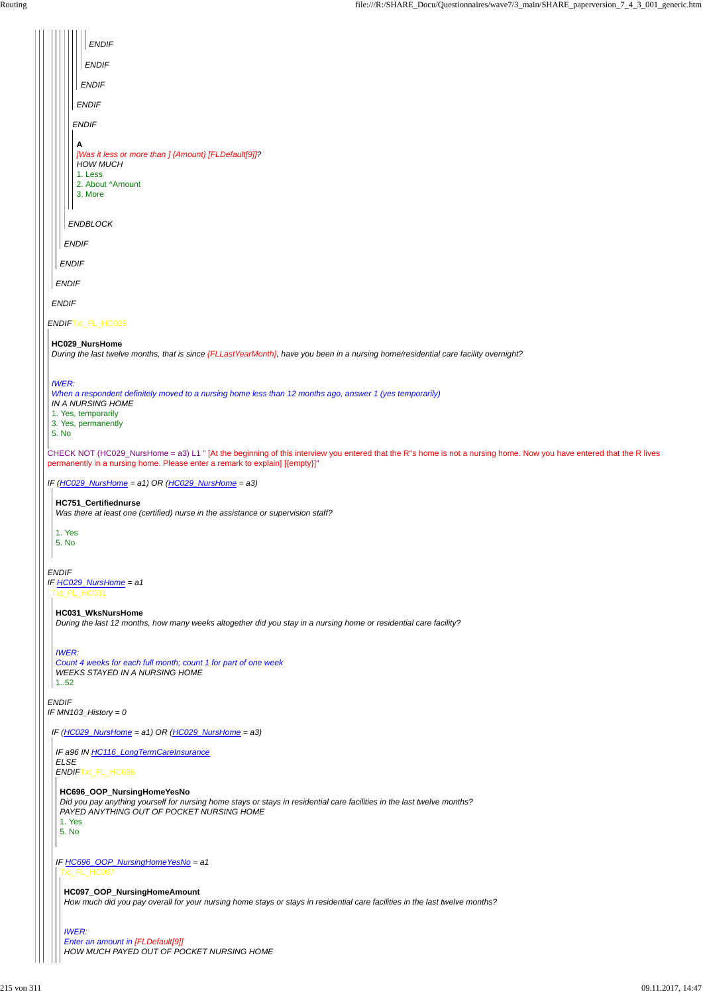*ENDIF IF MN103\_History = 0*

|                       | <b>ENDIF</b>                                                                                                                                                                                                                                       |
|-----------------------|----------------------------------------------------------------------------------------------------------------------------------------------------------------------------------------------------------------------------------------------------|
|                       | <b>ENDIF</b>                                                                                                                                                                                                                                       |
|                       | <b>ENDIF</b>                                                                                                                                                                                                                                       |
|                       | <b>ENDIF</b>                                                                                                                                                                                                                                       |
|                       | <b>ENDIF</b>                                                                                                                                                                                                                                       |
|                       | A<br>[Was it less or more than ] {Amount} [FLDefault[9]]?<br><b>HOW MUCH</b><br>1. Less<br>2. About ^Amount<br>3. More                                                                                                                             |
|                       |                                                                                                                                                                                                                                                    |
|                       | ENDBLOCK                                                                                                                                                                                                                                           |
|                       | <b>ENDIF</b>                                                                                                                                                                                                                                       |
|                       | <b>ENDIF</b>                                                                                                                                                                                                                                       |
|                       | <b>ENDIF</b>                                                                                                                                                                                                                                       |
|                       | <b>ENDIF</b>                                                                                                                                                                                                                                       |
|                       | ENDIFTxt_FL_HC029                                                                                                                                                                                                                                  |
|                       | HC029_NursHome<br>During the last twelve months, that is since {FLLastYearMonth}, have you been in a nursing home/residential care facility overnight?                                                                                             |
| <b>IWER:</b><br>5. No | When a respondent definitely moved to a nursing home less than 12 months ago, answer 1 (yes temporarily)<br>IN A NURSING HOME<br>1. Yes, temporarily<br>3. Yes, permanently                                                                        |
|                       | CHECK NOT (HC029_NursHome = a3) L1 " [At the beginning of this interview you entered that the R"s home is not a nursing home. Now you have entered that the R lives<br>permanently in a nursing home. Please enter a remark to explain] [{empty}]" |
|                       | IF $(HCO29_NursHome = a1)$ OR $(HCO29_NursHome = a3)$                                                                                                                                                                                              |
|                       | HC751_Certifiednurse<br>Was there at least one (certified) nurse in the assistance or supervision staff?                                                                                                                                           |
|                       | 1. Yes<br>5. No                                                                                                                                                                                                                                    |
| <b>ENDIF</b>          | IF HC029_NursHome = a1<br>Txt_FL_HC031                                                                                                                                                                                                             |
|                       | HC031_WksNursHome<br>During the last 12 months, how many weeks altogether did you stay in a nursing home or residential care facility?                                                                                                             |
|                       | <b>IWER:</b><br>Count 4 weeks for each full month; count 1 for part of one week<br><b>WEEKS STAYED IN A NURSING HOME</b>                                                                                                                           |

 $||$  1..52

*IF (HC029\_NursHome = a1) OR (HC029\_NursHome = a3)*

*IF a96 IN HC116\_LongTermCareInsurance ELSE ENDIF*Txt\_FL\_HC696

# **HC696\_OOP\_NursingHomeYesNo**

*IF HC696\_OOP\_NursingHomeYesNo = a1* Txt\_FL\_HC097

*Did you pay anything yourself for nursing home stays or stays in residential care facilities in the last twelve months? PAYED ANYTHING OUT OF POCKET NURSING HOME*

1. Yes

5. No

# **HC097\_OOP\_NursingHomeAmount**

*How much did you pay overall for your nursing home stays or stays in residential care facilities in the last twelve months?*

#### *IWER:*

*Enter an amount in [FLDefault[9]] HOW MUCH PAYED OUT OF POCKET NURSING HOME*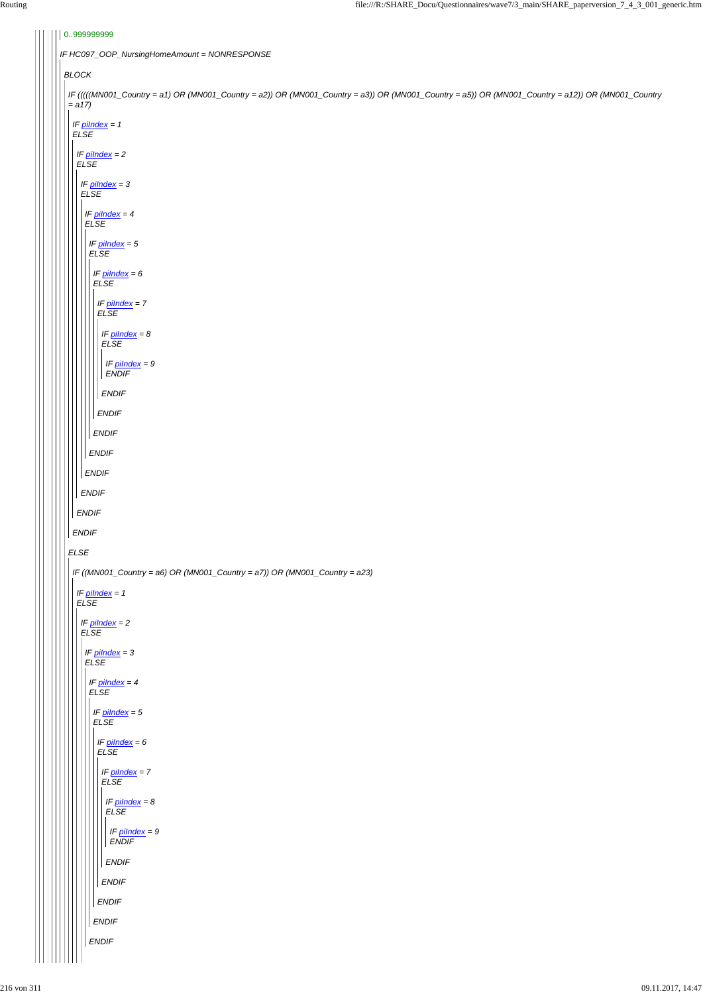| 0.999999999                                                                                                                                                   |
|---------------------------------------------------------------------------------------------------------------------------------------------------------------|
| IF HC097_OOP_NursingHomeAmount = NONRESPONSE                                                                                                                  |
| <b>BLOCK</b>                                                                                                                                                  |
| IF (((((MN001_Country = a1) OR (MN001_Country = a2)) OR (MN001_Country = a3)) OR (MN001_Country = a5)) OR (MN001_Country = a12)) OR (MN001_Country<br>$= a17$ |
| IF pilndex = 1<br>${\it ELSE}$                                                                                                                                |
| IF <u>pilndex</u> = 2<br>ELSE                                                                                                                                 |
| IF $p$ <i>ilndex</i> = 3<br>ELSE                                                                                                                              |
| IF <u>pilndex</u> = 4<br><b>ELSE</b>                                                                                                                          |
| IF $pilndex = 5$<br><b>ELSE</b>                                                                                                                               |
| IF $pilndex = 6$<br><b>ELSE</b>                                                                                                                               |
| IF pilndex = 7<br><b>ELSE</b>                                                                                                                                 |
| IF $p$ ilndex = $8$<br><b>ELSE</b>                                                                                                                            |
| IF $pilndex = 9$<br><b>ENDIF</b>                                                                                                                              |
| <b>ENDIF</b>                                                                                                                                                  |
| ENDIF                                                                                                                                                         |
| <b>ENDIF</b>                                                                                                                                                  |
| ENDIF                                                                                                                                                         |
| ENDIF                                                                                                                                                         |
| <b>ENDIF</b>                                                                                                                                                  |
| <b>ENDIF</b>                                                                                                                                                  |
| <b>ENDIF</b>                                                                                                                                                  |
| E LSE                                                                                                                                                         |
| IF ((MN001_Country = a6) OR (MN001_Country = a7)) OR (MN001_Country = a23)                                                                                    |
| IF $pilndex = 1$<br>$E LSE$                                                                                                                                   |
| $IF$ pilndex = 2<br>${\it ELSE}$                                                                                                                              |
| IF $pilndex = 3$<br><b>ELSE</b>                                                                                                                               |
| IF $pilndex = 4$<br>E LSE                                                                                                                                     |
| IF <u>pilndex</u> = 5<br><b>ELSE</b>                                                                                                                          |
| IF $\frac{\text{pilndex}}{\text{F1 SF}} = 6$                                                                                                                  |

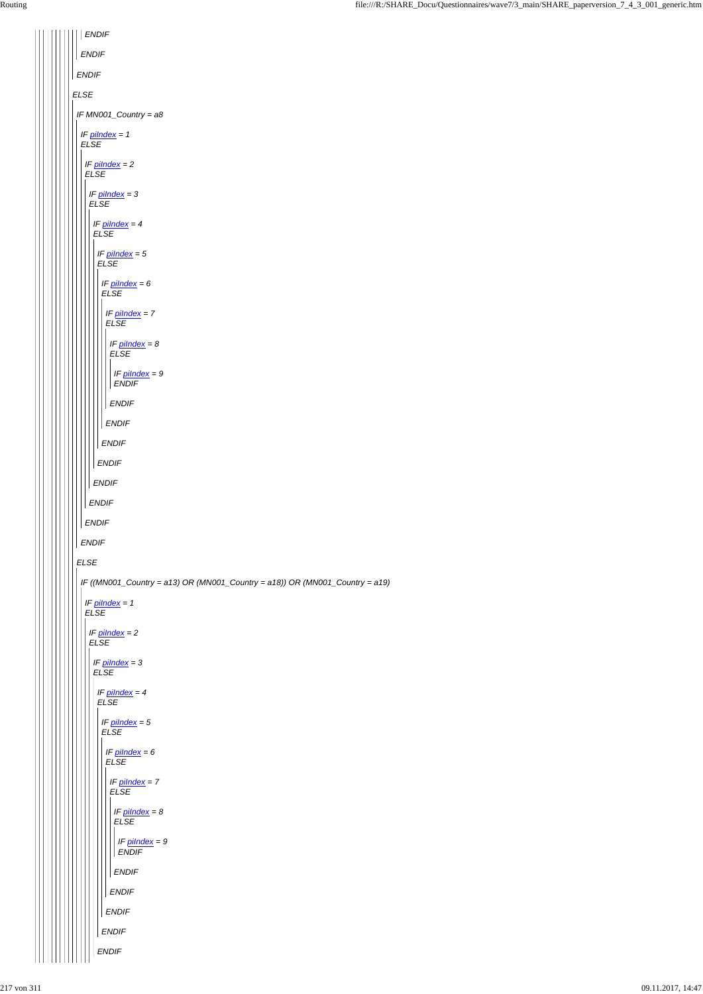*ELSE ENDIF ENDIF ENDIF IF MN001\_Country = a8 ELSE IF piIndex = 1 ELSE ENDIF IF piIndex = 2 ELSE ENDIF IF piIndex = 3 ELSE ENDIF IF piIndex = 4 ELSE ENDIF IF piIndex = 5 ELSE ENDIF IF piIndex = 6 ELSE ENDIF IF piIndex = 7 ELSE ENDIF IF piIndex = 8 ELSE ENDIF IF piIndex = 9 ENDIF IF ((MN001\_Country = a13) OR (MN001\_Country = a18)) OR (MN001\_Country = a19) IF piIndex = 1 ELSE IF piIndex = 2 ELSE IF piIndex = 3 ELSE IF piIndex = 4 ELSE IF piIndex = 5 ELSE*

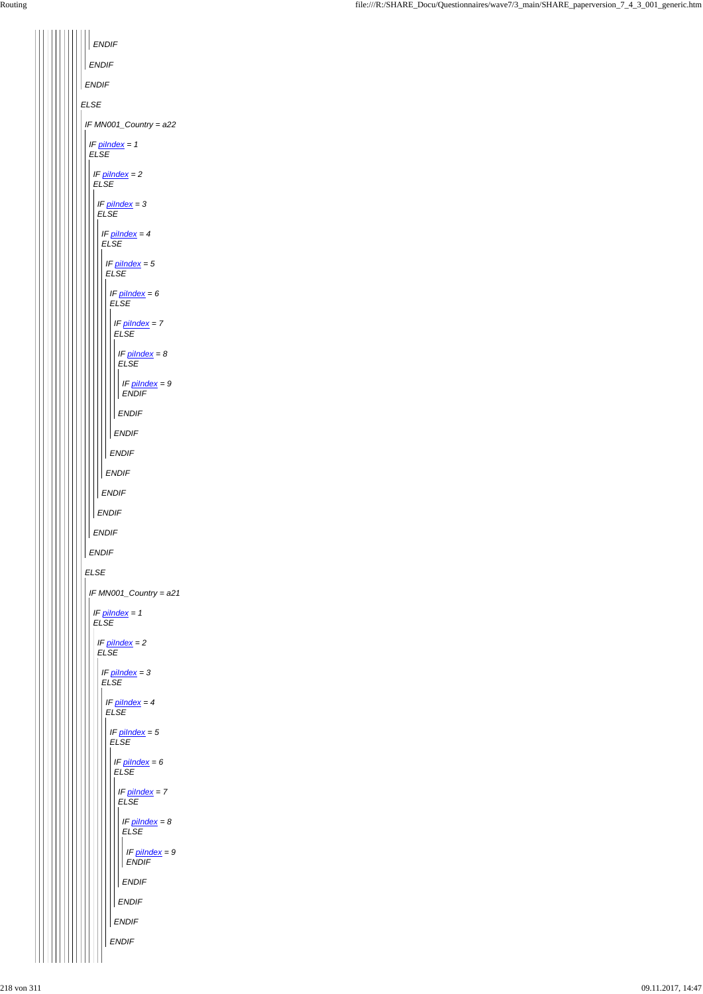*ELSE ENDIF ENDIF ENDIF IF MN001\_Country = a22 ELSE IF piIndex = 1 ELSE ENDIF IF piIndex = 2 ELSE ENDIF IF piIndex = 3 ELSE ENDIF IF piIndex = 4 ELSE ENDIF IF piIndex = 5 ELSE ENDIF IF piIndex = 6 ELSE ENDIF IF piIndex = 7 ELSE ENDIF IF piIndex = 8 ELSE ENDIF IF piIndex = 9 ENDIF IF MN001\_Country = a21 IF piIndex = 1 ELSE IF piIndex = 2 ELSE IF piIndex = 3 ELSE IF piIndex = 4 ELSE IF piIndex = 5 ELSE*

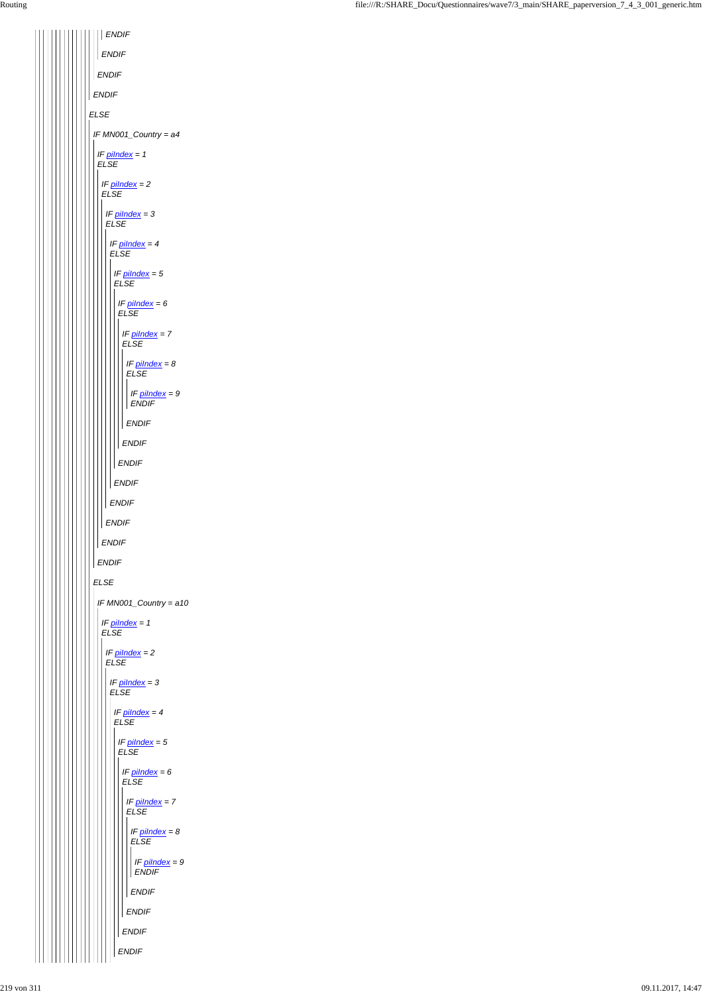| <b>ENDIF</b>                              |
|-------------------------------------------|
| ENDIF                                     |
| ENDIF                                     |
| <b>ENDIF</b>                              |
| <b>ELSE</b>                               |
| IF MN001_Country = a4                     |
| IF pilndex = 1<br><b>ELSE</b>             |
| IF $p$ <i>ilndex</i> = $2$<br><b>ELSE</b> |
| IF $pilndex = 3$<br><b>ELSE</b>           |
| IF $p$ ilndex = 4                         |
| <b>ELSE</b><br>IF pilndex = 5             |
| <b>ELSE</b><br>IF $p$ <i>ilndex</i> = $6$ |
| <b>ELSE</b>                               |
| IF pilndex = 7<br><b>ELSE</b>             |
| IF $p$ <i>ilndex</i> = $8$<br><b>ELSE</b> |
| IF $p$ <i>ilndex</i> = 9<br><b>ENDIF</b>  |
| <b>ENDIF</b>                              |
| <b>ENDIF</b>                              |
| <b>ENDIF</b>                              |
| <b>ENDIF</b>                              |
| <b>ENDIF</b>                              |
| <b>ENDIF</b>                              |
| <b>ENDIF</b>                              |
| <b>ENDIF</b>                              |
| <b>ELSE</b>                               |
| IF MN001_Country = a10                    |
| IF pilndex = 1<br><b>ELSE</b>             |
| IF pilndex = 2<br><b>ELSE</b>             |
| IF pilndex = 3<br><b>ELSE</b>             |
| IF pilndex = 4<br><b>ELSE</b>             |
| IF pilndex = 5<br>ELSE                    |

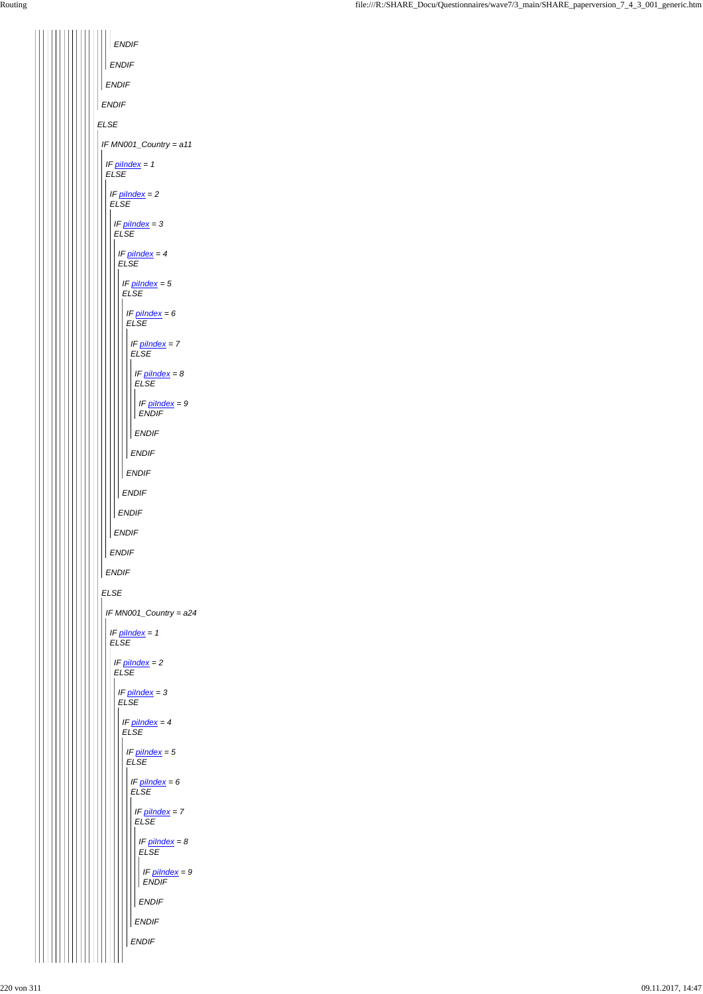*ENDIF ENDIF ENDIF ENDIF ELSE IF MN001\_Country = a11 IF piIndex = 1 ELSE IF piIndex = 2 ELSE IF piIndex = 3 ELSE IF piIndex = 4 ELSE IF piIndex = 5 ELSE IF piIndex = 6 ELSE IF piIndex = 7 ELSE IF piIndex = 8 ELSE IF piIndex = 9 ENDIF ENDIF ENDIF ENDIF ENDIF ENDIF ENDIF ENDIF ENDIF ELSE IF MN001\_Country = a24 IF piIndex = 1 ELSE IF piIndex = 2 ELSE IF piIndex = 3 ELSE IF piIndex = 4 ELSE*  $\mathbf{I}$ 

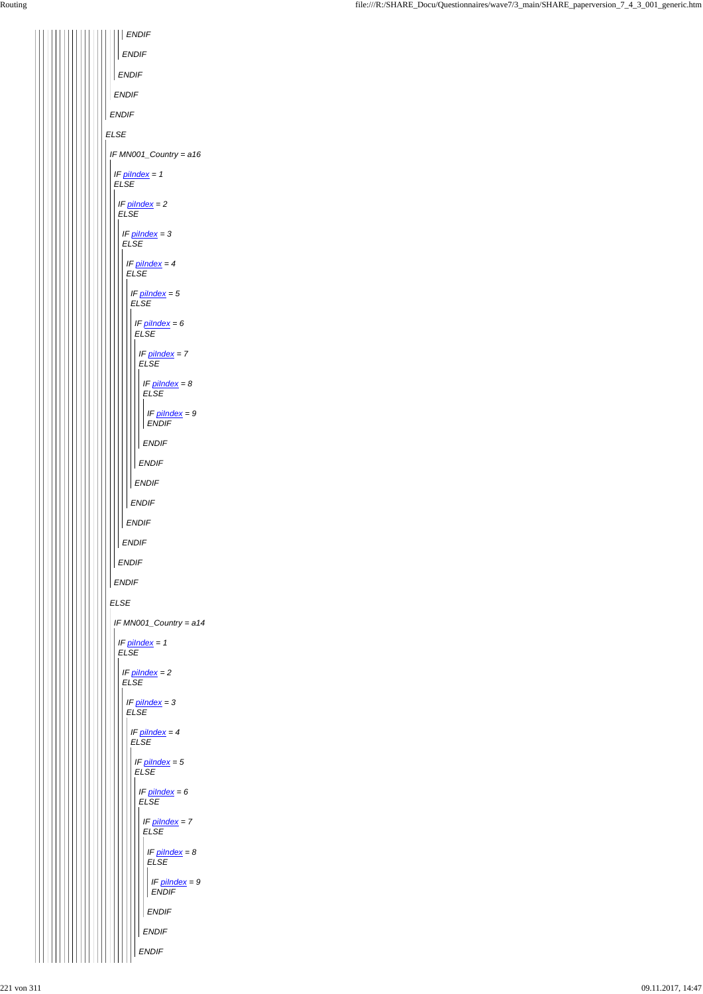|             | <b>ENDIF</b>                                    |
|-------------|-------------------------------------------------|
|             | <b>ENDIF</b>                                    |
|             | <b>ENDIF</b>                                    |
|             | <b>ENDIF</b>                                    |
|             | <b>ENDIF</b>                                    |
| <b>ELSE</b> |                                                 |
|             | IF MN001_Country = a16                          |
|             | IF $pilndex = 1$<br><b>ELSE</b>                 |
|             | IF $pilndex = 2$<br><b>ELSE</b>                 |
|             | IF $p$ <i>ilndex</i> = 3<br><b>ELSE</b>         |
|             | IF $pilndex = 4$<br><b>ELSE</b>                 |
|             | IF $p$ <i>ilndex</i> = $5$<br><b>ELSE</b>       |
|             | IF $p$ <i>ilndex</i> = $6$<br><b>ELSE</b>       |
|             | IF $pilndex = 7$<br><b>ELSE</b>                 |
|             | IF $pilndex = 8$<br><b>ELSE</b>                 |
|             | $\mathbf l$<br>IF $pilndex = 9$<br><b>ENDIF</b> |
|             | <b>ENDIF</b>                                    |
|             | <b>ENDIF</b>                                    |
|             | <b>ENDIF</b>                                    |
|             | <b>ENDIF</b>                                    |
|             | <b>ENDIF</b>                                    |
|             | <b>ENDIF</b>                                    |
|             | <b>ENDIF</b>                                    |
|             | <b>ENDIF</b>                                    |
|             | <b>ELSE</b>                                     |
|             | IF MN001_Country = a14                          |
|             | IF $pilndex = 1$<br><b>ELSE</b>                 |
|             | IF pilndex = 2<br><b>ELSE</b>                   |
|             | IF $pilndex = 3$<br><b>ELSE</b>                 |
|             | IF $pilndex = 4$<br><b>ELSE</b>                 |

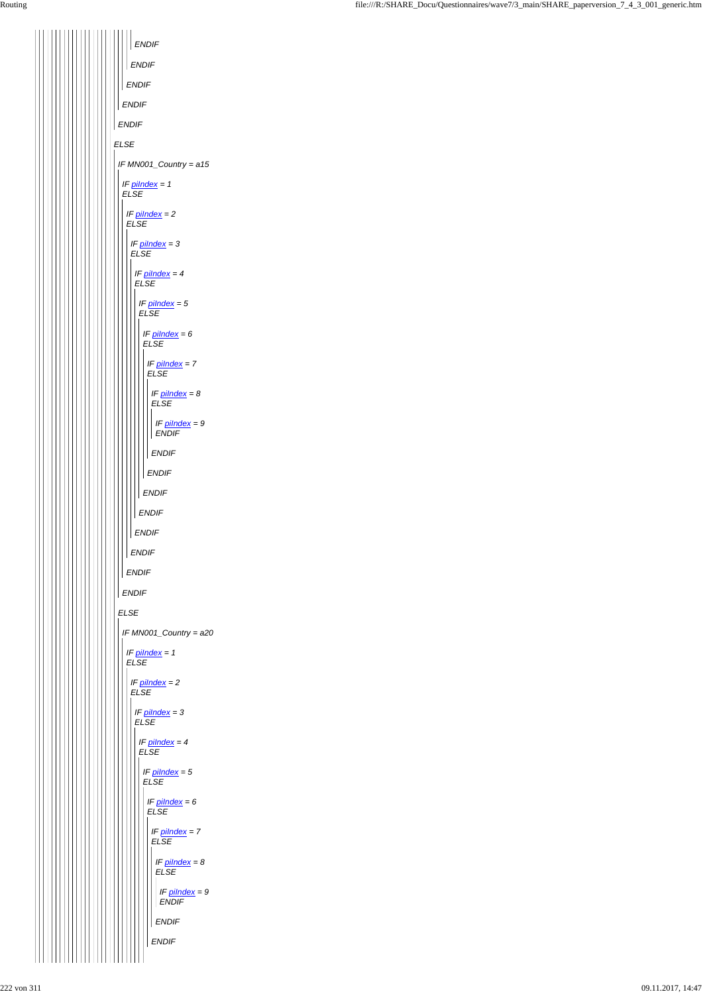| <b>ELSE</b><br>IF MN001_Country = a15<br>IF $pilndex = 1$<br><b>ELSE</b><br>IF $pilndex = 2$<br><b>ELSE</b><br>IF $pilndex = 3$<br><b>ELSE</b><br>IF $pilndex = 4$<br><b>ELSE</b><br>IF $pilndex = 5$<br><b>ELSE</b><br>IF <i>pilndex</i> = 6<br><b>ELSE</b><br>IF $pilndex = 7$<br><b>ELSE</b><br>IF $pilndex = 8$<br>ELSE<br>IF $pilndex = 9$<br><b>ENDIF</b><br><b>ENDIF</b><br><b>ENDIF</b><br><b>ENDIF</b><br><b>ENDIF</b><br><b>ENDIF</b><br><b>ENDIF</b><br><b>ENDIF</b><br><b>ENDIF</b><br><b>ELSE</b><br>IF MN001_Country = a20<br>IF $pilndex = 1$<br><b>ELSE</b><br>IF $pilndex = 2$<br><b>ELSE</b><br>IF $pilndex = 3$ |  |
|------------------------------------------------------------------------------------------------------------------------------------------------------------------------------------------------------------------------------------------------------------------------------------------------------------------------------------------------------------------------------------------------------------------------------------------------------------------------------------------------------------------------------------------------------------------------------------------------------------------------------------|--|
| <b>ELSE</b><br>IF $pilndex = 4$<br><b>ELSE</b>                                                                                                                                                                                                                                                                                                                                                                                                                                                                                                                                                                                     |  |

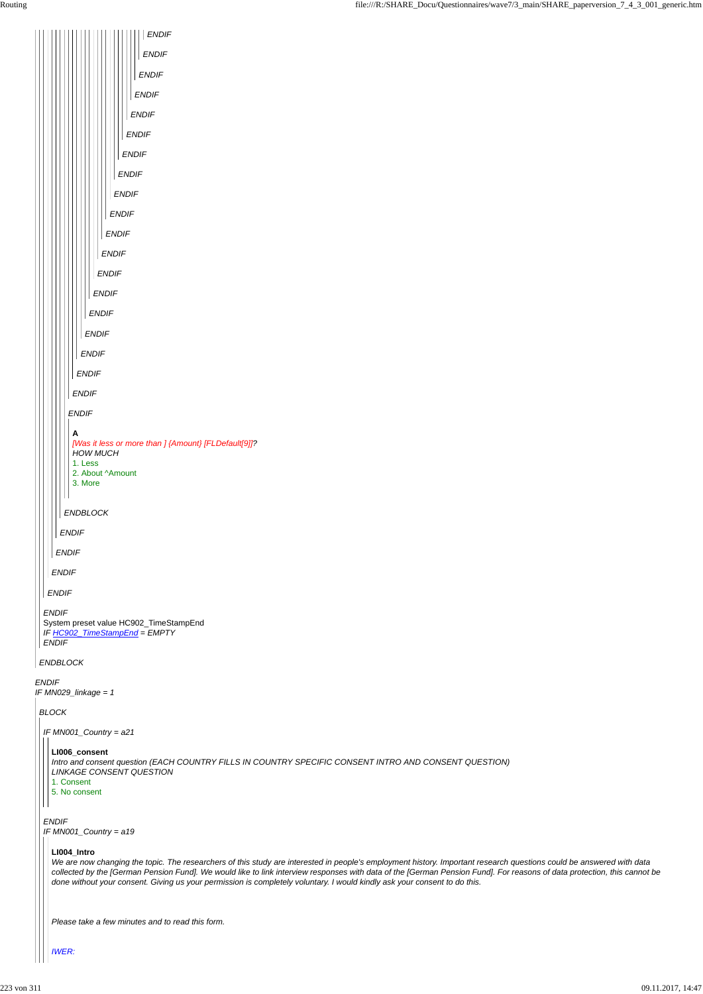*ENDIF IF MN029\_linkage = 1 ENDBLOCK ENDIF* System preset value HC902\_TimeStampEnd *IF HC902\_TimeStampEnd = EMPTY ENDIF ENDIF ENDIF ENDIF ENDIF ENDBLOCK ENDIF ENDIF ENDIF ENDIF ENDIF ENDIF ENDIF ENDIF ENDIF ENDIF ENDIF ENDIF ENDIF ENDIF ENDIF ENDIF ENDIF ENDIF ENDIF ENDIF* **A** *[Was it less or more than ] {Amount} [FLDefault[9]]? HOW MUCH* 1. Less 2. About ^Amount 3. More *BLOCK*

*IF MN001\_Country = a21*

*ENDIF IF MN001\_Country = a19*

#### **LI006\_consent**

*Intro and consent question (EACH COUNTRY FILLS IN COUNTRY SPECIFIC CONSENT INTRO AND CONSENT QUESTION) LINKAGE CONSENT QUESTION*

1. Consent

 $\vert \vert \vert$ 

 $\mathbf{H}$ 

5. No consent

#### **LI004\_Intro**

*We are now changing the topic. The researchers of this study are interested in people's employment history. Important research questions could be answered with data collected by the [German Pension Fund]. We would like to link interview responses with data of the [German Pension Fund]. For reasons of data protection, this cannot be done without your consent. Giving us your permission is completely voluntary. I would kindly ask your consent to do this.*

*Please take a few minutes and to read this form.*

*IWER:*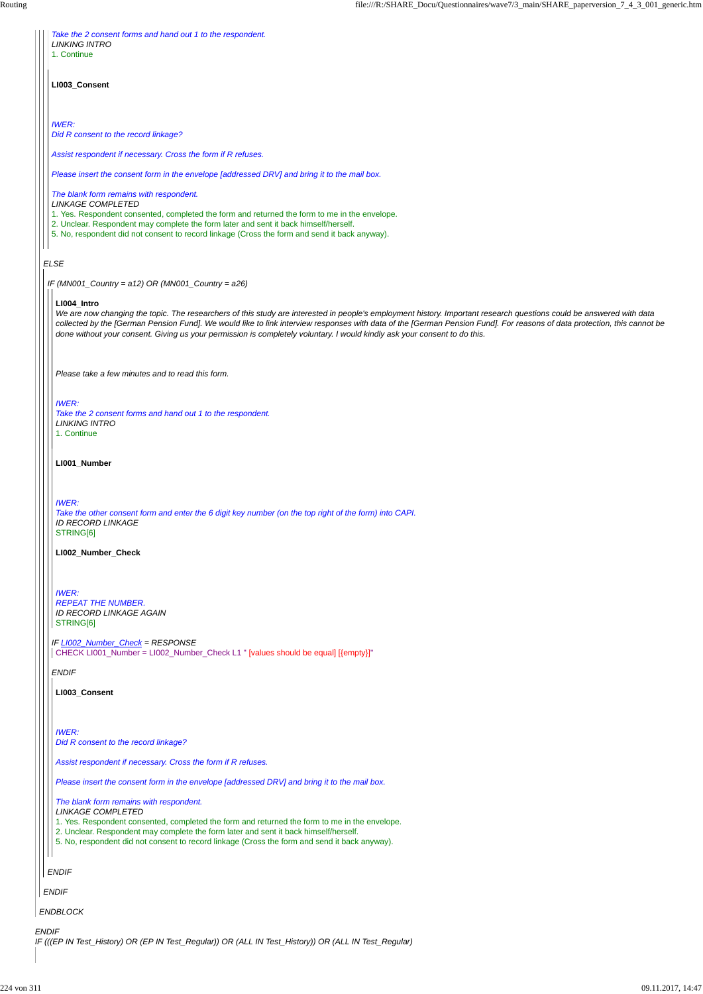| Take the 2 consent forms and hand out 1 to the respondent.<br><b>LINKING INTRO</b>                                                                                                                                                                                                                                                                                                                                                                                                           |
|----------------------------------------------------------------------------------------------------------------------------------------------------------------------------------------------------------------------------------------------------------------------------------------------------------------------------------------------------------------------------------------------------------------------------------------------------------------------------------------------|
| 1. Continue                                                                                                                                                                                                                                                                                                                                                                                                                                                                                  |
| LI003_Consent                                                                                                                                                                                                                                                                                                                                                                                                                                                                                |
| <b>IWER:</b><br>Did R consent to the record linkage?                                                                                                                                                                                                                                                                                                                                                                                                                                         |
| Assist respondent if necessary. Cross the form if R refuses.                                                                                                                                                                                                                                                                                                                                                                                                                                 |
| Please insert the consent form in the envelope [addressed DRV] and bring it to the mail box.                                                                                                                                                                                                                                                                                                                                                                                                 |
| The blank form remains with respondent.<br><b>LINKAGE COMPLETED</b>                                                                                                                                                                                                                                                                                                                                                                                                                          |
| 1. Yes. Respondent consented, completed the form and returned the form to me in the envelope.<br>2. Unclear. Respondent may complete the form later and sent it back himself/herself.<br>5. No, respondent did not consent to record linkage (Cross the form and send it back anyway).                                                                                                                                                                                                       |
|                                                                                                                                                                                                                                                                                                                                                                                                                                                                                              |
| <b>ELSE</b>                                                                                                                                                                                                                                                                                                                                                                                                                                                                                  |
| IF (MN001_Country = $a12$ ) OR (MN001_Country = $a26$ )                                                                                                                                                                                                                                                                                                                                                                                                                                      |
| LI004 Intro<br>We are now changing the topic. The researchers of this study are interested in people's employment history. Important research questions could be answered with data<br>collected by the [German Pension Fund]. We would like to link interview responses with data of the [German Pension Fund]. For reasons of data protection, this cannot be<br>done without your consent. Giving us your permission is completely voluntary. I would kindly ask your consent to do this. |
| Please take a few minutes and to read this form.                                                                                                                                                                                                                                                                                                                                                                                                                                             |
| <b>IWER:</b><br>Take the 2 consent forms and hand out 1 to the respondent.<br><b>LINKING INTRO</b><br>1. Continue                                                                                                                                                                                                                                                                                                                                                                            |
| LI001_Number                                                                                                                                                                                                                                                                                                                                                                                                                                                                                 |
| <b>IWER:</b><br>Take the other consent form and enter the 6 digit key number (on the top right of the form) into CAPI.<br><b>ID RECORD LINKAGE</b><br>STRING[6]                                                                                                                                                                                                                                                                                                                              |
| LI002_Number_Check                                                                                                                                                                                                                                                                                                                                                                                                                                                                           |
| <b>IWER:</b><br><b>REPEAT THE NUMBER.</b><br>ID RECORD LINKAGE AGAIN<br>STRING[6]                                                                                                                                                                                                                                                                                                                                                                                                            |
| IF LI002_Number_Check = RESPONSE<br>CHECK LI001_Number = LI002_Number_Check L1 " [values should be equal] [{empty}]"                                                                                                                                                                                                                                                                                                                                                                         |
| <b>ENDIF</b>                                                                                                                                                                                                                                                                                                                                                                                                                                                                                 |
| LI003_Consent                                                                                                                                                                                                                                                                                                                                                                                                                                                                                |

|              | Please insert the consent form in the envelope [addressed DRV] and bring it to the mail box.                                                                                                                                                                                                                                                                  |
|--------------|---------------------------------------------------------------------------------------------------------------------------------------------------------------------------------------------------------------------------------------------------------------------------------------------------------------------------------------------------------------|
|              | The blank form remains with respondent.<br><b>LINKAGE COMPLETED</b><br>1. Yes. Respondent consented, completed the form and returned the form to me in the envelope.<br>2. Unclear. Respondent may complete the form later and sent it back himself/herself.<br>5. No, respondent did not consent to record linkage (Cross the form and send it back anyway). |
|              | <b>ENDIF</b>                                                                                                                                                                                                                                                                                                                                                  |
|              | <b>ENDIF</b>                                                                                                                                                                                                                                                                                                                                                  |
|              | <b>ENDBLOCK</b>                                                                                                                                                                                                                                                                                                                                               |
| <b>ENDIF</b> | IF (((EP IN Test_History) OR (EP IN Test_Regular)) OR (ALL IN Test_History)) OR (ALL IN Test_Regular)                                                                                                                                                                                                                                                         |

**Assist respondent if necessary. Cross the form if R refuses.**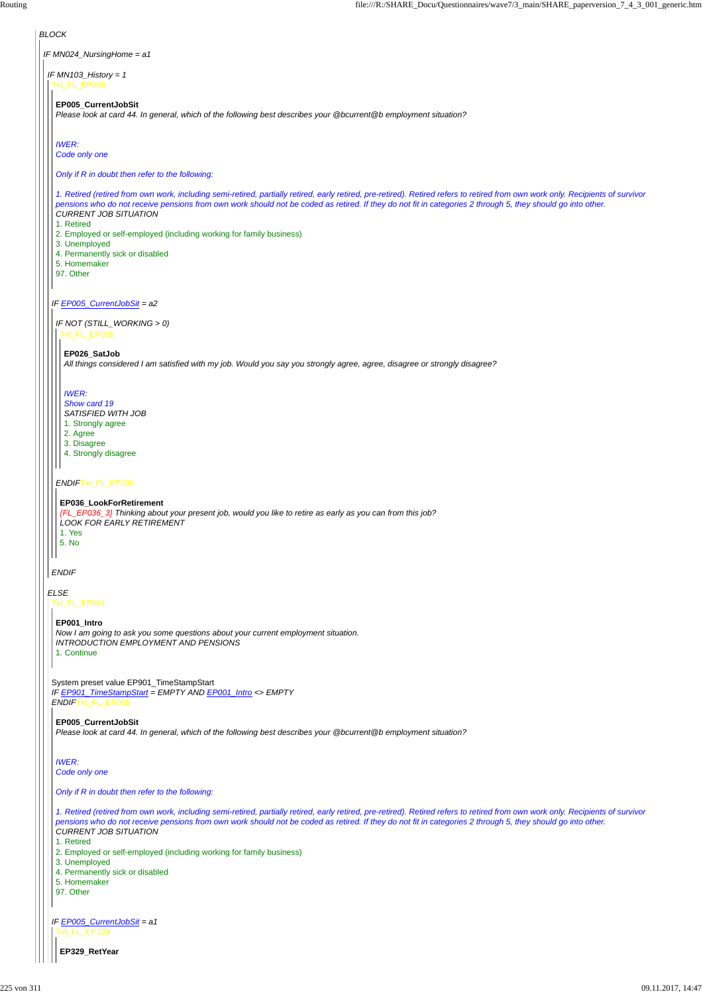*BLOCK IF MN024\_NursingHome = a1 IF MN103\_History = 1 ELSE* Txt\_FL\_EP005 *IF EP005\_CurrentJobSit = a2 ENDIF* **EP005\_CurrentJobSit** *Please look at card 44. In general, which of the following best describes your @bcurrent@b employment situation? IWER: Code only one Only if R in doubt then refer to the following: 1. Retired (retired from own work, including semi-retired, partially retired, early retired, pre-retired). Retired refers to retired from own work only. Recipients of survivor pensions who do not receive pensions from own work should not be coded as retired. If they do not fit in categories 2 through 5, they should go into other. CURRENT JOB SITUATION* 1. Retired 2. Employed or self-employed (including working for family business) 3. Unemployed 4. Permanently sick or disabled 5. Homemaker 97. Other *IF NOT (STILL\_WORKING > 0) ENDIF*Txt\_FL\_EP036 **EP026\_SatJob** *All things considered I am satisfied with my job. Would you say you strongly agree, agree, disagree or strongly disagree? IWER: Show card 19 SATISFIED WITH JOB* 1. Strongly agree 2. Agree 3. Disagree 4. Strongly disagree **EP036\_LookForRetirement** *{FL\_EP036\_3} Thinking about your present job, would you like to retire as early as you can from this job? LOOK FOR EARLY RETIREMENT* 1. Yes 5. No Txt\_FL\_EP001 **EP001\_Intro** *Now I am going to ask you some questions about your current employment situation. INTRODUCTION EMPLOYMENT AND PENSIONS* 1. Continue

System preset value EP901\_TimeStampStart *IF EP901\_TimeStampStart = EMPTY AND EP001\_Intro <> EMPTY ENDIF*Txt\_FL\_EP005

**EP005\_CurrentJobSit** *Please look at card 44. In general, which of the following best describes your @bcurrent@b employment situation?*

```
IWER:
Code only one
```
## *Only if R in doubt then refer to the following:*

```
IF EP005_CurrentJobSit = a1
 Txt_FL_EP329
```
*1. Retired (retired from own work, including semi-retired, partially retired, early retired, pre-retired). Retired refers to retired from own work only. Recipients of survivor pensions who do not receive pensions from own work should not be coded as retired. If they do not fit in categories 2 through 5, they should go into other. CURRENT JOB SITUATION*

1. Retired

- 2. Employed or self-employed (including working for family business)
- 3. Unemployed
- 4. Permanently sick or disabled

5. Homemaker

97. Other

**EP329\_RetYear**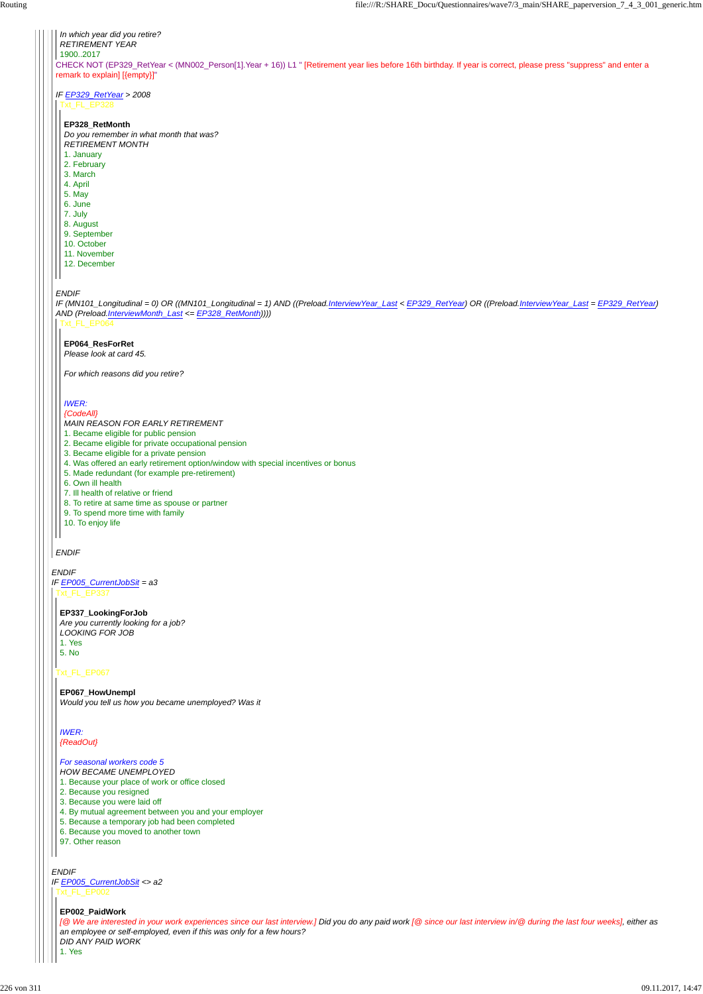

*ENDIF IF EP005\_CurrentJobSit <> a2* Txt\_FL\_EP002

## Txt\_FL\_EP067

**EP337\_LookingForJob** *Are you currently looking for a job? LOOKING FOR JOB* 1. Yes 5. No

#### **EP067\_HowUnempl**

*Would you tell us how you became unemployed? Was it*

#### *For seasonal workers code 5*

- *HOW BECAME UNEMPLOYED*
- 1. Because your place of work or office closed
- 2. Because you resigned
- 3. Because you were laid off
- 4. By mutual agreement between you and your employer
- 5. Because a temporary job had been completed
- 6. Because you moved to another town
- 97. Other reason

**EP002\_PaidWork**

*[@ We are interested in your work experiences since our last interview.] Did you do any paid work [@ since our last interview in/@ during the last four weeks], either as an employee or self-employed, even if this was only for a few hours? DID ANY PAID WORK* 1. Yes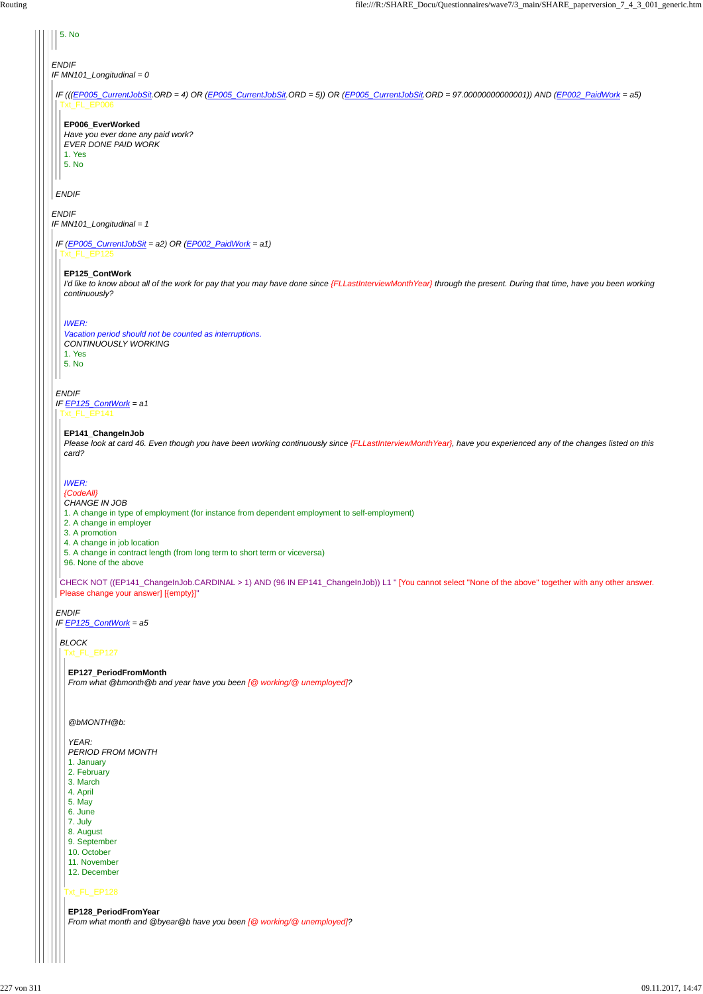| 5. No                                                                                                                                                                                                                                                                                                                          |
|--------------------------------------------------------------------------------------------------------------------------------------------------------------------------------------------------------------------------------------------------------------------------------------------------------------------------------|
| <b>ENDIF</b><br>IF MN101_Longitudinal = 0                                                                                                                                                                                                                                                                                      |
| IF (((EP005_CurrentJobSit, ORD = 4) OR (EP005_CurrentJobSit, ORD = 5)) OR (EP005_CurrentJobSit, ORD = 97.00000000000001)) AND (EP002_PaidWork = a5)<br>Txt FL EP006                                                                                                                                                            |
| EP006_EverWorked<br>Have you ever done any paid work?<br><b>EVER DONE PAID WORK</b><br>1. Yes<br>5. No                                                                                                                                                                                                                         |
| <b>ENDIF</b>                                                                                                                                                                                                                                                                                                                   |
| <b>ENDIF</b><br>IF MN101_Longitudinal = 1                                                                                                                                                                                                                                                                                      |
| IF (EP005_CurrentJobSit = a2) OR (EP002_PaidWork = a1)<br>Txt_FL_EP125                                                                                                                                                                                                                                                         |
| EP125_ContWork<br>I'd like to know about all of the work for pay that you may have done since {FLLastInterviewMonth Year} through the present. During that time, have you been working<br>continuously?                                                                                                                        |
| <b>IWER:</b><br>Vacation period should not be counted as interruptions.<br>CONTINUOUSLY WORKING<br>1. Yes<br>5. No                                                                                                                                                                                                             |
| <b>ENDIF</b><br>IF EP125_ContWork = a1<br>Txt_FL_EP141                                                                                                                                                                                                                                                                         |
| EP141_ChangeInJob<br>Please look at card 46. Even though you have been working continuously since {FLLastInterviewMonthYear}, have you experienced any of the changes listed on this<br>card?                                                                                                                                  |
| <b>IWER:</b><br>{CodeAll}<br>CHANGE IN JOB<br>1. A change in type of employment (for instance from dependent employment to self-employment)<br>2. A change in employer<br>3. A promotion<br>4. A change in job location<br>5. A change in contract length (from long term to short term or viceversa)<br>96. None of the above |
| CHECK NOT ((EP141_ChangeInJob.CARDINAL > 1) AND (96 IN EP141_ChangeInJob)) L1 " [You cannot select "None of the above" together with any other answer.<br>Please change your answer] [{empty}]"                                                                                                                                |
| <b>ENDIF</b><br>IF $EPI25_ContWork = a5$                                                                                                                                                                                                                                                                                       |
| <b>BLOCK</b><br>Txt_FL_EP127                                                                                                                                                                                                                                                                                                   |
| EP127_PeriodFromMonth<br>From what @bmonth @b and year have you been [@ working/@ unemployed]?                                                                                                                                                                                                                                 |

*@bMONTH@b:*

Txt\_FL\_EP128 *YEAR: PERIOD FROM MONTH* 1. January 2. February 3. March 4. April 5. May 6. June 7. July 8. August 9. September 10. October 11. November 12. December **EP128\_PeriodFromYear** *From what month and @byear@b have you been [@ working/@ unemployed]?*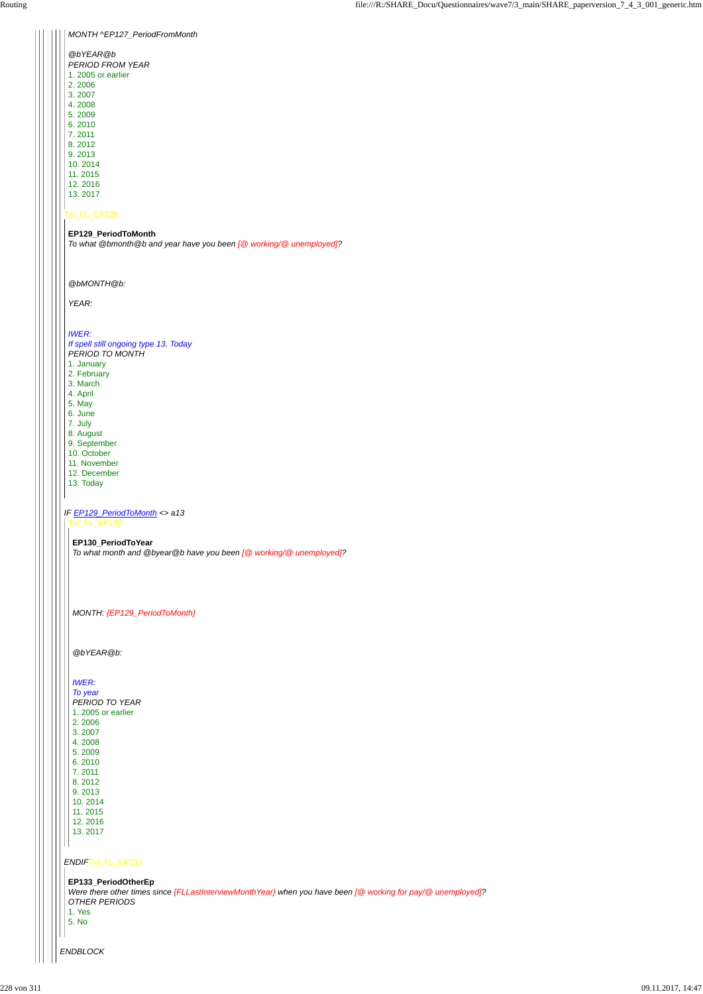## Txt\_FL\_EP129

#### *IF EP129\_PeriodToMonth <> a13*

# *MONTH ^EP127\_PeriodFromMonth*

| @bYEAR@b           |
|--------------------|
| PERIOD FROM YEAR   |
| 1. 2005 or earlier |
| 2.2006             |
| 3.2007             |
| 4 2008             |
| 5.2009             |

6. 2010 7. 2011 8. 2012

9. 2013 10. 2014

11. 2015

12. 2016

13. 2017

## **EP129\_PeriodToMonth**

*To what @bmonth@b and year have you been [@ working/@ unemployed]?*

#### *@bMONTH@b:*

*YEAR:*

#### *IWER:*

*If spell still ongoing type 13. Today PERIOD TO MONTH*

1. January

2. February

3. March

4. April

- 5. May
- 6. June
- 7. July

8. August

9. September

```
ENDBLOCK
 ENDIFTxt_FL_EP133
   5. 2009
  6. 2010
  7. 2011
  8. 2012
  9. 2013
  10. 2014
  11. 2015
  12. 2016
  13. 2017
 EP133_PeriodOtherEp
 Were there other times since {FLLastInterviewMonthYear} when you have been [@ working for pay/@ unemployed]?
 OTHER PERIODS
 1. Yes
 5. No
```
10. October

- 11. November 12. December
- 13. Today

Txt\_FL\_EP130

#### **EP130\_PeriodToYear**

*To what month and @byear@b have you been [@ working/@ unemployed]?*

## *MONTH: {EP129\_PeriodToMonth}*

*@bYEAR@b:*

## *IWER:*

*To year PERIOD TO YEAR* 1. 2005 or earlier 2. 2006

3. 2007

4. 2008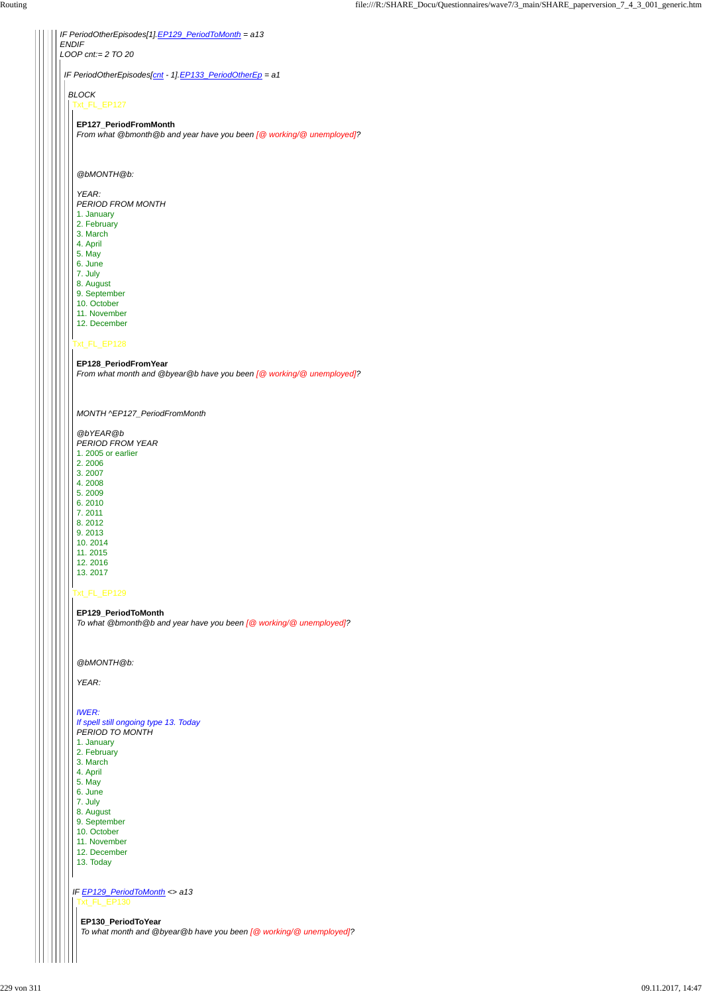## Txt\_FL\_EP129

*IF PeriodOtherEpisodes[1].EP129\_PeriodToMonth = a13 ENDIF LOOP cnt:= 2 TO 20 IF PeriodOtherEpisodes[cnt - 1].EP133\_PeriodOtherEp = a1 BLOCK* Txt\_FL\_EP127 Txt\_FL\_EP128 **EP127\_PeriodFromMonth** *From what @bmonth@b and year have you been [@ working/@ unemployed]? @bMONTH@b: YEAR: PERIOD FROM MONTH* 1. January 2. February 3. March 4. April 5. May 6. June 7. July 8. August 9. September 10. October 11. November 12. December

**EP128\_PeriodFromYear** *From what month and @byear@b have you been [@ working/@ unemployed]?*

*MONTH ^EP127\_PeriodFromMonth*

*@bYEAR@b PERIOD FROM YEAR* 1. 2005 or earlier 2. 2006 3. 2007 4. 2008 5. 2009 6. 2010

7. 2011 8. 2012 9. 2013 10. 2014 11. 2015 12. 2016 13. 2017

**EP129\_PeriodToMonth** *To what @bmonth@b and year have you been [@ working/@ unemployed]?*

*@bMONTH@b:*

*YEAR:*

*IWER: If spell still ongoing type 13. Today PERIOD TO MONTH* 1. January

|  | <b>1. January</b>                                                  |
|--|--------------------------------------------------------------------|
|  | 2. February                                                        |
|  | 3. March                                                           |
|  | 4. April                                                           |
|  | 5. May                                                             |
|  | 6. June                                                            |
|  | 7. July                                                            |
|  | 8. August                                                          |
|  | 9. September                                                       |
|  | 10. October                                                        |
|  | 11. November                                                       |
|  | 12. December                                                       |
|  | 13. Today                                                          |
|  |                                                                    |
|  |                                                                    |
|  | IF EP129_PeriodToMonth <> a13                                      |
|  | Txt_FL_EP130                                                       |
|  |                                                                    |
|  | EP130_PeriodToYear                                                 |
|  | To what month and @byear@b have you been [@ working/@ unemployed]? |
|  |                                                                    |
|  |                                                                    |
|  |                                                                    |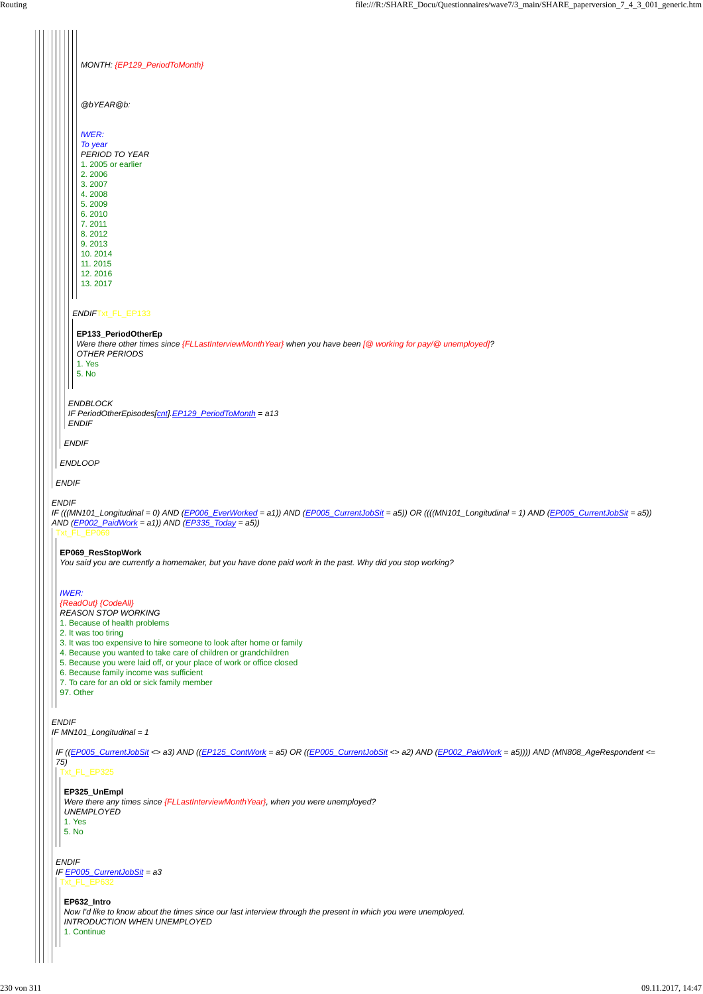|              | MONTH: {EP129_PeriodToMonth}                                                                                                                              |
|--------------|-----------------------------------------------------------------------------------------------------------------------------------------------------------|
|              |                                                                                                                                                           |
|              |                                                                                                                                                           |
|              | @bYEAR@b:                                                                                                                                                 |
|              |                                                                                                                                                           |
|              | <b>IWER:</b>                                                                                                                                              |
|              | To year<br>PERIOD TO YEAR                                                                                                                                 |
|              | 1. 2005 or earlier                                                                                                                                        |
|              | 2.2006<br>3.2007                                                                                                                                          |
|              | 4.2008                                                                                                                                                    |
|              | 5.2009<br>6.2010                                                                                                                                          |
|              | 7.2011                                                                                                                                                    |
|              | 8.2012<br>9.2013                                                                                                                                          |
|              | 10.2014                                                                                                                                                   |
|              | 11.2015                                                                                                                                                   |
|              | 12.2016<br>13.2017                                                                                                                                        |
|              |                                                                                                                                                           |
|              | ENDIFTxt_FL_EP133                                                                                                                                         |
|              |                                                                                                                                                           |
|              | EP133_PeriodOtherEp<br>Were there other times since {FLLastInterviewMonthYear} when you have been [@ working for pay/@ unemployed]?                       |
|              | OTHER PERIODS                                                                                                                                             |
|              | 1. Yes<br>5. No                                                                                                                                           |
|              |                                                                                                                                                           |
|              | <b>ENDBLOCK</b>                                                                                                                                           |
|              | IF PeriodOtherEpisodes[cnt].EP129_PeriodToMonth = a13                                                                                                     |
|              | <b>ENDIF</b>                                                                                                                                              |
|              | <b>ENDIF</b>                                                                                                                                              |
|              |                                                                                                                                                           |
|              | <b>ENDLOOP</b>                                                                                                                                            |
| <b>ENDIF</b> |                                                                                                                                                           |
| <b>ENDIF</b> |                                                                                                                                                           |
|              | IF (((MN101_Longitudinal = 0) AND (EP006_EverWorked = a1)) AND (EP005_CurrentJobSit = a5)) OR ((((MN101_Longitudinal = 1) AND (EP005_CurrentJobSit = a5)) |
|              | AND $(EPOO2_{PaidWork = a1})$ AND $(EP335_{Today = a5})$                                                                                                  |
|              | Txt_FL_EP069                                                                                                                                              |
|              | EP069_ResStopWork                                                                                                                                         |
|              | You said you are currently a homemaker, but you have done paid work in the past. Why did you stop working?                                                |
|              |                                                                                                                                                           |
| <b>IWER:</b> | {ReadOut} {CodeAll}                                                                                                                                       |
|              | <b>REASON STOP WORKING</b>                                                                                                                                |
|              | 1. Because of health problems                                                                                                                             |
|              | 2. It was too tiring<br>3. It was too expensive to hire someone to look after home or family                                                              |
|              | 4. Because you wanted to take care of children or grandchildren                                                                                           |
|              | 5. Because you were laid off, or your place of work or office closed<br>6. Because family income was sufficient                                           |
|              | 7. To care for an old or sick family member                                                                                                               |
|              | 97. Other                                                                                                                                                 |
|              |                                                                                                                                                           |
| <b>ENDIF</b> |                                                                                                                                                           |
|              | IF MN101_Longitudinal = 1                                                                                                                                 |

*IF ((EP005\_CurrentJobSit <> a3) AND ((EP125\_ContWork = a5) OR ((EP005\_CurrentJobSit <> a2) AND (EP002\_PaidWork = a5)))) AND (MN808\_AgeRespondent <= 75)* Txt\_FL\_EP325 **EP325\_UnEmpl** *Were there any times since {FLLastInterviewMonthYear}, when you were unemployed? UNEMPLOYED* 1. Yes 5. No  $\mathsf{I}$ *ENDIF IF EP005\_CurrentJobSit = a3* **EP632\_Intro** *Now I'd like to know about the times since our last interview through the present in which you were unemployed. INTRODUCTION WHEN UNEMPLOYED* 1. Continue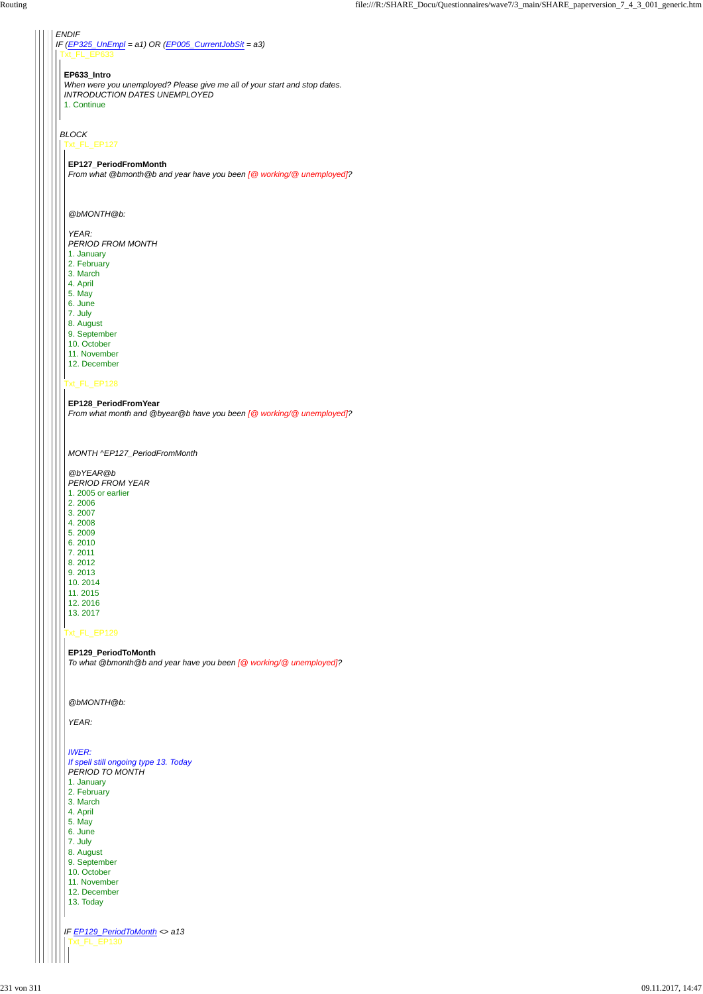## *IF (EP325\_UnEmpl = a1) OR (EP005\_CurrentJobSit = a3)* Txt\_FL\_EP633

# *BLOCK*

## **EP633\_Intro**

*When were you unemployed? Please give me all of your start and stop dates. INTRODUCTION DATES UNEMPLOYED* 1. Continue

## Txt\_FL\_EP127

## Txt\_FL\_EP128

# Txt\_FL\_EP129

## **EP127\_PeriodFromMonth**

*From what @bmonth@b and year have you been [@ working/@ unemployed]?*

## *@bMONTH@b:*

## *YEAR:*

*PERIOD FROM MONTH*

|  | <b>IWER:</b>                          |
|--|---------------------------------------|
|  | If spell still ongoing type 13. Today |
|  | <b>PERIOD TO MONTH</b>                |
|  | 1. January                            |
|  | 2. February                           |
|  | 3. March                              |
|  | 4. April                              |
|  | 5. May                                |
|  | 6. June                               |
|  | 7. July                               |
|  | 8. August                             |
|  | 9. September                          |
|  | 10. October                           |
|  | 11. November                          |
|  | 12. December                          |
|  | 13. Today                             |
|  |                                       |
|  |                                       |
|  | IF EP129_PeriodToMonth <> a13         |
|  | Txt FL EP130                          |
|  |                                       |
|  |                                       |

- 1. January
- 2. February 3. March
- 4. April
- 5. May
- 6. June
- 7. July
- 8. August
- 9. September
- 10. October
- 11. November
- 12. December

#### **EP128\_PeriodFromYear**

*From what month and @byear@b have you been [@ working/@ unemployed]?*

#### *MONTH ^EP127\_PeriodFromMonth*

- *@bYEAR@b*
- *PERIOD FROM YEAR*
- 1. 2005 or earlier
- 2. 2006
- 3. 2007
- 4. 2008 5. 2009
- 6. 2010
- 7. 2011
- 8. 2012
- 9. 2013
- 10. 2014
- 11. 2015
- 12. 2016 13. 2017
- 

## **EP129\_PeriodToMonth**

*To what @bmonth@b and year have you been [@ working/@ unemployed]?*

#### *@bMONTH@b:*

*YEAR:*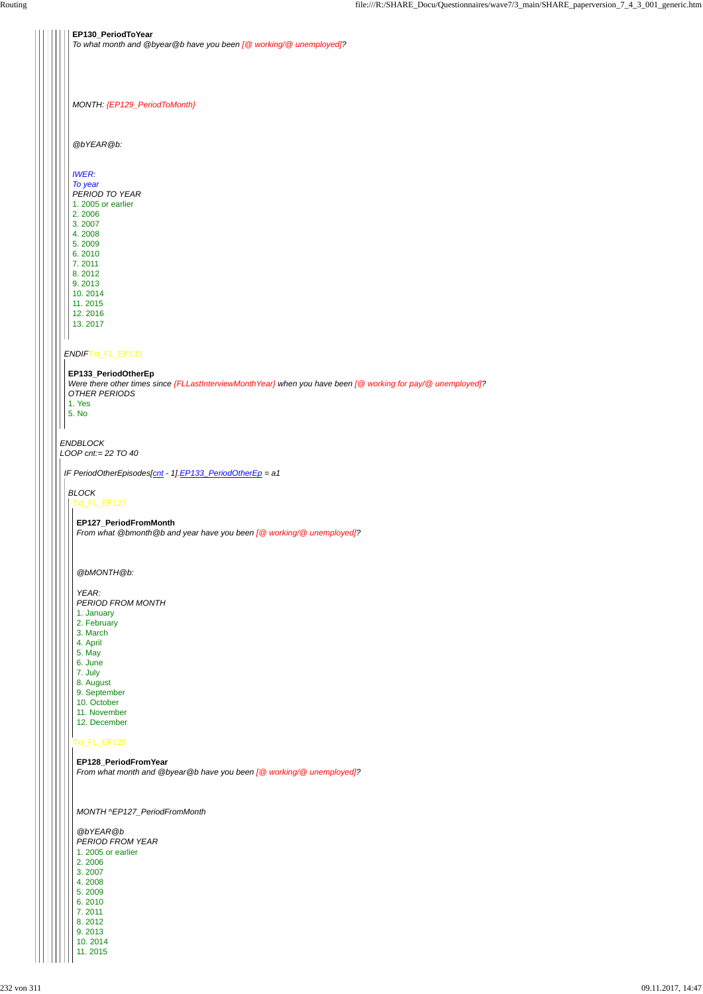*ENDBLOCK LOOP cnt:= 22 TO 40 ENDIF*Txt\_FL\_EP133 **EP130\_PeriodToYear** *To what month and @byear@b have you been [@ working/@ unemployed]? MONTH: {EP129\_PeriodToMonth} @bYEAR@b: IWER: To year PERIOD TO YEAR* 1. 2005 or earlier 2. 2006 3. 2007 4. 2008 5. 2009 6. 2010 7. 2011 8. 2012 9. 2013 10. 2014 11. 2015 12. 2016 13. 2017 **EP133\_PeriodOtherEp** *Were there other times since {FLLastInterviewMonthYear} when you have been [@ working for pay/@ unemployed]? OTHER PERIODS* 1. Yes 5. No *IF PeriodOtherEpisodes[cnt - 1].EP133\_PeriodOtherEp = a1 BLOCK* Txt\_FL\_EP127 **EP127\_PeriodFromMonth** *From what @bmonth@b and year have you been [@ working/@ unemployed]? @bMONTH@b: YEAR: PERIOD FROM MONTH* 1. January 2. February 3. March 4. April 5. May 6. June 7. July 8. August 9. September 10. October 11. November 12. December

## **EP128\_PeriodFromYear**

Txt\_FL\_EP128

*From what month and @byear@b have you been [@ working/@ unemployed]?*

*MONTH ^EP127\_PeriodFromMonth*

*@bYEAR@b PERIOD FROM YEAR* 1. 2005 or earlier 2. 2006 3. 2007 4. 2008 5. 2009 6. 2010 7. 2011 8. 2012 9. 2013 10. 2014 11. 2015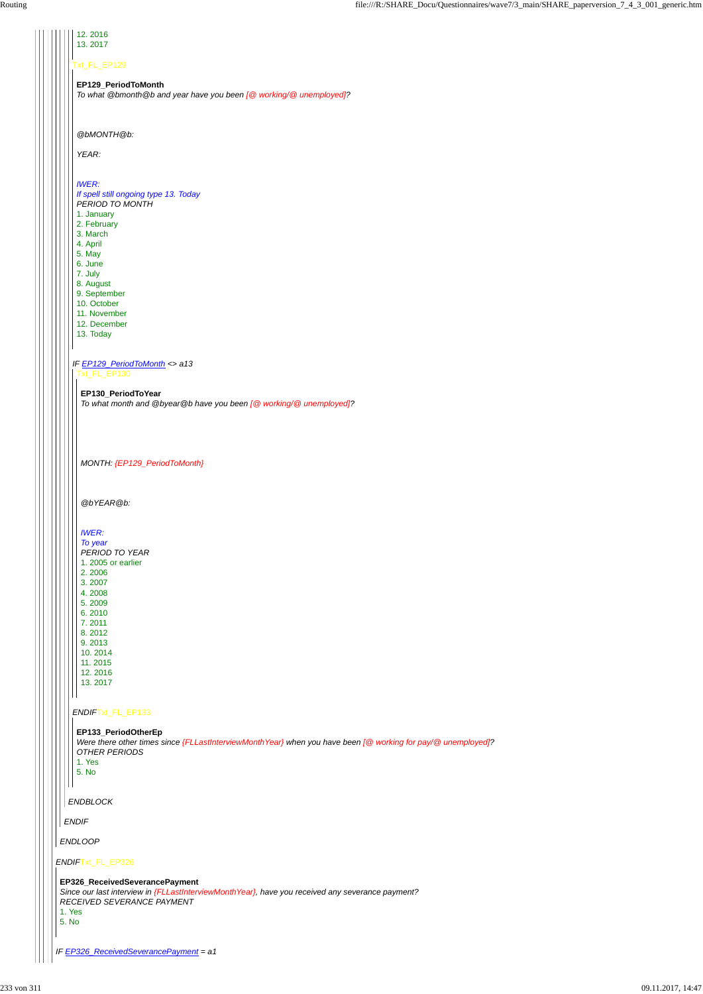|  | 12.2016                                                            |
|--|--------------------------------------------------------------------|
|  | 13.2017                                                            |
|  |                                                                    |
|  |                                                                    |
|  | Txt_FL_EP129                                                       |
|  |                                                                    |
|  | EP129_PeriodToMonth                                                |
|  |                                                                    |
|  | To what @bmonth@b and year have you been [@ working/@ unemployed]? |
|  |                                                                    |
|  |                                                                    |
|  |                                                                    |
|  |                                                                    |
|  | @bMONTH@b:                                                         |
|  |                                                                    |
|  | YEAR:                                                              |
|  |                                                                    |
|  |                                                                    |
|  |                                                                    |
|  | <b>IWER:</b>                                                       |
|  | If spell still ongoing type 13. Today                              |
|  | PERIOD TO MONTH                                                    |
|  |                                                                    |
|  | 1. January                                                         |
|  | 2. February                                                        |
|  | 3. March                                                           |
|  | 4. April                                                           |
|  |                                                                    |
|  | 5. May                                                             |
|  | 6. June                                                            |
|  | 7. July                                                            |
|  | 8. August                                                          |
|  |                                                                    |
|  | 9. September                                                       |
|  | 10. October                                                        |
|  | 11. November                                                       |
|  | 12. December                                                       |
|  | 13. Today                                                          |
|  |                                                                    |
|  |                                                                    |
|  | IF EP129_PeriodToMonth <> a13<br>Txt_FL_EP130                      |
|  |                                                                    |
|  |                                                                    |
|  | EP130_PeriodToYear                                                 |
|  | To what month and @byear@b have you been [@ working/@ unemployed]? |
|  |                                                                    |
|  |                                                                    |
|  |                                                                    |
|  |                                                                    |
|  |                                                                    |
|  |                                                                    |
|  | MONTH: {EP129_PeriodToMonth}                                       |
|  |                                                                    |
|  |                                                                    |
|  |                                                                    |
|  |                                                                    |
|  | @bYEAR@b:                                                          |
|  |                                                                    |
|  |                                                                    |
|  |                                                                    |
|  | <b>IWER:</b>                                                       |
|  | To year                                                            |
|  | PERIOD TO YEAR                                                     |
|  |                                                                    |
|  | 1. 2005 or earlier                                                 |
|  | 2.2006                                                             |
|  | 3.2007                                                             |
|  | 4.2008                                                             |
|  | 5.2009                                                             |
|  |                                                                    |
|  | 6.2010                                                             |
|  | 7.2011                                                             |
|  | 8.2012                                                             |
|  | 9.2013                                                             |
|  | 10.2014                                                            |
|  |                                                                    |
|  | 11.2015                                                            |
|  | 12.2016                                                            |
|  | 13.2017                                                            |
|  |                                                                    |
|  |                                                                    |
|  |                                                                    |
|  | ENDIFTxt_FL_EP133                                                  |

| OTHER PERIODS<br>1. Yes<br>5. No                                                                                                                                                     |
|--------------------------------------------------------------------------------------------------------------------------------------------------------------------------------------|
| <b>ENDBLOCK</b>                                                                                                                                                                      |
| <b>ENDIF</b>                                                                                                                                                                         |
| <b>ENDLOOP</b>                                                                                                                                                                       |
| ENDIFTxt_FL_EP326                                                                                                                                                                    |
| EP326_ReceivedSeverancePayment<br>Since our last interview in {FLLastInterviewMonth Year}, have you received any severance payment?<br>RECEIVED SEVERANCE PAYMENT<br>1. Yes<br>5. No |
| IF EP326_ReceivedSeverancePayment = a1                                                                                                                                               |

#### **EP133\_PeriodOtherEp**

*Were there other times since {FLLastInterviewMonthYear} when you have been [@ working for pay/@ unemployed]?*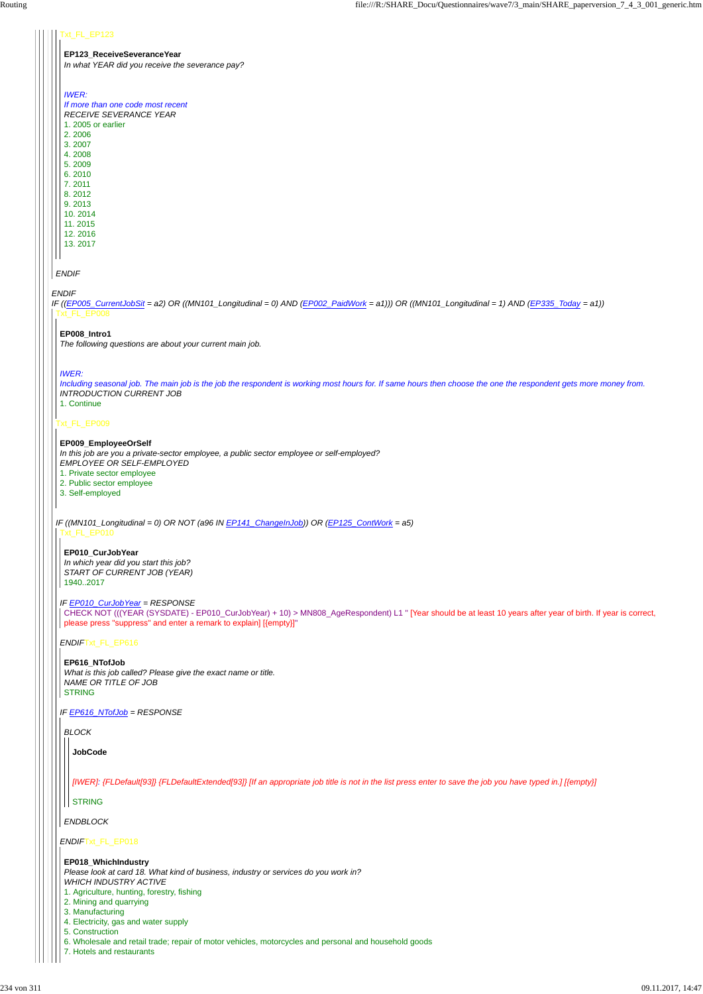## *ENDIF*

#### Txt\_FL\_EP123

#### **EP123\_ReceiveSeveranceYear**

*In what YEAR did you receive the severance pay?*

*IF ((EP005\_CurrentJobSit = a2) OR ((MN101\_Longitudinal = 0) AND (EP002\_PaidWork = a1))) OR ((MN101\_Longitudinal = 1) AND (EP335\_Today = a1))* Txt\_FL\_EP008

## *IWER:*

*If more than one code most recent RECEIVE SEVERANCE YEAR*

1. 2005 or earlier 2. 2006 3. 2007 4. 2008

5. 2009 6. 2010

7. 2011 8. 2012

9. 2013

10. 2014 11. 2015

12. 2016

13. 2017

## Txt\_FL\_EP009

#### **EP008\_Intro1**

*The following questions are about your current main job.*

## *IWER:*

*Including seasonal job. The main job is the job the respondent is working most hours for. If same hours then choose the one the respondent gets more money from. INTRODUCTION CURRENT JOB*

*IF ((MN101\_Longitudinal = 0) OR NOT (a96 IN EP141\_ChangeInJob)) OR (EP125\_ContWork = a5)* Txt\_FL\_EP010

1. Continue

**EP009\_EmployeeOrSelf** *In this job are you a private-sector employee, a public sector employee or self-employed? EMPLOYEE OR SELF-EMPLOYED*

1. Private sector employee

2. Public sector employee

3. Self-employed

*IF EP010\_CurJobYear = RESPONSE*

*ENDIF*Txt\_FL\_EP616

*IF EP616\_NTofJob = RESPONSE*

*ENDIF*Txt\_FL\_EP018

**EP010\_CurJobYear** *In which year did you start this job? START OF CURRENT JOB (YEAR)* 1940..2017

CHECK NOT (((YEAR (SYSDATE) - EP010\_CurJobYear) + 10) > MN808\_AgeRespondent) L1 " [Year should be at least 10 years after year of birth. If year is correct, please press "suppress" and enter a remark to explain] [{empty}]"

**EP616\_NTofJob** *What is this job called? Please give the exact name or title. NAME OR TITLE OF JOB* STRING

*BLOCK*

*ENDBLOCK*

**JobCode**

*[IWER]: {FLDefault[93]} {FLDefaultExtended[93]} [If an appropriate job title is not in the list press enter to save the job you have typed in.] [{empty}]*

## STRING

**EP018\_WhichIndustry** *Please look at card 18. What kind of business, industry or services do you work in? WHICH INDUSTRY ACTIVE*

- 1. Agriculture, hunting, forestry, fishing
- 2. Mining and quarrying
- 3. Manufacturing
- 4. Electricity, gas and water supply
- 5. Construction
- 6. Wholesale and retail trade; repair of motor vehicles, motorcycles and personal and household goods
- 7. Hotels and restaurants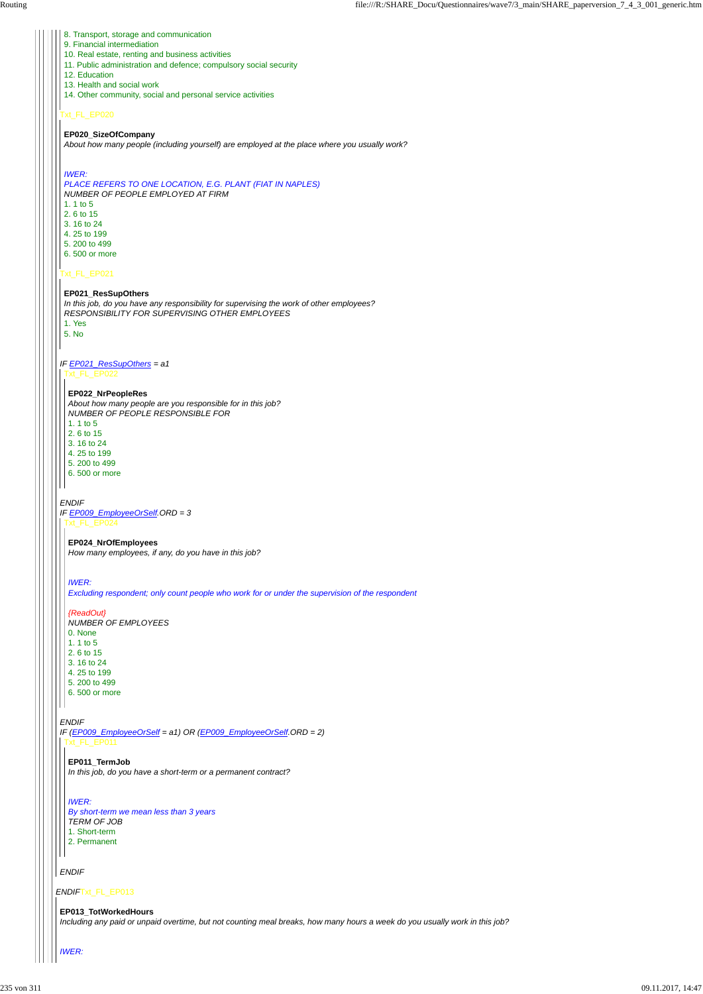*ENDIF*Txt\_FL\_EP013

# Txt\_FL\_EP020

# Txt\_FL\_EP021

## *IF EP021\_ResSupOthers = a1*

## *ENDIF*

## *ENDIF*

*ENDIF*

- 8. Transport, storage and communication
- 9. Financial intermediation
- 10. Real estate, renting and business activities
- 11. Public administration and defence; compulsory social security
- 12. Education
- 13. Health and social work
- 14. Other community, social and personal service activities

# **EP020\_SizeOfCompany**

*About how many people (including yourself) are employed at the place where you usually work?*

# *IWER:*

*IF EP009\_EmployeeOrSelf.ORD = 3* Txt\_FL\_EP024

*PLACE REFERS TO ONE LOCATION, E.G. PLANT (FIAT IN NAPLES) NUMBER OF PEOPLE EMPLOYED AT FIRM*

6. 500 or more  $\mathsf{H}$ 

- 1. 1 to 5
- 2. 6 to 15 3. 16 to 24
- 4. 25 to 199
- 5. 200 to 499
- 6. 500 or more

# **EP021\_ResSupOthers**

*IF (EP009\_EmployeeOrSelf = a1) OR (EP009\_EmployeeOrSelf.ORD = 2)* Txt\_FL\_EP011

*In this job, do you have any responsibility for supervising the work of other employees? RESPONSIBILITY FOR SUPERVISING OTHER EMPLOYEES* 1. Yes

5. No

Txt\_FL\_EP022

## **EP022\_NrPeopleRes**

*About how many people are you responsible for in this job? NUMBER OF PEOPLE RESPONSIBLE FOR* 1. 1 to 5 2. 6 to 15 3. 16 to 24

- 4. 25 to 199
- 5. 200 to 499
- 6. 500 or more

## **EP024\_NrOfEmployees**

*How many employees, if any, do you have in this job?*

## *IWER:*

*Excluding respondent; only count people who work for or under the supervision of the respondent*

## *{ReadOut}*

*NUMBER OF EMPLOYEES* 0. None 1. 1 to 5 2. 6 to 15 3. 16 to 24 4. 25 to 199 5. 200 to 499

| EP011 TermJob |  |
|---------------|--|
|---------------|--|

*In this job, do you have a short-term or a permanent contract?*

*IWER:*

*By short-term we mean less than 3 years*

*TERM OF JOB*

1. Short-term

2. Permanent

**EP013\_TotWorkedHours**

*Including any paid or unpaid overtime, but not counting meal breaks, how many hours a week do you usually work in this job?*

*IWER:*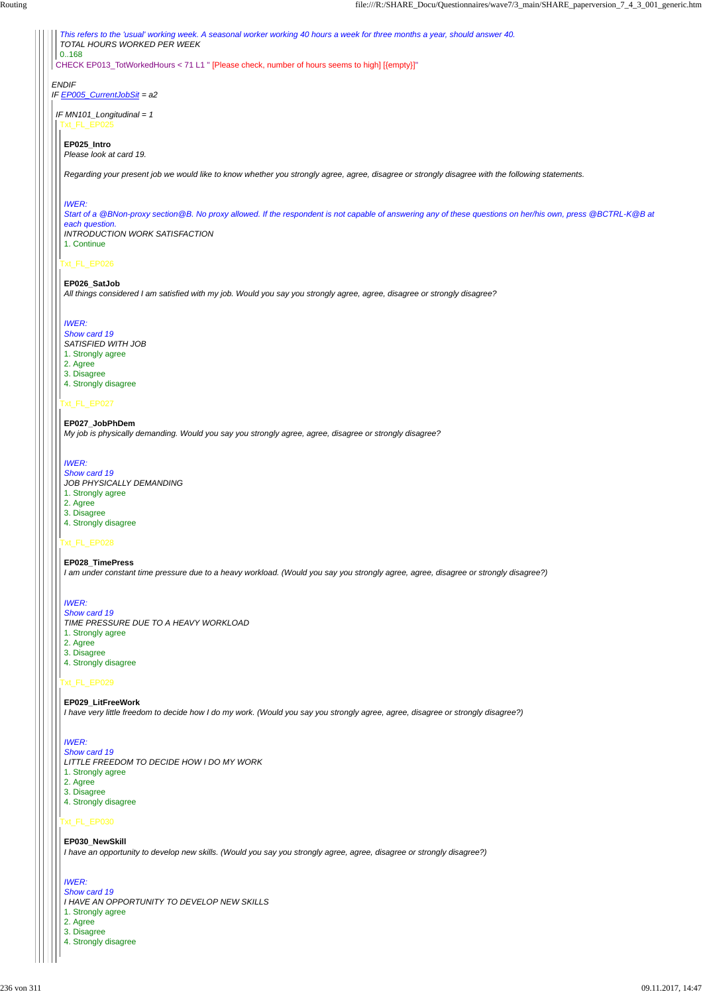*ENDIF IF EP005\_CurrentJobSit = a2* CHECK EP013\_TotWorkedHours < 71 L1 " [Please check, number of hours seems to high] [{empty}]" *This refers to the 'usual' working week. A seasonal worker working 40 hours a week for three months a year, should answer 40. TOTAL HOURS WORKED PER WEEK* 0..168 *IF MN101\_Longitudinal = 1* Txt\_FL\_EP025 **EP025\_Intro** *Please look at card 19.*

# Txt\_FL\_EP026

# Txt\_FL\_EP027

## Txt\_FL\_EP028

## Txt\_FL\_EP029

## Txt\_FL\_EP030

*Regarding your present job we would like to know whether you strongly agree, agree, disagree or strongly disagree with the following statements.*

## *IWER:*

*Start of a @BNon-proxy section@B. No proxy allowed. If the respondent is not capable of answering any of these questions on her/his own, press @BCTRL-K@B at each question. INTRODUCTION WORK SATISFACTION* 1. Continue

#### **EP026\_SatJob**

*All things considered I am satisfied with my job. Would you say you strongly agree, agree, disagree or strongly disagree?*

### *IWER:*

- *Show card 19*
- *SATISFIED WITH JOB*
- 1. Strongly agree
- 2. Agree
- 3. Disagree 4. Strongly disagree

#### **EP027\_JobPhDem**

*My job is physically demanding. Would you say you strongly agree, agree, disagree or strongly disagree?*

## *IWER:*

*Show card 19*

- *JOB PHYSICALLY DEMANDING*
- 1. Strongly agree
- 2. Agree
- 3. Disagree 4. Strongly disagree

#### **EP028\_TimePress**

*I am under constant time pressure due to a heavy workload. (Would you say you strongly agree, agree, disagree or strongly disagree?)*

## *IWER:*

*Show card 19*

*TIME PRESSURE DUE TO A HEAVY WORKLOAD*

- 1. Strongly agree
- 2. Agree
- 3. Disagree
- 4. Strongly disagree

#### **EP029\_LitFreeWork**

*I have very little freedom to decide how I do my work. (Would you say you strongly agree, agree, disagree or strongly disagree?)*

# *IWER:*

#### *Show card 19*

#### *LITTLE FREEDOM TO DECIDE HOW I DO MY WORK*

- 1. Strongly agree
- 2. Agree
- 3. Disagree
- 4. Strongly disagree

#### **EP030\_NewSkill**

*I have an opportunity to develop new skills. (Would you say you strongly agree, agree, disagree or strongly disagree?)*

#### *IWER:*

*Show card 19*

*I HAVE AN OPPORTUNITY TO DEVELOP NEW SKILLS*

1. Strongly agree

2. Agree

3. Disagree

4. Strongly disagree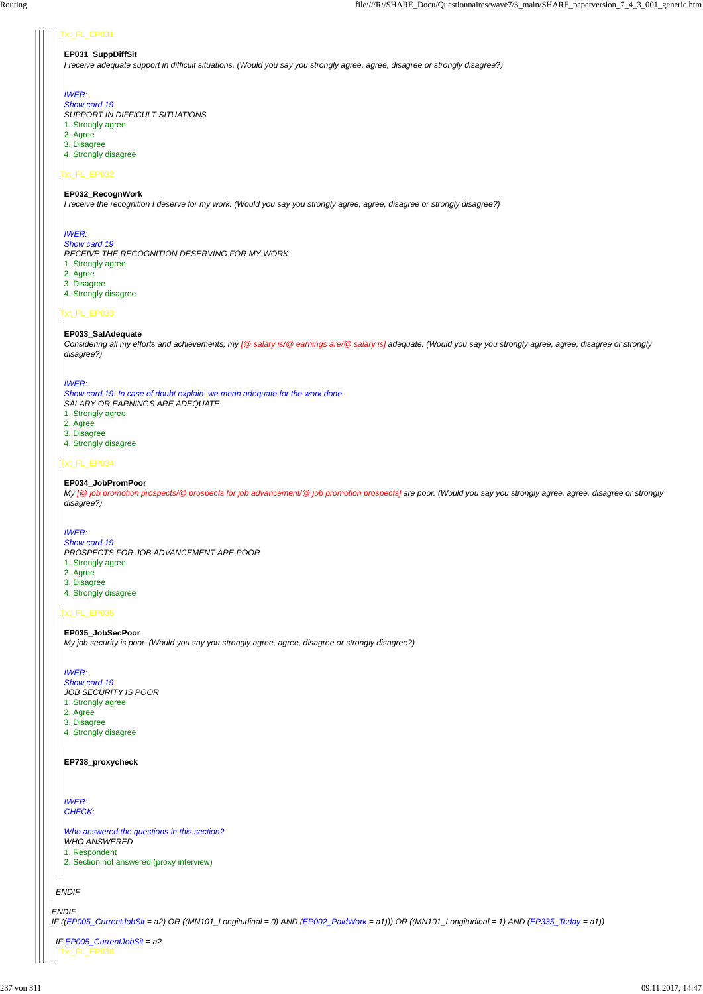## Txt\_FL\_EP031

## Txt\_FL\_EP032

## Txt\_FL\_EP033

## Txt\_FL\_EP034

## Txt\_FL\_EP035

## **EP031\_SuppDiffSit**

*I receive adequate support in difficult situations. (Would you say you strongly agree, agree, disagree or strongly disagree?)*

## *IWER:*

*Show card 19*

- *SUPPORT IN DIFFICULT SITUATIONS*
- 1. Strongly agree
- 2. Agree
- 3. Disagree 4. Strongly disagree
- 

## **EP032\_RecognWork**

- 1. Strongly agree
- 2. Agree
- 3. Disagree
- 4. Strongly disagree

*I receive the recognition I deserve for my work. (Would you say you strongly agree, agree, disagree or strongly disagree?)*

# *IWER:*

## *Show card 19*

*Show card 19 PROSPECTS FOR JOB ADVANCEMENT ARE POOR* 1. Strongly agree

*RECEIVE THE RECOGNITION DESERVING FOR MY WORK*

- 1. Strongly agree
- 2. Agree
- 3. Disagree
- 4. Strongly disagree

## **EP033\_SalAdequate**

- 1. Strongly agree
- 2. Agree
- 3. Disagree
- 4. Strongly disagree

*Considering all my efforts and achievements, my [@ salary is/@ earnings are/@ salary is] adequate. (Would you say you strongly agree, agree, disagree or strongly disagree?)*

|  | EP738_proxycheck                                                                                                                                                                                            |
|--|-------------------------------------------------------------------------------------------------------------------------------------------------------------------------------------------------------------|
|  | <b>IWER:</b><br><b>CHECK:</b>                                                                                                                                                                               |
|  | Who answered the questions in this section?<br><b>WHO ANSWERED</b><br>1. Respondent<br>2. Section not answered (proxy interview)                                                                            |
|  | <b>ENDIF</b>                                                                                                                                                                                                |
|  | <b>ENDIF</b><br>IF ((EP005_CurrentJobSit = a2) OR ((MN101_Longitudinal = 0) AND (EP002_PaidWork = a1))) OR ((MN101_Longitudinal = 1) AND (EP335_Today = a1))<br>IF EP005_CurrentJobSit = a2<br>Txt_FL_EP036 |

## *IWER:*

*Show card 19. In case of doubt explain: we mean adequate for the work done. SALARY OR EARNINGS ARE ADEQUATE*

## **EP034\_JobPromPoor**

*My [@ job promotion prospects/@ prospects for job advancement/@ job promotion prospects] are poor. (Would you say you strongly agree, agree, disagree or strongly disagree?)*

## *IWER:*

- 2. Agree
- 3. Disagree
- 4. Strongly disagree

**EP035\_JobSecPoor** *My job security is poor. (Would you say you strongly agree, agree, disagree or strongly disagree?)*

## *IWER:*

*Show card 19 JOB SECURITY IS POOR*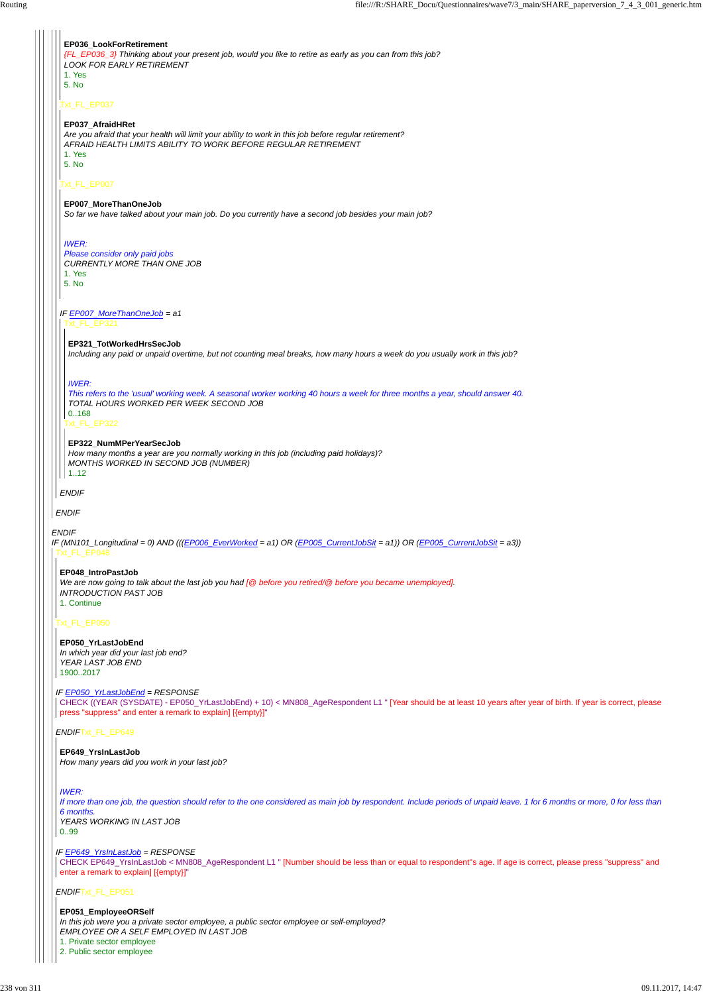*IF EP649\_YrsInLastJob = RESPONSE* CHECK EP649\_YrsInLastJob < MN808\_AgeRespondent L1 " [Number should be less than or equal to respondent''s age. If age is correct, please press "suppress" and enter a remark to explain] [{empty}]"

| EP036_LookForRetirement<br>{FL_EP036_3} Thinking about your present job, would you like to retire as early as you can from this job?<br><b>LOOK FOR EARLY RETIREMENT</b><br>1. Yes<br>5. No                     |
|-----------------------------------------------------------------------------------------------------------------------------------------------------------------------------------------------------------------|
| Txt_FL_EP037                                                                                                                                                                                                    |
| EP037_AfraidHRet<br>Are you afraid that your health will limit your ability to work in this job before regular retirement?<br>AFRAID HEALTH LIMITS ABILITY TO WORK BEFORE REGULAR RETIREMENT<br>1. Yes<br>5. No |
| Txt_FL_EP007                                                                                                                                                                                                    |
| EP007 MoreThanOneJob<br>So far we have talked about your main job. Do you currently have a second job besides your main job?                                                                                    |
| <b>IWER:</b><br>Please consider only paid jobs<br><b>CURRENTLY MORE THAN ONE JOB</b><br>1. Yes<br>5. No                                                                                                         |
| IF EP007_MoreThanOneJob = a1<br>t FL EP321<br>EP321_TotWorkedHrsSecJob<br>Including any paid or unpaid overtime, but not counting meal breaks, how many hours a week do you usually work in this job?           |
| <b>IWER:</b><br>This refers to the 'usual' working week. A seasonal worker working 40 hours a week for three months a year, should answer 40.<br>TOTAL HOURS WORKED PER WEEK SECOND JOB<br>0.168<br>xt FL EP322 |
| EP322_NumMPerYearSecJob<br>How many months a year are you normally working in this job (including paid holidays)?<br>MONTHS WORKED IN SECOND JOB (NUMBER)<br>1.12                                               |
| <b>ENDIF</b>                                                                                                                                                                                                    |
| <b>ENDIF</b>                                                                                                                                                                                                    |
| <b>ENDIF</b><br>IF (MN101_Longitudinal = 0) AND (((EP006_EverWorked = a1) OR (EP005_CurrentJobSit = a1)) OR (EP005_CurrentJobSit = a3))<br>Txt_FL_EP048                                                         |
| EP048_IntroPastJob<br>We are now going to talk about the last job you had [@ before you retired/@ before you became unemployed].<br><b>INTRODUCTION PAST JOB</b><br>1. Continue                                 |
| Txt_FL_EP050                                                                                                                                                                                                    |
| EP050_YrLastJobEnd<br>In which year did your last job end?<br>YEAR LAST JOB END                                                                                                                                 |

*ENDIF*Txt\_FL\_EP649

*ENDIF*Txt\_FL\_EP051

*IF EP050\_YrLastJobEnd = RESPONSE* CHECK ((YEAR (SYSDATE) - EP050\_YrLastJobEnd) + 10) < MN808\_AgeRespondent L1 " [Year should be at least 10 years after year of birth. If year is correct, please press "suppress" and enter a remark to explain] [{empty}]"

1900..2017

## **EP649\_YrsInLastJob**

*How many years did you work in your last job?*

*IWER:*

*If more than one job, the question should refer to the one considered as main job by respondent. Include periods of unpaid leave. 1 for 6 months or more, 0 for less than 6 months.*

*YEARS WORKING IN LAST JOB*

0..99

**EP051\_EmployeeORSelf** *In this job were you a private sector employee, a public sector employee or self-employed? EMPLOYEE OR A SELF EMPLOYED IN LAST JOB* 1. Private sector employee 2. Public sector employee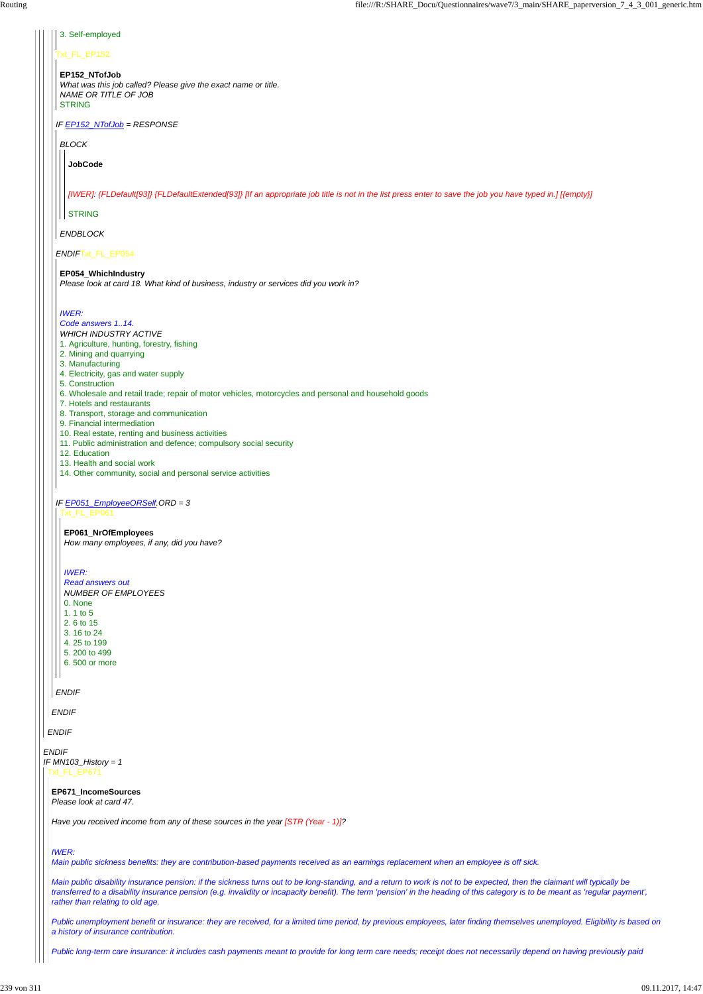*ENDIF*

## Txt\_FL\_EP152

*IF EP152\_NTofJob = RESPONSE*

*ENDIF*Txt\_FL\_EP054

*IF EP051\_EmployeeORSelf.ORD = 3*

#### 3. Self-employed

#### **EP152\_NTofJob**

*What was this job called? Please give the exact name or title. NAME OR TITLE OF JOB* STRING

*BLOCK*

*ENDBLOCK*

**JobCode**

*[IWER]: {FLDefault[93]} {FLDefaultExtended[93]} [If an appropriate job title is not in the list press enter to save the job you have typed in.] [{empty}]*

**STRING** 

## **EP054\_WhichIndustry**

*Please look at card 18. What kind of business, industry or services did you work in?*

## *IWER:*

*Code answers 1..14.*

*ENDIF IF MN103\_History = 1* Txt\_FL\_EP671

*ENDIF Read answers out NUMBER OF EMPLOYEES* 0. None  $\vert$  1. 1 to 5 2. 6 to 15 3. 16 to 24 4. 25 to 199 5. 200 to 499 6. 500 or more

- *WHICH INDUSTRY ACTIVE*
- 1. Agriculture, hunting, forestry, fishing
- 2. Mining and quarrying
- 3. Manufacturing
- 4. Electricity, gas and water supply
- 5. Construction
- 6. Wholesale and retail trade; repair of motor vehicles, motorcycles and personal and household goods
- 7. Hotels and restaurants
- 8. Transport, storage and communication
- 9. Financial intermediation
- 10. Real estate, renting and business activities
- 11. Public administration and defence; compulsory social security
- 12. Education
- 13. Health and social work
- 14. Other community, social and personal service activities

Txt\_FL\_EP061

#### **EP061\_NrOfEmployees**

*How many employees, if any, did you have?*

#### *IWER:*

**EP671\_IncomeSources** *Please look at card 47.*

*Have you received income from any of these sources in the year [STR (Year - 1)]?*

*IWER:*

*Main public sickness benefits: they are contribution-based payments received as an earnings replacement when an employee is off sick.*

*Main public disability insurance pension: if the sickness turns out to be long-standing, and a return to work is not to be expected, then the claimant will typically be transferred to a disability insurance pension (e.g. invalidity or incapacity benefit). The term 'pension' in the heading of this category is to be meant as 'regular payment', rather than relating to old age.*

*Public unemployment benefit or insurance: they are received, for a limited time period, by previous employees, later finding themselves unemployed. Eligibility is based on a history of insurance contribution.*

*Public long-term care insurance: it includes cash payments meant to provide for long term care needs; receipt does not necessarily depend on having previously paid*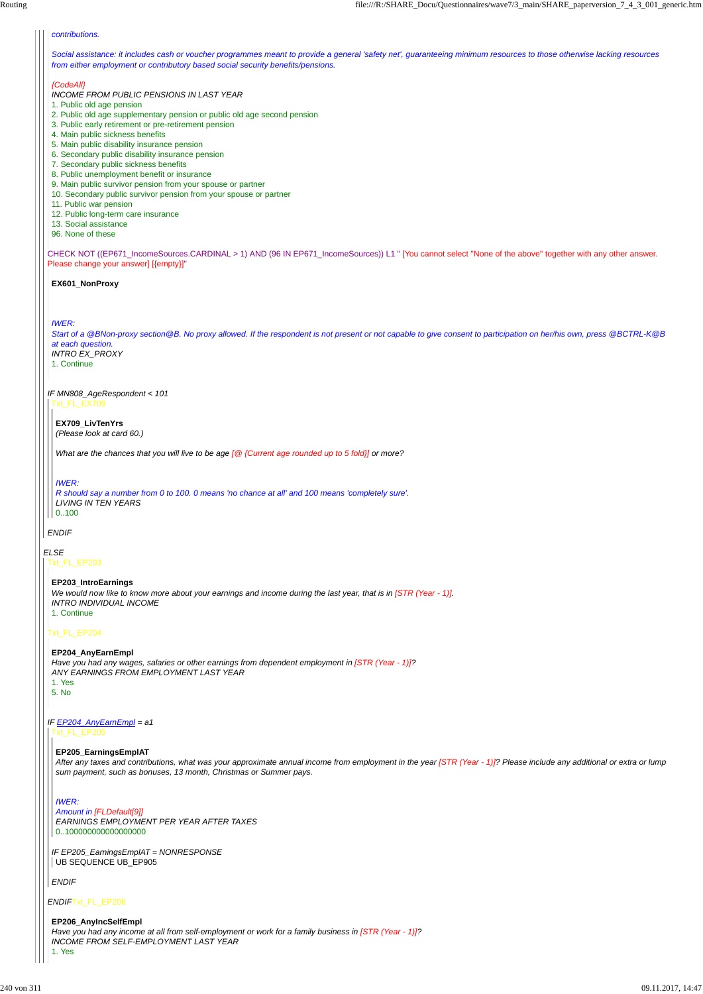*ELSE*

CHECK NOT ((EP671\_IncomeSources.CARDINAL > 1) AND (96 IN EP671\_IncomeSources)) L1 " [You cannot select ''None of the above'' together with any other answer. Please change your answer] [{empty}]"

## *ENDIF*

#### *contributions.*

*Social assistance: it includes cash or voucher programmes meant to provide a general 'safety net', guaranteeing minimum resources to those otherwise lacking resources from either employment or contributory based social security benefits/pensions.*

#### *{CodeAll}*

*IF MN808\_AgeRespondent < 101* Txt\_FL\_EX709

- *INCOME FROM PUBLIC PENSIONS IN LAST YEAR*
- 1. Public old age pension
- 2. Public old age supplementary pension or public old age second pension
- 3. Public early retirement or pre-retirement pension
- 4. Main public sickness benefits
- 5. Main public disability insurance pension
- 6. Secondary public disability insurance pension
- 7. Secondary public sickness benefits
- 8. Public unemployment benefit or insurance
- 9. Main public survivor pension from your spouse or partner
- 10. Secondary public survivor pension from your spouse or partner
- 11. Public war pension
- 12. Public long-term care insurance
- 13. Social assistance
- 96. None of these

*IF EP205\_EarningsEmplAT = NONRESPONSE* UB SEQUENCE UB\_EP905

#### **EX601\_NonProxy**

#### *IWER:*

*Start of a @BNon-proxy section@B. No proxy allowed. If the respondent is not present or not capable to give consent to participation on her/his own, press @BCTRL-K@B at each question. INTRO EX\_PROXY*

1. Continue

**EX709\_LivTenYrs** *(Please look at card 60.)*

*What are the chances that you will live to be age [@ {Current age rounded up to 5 fold}] or more?*

#### *IWER:*

*R should say a number from 0 to 100. 0 means 'no chance at all' and 100 means 'completely sure'. LIVING IN TEN YEARS* 0..100

Txt\_FL\_EP203

Txt\_FL\_EP204

*ENDIF*Txt\_FL\_EP206

# **EP203\_IntroEarnings**

*We would now like to know more about your earnings and income during the last year, that is in [STR (Year - 1)]. INTRO INDIVIDUAL INCOME* 1. Continue

*IF EP204\_AnyEarnEmpl = a1* Txt\_FL\_EP205

**EP204\_AnyEarnEmpl** *Have you had any wages, salaries or other earnings from dependent employment in [STR (Year - 1)]? ANY EARNINGS FROM EMPLOYMENT LAST YEAR* 1. Yes 5. No

*ENDIF*

#### **EP205\_EarningsEmplAT**

*After any taxes and contributions, what was your approximate annual income from employment in the year [STR (Year - 1)]? Please include any additional or extra or lump sum payment, such as bonuses, 13 month, Christmas or Summer pays.*

#### *IWER:*

*Amount in [FLDefault[9]] EARNINGS EMPLOYMENT PER YEAR AFTER TAXES* 0..100000000000000000

**EP206\_AnyIncSelfEmpl** *Have you had any income at all from self-employment or work for a family business in [STR (Year - 1)]? INCOME FROM SELF-EMPLOYMENT LAST YEAR*

1. Yes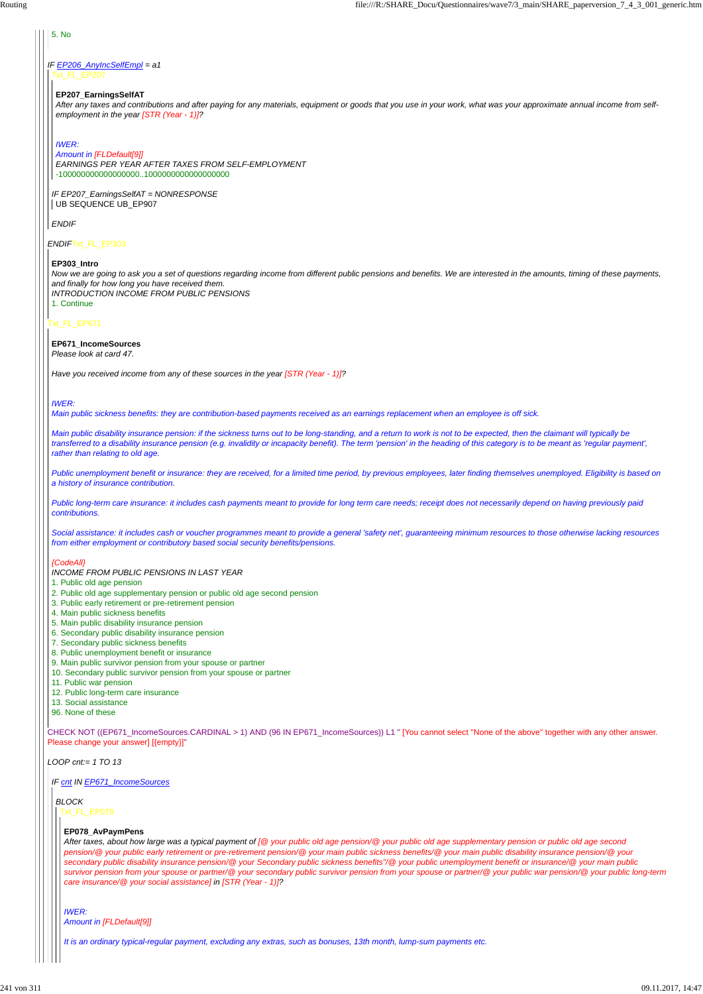CHECK NOT ((EP671\_IncomeSources.CARDINAL > 1) AND (96 IN EP671\_IncomeSources)) L1 " [You cannot select ''None of the above'' together with any other answer. Please change your answer] [{empty}]"

*ENDIF*Txt\_FL\_EP303

## Txt\_FL\_EP671

*IF EP206\_AnyIncSelfEmpl = a1* Txt\_FL\_EP207

*IF EP207\_EarningsSelfAT = NONRESPONSE* UB SEQUENCE UB\_EP907

*LOOP cnt:= 1 TO 13*

## 5. No

*ENDIF*

## **EP207\_EarningsSelfAT**

*After any taxes and contributions and after paying for any materials, equipment or goods that you use in your work, what was your approximate annual income from selfemployment in the year [STR (Year - 1)]?*

#### *IWER:*

*Amount in [FLDefault[9]] EARNINGS PER YEAR AFTER TAXES FROM SELF-EMPLOYMENT* -100000000000000000..1000000000000000000

#### **EP303\_Intro**

*Now we are going to ask you a set of questions regarding income from different public pensions and benefits. We are interested in the amounts, timing of these payments, and finally for how long you have received them. INTRODUCTION INCOME FROM PUBLIC PENSIONS*

1. Continue

#### **EP671\_IncomeSources** *Please look at card 47.*

*Have you received income from any of these sources in the year [STR (Year - 1)]?*

## *IWER:*

*Main public sickness benefits: they are contribution-based payments received as an earnings replacement when an employee is off sick.*

*Main public disability insurance pension: if the sickness turns out to be long-standing, and a return to work is not to be expected, then the claimant will typically be transferred to a disability insurance pension (e.g. invalidity or incapacity benefit). The term 'pension' in the heading of this category is to be meant as 'regular payment', rather than relating to old age.*

*Public unemployment benefit or insurance: they are received, for a limited time period, by previous employees, later finding themselves unemployed. Eligibility is based on a history of insurance contribution.*

*Public long-term care insurance: it includes cash payments meant to provide for long term care needs; receipt does not necessarily depend on having previously paid contributions.*

*Social assistance: it includes cash or voucher programmes meant to provide a general 'safety net', guaranteeing minimum resources to those otherwise lacking resources from either employment or contributory based social security benefits/pensions.*

## *{CodeAll}*

*INCOME FROM PUBLIC PENSIONS IN LAST YEAR*

- 1. Public old age pension
- 2. Public old age supplementary pension or public old age second pension
- 3. Public early retirement or pre-retirement pension
- 4. Main public sickness benefits
- 5. Main public disability insurance pension
- 6. Secondary public disability insurance pension
- 7. Secondary public sickness benefits
- 8. Public unemployment benefit or insurance
- 9. Main public survivor pension from your spouse or partner
- 10. Secondary public survivor pension from your spouse or partner
- 11. Public war pension
- 12. Public long-term care insurance
- 13. Social assistance
- 96. None of these

#### *IF cnt IN EP671\_IncomeSources*

## *BLOCK* Txt\_FL\_EP078

#### **EP078\_AvPaymPens**

*After taxes, about how large was a typical payment of [@ your public old age pension/@ your public old age supplementary pension or public old age second pension/@ your public early retirement or pre-retirement pension/@ your main public sickness benefits/@ your main public disability insurance pension/@ your secondary public disability insurance pension/@ your Secondary public sickness benefits"/@ your public unemployment benefit or insurance/@ your main public survivor pension from your spouse or partner/@ your secondary public survivor pension from your spouse or partner/@ your public war pension/@ your public long-term care insurance/@ your social assistance] in [STR (Year - 1)]?*

*IWER: Amount in [FLDefault[9]]*

*It is an ordinary typical-regular payment, excluding any extras, such as bonuses, 13th month, lump-sum payments etc.*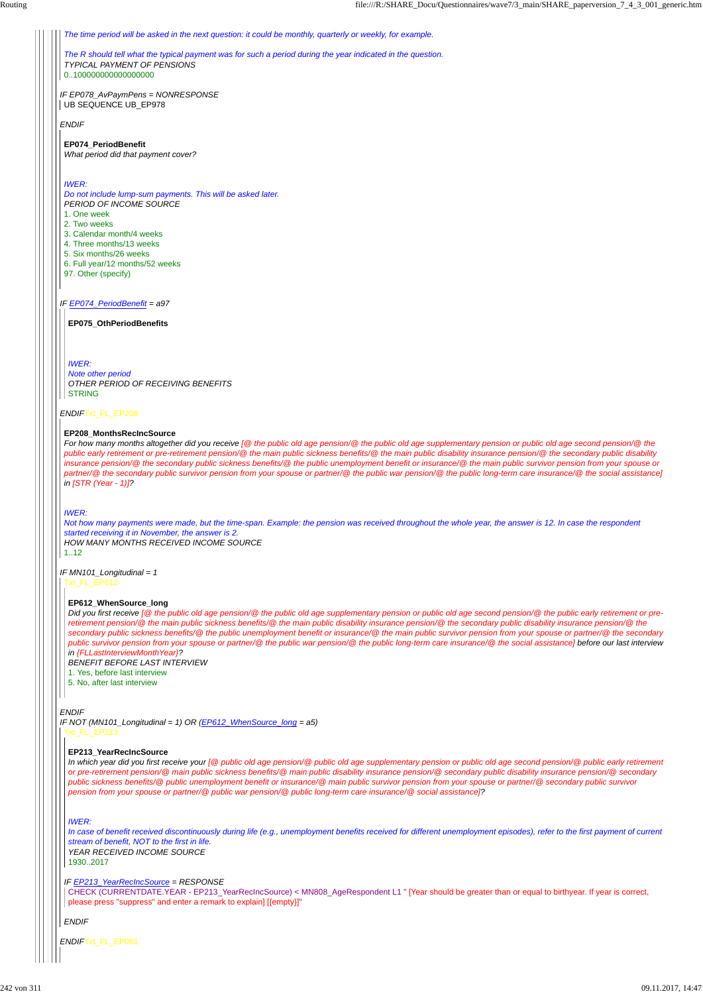## *IF EP074\_PeriodBenefit = a97*

#### *ENDIF*Txt\_FL\_EP208

#### *ENDIF*

*ENDIF*Txt\_FL\_EP081

*IF EP078\_AvPaymPens = NONRESPONSE* UB SEQUENCE UB\_EP978

*The time period will be asked in the next question: it could be monthly, quarterly or weekly, for example.*

*The R should tell what the typical payment was for such a period during the year indicated in the question. TYPICAL PAYMENT OF PENSIONS*

*Note other period OTHER PERIOD OF RECEIVING BENEFITS* **STRING** 

0..100000000000000000

**EP074\_PeriodBenefit** *What period did that payment cover?*

#### *IWER:*

*Do not include lump-sum payments. This will be asked later. PERIOD OF INCOME SOURCE*

- 1. One week
- 2. Two weeks
- 3. Calendar month/4 weeks
- 4. Three months/13 weeks
- 5. Six months/26 weeks
- 6. Full year/12 months/52 weeks
- 97. Other (specify)

**EP075\_OthPeriodBenefits**

#### *IWER:*

#### **EP208\_MonthsRecIncSource**

*IF MN101\_Longitudinal = 1* Txt\_FL\_EP612

*For how many months altogether did you receive [@ the public old age pension/@ the public old age supplementary pension or public old age second pension/@ the public early retirement or pre-retirement pension/@ the main public sickness benefits/@ the main public disability insurance pension/@ the secondary public disability insurance pension/@ the secondary public sickness benefits/@ the public unemployment benefit or insurance/@ the main public survivor pension from your spouse or partner/@ the secondary public survivor pension from your spouse or partner/@ the public war pension/@ the public long-term care insurance/@ the social assistance] in [STR (Year - 1)]?*

*IF NOT (MN101\_Longitudinal = 1) OR (EP612\_WhenSource\_long = a5)* Txt\_FL\_EP213

#### *IWER:*

*Not how many payments were made, but the time-span. Example: the pension was received throughout the whole year, the answer is 12. In case the respondent started receiving it in November, the answer is 2. HOW MANY MONTHS RECEIVED INCOME SOURCE*

 $1.12$ 

#### **EP612\_WhenSource\_long**

*Did you first receive [@ the public old age pension/@ the public old age supplementary pension or public old age second pension/@ the public early retirement or preretirement pension/@ the main public sickness benefits/@ the main public disability insurance pension/@ the secondary public disability insurance pension/@ the secondary public sickness benefits/@ the public unemployment benefit or insurance/@ the main public survivor pension from your spouse or partner/@ the secondary public survivor pension from your spouse or partner/@ the public war pension/@ the public long-term care insurance/@ the social assistance] before our last interview in {FLLastInterviewMonthYear}?*

*BENEFIT BEFORE LAST INTERVIEW*

1. Yes, before last interview

5. No, after last interview

```
IF EP213_YearRecIncSource = RESPONSE
```
*ENDIF*

#### **EP213\_YearRecIncSource**

*In which year did you first receive your [@ public old age pension/@ public old age supplementary pension or public old age second pension/@ public early retirement or pre-retirement pension/@ main public sickness benefits/@ main public disability insurance pension/@ secondary public disability insurance pension/@ secondary public sickness benefits/@ public unemployment benefit or insurance/@ main public survivor pension from your spouse or partner/@ secondary public survivor pension from your spouse or partner/@ public war pension/@ public long-term care insurance/@ social assistance]?*

#### *IWER:*

*In case of benefit received discontinuously during life (e.g., unemployment benefits received for different unemployment episodes), refer to the first payment of current stream of benefit, NOT to the first in life. YEAR RECEIVED INCOME SOURCE* 1930..2017

CHECK (CURRENTDATE.YEAR - EP213\_YearRecIncSource) < MN808\_AgeRespondent L1 " [Year should be greater than or equal to birthyear. If year is correct, please press "suppress" and enter a remark to explain] [{empty}]"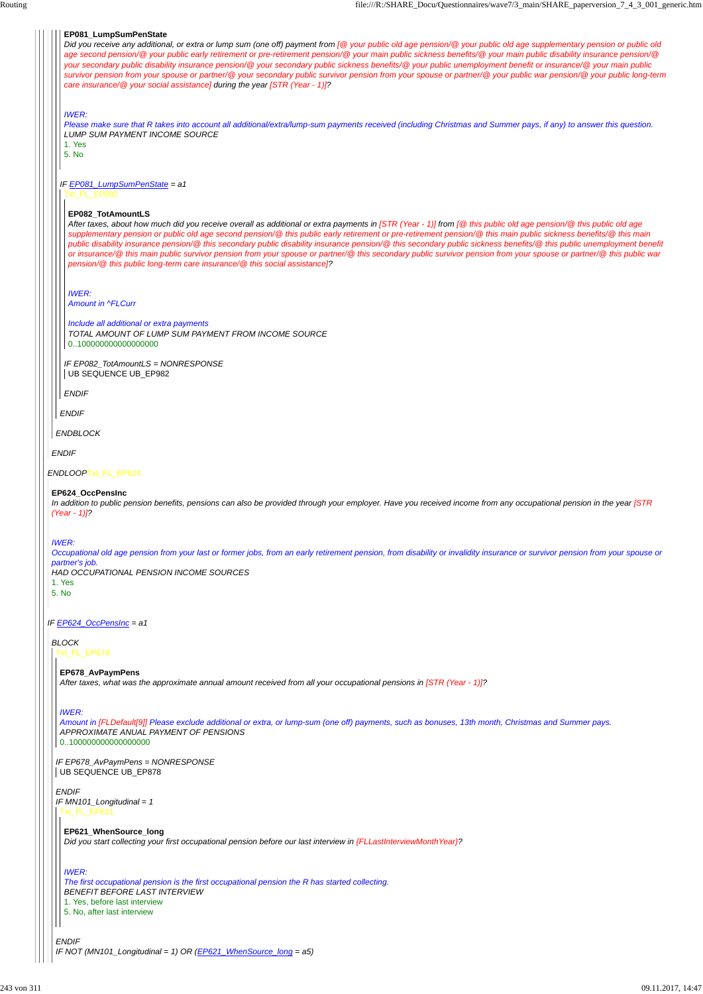*IF EP678\_AvPaymPens = NONRESPONSE* UB SEQUENCE UB\_EP878

| EP081_LumpSumPenState<br>Did you receive any additional, or extra or lump sum (one off) payment from [@ your public old age pension/@ your public old age supplementary pension or public old<br>age second pension/@ your public early retirement or pre-retirement pension/@ your main public sickness benefits/@ your main public disability insurance pension/@<br>your secondary public disability insurance pension/@ your secondary public sickness benefits/@ your public unemployment benefit or insurance/@ your main public<br>survivor pension from your spouse or partner/@ your secondary public survivor pension from your spouse or partner/@ your public war pension/@ your public long-term<br>care insurance/@ your social assistance] during the year [STR (Year - 1)]? |
|---------------------------------------------------------------------------------------------------------------------------------------------------------------------------------------------------------------------------------------------------------------------------------------------------------------------------------------------------------------------------------------------------------------------------------------------------------------------------------------------------------------------------------------------------------------------------------------------------------------------------------------------------------------------------------------------------------------------------------------------------------------------------------------------|
| <b>IWER:</b><br>Please make sure that R takes into account all additional/extra/lump-sum payments received (including Christmas and Summer pays, if any) to answer this question.<br><b>LUMP SUM PAYMENT INCOME SOURCE</b><br>1. Yes<br>5. No                                                                                                                                                                                                                                                                                                                                                                                                                                                                                                                                               |
| IF EP081_LumpSumPenState = a1<br>Txt_FL_EP082                                                                                                                                                                                                                                                                                                                                                                                                                                                                                                                                                                                                                                                                                                                                               |
| EP082_TotAmountLS<br>After taxes, about how much did you receive overall as additional or extra payments in [STR (Year - 1)] from [@ this public old age pension/@ this public old age<br>supplementary pension or public old age second pension/@ this public early retirement or pre-retirement pension/@ this main public sickness benefits/@ this main<br>public disability insurance pension/@ this secondary public disability insurance pension/@ this secondary public sickness benefits/@ this public unemployment benefit<br>or insurance/@ this main public survivor pension from your spouse or partner/@ this secondary public survivor pension from your spouse or partner/@ this public war<br>pension/@ this public long-term care insurance/@ this social assistance]?     |
| <b>IWER:</b><br><b>Amount in ^FLCurr</b>                                                                                                                                                                                                                                                                                                                                                                                                                                                                                                                                                                                                                                                                                                                                                    |
| Include all additional or extra payments<br>TOTAL AMOUNT OF LUMP SUM PAYMENT FROM INCOME SOURCE<br>0100000000000000000                                                                                                                                                                                                                                                                                                                                                                                                                                                                                                                                                                                                                                                                      |
| IF EP082_TotAmountLS = NONRESPONSE<br>UB SEQUENCE UB_EP982                                                                                                                                                                                                                                                                                                                                                                                                                                                                                                                                                                                                                                                                                                                                  |
| <b>ENDIF</b>                                                                                                                                                                                                                                                                                                                                                                                                                                                                                                                                                                                                                                                                                                                                                                                |
| <b>ENDIF</b>                                                                                                                                                                                                                                                                                                                                                                                                                                                                                                                                                                                                                                                                                                                                                                                |
| <b>ENDBLOCK</b>                                                                                                                                                                                                                                                                                                                                                                                                                                                                                                                                                                                                                                                                                                                                                                             |
| <b>ENDIF</b>                                                                                                                                                                                                                                                                                                                                                                                                                                                                                                                                                                                                                                                                                                                                                                                |
| ENDLOOPTxt_FL_EP624                                                                                                                                                                                                                                                                                                                                                                                                                                                                                                                                                                                                                                                                                                                                                                         |
| EP624 OccPensInc<br>In addition to public pension benefits, pensions can also be provided through your employer. Have you received income from any occupational pension in the year [STR<br>$(Year - 1)$ ?                                                                                                                                                                                                                                                                                                                                                                                                                                                                                                                                                                                  |
| <b>IWER:</b><br>Occupational old age pension from your last or former jobs, from an early retirement pension, from disability or invalidity insurance or survivor pension from your spouse or<br>partner's job.<br>HAD OCCUPATIONAL PENSION INCOME SOURCES<br>1. Yes<br>5. No                                                                                                                                                                                                                                                                                                                                                                                                                                                                                                               |
| IF EP624_OccPensInc = a1                                                                                                                                                                                                                                                                                                                                                                                                                                                                                                                                                                                                                                                                                                                                                                    |
| <b>BLOCK</b><br>Txt_FL_EP678                                                                                                                                                                                                                                                                                                                                                                                                                                                                                                                                                                                                                                                                                                                                                                |
| EP678_AvPaymPens                                                                                                                                                                                                                                                                                                                                                                                                                                                                                                                                                                                                                                                                                                                                                                            |
| After taxes, what was the approximate annual amount received from all your occupational pensions in [STR (Year - 1)]?                                                                                                                                                                                                                                                                                                                                                                                                                                                                                                                                                                                                                                                                       |
|                                                                                                                                                                                                                                                                                                                                                                                                                                                                                                                                                                                                                                                                                                                                                                                             |

```
ENDIF
IF NOT (MN101_Longitudinal = 1) OR (EP621_WhenSource_long = a5)
```
*IWER:*

*ENDIF IF MN101\_Longitudinal = 1* Txt\_FL\_EP621

*Amount in [FLDefault[9]] Please exclude additional or extra, or lump-sum (one off) payments, such as bonuses, 13th month, Christmas and Summer pays. APPROXIMATE ANUAL PAYMENT OF PENSIONS* 0..100000000000000000

**EP621\_WhenSource\_long** *Did you start collecting your first occupational pension before our last interview in {FLLastInterviewMonthYear}?*

*IWER:*

*The first occupational pension is the first occupational pension the R has started collecting. BENEFIT BEFORE LAST INTERVIEW*

1. Yes, before last interview

5. No, after last interview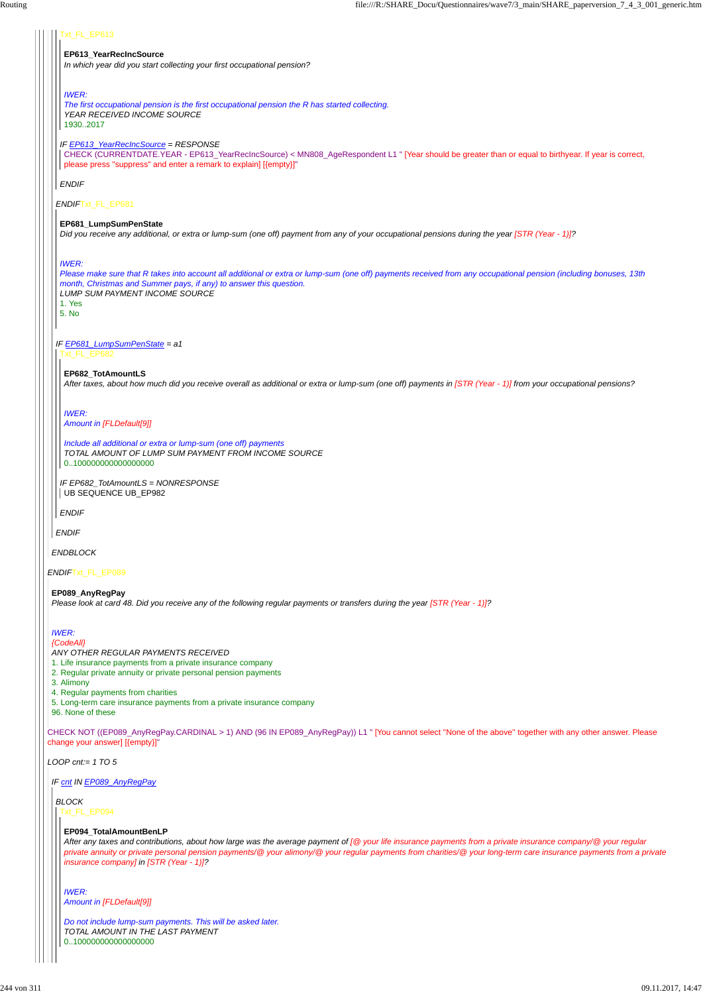CHECK NOT ((EP089\_AnyRegPay.CARDINAL > 1) AND (96 IN EP089\_AnyRegPay)) L1 " [You cannot select ''None of the above'' together with any other answer. Please change your answer] [{empty}]"

*LOOP cnt:= 1 TO 5*

| Txt_FL_EP613                                                                                                                                                                      |
|-----------------------------------------------------------------------------------------------------------------------------------------------------------------------------------|
| EP613_YearRecIncSource                                                                                                                                                            |
| In which year did you start collecting your first occupational pension?                                                                                                           |
|                                                                                                                                                                                   |
| <b>IWER:</b>                                                                                                                                                                      |
| The first occupational pension is the first occupational pension the R has started collecting.<br>YEAR RECEIVED INCOME SOURCE                                                     |
| 19302017                                                                                                                                                                          |
| IF <b>EP613_YearRecIncSource</b> = RESPONSE                                                                                                                                       |
| CHECK (CURRENTDATE.YEAR - EP613_YearRecIncSource) < MN808_AgeRespondent L1 " [Year should be greater than or equal to birthyear. If year is correct,                              |
| please press "suppress" and enter a remark to explain] [{empty}]"                                                                                                                 |
| <b>ENDIF</b>                                                                                                                                                                      |
| ENDIFTxt_FL_EP681                                                                                                                                                                 |
|                                                                                                                                                                                   |
| EP681_LumpSumPenState<br>Did you receive any additional, or extra or lump-sum (one off) payment from any of your occupational pensions during the year [STR (Year - 1)]?          |
|                                                                                                                                                                                   |
|                                                                                                                                                                                   |
| <b>IWER:</b><br>Please make sure that R takes into account all additional or extra or lump-sum (one off) payments received from any occupational pension (including bonuses, 13th |
| month, Christmas and Summer pays, if any) to answer this question.                                                                                                                |
| <b>LUMP SUM PAYMENT INCOME SOURCE</b><br>1. Yes                                                                                                                                   |
| 5. No                                                                                                                                                                             |
|                                                                                                                                                                                   |
| IF EP681_LumpSumPenState = a1                                                                                                                                                     |
| Txt_FL_EP682                                                                                                                                                                      |
| EP682 TotAmountLS                                                                                                                                                                 |
| After taxes, about how much did you receive overall as additional or extra or lump-sum (one off) payments in [STR (Year - 1)] from your occupational pensions?                    |
|                                                                                                                                                                                   |
| <b>IWER:</b>                                                                                                                                                                      |
| Amount in [FLDefault[9]]                                                                                                                                                          |
| Include all additional or extra or lump-sum (one off) payments                                                                                                                    |
| TOTAL AMOUNT OF LUMP SUM PAYMENT FROM INCOME SOURCE<br>0100000000000000000                                                                                                        |
|                                                                                                                                                                                   |
| IF EP682 TotAmountLS = NONRESPONSE<br>UB SEQUENCE UB_EP982                                                                                                                        |
|                                                                                                                                                                                   |
| <b>ENDIF</b>                                                                                                                                                                      |
| <b>ENDIF</b>                                                                                                                                                                      |
| <b>ENDBLOCK</b>                                                                                                                                                                   |
|                                                                                                                                                                                   |
| ENDIFTxt_FL_EP089                                                                                                                                                                 |
| EP089_AnyRegPay                                                                                                                                                                   |
| Please look at card 48. Did you receive any of the following regular payments or transfers during the year [STR (Year - 1)]?                                                      |
|                                                                                                                                                                                   |
| <b>IWER:</b><br>{CodeAll}                                                                                                                                                         |
| ANY OTHER REGULAR PAYMENTS RECEIVED                                                                                                                                               |
| 1. Life insurance payments from a private insurance company<br>2. Regular private annuity or private personal pension payments                                                    |
|                                                                                                                                                                                   |

3. Alimony

4. Regular payments from charities

5. Long-term care insurance payments from a private insurance company

96. None of these

*IF cnt IN EP089\_AnyRegPay*

*BLOCK* Txt\_FL\_EP094

## **EP094\_TotalAmountBenLP**

*After any taxes and contributions, about how large was the average payment of [@ your life insurance payments from a private insurance company/@ your regular private annuity or private personal pension payments/@ your alimony/@ your regular payments from charities/@ your long-term care insurance payments from a private insurance company] in [STR (Year - 1)]?*

*IWER: Amount in [FLDefault[9]]*

*Do not include lump-sum payments. This will be asked later. TOTAL AMOUNT IN THE LAST PAYMENT* 0..100000000000000000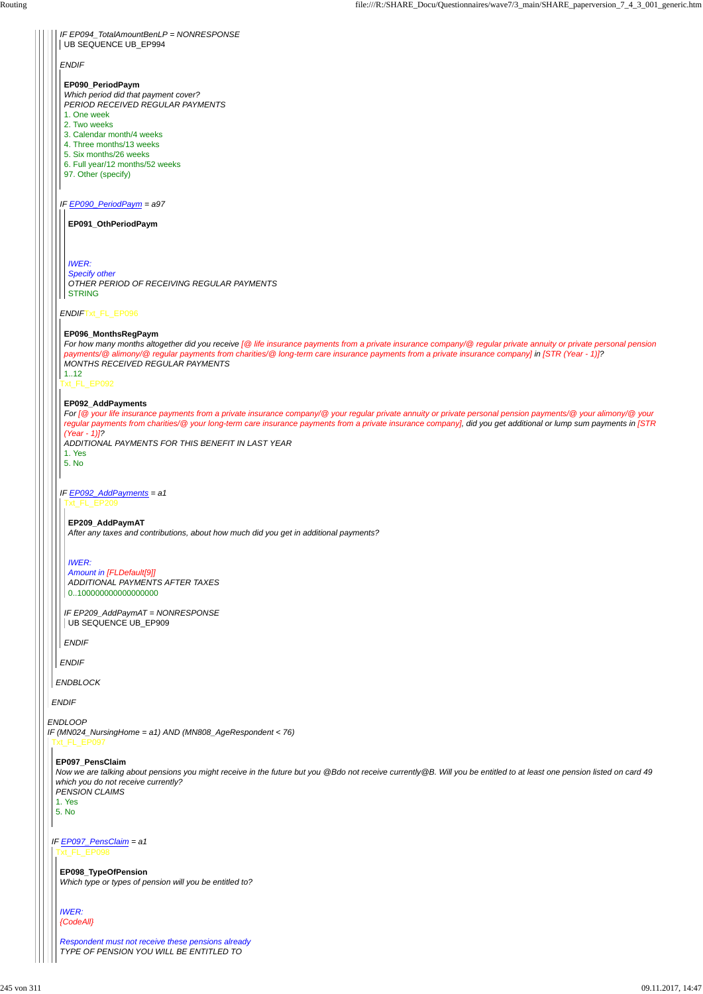*ENDBLOCK*

*ENDIF*

## *IF EP090\_PeriodPaym = a97*

| IF EP094 TotalAmountBenLP = NONRESPONSE |  |  |
|-----------------------------------------|--|--|
| UB SEQUENCE UB_EP994                    |  |  |

#### *ENDIF*Txt\_FL\_EP096

Txt\_FL\_EP092

*ENDIF*

## **EP090\_PeriodPaym**

*IWER: Specify other OTHER PERIOD OF RECEIVING REGULAR PAYMENTS* **STRING** 

*Which period did that payment cover? PERIOD RECEIVED REGULAR PAYMENTS*

- 1. One week
- 2. Two weeks
- 3. Calendar month/4 weeks
- 4. Three months/13 weeks
- 5. Six months/26 weeks
- 6. Full year/12 months/52 weeks
- 97. Other (specify)

## **EP091\_OthPeriodPaym**

## **EP096\_MonthsRegPaym**

*For how many months altogether did you receive [@ life insurance payments from a private insurance company/@ regular private annuity or private personal pension payments/@ alimony/@ regular payments from charities/@ long-term care insurance payments from a private insurance company] in [STR (Year - 1)]? MONTHS RECEIVED REGULAR PAYMENTS*

 $1.12$ 

*IF EP092\_AddPayments = a1* Txt\_FL\_EP209

*ENDLOOP IF (MN024\_NursingHome = a1) AND (MN808\_AgeRespondent < 76)* Txt\_FL\_EP097

#### **EP092\_AddPayments**

*For [@ your life insurance payments from a private insurance company/@ your regular private annuity or private personal pension payments/@ your alimony/@ your regular payments from charities/@ your long-term care insurance payments from a private insurance company], did you get additional or lump sum payments in [STR (Year - 1)]?*

*ADDITIONAL PAYMENTS FOR THIS BENEFIT IN LAST YEAR* 1. Yes

5. No

*ENDIF*

## **EP209\_AddPaymAT**

*After any taxes and contributions, about how much did you get in additional payments?*

*IF EP209\_AddPaymAT = NONRESPONSE* UB SEQUENCE UB\_EP909

#### *IWER:*

*Amount in [FLDefault[9]] ADDITIONAL PAYMENTS AFTER TAXES* 0..100000000000000000

#### **EP097\_PensClaim**

## *IF EP097\_PensClaim = a1* Txt\_FL\_EP098

*Now we are talking about pensions you might receive in the future but you @Bdo not receive currently@B. Will you be entitled to at least one pension listed on card 49 which you do not receive currently? PENSION CLAIMS*

## 1. Yes

## 5. No

**EP098\_TypeOfPension** *Which type or types of pension will you be entitled to?*

*IWER:*

*{CodeAll}*

*Respondent must not receive these pensions already TYPE OF PENSION YOU WILL BE ENTITLED TO*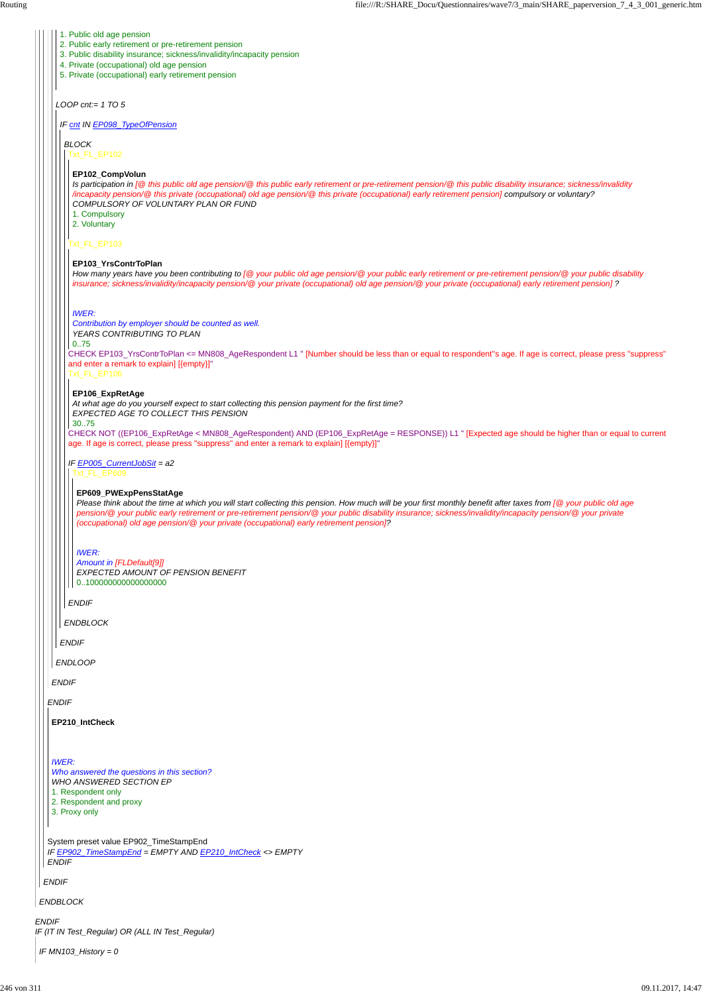*ENDIF IF (IT IN Test\_Regular) OR (ALL IN Test\_Regular)*

*ENDBLOCK*

*ENDIF*

*ENDIF*

System preset value EP902\_TimeStampEnd *IF EP902\_TimeStampEnd = EMPTY AND EP210\_IntCheck <> EMPTY ENDIF*

*ENDIF*

*LOOP cnt:= 1 TO 5*

*ENDLOOP*

- 2. Public early retirement or pre-retirement pension
- 3. Public disability insurance; sickness/invalidity/incapacity pension
- 4. Private (occupational) old age pension
- 5. Private (occupational) early retirement pension

*IF cnt IN EP098\_TypeOfPension*

*ENDIF*

*ENDBLOCK*

*BLOCK* Txt\_FL\_EP102

Txt\_FL\_EP103

CHECK EP103\_YrsContrToPlan <= MN808\_AgeRespondent L1 " [Number should be less than or equal to respondent''s age. If age is correct, please press "suppress" and enter a remark to explain] [{empty}]"

Txt\_FL\_EP106

CHECK NOT ((EP106\_ExpRetAge < MN808\_AgeRespondent) AND (EP106\_ExpRetAge = RESPONSE)) L1 " [Expected age should be higher than or equal to current age. If age is correct, please press "suppress" and enter a remark to explain] [{empty}]"

*ENDIF*

#### **EP102\_CompVolun**

*Is participation in [@ this public old age pension/@ this public early retirement or pre-retirement pension/@ this public disability insurance; sickness/invalidity /incapacity pension/@ this private (occupational) old age pension/@ this private (occupational) early retirement pension] compulsory or voluntary? COMPULSORY OF VOLUNTARY PLAN OR FUND*

*Amount in [FLDefault[9]] EXPECTED AMOUNT OF PENSION BENEFIT* | 0..1000000000000000000

1. Compulsory

2. Voluntary

#### **EP103\_YrsContrToPlan**

*IF EP005\_CurrentJobSit = a2* Txt\_FL\_EP609

*How many years have you been contributing to [@ your public old age pension/@ your public early retirement or pre-retirement pension/@ your public disability insurance; sickness/invalidity/incapacity pension/@ your private (occupational) old age pension/@ your private (occupational) early retirement pension] ?*

#### *IWER:*

*Contribution by employer should be counted as well. YEARS CONTRIBUTING TO PLAN*

0..75

#### **EP106\_ExpRetAge**

*At what age do you yourself expect to start collecting this pension payment for the first time? EXPECTED AGE TO COLLECT THIS PENSION*

30..75

#### **EP609\_PWExpPensStatAge**

*Please think about the time at which you will start collecting this pension. How much will be your first monthly benefit after taxes from [@ your public old age pension/@ your public early retirement or pre-retirement pension/@ your public disability insurance; sickness/invalidity/incapacity pension/@ your private (occupational) old age pension/@ your private (occupational) early retirement pension]?*

#### *IWER:*

**EP210\_IntCheck**

#### *IWER:*

*Who answered the questions in this section? WHO ANSWERED SECTION EP*

1. Respondent only

2. Respondent and proxy

3. Proxy only

*IF MN103\_History = 0*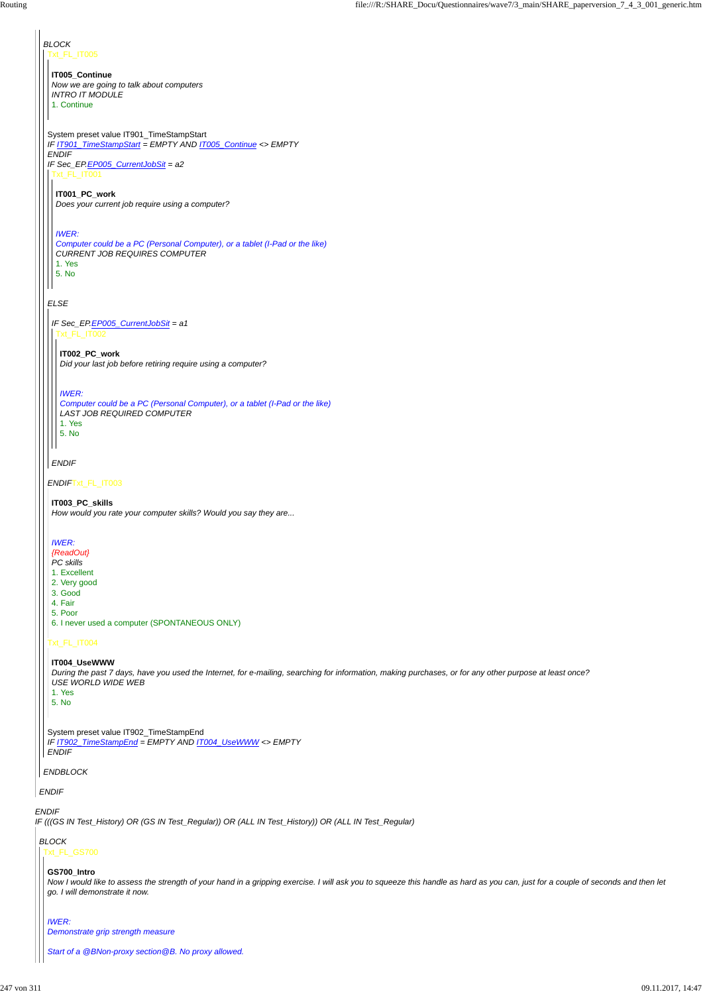*IF (((GS IN Test\_History) OR (GS IN Test\_Regular)) OR (ALL IN Test\_History)) OR (ALL IN Test\_Regular)*

#### *ENDIF*

#### *ENDBLOCK*

## *BLOCK* Txt\_FL\_IT005

## *ELSE*

## *ENDIF*Txt\_FL\_IT003

## Txt\_FL\_IT004

## System preset value IT901\_TimeStampStart *IF IT901\_TimeStampStart = EMPTY AND IT005\_Continue <> EMPTY ENDIF IF Sec\_EP.EP005\_CurrentJobSit = a2* Txt\_FL\_IT001

| VГ |
|----|
|----|

**IT005\_Continue** *Now we are going to talk about computers INTRO IT MODULE* 1. Continue

**IT001\_PC\_work** *Does your current job require using a computer?*

## *IWER:*

*Computer could be a PC (Personal Computer), or a tablet (I-Pad or the like) CURRENT JOB REQUIRES COMPUTER* 1. Yes 5. No

*IF Sec\_EP.EP005\_CurrentJobSit = a1* Txt\_FL\_IT002

## *ENDIF*

**IT002\_PC\_work** *Did your last job before retiring require using a computer?*

## *IWER:*

- 1. Yes 5. No
- System preset value IT902\_TimeStampEnd *IF IT902\_TimeStampEnd = EMPTY AND IT004\_UseWWW <> EMPTY*

*Computer could be a PC (Personal Computer), or a tablet (I-Pad or the like) LAST JOB REQUIRED COMPUTER* 1. Yes 5. No

**IT003\_PC\_skills**

*How would you rate your computer skills? Would you say they are...*

## *IWER:*

- *{ReadOut}*
- *PC skills*
- 1. Excellent
- 2. Very good 3. Good
- 4. Fair
- 5. Poor
- 6. I never used a computer (SPONTANEOUS ONLY)

## **IT004\_UseWWW**

*During the past 7 days, have you used the Internet, for e-mailing, searching for information, making purchases, or for any other purpose at least once? USE WORLD WIDE WEB*

## *BLOCK*

## Txt\_FL\_GS700

#### **GS700\_Intro**

*Now I would like to assess the strength of your hand in a gripping exercise. I will ask you to squeeze this handle as hard as you can, just for a couple of seconds and then let go. I will demonstrate it now.*

#### *IWER: Demonstrate grip strength measure*

*Start of a @BNon-proxy section@B. No proxy allowed.*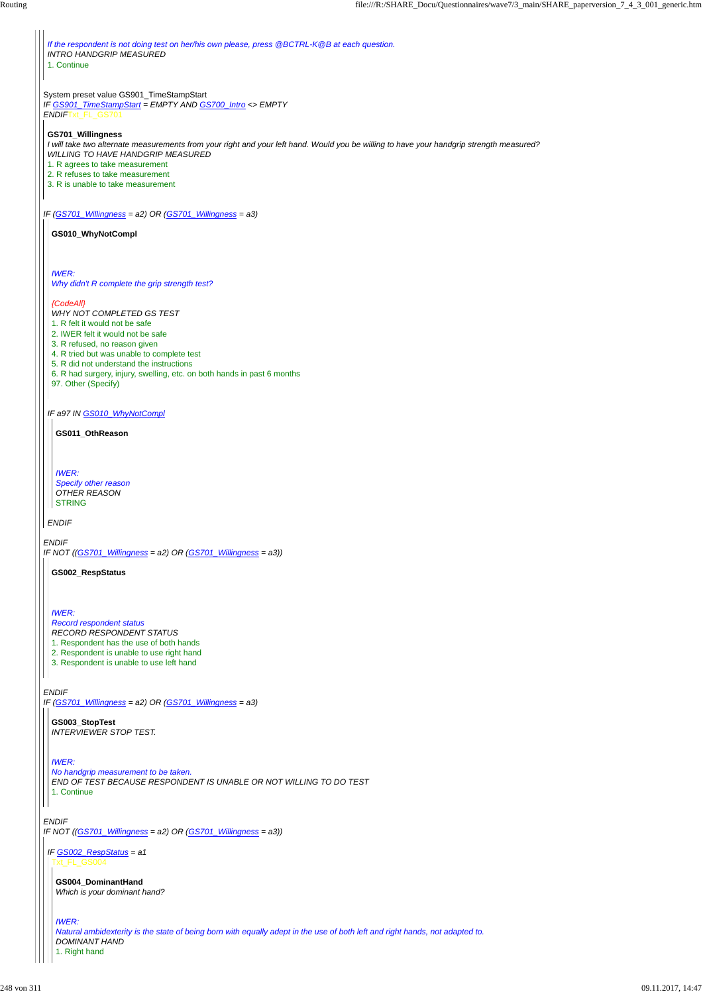*IF (GS701\_Willingness = a2) OR (GS701\_Willingness = a3)*

*ENDIF IF NOT ((GS701\_Willingness = a2) OR (GS701\_Willingness = a3))*

System preset value GS901\_TimeStampStart *IF GS901\_TimeStampStart = EMPTY AND GS700\_Intro <> EMPTY ENDIF*Txt\_FL\_GS701 *IF (GS701\_Willingness = a2) OR (GS701\_Willingness = a3) ENDIF IF NOT ((GS701\_Willingness = a2) OR (GS701\_Willingness = a3)) If the respondent is not doing test on her/his own please, press @BCTRL-K@B at each question. INTRO HANDGRIP MEASURED* 1. Continue **GS701\_Willingness** *I will take two alternate measurements from your right and your left hand. Would you be willing to have your handgrip strength measured? WILLING TO HAVE HANDGRIP MEASURED* 1. R agrees to take measurement 2. R refuses to take measurement 3. R is unable to take measurement *IF a97 IN GS010\_WhyNotCompl ENDIF* **GS010\_WhyNotCompl** *IWER: Why didn't R complete the grip strength test? {CodeAll} WHY NOT COMPLETED GS TEST* 1. R felt it would not be safe 2. IWER felt it would not be safe 3. R refused, no reason given 4. R tried but was unable to complete test 5. R did not understand the instructions 6. R had surgery, injury, swelling, etc. on both hands in past 6 months 97. Other (Specify) **GS011\_OthReason** *IWER: Specify other reason OTHER REASON* STRING **GS002\_RespStatus**

*IWER:*

*Record respondent status*

*RECORD RESPONDENT STATUS*

1. Respondent has the use of both hands

2. Respondent is unable to use right hand

3. Respondent is unable to use left hand

**GS003\_StopTest** *INTERVIEWER STOP TEST.*

*IWER:*

*No handgrip measurement to be taken.*

*END OF TEST BECAUSE RESPONDENT IS UNABLE OR NOT WILLING TO DO TEST* 1. Continue

*IF GS002\_RespStatus = a1* Txt\_FL\_GS004

**GS004\_DominantHand** *Which is your dominant hand?*

*IWER:*

*Natural ambidexterity is the state of being born with equally adept in the use of both left and right hands, not adapted to. DOMINANT HAND* 1. Right hand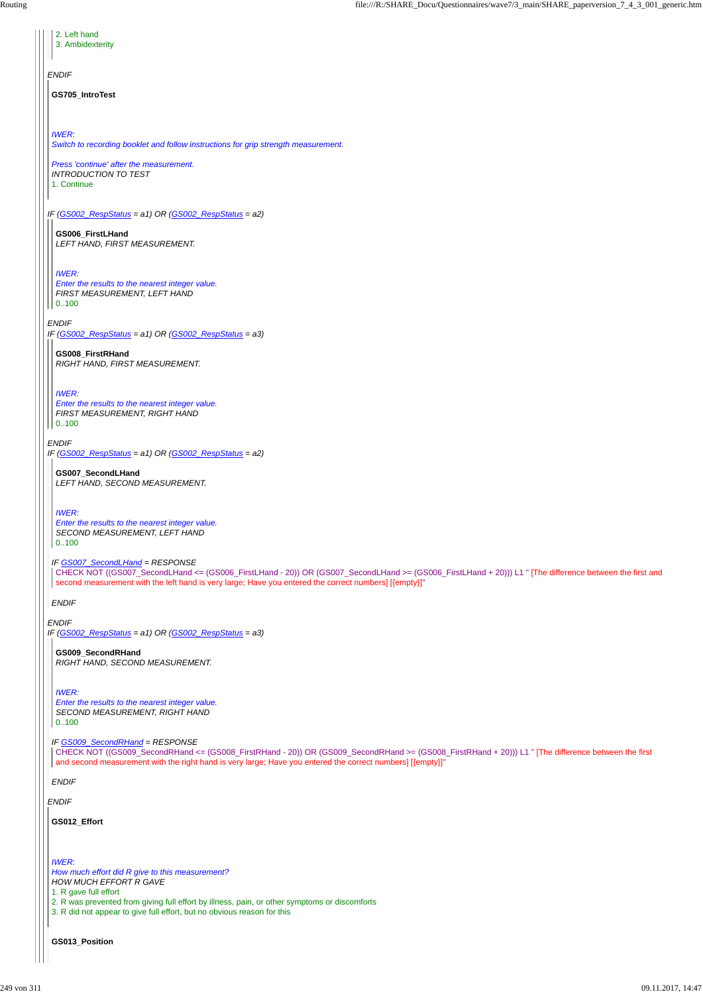*ENDIF IF (GS002\_RespStatus = a1) OR (GS002\_RespStatus = a2) ENDIF IF (GS002\_RespStatus = a1) OR (GS002\_RespStatus = a3) ENDIF IF (GS002\_RespStatus = a1) OR (GS002\_RespStatus = a2) ENDIF IF (GS002\_RespStatus = a1) OR (GS002\_RespStatus = a3)* 2. Left hand 3. Ambidexterity **GS705\_IntroTest** *IWER: Switch to recording booklet and follow instructions for grip strength measurement. Press 'continue' after the measurement. INTRODUCTION TO TEST* 1. Continue **GS006\_FirstLHand** *LEFT HAND, FIRST MEASUREMENT. IWER: Enter the results to the nearest integer value. FIRST MEASUREMENT, LEFT HAND* 0..100 **GS008\_FirstRHand** *RIGHT HAND, FIRST MEASUREMENT. IWER: Enter the results to the nearest integer value. FIRST MEASUREMENT, RIGHT HAND* 0..100 *IF GS007\_SecondLHand = RESPONSE ENDIF* **GS007\_SecondLHand** *LEFT HAND, SECOND MEASUREMENT. IWER: Enter the results to the nearest integer value. SECOND MEASUREMENT, LEFT HAND* 0..100 CHECK NOT ((GS007\_SecondLHand <= (GS006\_FirstLHand - 20)) OR (GS007\_SecondLHand >= (GS006\_FirstLHand + 20))) L1 " [The difference between the first and second measurement with the left hand is very large; Have you entered the correct numbers] [{empty}]" **GS009\_SecondRHand** *RIGHT HAND, SECOND MEASUREMENT. IWER: Enter the results to the nearest integer value. SECOND MEASUREMENT, RIGHT HAND* 0..100

| CHECK NOT ((GS009_SecondRHand <= (GS008_FirstRHand - 20)) OR (GS009_SecondRHand >= (GS008_FirstRHand + 20))) L1 " [The difference between the first<br>and second measurement with the right hand is very large; Have you entered the correct numbers] [{empty}]" |
|-------------------------------------------------------------------------------------------------------------------------------------------------------------------------------------------------------------------------------------------------------------------|
| <b>ENDIF</b>                                                                                                                                                                                                                                                      |
| <b>ENDIF</b>                                                                                                                                                                                                                                                      |
| GS012_Effort                                                                                                                                                                                                                                                      |
|                                                                                                                                                                                                                                                                   |
| <b>IWER:</b><br>How much effort did R give to this measurement?                                                                                                                                                                                                   |
| <b>HOW MUCH EFFORT R GAVE</b><br>1. R gave full effort                                                                                                                                                                                                            |
| 2. R was prevented from giving full effort by illness, pain, or other symptoms or discomforts<br>3. R did not appear to give full effort, but no obvious reason for this                                                                                          |
|                                                                                                                                                                                                                                                                   |
| <b>GS013 Position</b>                                                                                                                                                                                                                                             |
|                                                                                                                                                                                                                                                                   |

*IF GS009\_SecondRHand = RESPONSE*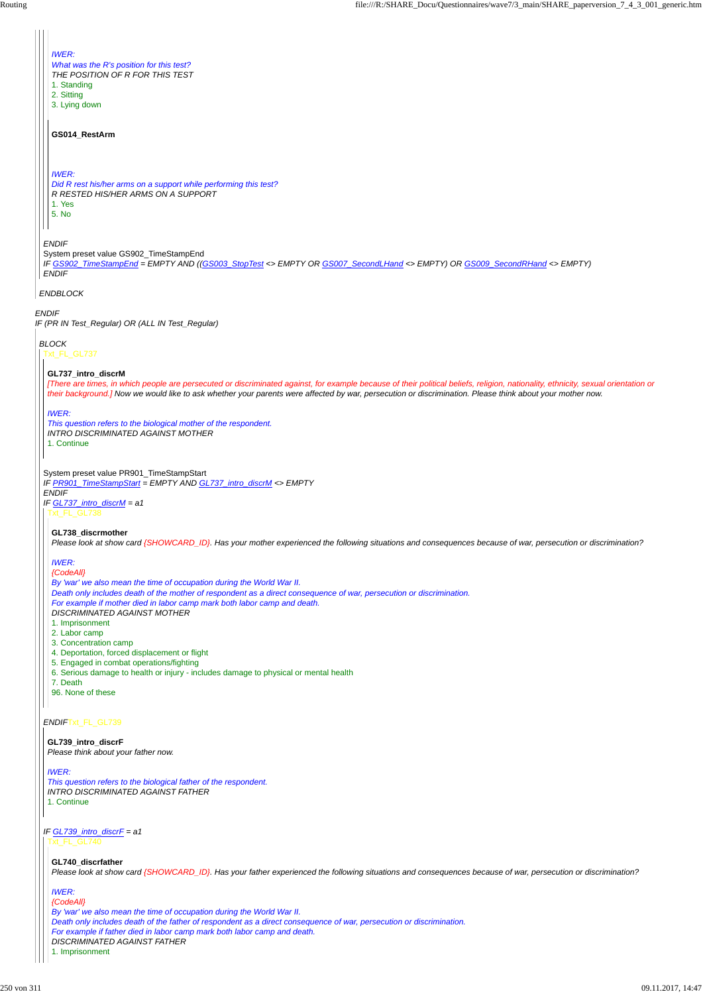*ENDIF IF (PR IN Test\_Regular) OR (ALL IN Test\_Regular) ENDBLOCK ENDIF* System preset value GS902\_TimeStampEnd *IF GS902\_TimeStampEnd = EMPTY AND ((GS003\_StopTest <> EMPTY OR GS007\_SecondLHand <> EMPTY) OR GS009\_SecondRHand <> EMPTY) ENDIF IWER: What was the R's position for this test? THE POSITION OF R FOR THIS TEST* 1. Standing 2. Sitting 3. Lying down **GS014\_RestArm** *IWER: Did R rest his/her arms on a support while performing this test? R RESTED HIS/HER ARMS ON A SUPPORT* 1. Yes 5. No *BLOCK* Txt\_FL\_GL737 System preset value PR901\_TimeStampStart *IF PR901\_TimeStampStart = EMPTY AND GL737\_intro\_discrM <> EMPTY ENDIF IF GL737\_intro\_discrM = a1 ENDIF*Txt\_FL\_GL739 **GL737\_intro\_discrM** *[There are times, in which people are persecuted or discriminated against, for example because of their political beliefs, religion, nationality, ethnicity, sexual orientation or their background.] Now we would like to ask whether your parents were affected by war, persecution or discrimination. Please think about your mother now. IWER: This question refers to the biological mother of the respondent. INTRO DISCRIMINATED AGAINST MOTHER* 1. Continue Txt\_FL\_GL738 **GL738\_discrmother** *Please look at show card {SHOWCARD\_ID}. Has your mother experienced the following situations and consequences because of war, persecution or discrimination? IWER: {CodeAll} By 'war' we also mean the time of occupation during the World War II. Death only includes death of the mother of respondent as a direct consequence of war, persecution or discrimination. For example if mother died in labor camp mark both labor camp and death. DISCRIMINATED AGAINST MOTHER* 1. Imprisonment 2. Labor camp 3. Concentration camp 4. Deportation, forced displacement or flight 5. Engaged in combat operations/fighting 6. Serious damage to health or injury - includes damage to physical or mental health 7. Death 96. None of these

*IF GL739\_intro\_discrF = a1* Txt\_FL\_GL740

**GL739\_intro\_discrF**

*Please think about your father now.*

#### *IWER:*

*This question refers to the biological father of the respondent. INTRO DISCRIMINATED AGAINST FATHER* 1. Continue

**GL740\_discrfather** *Please look at show card {SHOWCARD\_ID}. Has your father experienced the following situations and consequences because of war, persecution or discrimination?*

#### *IWER:*

## *{CodeAll}*

*By 'war' we also mean the time of occupation during the World War II. Death only includes death of the father of respondent as a direct consequence of war, persecution or discrimination. For example if father died in labor camp mark both labor camp and death. DISCRIMINATED AGAINST FATHER* 1. Imprisonment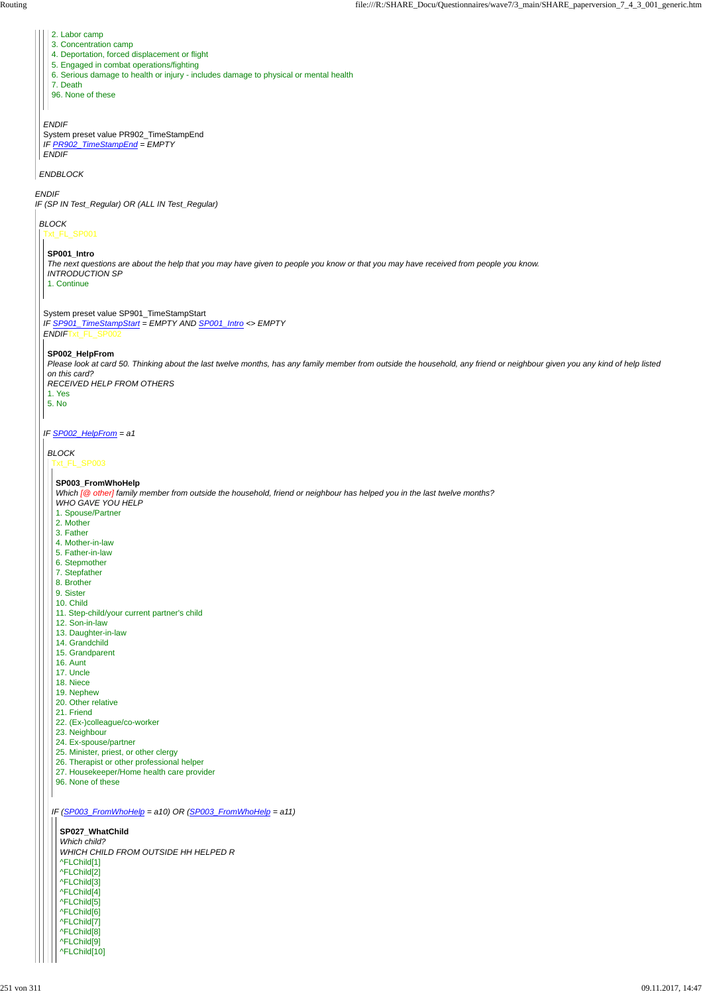*ENDIF IF (SP IN Test\_Regular) OR (ALL IN Test\_Regular)*

*ENDBLOCK*

*ENDIF* System preset value PR902\_TimeStampEnd *IF PR902\_TimeStampEnd = EMPTY ENDIF*

- 2. Labor camp
- 3. Concentration camp
- 4. Deportation, forced displacement or flight
- 5. Engaged in combat operations/fighting
- 6. Serious damage to health or injury includes damage to physical or mental health
- 7. Death
- 96. None of these

*BLOCK*

Txt\_FL\_SP001

System preset value SP901\_TimeStampStart

*IF SP901\_TimeStampStart = EMPTY AND SP001\_Intro <> EMPTY ENDIF*Txt\_FL\_SP002

*IF SP002\_HelpFrom = a1*

**SP001\_Intro**

*The next questions are about the help that you may have given to people you know or that you may have received from people you know. INTRODUCTION SP* 1. Continue

## **SP002\_HelpFrom**

*Please look at card 50. Thinking about the last twelve months, has any family member from outside the household, any friend or neighbour given you any kind of help listed on this card?*

*RECEIVED HELP FROM OTHERS* 1. Yes

5. No

```
BLOCK
```
Txt\_FL\_SP003

**SP003\_FromWhoHelp**

*Which [@ other] family member from outside the household, friend or neighbour has helped you in the last twelve months? WHO GAVE YOU HELP*

- 1. Spouse/Partner
- 2. Mother
- 3. Father
- 4. Mother-in-law
- 5. Father-in-law
- 6. Stepmother
- 7. Stepfather
- 8. Brother
- 9. Sister
- 10. Child
- 11. Step-child/your current partner's child
- 12. Son-in-law
- 13. Daughter-in-law
- 14. Grandchild
- 15. Grandparent
- 16. Aunt
- 17. Uncle
- 18. Niece
- 19. Nephew
- 20. Other relative
- 21. Friend
- 22. (Ex-)colleague/co-worker
- 23. Neighbour
- 24. Ex-spouse/partner
- 

*IF (SP003\_FromWhoHelp = a10) OR (SP003\_FromWhoHelp = a11)* 25. Minister, priest, or other clergy 26. Therapist or other professional helper 27. Housekeeper/Home health care provider 96. None of these **SP027\_WhatChild** *Which child? WHICH CHILD FROM OUTSIDE HH HELPED R* ^FLChild[1] ^FLChild[2] ^FLChild[3] ^FLChild[4] ^FLChild[5] ^FLChild[6] ^FLChild[7] ^FLChild[8] ^FLChild[9] ^FLChild[10]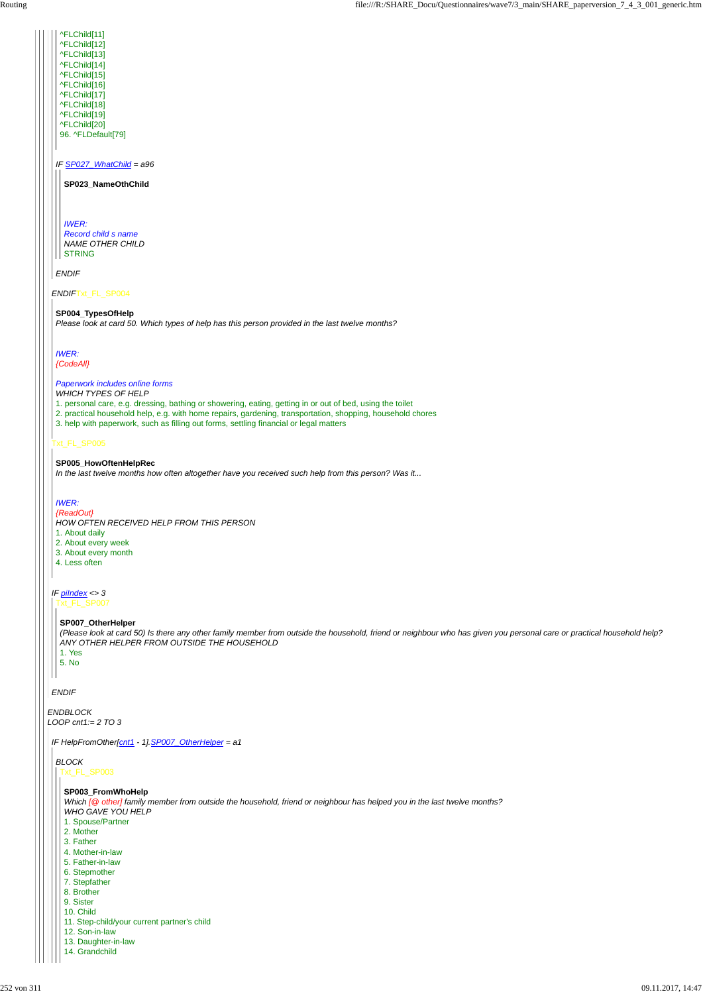*ENDBLOCK LOOP cnt1:= 2 TO 3*

*ENDIF*Txt\_FL\_SP004

## Txt\_FL\_SP005

*ENDIF*

*IF SP027\_WhatChild = a96*

*ENDIF*

*IWER: Record child s name NAME OTHER CHILD* **STRING** 

^FLChild[11] ^FLChild[12] ^FLChild[13] ^FLChild[14] ^FLChild[15] ^FLChild[16] ^FLChild[17] ^FLChild[18] ^FLChild[19] ^FLChild[20] 96. ^FLDefault[79]

**SP023\_NameOthChild**

**SP004\_TypesOfHelp** *Please look at card 50. Which types of help has this person provided in the last twelve months?*

*IWER: {CodeAll}*

*Paperwork includes online forms*

*WHICH TYPES OF HELP*

*IF piIndex <> 3* Txt\_FL\_SP007

- 1. personal care, e.g. dressing, bathing or showering, eating, getting in or out of bed, using the toilet
- 2. practical household help, e.g. with home repairs, gardening, transportation, shopping, household chores
- 3. help with paperwork, such as filling out forms, settling financial or legal matters

#### **SP005\_HowOftenHelpRec**

*In the last twelve months how often altogether have you received such help from this person? Was it...*

*IWER:*

*{ReadOut} HOW OFTEN RECEIVED HELP FROM THIS PERSON* 1. About daily 2. About every week

- 3. About every month
- 4. Less often

#### **SP007\_OtherHelper**

*(Please look at card 50) Is there any other family member from outside the household, friend or neighbour who has given you personal care or practical household help? ANY OTHER HELPER FROM OUTSIDE THE HOUSEHOLD*

1. Yes

5. No

*IF HelpFromOther[cnt1 - 1].SP007\_OtherHelper = a1*

## *BLOCK* Txt\_FL\_SP003

## **SP003\_FromWhoHelp**

*Which [@ other] family member from outside the household, friend or neighbour has helped you in the last twelve months? WHO GAVE YOU HELP*

- 1. Spouse/Partner
- 2. Mother
- 3. Father
- 4. Mother-in-law
- 5. Father-in-law
- 6. Stepmother
- 7. Stepfather
- 8. Brother
- 9. Sister
- 10. Child
- 11. Step-child/your current partner's child
- 12. Son-in-law
- 13. Daughter-in-law
- 14. Grandchild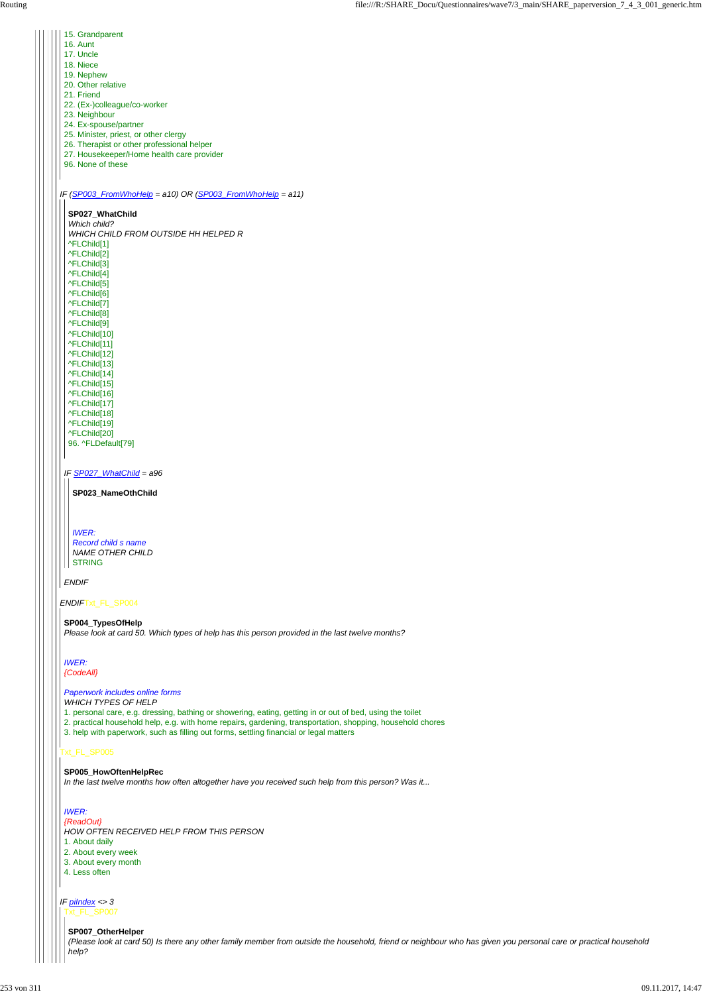| 15. Grandparent                                                                                            |
|------------------------------------------------------------------------------------------------------------|
| 16. Aunt                                                                                                   |
| 17. Uncle                                                                                                  |
| 18. Niece                                                                                                  |
| 19. Nephew                                                                                                 |
| 20. Other relative                                                                                         |
| 21. Friend                                                                                                 |
| 22. (Ex-)colleague/co-worker                                                                               |
| 23. Neighbour                                                                                              |
| 24. Ex-spouse/partner                                                                                      |
| 25. Minister, priest, or other clergy                                                                      |
| 26. Therapist or other professional helper                                                                 |
| 27. Housekeeper/Home health care provider<br>96. None of these                                             |
|                                                                                                            |
|                                                                                                            |
| IF $(SPO03_FromWhoHe p = a10)$ OR $(SPO03_FromWhoHe p = a11)$                                              |
|                                                                                                            |
| SP027_WhatChild                                                                                            |
| Which child?                                                                                               |
| WHICH CHILD FROM OUTSIDE HH HELPED R                                                                       |
| ^FLChild[1]                                                                                                |
| ^FLChild[2]                                                                                                |
| ^FLChild[3]                                                                                                |
| ^FLChild[4]                                                                                                |
| ^FLChild[5]                                                                                                |
| ^FLChild[6]                                                                                                |
| ^FLChild[7]                                                                                                |
| ^FLChild[8]                                                                                                |
| ^FLChild[9]                                                                                                |
| ^FLChild[10]                                                                                               |
| ^FLChild[11]                                                                                               |
| ^FLChild[12]                                                                                               |
| ^FLChild[13]                                                                                               |
| ^FLChild[14]                                                                                               |
| ^FLChild[15]                                                                                               |
| ^FLChild[16]                                                                                               |
| ^FLChild[17]                                                                                               |
| ^FLChild[18]                                                                                               |
| ^FLChild[19]                                                                                               |
| ^FLChild[20]                                                                                               |
| 96. ^FLDefault[79]                                                                                         |
|                                                                                                            |
|                                                                                                            |
| IF SP027_WhatChild = a96                                                                                   |
|                                                                                                            |
| SP023_NameOthChild                                                                                         |
|                                                                                                            |
|                                                                                                            |
|                                                                                                            |
| <b>IWER:</b>                                                                                               |
| <b>Record child s name</b>                                                                                 |
| <b>NAME OTHER CHILD</b>                                                                                    |
| <b>STRING</b>                                                                                              |
|                                                                                                            |
| <b>ENDIF</b>                                                                                               |
| ENDIFTxt_FL_SP004                                                                                          |
|                                                                                                            |
| SP004_TypesOfHelp                                                                                          |
| Please look at card 50. Which types of help has this person provided in the last twelve months?            |
|                                                                                                            |
|                                                                                                            |
| <b>IWER:</b>                                                                                               |
| {CodeAll}                                                                                                  |
|                                                                                                            |
| Paperwork includes online forms                                                                            |
| <b>WHICH TYPES OF HELP</b>                                                                                 |
| 1. personal care, e.g. dressing, bathing or showering, eating, getting in or out of bed, using the toilet  |
| 2. practical household help, e.g. with home repairs, gardening, transportation, shopping, household chores |
| 3. help with paperwork, such as filling out forms, settling financial or legal matters                     |

*IF piIndex <> 3* H Txt\_FL\_SP007

# **SP005\_HowOftenHelpRec**

*In the last twelve months how often altogether have you received such help from this person? Was it...*

### *IWER:*

*{ReadOut} HOW OFTEN RECEIVED HELP FROM THIS PERSON*

- 1. About daily
- 2. About every week
- 3. About every month
- 4. Less often

# **SP007\_OtherHelper**

*(Please look at card 50) Is there any other family member from outside the household, friend or neighbour who has given you personal care or practical household help?*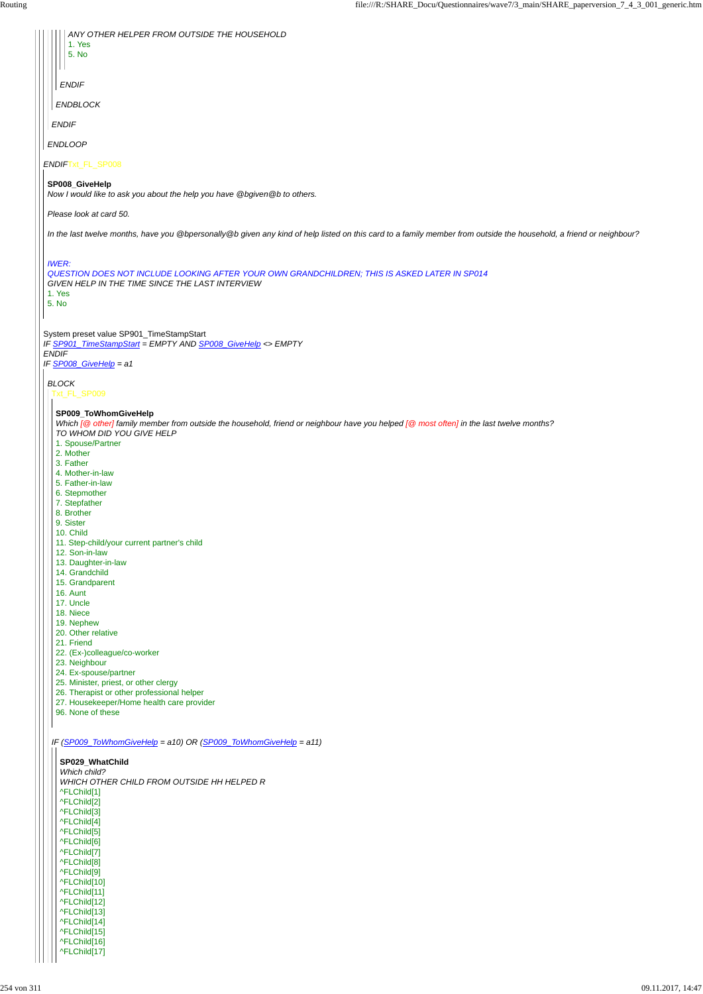| ANY OTHER HELPER FROM OUTSIDE THE HOUSEHOLD<br>1. Yes                                                                                                                |
|----------------------------------------------------------------------------------------------------------------------------------------------------------------------|
| 5. No                                                                                                                                                                |
| <b>ENDIF</b>                                                                                                                                                         |
| <b>ENDBLOCK</b>                                                                                                                                                      |
| <b>ENDIF</b>                                                                                                                                                         |
| <b>ENDLOOP</b>                                                                                                                                                       |
| ENDIFTxt_FL_SP008                                                                                                                                                    |
| SP008_GiveHelp<br>Now I would like to ask you about the help you have @bgiven@b to others.                                                                           |
| Please look at card 50.                                                                                                                                              |
| In the last twelve months, have you @bpersonally@b given any kind of help listed on this card to a family member from outside the household, a friend or neighbour?  |
| <b>IWER:</b><br>QUESTION DOES NOT INCLUDE LOOKING AFTER YOUR OWN GRANDCHILDREN; THIS IS ASKED LATER IN SP014                                                         |
| GIVEN HELP IN THE TIME SINCE THE LAST INTERVIEW<br>1. Yes                                                                                                            |
| 5. No                                                                                                                                                                |
| System preset value SP901_TimeStampStart<br>IF SP901_TimeStampStart = EMPTY AND SP008_GiveHelp <> EMPTY                                                              |
| <b>ENDIF</b><br>IF SP008_GiveHelp = a1                                                                                                                               |
| <b>BLOCK</b><br>Txt_FL_SP009                                                                                                                                         |
| SP009_ToWhomGiveHelp                                                                                                                                                 |
| Which [@ other] family member from outside the household, friend or neighbour have you helped [@ most often] in the last twelve months?<br>TO WHOM DID YOU GIVE HELP |
| 1. Spouse/Partner<br>2. Mother                                                                                                                                       |
| 3. Father<br>4. Mother-in-law                                                                                                                                        |
| 5. Father-in-law                                                                                                                                                     |
| 6. Stepmother<br>7. Stepfather                                                                                                                                       |
| 8. Brother<br>9. Sister                                                                                                                                              |
| 10. Child                                                                                                                                                            |
| 11. Step-child/your current partner's child<br>12. Son-in-law                                                                                                        |
| 13. Daughter-in-law<br>14. Grandchild                                                                                                                                |
| 15. Grandparent                                                                                                                                                      |
| 16. Aunt<br>17. Uncle                                                                                                                                                |
| 18. Niece<br>19. Nephew                                                                                                                                              |
| 20. Other relative                                                                                                                                                   |
| 21. Friend<br>22. (Ex-)colleague/co-worker                                                                                                                           |
|                                                                                                                                                                      |
| 23. Neighbour                                                                                                                                                        |
| 24. Ex-spouse/partner<br>25. Minister, priest, or other clergy                                                                                                       |
| 26. Therapist or other professional helper<br>27. Housekeeper/Home health care provider<br>96. None of these                                                         |

|  | <b>SP029 WhatChild</b>                            |
|--|---------------------------------------------------|
|  | Which child?                                      |
|  | <i>WHICH OTHER CHILD FROM OUTSIDE HH HELPED R</i> |
|  | ^FLChild[1]                                       |
|  | ^FLChild[2]                                       |
|  | ^FLChild[3]                                       |
|  | ^FLChild[4]                                       |
|  | ^FLChild[5]                                       |
|  | ^FLChild[6]                                       |
|  | ^FLChild[7]                                       |
|  | ^FLChild[8]                                       |
|  | ^FLChild[9]                                       |
|  | ^FLChild[10]                                      |
|  | ^FLChild[11]                                      |
|  | ^FLChild[12]                                      |
|  | ^FLChild[13]                                      |
|  | ^FLChild[14]                                      |
|  | ^FLChild[15]                                      |
|  | ^FLChild[16]                                      |
|  | ^FLChild[17]                                      |
|  |                                                   |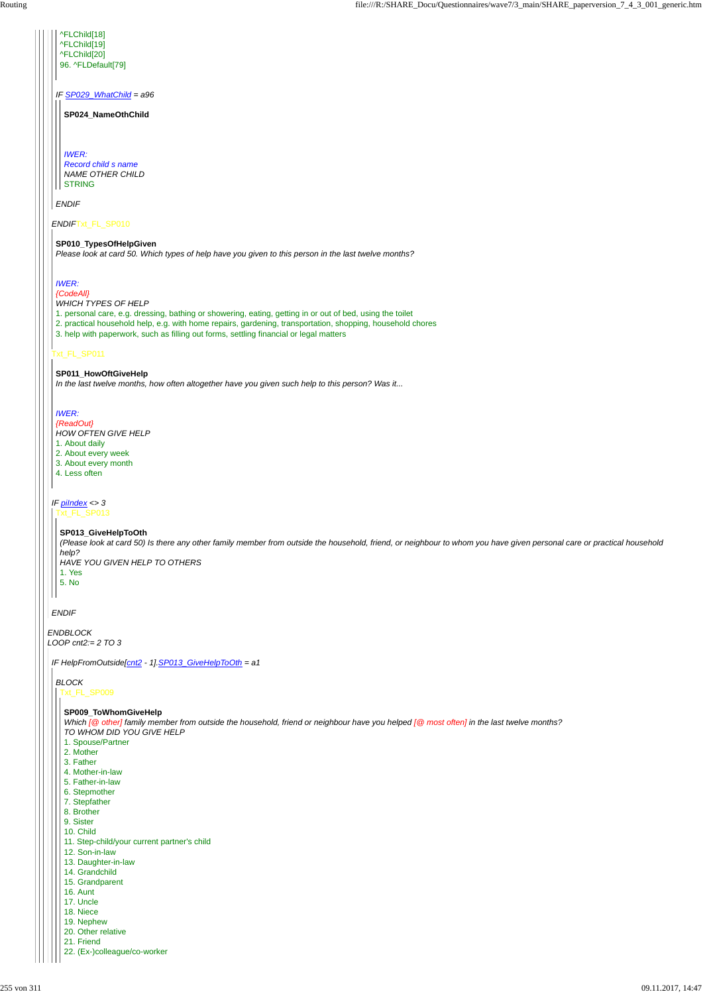*ENDBLOCK LOOP cnt2:= 2 TO 3*

# *ENDIF*

| ^FLChild[19]                                                                                                                                                                                                                                                                                                                                    |
|-------------------------------------------------------------------------------------------------------------------------------------------------------------------------------------------------------------------------------------------------------------------------------------------------------------------------------------------------|
| ^FLChild[20]                                                                                                                                                                                                                                                                                                                                    |
| 96. ^FLDefault[79]                                                                                                                                                                                                                                                                                                                              |
| IF SP029 WhatChild = a96<br>SP024 NameOthChild                                                                                                                                                                                                                                                                                                  |
|                                                                                                                                                                                                                                                                                                                                                 |
| <b>IWER:</b><br>Record child s name<br><b>NAME OTHER CHILD</b>                                                                                                                                                                                                                                                                                  |
| <b>STRING</b>                                                                                                                                                                                                                                                                                                                                   |
| <b>ENDIF</b>                                                                                                                                                                                                                                                                                                                                    |
| ENDIFTxt_FL_SP010                                                                                                                                                                                                                                                                                                                               |
| SP010_TypesOfHelpGiven<br>Please look at card 50. Which types of help have you given to this person in the last twelve months?                                                                                                                                                                                                                  |
| <b>IWER:</b><br>{CodeAll}                                                                                                                                                                                                                                                                                                                       |
| <b>WHICH TYPES OF HELP</b><br>1. personal care, e.g. dressing, bathing or showering, eating, getting in or out of bed, using the toilet<br>2. practical household help, e.g. with home repairs, gardening, transportation, shopping, household chores<br>3. help with paperwork, such as filling out forms, settling financial or legal matters |
| Txt_FL_SP011                                                                                                                                                                                                                                                                                                                                    |
| SP011_HowOftGiveHelp                                                                                                                                                                                                                                                                                                                            |
| In the last twelve months, how often altogether have you given such help to this person? Was it                                                                                                                                                                                                                                                 |
|                                                                                                                                                                                                                                                                                                                                                 |
| <b>IWER:</b>                                                                                                                                                                                                                                                                                                                                    |
| {ReadOut}<br><b>HOW OFTEN GIVE HELP</b>                                                                                                                                                                                                                                                                                                         |
|                                                                                                                                                                                                                                                                                                                                                 |

#### *IF piIndex <> 3* Txt\_FL\_SP013

1. About daily

- 2. About every week
- 3. About every month
- 4. Less often

### **SP013\_GiveHelpToOth**

*(Please look at card 50) Is there any other family member from outside the household, friend, or neighbour to whom you have given personal care or practical household help?*

*HAVE YOU GIVEN HELP TO OTHERS* 1. Yes 5. No

*IF HelpFromOutside[cnt2 - 1].SP013\_GiveHelpToOth = a1*

*BLOCK* Txt\_FL\_SP009

# **SP009\_ToWhomGiveHelp**

*Which [@ other] family member from outside the household, friend or neighbour have you helped [@ most often] in the last twelve months? TO WHOM DID YOU GIVE HELP*

1. Spouse/Partner 2. Mother 3. Father 4. Mother-in-law 5. Father-in-law 6. Stepmother 7. Stepfather 8. Brother 9. Sister 10. Child 11. Step-child/your current partner's child 12. Son-in-law 13. Daughter-in-law 14. Grandchild 15. Grandparent 16. Aunt 17. Uncle 18. Niece 19. Nephew 20. Other relative 21. Friend 22. (Ex-)colleague/co-worker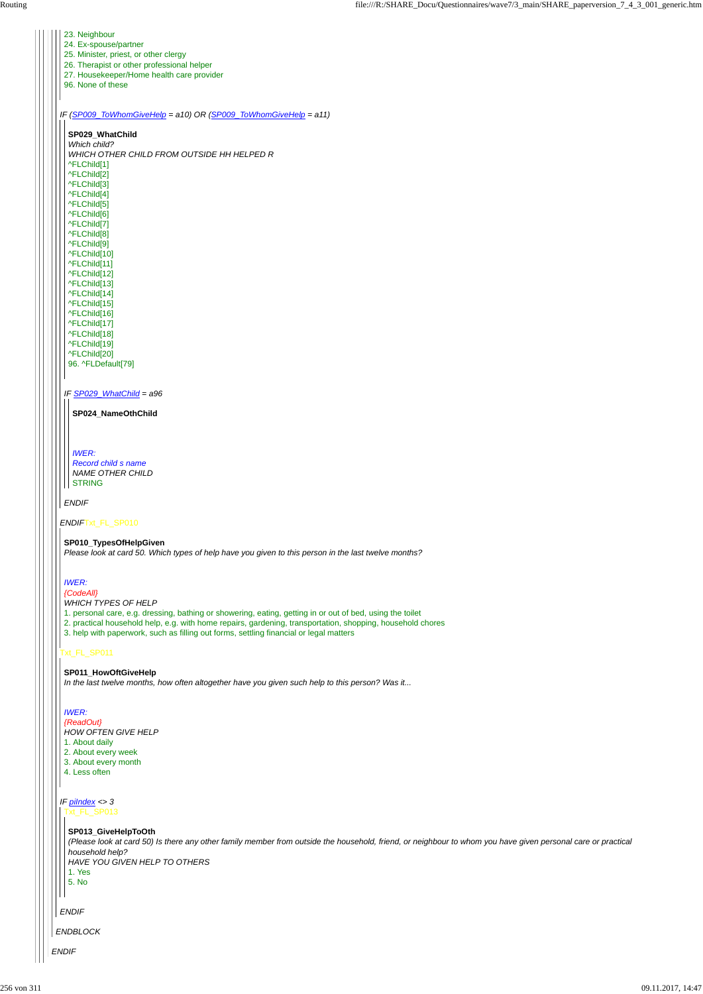| 23. Neighbour                                                                                              |
|------------------------------------------------------------------------------------------------------------|
| 24. Ex-spouse/partner                                                                                      |
| 25. Minister, priest, or other clergy                                                                      |
| 26. Therapist or other professional helper                                                                 |
| 27. Housekeeper/Home health care provider                                                                  |
| 96. None of these                                                                                          |
|                                                                                                            |
|                                                                                                            |
| IF (SP009_ToWhomGiveHelp = a10) OR (SP009_ToWhomGiveHelp = a11)                                            |
|                                                                                                            |
| SP029_WhatChild                                                                                            |
| Which child?                                                                                               |
| WHICH OTHER CHILD FROM OUTSIDE HH HELPED R                                                                 |
| ^FLChild[1]                                                                                                |
| ^FLChild[2]                                                                                                |
| ^FLChild[3]                                                                                                |
| ^FLChild[4]                                                                                                |
| ^FLChild[5]                                                                                                |
| ^FLChild[6]                                                                                                |
| ^FLChild[7]                                                                                                |
| ^FLChild[8]                                                                                                |
| ^FLChild[9]                                                                                                |
| ^FLChild[10]                                                                                               |
| ^FLChild[11]                                                                                               |
| ^FLChild[12]                                                                                               |
| ^FLChild[13]                                                                                               |
| ^FLChild[14]                                                                                               |
| ^FLChild[15]                                                                                               |
| ^FLChild[16]                                                                                               |
| ^FLChild[17]                                                                                               |
| ^FLChild[18]                                                                                               |
| ^FLChild[19]                                                                                               |
| ^FLChild[20]                                                                                               |
| 96. ^FLDefault[79]                                                                                         |
|                                                                                                            |
| IF SP029_WhatChild = a96                                                                                   |
|                                                                                                            |
| SP024_NameOthChild                                                                                         |
|                                                                                                            |
|                                                                                                            |
|                                                                                                            |
| <b>IWER:</b>                                                                                               |
| Record child s name                                                                                        |
| <b>NAME OTHER CHILD</b>                                                                                    |
| <b>STRING</b>                                                                                              |
|                                                                                                            |
| <b>ENDIF</b>                                                                                               |
|                                                                                                            |
| ENDIFTxt_FL_SP010                                                                                          |
|                                                                                                            |
| SP010_TypesOfHelpGiven                                                                                     |
| Please look at card 50. Which types of help have you given to this person in the last twelve months?       |
|                                                                                                            |
|                                                                                                            |
| <b>IWER:</b>                                                                                               |
| {CodeAll}                                                                                                  |
| <b>WHICH TYPES OF HELP</b>                                                                                 |
| 1. personal care, e.g. dressing, bathing or showering, eating, getting in or out of bed, using the toilet  |
| 2. practical household help, e.g. with home repairs, gardening, transportation, shopping, household chores |
| 3. help with paperwork, such as filling out forms, settling financial or legal matters                     |
|                                                                                                            |
| xt_FL_SP011                                                                                                |
|                                                                                                            |

|  | 2. About every week                                                                                                                                                                                                                                                                           |
|--|-----------------------------------------------------------------------------------------------------------------------------------------------------------------------------------------------------------------------------------------------------------------------------------------------|
|  | 3. About every month                                                                                                                                                                                                                                                                          |
|  | 4. Less often                                                                                                                                                                                                                                                                                 |
|  | IF $pilndex < 3$<br>Txt_FL_SP013<br>SP013_GiveHelpToOth<br>(Please look at card 50) Is there any other family member from outside the household, friend, or neighbour to whom you have given personal care or practica<br>household help?<br>HAVE YOU GIVEN HELP TO OTHERS<br>1. Yes<br>5. No |
|  | <b>ENDIF</b><br><b>ENDBLOCK</b>                                                                                                                                                                                                                                                               |
|  | <b>ENDIF</b>                                                                                                                                                                                                                                                                                  |

#### **SP011\_HowOftGiveHelp**

*In the last twelve months, how often altogether have you given such help to this person? Was it...*

*IWER:*

*{ReadOut} HOW OFTEN GIVE HELP*

1. About daily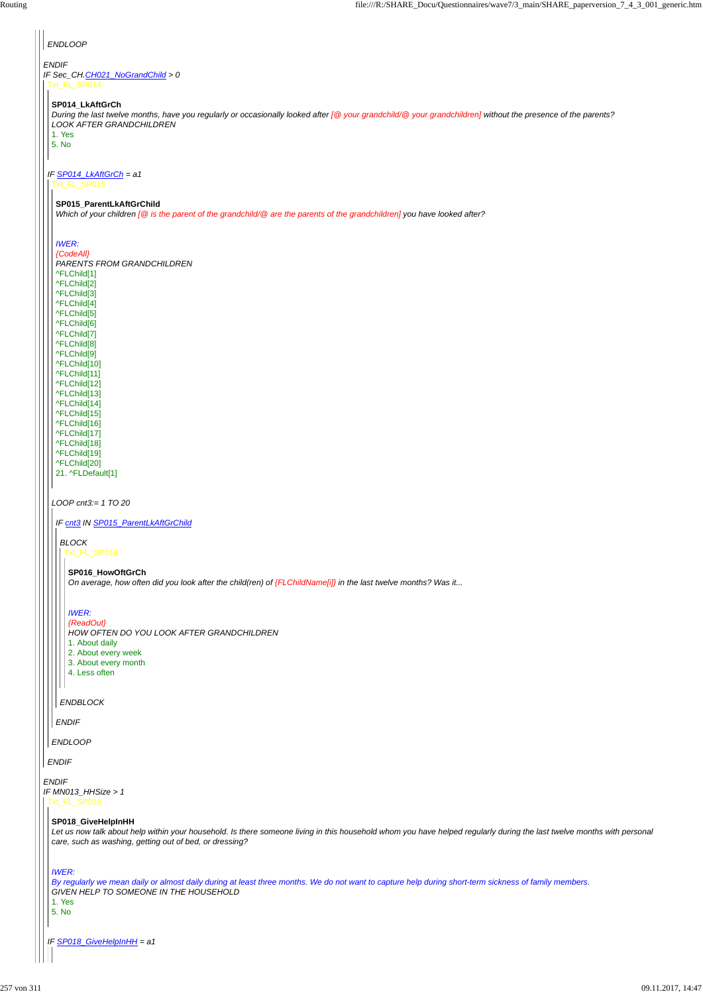*ENDIF IF MN013\_HHSize > 1*

# *ENDIF*

# *ENDLOOP ENDIF IF Sec\_CH.CH021\_NoGrandChild > 0* Txt\_FL\_SP014 **SP014\_LkAftGrCh** *During the last twelve months, have you regularly or occasionally looked after [@ your grandchild/@ your grandchildren] without the presence of the parents? LOOK AFTER GRANDCHILDREN* 1. Yes 5. No *IF SP014\_LkAftGrCh = a1* Txt\_FL\_SP015 **SP015\_ParentLkAftGrChild** *Which of your children [@ is the parent of the grandchild/@ are the parents of the grandchildren] you have looked after? IWER: {CodeAll} PARENTS FROM GRANDCHILDREN* ^FLChild[1] ^FLChild[2] ^FLChild[3] ^FLChild[4] ^FLChild[5] ^FLChild[6] ^FLChild[7] ^FLChild[8] ^FLChild[9] ^FLChild[10] ^FLChild[11] ^FLChild[12] ^FLChild[13] ^FLChild[14] ^FLChild[15] ^FLChild[16] ^FLChild[17] ^FLChild[18] ^FLChild[19] ^FLChild[20] 21. ^FLDefault[1] *LOOP cnt3:= 1 TO 20 IF cnt3 IN SP015\_ParentLkAftGrChild BLOCK* Txt\_FL\_SP016 **SP016\_HowOftGrCh** *On average, how often did you look after the child(ren) of {FLChildName[i]} in the last twelve months? Was it... IWER: {ReadOut} HOW OFTEN DO YOU LOOK AFTER GRANDCHILDREN* 1. About daily 2. About every week 3. About every month 4. Less often  $\mathbf{I}$ *ENDBLOCK ENDIF ENDLOOP*

*IF SP018\_GiveHelpInHH = a1*

**SP018\_GiveHelpInHH**

*Let us now talk about help within your household. Is there someone living in this household whom you have helped regularly during the last twelve months with personal care, such as washing, getting out of bed, or dressing?*

*IWER:*

*By regularly we mean daily or almost daily during at least three months. We do not want to capture help during short-term sickness of family members. GIVEN HELP TO SOMEONE IN THE HOUSEHOLD*

1. Yes

5. No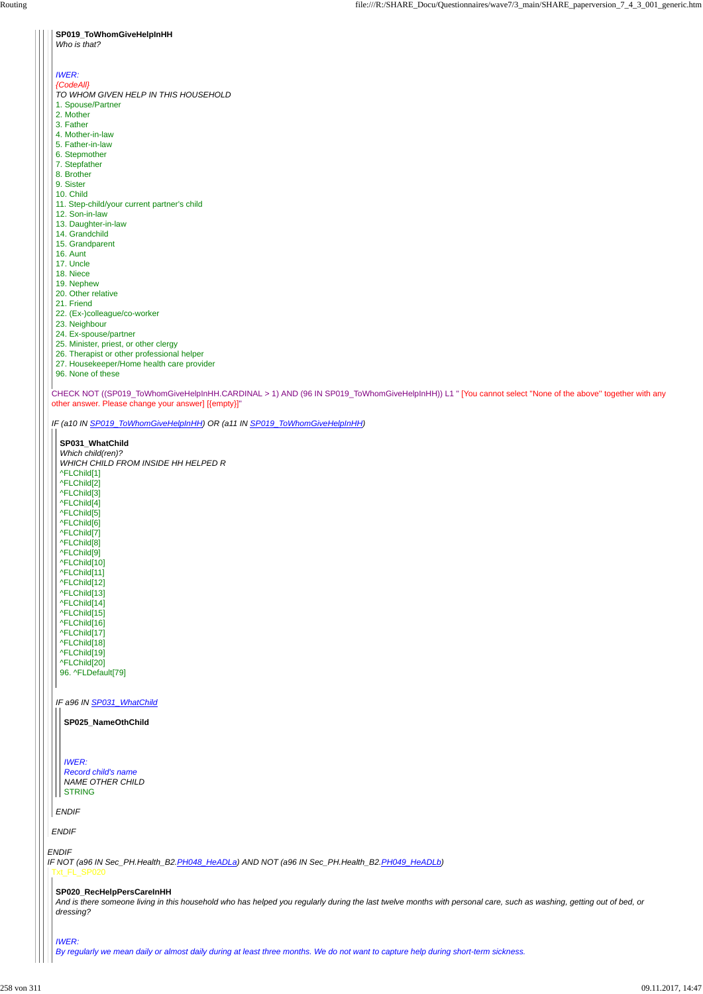CHECK NOT ((SP019\_ToWhomGiveHelpInHH.CARDINAL > 1) AND (96 IN SP019\_ToWhomGiveHelpInHH)) L1 " [You cannot select ''None of the above'' together with any other answer. Please change your answer] [{empty}]"

*IF (a10 IN SP019\_ToWhomGiveHelpInHH) OR (a11 IN SP019\_ToWhomGiveHelpInHH)*

*ENDIF*

#### **SP019\_ToWhomGiveHelpInHH**

#### *Who is that?*

# *IWER:*

#### *{CodeAll}*

```
SP031_WhatChild
Which child(ren)?
WHICH CHILD FROM INSIDE HH HELPED R
^FLChild[1]
^FLChild[2]
^FLChild[3]
^FLChild[4]
^FLChild[5]
^FLChild[6]
^FLChild[7]
^FLChild[8]
^FLChild[9]
^FLChild[10]
^FLChild[11]
^FLChild[12]
^FLChild[13]
^FLChild[14]
^FLChild[15]
^FLChild[16]
^FLChild[17]
^FLChild[18]
^FLChild[19]
^FLChild[20]
96. ^FLDefault[79]
```
- *TO WHOM GIVEN HELP IN THIS HOUSEHOLD*
- 1. Spouse/Partner
- 2. Mother
- 3. Father
- 4. Mother-in-law
- 5. Father-in-law
- 6. Stepmother
- 7. Stepfather
- 8. Brother
- 9. Sister
- 10. Child
- 11. Step-child/your current partner's child
- 12. Son-in-law
- 13. Daughter-in-law
- 14. Grandchild
- 15. Grandparent
- 16. Aunt
- 17. Uncle
- 18. Niece
- 19. Nephew 20. Other relative
- 21. Friend
- 22. (Ex-)colleague/co-worker
- 23. Neighbour
- 24. Ex-spouse/partner
- 25. Minister, priest, or other clergy
- 26. Therapist or other professional helper
- 27. Housekeeper/Home health care provider
- 96. None of these

*ENDIF IF NOT (a96 IN Sec\_PH.Health\_B2.PH048\_HeADLa) AND NOT (a96 IN Sec\_PH.Health\_B2.PH049\_HeADLb)* Txt\_FL\_SP020

*IF a96 IN SP031\_WhatChild*

*ENDIF*

**SP025\_NameOthChild**

*IWER: Record child's name NAME OTHER CHILD* STRING

#### **SP020\_RecHelpPersCareInHH**

*And is there someone living in this household who has helped you regularly during the last twelve months with personal care, such as washing, getting out of bed, or dressing?*

*IWER:*

*By regularly we mean daily or almost daily during at least three months. We do not want to capture help during short-term sickness.*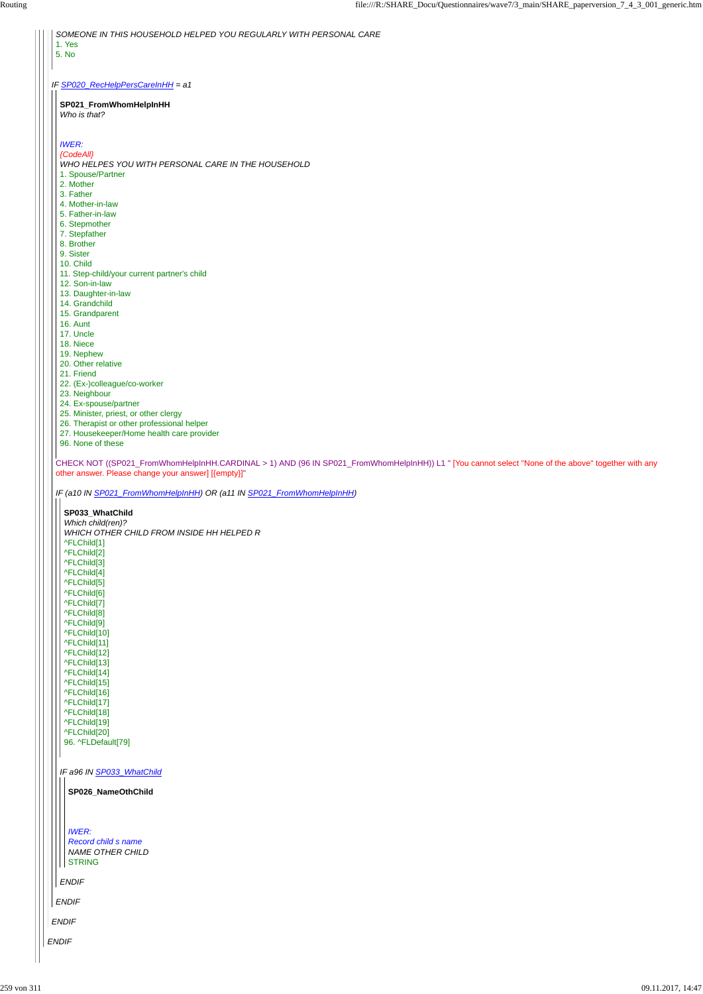*SOMEONE IN THIS HOUSEHOLD HELPED YOU REGULARLY WITH PERSONAL CARE*

| SP026_NameOthChild                                                                              |  |  |
|-------------------------------------------------------------------------------------------------|--|--|
| <b>IWER:</b><br>Record child s name<br><b>NAME OTHER CHILD</b><br><b>STRING</b><br><b>ENDIF</b> |  |  |
| <b>ENDIF</b>                                                                                    |  |  |
|                                                                                                 |  |  |
| <b>ENDIF</b>                                                                                    |  |  |

1. Yes 5. No

| IF SP020_RecHelpPersCareInHH = a1                                                                                                                  |
|----------------------------------------------------------------------------------------------------------------------------------------------------|
| SP021_FromWhomHelpInHH<br>Who is that?                                                                                                             |
|                                                                                                                                                    |
| <b>IWER:</b>                                                                                                                                       |
| {CodeAll}                                                                                                                                          |
| WHO HELPES YOU WITH PERSONAL CARE IN THE HOUSEHOLD                                                                                                 |
| 1. Spouse/Partner<br>2. Mother                                                                                                                     |
| 3. Father                                                                                                                                          |
| 4. Mother-in-law                                                                                                                                   |
| 5. Father-in-law                                                                                                                                   |
| 6. Stepmother                                                                                                                                      |
| 7. Stepfather<br>8. Brother                                                                                                                        |
| 9. Sister                                                                                                                                          |
| 10. Child                                                                                                                                          |
| 11. Step-child/your current partner's child                                                                                                        |
| 12. Son-in-law                                                                                                                                     |
| 13. Daughter-in-law<br>14. Grandchild                                                                                                              |
| 15. Grandparent                                                                                                                                    |
| 16. Aunt                                                                                                                                           |
| 17. Uncle                                                                                                                                          |
| 18. Niece                                                                                                                                          |
| 19. Nephew<br>20. Other relative                                                                                                                   |
| 21. Friend                                                                                                                                         |
| 22. (Ex-)colleague/co-worker                                                                                                                       |
| 23. Neighbour                                                                                                                                      |
| 24. Ex-spouse/partner<br>25. Minister, priest, or other clergy                                                                                     |
| 26. Therapist or other professional helper                                                                                                         |
| 27. Housekeeper/Home health care provider                                                                                                          |
| 96. None of these                                                                                                                                  |
| CHECK NOT ((SP021_FromWhomHelpInHH.CARDINAL > 1) AND (96 IN SP021_FromWhomHelpInHH)) L1 " [You cannot select "None of the above" together with any |
| other answer. Please change your answer] [{empty}]"                                                                                                |
| IF (a10 IN SP021_FromWhomHelpInHH) OR (a11 IN SP021_FromWhomHelpInHH)                                                                              |
| SP033_WhatChild                                                                                                                                    |
| Which child(ren)?                                                                                                                                  |
| WHICH OTHER CHILD FROM INSIDE HH HELPED R                                                                                                          |
| ^FLChild[1]                                                                                                                                        |
| ^FLChild[2]<br>^FLChild[3]                                                                                                                         |
| ^FLChild[4]                                                                                                                                        |
| ^FLChild[5]                                                                                                                                        |
| ^FLChild[6]                                                                                                                                        |
| ^FLChild[7]                                                                                                                                        |
| ^FLChild[8]<br>^FLChild[9]                                                                                                                         |
| ^FLChild[10]                                                                                                                                       |
| ^FLChild[11]                                                                                                                                       |
| ^FLChild[12]                                                                                                                                       |
| ^FLChild[13]<br>^FLChild[14]                                                                                                                       |
| ^FLChild[15]                                                                                                                                       |
| ^FLChild[16]                                                                                                                                       |
| ^FLChild[17]                                                                                                                                       |
| ^FLChild[18]<br>^FLChild[19]                                                                                                                       |
| ^FLChild[20]                                                                                                                                       |
| 96. ^FLDefault[79]                                                                                                                                 |
|                                                                                                                                                    |
| IF a96 IN SP033_WhatChild                                                                                                                          |
|                                                                                                                                                    |
| SP026_NameOthChild                                                                                                                                 |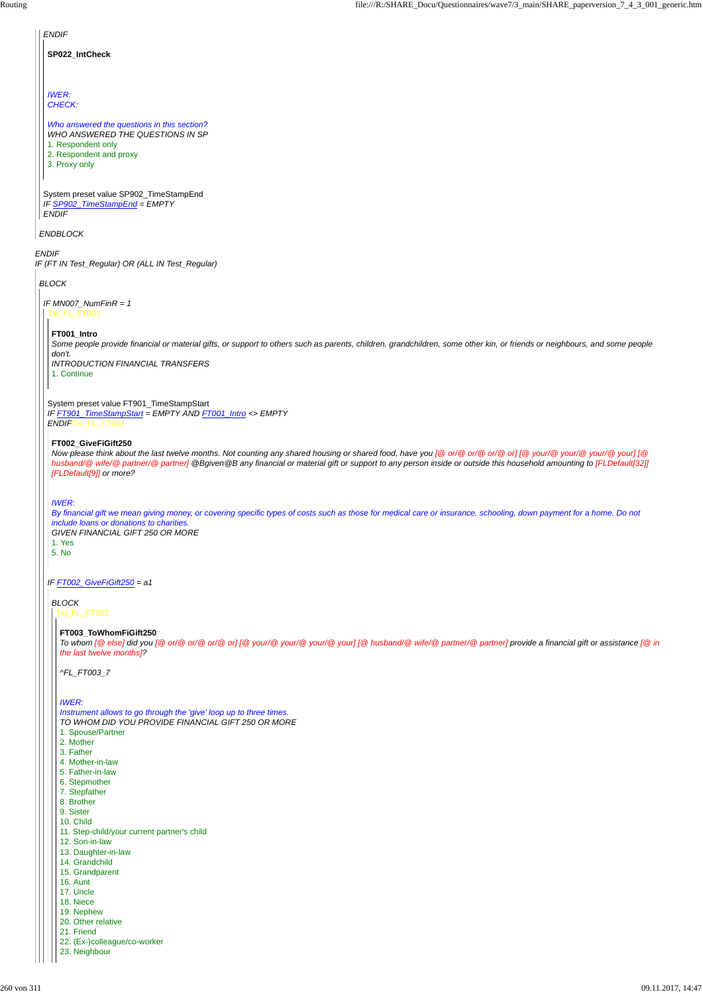| <b>ENDIF</b>                                                                                                                                                                                                                                                                                                                                                                            |
|-----------------------------------------------------------------------------------------------------------------------------------------------------------------------------------------------------------------------------------------------------------------------------------------------------------------------------------------------------------------------------------------|
| SP022_IntCheck                                                                                                                                                                                                                                                                                                                                                                          |
|                                                                                                                                                                                                                                                                                                                                                                                         |
| <b>IWER:</b><br><b>CHECK:</b>                                                                                                                                                                                                                                                                                                                                                           |
| Who answered the questions in this section?<br>WHO ANSWERED THE QUESTIONS IN SP<br>1. Respondent only<br>2. Respondent and proxy<br>3. Proxy only                                                                                                                                                                                                                                       |
|                                                                                                                                                                                                                                                                                                                                                                                         |
| System preset value SP902_TimeStampEnd<br>IF SP902_TimeStampEnd = EMPTY<br><b>ENDIF</b>                                                                                                                                                                                                                                                                                                 |
| <b>ENDBLOCK</b>                                                                                                                                                                                                                                                                                                                                                                         |
| <b>ENDIF</b><br>IF (FT IN Test_Regular) OR (ALL IN Test_Regular)                                                                                                                                                                                                                                                                                                                        |
| <b>BLOCK</b>                                                                                                                                                                                                                                                                                                                                                                            |
| IF $MN007_N$ <i>NumFinR</i> = 1<br>Txt_FL_FT001                                                                                                                                                                                                                                                                                                                                         |
| FT001_Intro<br>Some people provide financial or material gifts, or support to others such as parents, children, grandchildren, some other kin, or friends or neighbours, and some people<br>don't.<br><b>INTRODUCTION FINANCIAL TRANSFERS</b><br>1. Continue                                                                                                                            |
| System preset value FT901_TimeStampStart<br>IF FT901_TimeStampStart = EMPTY AND FT001_Intro <> EMPTY<br>ENDIFTxt_FL_FT002                                                                                                                                                                                                                                                               |
| FT002_GiveFiGift250<br>Now please think about the last twelve months. Not counting any shared housing or shared food, have you [@ or/@ or/@ or/@ or] [@ your/@ your/@ your/@ your] [@<br>husband/@ wife/@ partner/@ partner] @Bgiven@B any financial or material gift or support to any person inside or outside this household amounting to [FLDefault[32]]<br>[FLDefault[9]] or more? |
| <b>IWER:</b><br>By financial gift we mean giving money, or covering specific types of costs such as those for medical care or insurance, schooling, down payment for a home. Do not<br>include loans or donations to charities.<br>GIVEN FINANCIAL GIFT 250 OR MORE<br>1. Yes<br>5. No                                                                                                  |
| IF FT002_GiveFiGift250 = a1                                                                                                                                                                                                                                                                                                                                                             |
| <b>BLOCK</b><br>Txt_FL_FT003                                                                                                                                                                                                                                                                                                                                                            |
| FT003_ToWhomFiGift250<br>To whom [@else] did you [@or/@or/@or/@or] [@your/@your/@your] [@husband/@wife/@partner/@partner] provide a financial gift or assistance [@in<br>the last twelve months]?                                                                                                                                                                                       |

*^FL\_FT003\_7*

*IWER:*

*Instrument allows to go through the 'give' loop up to three times. TO WHOM DID YOU PROVIDE FINANCIAL GIFT 250 OR MORE* 1. Spouse/Partner

2. Mother

3. Father

4. Mother-in-law

5. Father-in-law

6. Stepmother

7. Stepfather

8. Brother

9. Sister

10. Child

11. Step-child/your current partner's child

12. Son-in-law

13. Daughter-in-law

14. Grandchild

15. Grandparent

16. Aunt

17. Uncle

18. Niece

19. Nephew

20. Other relative

21. Friend

22. (Ex-)colleague/co-worker

23. Neighbour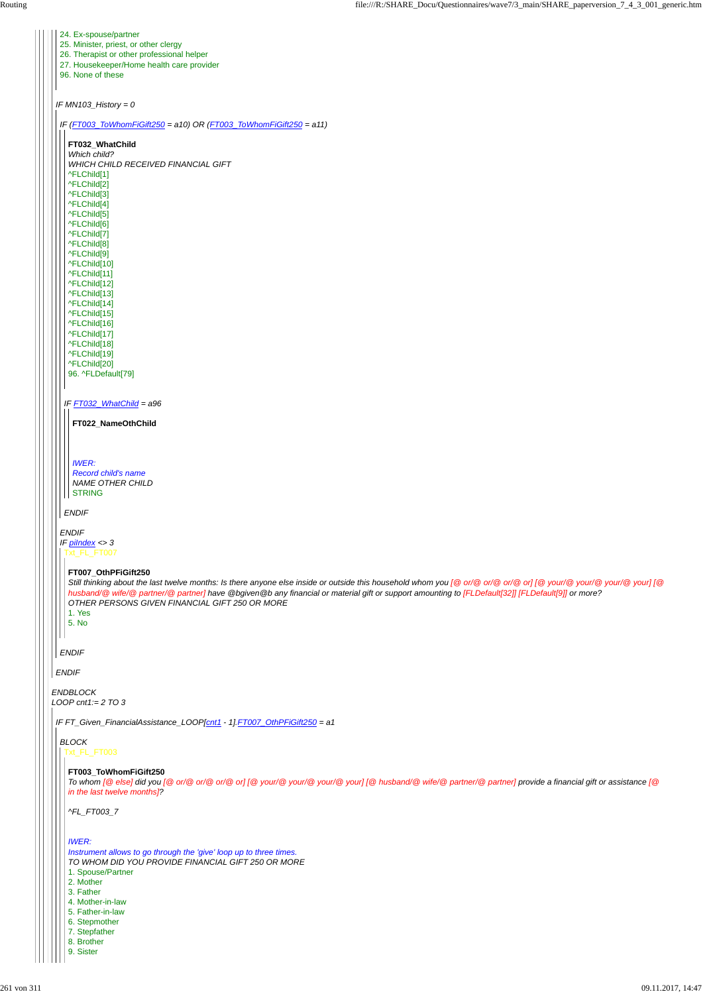|              | 24. Ex-spouse/partner<br>25. Minister, priest, or other clergy<br>26. Therapist or other professional helper<br>27. Housekeeper/Home health care provider                                                                                                                                                               |
|--------------|-------------------------------------------------------------------------------------------------------------------------------------------------------------------------------------------------------------------------------------------------------------------------------------------------------------------------|
|              | 96. None of these                                                                                                                                                                                                                                                                                                       |
|              | IF $MN103$ _History = 0                                                                                                                                                                                                                                                                                                 |
|              | IF (FT003_ToWhomFiGift250 = a10) OR (FT003_ToWhomFiGift250 = a11)                                                                                                                                                                                                                                                       |
|              | FT032_WhatChild                                                                                                                                                                                                                                                                                                         |
|              | Which child?                                                                                                                                                                                                                                                                                                            |
|              | WHICH CHILD RECEIVED FINANCIAL GIFT                                                                                                                                                                                                                                                                                     |
|              | ^FLChild[1]                                                                                                                                                                                                                                                                                                             |
|              | ^FLChild[2]                                                                                                                                                                                                                                                                                                             |
|              | ^FLChild[3]                                                                                                                                                                                                                                                                                                             |
|              | ^FLChild[4]<br>^FLChild[5]                                                                                                                                                                                                                                                                                              |
|              | ^FLChild[6]                                                                                                                                                                                                                                                                                                             |
|              | ^FLChild[7]                                                                                                                                                                                                                                                                                                             |
|              | ^FLChild[8]                                                                                                                                                                                                                                                                                                             |
|              | ^FLChild[9]                                                                                                                                                                                                                                                                                                             |
|              | ^FLChild[10]                                                                                                                                                                                                                                                                                                            |
|              | ^FLChild[11]                                                                                                                                                                                                                                                                                                            |
|              | ^FLChild[12]                                                                                                                                                                                                                                                                                                            |
|              | ^FLChild[13]<br>^FLChild[14]                                                                                                                                                                                                                                                                                            |
|              | ^FLChild[15]                                                                                                                                                                                                                                                                                                            |
|              | ^FLChild[16]                                                                                                                                                                                                                                                                                                            |
|              | ^FLChild[17]                                                                                                                                                                                                                                                                                                            |
|              | ^FLChild[18]                                                                                                                                                                                                                                                                                                            |
|              | ^FLChild[19]                                                                                                                                                                                                                                                                                                            |
|              | ^FLChild[20]<br>96. ^FLDefault[79]                                                                                                                                                                                                                                                                                      |
|              |                                                                                                                                                                                                                                                                                                                         |
|              | IF FT032_WhatChild = a96                                                                                                                                                                                                                                                                                                |
|              |                                                                                                                                                                                                                                                                                                                         |
|              | FT022_NameOthChild                                                                                                                                                                                                                                                                                                      |
|              |                                                                                                                                                                                                                                                                                                                         |
|              |                                                                                                                                                                                                                                                                                                                         |
|              | <b>IWER:</b>                                                                                                                                                                                                                                                                                                            |
|              | Record child's name                                                                                                                                                                                                                                                                                                     |
|              | <b>NAME OTHER CHILD</b><br><b>STRING</b>                                                                                                                                                                                                                                                                                |
|              |                                                                                                                                                                                                                                                                                                                         |
|              | <b>ENDIF</b>                                                                                                                                                                                                                                                                                                            |
| <b>ENDIF</b> |                                                                                                                                                                                                                                                                                                                         |
|              | IF $p$ <i>ilndex</i> <> 3                                                                                                                                                                                                                                                                                               |
|              | Txt_FL_FT007                                                                                                                                                                                                                                                                                                            |
|              |                                                                                                                                                                                                                                                                                                                         |
|              | FT007_OthPFiGift250                                                                                                                                                                                                                                                                                                     |
|              | Still thinking about the last twelve months: Is there anyone else inside or outside this household whom you [@ or/@ or/@ or/@ or] [@ your/@ your/@ your/@ your] [@<br>husband/@ wife/@ partner/@ partner] have @bgiven@b any financial or material gift or support amounting to [FLDefault[32]] [FLDefault[9]] or more? |
|              | OTHER PERSONS GIVEN FINANCIAL GIFT 250 OR MORE                                                                                                                                                                                                                                                                          |
|              | 1. Yes                                                                                                                                                                                                                                                                                                                  |
|              | 5. No                                                                                                                                                                                                                                                                                                                   |
|              |                                                                                                                                                                                                                                                                                                                         |
| <b>ENDIF</b> |                                                                                                                                                                                                                                                                                                                         |
| <b>ENDIF</b> |                                                                                                                                                                                                                                                                                                                         |
|              | <b>ENDBLOCK</b>                                                                                                                                                                                                                                                                                                         |
|              | LOOP cnt1:= $2 \text{ TO } 3$                                                                                                                                                                                                                                                                                           |
|              |                                                                                                                                                                                                                                                                                                                         |
|              | IF FT_Given_FinancialAssistance_LOOP[cnt1 - 1] FT007_OthPFiGift250 = a1                                                                                                                                                                                                                                                 |
| <b>BLOCK</b> |                                                                                                                                                                                                                                                                                                                         |
|              |                                                                                                                                                                                                                                                                                                                         |

#### t\_FL\_FT003

# **FT003\_ToWhomFiGift250**

*To whom [@ else] did you [@ or/@ or/@ or/@ or] [@ your/@ your/@ your/@ your] [@ husband/@ wife/@ partner/@ partner] provide a financial gift or assistance [@ in the last twelve months]?*

*^FL\_FT003\_7*

#### *IWER:*

*Instrument allows to go through the 'give' loop up to three times. TO WHOM DID YOU PROVIDE FINANCIAL GIFT 250 OR MORE*

- 1. Spouse/Partner
- 2. Mother
- 3. Father
- 4. Mother-in-law
- 5. Father-in-law
- 6. Stepmother
- 7. Stepfather
- 8. Brother
- 9. Sister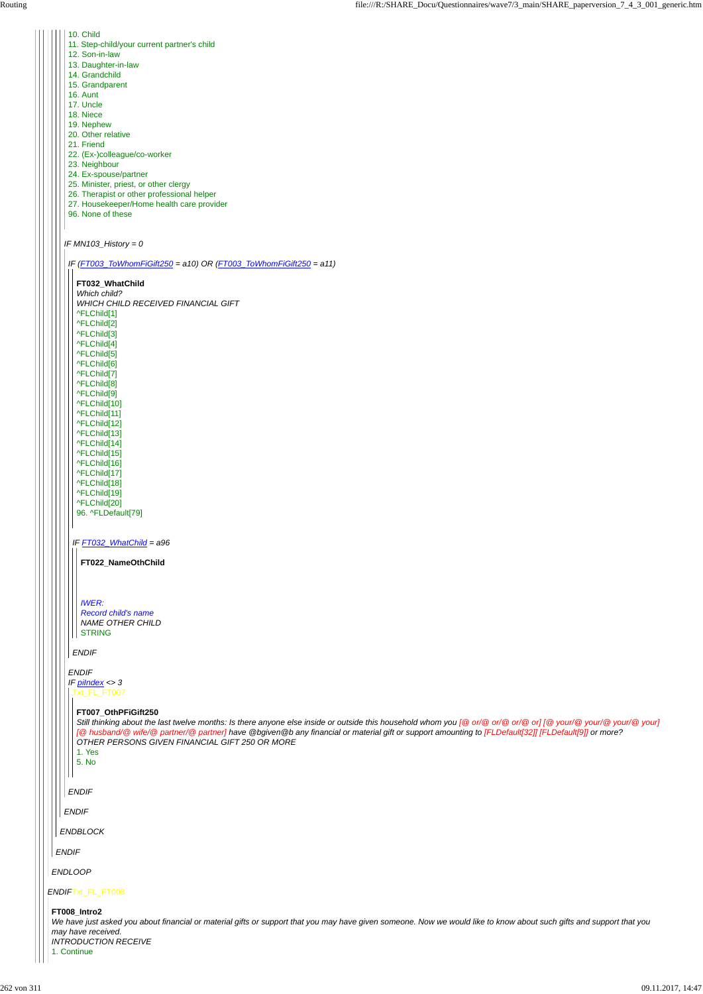*IF MN103\_History = 0*

- 10. Child
- 11. Step-child/your current partner's child
- 12. Son-in-law
- 13. Daughter-in-law
- 14. Grandchild
- 15. Grandparent
- 
- 16. Aunt
- 17. Uncle
- 18. Niece
- 19. Nephew
- 20. Other relative
- 21. Friend
- 22. (Ex-)colleague/co-worker
- 23. Neighbour
- 24. Ex-spouse/partner
- 25. Minister, priest, or other clergy
- 26. Therapist or other professional helper
- 27. Housekeeper/Home health care provider
- 96. None of these

*Which child? WHICH CHILD RECEIVED FINANCIAL GIFT* ^FLChild[1] ^FLChild[2] ^FLChild[3] ^FLChild[4] ^FLChild[5] ^FLChild[6] ^FLChild[7] ^FLChild[8] ^FLChild[9] ^FLChild[10] ^FLChild[11] ^FLChild[12] ^FLChild[13] ^FLChild[14] ^FLChild[15] ^FLChild[16] ^FLChild[17] ^FLChild[18] ^FLChild[19] ^FLChild[20] 96. ^FLDefault[79]

*Record child's name NAME OTHER CHILD* | STRING

*IF (FT003\_ToWhomFiGift250 = a10) OR (FT003\_ToWhomFiGift250 = a11)*

*IF FT032\_WhatChild = a96*

*ENDIF*

**FT032\_WhatChild**

Still thinking about the last twelve months: Is there anyone else inside or outside this household whom you [@ or/@ or/@ or/@ or] [@ your/@ your/@ your/@ your/@ your/@ your/@ your/@ your/ *[@ husband/@ wife/@ partner/@ partner] have @bgiven@b any financial or material gift or support amounting to [FLDefault[32]] [FLDefault[9]] or more? OTHER PERSONS GIVEN FINANCIAL GIFT 250 OR MORE*

| 1. Yes<br>5. No                                                                                                                                                                                                                                          |
|----------------------------------------------------------------------------------------------------------------------------------------------------------------------------------------------------------------------------------------------------------|
| <b>ENDIF</b>                                                                                                                                                                                                                                             |
| <b>ENDIF</b>                                                                                                                                                                                                                                             |
| <b>ENDBLOCK</b>                                                                                                                                                                                                                                          |
| <b>ENDIF</b>                                                                                                                                                                                                                                             |
| <b>ENDLOOP</b>                                                                                                                                                                                                                                           |
| ENDIFTxt_FL_FT008                                                                                                                                                                                                                                        |
| FT008_Intro2<br>We have just asked you about financial or material gifts or support that you may have given someone. Now we would like to know about such gifts and support that you<br>may have received.<br><b>INTRODUCTION RECEIVE</b><br>1. Continue |

*ENDIF IF piIndex <> 3* Txt\_FL\_FT007

**FT022\_NameOthChild**

*IWER:*

#### **FT007\_OthPFiGift250**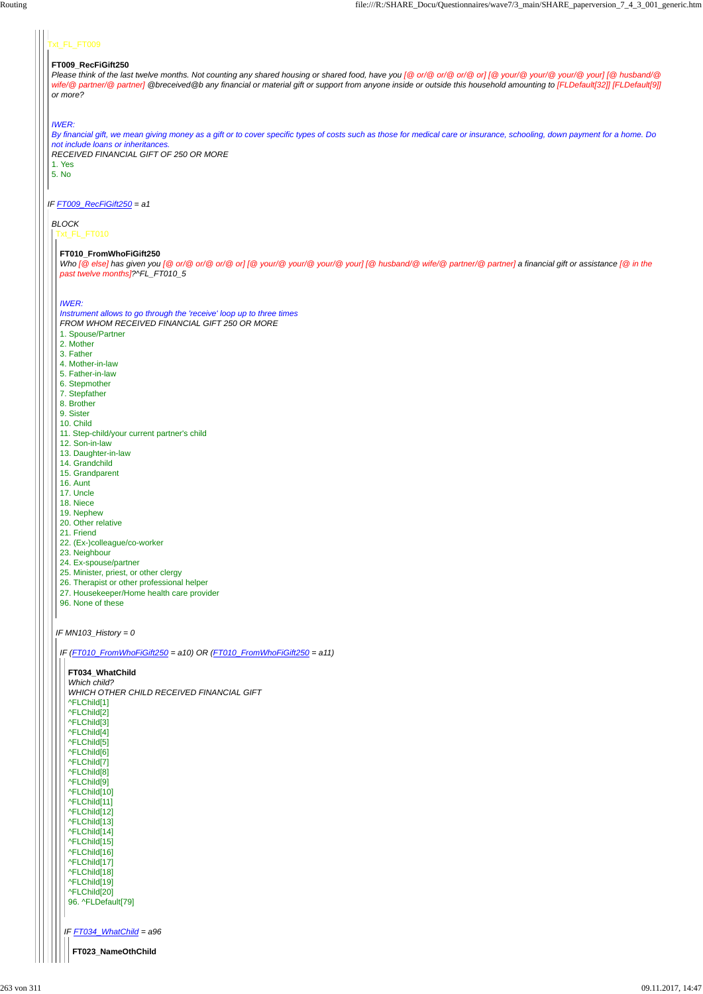# $t$ <sub>\_FL\_FT009</sub>

*IF FT009\_RecFiGift250 = a1*

### **FT009\_RecFiGift250**

*Please think of the last twelve months. Not counting any shared housing or shared food, have you [@ or/@ or/@ or/@ or] [@ your/@ your/@ your/@ your] [@ husband/@* wife/@ partner/@ partner] @breceived@b any financial or material gift or support from anyone inside or outside this household amounting to [FLDefault[32]] [FLDefault[9]] *or more?*

#### *IWER:*

Who [@ else] has given you [@ or/@ or/@ or/@ or] [@ your/@ your/@ your] [@ husband/@ wife/@ partner/@ partner] a financial gift or assistance [@ in the *past twelve months]?^FL\_FT010\_5*

*By financial gift, we mean giving money as a gift or to cover specific types of costs such as those for medical care or insurance, schooling, down payment for a home. Do not include loans or inheritances. RECEIVED FINANCIAL GIFT OF 250 OR MORE* 1. Yes 5. No

# *BLOCK*

Txt\_FL\_FT010

*IF MN103\_History = 0*

#### **FT010\_FromWhoFiGift250**

#### *IWER:*

*Instrument allows to go through the 'receive' loop up to three times FROM WHOM RECEIVED FINANCIAL GIFT 250 OR MORE*

- 1. Spouse/Partner
- 2. Mother
- 3. Father
- 4. Mother-in-law
- 5. Father-in-law
- 6. Stepmother
- 7. Stepfather
- 8. Brother
- 9. Sister
- 10. Child
- 11. Step-child/your current partner's child
- 12. Son-in-law
- 13. Daughter-in-law
- 14. Grandchild
- 15. Grandparent
- 16. Aunt
- 17. Uncle
- 18. Niece
- 19. Nephew
- 20. Other relative
- 21. Friend
- 22. (Ex-)colleague/co-worker
- 23. Neighbour
- 24. Ex-spouse/partner
- 25. Minister, priest, or other clergy
- 26. Therapist or other professional helper
- 27. Housekeeper/Home health care provider
- 96. None of these

*IF (FT010\_FromWhoFiGift250 = a10) OR (FT010\_FromWhoFiGift250 = a11)*

**FT034\_WhatChild** *Which child? WHICH OTHER CHILD RECEIVED FINANCIAL GIFT* ^FLChild[1] ^FLChild[2] ^FLChild[3] ^FLChild[4] ^FLChild[5]

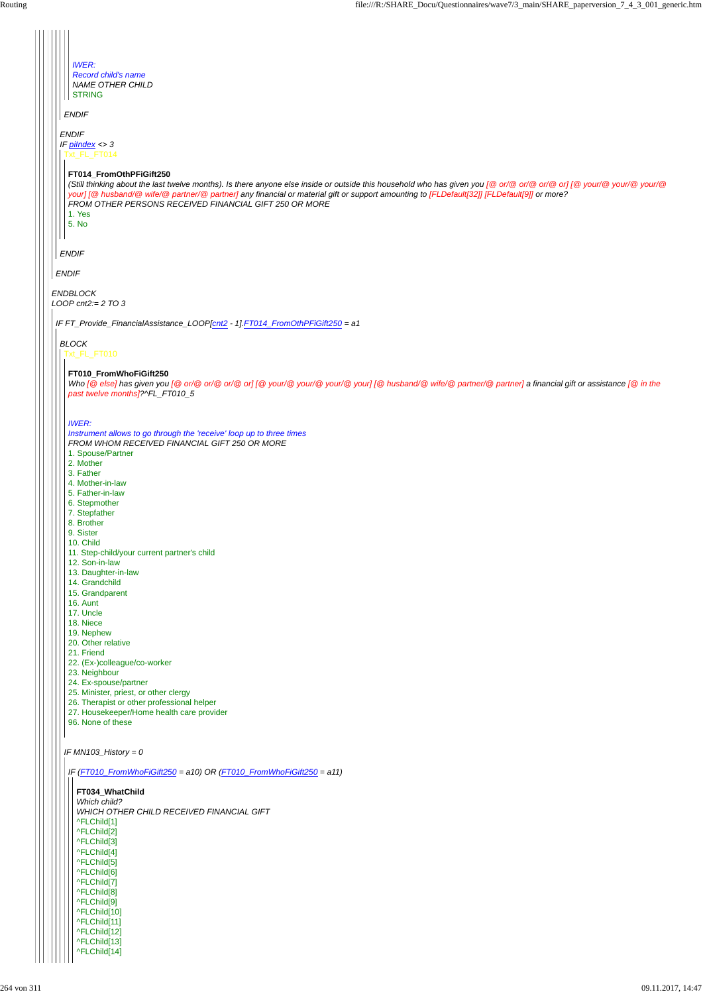*IF MN103\_History = 0*

|  | <b>IWER:</b>                                                                                                                                                               |
|--|----------------------------------------------------------------------------------------------------------------------------------------------------------------------------|
|  | <b>Record child's name</b>                                                                                                                                                 |
|  | <b>NAME OTHER CHILD</b>                                                                                                                                                    |
|  | <b>STRING</b>                                                                                                                                                              |
|  | <b>ENDIF</b>                                                                                                                                                               |
|  |                                                                                                                                                                            |
|  | <b>ENDIF</b>                                                                                                                                                               |
|  | IF $p$ <i>ilndex</i> <> 3                                                                                                                                                  |
|  | Txt_FL_FT014                                                                                                                                                               |
|  |                                                                                                                                                                            |
|  | FT014_FromOthPFiGift250                                                                                                                                                    |
|  | (Still thinking about the last twelve months). Is there anyone else inside or outside this household who has given you [@ or/@ or/@ or/@ or] [@ your/@ your/@ your/@       |
|  | your] [@ husband/@ wife/@ partner/@ partner] any financial or material gift or support amounting to [FLDefault[32]] [FLDefault[9]] or more?                                |
|  | FROM OTHER PERSONS RECEIVED FINANCIAL GIFT 250 OR MORE                                                                                                                     |
|  | 1. Yes                                                                                                                                                                     |
|  | 5. No                                                                                                                                                                      |
|  |                                                                                                                                                                            |
|  | <b>ENDIF</b>                                                                                                                                                               |
|  |                                                                                                                                                                            |
|  | <b>ENDIF</b>                                                                                                                                                               |
|  |                                                                                                                                                                            |
|  | <b>ENDBLOCK</b>                                                                                                                                                            |
|  | $LOOP$ cnt $2 = 2$ TO 3                                                                                                                                                    |
|  |                                                                                                                                                                            |
|  | IF FT_Provide_FinancialAssistance_LOOP[cnt2 - 1].FT014_FromOthPFiGift250 = a1                                                                                              |
|  |                                                                                                                                                                            |
|  | <b>BLOCK</b>                                                                                                                                                               |
|  | Txt_FL_FT010                                                                                                                                                               |
|  |                                                                                                                                                                            |
|  | FT010_FromWhoFiGift250<br>Who [@else] has given you [@or/@or/@or/@or] [@your/@your/@your/@your] [@husband/@wife/@partner/@partner] a financial gift or assistance [@in the |
|  | past twelve months]?^FL_FT010_5                                                                                                                                            |
|  |                                                                                                                                                                            |
|  |                                                                                                                                                                            |
|  | <b>IWER:</b>                                                                                                                                                               |
|  | Instrument allows to go through the 'receive' loop up to three times                                                                                                       |
|  | FROM WHOM RECEIVED FINANCIAL GIFT 250 OR MORE                                                                                                                              |
|  | 1. Spouse/Partner                                                                                                                                                          |
|  | 2. Mother                                                                                                                                                                  |
|  | 3. Father                                                                                                                                                                  |
|  | 4. Mother-in-law                                                                                                                                                           |
|  | 5. Father-in-law                                                                                                                                                           |
|  | 6. Stepmother                                                                                                                                                              |
|  | 7. Stepfather<br>8. Brother                                                                                                                                                |
|  | 9. Sister                                                                                                                                                                  |
|  | 10. Child                                                                                                                                                                  |
|  | 11. Step-child/your current partner's child                                                                                                                                |
|  | 12. Son-in-law                                                                                                                                                             |
|  | 13. Daughter-in-law                                                                                                                                                        |
|  | 14. Grandchild                                                                                                                                                             |
|  | 15. Grandparent                                                                                                                                                            |
|  | 16. Aunt                                                                                                                                                                   |
|  | 17. Uncle                                                                                                                                                                  |
|  | 18. Niece                                                                                                                                                                  |
|  | 19. Nephew                                                                                                                                                                 |
|  | 20. Other relative                                                                                                                                                         |
|  | 21. Friend<br>22. (Ex-)colleague/co-worker                                                                                                                                 |
|  | 23. Neighbour                                                                                                                                                              |
|  | 24. Ex-spouse/partner                                                                                                                                                      |
|  | 25. Minister, priest, or other clergy                                                                                                                                      |
|  | 26. Therapist or other professional helper                                                                                                                                 |
|  | 27. Housekeeper/Home health care provider                                                                                                                                  |
|  | 96. None of these                                                                                                                                                          |
|  |                                                                                                                                                                            |

| IF $(FTO10_FromWhoFiGift250 = a10)$ OR $(FTO10_FromWhoFiGift250 = a11)$ |
|-------------------------------------------------------------------------|
| FT034 WhatChild                                                         |
| Which child?                                                            |
| WHICH OTHER CHILD RECEIVED FINANCIAL GIFT                               |
| ^FLChild[1]                                                             |
| ^FLChild[2]                                                             |
| ^FLChild[3]                                                             |
| ^FLChild[4]                                                             |
| ^FLChild[5]                                                             |
| ^FLChild[6]                                                             |
| ^FLChild[7]                                                             |
| ^FLChild <sup>[8]</sup>                                                 |
| ^FLChild[9]                                                             |
| ^FLChild[10]                                                            |
| ^FLChild[11]                                                            |
| ^FLChild[12]                                                            |
| ^FLChild[13]                                                            |
| ^FLChild[14]                                                            |
|                                                                         |

 $\mathbf{H}$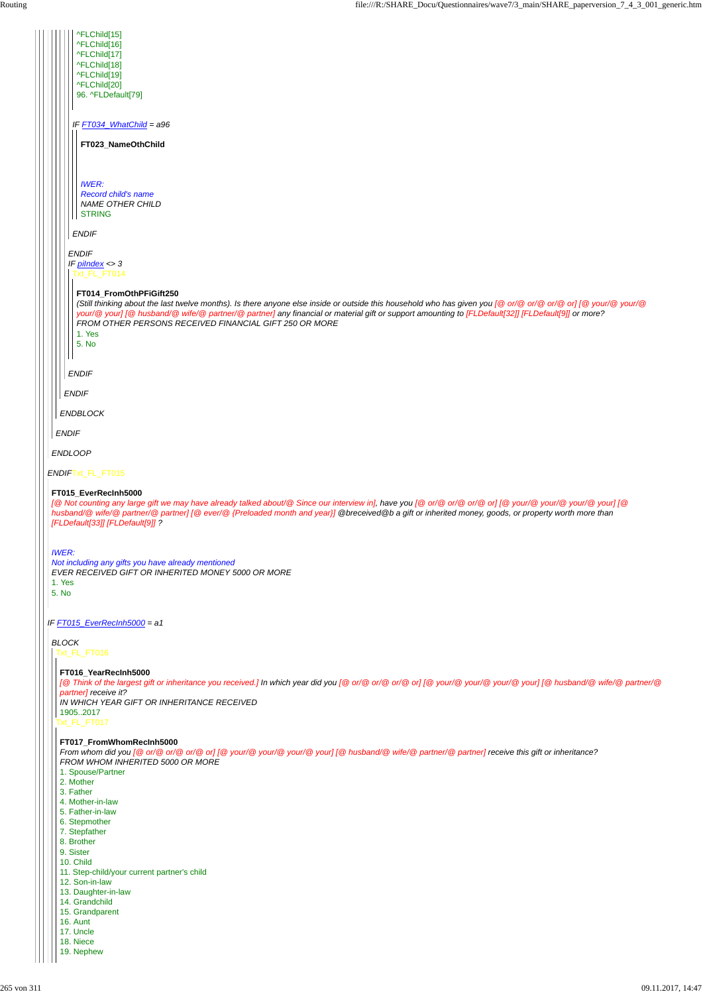|              | ^FLChild[15]<br>^FLChild[16]                                                                                                                                                                                                                                                                                       |
|--------------|--------------------------------------------------------------------------------------------------------------------------------------------------------------------------------------------------------------------------------------------------------------------------------------------------------------------|
|              | ^FLChild[17]                                                                                                                                                                                                                                                                                                       |
|              | ^FLChild[18]                                                                                                                                                                                                                                                                                                       |
|              | ^FLChild[19]<br>^FLChild[20]                                                                                                                                                                                                                                                                                       |
|              | 96. ^FLDefault[79]                                                                                                                                                                                                                                                                                                 |
|              | IF FT034_WhatChild = a96                                                                                                                                                                                                                                                                                           |
|              |                                                                                                                                                                                                                                                                                                                    |
|              | FT023_NameOthChild                                                                                                                                                                                                                                                                                                 |
|              |                                                                                                                                                                                                                                                                                                                    |
|              | <b>IWER:</b><br><b>Record child's name</b>                                                                                                                                                                                                                                                                         |
|              | <b>NAME OTHER CHILD</b>                                                                                                                                                                                                                                                                                            |
|              | <b>STRING</b>                                                                                                                                                                                                                                                                                                      |
|              | <b>ENDIF</b>                                                                                                                                                                                                                                                                                                       |
|              | <b>ENDIF</b>                                                                                                                                                                                                                                                                                                       |
|              | IF $pilndex < 3$<br>Txt_FL_FT014                                                                                                                                                                                                                                                                                   |
|              |                                                                                                                                                                                                                                                                                                                    |
|              | FT014_FromOthPFiGift250<br>(Still thinking about the last twelve months). Is there anyone else inside or outside this household who has given you [@ or/@ or/@ or/@ or] [@ your/@ your/@                                                                                                                           |
|              | your/@ your] [@ husband/@ wife/@ partner/@ partner] any financial or material gift or support amounting to [FLDefault[32]] [FLDefault[9]] or more?                                                                                                                                                                 |
|              | FROM OTHER PERSONS RECEIVED FINANCIAL GIFT 250 OR MORE<br>1. Yes                                                                                                                                                                                                                                                   |
|              | 5. No                                                                                                                                                                                                                                                                                                              |
|              |                                                                                                                                                                                                                                                                                                                    |
|              | <b>ENDIF</b>                                                                                                                                                                                                                                                                                                       |
|              | <b>ENDIF</b>                                                                                                                                                                                                                                                                                                       |
|              | <b>ENDBLOCK</b>                                                                                                                                                                                                                                                                                                    |
|              | <b>ENDIF</b>                                                                                                                                                                                                                                                                                                       |
|              |                                                                                                                                                                                                                                                                                                                    |
|              | <b>ENDLOOP</b>                                                                                                                                                                                                                                                                                                     |
|              | ENDIFTxt_FL_FT015                                                                                                                                                                                                                                                                                                  |
|              | FT015_EverRecInh5000                                                                                                                                                                                                                                                                                               |
|              | [@ Not counting any large gift we may have already talked about/@ Since our interview in], have you [@ or/@ or/@ or/@ or] [@ your/@ your/@ your/@ your] [@<br>husband/@ wife/@ partner/@ partner] [@ ever/@ {Preloaded month and year}] @breceived@b a gift or inherited money, goods, or property worth more than |
|              | [FLDefault[33]] [FLDefault[9]] ?                                                                                                                                                                                                                                                                                   |
|              |                                                                                                                                                                                                                                                                                                                    |
| <b>IWER:</b> |                                                                                                                                                                                                                                                                                                                    |
|              | Not including any gifts you have already mentioned<br>EVER RECEIVED GIFT OR INHERITED MONEY 5000 OR MORE                                                                                                                                                                                                           |
| 1. Yes       |                                                                                                                                                                                                                                                                                                                    |
| 5. No        |                                                                                                                                                                                                                                                                                                                    |
|              | IF FT015_EverRecInh5000 = a1                                                                                                                                                                                                                                                                                       |
| <b>BLOCK</b> |                                                                                                                                                                                                                                                                                                                    |
|              | Txt_FL_FT016                                                                                                                                                                                                                                                                                                       |
|              | FT016_YearRecInh5000                                                                                                                                                                                                                                                                                               |
|              | [@ Think of the largest gift or inheritance you received.] In which year did you [@ or/@ or/@ or/@ or] [@ your/@ your/@ your/@ your] [@ husband/@ wife/@ partner/@<br>partner] receive it?                                                                                                                         |
|              | IN WHICH YEAR GIFT OR INHERITANCE RECEIVED                                                                                                                                                                                                                                                                         |
|              | 19052017<br>Txt_FL_FT017                                                                                                                                                                                                                                                                                           |
|              |                                                                                                                                                                                                                                                                                                                    |

*From whom did you [@ or/@ or/@ or/@ or] [@ your/@ your/@ your/@ your] [@ husband/@ wife/@ partner/@ partner] receive this gift or inheritance? FROM WHOM INHERITED 5000 OR MORE* 1. Spouse/Partner 2. Mother 3. Father 4. Mother-in-law 5. Father-in-law 6. Stepmother 7. Stepfather 8. Brother 9. Sister 10. Child 11. Step-child/your current partner's child 12. Son-in-law 13. Daughter-in-law 14. Grandchild 15. Grandparent 16. Aunt 17. Uncle 18. Niece 19. Nephew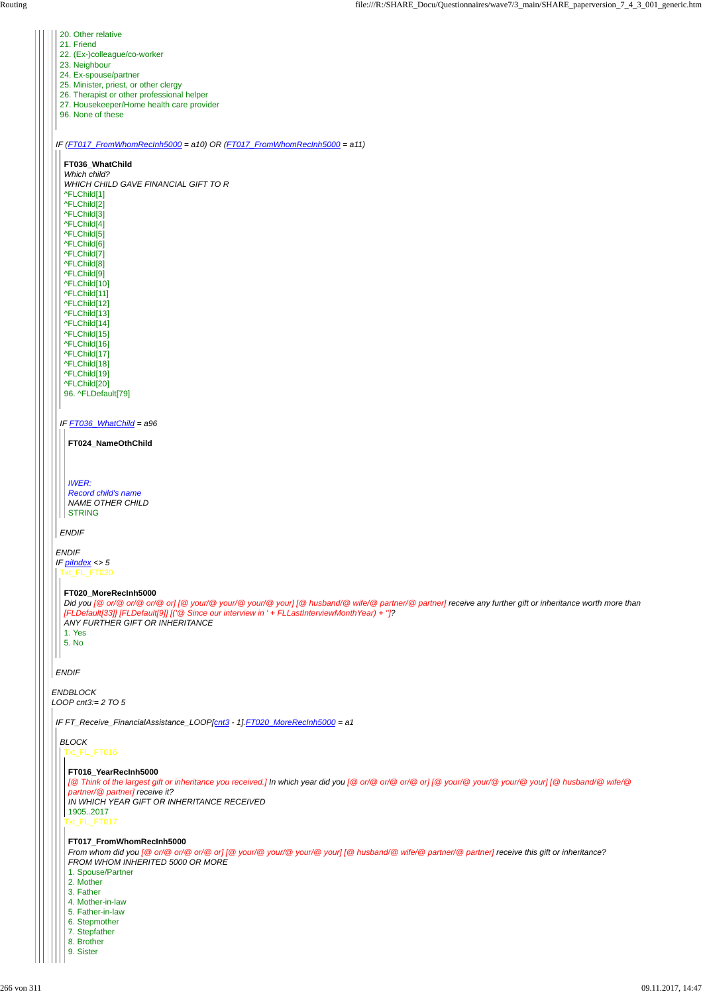| 20. Other relative                                                                                                                                         |  |
|------------------------------------------------------------------------------------------------------------------------------------------------------------|--|
| 21. Friend                                                                                                                                                 |  |
| 22. (Ex-)colleague/co-worker                                                                                                                               |  |
| 23. Neighbour                                                                                                                                              |  |
| 24. Ex-spouse/partner                                                                                                                                      |  |
| 25. Minister, priest, or other clergy                                                                                                                      |  |
| 26. Therapist or other professional helper<br>27. Housekeeper/Home health care provider                                                                    |  |
| 96. None of these                                                                                                                                          |  |
|                                                                                                                                                            |  |
|                                                                                                                                                            |  |
| IF (FT017_FromWhomRecInh5000 = a10) OR (FT017_FromWhomRecInh5000 = a11)                                                                                    |  |
|                                                                                                                                                            |  |
| FT036_WhatChild                                                                                                                                            |  |
| Which child?                                                                                                                                               |  |
| WHICH CHILD GAVE FINANCIAL GIFT TO R                                                                                                                       |  |
| ^FLChild[1]                                                                                                                                                |  |
| ^FLChild[2]                                                                                                                                                |  |
| ^FLChild[3]                                                                                                                                                |  |
| ^FLChild[4]                                                                                                                                                |  |
| ^FLChild[5]<br>^FLChild[6]                                                                                                                                 |  |
| ^FLChild[7]                                                                                                                                                |  |
| ^FLChild[8]                                                                                                                                                |  |
| ^FLChild[9]                                                                                                                                                |  |
| ^FLChild[10]                                                                                                                                               |  |
| ^FLChild[11]                                                                                                                                               |  |
| ^FLChild[12]                                                                                                                                               |  |
| ^FLChild[13]                                                                                                                                               |  |
| ^FLChild[14]                                                                                                                                               |  |
| ^FLChild[15]                                                                                                                                               |  |
| ^FLChild[16]                                                                                                                                               |  |
| ^FLChild[17]                                                                                                                                               |  |
| ^FLChild[18]                                                                                                                                               |  |
| ^FLChild[19]                                                                                                                                               |  |
| ^FLChild[20]                                                                                                                                               |  |
| 96. ^FLDefault[79]                                                                                                                                         |  |
|                                                                                                                                                            |  |
|                                                                                                                                                            |  |
| IF FT036_WhatChild = a96                                                                                                                                   |  |
|                                                                                                                                                            |  |
| FT024_NameOthChild                                                                                                                                         |  |
|                                                                                                                                                            |  |
|                                                                                                                                                            |  |
| <b>IWER:</b>                                                                                                                                               |  |
|                                                                                                                                                            |  |
|                                                                                                                                                            |  |
| <b>Record child's name</b>                                                                                                                                 |  |
| <b>NAME OTHER CHILD</b>                                                                                                                                    |  |
| <b>STRING</b>                                                                                                                                              |  |
|                                                                                                                                                            |  |
| <b>ENDIF</b>                                                                                                                                               |  |
| <b>ENDIF</b>                                                                                                                                               |  |
| IF $pilndex < 5$                                                                                                                                           |  |
| Txt_FL_FT020                                                                                                                                               |  |
|                                                                                                                                                            |  |
| FT020_MoreRecInh5000                                                                                                                                       |  |
| Did you [@ or/@ or/@ or/@ or] [@ your/@ your/@ your/@ your] [@ husband/@ wife/@ partner/@ partner] receive any further gift or inheritance worth more than |  |
| [FLDefault[33]] [FLDefault[9]] [('@ Since our interview in ' + FLLastInterviewMonth Year) + "]?                                                            |  |
| ANY FURTHER GIFT OR INHERITANCE                                                                                                                            |  |
| 1. Yes                                                                                                                                                     |  |
| 5. No                                                                                                                                                      |  |
|                                                                                                                                                            |  |
|                                                                                                                                                            |  |
| <b>ENDIF</b>                                                                                                                                               |  |
|                                                                                                                                                            |  |
| <b>ENDBLOCK</b>                                                                                                                                            |  |
| LOOP cnt3:= $2 \text{ TO } 5$                                                                                                                              |  |
| IF FT_Receive_FinancialAssistance_LOOP[cnt3 - 1].FT020_MoreRecInh5000 = a1                                                                                 |  |
| <b>BLOCK</b>                                                                                                                                               |  |

#### t\_FL\_FT016

Txt\_FL\_FT017

# **FT016\_YearRecInh5000**

*[@ Think of the largest gift or inheritance you received.] In which year did you [@ or/@ or/@ or/@ or] [@ your/@ your/@ your/@ your] [@ husband/@ wife/@ partner/@ partner] receive it? IN WHICH YEAR GIFT OR INHERITANCE RECEIVED* 1905..2017

# **FT017\_FromWhomRecInh5000**

*From whom did you [@ or/@ or/@ or/@ or] [@ your/@ your/@ your/@ your] [@ husband/@ wife/@ partner/@ partner] receive this gift or inheritance? FROM WHOM INHERITED 5000 OR MORE*

- 1. Spouse/Partner
- 2. Mother
- 3. Father
- 4. Mother-in-law
- 5. Father-in-law
- 6. Stepmother
- 7. Stepfather
- 8. Brother
- 9. Sister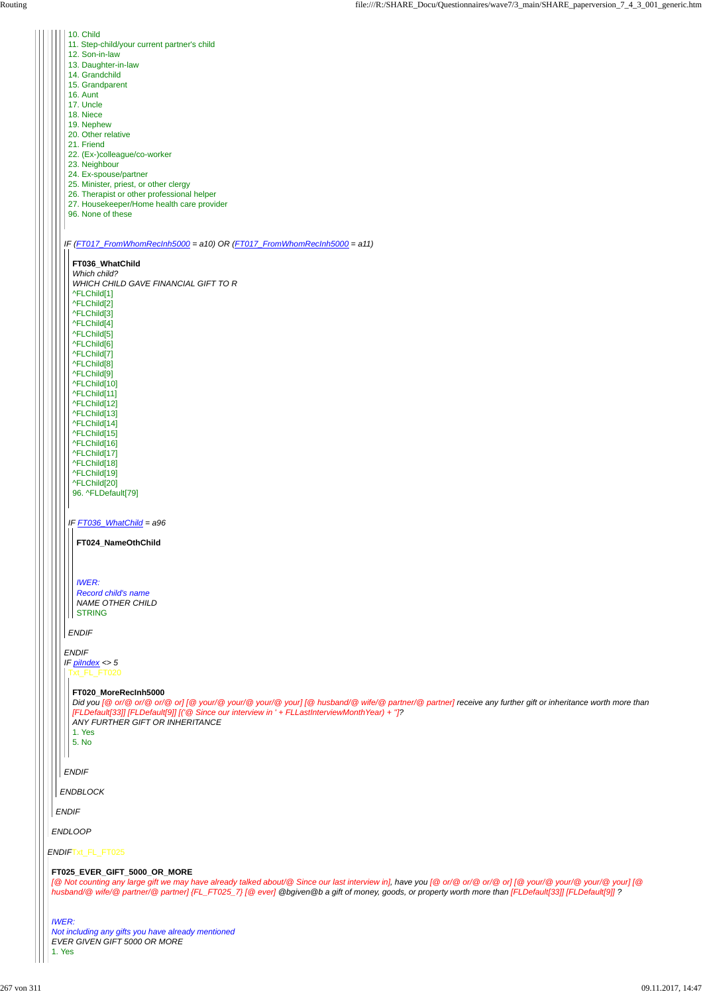*ENDIF*Txt\_FL\_FT025

*ENDLOOP*

*ENDIF*

*ENDBLOCK*

*IF (FT017\_FromWhomRecInh5000 = a10) OR (FT017\_FromWhomRecInh5000 = a11)*

#### *ENDIF*

 $\vert \vert \vert \vert$ 

- 10. Child
- 11. Step-child/your current partner's child
- 12. Son-in-law
- 13. Daughter-in-law
- 14. Grandchild
- 
- 15. Grandparent
- 16. Aunt
- 17. Uncle
- 18. Niece
- 19. Nephew
- 20. Other relative
- 21. Friend
- 22. (Ex-)colleague/co-worker
- 23. Neighbour
- 24. Ex-spouse/partner
- 25. Minister, priest, or other clergy
- 26. Therapist or other professional helper
- 27. Housekeeper/Home health care provider
- 96. None of these

*Record child's name NAME OTHER CHILD* || STRING

*ENDIF IF piIndex <> 5* Txt\_FL\_FT020

*ENDIF*

**FT036\_WhatChild**

*IF FT036\_WhatChild = a96 Which child? WHICH CHILD GAVE FINANCIAL GIFT TO R* ^FLChild[1] ^FLChild[2] ^FLChild[3] ^FLChild[4] ^FLChild[5] ^FLChild[6] ^FLChild[7] ^FLChild[8] ^FLChild[9] ^FLChild[10] ^FLChild[11] ^FLChild[12] ^FLChild[13] ^FLChild[14] ^FLChild[15] ^FLChild[16] ^FLChild[17] ^FLChild[18] ^FLChild[19] ^FLChild[20] 96. ^FLDefault[79]

**FT024\_NameOthChild**

#### *IWER:*

#### **FT020\_MoreRecInh5000**

*Did you [@ or/@ or/@ or/@ or] [@ your/@ your/@ your/@ your] [@ husband/@ wife/@ partner/@ partner] receive any further gift or inheritance worth more than [FLDefault[33]] [FLDefault[9]] [('@ Since our interview in ' + FLLastInterviewMonthYear) + '']? ANY FURTHER GIFT OR INHERITANCE*

1. Yes 5. No

#### **FT025\_EVER\_GIFT\_5000\_OR\_MORE**

*[@ Not counting any large gift we may have already talked about/@ Since our last interview in], have you [@ or/@ or/@ or/@ or] [@ your/@ your/@ your/@ your] [@ husband/@ wife/@ partner/@ partner] {FL\_FT025\_7} [@ ever] @bgiven@b a gift of money, goods, or property worth more than [FLDefault[33]] [FLDefault[9]] ?*

*IWER: Not including any gifts you have already mentioned EVER GIVEN GIFT 5000 OR MORE* 1. Yes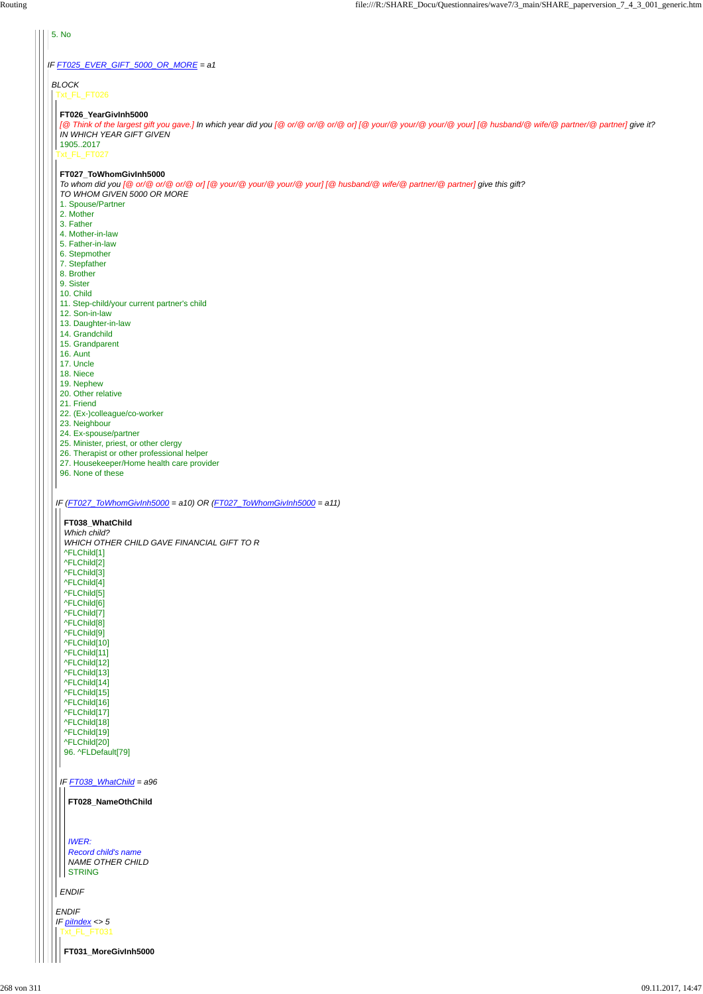# *IF FT025\_EVER\_GIFT\_5000\_OR\_MORE = a1*

### 5. No

*BLOCK* Txt\_FL\_FT026

#### Txt\_FL\_FT027

*IF (FT027\_ToWhomGivInh5000 = a10) OR (FT027\_ToWhomGivInh5000 = a11)*

# **FT026\_YearGivInh5000**

*[@ Think of the largest gift you gave.] In which year did you [@ or/@ or/@ or/@ or] [@ your/@ your/@ your/@ your] [@ husband/@ wife/@ partner/@ partner] give it? IN WHICH YEAR GIFT GIVEN*

1905..2017

#### **FT027\_ToWhomGivInh5000**

*To whom did you [@ or/@ or/@ or/@ or] [@ your/@ your/@ your/@ your] [@ husband/@ wife/@ partner/@ partner] give this gift? TO WHOM GIVEN 5000 OR MORE*

- 1. Spouse/Partner
- 2. Mother
- 3. Father
- 4. Mother-in-law
- 5. Father-in-law
- 6. Stepmother
- 7. Stepfather
- 8. Brother
- 9. Sister
- 10. Child
- 11. Step-child/your current partner's child
- 12. Son-in-law
- 13. Daughter-in-law
- 14. Grandchild
- 15. Grandparent
- 16. Aunt
- 17. Uncle
- 18. Niece
- 19. Nephew
- 20. Other relative
- 21. Friend
- 22. (Ex-)colleague/co-worker
- 23. Neighbour
- 24. Ex-spouse/partner
- 25. Minister, priest, or other clergy
- 26. Therapist or other professional helper
- 27. Housekeeper/Home health care provider
- 96. None of these

| 96. ^FLDefault[79]                                                              |  |
|---------------------------------------------------------------------------------|--|
| IF FT038_WhatChild = a96                                                        |  |
| FT028_NameOthChild                                                              |  |
|                                                                                 |  |
| <b>IWER:</b><br>Record child's name<br><b>NAME OTHER CHILD</b><br><b>STRING</b> |  |
| <b>ENDIF</b>                                                                    |  |
| <b>ENDIF</b><br>IF $pilndex < 5$                                                |  |
| Txt_FL_FT031                                                                    |  |
| FT031_MoreGivInh5000                                                            |  |

| FT038 WhatChild                            |
|--------------------------------------------|
| Which child?                               |
| WHICH OTHER CHILD GAVE FINANCIAL GIFT TO R |
| ^FLChild[1]                                |
| ^FLChild[2]                                |
| ^FLChild[3]                                |
| ^FLChild[4]                                |
| ^FLChild[5]                                |
| ^FLChild[6]                                |
| ^FLChild[7]                                |
| ^FLChild[8]                                |
| ^FLChild[9]                                |
| ^FLChild[10]                               |
| ^FLChild[11]                               |
| ^FLChild[12]                               |
| ^FLChild[13]                               |
| ^FLChild[14]                               |
| ^FLChild[15]                               |
| ^FLChild[16]                               |
| ^FLChild[17]                               |
| ^FLChild[18]                               |
| ^FLChild[19]                               |
| ^FLChild[20]                               |
| QR AFI Default[70]                         |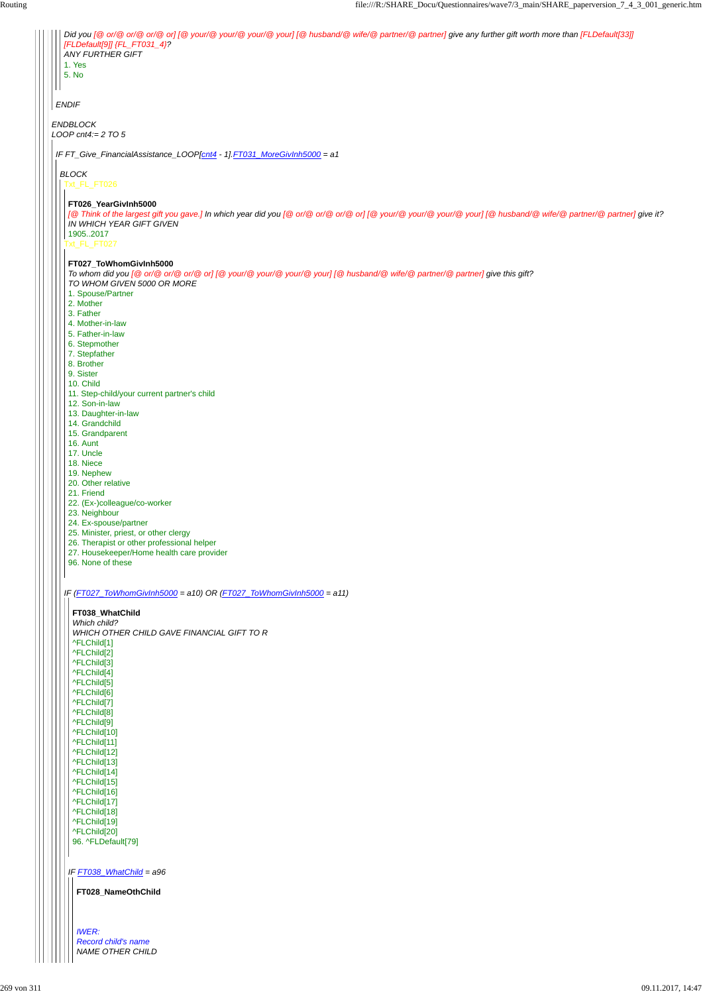|              | Did you [@ or/@ or/@ or/@ or] [@ your/@ your/@ your/@ your] [@ husband/@ wife/@ partner/@ partner] give any further gift worth more than [FLDefault[33]]                               |
|--------------|----------------------------------------------------------------------------------------------------------------------------------------------------------------------------------------|
|              | [FLDefault[9]] {FL_FT031_4}?<br><b>ANY FURTHER GIFT</b>                                                                                                                                |
|              | 1. Yes<br>5. No                                                                                                                                                                        |
|              |                                                                                                                                                                                        |
| <b>ENDIF</b> |                                                                                                                                                                                        |
|              |                                                                                                                                                                                        |
|              | <b>ENDBLOCK</b><br>LOOP cnt4:= $2 \, \text{TO} 5$                                                                                                                                      |
|              |                                                                                                                                                                                        |
|              | IF FT_Give_FinancialAssistance_LOOP[cnt4 - 1].FT031_MoreGivInh5000 = a1                                                                                                                |
|              | <b>BLOCK</b>                                                                                                                                                                           |
|              | Txt_FL_FT026                                                                                                                                                                           |
|              | FT026_YearGivInh5000                                                                                                                                                                   |
|              | [@ Think of the largest gift you gave.] In which year did you [@ or/@ or/@ or/@ or] [@ your/@ your/@ your] [@ husband/@ wife/@ partner/@ partner] give it?<br>IN WHICH YEAR GIFT GIVEN |
|              | 19052017                                                                                                                                                                               |
|              | Txt_FL_FT027                                                                                                                                                                           |
|              | FT027_ToWhomGivInh5000                                                                                                                                                                 |
|              | To whom did you [@ or/@ or/@ or/@ or] [@ your/@ your/@ your/@ your] [@ husband/@ wife/@ partner/@ partner] give this gift?<br>TO WHOM GIVEN 5000 OR MORE                               |
|              | 1. Spouse/Partner                                                                                                                                                                      |
|              | 2. Mother<br>3. Father                                                                                                                                                                 |
|              | 4. Mother-in-law                                                                                                                                                                       |
|              | 5. Father-in-law<br>6. Stepmother                                                                                                                                                      |
|              | 7. Stepfather<br>8. Brother                                                                                                                                                            |
|              | 9. Sister                                                                                                                                                                              |
|              | 10. Child<br>11. Step-child/your current partner's child                                                                                                                               |
|              | 12. Son-in-law                                                                                                                                                                         |
|              | 13. Daughter-in-law<br>14. Grandchild                                                                                                                                                  |
|              | 15. Grandparent                                                                                                                                                                        |
|              | 16. Aunt<br>17. Uncle                                                                                                                                                                  |
|              | 18. Niece                                                                                                                                                                              |
|              | 19. Nephew<br>20. Other relative                                                                                                                                                       |
|              | 21. Friend                                                                                                                                                                             |
|              | 22. (Ex-)colleague/co-worker<br>23. Neighbour                                                                                                                                          |
|              | 24. Ex-spouse/partner                                                                                                                                                                  |
|              | 25. Minister, priest, or other clergy<br>26. Therapist or other professional helper                                                                                                    |
|              | 27. Housekeeper/Home health care provider<br>96. None of these                                                                                                                         |
|              |                                                                                                                                                                                        |
|              | IF (FT027_ToWhomGivInh5000 = a10) OR (FT027_ToWhomGivInh5000 = a11)                                                                                                                    |
|              |                                                                                                                                                                                        |
|              | FT038_WhatChild<br>Which child?                                                                                                                                                        |
|              | WHICH OTHER CHILD GAVE FINANCIAL GIFT TO R                                                                                                                                             |
|              | ^FLChild[1]<br>^FLChild[2]                                                                                                                                                             |
|              | ^FLChild[3]                                                                                                                                                                            |
|              | ^FLChild[4]<br>^FLChild[5]                                                                                                                                                             |
|              | ^FLChild[6]                                                                                                                                                                            |
|              | ^FLChild[7]<br>^FLChild[8]                                                                                                                                                             |
|              | ^FLChild[9]<br>^FLChild[10]                                                                                                                                                            |
|              | ^FLChild[11]                                                                                                                                                                           |
|              | ^FLChild[12]<br>^FLChild[13]                                                                                                                                                           |
|              | ^FLChild[14]                                                                                                                                                                           |
|              | ^FLChild[15]<br>^FLChild[16]                                                                                                                                                           |
|              | ^FLChild[17]                                                                                                                                                                           |
|              | ^FLChild[18]<br>^FLChild[19]                                                                                                                                                           |
|              | ^FLChild[20]                                                                                                                                                                           |
|              | 96. ^FLDefault[79]                                                                                                                                                                     |
|              |                                                                                                                                                                                        |
|              | IF FT038_WhatChild = a96                                                                                                                                                               |
|              | FT028_NameOthChild                                                                                                                                                                     |
|              |                                                                                                                                                                                        |
|              |                                                                                                                                                                                        |
|              | <b>IWER:</b><br><b>Record child's name</b>                                                                                                                                             |
|              | NAME OTHER CHILD                                                                                                                                                                       |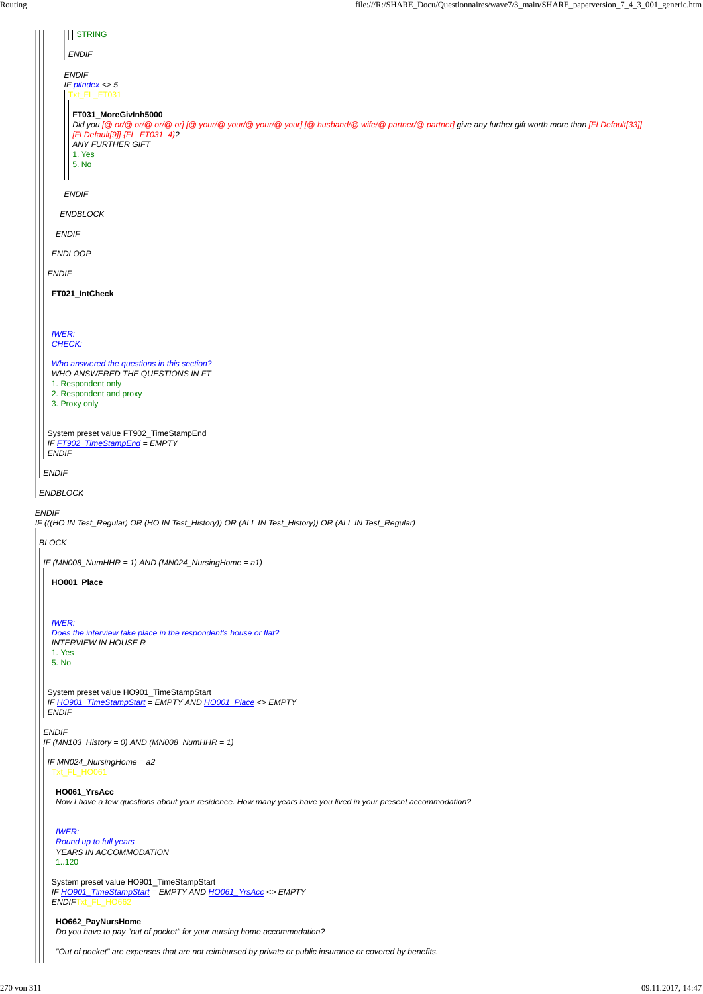| <b>STRING</b>                                                                                                                                                                                                                                                  |
|----------------------------------------------------------------------------------------------------------------------------------------------------------------------------------------------------------------------------------------------------------------|
| <b>ENDIF</b>                                                                                                                                                                                                                                                   |
| <b>ENDIF</b><br>IF $p$ <i>ilndex</i> <> $5$<br>Txt_FL_FT031                                                                                                                                                                                                    |
| FT031_MoreGivInh5000<br>Did you [@ or/@ or/@ or/@ or] [@ your/@ your/@ your/@ your] [@ husband/@ wife/@ partner/@ partner] give any further gift worth more than [FLDefault[33]]<br>[FLDefault[9]] {FL_FT031_4}?<br><b>ANY FURTHER GIFT</b><br>1. Yes<br>5. No |
| <b>ENDIF</b>                                                                                                                                                                                                                                                   |
| ENDBLOCK                                                                                                                                                                                                                                                       |
| <b>ENDIF</b>                                                                                                                                                                                                                                                   |
| <b>ENDLOOP</b>                                                                                                                                                                                                                                                 |
| <b>ENDIF</b>                                                                                                                                                                                                                                                   |
| FT021_IntCheck                                                                                                                                                                                                                                                 |
|                                                                                                                                                                                                                                                                |
| <b>IWER:</b><br>CHECK:                                                                                                                                                                                                                                         |
| Who answered the questions in this section?<br>WHO ANSWERED THE QUESTIONS IN FT<br>1. Respondent only<br>2. Respondent and proxy<br>3. Proxy only                                                                                                              |
| System preset value FT902_TimeStampEnd<br>IF FT902_TimeStampEnd = EMPTY<br><b>ENDIF</b>                                                                                                                                                                        |
| <b>ENDIF</b>                                                                                                                                                                                                                                                   |
| ENDBLOCK                                                                                                                                                                                                                                                       |
| <b>ENDIF</b><br>IF (((HO IN Test_Regular) OR (HO IN Test_History)) OR (ALL IN Test_History)) OR (ALL IN Test_Regular)                                                                                                                                          |
| <b>BLOCK</b>                                                                                                                                                                                                                                                   |
| IF (MN008_NumHHR = 1) AND (MN024_NursingHome = $a1$ )                                                                                                                                                                                                          |
| HO001_Place                                                                                                                                                                                                                                                    |
| <b>IWER:</b><br>Does the interview take place in the respondent's house or flat?<br><b>INTERVIEW IN HOUSE R</b><br>1. Yes<br>5. No                                                                                                                             |
| System preset value HO901_TimeStampStart<br>IF HO901_TimeStampStart = EMPTY AND HO001_Place <> EMPTY<br><b>ENDIF</b>                                                                                                                                           |
| <b>ENDIF</b><br>IF (MN103_History = 0) AND (MN008_NumHHR = 1)                                                                                                                                                                                                  |

# *IF MN024\_NursingHome = a2* Txt\_FL\_HO061

System preset value HO901\_TimeStampStart *IF HO901\_TimeStampStart = EMPTY AND HO061\_YrsAcc <> EMPTY ENDIF*Txt\_FL\_HO662

**HO061\_YrsAcc**

*Now I have a few questions about your residence. How many years have you lived in your present accommodation?*

*IWER: Round up to full years YEARS IN ACCOMMODATION* 1..120

**HO662\_PayNursHome** *Do you have to pay "out of pocket" for your nursing home accommodation?*

*"Out of pocket" are expenses that are not reimbursed by private or public insurance or covered by benefits.*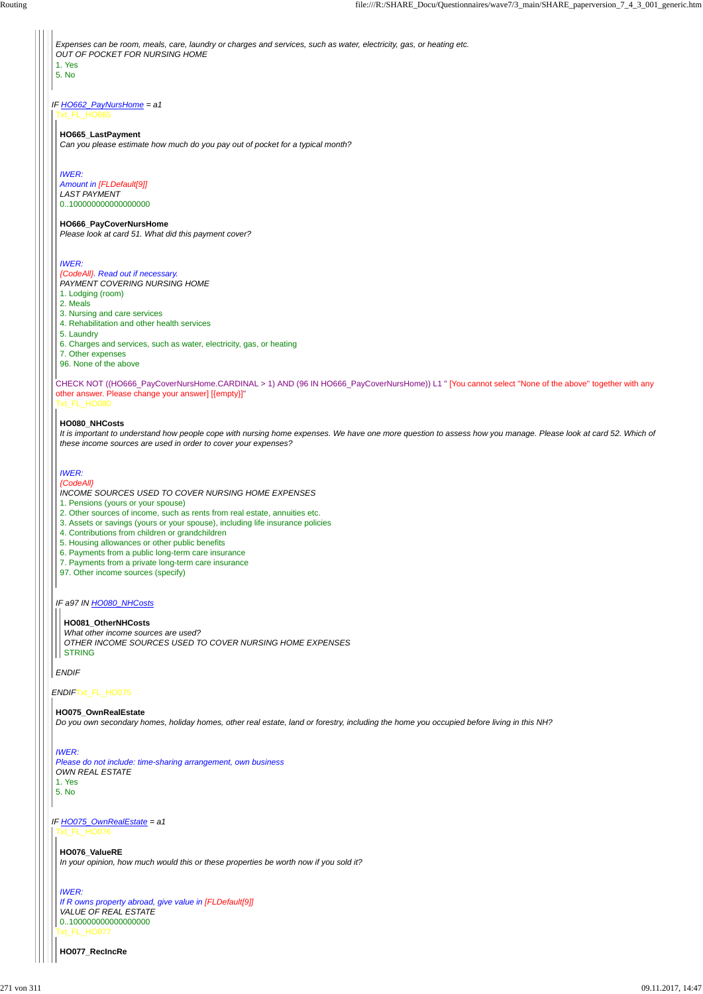## *ENDIF*Txt\_FL\_HO075

*IF HO662\_PayNursHome = a1* Txt\_FL\_HO665

*Expenses can be room, meals, care, laundry or charges and services, such as water, electricity, gas, or heating etc. OUT OF POCKET FOR NURSING HOME* 1. Yes 5. No

CHECK NOT ((HO666\_PayCoverNursHome.CARDINAL > 1) AND (96 IN HO666\_PayCoverNursHome)) L1 " [You cannot select "None of the above" together with any other answer. Please change your answer] [{empty}]" Txt\_FL\_HO080

#### *IF a97 IN HO080\_NHCosts*

*ENDIF*

#### **HO665\_LastPayment**

*Can you please estimate how much do you pay out of pocket for a typical month?*

#### *IWER:*

*Amount in [FLDefault[9]] LAST PAYMENT* 0..100000000000000000

#### **HO666\_PayCoverNursHome**

*Please look at card 51. What did this payment cover?*

#### *IWER:*

# *{CodeAll}. Read out if necessary.*

*PAYMENT COVERING NURSING HOME*

*What other income sources are used? OTHER INCOME SOURCES USED TO COVER NURSING HOME EXPENSES* **STRING** 

- 1. Lodging (room)
- 2. Meals
- 3. Nursing and care services
- 4. Rehabilitation and other health services
- 5. Laundry
- 6. Charges and services, such as water, electricity, gas, or heating
- 7. Other expenses
- 96. None of the above

#### **HO080\_NHCosts**

*It is important to understand how people cope with nursing home expenses. We have one more question to assess how you manage. Please look at card 52. Which of these income sources are used in order to cover your expenses?*

*IF HO075\_OwnRealEstate = a1 IWER: Please do not include: time-sharing arrangement, own business OWN REAL ESTATE* 1. Yes 5. No Txt\_FL\_HO076 Txt\_FL\_HO077 **HO076\_ValueRE** *In your opinion, how much would this or these properties be worth now if you sold it? IWER: If R owns property abroad, give value in [FLDefault[9]] VALUE OF REAL ESTATE* 0..100000000000000000 **HO077\_RecIncRe**

#### *IWER: {CodeAll}*

*INCOME SOURCES USED TO COVER NURSING HOME EXPENSES*

- 1. Pensions (yours or your spouse)
- 2. Other sources of income, such as rents from real estate, annuities etc.
- 3. Assets or savings (yours or your spouse), including life insurance policies
- 4. Contributions from children or grandchildren
- 5. Housing allowances or other public benefits
- 6. Payments from a public long-term care insurance
- 7. Payments from a private long-term care insurance
- 97. Other income sources (specify)

#### **HO081\_OtherNHCosts**

# **HO075\_OwnRealEstate**

*Do you own secondary homes, holiday homes, other real estate, land or forestry, including the home you occupied before living in this NH?*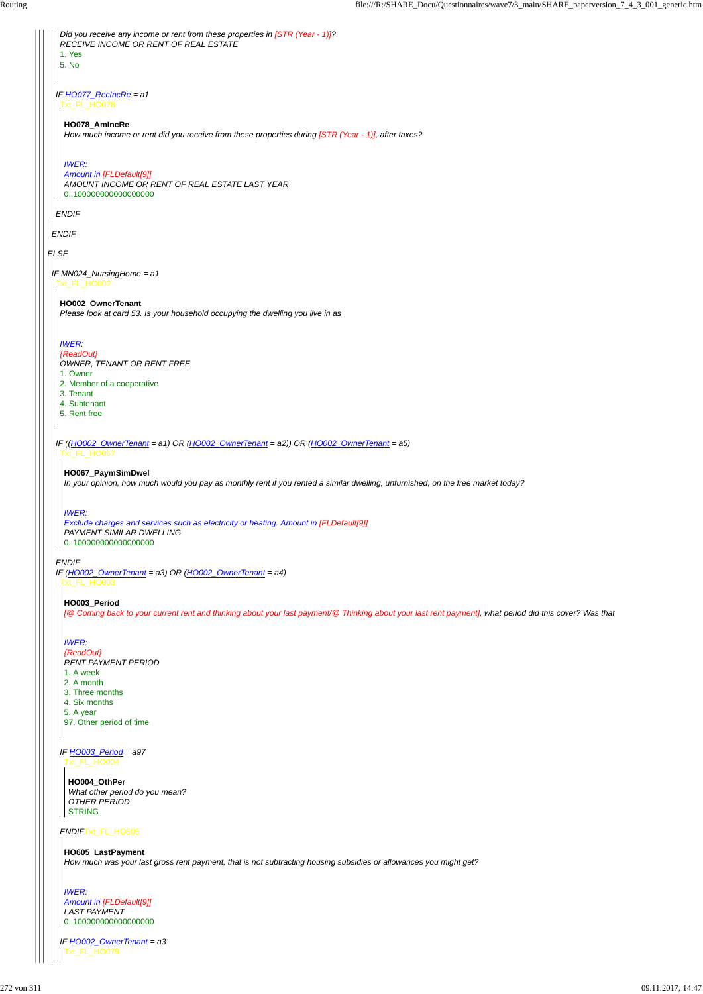*ELSE ENDIF IF HO077\_RecIncRe = a1 ENDIF Did you receive any income or rent from these properties in [STR (Year - 1)]? RECEIVE INCOME OR RENT OF REAL ESTATE* 1. Yes 5. No Txt\_FL\_HO078 **HO078\_AmIncRe** *How much income or rent did you receive from these properties during [STR (Year - 1)], after taxes? IWER: Amount in [FLDefault[9]] AMOUNT INCOME OR RENT OF REAL ESTATE LAST YEAR* 0..100000000000000000 *IF MN024\_NursingHome = a1* Txt\_FL\_HO002 *IF ((HO002\_OwnerTenant = a1) OR (HO002\_OwnerTenant = a2)) OR (HO002\_OwnerTenant = a5) ENDIF IF (HO002\_OwnerTenant = a3) OR (HO002\_OwnerTenant = a4)* **HO002\_OwnerTenant** *Please look at card 53. Is your household occupying the dwelling you live in as IWER: {ReadOut} OWNER, TENANT OR RENT FREE* 1. Owner 2. Member of a cooperative 3. Tenant 4. Subtenant 5. Rent free Txt\_FL\_HO067 **HO067\_PaymSimDwel** *In your opinion, how much would you pay as monthly rent if you rented a similar dwelling, unfurnished, on the free market today? IWER: Exclude charges and services such as electricity or heating. Amount in [FLDefault[9]] PAYMENT SIMILAR DWELLING* 0..100000000000000000 Txt\_FL\_HO003 **HO003\_Period** *[@ Coming back to your current rent and thinking about your last payment/@ Thinking about your last rent payment], what period did this cover? Was that IWER: {ReadOut} RENT PAYMENT PERIOD* 1. A week 2. A month 3. Three months 4. Six months 5. A year

*ENDIF*Txt\_FL\_HO605

#### *IF HO003\_Period = a97* Txt\_FL\_HO004

97. Other period of time

```
IF HO002_OwnerTenant = a3
 Txt_FL_HO079
```
**HO004\_OthPer** *What other period do you mean? OTHER PERIOD* STRING

#### **HO605\_LastPayment**

*How much was your last gross rent payment, that is not subtracting housing subsidies or allowances you might get?*

```
IWER:
Amount in [FLDefault[9]]
LAST PAYMENT
0..100000000000000000
```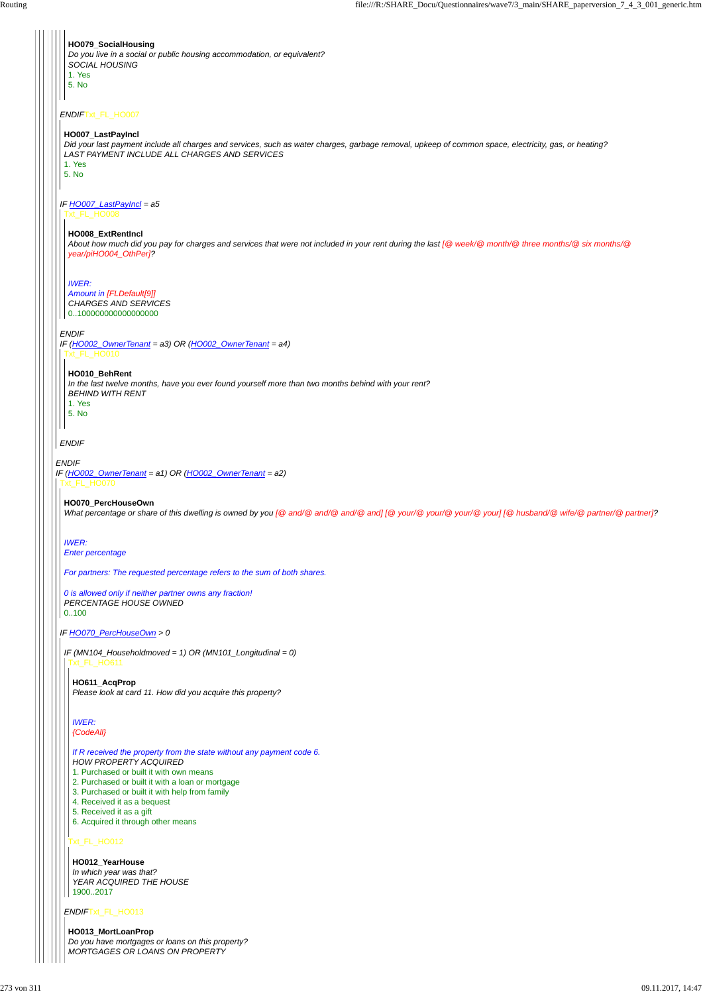*ENDIF IF (HO002\_OwnerTenant = a1) OR (HO002\_OwnerTenant = a2) ENDIF*Txt\_FL\_HO007 *IF HO007\_LastPayIncl = a5 ENDIF IF (HO002\_OwnerTenant = a3) OR (HO002\_OwnerTenant = a4) ENDIF* **HO079\_SocialHousing** *Do you live in a social or public housing accommodation, or equivalent? SOCIAL HOUSING* 1. Yes 5. No **HO007\_LastPayIncl** *Did your last payment include all charges and services, such as water charges, garbage removal, upkeep of common space, electricity, gas, or heating? LAST PAYMENT INCLUDE ALL CHARGES AND SERVICES* 1. Yes 5. No Txt\_FL\_HO008 **HO008\_ExtRentIncl** *About how much did you pay for charges and services that were not included in your rent during the last [@ week/@ month/@ three months/@ six months/@ year/piHO004\_OthPer]? IWER: Amount in [FLDefault[9]] CHARGES AND SERVICES* 0..100000000000000000 Txt\_FL\_HO010 **HO010\_BehRent** *In the last twelve months, have you ever found yourself more than two months behind with your rent? BEHIND WITH RENT* 1. Yes 5. No Txt\_FL\_HO070 *IF HO070\_PercHouseOwn > 0* **HO070\_PercHouseOwn** *What percentage or share of this dwelling is owned by you [@ and/@ and/@ and/@ and] [@ your/@ your/@ your/@ your] [@ husband/@ wife/@ partner/@ partner]? IWER: Enter percentage For partners: The requested percentage refers to the sum of both shares. 0 is allowed only if neither partner owns any fraction! PERCENTAGE HOUSE OWNED* 0..100 *IF (MN104\_Householdmoved = 1) OR (MN101\_Longitudinal = 0)* Txt\_FL\_HO611 **HO611\_AcqProp** *Please look at card 11. How did you acquire this property? IWER: {CodeAll}*

*ENDIF*Txt\_FL\_HO013

### Txt\_FL\_HO012

*If R received the property from the state without any payment code 6.*

*HOW PROPERTY ACQUIRED*

1. Purchased or built it with own means

2. Purchased or built it with a loan or mortgage

3. Purchased or built it with help from family

4. Received it as a bequest

5. Received it as a gift

6. Acquired it through other means

**HO012\_YearHouse** *In which year was that? YEAR ACQUIRED THE HOUSE* 1900..2017

**HO013\_MortLoanProp** *Do you have mortgages or loans on this property? MORTGAGES OR LOANS ON PROPERTY*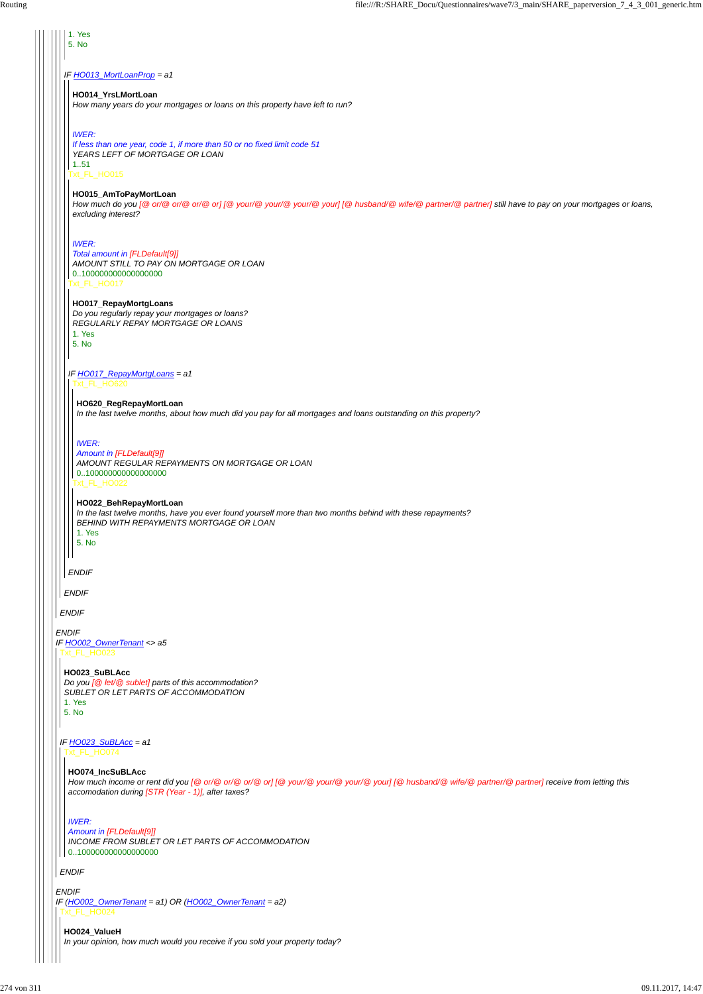#### *ENDIF*

# *ENDIF IF HO002\_OwnerTenant <> a5 ENDIF IF HO013\_MortLoanProp = a1 ENDIF* 1. Yes 5. No Txt\_FL\_HO015 Txt\_FL\_HO017 *IF HO017\_RepayMortgLoans = a1 ENDIF* **HO014\_YrsLMortLoan** *How many years do your mortgages or loans on this property have left to run? IWER: If less than one year, code 1, if more than 50 or no fixed limit code 51 YEARS LEFT OF MORTGAGE OR LOAN* 1..51 **HO015\_AmToPayMortLoan** *How much do you [@ or/@ or/@ or/@ or] [@ your/@ your/@ your/@ your] [@ husband/@ wife/@ partner/@ partner] still have to pay on your mortgages or loans, excluding interest? IWER: Total amount in [FLDefault[9]] AMOUNT STILL TO PAY ON MORTGAGE OR LOAN* 0..100000000000000000 **HO017\_RepayMortgLoans** *Do you regularly repay your mortgages or loans? REGULARLY REPAY MORTGAGE OR LOANS* 1. Yes 5. No Txt\_FL\_HO620 Txt\_FL\_HO022 **HO620\_RegRepayMortLoan** *In the last twelve months, about how much did you pay for all mortgages and loans outstanding on this property? IWER: Amount in [FLDefault[9]] AMOUNT REGULAR REPAYMENTS ON MORTGAGE OR LOAN* 0..100000000000000000 **HO022\_BehRepayMortLoan** *In the last twelve months, have you ever found yourself more than two months behind with these repayments? BEHIND WITH REPAYMENTS MORTGAGE OR LOAN* 1. Yes 5. No Txt\_FL\_HO023 **HO023\_SuBLAcc** *Do you [@ let/@ sublet] parts of this accommodation? SUBLET OR LET PARTS OF ACCOMMODATION* 1. Yes 5. No

```
IF (HO002_OwnerTenant = a1) OR (HO002_OwnerTenant = a2)
 Txt_FL_HO024
```
*IF HO023\_SuBLAcc = a1*

```
_FL_HO074
```

```
ENDIF
```
#### **HO074\_IncSuBLAcc**

*How much income or rent did you [@ or/@ or/@ or/@ or] [@ your/@ your/@ your/@ your] [@ husband/@ wife/@ partner/@ partner] receive from letting this accomodation during [STR (Year - 1)], after taxes?*

#### *IWER:*

*Amount in [FLDefault[9]] INCOME FROM SUBLET OR LET PARTS OF ACCOMMODATION* 0..100000000000000000

#### **HO024\_ValueH**

*In your opinion, how much would you receive if you sold your property today?*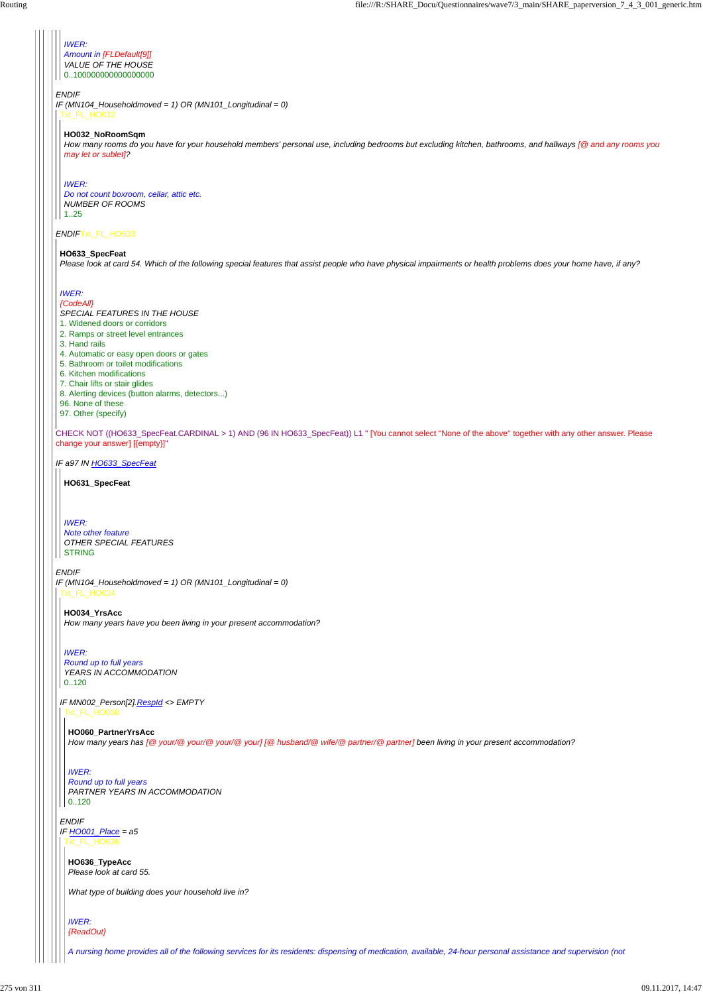#### *ENDIF*

#### *ENDIF*Txt\_FL\_HO633

CHECK NOT ((HO633\_SpecFeat.CARDINAL > 1) AND (96 IN HO633\_SpecFeat)) L1 " [You cannot select ''None of the above'' together with any other answer. Please change your answer] [{empty}]"

*IF (MN104\_Householdmoved = 1) OR (MN101\_Longitudinal = 0)* Txt\_FL\_HO032

*IF a97 IN HO633\_SpecFeat*

#### *ENDIF*

*Do not count boxroom, cellar, attic etc. NUMBER OF ROOMS*  $1.25$ 

*IWER: Amount in [FLDefault[9]] VALUE OF THE HOUSE* 0..100000000000000000

#### **HO032\_NoRoomSqm**

*How many rooms do you have for your household members' personal use, including bedrooms but excluding kitchen, bathrooms, and hallways [@ and any rooms you may let or sublet]?*

*Note other feature OTHER SPECIAL FEATURES* **STRING** 

#### *IWER:*

# **HO633\_SpecFeat**

*Please look at card 54. Which of the following special features that assist people who have physical impairments or health problems does your home have, if any?*

*IF (MN104\_Householdmoved = 1) OR (MN101\_Longitudinal = 0)* Txt\_FL\_HO034

# *IWER: Round up to full years PARTNER YEARS IN ACCOMMODATION*  $0.120$

#### *IWER:*

#### *{CodeAll}*

*SPECIAL FEATURES IN THE HOUSE*

- 1. Widened doors or corridors
- 2. Ramps or street level entrances
- 3. Hand rails
- 4. Automatic or easy open doors or gates
- 5. Bathroom or toilet modifications
- 6. Kitchen modifications
- 7. Chair lifts or stair glides
- 8. Alerting devices (button alarms, detectors...)
- 96. None of these
- 97. Other (specify)

#### **HO631\_SpecFeat**

# *IWER:*

# **HO034\_YrsAcc**

*IF MN002\_Person[2].RespId <> EMPTY* Txt\_FL\_HO060

*How many years have you been living in your present accommodation?*

### *IWER:*

*Round up to full years YEARS IN ACCOMMODATION* 0..120

#### **HO060\_PartnerYrsAcc**

*ENDIF IF HO001\_Place = a5* Txt\_FL\_HO636

*How many years has [@ your/@ your/@ your/@ your] [@ husband/@ wife/@ partner/@ partner] been living in your present accommodation?*

**HO636\_TypeAcc** *Please look at card 55.*

*What type of building does your household live in?*

*IWER: {ReadOut}*

*A nursing home provides all of the following services for its residents: dispensing of medication, available, 24-hour personal assistance and supervision (not*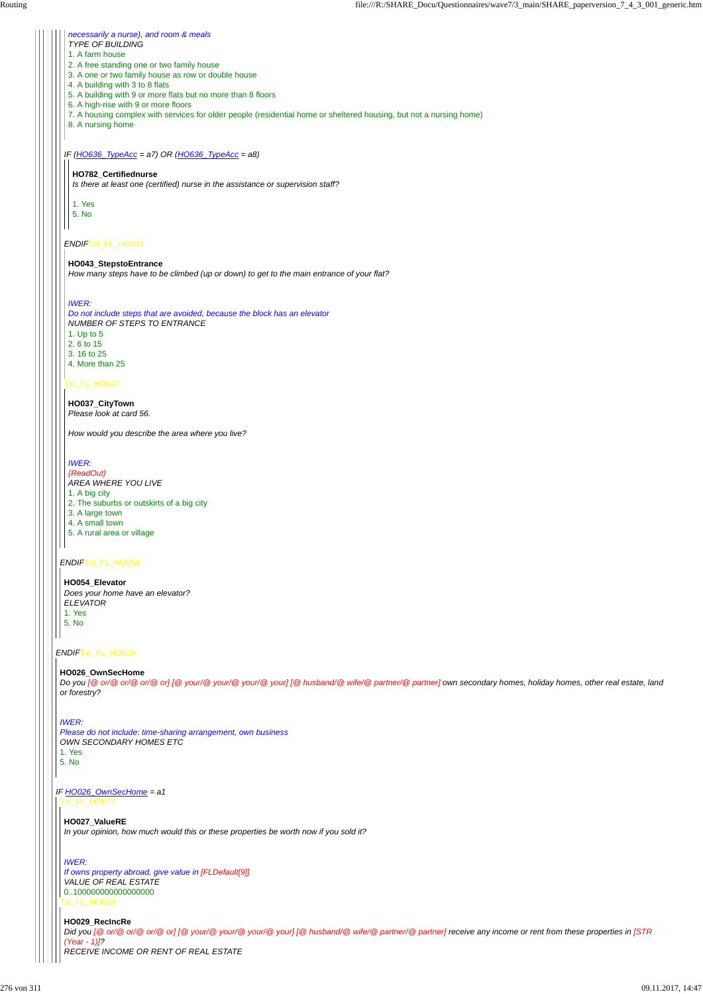*ENDIF*Txt\_FL\_HO026

#### *ENDIF*Txt\_FL\_HO054

#### *IF (HO636\_TypeAcc = a7) OR (HO636\_TypeAcc = a8)*

#### *ENDIF*Txt\_FL\_HO043

#### Txt\_FL\_HO037

#### *necessarily a nurse), and room & meals*

# *TYPE OF BUILDING*

- 1. A farm house
- 2. A free standing one or two family house
- 3. A one or two family house as row or double house
- 4. A building with 3 to 8 flats
- 5. A building with 9 or more flats but no more than 8 floors
- 6. A high-rise with 9 or more floors
- 7. A housing complex with services for older people (residential home or sheltered housing, but not a nursing home)
- 8. A nursing home

#### **HO782\_Certifiednurse**

*Is there at least one (certified) nurse in the assistance or supervision staff?*

1. Yes 5. No

#### **HO043\_StepstoEntrance**

*How many steps have to be climbed (up or down) to get to the main entrance of your flat?*

#### *IF HO026\_OwnSecHome = a1* Txt\_FL\_HO027

#### *IWER:*

*Do not include steps that are avoided, because the block has an elevator NUMBER OF STEPS TO ENTRANCE*

1. Up to 5

- 2. 6 to 15
- 3. 16 to 25
- 4. More than 25

**HO037\_CityTown** *Please look at card 56.*

*How would you describe the area where you live?*

### *IWER:*

*{ReadOut} AREA WHERE YOU LIVE* 1. A big city 2. The suburbs or outskirts of a big city 3. A large town 4. A small town 5. A rural area or village

#### **HO054\_Elevator**

*Does your home have an elevator? ELEVATOR* 1. Yes 5. No

### **HO026\_OwnSecHome**

*Do you [@ or/@ or/@ or/@ or] [@ your/@ your/@ your/@ your] [@ husband/@ wife/@ partner/@ partner] own secondary homes, holiday homes, other real estate, land or forestry?*

*IWER:*

*Please do not include: time-sharing arrangement, own business OWN SECONDARY HOMES ETC*

1. Yes 5. No

> **HO027\_ValueRE** *In your opinion, how much would this or these properties be worth now if you sold it?*

Txt\_FL\_HO029 *If owns property abroad, give value in [FLDefault[9]] VALUE OF REAL ESTATE* 0..100000000000000000

# *IWER:*

#### **HO029\_RecIncRe**

*Did you [@ or/@ or/@ or/@ or] [@ your/@ your/@ your/@ your] [@ husband/@ wife/@ partner/@ partner] receive any income or rent from these properties in [STR (Year - 1)]? RECEIVE INCOME OR RENT OF REAL ESTATE*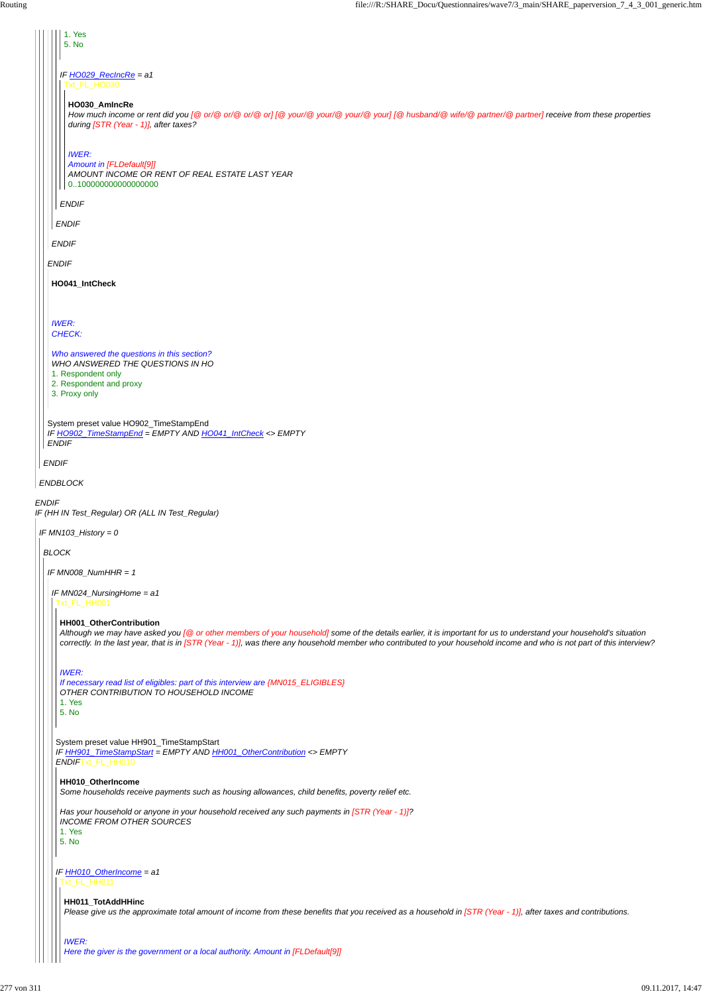| 1. Yes<br>5. No                                                                                                                                                                                                                                                                                                                                                           |
|---------------------------------------------------------------------------------------------------------------------------------------------------------------------------------------------------------------------------------------------------------------------------------------------------------------------------------------------------------------------------|
| IF HO029_RecIncRe = a1<br>xt_FL_HO030                                                                                                                                                                                                                                                                                                                                     |
| HO030_AmIncRe<br>How much income or rent did you [@ or/@ or/@ or/@ or] [@ your/@ your/@ your/@ your] [@ husband/@ wife/@ partner/@ partner] receive from these properties<br>during [STR (Year - 1)], after taxes?                                                                                                                                                        |
| <b>IWER:</b><br>Amount in [FLDefault[9]]<br>AMOUNT INCOME OR RENT OF REAL ESTATE LAST YEAR<br>0100000000000000000                                                                                                                                                                                                                                                         |
| <b>ENDIF</b>                                                                                                                                                                                                                                                                                                                                                              |
| <b>ENDIF</b>                                                                                                                                                                                                                                                                                                                                                              |
| <b>ENDIF</b>                                                                                                                                                                                                                                                                                                                                                              |
| <b>ENDIF</b>                                                                                                                                                                                                                                                                                                                                                              |
| HO041_IntCheck                                                                                                                                                                                                                                                                                                                                                            |
|                                                                                                                                                                                                                                                                                                                                                                           |
| <b>IWER:</b><br>CHECK:                                                                                                                                                                                                                                                                                                                                                    |
| Who answered the questions in this section?<br>WHO ANSWERED THE QUESTIONS IN HO<br>1. Respondent only                                                                                                                                                                                                                                                                     |
| 2. Respondent and proxy<br>3. Proxy only                                                                                                                                                                                                                                                                                                                                  |
| System preset value HO902_TimeStampEnd<br>IF HO902_TimeStampEnd = EMPTY AND HO041_IntCheck <> EMPTY<br><b>ENDIF</b>                                                                                                                                                                                                                                                       |
| <b>ENDIF</b>                                                                                                                                                                                                                                                                                                                                                              |
| <b>ENDBLOCK</b>                                                                                                                                                                                                                                                                                                                                                           |
| <b>ENDIF</b><br>IF (HH IN Test_Regular) OR (ALL IN Test_Regular)                                                                                                                                                                                                                                                                                                          |
| IF MN103_History = 0                                                                                                                                                                                                                                                                                                                                                      |
| <b>BLOCK</b>                                                                                                                                                                                                                                                                                                                                                              |
| IF MN008_NumHHR = $1$                                                                                                                                                                                                                                                                                                                                                     |
| IF MN024_NursingHome = a1<br>Txt_FL_HH001                                                                                                                                                                                                                                                                                                                                 |
| HH001_OtherContribution<br>Although we may have asked you [@ or other members of your household] some of the details earlier, it is important for us to understand your household's situation<br>correctly. In the last year, that is in [STR (Year - 1)], was there any household member who contributed to your household income and who is not part of this interview? |
| <b>IWER:</b><br>If necessary read list of eligibles: part of this interview are {MN015_ELIGIBLES}<br>OTHER CONTRIBUTION TO HOUSEHOLD INCOME<br>1. Yes<br>5. No                                                                                                                                                                                                            |
| System preset value HH901_TimeStampStart<br>F HH901 TimeStampStart = EMPTY AND HH001 OtherContribution <> EMPTY                                                                                                                                                                                                                                                           |

*IF HH901\_TimeStampStart = EMPTY AND HH001\_OtherContribution <> EMPTY ENDIF*Txt\_FL\_HH010 *IF HH010\_OtherIncome = a1* **HH010\_OtherIncome** *Some households receive payments such as housing allowances, child benefits, poverty relief etc. Has your household or anyone in your household received any such payments in [STR (Year - 1)]? INCOME FROM OTHER SOURCES* 1. Yes 5. No Txt\_FL\_HH011 **HH011\_TotAddHHinc** *Please give us the approximate total amount of income from these benefits that you received as a household in [STR (Year - 1)], after taxes and contributions. IWER: Here the giver is the government or a local authority. Amount in [FLDefault[9]]*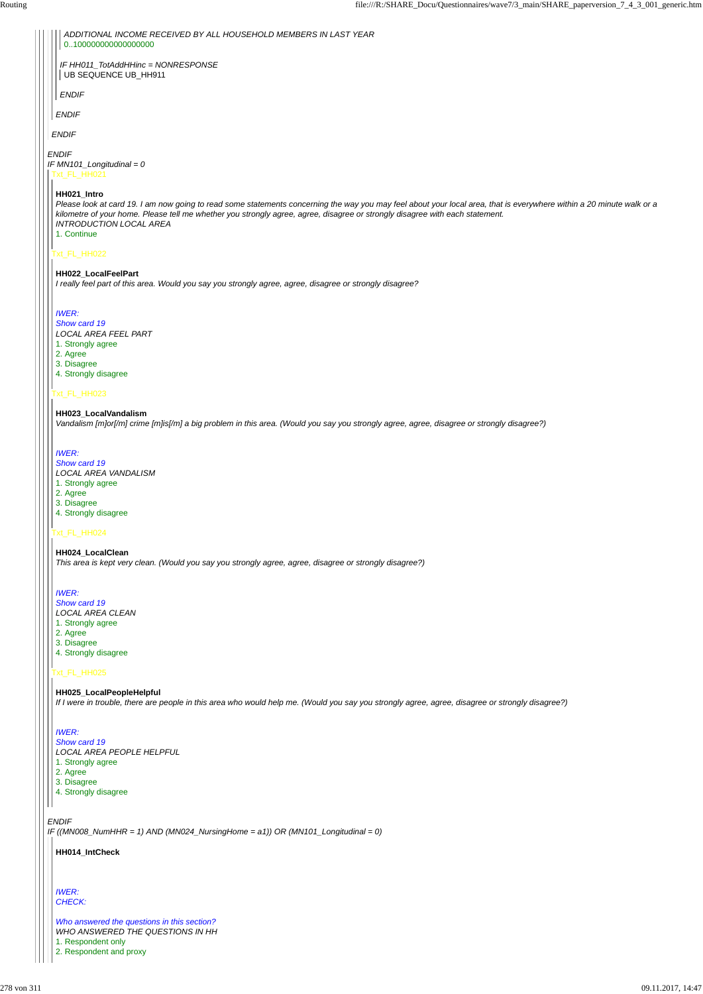*ENDIF*

*IF ((MN008\_NumHHR = 1) AND (MN024\_NursingHome = a1)) OR (MN101\_Longitudinal = 0)*



*LOCAL AREA PEOPLE HELPFUL*

1. Strongly agree

2. Agree

3. Disagree

4. Strongly disagree

**HH014\_IntCheck**

*IWER: CHECK:*

*Who answered the questions in this section? WHO ANSWERED THE QUESTIONS IN HH*

1. Respondent only

2. Respondent and proxy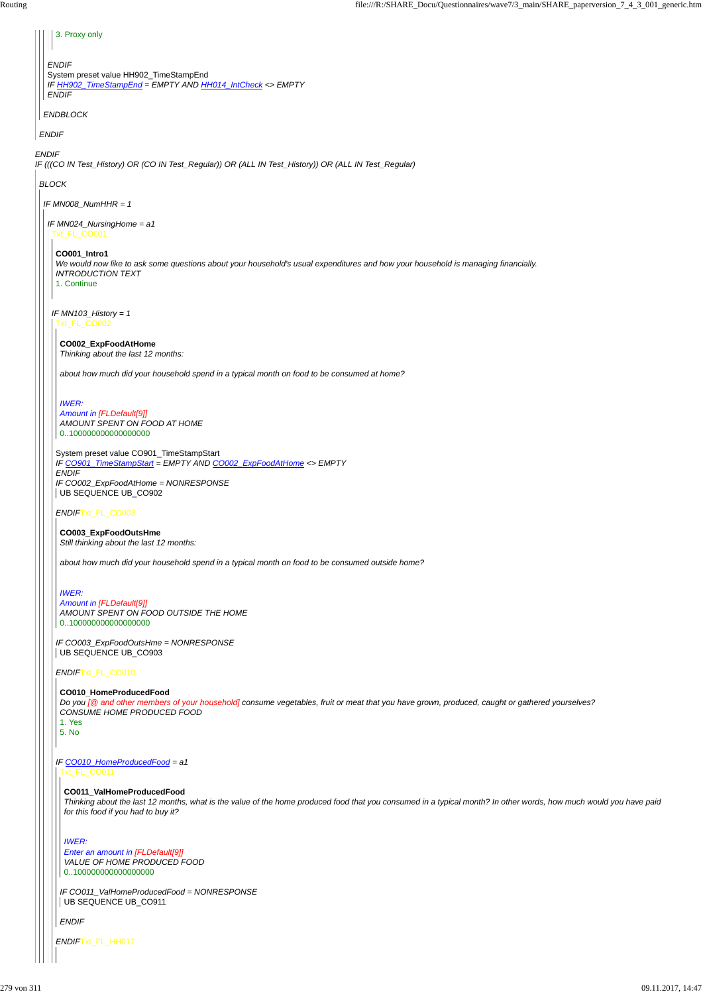*ENDIF IF (((CO IN Test\_History) OR (CO IN Test\_Regular)) OR (ALL IN Test\_History)) OR (ALL IN Test\_Regular) ENDIF ENDBLOCK ENDIF* System preset value HH902\_TimeStampEnd *IF HH902\_TimeStampEnd = EMPTY AND HH014\_IntCheck <> EMPTY ENDIF* 3. Proxy only *BLOCK IF MN008\_NumHHR = 1 IF MN024\_NursingHome = a1* Txt\_FL\_CO001 *IF MN103\_History = 1* **CO001\_Intro1** *We would now like to ask some questions about your household's usual expenditures and how your household is managing financially. INTRODUCTION TEXT* 1. Continue Txt\_FL\_CO002 System preset value CO901\_TimeStampStart *IF CO901\_TimeStampStart = EMPTY AND CO002\_ExpFoodAtHome <> EMPTY ENDIF IF CO002\_ExpFoodAtHome = NONRESPONSE ENDIF*Txt\_FL\_CO003 *IF CO003\_ExpFoodOutsHme = NONRESPONSE ENDIF*Txt\_FL\_CO010 **CO002\_ExpFoodAtHome** *Thinking about the last 12 months: about how much did your household spend in a typical month on food to be consumed at home? IWER: Amount in [FLDefault[9]] AMOUNT SPENT ON FOOD AT HOME* 0..100000000000000000 UB SEQUENCE UB\_CO902 **CO003\_ExpFoodOutsHme** *Still thinking about the last 12 months: about how much did your household spend in a typical month on food to be consumed outside home? IWER: Amount in [FLDefault[9]] AMOUNT SPENT ON FOOD OUTSIDE THE HOME* 0..100000000000000000 UB SEQUENCE UB\_CO903 **CO010\_HomeProducedFood** *Do you [@ and other members of your household] consume vegetables, fruit or meat that you have grown, produced, caught or gathered yourselves? CONSUME HOME PRODUCED FOOD*

*IF CO011\_ValHomeProducedFood = NONRESPONSE* UB SEQUENCE UB\_CO911

*ENDIF*Txt\_FL\_HH017

#### *IF CO010\_HomeProducedFood = a1* Txt\_FL\_CO011

1. Yes 5. No

*ENDIF*

#### **CO011\_ValHomeProducedFood**

*Thinking about the last 12 months, what is the value of the home produced food that you consumed in a typical month? In other words, how much would you have paid for this food if you had to buy it?*

*IWER: Enter an amount in [FLDefault[9]] VALUE OF HOME PRODUCED FOOD* 0..100000000000000000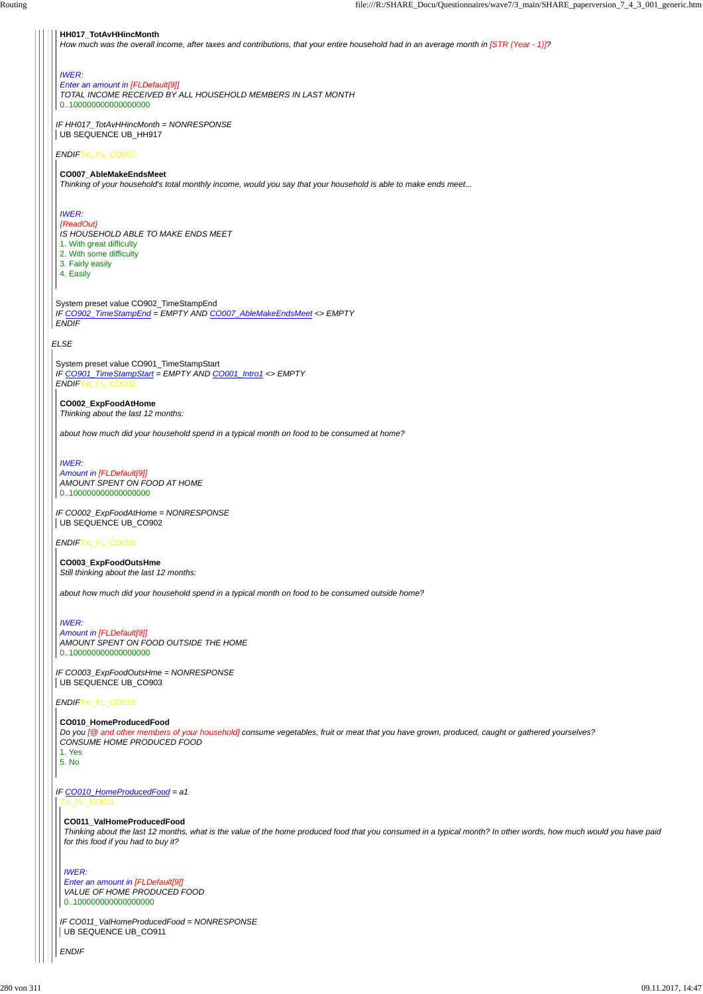#### *ELSE*

### *ENDIF*Txt\_FL\_CO007

System preset value CO902\_TimeStampEnd *IF CO902\_TimeStampEnd = EMPTY AND CO007\_AbleMakeEndsMeet <> EMPTY ENDIF*

*Enter an amount in [FLDefault[9]] TOTAL INCOME RECEIVED BY ALL HOUSEHOLD MEMBERS IN LAST MONTH* 0..100000000000000000

#### **HH017\_TotAvHHincMonth**

*IF HH017\_TotAvHHincMonth = NONRESPONSE* UB SEQUENCE UB\_HH917

*How much was the overall income, after taxes and contributions, that your entire household had in an average month in [STR (Year - 1)]?*

#### *IWER:*

*IF CO002\_ExpFoodAtHome = NONRESPONSE* UB SEQUENCE UB\_CO902

#### **CO007\_AbleMakeEndsMeet**

*Thinking of your household's total monthly income, would you say that your household is able to make ends meet...*

## *IWER:*

*{ReadOut} IS HOUSEHOLD ABLE TO MAKE ENDS MEET*

- 1. With great difficulty
- 2. With some difficulty
- 3. Fairly easily
- 4. Easily

System preset value CO901\_TimeStampStart *IF CO901\_TimeStampStart = EMPTY AND CO001\_Intro1 <> EMPTY ENDIF*Txt\_FL\_CO002

*IF CO011\_ValHomeProducedFood = NONRESPONSE* UB SEQUENCE UB\_CO911

#### *ENDIF*Txt\_FL\_CO003

*ENDIF*Txt\_FL\_CO010

#### **CO002\_ExpFoodAtHome**

*Thinking about the last 12 months:*

*about how much did your household spend in a typical month on food to be consumed at home?*

#### *IWER:*

*Amount in [FLDefault[9]] AMOUNT SPENT ON FOOD AT HOME* 0..100000000000000000

*IF CO003\_ExpFoodOutsHme = NONRESPONSE* UB SEQUENCE UB\_CO903

**CO003\_ExpFoodOutsHme** *Still thinking about the last 12 months:*

#### *IF CO010\_HomeProducedFood = a1* Txt\_FL\_CO011

*about how much did your household spend in a typical month on food to be consumed outside home?*

### *IWER:*

*Amount in [FLDefault[9]] AMOUNT SPENT ON FOOD OUTSIDE THE HOME* 0..100000000000000000

#### **CO010\_HomeProducedFood**

*Do you [@ and other members of your household] consume vegetables, fruit or meat that you have grown, produced, caught or gathered yourselves? CONSUME HOME PRODUCED FOOD*

1. Yes 5. No

*ENDIF*

#### **CO011\_ValHomeProducedFood**

*Thinking about the last 12 months, what is the value of the home produced food that you consumed in a typical month? In other words, how much would you have paid for this food if you had to buy it?*

*IWER: Enter an amount in [FLDefault[9]] VALUE OF HOME PRODUCED FOOD* 0..100000000000000000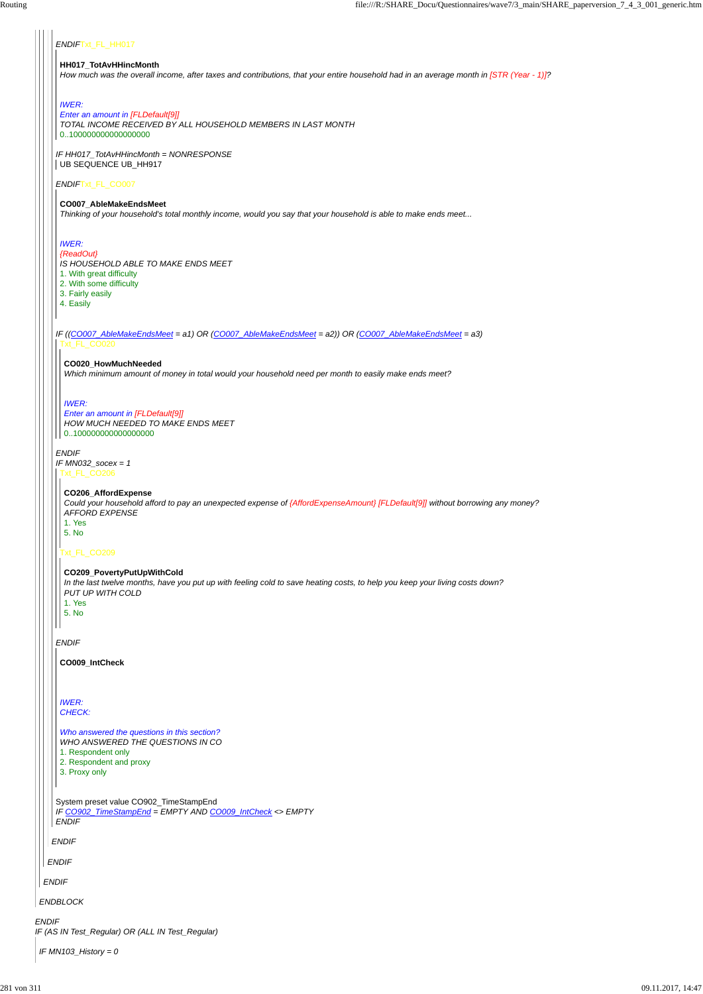*IF HH017\_TotAvHHincMonth = NONRESPONSE* UB SEQUENCE UB\_HH917

# *ENDIF*Txt\_FL\_HH017

#### *ENDIF*Txt\_FL\_CO007

*ENDIF IF MN032\_socex = 1*

*ENDIF*

#### **HH017\_TotAvHHincMonth**

*How much was the overall income, after taxes and contributions, that your entire household had in an average month in [STR (Year - 1)]?*

#### *IWER:*

*IF ((CO007\_AbleMakeEndsMeet = a1) OR (CO007\_AbleMakeEndsMeet = a2)) OR (CO007\_AbleMakeEndsMeet = a3)* Txt\_FL\_CO020

### *Enter an amount in [FLDefault[9]]*

*TOTAL INCOME RECEIVED BY ALL HOUSEHOLD MEMBERS IN LAST MONTH* 0..100000000000000000

#### **CO007\_AbleMakeEndsMeet**

*Thinking of your household's total monthly income, would you say that your household is able to make ends meet...*

### *IWER:*

|              | <i>WHO ANSWERED THE QUESTIONS IN CO</i><br>1. Respondent only<br>2. Respondent and proxy<br>3. Proxy only           |
|--------------|---------------------------------------------------------------------------------------------------------------------|
|              | System preset value CO902_TimeStampEnd<br>IF CO902_TimeStampEnd = EMPTY AND CO009_IntCheck <> EMPTY<br><b>ENDIF</b> |
|              | <b>ENDIF</b>                                                                                                        |
|              | <b>ENDIF</b>                                                                                                        |
|              | <b>ENDIF</b>                                                                                                        |
|              | <b>ENDBLOCK</b>                                                                                                     |
| <b>ENDIF</b> | IF (AS IN Test_Regular) OR (ALL IN Test_Regular)                                                                    |
|              | IF MN103_History = 0                                                                                                |

#### *{ReadOut}*

*IS HOUSEHOLD ABLE TO MAKE ENDS MEET*

- 1. With great difficulty
- 2. With some difficulty
- 3. Fairly easily
- 4. Easily

# **CO020\_HowMuchNeeded**

*Which minimum amount of money in total would your household need per month to easily make ends meet?*

#### *IWER:*

#### *Enter an amount in [FLDefault[9]] HOW MUCH NEEDED TO MAKE ENDS MEET* 0..100000000000000000

Txt\_FL\_CO206

### Txt\_FL\_CO209

#### **CO206\_AffordExpense**

*Could your household afford to pay an unexpected expense of {AffordExpenseAmount} [FLDefault[9]] without borrowing any money? AFFORD EXPENSE* 1. Yes

5. No

# **CO209\_PovertyPutUpWithCold**

*In the last twelve months, have you put up with feeling cold to save heating costs, to help you keep your living costs down? PUT UP WITH COLD*

- 1. Yes 5. No
- 

**CO009\_IntCheck**

*IWER: CHECK:*

*Who answered the questions in this section? WHO ANSWERED THE QUESTIONS IN CO*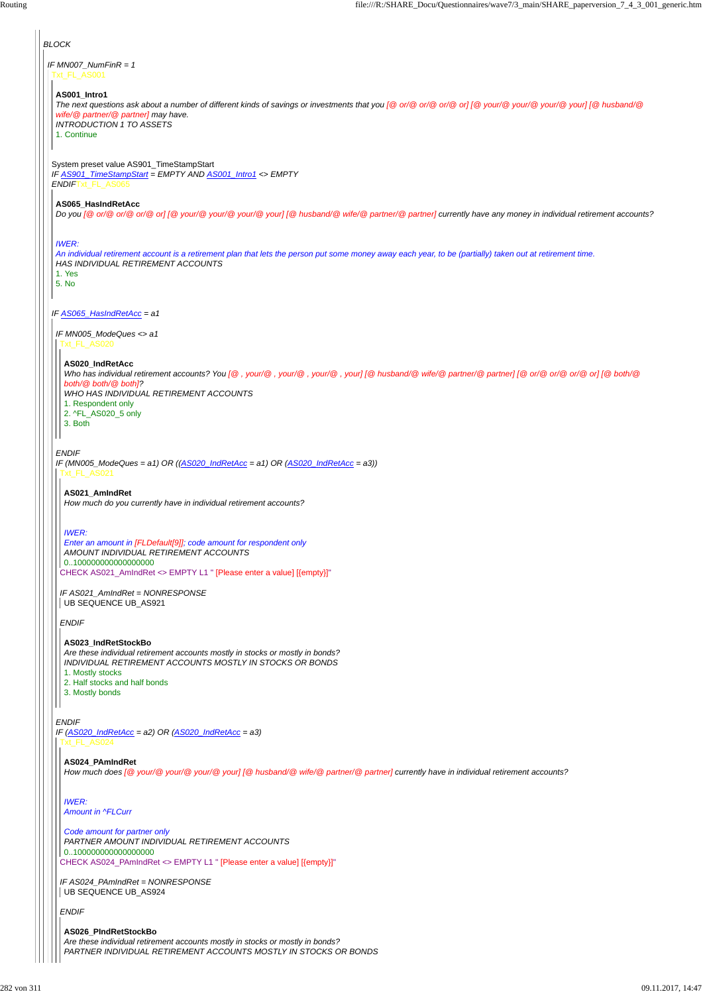*BLOCK IF MN007\_NumFinR = 1* Txt\_FL\_AS001 **AS001\_Intro1** *The next questions ask about a number of different kinds of savings or investments that you [@ or/@ or/@ or/@ or] [@ your/@ your/@ your/@ your] [@ husband/@ wife/@ partner/@ partner] may have. INTRODUCTION 1 TO ASSETS* 1. Continue System preset value AS901\_TimeStampStart *IF AS901\_TimeStampStart = EMPTY AND AS001\_Intro1 <> EMPTY ENDIF*Txt\_FL\_AS065 **AS065\_HasIndRetAcc** *Do you [@ or/@ or/@ or/@ or] [@ your/@ your/@ your/@ your] [@ husband/@ wife/@ partner/@ partner] currently have any money in individual retirement accounts? IWER: An individual retirement account is a retirement plan that lets the person put some money away each year, to be (partially) taken out at retirement time. HAS INDIVIDUAL RETIREMENT ACCOUNTS* 1. Yes 5. No *IF AS065\_HasIndRetAcc = a1 IF MN005\_ModeQues <> a1* Txt\_FL\_AS020 **AS020\_IndRetAcc** *Who has individual retirement accounts? You [@ , your/@ , your/@ , your/@ , your] [@ husband/@ wife/@ partner/@ partner] [@ or/@ or/@ or/@ or] [@ both/@ both/@ both/@ both]? WHO HAS INDIVIDUAL RETIREMENT ACCOUNTS* 1. Respondent only 2. ^FL\_AS020\_5 only 3. Both *ENDIF IF (MN005\_ModeQues = a1) OR ((AS020\_IndRetAcc = a1) OR (AS020\_IndRetAcc = a3))* Txt\_FL\_AS021 **AS021\_AmIndRet** *How much do you currently have in individual retirement accounts? IWER: Enter an amount in [FLDefault[9]]; code amount for respondent only AMOUNT INDIVIDUAL RETIREMENT ACCOUNTS* 0..100000000000000000 CHECK AS021\_AmIndRet <> EMPTY L1 " [Please enter a value] [{empty}]" *IF AS021\_AmIndRet = NONRESPONSE* UB SEQUENCE UB\_AS921 *ENDIF* **AS023\_IndRetStockBo** *Are these individual retirement accounts mostly in stocks or mostly in bonds? INDIVIDUAL RETIREMENT ACCOUNTS MOSTLY IN STOCKS OR BONDS* 1. Mostly stocks 2. Half stocks and half bonds 3. Mostly bonds  $\mathsf{I}$ *ENDIF IF (AS020\_IndRetAcc = a2) OR (AS020\_IndRetAcc = a3)*

*IF AS024\_PAmIndRet = NONRESPONSE* UB SEQUENCE UB\_AS924

Txt\_FL\_AS024

*ENDIF*

```
AS024_PAmIndRet
```
CHECK AS024\_PAmIndRet <> EMPTY L1 " [Please enter a value] [{empty}]" *Code amount for partner only PARTNER AMOUNT INDIVIDUAL RETIREMENT ACCOUNTS* 0..100000000000000000

*How much does [@ your/@ your/@ your/@ your] [@ husband/@ wife/@ partner/@ partner] currently have in individual retirement accounts?*

*IWER: Amount in ^FLCurr*

**AS026\_PIndRetStockBo** *Are these individual retirement accounts mostly in stocks or mostly in bonds? PARTNER INDIVIDUAL RETIREMENT ACCOUNTS MOSTLY IN STOCKS OR BONDS*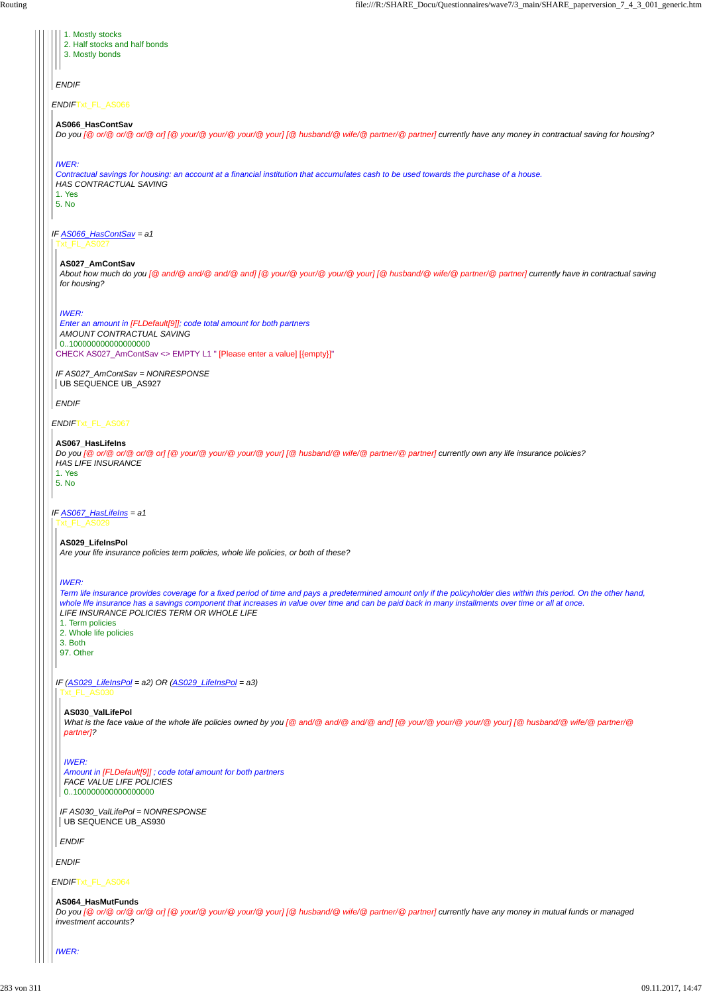*ENDIF*Txt\_FL\_AS066 *IF AS066\_HasContSav = a1 ENDIF*Txt\_FL\_AS067 *IF AS067\_HasLifeIns = a1 ENDIF* 1. Mostly stocks 2. Half stocks and half bonds 3. Mostly bonds **AS066\_HasContSav** *Do you [@ or/@ or/@ or/@ or] [@ your/@ your/@ your/@ your] [@ husband/@ wife/@ partner/@ partner] currently have any money in contractual saving for housing? IWER: Contractual savings for housing: an account at a financial institution that accumulates cash to be used towards the purchase of a house. HAS CONTRACTUAL SAVING* 1. Yes 5. No Txt\_FL\_AS027 CHECK AS027\_AmContSav <> EMPTY L1 " [Please enter a value] [{empty}]" *IF AS027\_AmContSav = NONRESPONSE ENDIF* **AS027\_AmContSav** *About how much do you [@ and/@ and/@ and/@ and] [@ your/@ your/@ your/@ your] [@ husband/@ wife/@ partner/@ partner] currently have in contractual saving for housing? IWER: Enter an amount in [FLDefault[9]]; code total amount for both partners AMOUNT CONTRACTUAL SAVING* 0..100000000000000000 UB SEQUENCE UB\_AS927 **AS067\_HasLifeIns** *Do you [@ or/@ or/@ or/@ or] [@ your/@ your/@ your/@ your] [@ husband/@ wife/@ partner/@ partner] currently own any life insurance policies? HAS LIFE INSURANCE* 1. Yes 5. No Txt\_FL\_AS029 *IF (AS029\_LifeInsPol = a2) OR (AS029\_LifeInsPol = a3)* **AS029\_LifeInsPol** *Are your life insurance policies term policies, whole life policies, or both of these? IWER: Term life insurance provides coverage for a fixed period of time and pays a predetermined amount only if the policyholder dies within this period. On the other hand, whole life insurance has a savings component that increases in value over time and can be paid back in many installments over time or all at once. LIFE INSURANCE POLICIES TERM OR WHOLE LIFE* 1. Term policies 2. Whole life policies 3. Both 97. Other

*IF AS030\_ValLifePol = NONRESPONSE* UB SEQUENCE UB\_AS930

*ENDIF*

*ENDIF*

#### **AS030\_ValLifePol**

*What is the face value of the whole life policies owned by you [@ and/@ and/@ and/@ and] [@ your/@ your/@ your/@ your] [@ husband/@ wife/@ partner/@ partner]?*

#### *IWER:*

*Amount in [FLDefault[9]] ; code total amount for both partners FACE VALUE LIFE POLICIES* 0..100000000000000000

#### **AS064\_HasMutFunds**

*Do you [@ or/@ or/@ or/@ or] [@ your/@ your/@ your/@ your] [@ husband/@ wife/@ partner/@ partner] currently have any money in mutual funds or managed investment accounts?*

*IWER:*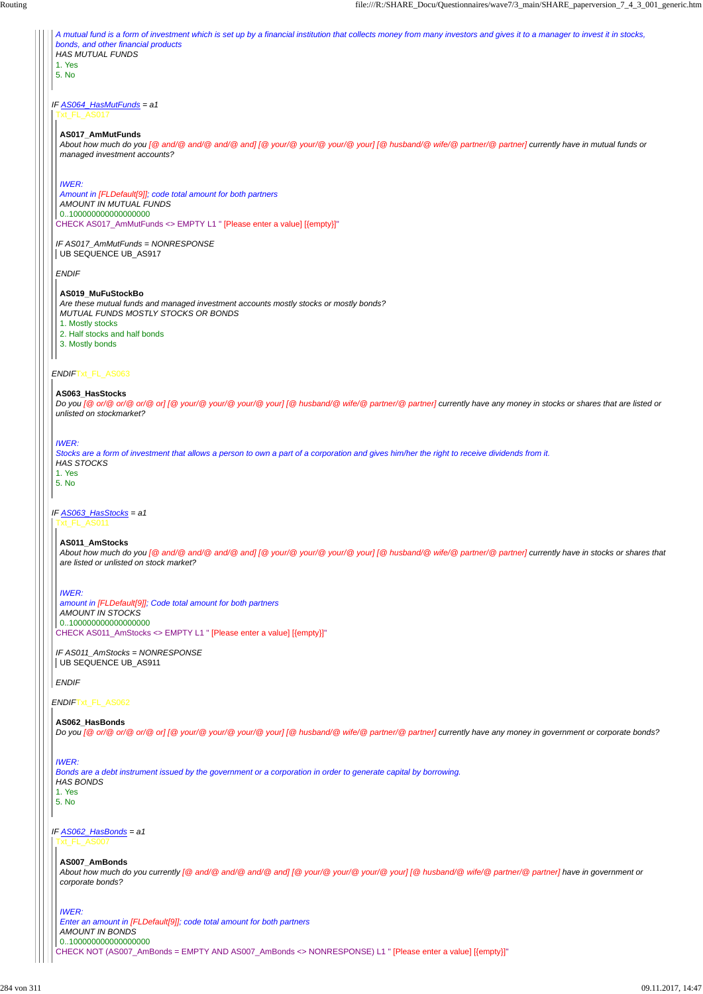*IF AS064\_HasMutFunds = a1 ENDIF*Txt\_FL\_AS063 *IF AS063\_HasStocks = a1 A mutual fund is a form of investment which is set up by a financial institution that collects money from many investors and gives it to a manager to invest it in stocks, bonds, and other financial products HAS MUTUAL FUNDS* 1. Yes 5. No Txt\_FL\_AS017 CHECK AS017\_AmMutFunds <> EMPTY L1 " [Please enter a value] [{empty}]" *IF AS017\_AmMutFunds = NONRESPONSE ENDIF* **AS017\_AmMutFunds** *About how much do you [@ and/@ and/@ and/@ and] [@ your/@ your/@ your/@ your] [@ husband/@ wife/@ partner/@ partner] currently have in mutual funds or managed investment accounts? IWER: Amount in [FLDefault[9]]; code total amount for both partners AMOUNT IN MUTUAL FUNDS* 0..100000000000000000 UB SEQUENCE UB\_AS917 **AS019\_MuFuStockBo** *Are these mutual funds and managed investment accounts mostly stocks or mostly bonds? MUTUAL FUNDS MOSTLY STOCKS OR BONDS* 1. Mostly stocks 2. Half stocks and half bonds 3. Mostly bonds **AS063\_HasStocks** *Do you [@ or/@ or/@ or/@ or]* [@ your/@ your/@ your/@ your] [@ husband/@ wife/@ partner/@ partner] currently have any money in stocks or shares that are listed or *unlisted on stockmarket? IWER: Stocks are a form of investment that allows a person to own a part of a corporation and gives him/her the right to receive dividends from it. HAS STOCKS* 1. Yes 5. No Txt\_FL\_AS011

*IF AS011\_AmStocks = NONRESPONSE* UB SEQUENCE UB\_AS911

*IF AS062\_HasBonds = a1* Txt\_FL\_AS007

*ENDIF*

#### **AS011\_AmStocks**

CHECK AS011\_AmStocks <> EMPTY L1 " [Please enter a value] [{empty}]" *amount in [FLDefault[9]]; Code total amount for both partners AMOUNT IN STOCKS* 0..100000000000000000

*About how much do you [@ and/@ and/@ and/@ and] [@ your/@ your/@ your/@ your] [@ husband/@ wife/@ partner/@ partner] currently have in stocks or shares that are listed or unlisted on stock market?*

#### *IWER:*

**AS062\_HasBonds**

*Do you [@ or/@ or/@ or/@ or] [@ your/@ your/@ your/@ your] [@ husband/@ wife/@ partner/@ partner] currently have any money in government or corporate bonds?*

#### *IWER:*

#### *Bonds are a debt instrument issued by the government or a corporation in order to generate capital by borrowing.*

*HAS BONDS*

1. Yes

#### 5. No

#### **AS007\_AmBonds**

CHECK NOT (AS007\_AmBonds = EMPTY AND AS007\_AmBonds <> NONRESPONSE) L1 " [Please enter a value] [{empty}]" *IWER: Enter an amount in [FLDefault[9]]; code total amount for both partners AMOUNT IN BONDS* 0..100000000000000000

*About how much do you currently [@ and/@ and/@ and/@ and] [@ your/@ your/@ your/@ your] [@ husband/@ wife/@ partner/@ partner] have in government or corporate bonds?*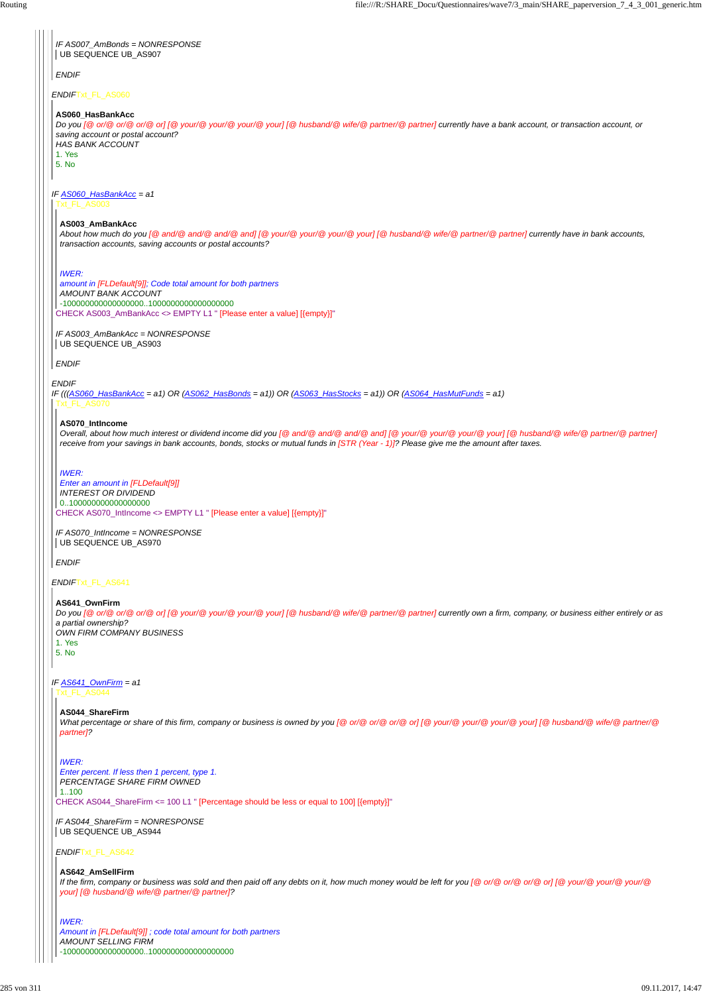*ENDIF*

*IF AS007\_AmBonds = NONRESPONSE* UB SEQUENCE UB\_AS907

*ENDIF*Txt\_FL\_AS641

*ENDIF*

*IF AS060\_HasBankAcc = a1* Txt\_FL\_AS003

#### **AS060\_HasBankAcc**

*IF AS003\_AmBankAcc = NONRESPONSE* UB SEQUENCE UB\_AS903

*Do you [@ or/@ or/@ or/@ or] [@ your/@ your/@ your/@ your] [@ husband/@ wife/@ partner/@ partner] currently have a bank account, or transaction account, or saving account or postal account? HAS BANK ACCOUNT*

1. Yes

5. No

*IF (((AS060\_HasBankAcc = a1) OR (AS062\_HasBonds = a1)) OR (AS063\_HasStocks = a1)) OR (AS064\_HasMutFunds = a1)* Txt\_FL\_AS070

*ENDIF*

#### **AS003\_AmBankAcc**

*About how much do you [@ and/@ and/@ and/@ and] [@ your/@ your/@ your/@ your] [@ husband/@ wife/@ partner/@ partner] currently have in bank accounts, transaction accounts, saving accounts or postal accounts?*

CHECK AS003\_AmBankAcc <> EMPTY L1 " [Please enter a value] [{empty}]" *amount in [FLDefault[9]]; Code total amount for both partners AMOUNT BANK ACCOUNT* -100000000000000000..1000000000000000000

#### *IWER:*

*IF AS641\_OwnFirm = a1* Txt\_FL\_AS044

*ENDIF*

#### **AS070\_IntIncome**

CHECK AS070\_IntIncome <> EMPTY L1 " [Please enter a value] [{empty}]" *Enter an amount in [FLDefault[9]] INTEREST OR DIVIDEND* 0..100000000000000000

*Overall, about how much interest or dividend income did you [@ and/@ and/@ and/@ and] [@ your/@ your/@ your/@ your] [@ husband/@ wife/@ partner/@ partner] receive from your savings in bank accounts, bonds, stocks or mutual funds in [STR (Year - 1)]? Please give me the amount after taxes.*

*IF AS070\_IntIncome = NONRESPONSE* UB SEQUENCE UB\_AS970

*IWER:*

### **AS641\_OwnFirm**

*Do you [@ or/@ or/@ or/@ or] [@ your/@ your/@ your/@ your] [@ husband/@ wife/@ partner/@ partner] currently own a firm, company, or business either entirely or as a partial ownership?*

*OWN FIRM COMPANY BUSINESS* 1. Yes

5. No

CHECK AS044\_ShareFirm <= 100 L1 " [Percentage should be less or equal to 100] [{empty}]"

*ENDIF*Txt\_FL\_AS642

### **AS044\_ShareFirm**

*What percentage or share of this firm, company or business is owned by you [@ or/@ or/@ or/@ or] [@ your/@ your/@ your/@ your] [@ husband/@ wife/@ partner/@ partner]?*

*IF AS044\_ShareFirm = NONRESPONSE* UB SEQUENCE UB\_AS944

*IWER:*

*Enter percent. If less then 1 percent, type 1.*

*PERCENTAGE SHARE FIRM OWNED*

1..100

**AS642\_AmSellFirm** *If the firm, company or business was sold and then paid off any debts on it, how much money would be left for you [@ or/@ or/@ or/@ or] [@ your/@ your/@ your/@ your] [@ husband/@ wife/@ partner/@ partner]?*

*IWER: Amount in [FLDefault[9]] ; code total amount for both partners AMOUNT SELLING FIRM* -100000000000000000..1000000000000000000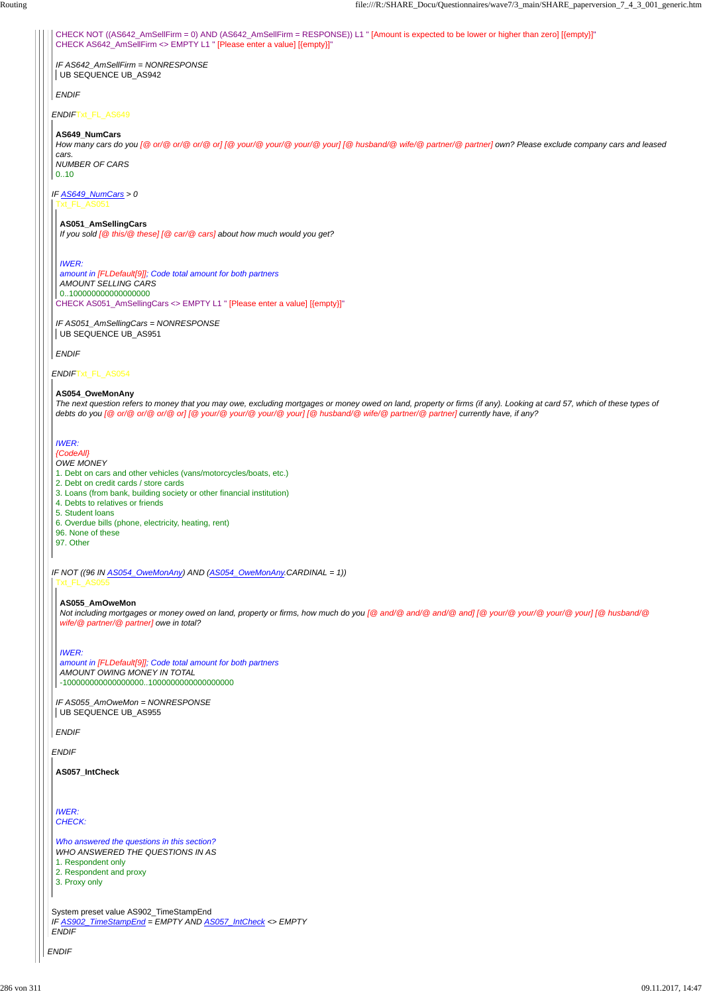*ENDIF*Txt\_FL\_AS054

CHECK NOT ((AS642\_AmSellFirm = 0) AND (AS642\_AmSellFirm = RESPONSE)) L1 " [Amount is expected to be lower or higher than zero] [{empty}]" CHECK AS642\_AmSellFirm <> EMPTY L1 " [Please enter a value] [{empty}]"

*IF AS649\_NumCars > 0* Txt\_FL\_AS051

*IF AS051\_AmSellingCars = NONRESPONSE* UB SEQUENCE UB\_AS951

*IF AS642\_AmSellFirm = NONRESPONSE* UB SEQUENCE UB\_AS942

*ENDIF*

### **AS649\_NumCars**

*How many cars do you [@ or/@ or/@ or/@ or] [@ your/@ your/@ your/@ your] [@ husband/@ wife/@ partner/@ partner] own? Please exclude company cars and leased cars.*

*NUMBER OF CARS* 0..10

*ENDIF*

*IF AS055\_AmOweMon = NONRESPONSE* UB SEQUENCE UB\_AS955

CHECK AS051\_AmSellingCars <> EMPTY L1 " [Please enter a value] [{empty}]" *amount in [FLDefault[9]]; Code total amount for both partners AMOUNT SELLING CARS* 0..100000000000000000

**AS051\_AmSellingCars** *If you sold [@ this/@ these] [@ car/@ cars] about how much would you get?*

*IF NOT ((96 IN AS054\_OweMonAny) AND (AS054\_OweMonAny.CARDINAL = 1))* Txt\_FL\_AS055

### *IWER:*

### **AS054\_OweMonAny**

| AS057_IntCheck                                            |
|-----------------------------------------------------------|
|                                                           |
| <b>IWER:</b><br><b>CHECK:</b>                             |
| Who answered the questions in this section?               |
| WHO ANSWERED THE QUESTIONS IN AS                          |
| 1. Respondent only                                        |
| 2. Respondent and proxy                                   |
| 3. Proxy only                                             |
| System preset value AS902_TimeStampEnd                    |
| IF AS902_TimeStampEnd = EMPTY AND AS057_IntCheck <> EMPTY |
| <b>ENDIF</b>                                              |

*The next question refers to money that you may owe, excluding mortgages or money owed on land, property or firms (if any). Looking at card 57, which of these types of debts do you [@ or/@ or/@ or/@ or] [@ your/@ your/@ your/@ your] [@ husband/@ wife/@ partner/@ partner] currently have, if any?*

# *IWER:*

*{CodeAll} OWE MONEY*

- 1. Debt on cars and other vehicles (vans/motorcycles/boats, etc.)
- 2. Debt on credit cards / store cards
- 3. Loans (from bank, building society or other financial institution)
- 4. Debts to relatives or friends
- 5. Student loans
- 6. Overdue bills (phone, electricity, heating, rent)
- 96. None of these
- 97. Other

*ENDIF*

### **AS055\_AmOweMon**

*Not including mortgages or money owed on land, property or firms, how much do you [@ and/@ and/@ and/@ and] [@ your/@ your/@ your/@ your] [@ husband/@ wife/@ partner/@ partner] owe in total?*

# *IWER:*

*amount in [FLDefault[9]]; Code total amount for both partners AMOUNT OWING MONEY IN TOTAL* -100000000000000000..1000000000000000000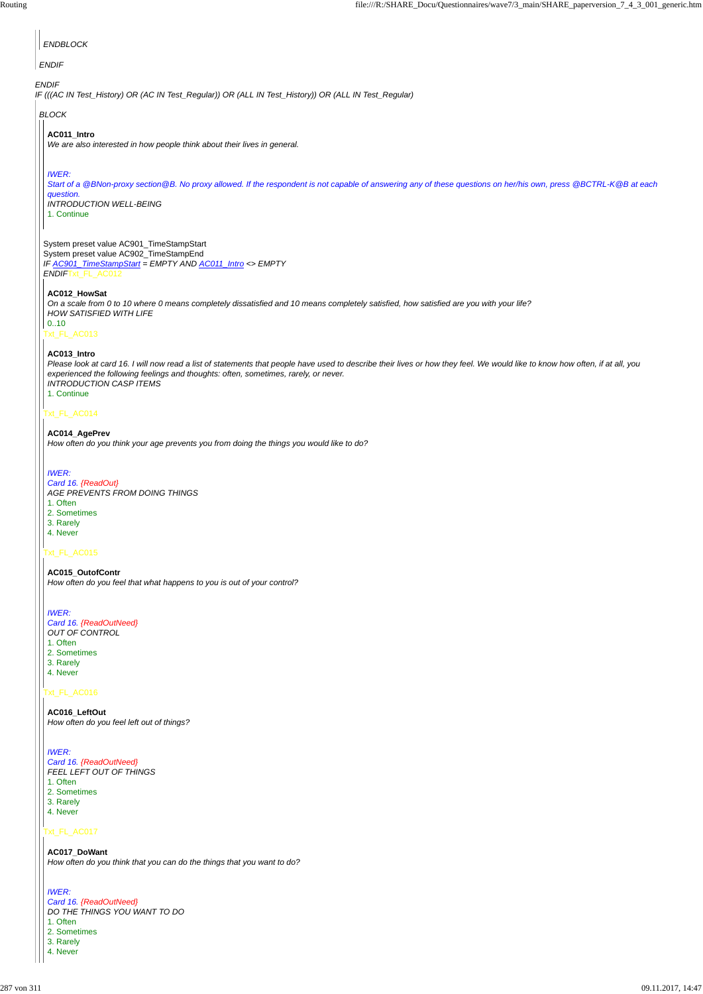# Txt\_FL\_AC016

# Txt\_FL\_AC017

| <b>ENDBLOCK</b>                                                                                                                                                                                                                                                                                                                      |
|--------------------------------------------------------------------------------------------------------------------------------------------------------------------------------------------------------------------------------------------------------------------------------------------------------------------------------------|
| <b>ENDIF</b>                                                                                                                                                                                                                                                                                                                         |
| <b>ENDIF</b><br>IF (((AC IN Test_History) OR (AC IN Test_Regular)) OR (ALL IN Test_History)) OR (ALL IN Test_Regular)                                                                                                                                                                                                                |
| <b>BLOCK</b>                                                                                                                                                                                                                                                                                                                         |
| AC011_Intro<br>We are also interested in how people think about their lives in general.                                                                                                                                                                                                                                              |
| <b>IWER:</b><br>Start of a @BNon-proxy section@B. No proxy allowed. If the respondent is not capable of answering any of these questions on her/his own, press @BCTRL-K@B at each<br>question.<br><b>INTRODUCTION WELL-BEING</b><br>1. Continue                                                                                      |
| System preset value AC901_TimeStampStart<br>System preset value AC902_TimeStampEnd<br>IF AC901_TimeStampStart = EMPTY AND AC011_Intro <> EMPTY<br>ENDIFTxt_FL_AC012                                                                                                                                                                  |
| AC012_HowSat<br>On a scale from 0 to 10 where 0 means completely dissatisfied and 10 means completely satisfied, how satisfied are you with your life?<br><b>HOW SATISFIED WITH LIFE</b><br>010<br>Txt_FL_AC013                                                                                                                      |
| AC013_Intro<br>Please look at card 16. I will now read a list of statements that people have used to describe their lives or how they feel. We would like to know how often, if at all, you<br>experienced the following feelings and thoughts: often, sometimes, rarely, or never.<br><b>INTRODUCTION CASP ITEMS</b><br>1. Continue |
| Txt_FL_AC014                                                                                                                                                                                                                                                                                                                         |
| AC014_AgePrev<br>How often do you think your age prevents you from doing the things you would like to do?                                                                                                                                                                                                                            |
| <b>IWER:</b><br>Card 16. {ReadOut}<br>AGE PREVENTS FROM DOING THINGS<br>1. Often<br>2. Sometimes<br>3. Rarely<br>4. Never                                                                                                                                                                                                            |
| Txt_FL_AC015                                                                                                                                                                                                                                                                                                                         |
| AC015_OutofContr<br>How often do you feel that what happens to you is out of your control?                                                                                                                                                                                                                                           |
| <b>IWER:</b><br>Card 16. {ReadOutNeed}<br>OUT OF CONTROL<br>1. Often<br>2. Sometimes<br>3. Rarely<br>4. Never                                                                                                                                                                                                                        |

**AC016\_LeftOut** *How often do you feel left out of things?*

#### *IWER:*

*Card 16. {ReadOutNeed} FEEL LEFT OUT OF THINGS* 1. Often

2. Sometimes

3. Rarely

4. Never

# **AC017\_DoWant**

*How often do you think that you can do the things that you want to do?*

## *IWER:*

*Card 16. {ReadOutNeed} DO THE THINGS YOU WANT TO DO* 1. Often 2. Sometimes

3. Rarely

4. Never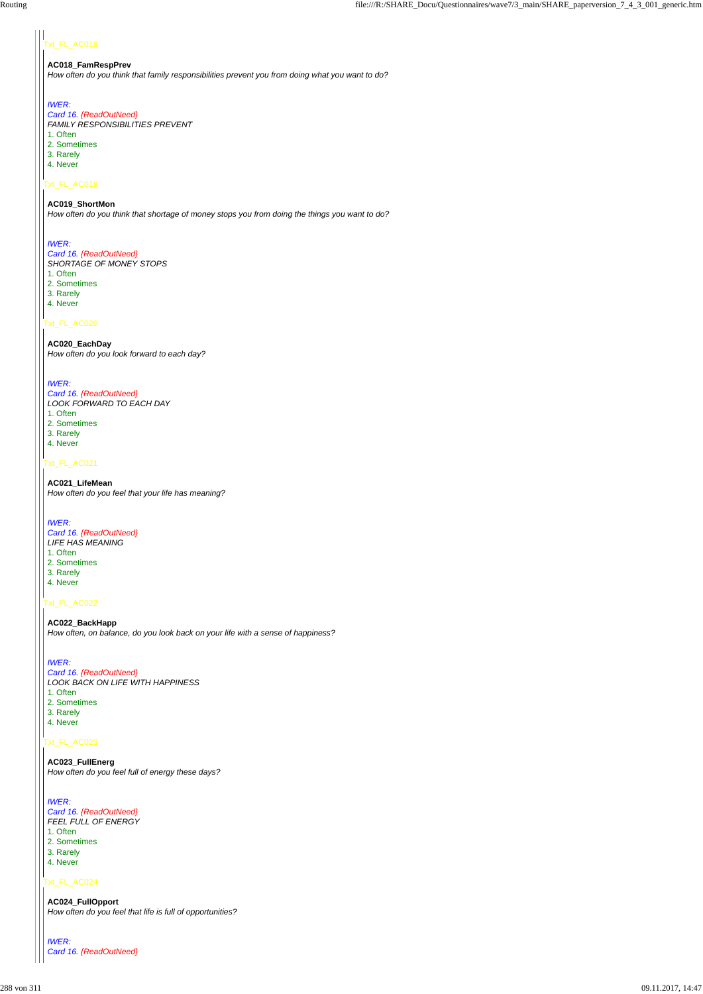### xt\_FL\_AC018

#### Txt\_FL\_AC019

#### Txt\_FL\_AC020

#### Txt\_FL\_AC021

# Txt\_FL\_AC022

# Txt\_FL\_AC024

### **AC018\_FamRespPrev**

*How often do you think that family responsibilities prevent you from doing what you want to do?*

### *IWER:*

# *Card 16. {ReadOutNeed}*

*FAMILY RESPONSIBILITIES PREVENT*

- 1. Often
- 2. Sometimes
- 3. Rarely
- 4. Never

# **AC019\_ShortMon**

*How often do you think that shortage of money stops you from doing the things you want to do?*

# *IWER:*

### *Card 16. {ReadOutNeed}*

*SHORTAGE OF MONEY STOPS* 1. Often

- 2. Sometimes
- 3. Rarely
- 4. Never

#### **AC020\_EachDay** *How often do you look forward to each day?*

### *IWER:*

*Card 16. {ReadOutNeed} LOOK FORWARD TO EACH DAY* 1. Often 2. Sometimes 3. Rarely 4. Never

#### **AC021\_LifeMean** *How often do you feel that your life has meaning?*

*IWER:*

- *Card 16. {ReadOutNeed} LIFE HAS MEANING* 1. Often 2. Sometimes 3. Rarely
- 4. Never
- 

# **AC022\_BackHapp**

*How often, on balance, do you look back on your life with a sense of happiness?*

# *IWER:*

- *Card 16. {ReadOutNeed} LOOK BACK ON LIFE WITH HAPPINESS*
- 1. Often
- 2. Sometimes
- 3. Rarely 4. Never

#### **AC023\_FullEnerg**

*How often do you feel full of energy these days?*

*IWER: Card 16. {ReadOutNeed} FEEL FULL OF ENERGY* 1. Often 2. Sometimes

3. Rarely

4. Never

**AC024\_FullOpport** *How often do you feel that life is full of opportunities?*

*IWER: Card 16. {ReadOutNeed}*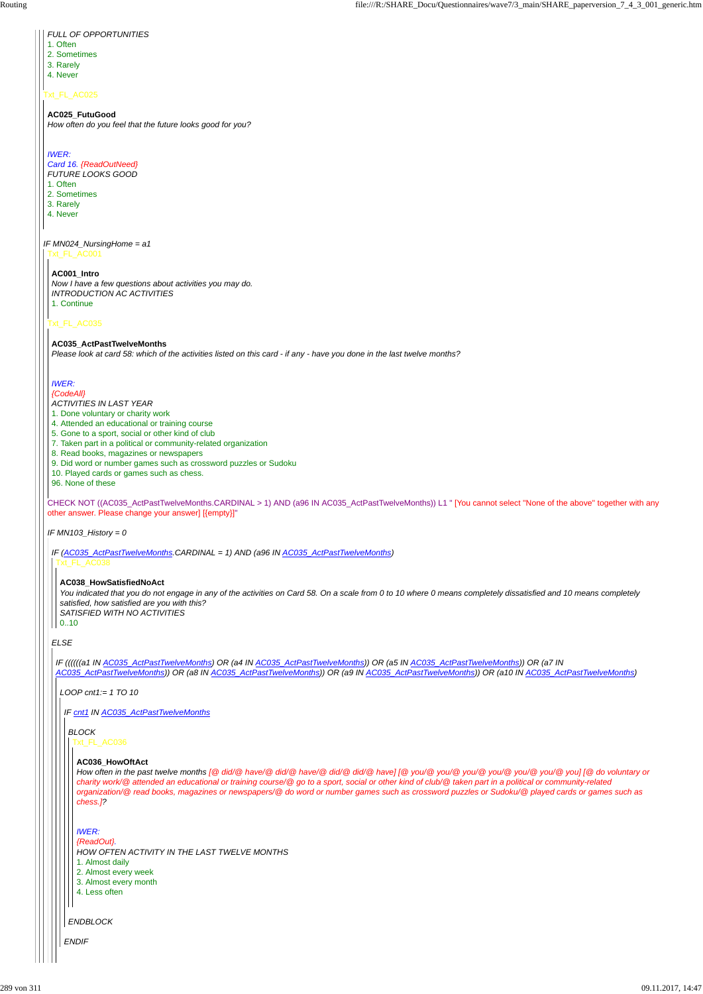#### Txt\_FL\_AC025

*IF MN024\_NursingHome = a1*

- *FULL OF OPPORTUNITIES*
- 1. Often
- 2. Sometimes
- 3. Rarely
- 4. Never

# **AC025\_FutuGood**

*How often do you feel that the future looks good for you?*

# *IWER:*

# *Card 16. {ReadOutNeed}*

- *FUTURE LOOKS GOOD*
- 1. Often
- 2. Sometimes
- 3. Rarely
- 4. Never

## Txt\_FL\_AC035

CHECK NOT ((AC035\_ActPastTwelveMonths.CARDINAL > 1) AND (a96 IN AC035\_ActPastTwelveMonths)) L1 " [You cannot select ''None of the above'' together with any other answer. Please change your answer] [{empty}]"

*IF MN103\_History = 0*

# **AC001\_Intro**

*Now I have a few questions about activities you may do. INTRODUCTION AC ACTIVITIES* 1. Continue

# **AC035\_ActPastTwelveMonths**

*Please look at card 58: which of the activities listed on this card - if any - have you done in the last twelve months?*

# *IWER:*

*{CodeAll} ACTIVITIES IN LAST YEAR*

- 1. Done voluntary or charity work
- 4. Attended an educational or training course
- 5. Gone to a sport, social or other kind of club
- 7. Taken part in a political or community-related organization
- 8. Read books, magazines or newspapers
- 9. Did word or number games such as crossword puzzles or Sudoku
- 10. Played cards or games such as chess.
- 96. None of these

*IF (AC035\_ActPastTwelveMonths.CARDINAL = 1) AND (a96 IN AC035\_ActPastTwelveMonths)* Txt\_FL\_AC038

*ELSE*

# **AC038\_HowSatisfiedNoAct**

*You indicated that you do not engage in any of the activities on Card 58. On a scale from 0 to 10 where 0 means completely dissatisfied and 10 means completely satisfied, how satisfied are you with this? SATISFIED WITH NO ACTIVITIES*

 $| 0..10$ 

*IF ((((((a1 IN AC035\_ActPastTwelveMonths) OR (a4 IN AC035\_ActPastTwelveMonths)) OR (a5 IN AC035\_ActPastTwelveMonths)) OR (a7 IN AC035\_ActPastTwelveMonths)) OR (a8 IN AC035\_ActPastTwelveMonths)) OR (a9 IN AC035\_ActPastTwelveMonths)) OR (a10 IN AC035\_ActPastTwelveMonths)*

*LOOP cnt1:= 1 TO 10*

*IF cnt1 IN AC035\_ActPastTwelveMonths*

*ENDIF*

*ENDBLOCK*

*BLOCK* Txt\_FL\_AC036

#### **AC036\_HowOftAct**

*How often in the past twelve months [@ did/@ have/@ did/@ have/@ did/@ did/@ have] [@ you/@ you/@ you/@ you/@ you/@ you/@ you] [@ do voluntary or charity work/@ attended an educational or training course/@ go to a sport, social or other kind of club/@ taken part in a political or community-related organization/@ read books, magazines or newspapers/@ do word or number games such as crossword puzzles or Sudoku/@ played cards or games such as chess.]?*

*IWER:*

*{ReadOut}.*

*HOW OFTEN ACTIVITY IN THE LAST TWELVE MONTHS*

1. Almost daily

2. Almost every week

3. Almost every month

4. Less often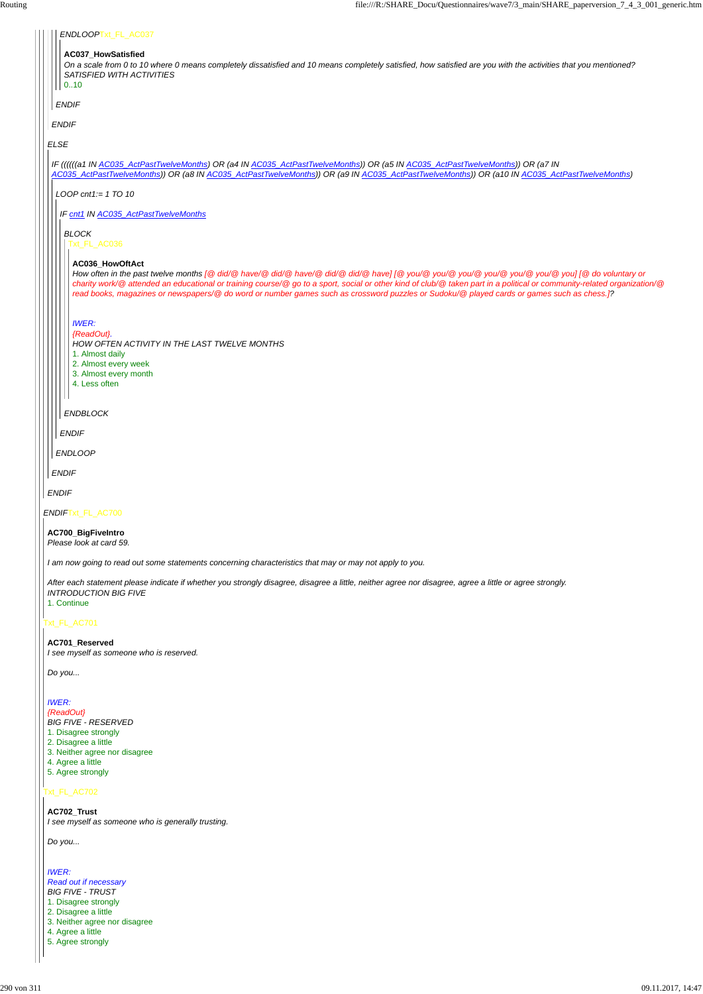## Txt\_FL\_AC702

| ENDLOOPTxt_FL_AC037                                                                                                                                                                                                                                                                                                                                                                                                                                                               |
|-----------------------------------------------------------------------------------------------------------------------------------------------------------------------------------------------------------------------------------------------------------------------------------------------------------------------------------------------------------------------------------------------------------------------------------------------------------------------------------|
| AC037_HowSatisfied<br>On a scale from 0 to 10 where 0 means completely dissatisfied and 10 means completely satisfied, how satisfied are you with the activities that you mentioned?<br>SATISFIED WITH ACTIVITIES<br>0.10                                                                                                                                                                                                                                                         |
| <b>ENDIF</b>                                                                                                                                                                                                                                                                                                                                                                                                                                                                      |
| <b>ENDIF</b>                                                                                                                                                                                                                                                                                                                                                                                                                                                                      |
| <b>ELSE</b>                                                                                                                                                                                                                                                                                                                                                                                                                                                                       |
| IF ((((((a1 IN AC035_ActPastTwelveMonths) OR (a4 IN AC035_ActPastTwelveMonths)) OR (a5 IN AC035_ActPastTwelveMonths)) OR (a7 IN<br>AC035_ActPastTwelveMonths)) OR (a8 IN AC035_ActPastTwelveMonths)) OR (a9 IN AC035_ActPastTwelveMonths)) OR (a10 IN AC035_ActPastTwelveMonths)                                                                                                                                                                                                  |
| LOOP cnt1:= $1\,$ TO $10$                                                                                                                                                                                                                                                                                                                                                                                                                                                         |
| IF cnt1 IN AC035_ActPastTwelveMonths                                                                                                                                                                                                                                                                                                                                                                                                                                              |
| <b>BLOCK</b><br>Txt_FL_AC036                                                                                                                                                                                                                                                                                                                                                                                                                                                      |
| AC036_HowOftAct<br>How often in the past twelve months [@did/@have/@did/@have/@did/@did/@have] [@you/@you/@you/@you/@you/@you/@you/@you] [@do voluntary or<br>charity work/@attended an educational or training course/@go to a sport, social or other kind of club/@ taken part in a political or community-related organization/@<br>read books, magazines or newspapers/@ do word or number games such as crossword puzzles or Sudoku/@ played cards or games such as chess.]? |
| <b>IWER:</b><br>{ReadOut}.<br>HOW OFTEN ACTIVITY IN THE LAST TWELVE MONTHS<br>1. Almost daily<br>2. Almost every week<br>3. Almost every month<br>4. Less often                                                                                                                                                                                                                                                                                                                   |
| $\mathbf{I}$<br><b>ENDBLOCK</b>                                                                                                                                                                                                                                                                                                                                                                                                                                                   |
| <b>ENDIF</b>                                                                                                                                                                                                                                                                                                                                                                                                                                                                      |
| <b>ENDLOOP</b>                                                                                                                                                                                                                                                                                                                                                                                                                                                                    |
| <b>ENDIF</b>                                                                                                                                                                                                                                                                                                                                                                                                                                                                      |
| <b>ENDIF</b>                                                                                                                                                                                                                                                                                                                                                                                                                                                                      |
| ENDIFTxt_FL_AC700                                                                                                                                                                                                                                                                                                                                                                                                                                                                 |
| AC700_BigFiveIntro<br>Please look at card 59.                                                                                                                                                                                                                                                                                                                                                                                                                                     |
| I am now going to read out some statements concerning characteristics that may or may not apply to you.                                                                                                                                                                                                                                                                                                                                                                           |
| After each statement please indicate if whether you strongly disagree, disagree a little, neither agree nor disagree, agree a little or agree strongly.<br><b>INTRODUCTION BIG FIVE</b><br>1. Continue                                                                                                                                                                                                                                                                            |
| Txt_FL_AC701                                                                                                                                                                                                                                                                                                                                                                                                                                                                      |
| AC701_Reserved<br>I see myself as someone who is reserved.                                                                                                                                                                                                                                                                                                                                                                                                                        |
| Do you                                                                                                                                                                                                                                                                                                                                                                                                                                                                            |

*IWER: {ReadOut} BIG FIVE - RESERVED* 1. Disagree strongly 2. Disagree a little

3. Neither agree nor disagree 4. Agree a little 5. Agree strongly

# **AC702\_Trust** *I see myself as someone who is generally trusting.*

*Do you...*

*IWER: Read out if necessary BIG FIVE - TRUST* 1. Disagree strongly 2. Disagree a little 3. Neither agree nor disagree 4. Agree a little 5. Agree strongly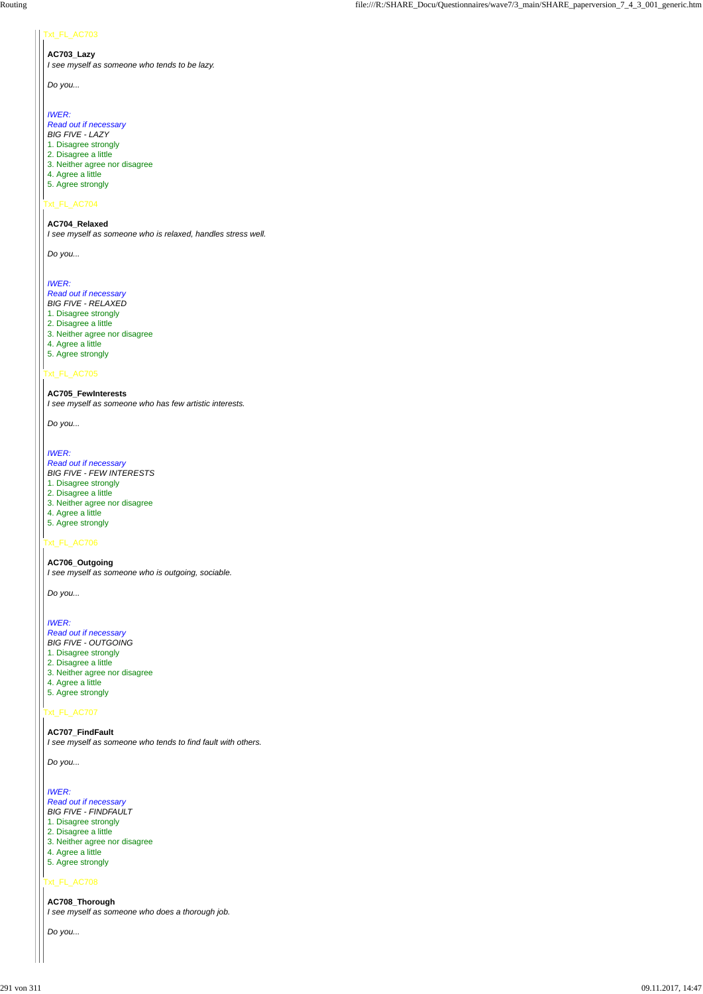#### Txt\_FL\_AC703

# Txt\_FL\_AC704

# Txt\_FL\_AC705

#### Txt\_FL\_AC706

# Txt\_FL\_AC707

#### Txt\_FL\_AC708

**AC703\_Lazy** *I see myself as someone who tends to be lazy.*

*Do you...*

#### *IWER:*

*Read out if necessary BIG FIVE - LAZY*

- 1. Disagree strongly
- 2. Disagree a little
- 3. Neither agree nor disagree
- 4. Agree a little
- 5. Agree strongly

#### **AC704\_Relaxed**

*I see myself as someone who is relaxed, handles stress well.*

*Do you...*

#### *IWER:*

*Read out if necessary BIG FIVE - RELAXED* 1. Disagree strongly 2. Disagree a little 3. Neither agree nor disagree 4. Agree a little 5. Agree strongly

#### **AC705\_FewInterests**

*I see myself as someone who has few artistic interests.*

*Do you...*

#### *IWER:*

*Read out if necessary BIG FIVE - FEW INTERESTS*

- 1. Disagree strongly
- 2. Disagree a little
- 3. Neither agree nor disagree
- 4. Agree a little
- 5. Agree strongly

**AC706\_Outgoing** *I see myself as someone who is outgoing, sociable.*

*Do you...*

#### *IWER:*

*Read out if necessary BIG FIVE - OUTGOING* 1. Disagree strongly 2. Disagree a little 3. Neither agree nor disagree 4. Agree a little 5. Agree strongly

**AC707\_FindFault** *I see myself as someone who tends to find fault with others.*

# *Do you...*

# *IWER:*

*Read out if necessary BIG FIVE - FINDFAULT* 1. Disagree strongly 2. Disagree a little 3. Neither agree nor disagree 4. Agree a little 5. Agree strongly

**AC708\_Thorough** *I see myself as someone who does a thorough job.*

*Do you...*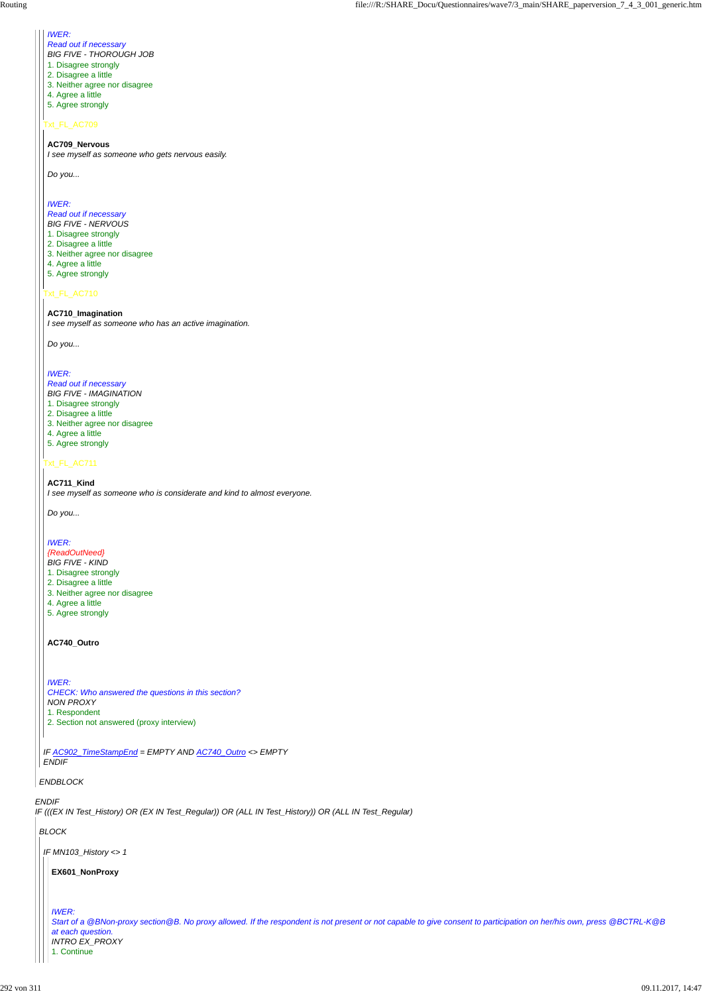*IF (((EX IN Test\_History) OR (EX IN Test\_Regular)) OR (ALL IN Test\_History)) OR (ALL IN Test\_Regular)*

#### *ENDBLOCK*

# Txt\_FL\_AC709

## Txt\_FL\_AC710

# Txt\_FL\_AC711

*IF AC902\_TimeStampEnd = EMPTY AND AC740\_Outro <> EMPTY*

*ENDIF*

# *IWER:*

- *Read out if necessary*
- *BIG FIVE THOROUGH JOB*
- 1. Disagree strongly
- 2. Disagree a little
- 3. Neither agree nor disagree
- 4. Agree a little
- 5. Agree strongly

#### **AC709\_Nervous**

*I see myself as someone who gets nervous easily.*

*Do you...*

## *IWER:*

*Read out if necessary BIG FIVE - NERVOUS*

- 1. Disagree strongly
- 2. Disagree a little
- 3. Neither agree nor disagree
- 4. Agree a little
- 5. Agree strongly

**AC710\_Imagination** *I see myself as someone who has an active imagination.*

*Do you...*

# *IWER:*

*Read out if necessary BIG FIVE - IMAGINATION* 1. Disagree strongly 2. Disagree a little 3. Neither agree nor disagree 4. Agree a little 5. Agree strongly

**AC711\_Kind** *I see myself as someone who is considerate and kind to almost everyone.*

*Do you...*

# *IWER:*

#### *{ReadOutNeed}*

- *BIG FIVE KIND*
- 1. Disagree strongly
- 2. Disagree a little
- 3. Neither agree nor disagree
- 4. Agree a little
- 5. Agree strongly

#### **AC740\_Outro**

*IWER: CHECK: Who answered the questions in this section? NON PROXY* 1. Respondent 2. Section not answered (proxy interview)

*BLOCK*

*IF MN103\_History <> 1*

**EX601\_NonProxy**

*IWER:*

*Start of a @BNon-proxy section@B. No proxy allowed. If the respondent is not present or not capable to give consent to participation on her/his own, press @BCTRL-K@B at each question. INTRO EX\_PROXY* 1. Continue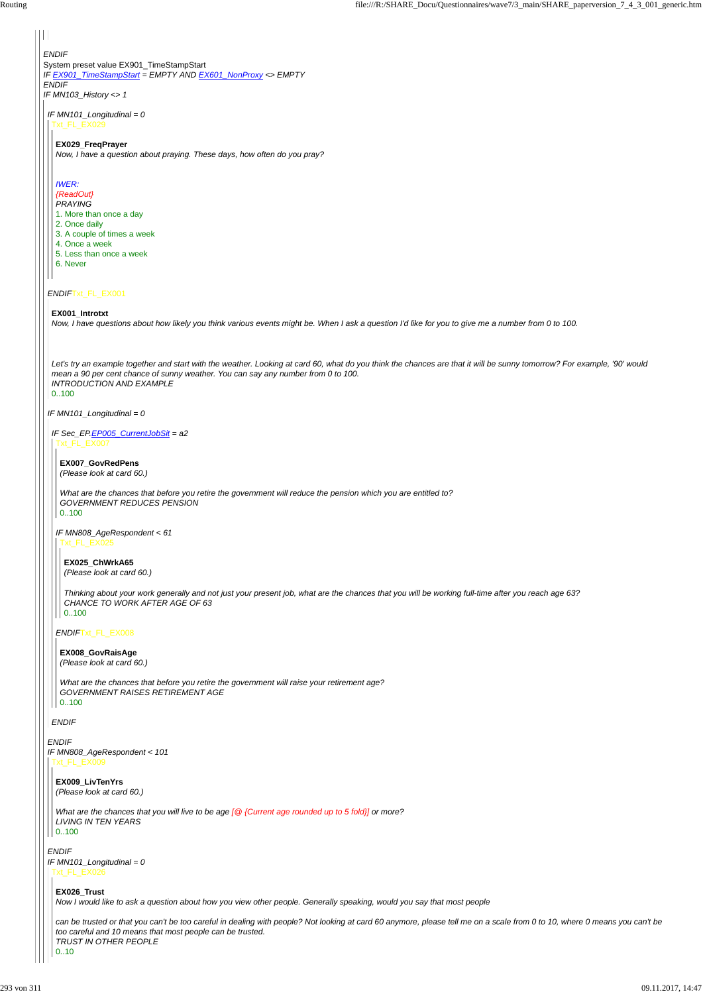*ENDIF* System preset value EX901\_TimeStampStart *IF EX901\_TimeStampStart = EMPTY AND EX601\_NonProxy <> EMPTY ENDIF IF MN103\_History <> 1*

## *ENDIF*Txt\_FL\_EX001

#### *IF MN101\_Longitudinal = 0*

*ENDIF*

*IF MN101\_Longitudinal = 0* Txt\_FL\_EX029

# *IF MN808\_AgeRespondent < 101*

#### **EX029\_FreqPrayer**

*Now, I have a question about praying. These days, how often do you pray?*

# *IWER:*

# *{ReadOut}*

- *PRAYING*
- 1. More than once a day
- 2. Once daily
- 3. A couple of times a week
- 4. Once a week
- 5. Less than once a week
- 6. Never

#### **EX001\_Introtxt**

*Now, I have questions about how likely you think various events might be. When I ask a question I'd like for you to give me a number from 0 to 100.*

*Thinking about your work generally and not just your present job, what are the chances that you will be working full-time after you reach age 63? CHANCE TO WORK AFTER AGE OF 63*  $| 0..100$ 

*Let's try an example together and start with the weather. Looking at card 60, what do you think the chances are that it will be sunny tomorrow? For example, '90' would mean a 90 per cent chance of sunny weather. You can say any number from 0 to 100. INTRODUCTION AND EXAMPLE* 0..100

*IF Sec\_EP.EP005\_CurrentJobSit = a2* Txt\_FL\_EX007

*ENDIF*

```
ENDIF
IF MN101_Longitudinal = 0
 Txt_FL_EX026
```
*ENDIF*Txt\_FL\_EX008

# **EX007\_GovRedPens**

*(Please look at card 60.)*

*IF MN808\_AgeRespondent < 61* Txt\_FL\_EX025

*What are the chances that before you retire the government will reduce the pension which you are entitled to? GOVERNMENT REDUCES PENSION* 0..100

**EX025\_ChWrkA65** *(Please look at card 60.)*

**EX008\_GovRaisAge** *(Please look at card 60.)*

*What are the chances that before you retire the government will raise your retirement age? GOVERNMENT RAISES RETIREMENT AGE* 0..100

**EX009\_LivTenYrs** *(Please look at card 60.)*

*What are the chances that you will live to be age [@ {Current age rounded up to 5 fold}] or more? LIVING IN TEN YEARS* 0..100

#### **EX026\_Trust**

*Now I would like to ask a question about how you view other people. Generally speaking, would you say that most people*

*can be trusted or that you can't be too careful in dealing with people? Not looking at card 60 anymore, please tell me on a scale from 0 to 10, where 0 means you can't be too careful and 10 means that most people can be trusted. TRUST IN OTHER PEOPLE* 0..10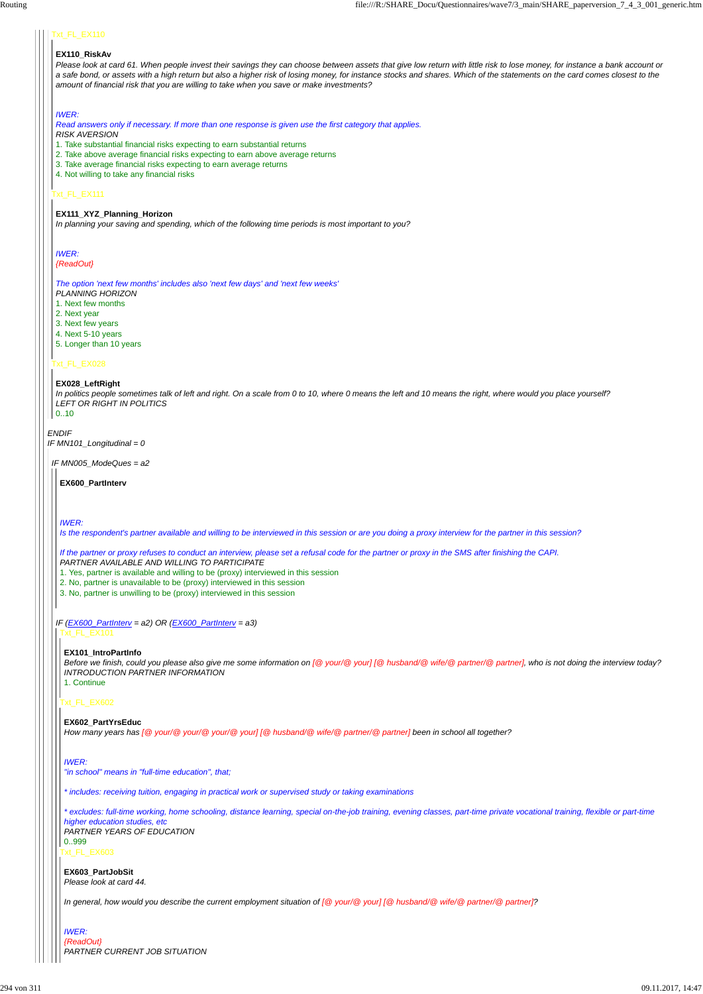#### *ENDIF IF MN101\_Longitudinal = 0*

# Txt\_FL\_EX110

## Txt\_FL\_EX111

#### Txt\_FL\_EX028

#### **EX110\_RiskAv**

*Please look at card 61. When people invest their savings they can choose between assets that give low return with little risk to lose money, for instance a bank account or a safe bond, or assets with a high return but also a higher risk of losing money, for instance stocks and shares. Which of the statements on the card comes closest to the amount of financial risk that you are willing to take when you save or make investments?*

#### *IWER:*

*Read answers only if necessary. If more than one response is given use the first category that applies.*

- *RISK AVERSION*
- 1. Take substantial financial risks expecting to earn substantial returns
- 2. Take above average financial risks expecting to earn above average returns
- 3. Take average financial risks expecting to earn average returns
- 4. Not willing to take any financial risks

#### **EX111\_XYZ\_Planning\_Horizon**

*In planning your saving and spending, which of the following time periods is most important to you?*

#### *IWER:*

#### *{ReadOut}*

*The option 'next few months' includes also 'next few days' and 'next few weeks'*

- *PLANNING HORIZON*
- 1. Next few months
- 2. Next year
- 3. Next few years
- 4. Next 5-10 years
- 5. Longer than 10 years

#### **EX028\_LeftRight**

*In politics people sometimes talk of left and right. On a scale from 0 to 10, where 0 means the left and 10 means the right, where would you place yourself? LEFT OR RIGHT IN POLITICS*

#### 0..10

*IF MN005\_ModeQues = a2*

#### **EX600\_PartInterv**

#### *IWER:*

*Is the respondent's partner available and willing to be interviewed in this session or are you doing a proxy interview for the partner in this session?*

*If the partner or proxy refuses to conduct an interview, please set a refusal code for the partner or proxy in the SMS after finishing the CAPI. PARTNER AVAILABLE AND WILLING TO PARTICIPATE*

*IF (EX600\_PartInterv = a2) OR (EX600\_PartInterv = a3)* Txt\_FL\_EX101

1. Yes, partner is available and willing to be (proxy) interviewed in this session

2. No, partner is unavailable to be (proxy) interviewed in this session

3. No, partner is unwilling to be (proxy) interviewed in this session

# Txt\_FL\_EX602

#### **EX101\_IntroPartInfo**

*Before we finish, could you please also give me some information on [@ your/@ your] [@ husband/@ wife/@ partner/@ partner], who is not doing the interview today? INTRODUCTION PARTNER INFORMATION* 1. Continue

#### **EX602\_PartYrsEduc**

*How many years has [@ your/@ your/@ your/@ your] [@ husband/@ wife/@ partner/@ partner] been in school all together?*

```
IWER:
```
Txt\_FL\_EX603 *\* excludes: full-time working, home schooling, distance learning, special on-the-job training, evening classes, part-time private vocational training, flexible or part-time higher education studies, etc PARTNER YEARS OF EDUCATION* 0..999

```
"in school" means in "full-time education", that;
```
*\* includes: receiving tuition, engaging in practical work or supervised study or taking examinations*

**EX603\_PartJobSit** *Please look at card 44.*

*In general, how would you describe the current employment situation of [@ your/@ your] [@ husband/@ wife/@ partner/@ partner]?*

*IWER:*

*{ReadOut} PARTNER CURRENT JOB SITUATION*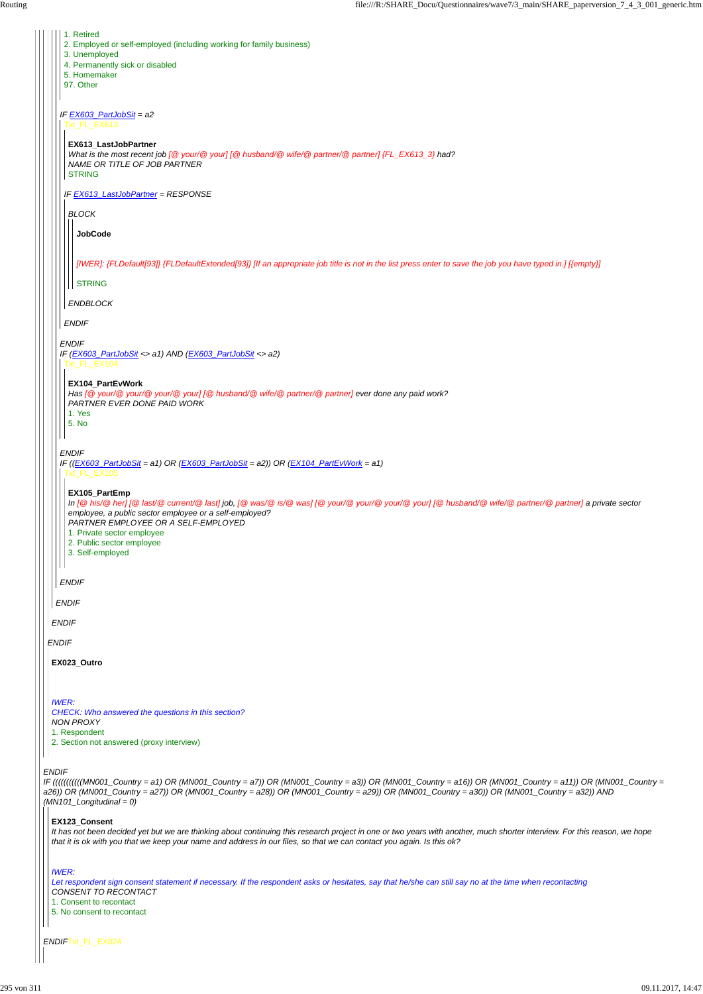$\vert \, \vert \, \vert$ 

*IF (((((((((((MN001\_Country = a1) OR (MN001\_Country = a7)) OR (MN001\_Country = a3)) OR (MN001\_Country = a16)) OR (MN001\_Country = a11)) OR (MN001\_Country = a26)) OR (MN001\_Country = a27)) OR (MN001\_Country = a28)) OR (MN001\_Country = a29)) OR (MN001\_Country = a30)) OR (MN001\_Country = a32)) AND (MN101\_Longitudinal = 0)*

*ENDIF*Txt\_FL\_EX024

| 1. Retired<br>2. Employed or self-employed (including working for family business)                                                                                                                                                                                                                                                    |
|---------------------------------------------------------------------------------------------------------------------------------------------------------------------------------------------------------------------------------------------------------------------------------------------------------------------------------------|
| 3. Unemployed<br>4. Permanently sick or disabled                                                                                                                                                                                                                                                                                      |
| 5. Homemaker<br>97. Other                                                                                                                                                                                                                                                                                                             |
|                                                                                                                                                                                                                                                                                                                                       |
| IF $EX603$ PartJobSit = a2<br>Ext FL EX613                                                                                                                                                                                                                                                                                            |
| EX613_LastJobPartner<br>What is the most recent job [@ your/@ your] [@ husband/@ wife/@ partner/@ partner] ${FL\_EX613\_3}$ had?<br>NAME OR TITLE OF JOB PARTNER<br><b>STRING</b>                                                                                                                                                     |
| IF EX613_LastJobPartner = RESPONSE                                                                                                                                                                                                                                                                                                    |
| <b>BLOCK</b>                                                                                                                                                                                                                                                                                                                          |
| <b>JobCode</b>                                                                                                                                                                                                                                                                                                                        |
|                                                                                                                                                                                                                                                                                                                                       |
| [IWER]: {FLDefault[93]} {FLDefaultExtended[93]} [If an appropriate job title is not in the list press enter to save the job you have typed in.] [{empty}]                                                                                                                                                                             |
| <b>STRING</b>                                                                                                                                                                                                                                                                                                                         |
| <b>ENDBLOCK</b>                                                                                                                                                                                                                                                                                                                       |
| <b>ENDIF</b>                                                                                                                                                                                                                                                                                                                          |
| <b>ENDIF</b><br>IF (EX603_PartJobSit <> a1) AND (EX603_PartJobSit <> a2)<br><b>Txt FL EX104</b>                                                                                                                                                                                                                                       |
| EX104 PartEvWork<br>Has [@ your/@ your/@ your/@ your] [@ husband/@ wife/@ partner/@ partner] ever done any paid work?<br>PARTNER EVER DONE PAID WORK<br>1. Yes<br>5. No                                                                                                                                                               |
| <b>ENDIF</b>                                                                                                                                                                                                                                                                                                                          |
| IF $((EX603$ _PartJobSit = a1) OR $(EX603$ _PartJobSit = a2)) OR $(EX104$ _PartEvWork = a1)<br>Txt_FL_EX105                                                                                                                                                                                                                           |
| EX105_PartEmp<br>In [@ his/@ her] [@ last/@ current/@ last] job, [@ was/@ is/@ was] [@ your/@ your/@ your/@ your] [@ husband/@ wife/@ partner/@ partner] a private sector<br>employee, a public sector employee or a self-employed?<br>PARTNER EMPLOYEE OR A SELF-EMPLOYED<br>1. Private sector employee<br>2. Public sector employee |
| 3. Self-employed                                                                                                                                                                                                                                                                                                                      |
| <b>ENDIF</b>                                                                                                                                                                                                                                                                                                                          |
| <b>ENDIF</b>                                                                                                                                                                                                                                                                                                                          |
| <b>ENDIF</b>                                                                                                                                                                                                                                                                                                                          |
| <b>ENDIF</b>                                                                                                                                                                                                                                                                                                                          |
| EX023_Outro                                                                                                                                                                                                                                                                                                                           |
|                                                                                                                                                                                                                                                                                                                                       |
| <b>IWER:</b><br>CHECK: Who answered the questions in this section?<br><b>NON PROXY</b>                                                                                                                                                                                                                                                |
| 1. Respondent<br>2. Section not answered (proxy interview)                                                                                                                                                                                                                                                                            |

## **EX123\_Consent**

*It has not been decided yet but we are thinking about continuing this research project in one or two years with another, much shorter interview. For this reason, we hope that it is ok with you that we keep your name and address in our files, so that we can contact you again. Is this ok?*

#### *IWER:*

*Let respondent sign consent statement if necessary. If the respondent asks or hesitates, say that he/she can still say no at the time when recontacting CONSENT TO RECONTACT*

1. Consent to recontact

5. No consent to recontact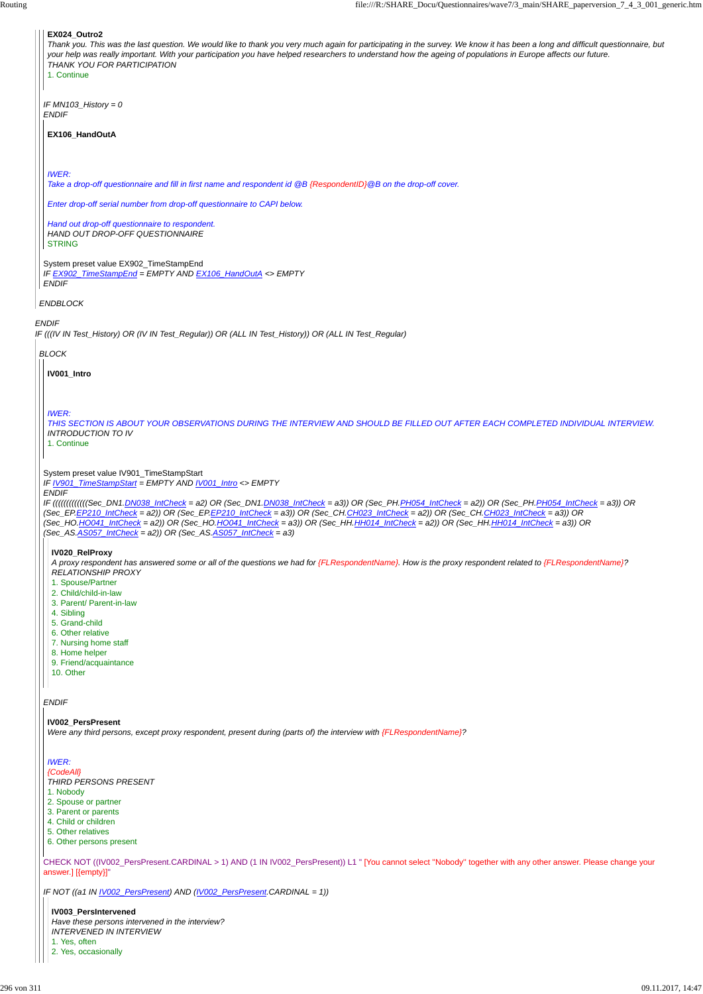*IF (((IV IN Test\_History) OR (IV IN Test\_Regular)) OR (ALL IN Test\_History)) OR (ALL IN Test\_Regular)*

*ENDBLOCK*

*IF MN103\_History = 0 ENDIF*

System preset value EX902\_TimeStampEnd *IF EX902\_TimeStampEnd = EMPTY AND EX106\_HandOutA <> EMPTY ENDIF*

#### **EX024\_Outro2**

*Thank you. This was the last question. We would like to thank you very much again for participating in the survey. We know it has been a long and difficult questionnaire, but your help was really important. With your participation you have helped researchers to understand how the ageing of populations in Europe affects our future. THANK YOU FOR PARTICIPATION*

1. Continue

#### **EX106\_HandOutA**

*IWER:*

*Take a drop-off questionnaire and fill in first name and respondent id @B {RespondentID}@B on the drop-off cover.*

*Enter drop-off serial number from drop-off questionnaire to CAPI below.*

*Hand out drop-off questionnaire to respondent. HAND OUT DROP-OFF QUESTIONNAIRE* STRING

*BLOCK*

System preset value IV901\_TimeStampStart

*IF IV901\_TimeStampStart = EMPTY AND IV001\_Intro <> EMPTY*

*ENDIF*

*IF (((((((((((((Sec\_DN1.DN038\_IntCheck = a2) OR (Sec\_DN1.DN038\_IntCheck = a3)) OR (Sec\_PH.PH054\_IntCheck = a2)) OR (Sec\_PH.PH054\_IntCheck = a3)) OR (Sec\_EP.EP210\_IntCheck = a2)) OR (Sec\_EP.EP210\_IntCheck = a3)) OR (Sec\_CH.CH023\_IntCheck = a2)) OR (Sec\_CH.CH023\_IntCheck = a3)) OR (Sec\_HO.HO041\_IntCheck = a2)) OR (Sec\_HO.HO041\_IntCheck = a3)) OR (Sec\_HH.HH014\_IntCheck = a2)) OR (Sec\_HH.HH014\_IntCheck = a3)) OR (Sec\_AS.AS057\_IntCheck = a2)) OR (Sec\_AS.AS057\_IntCheck = a3)*

*ENDIF*

**IV001\_Intro**

*IWER:*

*THIS SECTION IS ABOUT YOUR OBSERVATIONS DURING THE INTERVIEW AND SHOULD BE FILLED OUT AFTER EACH COMPLETED INDIVIDUAL INTERVIEW. INTRODUCTION TO IV*

1. Continue

#### **IV020\_RelProxy**

*A proxy respondent has answered some or all of the questions we had for {FLRespondentName}. How is the proxy respondent related to {FLRespondentName}? RELATIONSHIP PROXY*

```
CHECK NOT ((IV002_PersPresent.CARDINAL > 1) AND (1 IN IV002_PersPresent)) L1 " [You cannot select ''Nobody'' together with any other answer. Please change your
answer.] [{empty}]"
IF NOT ((a1 IN IV002_PersPresent) AND (IV002_PersPresent.CARDINAL = 1))
 IWER:
 {CodeAll}
 THIRD PERSONS PRESENT
 1. Nobody
2. Spouse or partner
3. Parent or parents
 4. Child or children
5. Other relatives
6. Other persons present
  IV003_PersIntervened
  Have these persons intervened in the interview?
  INTERVENED IN INTERVIEW
  1. Yes, often
  2. Yes, occasionally
```
- 1. Spouse/Partner
- 2. Child/child-in-law
- 3. Parent/ Parent-in-law
- 4. Sibling
- 5. Grand-child
- 6. Other relative
- 7. Nursing home staff
- 8. Home helper
- 9. Friend/acquaintance
- 10. Other

#### **IV002\_PersPresent**

*Were any third persons, except proxy respondent, present during (parts of) the interview with {FLRespondentName}?*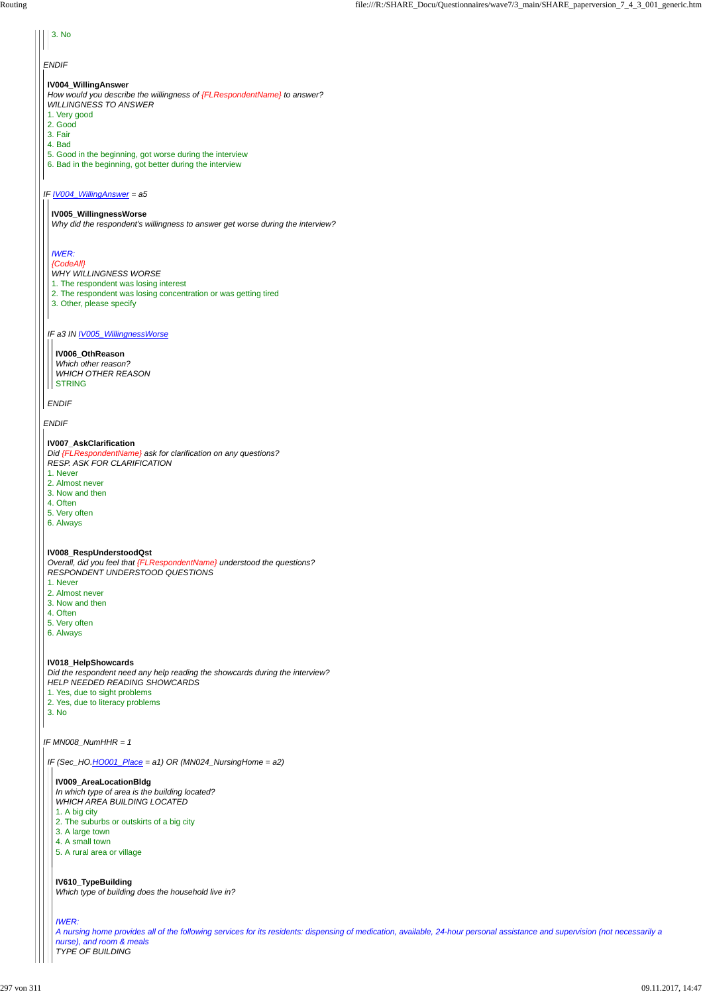#### *IF IV004\_WillingAnswer = a5*

*ENDIF*

# 3. No

#### **IV004\_WillingAnswer**

*How would you describe the willingness of {FLRespondentName} to answer? WILLINGNESS TO ANSWER*

- 1. Very good
- 2. Good
- 3. Fair
- 4. Bad
- 5. Good in the beginning, got worse during the interview
- 6. Bad in the beginning, got better during the interview

*Which other reason? WHICH OTHER REASON* **STRING** 

#### *IF a3 IN IV005\_WillingnessWorse*

#### *ENDIF*

#### **IV005\_WillingnessWorse**

*Why did the respondent's willingness to answer get worse during the interview?*

# *IWER:*

#### *{CodeAll} WHY WILLINGNESS WORSE*

- 1. The respondent was losing interest
- 2. The respondent was losing concentration or was getting tired
- 3. Other, please specify

#### **IV006\_OthReason**

#### **IV007\_AskClarification**

*Did {FLRespondentName} ask for clarification on any questions? RESP. ASK FOR CLARIFICATION*

- 1. Never
- 2. Almost never
- 3. Now and then
- 4. Often
- 5. Very often
- 6. Always

#### **IV008\_RespUnderstoodQst**

*Overall, did you feel that {FLRespondentName} understood the questions? RESPONDENT UNDERSTOOD QUESTIONS*

- 1. Never
- 2. Almost never
- 3. Now and then
- 4. Often
- 5. Very often
- 6. Always

#### **IV018\_HelpShowcards**

*Did the respondent need any help reading the showcards during the interview?*

- *HELP NEEDED READING SHOWCARDS*
- 1. Yes, due to sight problems
- 2. Yes, due to literacy problems
- 3. No

*IF (Sec\_HO.HO001\_Place = a1) OR (MN024\_NursingHome = a2)*

**IV009\_AreaLocationBldg** *In which type of area is the building located? WHICH AREA BUILDING LOCATED* 1. A big city 2. The suburbs or outskirts of a big city 3. A large town 4. A small town 5. A rural area or village

**IV610\_TypeBuilding** *Which type of building does the household live in?*

#### *IWER:*

*A nursing home provides all of the following services for its residents: dispensing of medication, available, 24-hour personal assistance and supervision (not necessarily a nurse), and room & meals TYPE OF BUILDING*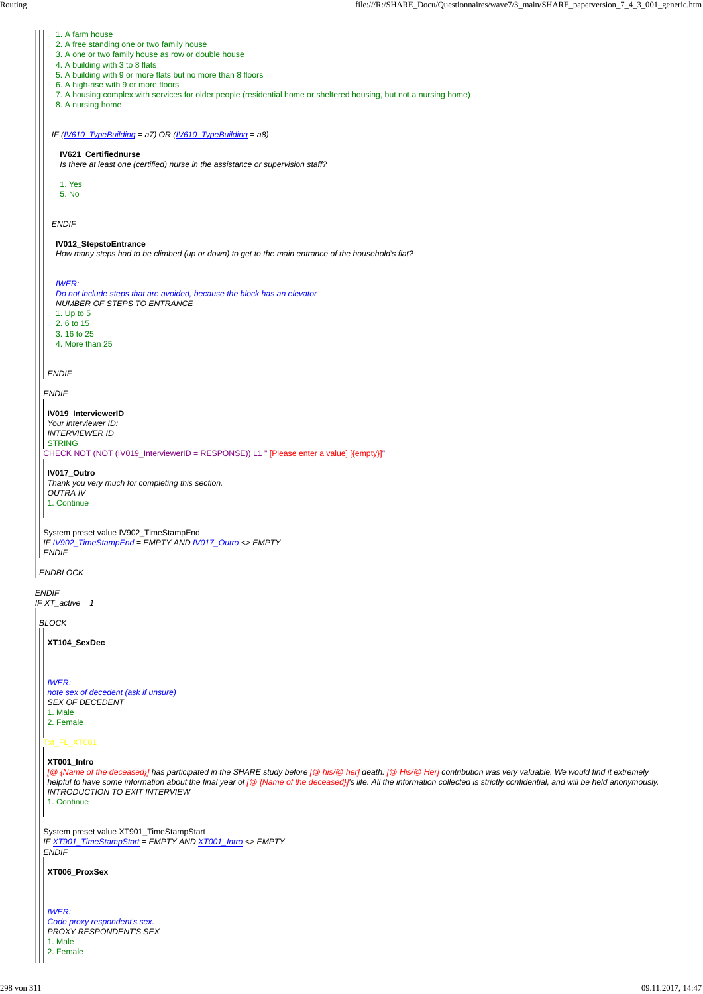*ENDIF IF XT\_active = 1*

*ENDBLOCK*

*ENDIF*

CHECK NOT (NOT (IV019\_InterviewerID = RESPONSE)) L1 " [Please enter a value] [{empty}]"

System preset value IV902\_TimeStampEnd *IF IV902\_TimeStampEnd = EMPTY AND IV017\_Outro <> EMPTY ENDIF*

*ENDIF*

*IF (IV610\_TypeBuilding = a7) OR (IV610\_TypeBuilding = a8)*

*ENDIF*

- 1. A farm house
- 2. A free standing one or two family house
- 3. A one or two family house as row or double house
- 4. A building with 3 to 8 flats
- 5. A building with 9 or more flats but no more than 8 floors
- 6. A high-rise with 9 or more floors
- 7. A housing complex with services for older people (residential home or sheltered housing, but not a nursing home)
- 8. A nursing home

**IV019\_InterviewerID** *Your interviewer ID: INTERVIEWER ID* **STRING** 

#### **IV621\_Certifiednurse**

*Is there at least one (certified) nurse in the assistance or supervision staff?*

1. Yes

5. No

#### **IV012\_StepstoEntrance**

*How many steps had to be climbed (up or down) to get to the main entrance of the household's flat?*

*IWER:*

*Do not include steps that are avoided, because the block has an elevator NUMBER OF STEPS TO ENTRANCE* 1. Up to 5 2. 6 to 15 3. 16 to 25 4. More than 25

**IV017\_Outro** *Thank you very much for completing this section. OUTRA IV* 1. Continue

*BLOCK*

Txt\_FL\_XT001

System preset value XT901\_TimeStampStart *IF XT901\_TimeStampStart = EMPTY AND XT001\_Intro <> EMPTY ENDIF*

**XT104\_SexDec**

*IWER: note sex of decedent (ask if unsure) SEX OF DECEDENT* 1. Male 2. Female

#### **XT001\_Intro**

*[@ {Name of the deceased}] has participated in the SHARE study before [@ his/@ her] death. [@ His/@ Her] contribution was very valuable. We would find it extremely helpful to have some information about the final year of [@ {Name of the deceased}]'s life. All the information collected is strictly confidential, and will be held anonymously. INTRODUCTION TO EXIT INTERVIEW*

1. Continue

**XT006\_ProxSex**

*IWER: Code proxy respondent's sex. PROXY RESPONDENT'S SEX* 1. Male

2. Female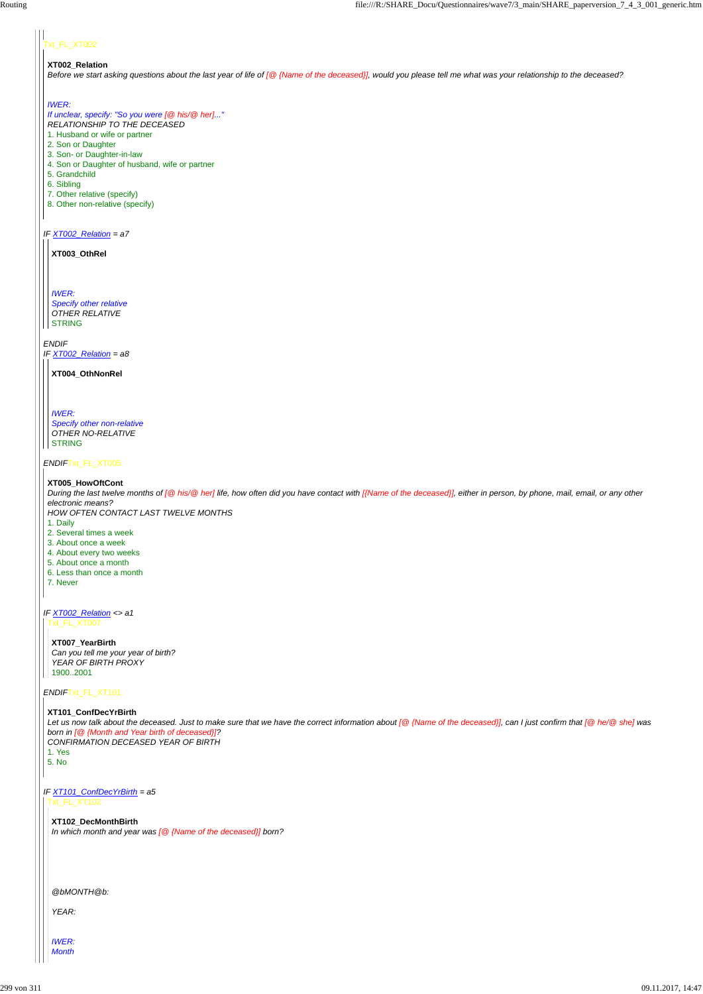# xt\_FL\_XT002

*IF XT002\_Relation = a7*

*ENDIF IF XT002\_Relation = a8*

*ENDIF*Txt\_FL\_XT005

*ENDIF*Txt\_FL\_XT101

#### **XT002\_Relation**

*Before we start asking questions about the last year of life of [@ {Name of the deceased}], would you please tell me what was your relationship to the deceased?*

*IWER: Specify other relative OTHER RELATIVE* **STRING** 

#### *IWER:*

*IWER: Specify other non-relative OTHER NO-RELATIVE* **STRING** 

*If unclear, specify: "So you were [@ his/@ her]..." RELATIONSHIP TO THE DECEASED* 1. Husband or wife or partner

*During the last twelve months of [@ his/@ her] life, how often did you have contact with [{Name of the deceased}], either in person, by phone, mail, email, or any other electronic means?*

- 2. Son or Daughter
- 3. Son- or Daughter-in-law
- 4. Son or Daughter of husband, wife or partner
- 5. Grandchild
- 6. Sibling
- 7. Other relative (specify)
- 8. Other non-relative (specify)

*IF XT002\_Relation <> a1* Txt\_FL\_XT007

**XT003\_OthRel**

**XT004\_OthNonRel**

#### **XT005\_HowOftCont**

*IF XT101\_ConfDecYrBirth = a5* Txt\_FL\_XT102

*HOW OFTEN CONTACT LAST TWELVE MONTHS*

- 1. Daily
- 2. Several times a week
- 3. About once a week
- 4. About every two weeks
- 5. About once a month
- 6. Less than once a month
- 7. Never

**XT007\_YearBirth** *Can you tell me your year of birth? YEAR OF BIRTH PROXY* 1900..2001

**XT101\_ConfDecYrBirth** *Let us now talk about the deceased. Just to make sure that we have the correct information about [@ {Name of the deceased}], can I just confirm that [@ he/@ she] was born in [@ {Month and Year birth of deceased}]? CONFIRMATION DECEASED YEAR OF BIRTH*

1. Yes 5. No

> **XT102\_DecMonthBirth** *In which month and year was [@ {Name of the deceased}] born?*

*@bMONTH@b:*

*YEAR:*

*IWER: Month*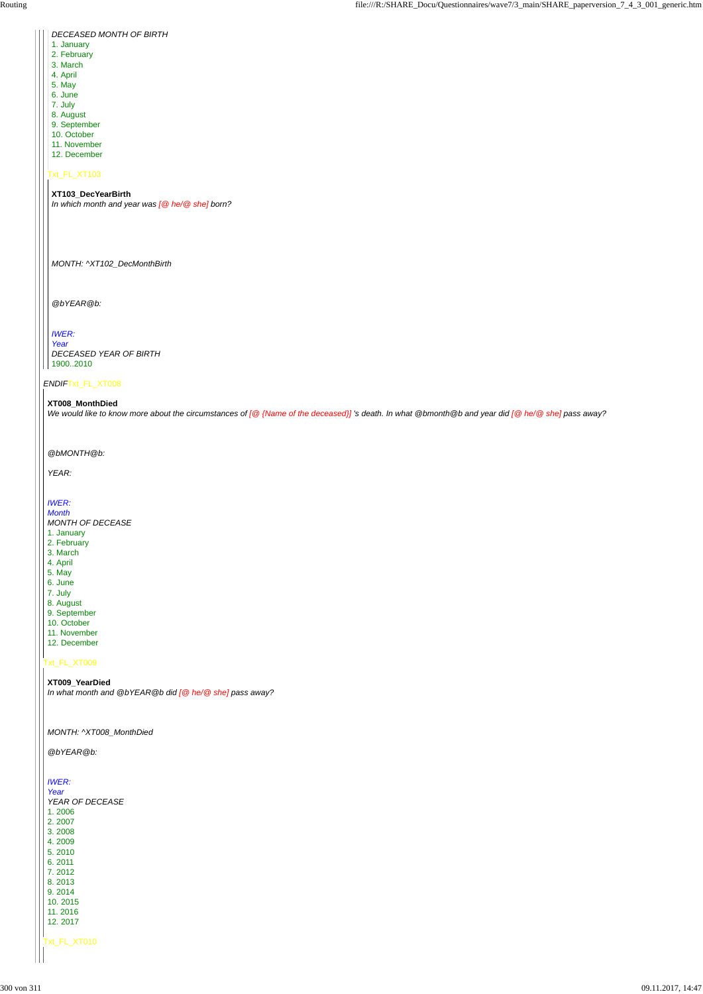# Txt\_FL\_XT009

| <i><b>DECEASED MONTH OF BIRTH</b></i> |
|---------------------------------------|
| 1. January                            |
| 2. February                           |
| 3. March                              |
| 4. April                              |
| 5. May                                |
| 6. June                               |
| 7. July                               |
| 8. August                             |
| 9. September                          |
| 10. October                           |
| 11. November                          |
| 12. December                          |
|                                       |
| Txt FL XT103                          |

# **XT103\_DecYearBirth**

*In which month and year was [@ he/@ she] born?*

*MONTH: ^XT102\_DecMonthBirth*

*@bYEAR@b:*

# *IWER:*

*Year DECEASED YEAR OF BIRTH* 1900..2010

## **XT008\_MonthDied**

| @bYEAR@b:                 |
|---------------------------|
| <b>IWER:</b><br>Year      |
| YEAR OF DECEASE<br>1.2006 |
| 2.2007<br>3.2008          |
| 4.2009<br>5.2010          |
| 6.2011<br>7.2012          |
| 8.2013<br>9.2014          |
| 10.2015<br>11.2016        |
| 12.2017                   |
| Txt_FL_XT010              |
|                           |

*We would like to know more about the circumstances of [@ {Name of the deceased}] 's death. In what @bmonth@b and year did [@ he/@ she] pass away?*

*@bMONTH@b:*

*YEAR:*

*IWER:*

*Month MONTH OF DECEASE* 1. January 2. February

- 3. March
- 4. April
- 5. May
- 6. June
- 7. July 8. August
- 9. September
- 10. October
- 11. November
- 12. December

**XT009\_YearDied**

*In what month and @bYEAR@b did [@ he/@ she] pass away?*

*MONTH: ^XT008\_MonthDied*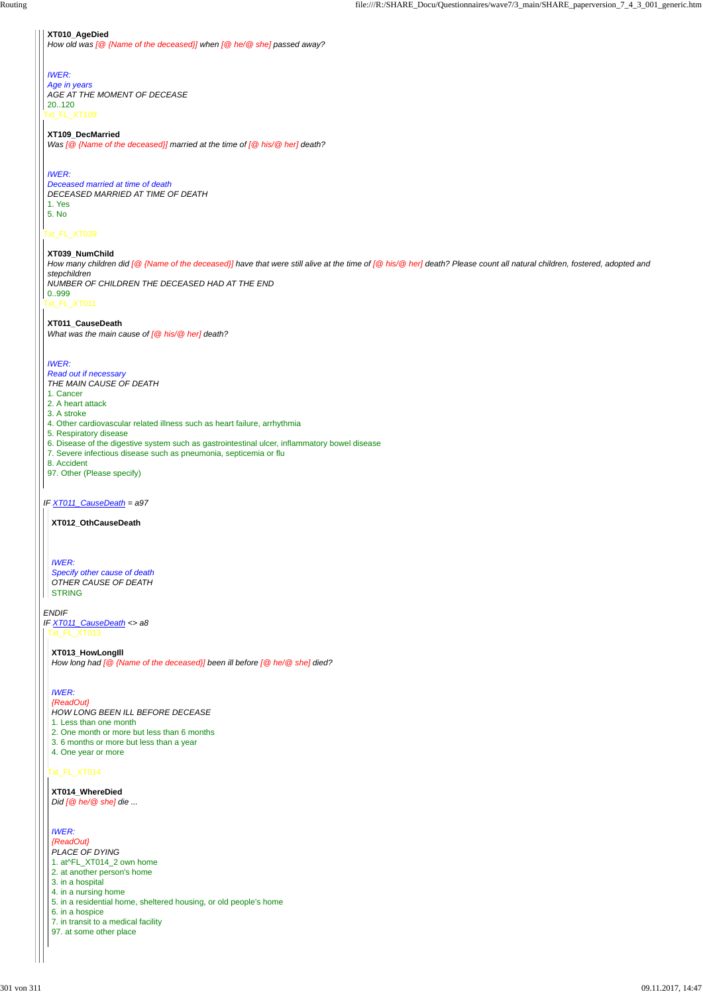## Txt\_FL\_XT039

*IF XT011\_CauseDeath = a97*

#### *ENDIF*

#### **XT010\_AgeDied**

Txt\_FL\_XT109 *Age in years AGE AT THE MOMENT OF DECEASE* 20..120

*How old was [@ {Name of the deceased}] when [@ he/@ she] passed away?*

# *IWER:*

# **XT109\_DecMarried**

*Was [@ {Name of the deceased}] married at the time of [@ his/@ her] death?*

#### *IWER:*

Txt\_FL\_XT011 How many children did [@ {Name of the deceased}] have that were still alive at the time of [@ his/@ her] death? Please count all natural children, fostered, adopted and *stepchildren NUMBER OF CHILDREN THE DECEASED HAD AT THE END* 0..999

*Deceased married at time of death DECEASED MARRIED AT TIME OF DEATH* 1. Yes 5. No

#### **XT039\_NumChild**

*Specify other cause of death OTHER CAUSE OF DEATH* || STRING

*IF XT011\_CauseDeath <> a8* Txt\_FL\_XT013

# **XT011\_CauseDeath**

*What was the main cause of [@ his/@ her] death?*

## *IWER:*

*Read out if necessary THE MAIN CAUSE OF DEATH*

- 1. Cancer
- 2. A heart attack
- 3. A stroke
- 4. Other cardiovascular related illness such as heart failure, arrhythmia
- 5. Respiratory disease
- 6. Disease of the digestive system such as gastrointestinal ulcer, inflammatory bowel disease
- 7. Severe infectious disease such as pneumonia, septicemia or flu
- 8. Accident
- 97. Other (Please specify)

**XT012\_OthCauseDeath**

#### *IWER:*

#### Txt\_FL\_XT014

#### **XT013\_HowLongIll**

*How long had [@ {Name of the deceased}] been ill before [@ he/@ she] died?*

# *IWER:*

*{ReadOut} HOW LONG BEEN ILL BEFORE DECEASE*

- 1. Less than one month
- 2. One month or more but less than 6 months
- 3. 6 months or more but less than a year
- 

4. One year or more

**XT014\_WhereDied** *Did [@ he/@ she] die ...*

*IWER: {ReadOut} PLACE OF DYING* 1. at^FL\_XT014\_2 own home 2. at another person's home 3. in a hospital 4. in a nursing home 5. in a residential home, sheltered housing, or old people's home 6. in a hospice 7. in transit to a medical facility 97. at some other place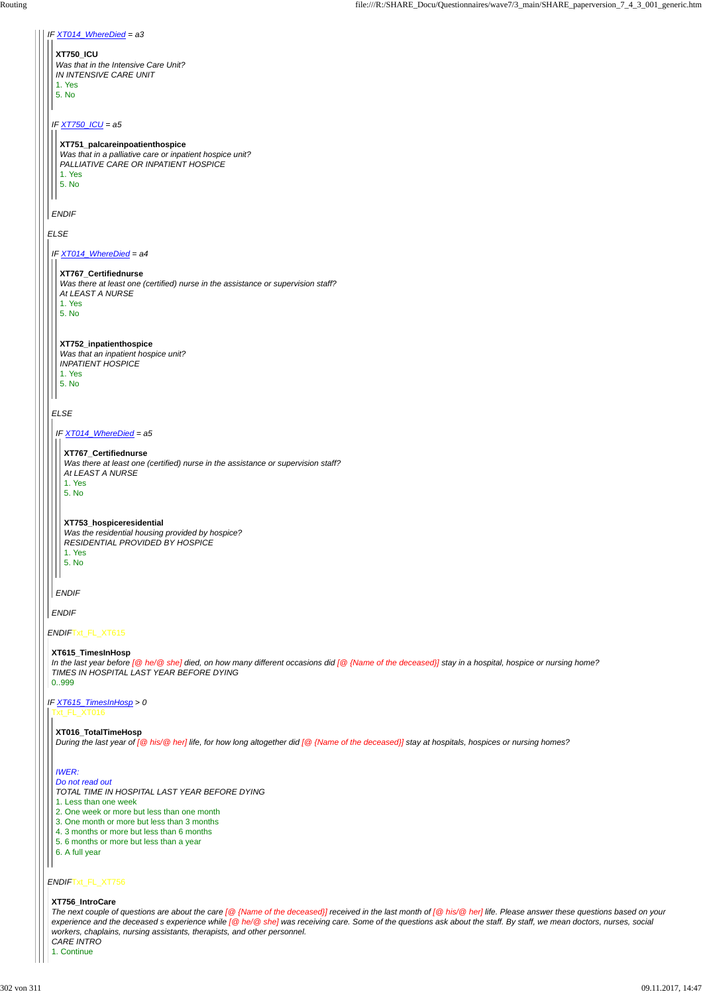| IF XT014_WhereDied = a3                                                                                                                                                                                                         |
|---------------------------------------------------------------------------------------------------------------------------------------------------------------------------------------------------------------------------------|
| <b>XT750 ICU</b><br>Was that in the Intensive Care Unit?<br>IN INTENSIVE CARE UNIT<br>1. Yes                                                                                                                                    |
| 5. No                                                                                                                                                                                                                           |
| IF XT750_ICU = a5                                                                                                                                                                                                               |
| XT751_palcareinpoatienthospice<br>Was that in a palliative care or inpatient hospice unit?<br>PALLIATIVE CARE OR INPATIENT HOSPICE<br>1. Yes<br>5. No                                                                           |
|                                                                                                                                                                                                                                 |
| <b>ENDIF</b>                                                                                                                                                                                                                    |
| <b>ELSE</b>                                                                                                                                                                                                                     |
| IF XT014_WhereDied = a4                                                                                                                                                                                                         |
| XT767_Certifiednurse<br>Was there at least one (certified) nurse in the assistance or supervision staff?<br>At LEAST A NURSE<br>1. Yes<br>5. No                                                                                 |
| XT752_inpatienthospice<br>Was that an inpatient hospice unit?<br><b>INPATIENT HOSPICE</b><br>1. Yes<br>5. No                                                                                                                    |
| <b>ELSE</b>                                                                                                                                                                                                                     |
| IF XT014_WhereDied = a5                                                                                                                                                                                                         |
| XT767_Certifiednurse<br>Was there at least one (certified) nurse in the assistance or supervision staff?<br>At LEAST A NURSE                                                                                                    |
| 1. Yes<br>5. No                                                                                                                                                                                                                 |
| XT753_hospiceresidential<br>Was the residential housing provided by hospice?<br>RESIDENTIAL PROVIDED BY HOSPICE<br>1. Yes<br>5. No                                                                                              |
| <b>ENDIF</b>                                                                                                                                                                                                                    |
| <b>ENDIF</b>                                                                                                                                                                                                                    |
| ENDIFTxt_FL_XT615                                                                                                                                                                                                               |
| XT615_TimesInHosp<br>In the last year before [@ he/@ she] died, on how many different occasions did [@ {Name of the deceased}] stay in a hospital, hospice or nursing home?<br>TIMES IN HOSPITAL LAST YEAR BEFORE DYING<br>0999 |
| IF XT615_TimesInHosp > 0<br>Txt_FL_XT016                                                                                                                                                                                        |

**XT016\_TotalTimeHosp** *During the last year of [@ his/@ her] life, for how long altogether did [@ {Name of the deceased}] stay at hospitals, hospices or nursing homes?*

#### *IWER:*

*Do not read out*

*TOTAL TIME IN HOSPITAL LAST YEAR BEFORE DYING*

1. Less than one week

2. One week or more but less than one month

3. One month or more but less than 3 months

4. 3 months or more but less than 6 months

5. 6 months or more but less than a year

6. A full year

#### **XT756\_IntroCare**

*The next couple of questions are about the care [@ {Name of the deceased}] received in the last month of [@ his/@ her] life. Please answer these questions based on your experience and the deceased s experience while [@ he/@ she] was receiving care. Some of the questions ask about the staff. By staff, we mean doctors, nurses, social workers, chaplains, nursing assistants, therapists, and other personnel. CARE INTRO*

1. Continue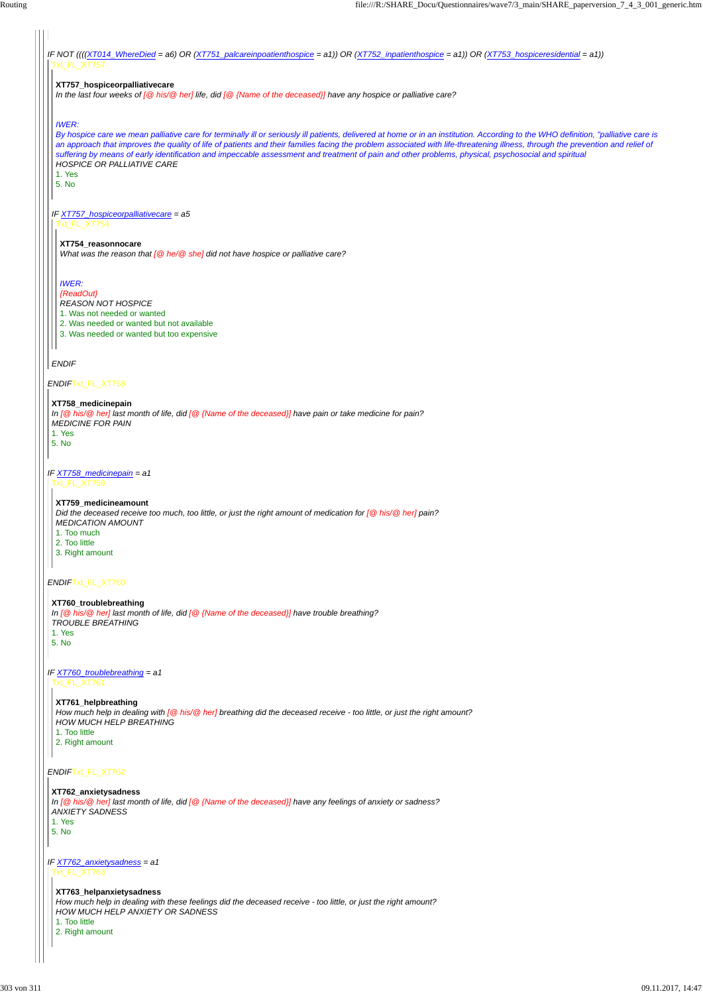*IF NOT ((((XT014\_WhereDied = a6) OR (XT751\_palcareinpoatienthospice = a1)) OR (XT752\_inpatienthospice = a1)) OR (XT753\_hospiceresidential = a1))* Txt\_FL\_XT757

*ENDIF*Txt\_FL\_XT758

*IF XT758\_medicinepain = a1*

*ENDIF*Txt\_FL\_XT760

#### *ENDIF*Txt\_FL\_XT762

*ENDIF*

# **XT757\_hospiceorpalliativecare**

*In the last four weeks of [@ his/@ her] life, did [@ {Name of the deceased}] have any hospice or palliative care?*

## *IWER:*

*IF XT757\_hospiceorpalliativecare = a5 By hospice care we mean palliative care for terminally ill or seriously ill patients, delivered at home or in an institution. According to the WHO definition, "palliative care is an approach that improves the quality of life of patients and their families facing the problem associated with life-threatening illness, through the prevention and relief of suffering by means of early identification and impeccable assessment and treatment of pain and other problems, physical, psychosocial and spiritual HOSPICE OR PALLIATIVE CARE* 1. Yes 5. No Txt\_FL\_XT754 **XT754\_reasonnocare** *What was the reason that [@ he/@ she] did not have hospice or palliative care? IWER: {ReadOut} REASON NOT HOSPICE*

*IF XT760\_troublebreathing = a1* Txt\_FL\_XT761

1. Was not needed or wanted

*IF XT762\_anxietysadness = a1* Txt\_FL\_XT763

2. Was needed or wanted but not available

3. Was needed or wanted but too expensive

#### **XT758\_medicinepain**

*In [@ his/@ her] last month of life, did [@ {Name of the deceased}] have pain or take medicine for pain? MEDICINE FOR PAIN* 1. Yes

5. No

Txt\_FL\_XT759

**XT759\_medicineamount**

*Did the deceased receive too much, too little, or just the right amount of medication for [@ his/@ her] pain? MEDICATION AMOUNT* 1. Too much

- 2. Too little
- 3. Right amount

**XT760\_troublebreathing** *In [@ his/@ her] last month of life, did [@ {Name of the deceased}] have trouble breathing? TROUBLE BREATHING* 1. Yes 5. No

**XT761\_helpbreathing** *How much help in dealing with [@ his/@ her] breathing did the deceased receive - too little, or just the right amount? HOW MUCH HELP BREATHING* 1. Too little 2. Right amount

#### **XT762\_anxietysadness**

*In [@ his/@ her] last month of life, did [@ {Name of the deceased}] have any feelings of anxiety or sadness?*

*ANXIETY SADNESS*

1. Yes 5. No

 $\Box$ 

#### **XT763\_helpanxietysadness**

*How much help in dealing with these feelings did the deceased receive - too little, or just the right amount? HOW MUCH HELP ANXIETY OR SADNESS*

1. Too little

2. Right amount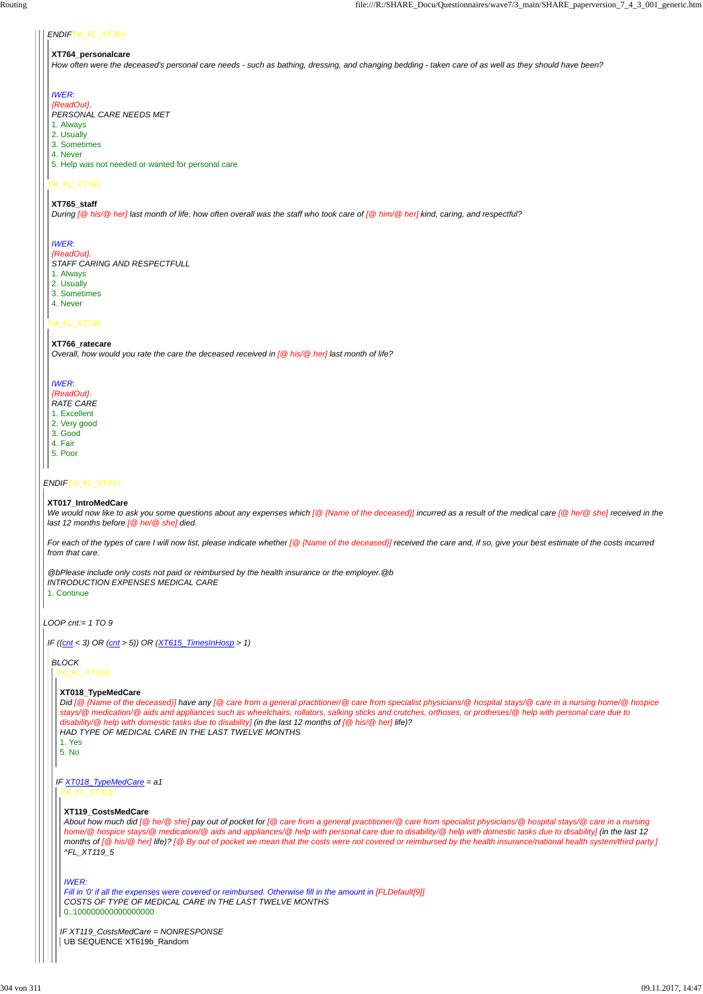*LOOP cnt:= 1 TO 9*

#### *ENDIF*Txt\_FL\_XT764

# Txt\_FL\_XT765

#### Txt\_FL\_XT766

# **XT764\_personalcare**

*How often were the deceased's personal care needs - such as bathing, dressing, and changing bedding - taken care of as well as they should have been?*

#### *IWER:*

*{ReadOut}. PERSONAL CARE NEEDS MET*

- 1. Always
- 2. Usually
- 3. Sometimes
- 4. Never

5. Help was not needed or wanted for personal care

#### **XT765\_staff**

*During [@ his/@ her] last month of life, how often overall was the staff who took care of [@ him/@ her] kind, caring, and respectful?*

*We would now like to ask you some questions about any expenses which [@ {Name of the deceased}] incurred as a result of the medical care [@ he/@ she] received in the last 12 months before [@ he/@ she] died.*

#### *IWER:*

*{ReadOut}.*

*STAFF CARING AND RESPECTFULL*

- 1. Always
- 2. Usually
- 3. Sometimes
- 4. Never

#### **XT766\_ratecare**

*Overall, how would you rate the care the deceased received in [@ his/@ her] last month of life?*

# *IWER:*

*{ReadOut}.*

# *RATE CARE*

- 1. Excellent
- 2. Very good 3. Good
- 4. Fair
- 5. Poor
- 

#### **XT017\_IntroMedCare**

*IF XT119\_CostsMedCare = NONRESPONSE* UB SEQUENCE XT619b\_Random

*For each of the types of care I will now list, please indicate whether [@ {Name of the deceased}] received the care and, if so, give your best estimate of the costs incurred from that care.*

*@bPlease include only costs not paid or reimbursed by the health insurance or the employer.@b INTRODUCTION EXPENSES MEDICAL CARE*

1. Continue

*IF ((cnt < 3) OR (cnt > 5)) OR (XT615\_TimesInHosp > 1)*

*BLOCK* Txt\_FL\_XT018

#### **XT018\_TypeMedCare**

#### *IF XT018\_TypeMedCare = a1* Txt\_FL\_XT119

*Did [@ {Name of the deceased}] have any [@ care from a general practitioner/@ care from specialist physicians/@ hospital stays/@ care in a nursing home/@ hospice stays/@ medication/@ aids and appliances such as wheelchairs, rollators, salking sticks and crutches, orthoses, or protheses/@ help with personal care due to disability/@ help with domestic tasks due to disability] (in the last 12 months of [@ his/@ her] life)? HAD TYPE OF MEDICAL CARE IN THE LAST TWELVE MONTHS*

1. Yes

5. No

#### **XT119\_CostsMedCare**

*About how much did [@ he/@ she] pay out of pocket for [@ care from a general practitioner/@ care from specialist physicians/@ hospital stays/@ care in a nursing home/@ hospice stays/@ medication/@ aids and appliances/@ help with personal care due to disability/@ help with domestic tasks due to disability] (in the last 12 months of [@ his/@ her] life)? [@ By out of pocket we mean that the costs were not covered or reimbursed by the health insurance/national health system/third party.] ^FL\_XT119\_5*

#### *IWER:*

*Fill in '0' if all the expenses were covered or reimbursed. Otherwise fill in the amount in [FLDefault[9]] COSTS OF TYPE OF MEDICAL CARE IN THE LAST TWELVE MONTHS* 0..100000000000000000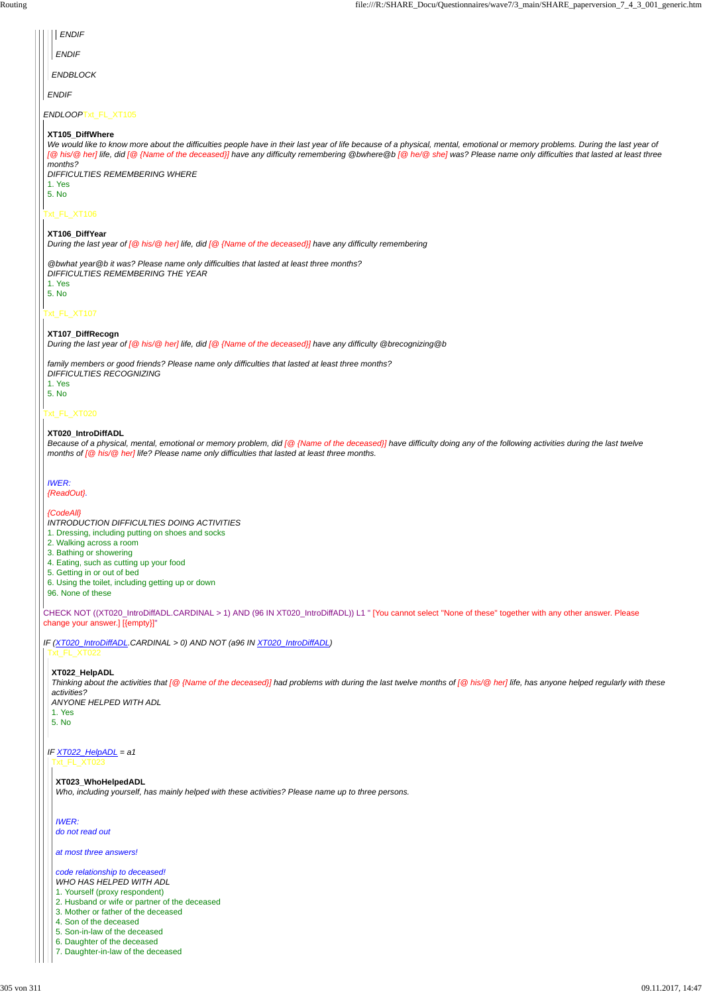#### Txt\_FL\_XT020

CHECK NOT ((XT020\_IntroDiffADL.CARDINAL > 1) AND (96 IN XT020\_IntroDiffADL)) L1 " [You cannot select ''None of these'' together with any other answer. Please change your answer.] [{empty}]"

*IF (XT020\_IntroDiffADL.CARDINAL > 0) AND NOT (a96 IN XT020\_IntroDiffADL)*

| <b>ENDIF</b>                                                                                                                                                                                                                                                                                                                                                                                                                                       |
|----------------------------------------------------------------------------------------------------------------------------------------------------------------------------------------------------------------------------------------------------------------------------------------------------------------------------------------------------------------------------------------------------------------------------------------------------|
| <b>ENDIF</b>                                                                                                                                                                                                                                                                                                                                                                                                                                       |
| <b>ENDBLOCK</b>                                                                                                                                                                                                                                                                                                                                                                                                                                    |
| <b>ENDIF</b>                                                                                                                                                                                                                                                                                                                                                                                                                                       |
| ENDLOOPTxt_FL_XT105                                                                                                                                                                                                                                                                                                                                                                                                                                |
| XT105 DiffWhere<br>We would like to know more about the difficulties people have in their last year of life because of a physical, mental, emotional or memory problems. During the last year of<br>[@ his/@ her] life, did [@ {Name of the deceased}] have any difficulty remembering @bwhere@b [@ he/@ she] was? Please name only difficulties that lasted at least three<br>months?<br><b>DIFFICULTIES REMEMBERING WHERE</b><br>1. Yes<br>5. No |
| Txt_FL_XT106                                                                                                                                                                                                                                                                                                                                                                                                                                       |
| XT106_DiffYear<br>During the last year of [@ his/@ her] life, did [@ {Name of the deceased}] have any difficulty remembering                                                                                                                                                                                                                                                                                                                       |
| @bwhat year@b it was? Please name only difficulties that lasted at least three months?<br>DIFFICULTIES REMEMBERING THE YEAR<br>1. Yes<br>5. No                                                                                                                                                                                                                                                                                                     |
| Txt_FL_XT107                                                                                                                                                                                                                                                                                                                                                                                                                                       |
| XT107_DiffRecogn<br>During the last year of [@ his/@ her] life, did [@ {Name of the deceased}] have any difficulty @brecognizing @b                                                                                                                                                                                                                                                                                                                |
| family members or good friends? Please name only difficulties that lasted at least three months?                                                                                                                                                                                                                                                                                                                                                   |

*family members or good friends? Please name only difficulties that lasted at least three months? DIFFICULTIES RECOGNIZING* 1. Yes 5. No

#### **XT020\_IntroDiffADL**

*Because of a physical, mental, emotional or memory problem, did [@ {Name of the deceased}] have difficulty doing any of the following activities during the last twelve months of [@ his/@ her] life? Please name only difficulties that lasted at least three months.*

*IWER: {ReadOut}.*

*{CodeAll}*

*INTRODUCTION DIFFICULTIES DOING ACTIVITIES* 1. Dressing, including putting on shoes and socks

- 2. Walking across a room
- 3. Bathing or showering
- 4. Eating, such as cutting up your food
- 5. Getting in or out of bed
- 6. Using the toilet, including getting up or down
- 96. None of these

Txt\_FL\_XT022

# **XT022\_HelpADL**

## *IF XT022\_HelpADL = a1* Txt\_FL\_XT023

*Thinking about the activities that [@ {Name of the deceased}] had problems with during the last twelve months of [@ his/@ her] life, has anyone helped regularly with these activities? ANYONE HELPED WITH ADL*

| ANYONE HELPED WITH ADI |
|------------------------|
|                        |
|                        |
|                        |

#### **XT023\_WhoHelpedADL**

*Who, including yourself, has mainly helped with these activities? Please name up to three persons.*

#### *IWER: do not read out*

## *at most three answers!*

#### *code relationship to deceased! WHO HAS HELPED WITH ADL* 1. Yourself (proxy respondent) 2. Husband or wife or partner of the deceased 3. Mother or father of the deceased 4. Son of the deceased 5. Son-in-law of the deceased 6. Daughter of the deceased 7. Daughter-in-law of the deceased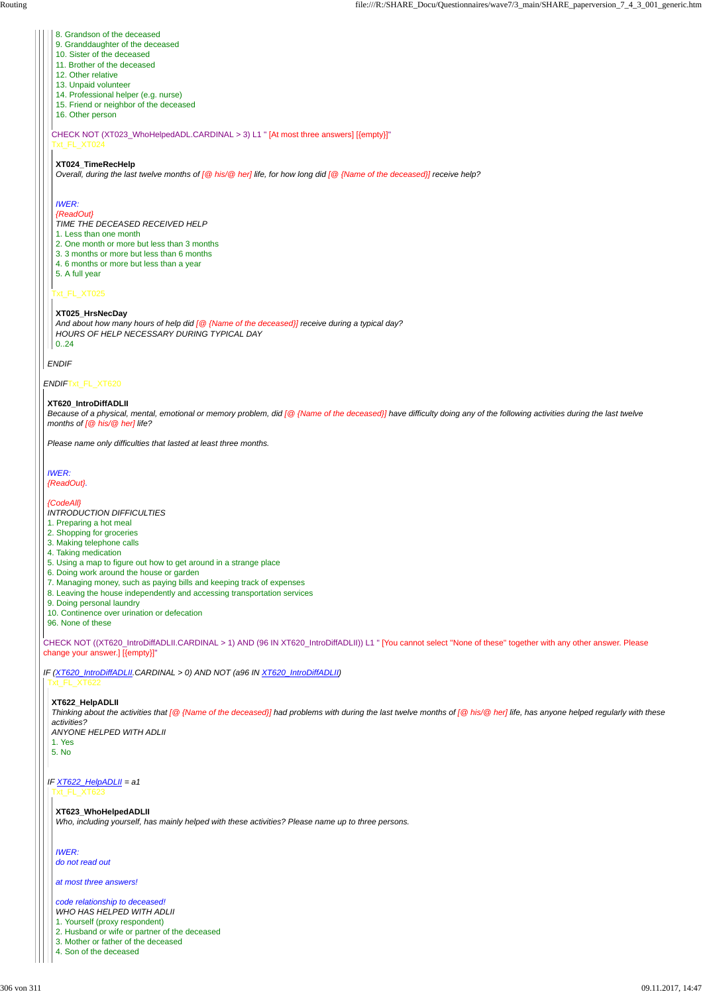CHECK NOT ((XT620\_IntroDiffADLII.CARDINAL > 1) AND (96 IN XT620\_IntroDiffADLII)) L1 " [You cannot select ''None of these'' together with any other answer. Please change your answer.] [{empty}]"

*IF (XT620\_IntroDiffADLII.CARDINAL > 0) AND NOT (a96 IN XT620\_IntroDiffADLII)*

## *ENDIF*

CHECK NOT (XT023\_WhoHelpedADL.CARDINAL > 3) L1 " [At most three answers] [{empty}]" Txt\_FL\_XT024

## Txt\_FL\_XT025

- 8. Grandson of the deceased
- 9. Granddaughter of the deceased
- 10. Sister of the deceased
- 11. Brother of the deceased
- 12. Other relative
- 13. Unpaid volunteer
- 14. Professional helper (e.g. nurse)
- 15. Friend or neighbor of the deceased
- 16. Other person

#### **XT024\_TimeRecHelp**

*Overall, during the last twelve months of [@ his/@ her] life, for how long did [@ {Name of the deceased}] receive help?*

# *IWER:*

*{ReadOut}*

*TIME THE DECEASED RECEIVED HELP*

- 1. Less than one month
- 2. One month or more but less than 3 months
- 3. 3 months or more but less than 6 months
- 4. 6 months or more but less than a year
- 5. A full year

#### **XT025\_HrsNecDay**

*And about how many hours of help did [@ {Name of the deceased}] receive during a typical day? HOURS OF HELP NECESSARY DURING TYPICAL DAY* 0..24

#### **XT620\_IntroDiffADLII**

*Because of a physical, mental, emotional or memory problem, did [@ {Name of the deceased}] have difficulty doing any of the following activities during the last twelve months of [@ his/@ her] life?*

*Please name only difficulties that lasted at least three months.*

#### *IWER: {ReadOut}.*

#### *{CodeAll}*

*INTRODUCTION DIFFICULTIES*

- 1. Preparing a hot meal
- 2. Shopping for groceries
- 3. Making telephone calls
- 4. Taking medication
- 5. Using a map to figure out how to get around in a strange place
- 6. Doing work around the house or garden
- 7. Managing money, such as paying bills and keeping track of expenses
- 8. Leaving the house independently and accessing transportation services
- 9. Doing personal laundry
- 10. Continence over urination or defecation
- 96. None of these

# Txt\_FL\_XT622

**XT622\_HelpADLII**

#### *IF XT622\_HelpADLII = a1* Txt\_FL\_XT623

*Thinking about the activities that [@ {Name of the deceased}] had problems with during the last twelve months of [@ his/@ her] life, has anyone helped regularly with these activities? ANYONE HELPED WITH ADLII*

1. Yes

5. No

#### **XT623\_WhoHelpedADLII**

*Who, including yourself, has mainly helped with these activities? Please name up to three persons.*

#### *IWER: do not read out*

*at most three answers!*

*code relationship to deceased! WHO HAS HELPED WITH ADLII* 1. Yourself (proxy respondent) 2. Husband or wife or partner of the deceased 3. Mother or father of the deceased 4. Son of the deceased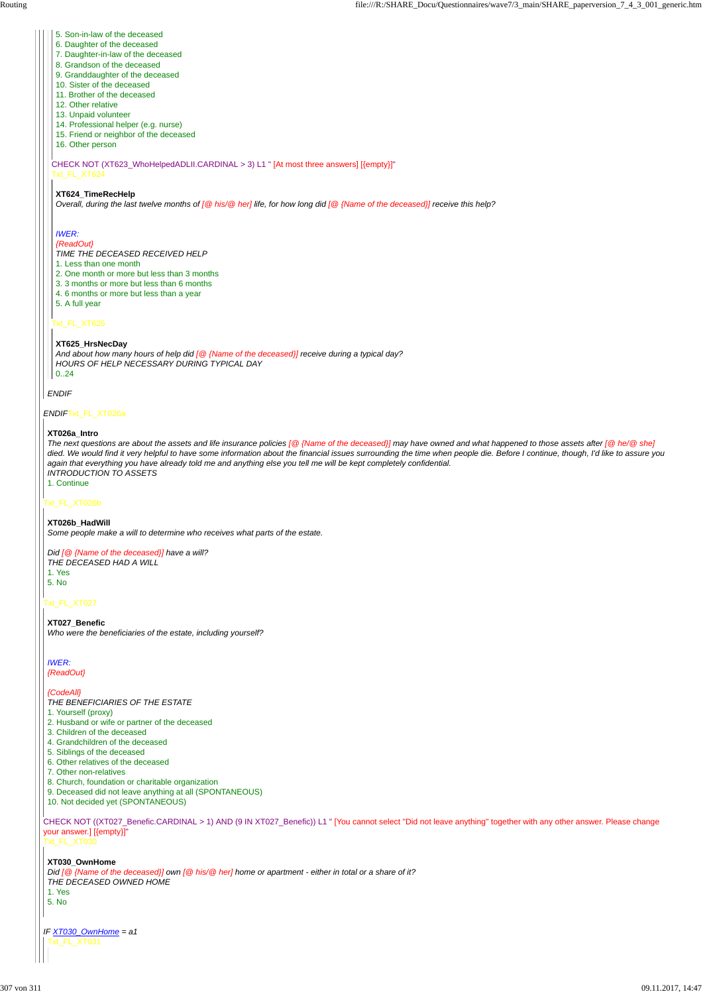# *ENDIF*Txt\_FL\_XT026a

#### Txt\_FL\_XT026b

# Txt\_FL\_XT027

*ENDIF*

CHECK NOT (XT623\_WhoHelpedADLII.CARDINAL > 3) L1 " [At most three answers] [{empty}]" Txt\_FL\_XT624

# Txt\_FL\_XT625

- 5. Son-in-law of the deceased
- 6. Daughter of the deceased
- 7. Daughter-in-law of the deceased
- 8. Grandson of the deceased
- 9. Granddaughter of the deceased
- 10. Sister of the deceased
- 11. Brother of the deceased
- 12. Other relative
- 13. Unpaid volunteer
- 14. Professional helper (e.g. nurse)
- 15. Friend or neighbor of the deceased
- 16. Other person

## **XT624\_TimeRecHelp**

*Overall, during the last twelve months of [@ his/@ her] life, for how long did [@ {Name of the deceased}] receive this help?*

# *IWER:*

#### *{ReadOut}*

*TIME THE DECEASED RECEIVED HELP*

- 1. Less than one month
- 2. One month or more but less than 3 months
- 3. 3 months or more but less than 6 months
- 4. 6 months or more but less than a year
- 5. A full year

#### **XT625\_HrsNecDay**

*And about how many hours of help did [@ {Name of the deceased}] receive during a typical day? HOURS OF HELP NECESSARY DURING TYPICAL DAY* 0..24

#### **XT026a\_Intro**

CHECK NOT ((XT027\_Benefic.CARDINAL > 1) AND (9 IN XT027\_Benefic)) L1 " [You cannot select ''Did not leave anything'' together with any other answer. Please change your answer.] [{empty}]" Txt\_FL\_XT030 4. Grandchildren of the deceased 5. Siblings of the deceased 6. Other relatives of the deceased 7. Other non-relatives 8. Church, foundation or charitable organization 9. Deceased did not leave anything at all (SPONTANEOUS) 10. Not decided yet (SPONTANEOUS) **XT030\_OwnHome** *Did [@ {Name of the deceased}] own [@ his/@ her] home or apartment - either in total or a share of it? THE DECEASED OWNED HOME* 1. Yes 5. No

*IF XT030\_OwnHome = a1* Txt\_FL\_XT031

*The next questions are about the assets and life insurance policies [@ {Name of the deceased}] may have owned and what happened to those assets after [@ he/@ she] died. We would find it very helpful to have some information about the financial issues surrounding the time when people die. Before I continue, though, I'd like to assure you again that everything you have already told me and anything else you tell me will be kept completely confidential. INTRODUCTION TO ASSETS*

1. Continue

**XT026b\_HadWill** *Some people make a will to determine who receives what parts of the estate.*

*Did [@ {Name of the deceased}] have a will? THE DECEASED HAD A WILL*

- 1. Yes
- 5. No

**XT027\_Benefic** *Who were the beneficiaries of the estate, including yourself?*

#### *IWER: {ReadOut}*

# *{CodeAll}*

*THE BENEFICIARIES OF THE ESTATE*

1. Yourself (proxy)

- 2. Husband or wife or partner of the deceased
- 3. Children of the deceased
- 
-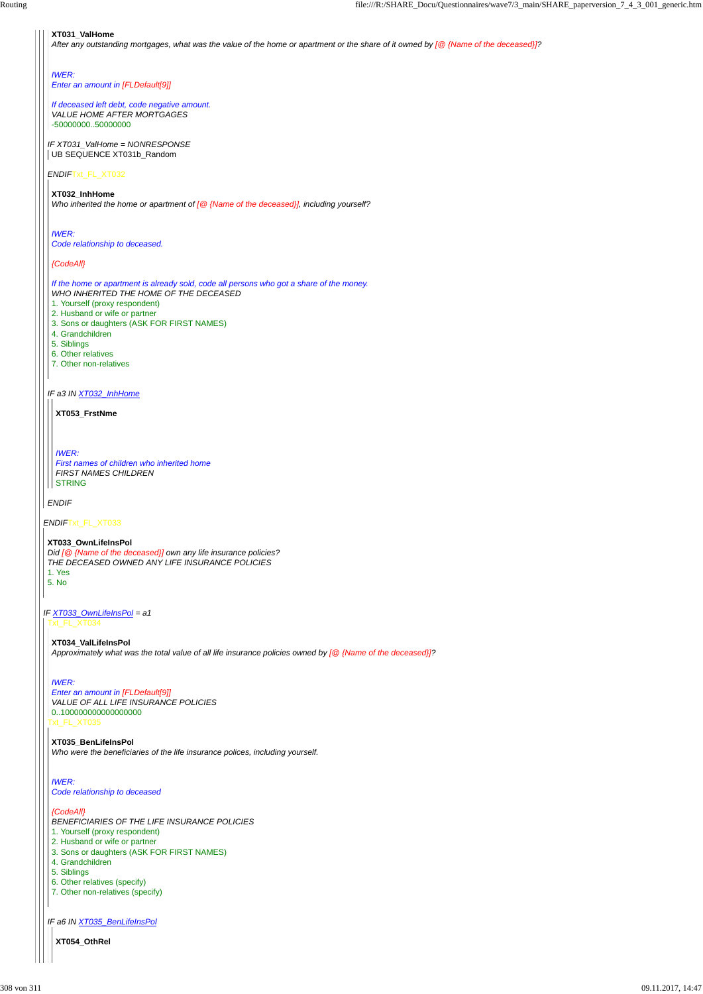#### *ENDIF*Txt\_FL\_XT032

*IF a3 IN XT032\_InhHome*

*ENDIF*

#### **XT031\_ValHome**

*After any outstanding mortgages, what was the value of the home or apartment or the share of it owned by [@ {Name of the deceased}]?*

#### *IF XT031\_ValHome = NONRESPONSE* UB SEQUENCE XT031b\_Random

# *IWER:*

*Enter an amount in [FLDefault[9]]*

#### *If deceased left debt, code negative amount. VALUE HOME AFTER MORTGAGES*

-50000000..50000000

**XT032\_InhHome** *Who inherited the home or apartment of [@ {Name of the deceased}], including yourself?*

*IWER: Code relationship to deceased.*

## *{CodeAll}*

*IF XT033\_OwnLifeInsPol = a1* Txt\_FL\_XT034

*If the home or apartment is already sold, code all persons who got a share of the money. WHO INHERITED THE HOME OF THE DECEASED*

- 1. Yourself (proxy respondent)
- 2. Husband or wife or partner
- 3. Sons or daughters (ASK FOR FIRST NAMES)
- 4. Grandchildren
- 5. Siblings
- 6. Other relatives
- 7. Other non-relatives

**XT053\_FrstNme**

*IWER:*

*First names of children who inherited home FIRST NAMES CHILDREN* STRING

#### **XT033\_OwnLifeInsPol**

*Did [@ {Name of the deceased}] own any life insurance policies? THE DECEASED OWNED ANY LIFE INSURANCE POLICIES* 1. Yes 5. No

*IF a6 IN XT035\_BenLifeInsPol*

**XT034\_ValLifeInsPol** *Approximately what was the total value of all life insurance policies owned by [@ {Name of the deceased}]?*

Txt\_FL\_XT035 *Enter an amount in [FLDefault[9]] VALUE OF ALL LIFE INSURANCE POLICIES* 0..100000000000000000

# *IWER:*

**XT035\_BenLifeInsPol**

```
Who were the beneficiaries of the life insurance polices, including yourself.
```
#### *IWER: Code relationship to deceased*

#### *{CodeAll}*

*BENEFICIARIES OF THE LIFE INSURANCE POLICIES*

- 1. Yourself (proxy respondent)
- 2. Husband or wife or partner
- 3. Sons or daughters (ASK FOR FIRST NAMES)
- 4. Grandchildren
- 5. Siblings
- 6. Other relatives (specify)
- 7. Other non-relatives (specify)

**XT054\_OthRel**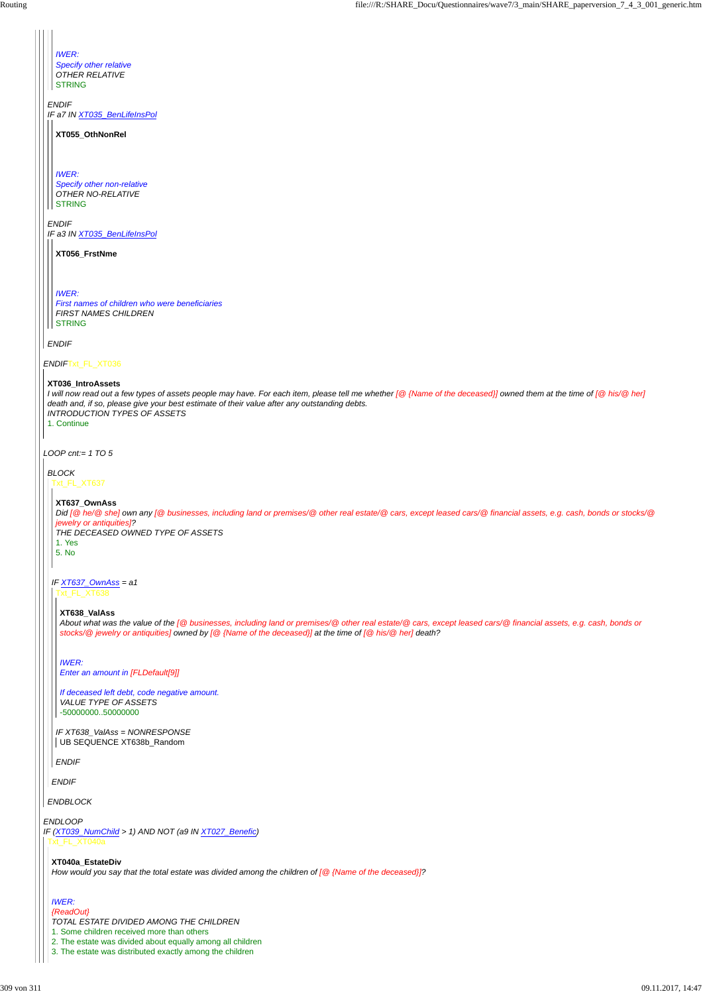*LOOP cnt:= 1 TO 5*

*IWER: Specify other relative OTHER RELATIVE* **STRING** 

*ENDIF IF a7 IN XT035\_BenLifeInsPol*

*IWER: Specify other non-relative OTHER NO-RELATIVE* **STRING** 

*ENDIF IF a3 IN XT035\_BenLifeInsPol*

*ENDIF*

**XT055\_OthNonRel**

**XT056\_FrstNme**

*I will now read out a few types of assets people may have. For each item, please tell me whether [@ {Name of the deceased}] owned them at the time of [@ his/@ her] death and, if so, please give your best estimate of their value after any outstanding debts. INTRODUCTION TYPES OF ASSETS* 1. Continue

*IWER: First names of children who were beneficiaries FIRST NAMES CHILDREN* STRING

#### **XT036\_IntroAssets**

*IF XT638\_ValAss = NONRESPONSE* UB SEQUENCE XT638b\_Random

*BLOCK*

#### *ENDBLOCK*

Txt\_FL\_XT637

*IF XT637\_OwnAss = a1*

*ENDIF*

*ENDLOOP IF (XT039\_NumChild > 1) AND NOT (a9 IN XT027\_Benefic)* Txt\_FL\_XT040a

#### **XT637\_OwnAss**

*Did [@ he/@ she] own any [@ businesses, including land or premises/@ other real estate/@ cars, except leased cars/@ financial assets, e.g. cash, bonds or stocks/@ jewelry or antiquities]?*

*THE DECEASED OWNED TYPE OF ASSETS* 1. Yes 5. No

Txt\_FL\_XT638

#### *ENDIF*

#### **XT638\_ValAss**

*About what was the value of the [@ businesses, including land or premises/@ other real estate/@ cars, except leased cars/@ financial assets, e.g. cash, bonds or stocks/@ jewelry or antiquities] owned by [@ {Name of the deceased}] at the time of [@ his/@ her] death?*

*IWER: Enter an amount in [FLDefault[9]]*

*If deceased left debt, code negative amount. VALUE TYPE OF ASSETS* -50000000..50000000

#### **XT040a\_EstateDiv** *How would you say that the total estate was divided among the children of [@ {Name of the deceased}]?*

#### *IWER:*

*{ReadOut}*

*TOTAL ESTATE DIVIDED AMONG THE CHILDREN*

1. Some children received more than others

2. The estate was divided about equally among all children

3. The estate was distributed exactly among the children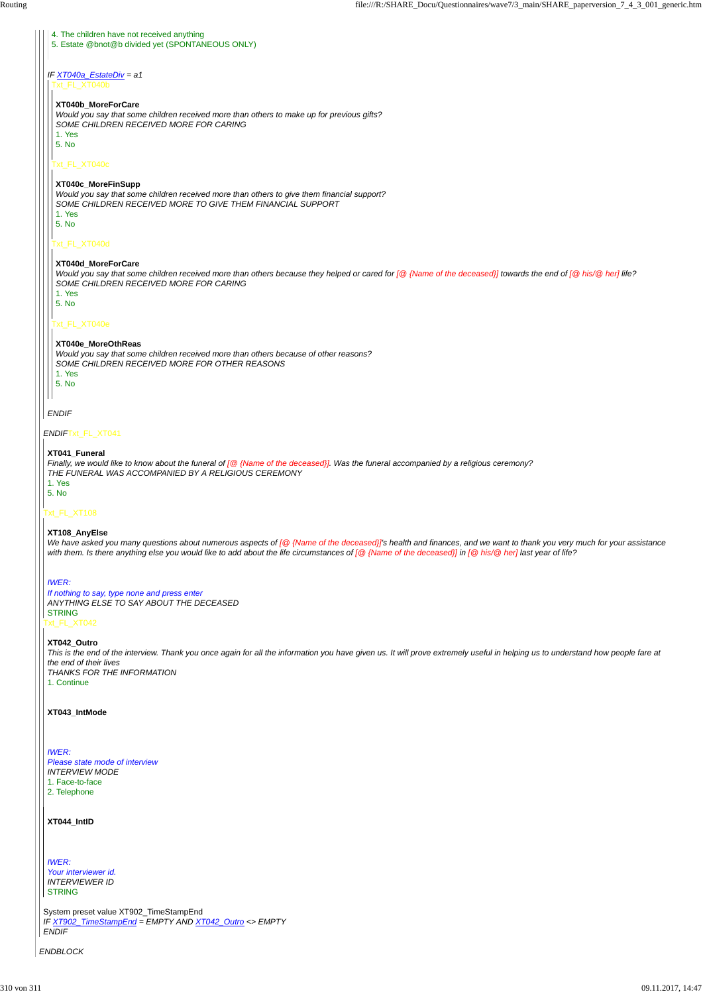*ENDBLOCK*

*ENDIF*Txt\_FL\_XT041

#### Txt\_FL\_XT108

#### Txt\_FL\_XT042

System preset value XT902\_TimeStampEnd *IF XT902\_TimeStampEnd = EMPTY AND XT042\_Outro <> EMPTY ENDIF*

#### *IF XT040a\_EstateDiv = a1*

#### *ENDIF*

#### 4. The children have not received anything 5. Estate @bnot@b divided yet (SPONTANEOUS ONLY)

Txt\_FL\_XT040b

#### Txt\_FL\_XT040c

#### Txt\_FL\_XT040d

#### Txt\_FL\_XT040e

#### **XT040b\_MoreForCare**

*Would you say that some children received more than others to make up for previous gifts? SOME CHILDREN RECEIVED MORE FOR CARING* 1. Yes

5. No

#### **XT040c\_MoreFinSupp**

*Would you say that some children received more than others to give them financial support? SOME CHILDREN RECEIVED MORE TO GIVE THEM FINANCIAL SUPPORT* 1. Yes

5. No

#### **XT040d\_MoreForCare**

*Would you say that some children received more than others because they helped or cared for [@ {Name of the deceased}] towards the end of [@ his/@ her] life? SOME CHILDREN RECEIVED MORE FOR CARING*

We have asked you many questions about numerous aspects of [@ {Name of the deceased}]'s health and finances, and we want to thank you very much for your assistance *with them. Is there anything else you would like to add about the life circumstances of [@ {Name of the deceased}] in [@ his/@ her] last year of life?*

1. Yes

5. No

#### **XT040e\_MoreOthReas**

*Would you say that some children received more than others because of other reasons? SOME CHILDREN RECEIVED MORE FOR OTHER REASONS* 1. Yes

*IWER: Your interviewer id. INTERVIEWER ID* **STRING** 

5. No

#### **XT041\_Funeral**

*Finally, we would like to know about the funeral of [@ {Name of the deceased}]. Was the funeral accompanied by a religious ceremony? THE FUNERAL WAS ACCOMPANIED BY A RELIGIOUS CEREMONY* 1. Yes 5. No

#### **XT108\_AnyElse**

# *IWER:*

*If nothing to say, type none and press enter ANYTHING ELSE TO SAY ABOUT THE DECEASED* STRING

#### **XT042\_Outro**

*This is the end of the interview. Thank you once again for all the information you have given us. It will prove extremely useful in helping us to understand how people fare at the end of their lives THANKS FOR THE INFORMATION*

1. Continue

#### **XT043\_IntMode**

*IWER:*

*Please state mode of interview*

*INTERVIEW MODE*

1. Face-to-face

2. Telephone

#### **XT044\_IntID**